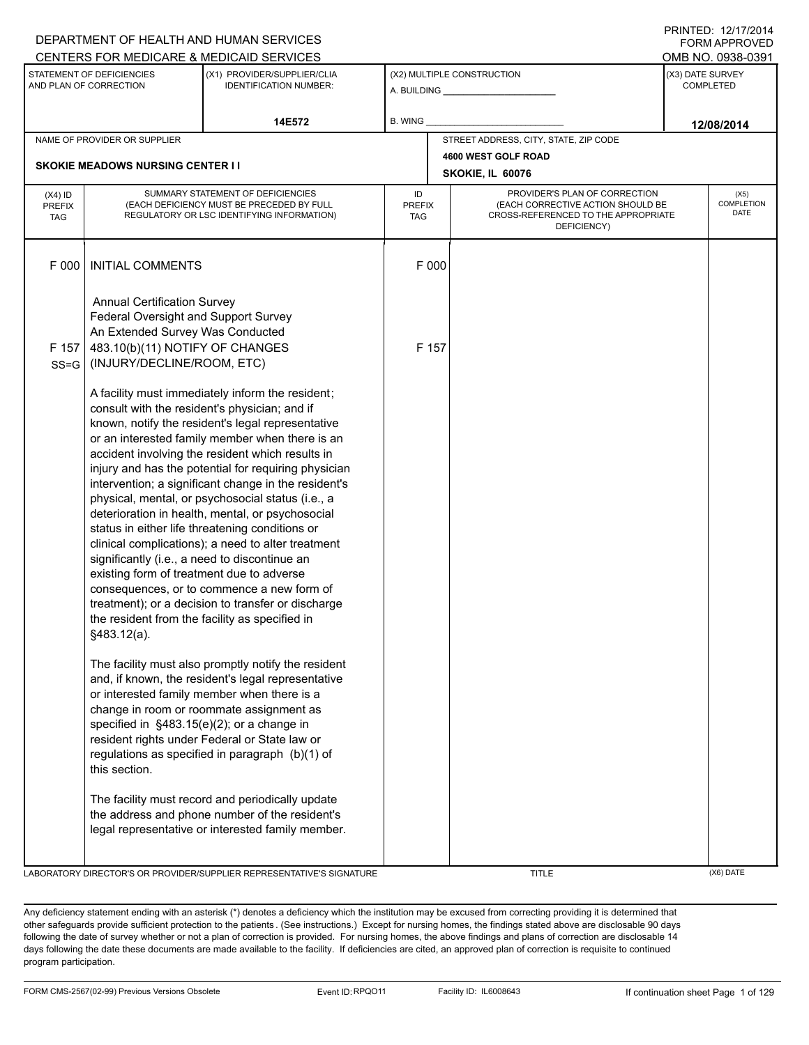|                                          |                                                                                                                                                                                                                                                                             | CENTERS FOR MEDICARE & MEDICAID SERVICES                                                                                                                                                                                                                                                                                                                                                                                                                                                                                                                                                                                                                                                                                                                                                                                                                                                                                                                                                                                                                                                                                  |                                   |                                         |                                                                                                                          | <b>FURIVI APPRUVED</b><br>OMB NO. 0938-0391 |
|------------------------------------------|-----------------------------------------------------------------------------------------------------------------------------------------------------------------------------------------------------------------------------------------------------------------------------|---------------------------------------------------------------------------------------------------------------------------------------------------------------------------------------------------------------------------------------------------------------------------------------------------------------------------------------------------------------------------------------------------------------------------------------------------------------------------------------------------------------------------------------------------------------------------------------------------------------------------------------------------------------------------------------------------------------------------------------------------------------------------------------------------------------------------------------------------------------------------------------------------------------------------------------------------------------------------------------------------------------------------------------------------------------------------------------------------------------------------|-----------------------------------|-----------------------------------------|--------------------------------------------------------------------------------------------------------------------------|---------------------------------------------|
|                                          | STATEMENT OF DEFICIENCIES<br>AND PLAN OF CORRECTION                                                                                                                                                                                                                         | (X1) PROVIDER/SUPPLIER/CLIA<br><b>IDENTIFICATION NUMBER:</b>                                                                                                                                                                                                                                                                                                                                                                                                                                                                                                                                                                                                                                                                                                                                                                                                                                                                                                                                                                                                                                                              |                                   | (X2) MULTIPLE CONSTRUCTION              |                                                                                                                          | (X3) DATE SURVEY<br>COMPLETED               |
|                                          |                                                                                                                                                                                                                                                                             | 14E572                                                                                                                                                                                                                                                                                                                                                                                                                                                                                                                                                                                                                                                                                                                                                                                                                                                                                                                                                                                                                                                                                                                    | B. WING_                          |                                         |                                                                                                                          | 12/08/2014                                  |
|                                          | NAME OF PROVIDER OR SUPPLIER                                                                                                                                                                                                                                                |                                                                                                                                                                                                                                                                                                                                                                                                                                                                                                                                                                                                                                                                                                                                                                                                                                                                                                                                                                                                                                                                                                                           |                                   | STREET ADDRESS, CITY, STATE, ZIP CODE   |                                                                                                                          |                                             |
|                                          | <b>SKOKIE MEADOWS NURSING CENTER II</b>                                                                                                                                                                                                                                     |                                                                                                                                                                                                                                                                                                                                                                                                                                                                                                                                                                                                                                                                                                                                                                                                                                                                                                                                                                                                                                                                                                                           |                                   | 4600 WEST GOLF ROAD<br>SKOKIE, IL 60076 |                                                                                                                          |                                             |
| $(X4)$ ID<br><b>PREFIX</b><br><b>TAG</b> |                                                                                                                                                                                                                                                                             | SUMMARY STATEMENT OF DEFICIENCIES<br>(EACH DEFICIENCY MUST BE PRECEDED BY FULL<br>REGULATORY OR LSC IDENTIFYING INFORMATION)                                                                                                                                                                                                                                                                                                                                                                                                                                                                                                                                                                                                                                                                                                                                                                                                                                                                                                                                                                                              | ID<br><b>PREFIX</b><br><b>TAG</b> |                                         | PROVIDER'S PLAN OF CORRECTION<br>(EACH CORRECTIVE ACTION SHOULD BE<br>CROSS-REFERENCED TO THE APPROPRIATE<br>DEFICIENCY) | (X5)<br>COMPLETION<br><b>DATE</b>           |
| F 000                                    | <b>INITIAL COMMENTS</b>                                                                                                                                                                                                                                                     |                                                                                                                                                                                                                                                                                                                                                                                                                                                                                                                                                                                                                                                                                                                                                                                                                                                                                                                                                                                                                                                                                                                           |                                   | F 000                                   |                                                                                                                          |                                             |
| F 157<br>$SS = G$                        | <b>Annual Certification Survey</b><br>Federal Oversight and Support Survey<br>An Extended Survey Was Conducted<br>483.10(b)(11) NOTIFY OF CHANGES<br>(INJURY/DECLINE/ROOM, ETC)                                                                                             |                                                                                                                                                                                                                                                                                                                                                                                                                                                                                                                                                                                                                                                                                                                                                                                                                                                                                                                                                                                                                                                                                                                           |                                   | F 157                                   |                                                                                                                          |                                             |
|                                          | consult with the resident's physician; and if<br>significantly (i.e., a need to discontinue an<br>existing form of treatment due to adverse<br>the resident from the facility as specified in<br>§483.12(a).<br>specified in §483.15(e)(2); or a change in<br>this section. | A facility must immediately inform the resident;<br>known, notify the resident's legal representative<br>or an interested family member when there is an<br>accident involving the resident which results in<br>injury and has the potential for requiring physician<br>intervention; a significant change in the resident's<br>physical, mental, or psychosocial status (i.e., a<br>deterioration in health, mental, or psychosocial<br>status in either life threatening conditions or<br>clinical complications); a need to alter treatment<br>consequences, or to commence a new form of<br>treatment); or a decision to transfer or discharge<br>The facility must also promptly notify the resident<br>and, if known, the resident's legal representative<br>or interested family member when there is a<br>change in room or roommate assignment as<br>resident rights under Federal or State law or<br>regulations as specified in paragraph (b)(1) of<br>The facility must record and periodically update<br>the address and phone number of the resident's<br>legal representative or interested family member. |                                   |                                         |                                                                                                                          |                                             |

LABORATORY DIRECTOR'S OR PROVIDER/SUPPLIER REPRESENTATIVE'S SIGNATURE THE TITLE THE TITLE (X6) DATE

DEPARTMENT OF HEALTH AND HUMAN SERVICES

PRINTED: 12/17/2014 FORM APPROVED

Any deficiency statement ending with an asterisk (\*) denotes a deficiency which the institution may be excused from correcting providing it is determined that other safeguards provide sufficient protection to the patients . (See instructions.) Except for nursing homes, the findings stated above are disclosable 90 days following the date of survey whether or not a plan of correction is provided. For nursing homes, the above findings and plans of correction are disclosable 14 days following the date these documents are made available to the facility. If deficiencies are cited, an approved plan of correction is requisite to continued program participation.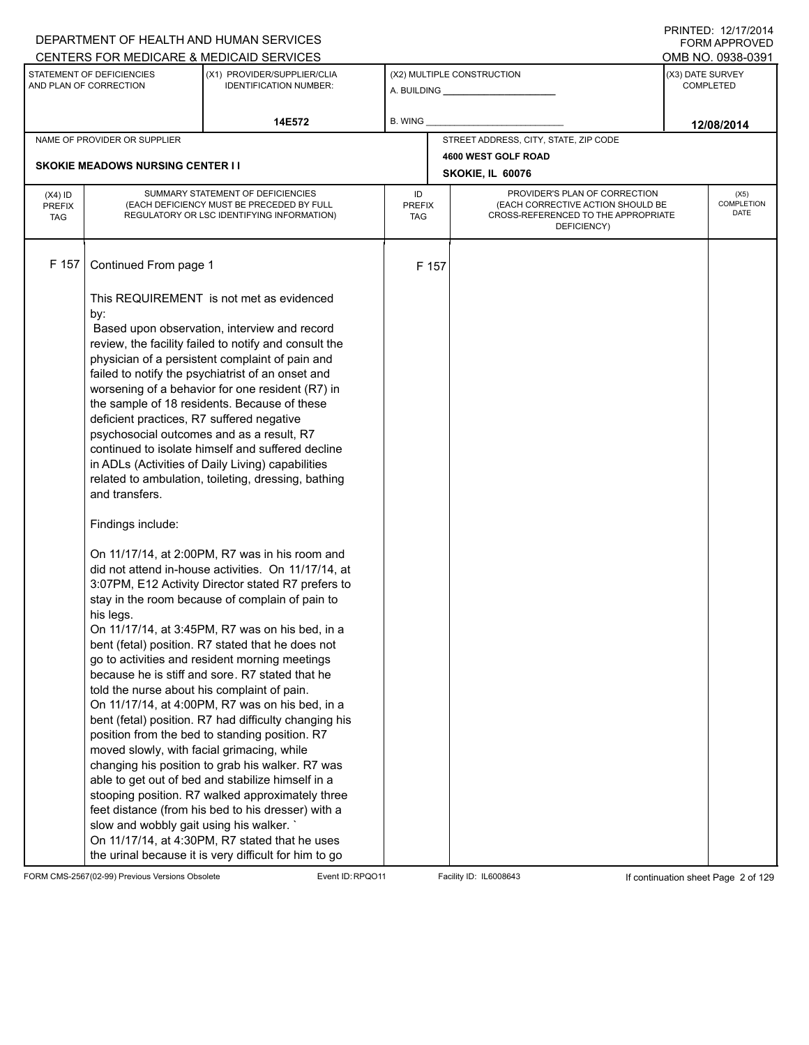|                                          |                                                                                                                                                                                                                                             | DEPARTMENT OF HEALTH AND HUMAN SERVICES                                                                                                                                                                                                                                                                                                                                                                                                                                                                                                                                                                                                                                                                                                                                                                                                                                                                                                                                                                                                                                                                                                                                                                                                                                                                                                                                                                                                                                                                |                            |       |                                                                                                                          | <b>FORM APPROVED</b>                 |
|------------------------------------------|---------------------------------------------------------------------------------------------------------------------------------------------------------------------------------------------------------------------------------------------|--------------------------------------------------------------------------------------------------------------------------------------------------------------------------------------------------------------------------------------------------------------------------------------------------------------------------------------------------------------------------------------------------------------------------------------------------------------------------------------------------------------------------------------------------------------------------------------------------------------------------------------------------------------------------------------------------------------------------------------------------------------------------------------------------------------------------------------------------------------------------------------------------------------------------------------------------------------------------------------------------------------------------------------------------------------------------------------------------------------------------------------------------------------------------------------------------------------------------------------------------------------------------------------------------------------------------------------------------------------------------------------------------------------------------------------------------------------------------------------------------------|----------------------------|-------|--------------------------------------------------------------------------------------------------------------------------|--------------------------------------|
|                                          |                                                                                                                                                                                                                                             | CENTERS FOR MEDICARE & MEDICAID SERVICES                                                                                                                                                                                                                                                                                                                                                                                                                                                                                                                                                                                                                                                                                                                                                                                                                                                                                                                                                                                                                                                                                                                                                                                                                                                                                                                                                                                                                                                               |                            |       |                                                                                                                          | OMB NO. 0938-0391                    |
|                                          | STATEMENT OF DEFICIENCIES<br>AND PLAN OF CORRECTION                                                                                                                                                                                         | (X1) PROVIDER/SUPPLIER/CLIA<br><b>IDENTIFICATION NUMBER:</b>                                                                                                                                                                                                                                                                                                                                                                                                                                                                                                                                                                                                                                                                                                                                                                                                                                                                                                                                                                                                                                                                                                                                                                                                                                                                                                                                                                                                                                           |                            |       | (X2) MULTIPLE CONSTRUCTION                                                                                               | (X3) DATE SURVEY<br><b>COMPLETED</b> |
|                                          |                                                                                                                                                                                                                                             | 14E572                                                                                                                                                                                                                                                                                                                                                                                                                                                                                                                                                                                                                                                                                                                                                                                                                                                                                                                                                                                                                                                                                                                                                                                                                                                                                                                                                                                                                                                                                                 | B. WING                    |       |                                                                                                                          | 12/08/2014                           |
|                                          | NAME OF PROVIDER OR SUPPLIER                                                                                                                                                                                                                |                                                                                                                                                                                                                                                                                                                                                                                                                                                                                                                                                                                                                                                                                                                                                                                                                                                                                                                                                                                                                                                                                                                                                                                                                                                                                                                                                                                                                                                                                                        |                            |       | STREET ADDRESS, CITY, STATE, ZIP CODE                                                                                    |                                      |
|                                          |                                                                                                                                                                                                                                             |                                                                                                                                                                                                                                                                                                                                                                                                                                                                                                                                                                                                                                                                                                                                                                                                                                                                                                                                                                                                                                                                                                                                                                                                                                                                                                                                                                                                                                                                                                        |                            |       | 4600 WEST GOLF ROAD                                                                                                      |                                      |
|                                          | <b>SKOKIE MEADOWS NURSING CENTER I I</b>                                                                                                                                                                                                    |                                                                                                                                                                                                                                                                                                                                                                                                                                                                                                                                                                                                                                                                                                                                                                                                                                                                                                                                                                                                                                                                                                                                                                                                                                                                                                                                                                                                                                                                                                        |                            |       | SKOKIE, IL 60076                                                                                                         |                                      |
| $(X4)$ ID<br><b>PREFIX</b><br><b>TAG</b> |                                                                                                                                                                                                                                             | SUMMARY STATEMENT OF DEFICIENCIES<br>(EACH DEFICIENCY MUST BE PRECEDED BY FULL<br>REGULATORY OR LSC IDENTIFYING INFORMATION)                                                                                                                                                                                                                                                                                                                                                                                                                                                                                                                                                                                                                                                                                                                                                                                                                                                                                                                                                                                                                                                                                                                                                                                                                                                                                                                                                                           | ID<br><b>PREFIX</b><br>TAG |       | PROVIDER'S PLAN OF CORRECTION<br>(EACH CORRECTIVE ACTION SHOULD BE<br>CROSS-REFERENCED TO THE APPROPRIATE<br>DEFICIENCY) | (X5)<br>COMPLETION<br>DATE           |
| F 157                                    | Continued From page 1                                                                                                                                                                                                                       |                                                                                                                                                                                                                                                                                                                                                                                                                                                                                                                                                                                                                                                                                                                                                                                                                                                                                                                                                                                                                                                                                                                                                                                                                                                                                                                                                                                                                                                                                                        |                            | F 157 |                                                                                                                          |                                      |
|                                          | by:<br>deficient practices, R7 suffered negative<br>and transfers.<br>Findings include:<br>his legs.<br>told the nurse about his complaint of pain.<br>moved slowly, with facial grimacing, while<br>slow and wobbly gait using his walker. | This REQUIREMENT is not met as evidenced<br>Based upon observation, interview and record<br>review, the facility failed to notify and consult the<br>physician of a persistent complaint of pain and<br>failed to notify the psychiatrist of an onset and<br>worsening of a behavior for one resident (R7) in<br>the sample of 18 residents. Because of these<br>psychosocial outcomes and as a result, R7<br>continued to isolate himself and suffered decline<br>in ADLs (Activities of Daily Living) capabilities<br>related to ambulation, toileting, dressing, bathing<br>On 11/17/14, at 2:00PM, R7 was in his room and<br>did not attend in-house activities. On 11/17/14, at<br>3:07PM, E12 Activity Director stated R7 prefers to<br>stay in the room because of complain of pain to<br>On 11/17/14, at 3:45PM, R7 was on his bed, in a<br>bent (fetal) position. R7 stated that he does not<br>go to activities and resident morning meetings<br>because he is stiff and sore. R7 stated that he<br>On 11/17/14, at 4:00PM, R7 was on his bed, in a<br>bent (fetal) position. R7 had difficulty changing his<br>position from the bed to standing position. R7<br>changing his position to grab his walker. R7 was<br>able to get out of bed and stabilize himself in a<br>stooping position. R7 walked approximately three<br>feet distance (from his bed to his dresser) with a<br>On 11/17/14, at 4:30PM, R7 stated that he uses<br>the urinal because it is very difficult for him to go |                            |       |                                                                                                                          |                                      |

FORM CMS-2567(02-99) Previous Versions Obsolete Event ID:RPQO11 Facility ID: IL6008643 If continuation sheet Page 2 of 129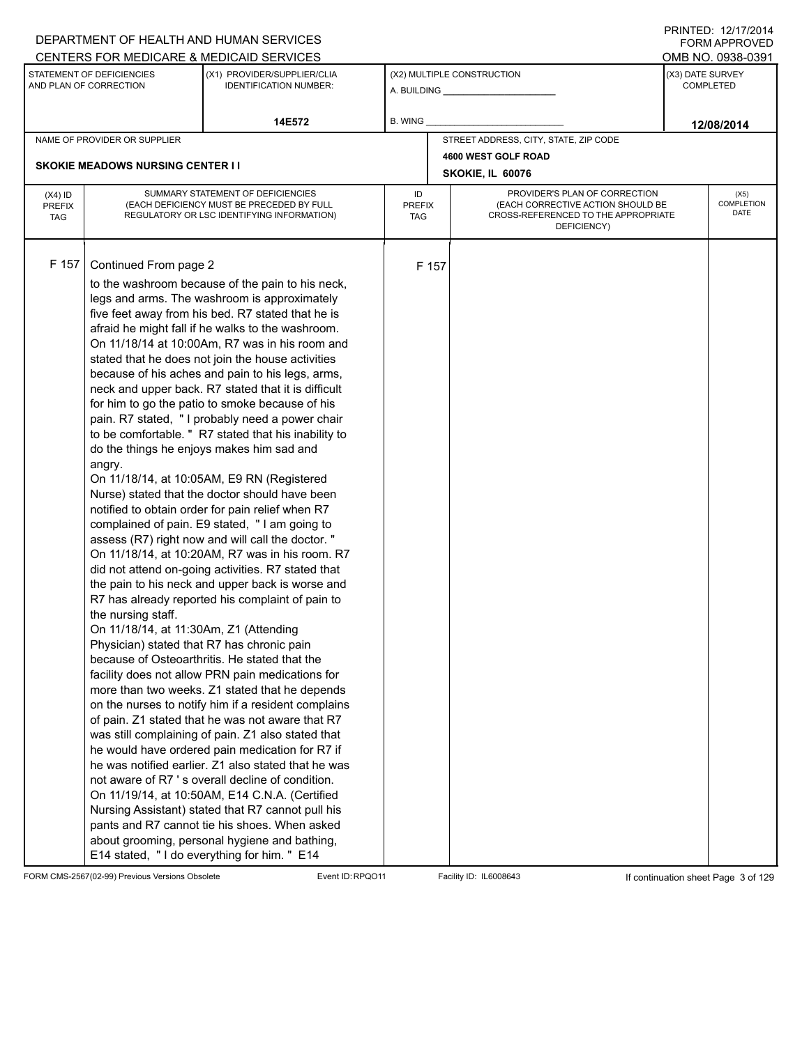|                                          |                                                                                                                                               | DEPARTMENT OF HEALTH AND HUMAN SERVICES                                                                                                                                                                                                                                                                                                                                                                                                                                                                                                                                                                                                                                                                                                                                                                                                                                                                                                                                                                                                                                                                                                                                                                                                                                                                                                                                                                                                                                                                                                                                                                                                                                                                                                                                                                                                                          |                            |       |                                                                                                                          |                  | FORM APPROVED              |
|------------------------------------------|-----------------------------------------------------------------------------------------------------------------------------------------------|------------------------------------------------------------------------------------------------------------------------------------------------------------------------------------------------------------------------------------------------------------------------------------------------------------------------------------------------------------------------------------------------------------------------------------------------------------------------------------------------------------------------------------------------------------------------------------------------------------------------------------------------------------------------------------------------------------------------------------------------------------------------------------------------------------------------------------------------------------------------------------------------------------------------------------------------------------------------------------------------------------------------------------------------------------------------------------------------------------------------------------------------------------------------------------------------------------------------------------------------------------------------------------------------------------------------------------------------------------------------------------------------------------------------------------------------------------------------------------------------------------------------------------------------------------------------------------------------------------------------------------------------------------------------------------------------------------------------------------------------------------------------------------------------------------------------------------------------------------------|----------------------------|-------|--------------------------------------------------------------------------------------------------------------------------|------------------|----------------------------|
|                                          |                                                                                                                                               | CENTERS FOR MEDICARE & MEDICAID SERVICES                                                                                                                                                                                                                                                                                                                                                                                                                                                                                                                                                                                                                                                                                                                                                                                                                                                                                                                                                                                                                                                                                                                                                                                                                                                                                                                                                                                                                                                                                                                                                                                                                                                                                                                                                                                                                         |                            |       |                                                                                                                          |                  | OMB NO. 0938-0391          |
|                                          | STATEMENT OF DEFICIENCIES<br>AND PLAN OF CORRECTION                                                                                           | (X1) PROVIDER/SUPPLIER/CLIA<br><b>IDENTIFICATION NUMBER:</b>                                                                                                                                                                                                                                                                                                                                                                                                                                                                                                                                                                                                                                                                                                                                                                                                                                                                                                                                                                                                                                                                                                                                                                                                                                                                                                                                                                                                                                                                                                                                                                                                                                                                                                                                                                                                     |                            |       | (X2) MULTIPLE CONSTRUCTION                                                                                               | (X3) DATE SURVEY | <b>COMPLETED</b>           |
|                                          |                                                                                                                                               | 14E572                                                                                                                                                                                                                                                                                                                                                                                                                                                                                                                                                                                                                                                                                                                                                                                                                                                                                                                                                                                                                                                                                                                                                                                                                                                                                                                                                                                                                                                                                                                                                                                                                                                                                                                                                                                                                                                           | B. WING                    |       |                                                                                                                          |                  | 12/08/2014                 |
|                                          | NAME OF PROVIDER OR SUPPLIER                                                                                                                  |                                                                                                                                                                                                                                                                                                                                                                                                                                                                                                                                                                                                                                                                                                                                                                                                                                                                                                                                                                                                                                                                                                                                                                                                                                                                                                                                                                                                                                                                                                                                                                                                                                                                                                                                                                                                                                                                  |                            |       | STREET ADDRESS, CITY, STATE, ZIP CODE                                                                                    |                  |                            |
|                                          |                                                                                                                                               |                                                                                                                                                                                                                                                                                                                                                                                                                                                                                                                                                                                                                                                                                                                                                                                                                                                                                                                                                                                                                                                                                                                                                                                                                                                                                                                                                                                                                                                                                                                                                                                                                                                                                                                                                                                                                                                                  |                            |       | 4600 WEST GOLF ROAD                                                                                                      |                  |                            |
|                                          | <b>SKOKIE MEADOWS NURSING CENTER I I</b>                                                                                                      |                                                                                                                                                                                                                                                                                                                                                                                                                                                                                                                                                                                                                                                                                                                                                                                                                                                                                                                                                                                                                                                                                                                                                                                                                                                                                                                                                                                                                                                                                                                                                                                                                                                                                                                                                                                                                                                                  |                            |       | SKOKIE, IL 60076                                                                                                         |                  |                            |
| $(X4)$ ID<br><b>PREFIX</b><br><b>TAG</b> |                                                                                                                                               | SUMMARY STATEMENT OF DEFICIENCIES<br>(EACH DEFICIENCY MUST BE PRECEDED BY FULL<br>REGULATORY OR LSC IDENTIFYING INFORMATION)                                                                                                                                                                                                                                                                                                                                                                                                                                                                                                                                                                                                                                                                                                                                                                                                                                                                                                                                                                                                                                                                                                                                                                                                                                                                                                                                                                                                                                                                                                                                                                                                                                                                                                                                     | ID<br><b>PREFIX</b><br>TAG |       | PROVIDER'S PLAN OF CORRECTION<br>(EACH CORRECTIVE ACTION SHOULD BE<br>CROSS-REFERENCED TO THE APPROPRIATE<br>DEFICIENCY) |                  | (X5)<br>COMPLETION<br>DATE |
| F 157                                    | Continued From page 2<br>angry.<br>the nursing staff.<br>On 11/18/14, at 11:30Am, Z1 (Attending<br>Physician) stated that R7 has chronic pain | to the washroom because of the pain to his neck,<br>legs and arms. The washroom is approximately<br>five feet away from his bed. R7 stated that he is<br>afraid he might fall if he walks to the washroom.<br>On 11/18/14 at 10:00Am, R7 was in his room and<br>stated that he does not join the house activities<br>because of his aches and pain to his legs, arms,<br>neck and upper back. R7 stated that it is difficult<br>for him to go the patio to smoke because of his<br>pain. R7 stated, "I probably need a power chair<br>to be comfortable. " R7 stated that his inability to<br>do the things he enjoys makes him sad and<br>On 11/18/14, at 10:05AM, E9 RN (Registered<br>Nurse) stated that the doctor should have been<br>notified to obtain order for pain relief when R7<br>complained of pain. E9 stated, "I am going to<br>assess (R7) right now and will call the doctor. "<br>On 11/18/14, at 10:20AM, R7 was in his room. R7<br>did not attend on-going activities. R7 stated that<br>the pain to his neck and upper back is worse and<br>R7 has already reported his complaint of pain to<br>because of Osteoarthritis. He stated that the<br>facility does not allow PRN pain medications for<br>more than two weeks. Z1 stated that he depends<br>on the nurses to notify him if a resident complains<br>of pain. Z1 stated that he was not aware that R7<br>was still complaining of pain. Z1 also stated that<br>he would have ordered pain medication for R7 if<br>he was notified earlier. Z1 also stated that he was<br>not aware of R7 's overall decline of condition.<br>On 11/19/14, at 10:50AM, E14 C.N.A. (Certified<br>Nursing Assistant) stated that R7 cannot pull his<br>pants and R7 cannot tie his shoes. When asked<br>about grooming, personal hygiene and bathing,<br>E14 stated, "I do everything for him. " E14 |                            | F 157 |                                                                                                                          |                  |                            |

FORM CMS-2567(02-99) Previous Versions Obsolete Event ID:RPQO11 Facility ID: IL6008643 If continuation sheet Page 3 of 129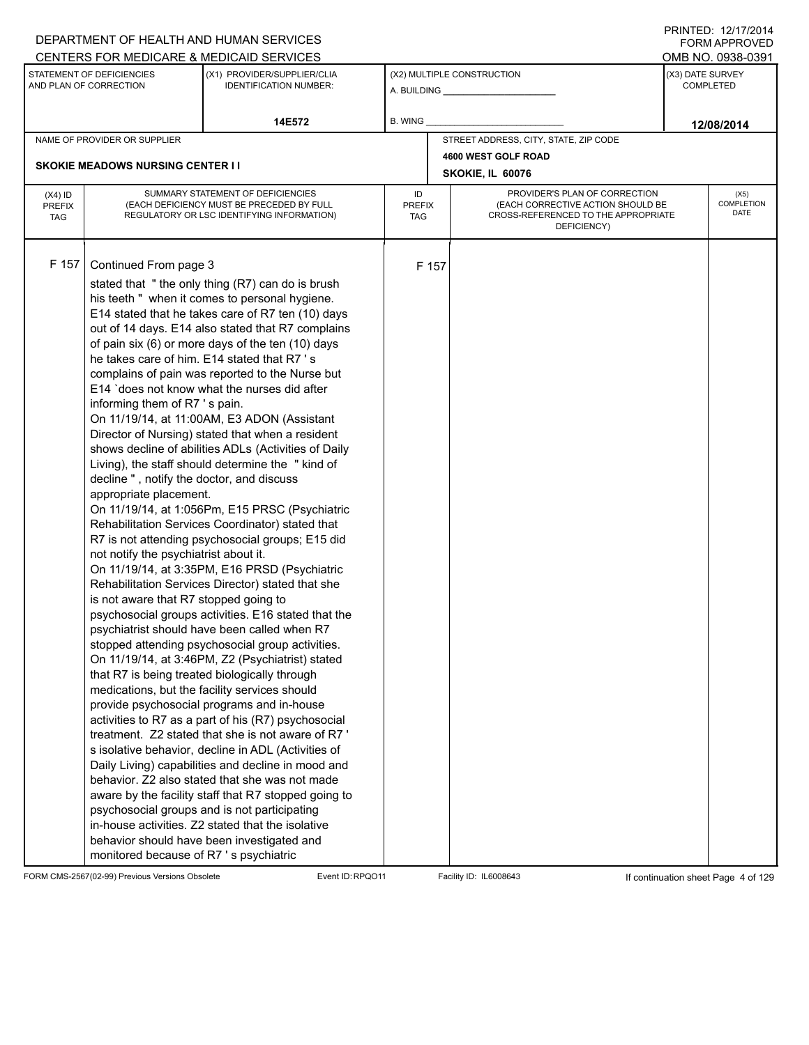|                                          |                                                                                                                                                                                                                                                          | DEPARTMENT OF HEALTH AND HUMAN SERVICES                                                                                                                                                                                                                                                                                                                                                                                                                                                                                                                                                                                                                                                                                                                                                                                                                                                                                                                                                                                                                                                                                                                                                                                                                                                                                                                                                                                                                                                                                                                                                                                                                                                                                                                 |                            |       |                                                                                                                          |                  | I INITILLY. I <i>litil</i> ly I <del>t</del><br>FORM APPROVED |
|------------------------------------------|----------------------------------------------------------------------------------------------------------------------------------------------------------------------------------------------------------------------------------------------------------|---------------------------------------------------------------------------------------------------------------------------------------------------------------------------------------------------------------------------------------------------------------------------------------------------------------------------------------------------------------------------------------------------------------------------------------------------------------------------------------------------------------------------------------------------------------------------------------------------------------------------------------------------------------------------------------------------------------------------------------------------------------------------------------------------------------------------------------------------------------------------------------------------------------------------------------------------------------------------------------------------------------------------------------------------------------------------------------------------------------------------------------------------------------------------------------------------------------------------------------------------------------------------------------------------------------------------------------------------------------------------------------------------------------------------------------------------------------------------------------------------------------------------------------------------------------------------------------------------------------------------------------------------------------------------------------------------------------------------------------------------------|----------------------------|-------|--------------------------------------------------------------------------------------------------------------------------|------------------|---------------------------------------------------------------|
|                                          |                                                                                                                                                                                                                                                          | CENTERS FOR MEDICARE & MEDICAID SERVICES                                                                                                                                                                                                                                                                                                                                                                                                                                                                                                                                                                                                                                                                                                                                                                                                                                                                                                                                                                                                                                                                                                                                                                                                                                                                                                                                                                                                                                                                                                                                                                                                                                                                                                                |                            |       |                                                                                                                          |                  | OMB NO. 0938-0391                                             |
|                                          | STATEMENT OF DEFICIENCIES<br>AND PLAN OF CORRECTION                                                                                                                                                                                                      | (X1) PROVIDER/SUPPLIER/CLIA<br><b>IDENTIFICATION NUMBER:</b>                                                                                                                                                                                                                                                                                                                                                                                                                                                                                                                                                                                                                                                                                                                                                                                                                                                                                                                                                                                                                                                                                                                                                                                                                                                                                                                                                                                                                                                                                                                                                                                                                                                                                            |                            |       | (X2) MULTIPLE CONSTRUCTION                                                                                               | (X3) DATE SURVEY | <b>COMPLETED</b>                                              |
|                                          |                                                                                                                                                                                                                                                          | 14E572                                                                                                                                                                                                                                                                                                                                                                                                                                                                                                                                                                                                                                                                                                                                                                                                                                                                                                                                                                                                                                                                                                                                                                                                                                                                                                                                                                                                                                                                                                                                                                                                                                                                                                                                                  | B. WING                    |       |                                                                                                                          |                  | 12/08/2014                                                    |
|                                          | NAME OF PROVIDER OR SUPPLIER                                                                                                                                                                                                                             |                                                                                                                                                                                                                                                                                                                                                                                                                                                                                                                                                                                                                                                                                                                                                                                                                                                                                                                                                                                                                                                                                                                                                                                                                                                                                                                                                                                                                                                                                                                                                                                                                                                                                                                                                         |                            |       | STREET ADDRESS, CITY, STATE, ZIP CODE                                                                                    |                  |                                                               |
|                                          |                                                                                                                                                                                                                                                          |                                                                                                                                                                                                                                                                                                                                                                                                                                                                                                                                                                                                                                                                                                                                                                                                                                                                                                                                                                                                                                                                                                                                                                                                                                                                                                                                                                                                                                                                                                                                                                                                                                                                                                                                                         | 4600 WEST GOLF ROAD        |       |                                                                                                                          |                  |                                                               |
|                                          | <b>SKOKIE MEADOWS NURSING CENTER I I</b>                                                                                                                                                                                                                 |                                                                                                                                                                                                                                                                                                                                                                                                                                                                                                                                                                                                                                                                                                                                                                                                                                                                                                                                                                                                                                                                                                                                                                                                                                                                                                                                                                                                                                                                                                                                                                                                                                                                                                                                                         |                            |       | SKOKIE, IL 60076                                                                                                         |                  |                                                               |
| $(X4)$ ID<br><b>PREFIX</b><br><b>TAG</b> |                                                                                                                                                                                                                                                          | SUMMARY STATEMENT OF DEFICIENCIES<br>(EACH DEFICIENCY MUST BE PRECEDED BY FULL<br>REGULATORY OR LSC IDENTIFYING INFORMATION)                                                                                                                                                                                                                                                                                                                                                                                                                                                                                                                                                                                                                                                                                                                                                                                                                                                                                                                                                                                                                                                                                                                                                                                                                                                                                                                                                                                                                                                                                                                                                                                                                            | ID<br><b>PREFIX</b><br>TAG |       | PROVIDER'S PLAN OF CORRECTION<br>(EACH CORRECTIVE ACTION SHOULD BE<br>CROSS-REFERENCED TO THE APPROPRIATE<br>DEFICIENCY) |                  | (X5)<br>COMPLETION<br>DATE                                    |
| F 157                                    | Continued From page 3<br>informing them of R7 's pain.<br>decline", notify the doctor, and discuss<br>appropriate placement.<br>not notify the psychiatrist about it.<br>is not aware that R7 stopped going to<br>monitored because of R7 's psychiatric | stated that "the only thing (R7) can do is brush<br>his teeth " when it comes to personal hygiene.<br>E14 stated that he takes care of R7 ten (10) days<br>out of 14 days. E14 also stated that R7 complains<br>of pain six (6) or more days of the ten (10) days<br>he takes care of him. E14 stated that R7 's<br>complains of pain was reported to the Nurse but<br>E14 'does not know what the nurses did after<br>On 11/19/14, at 11:00AM, E3 ADON (Assistant<br>Director of Nursing) stated that when a resident<br>shows decline of abilities ADLs (Activities of Daily<br>Living), the staff should determine the "kind of<br>On 11/19/14, at 1:056Pm, E15 PRSC (Psychiatric<br>Rehabilitation Services Coordinator) stated that<br>R7 is not attending psychosocial groups; E15 did<br>On 11/19/14, at 3:35PM, E16 PRSD (Psychiatric<br>Rehabilitation Services Director) stated that she<br>psychosocial groups activities. E16 stated that the<br>psychiatrist should have been called when R7<br>stopped attending psychosocial group activities.<br>On 11/19/14, at 3:46PM, Z2 (Psychiatrist) stated<br>that R7 is being treated biologically through<br>medications, but the facility services should<br>provide psychosocial programs and in-house<br>activities to R7 as a part of his (R7) psychosocial<br>treatment. Z2 stated that she is not aware of R7'<br>s isolative behavior, decline in ADL (Activities of<br>Daily Living) capabilities and decline in mood and<br>behavior. Z2 also stated that she was not made<br>aware by the facility staff that R7 stopped going to<br>psychosocial groups and is not participating<br>in-house activities. Z2 stated that the isolative<br>behavior should have been investigated and |                            | F 157 |                                                                                                                          |                  |                                                               |

FORM CMS-2567(02-99) Previous Versions Obsolete Event ID:RPQO11 Facility ID: IL6008643 If continuation sheet Page 4 of 129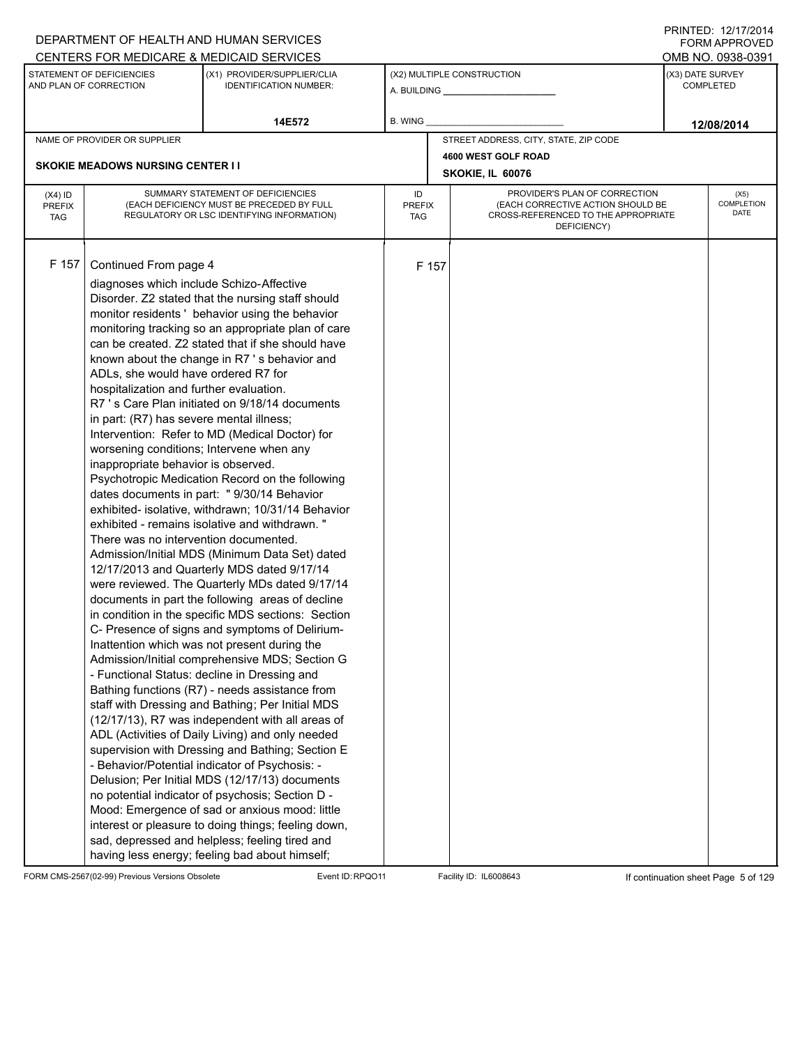|                                          |                                                                                                                                                                                                                                                                                                                             | DEPARTMENT OF HEALTH AND HUMAN SERVICES                                                                                                                                                                                                                                                                                                                                                                                                                                                                                                                                                                                                                                                                                                                                                                                                                                                                                                                                                                                                                                                                                                                                                                                                                                                                                                                                                                                                                                                                                                                                                                                                                                            |                            |       |                                                                                                                          |                  | $1 \times 1 \times 1 = 1$ . $1 \times 1 \times 1 = 1$<br>FORM APPROVED |
|------------------------------------------|-----------------------------------------------------------------------------------------------------------------------------------------------------------------------------------------------------------------------------------------------------------------------------------------------------------------------------|------------------------------------------------------------------------------------------------------------------------------------------------------------------------------------------------------------------------------------------------------------------------------------------------------------------------------------------------------------------------------------------------------------------------------------------------------------------------------------------------------------------------------------------------------------------------------------------------------------------------------------------------------------------------------------------------------------------------------------------------------------------------------------------------------------------------------------------------------------------------------------------------------------------------------------------------------------------------------------------------------------------------------------------------------------------------------------------------------------------------------------------------------------------------------------------------------------------------------------------------------------------------------------------------------------------------------------------------------------------------------------------------------------------------------------------------------------------------------------------------------------------------------------------------------------------------------------------------------------------------------------------------------------------------------------|----------------------------|-------|--------------------------------------------------------------------------------------------------------------------------|------------------|------------------------------------------------------------------------|
|                                          |                                                                                                                                                                                                                                                                                                                             | CENTERS FOR MEDICARE & MEDICAID SERVICES                                                                                                                                                                                                                                                                                                                                                                                                                                                                                                                                                                                                                                                                                                                                                                                                                                                                                                                                                                                                                                                                                                                                                                                                                                                                                                                                                                                                                                                                                                                                                                                                                                           |                            |       |                                                                                                                          |                  | OMB NO. 0938-0391                                                      |
|                                          | STATEMENT OF DEFICIENCIES<br>AND PLAN OF CORRECTION                                                                                                                                                                                                                                                                         | (X1) PROVIDER/SUPPLIER/CLIA<br><b>IDENTIFICATION NUMBER:</b>                                                                                                                                                                                                                                                                                                                                                                                                                                                                                                                                                                                                                                                                                                                                                                                                                                                                                                                                                                                                                                                                                                                                                                                                                                                                                                                                                                                                                                                                                                                                                                                                                       |                            |       | (X2) MULTIPLE CONSTRUCTION                                                                                               | (X3) DATE SURVEY | <b>COMPLETED</b>                                                       |
|                                          |                                                                                                                                                                                                                                                                                                                             | 14E572                                                                                                                                                                                                                                                                                                                                                                                                                                                                                                                                                                                                                                                                                                                                                                                                                                                                                                                                                                                                                                                                                                                                                                                                                                                                                                                                                                                                                                                                                                                                                                                                                                                                             | B. WING                    |       |                                                                                                                          |                  | 12/08/2014                                                             |
|                                          | NAME OF PROVIDER OR SUPPLIER                                                                                                                                                                                                                                                                                                |                                                                                                                                                                                                                                                                                                                                                                                                                                                                                                                                                                                                                                                                                                                                                                                                                                                                                                                                                                                                                                                                                                                                                                                                                                                                                                                                                                                                                                                                                                                                                                                                                                                                                    |                            |       | STREET ADDRESS, CITY, STATE, ZIP CODE                                                                                    |                  |                                                                        |
|                                          |                                                                                                                                                                                                                                                                                                                             |                                                                                                                                                                                                                                                                                                                                                                                                                                                                                                                                                                                                                                                                                                                                                                                                                                                                                                                                                                                                                                                                                                                                                                                                                                                                                                                                                                                                                                                                                                                                                                                                                                                                                    |                            |       | 4600 WEST GOLF ROAD                                                                                                      |                  |                                                                        |
|                                          | <b>SKOKIE MEADOWS NURSING CENTER I I</b>                                                                                                                                                                                                                                                                                    |                                                                                                                                                                                                                                                                                                                                                                                                                                                                                                                                                                                                                                                                                                                                                                                                                                                                                                                                                                                                                                                                                                                                                                                                                                                                                                                                                                                                                                                                                                                                                                                                                                                                                    |                            |       | SKOKIE, IL 60076                                                                                                         |                  |                                                                        |
| $(X4)$ ID<br><b>PREFIX</b><br><b>TAG</b> |                                                                                                                                                                                                                                                                                                                             | SUMMARY STATEMENT OF DEFICIENCIES<br>(EACH DEFICIENCY MUST BE PRECEDED BY FULL<br>REGULATORY OR LSC IDENTIFYING INFORMATION)                                                                                                                                                                                                                                                                                                                                                                                                                                                                                                                                                                                                                                                                                                                                                                                                                                                                                                                                                                                                                                                                                                                                                                                                                                                                                                                                                                                                                                                                                                                                                       | ID<br><b>PREFIX</b><br>TAG |       | PROVIDER'S PLAN OF CORRECTION<br>(EACH CORRECTIVE ACTION SHOULD BE<br>CROSS-REFERENCED TO THE APPROPRIATE<br>DEFICIENCY) |                  | (X5)<br>COMPLETION<br>DATE                                             |
| F 157                                    | Continued From page 4<br>diagnoses which include Schizo-Affective<br>ADLs, she would have ordered R7 for<br>hospitalization and further evaluation.<br>in part: (R7) has severe mental illness;<br>worsening conditions; Intervene when any<br>inappropriate behavior is observed.<br>There was no intervention documented. | Disorder. Z2 stated that the nursing staff should<br>monitor residents ' behavior using the behavior<br>monitoring tracking so an appropriate plan of care<br>can be created. Z2 stated that if she should have<br>known about the change in R7's behavior and<br>R7 's Care Plan initiated on 9/18/14 documents<br>Intervention: Refer to MD (Medical Doctor) for<br>Psychotropic Medication Record on the following<br>dates documents in part: " 9/30/14 Behavior<br>exhibited- isolative, withdrawn; 10/31/14 Behavior<br>exhibited - remains isolative and withdrawn."<br>Admission/Initial MDS (Minimum Data Set) dated<br>12/17/2013 and Quarterly MDS dated 9/17/14<br>were reviewed. The Quarterly MDs dated 9/17/14<br>documents in part the following areas of decline<br>in condition in the specific MDS sections: Section<br>C- Presence of signs and symptoms of Delirium-<br>Inattention which was not present during the<br>Admission/Initial comprehensive MDS; Section G<br>- Functional Status: decline in Dressing and<br>Bathing functions (R7) - needs assistance from<br>staff with Dressing and Bathing; Per Initial MDS<br>(12/17/13), R7 was independent with all areas of<br>ADL (Activities of Daily Living) and only needed<br>supervision with Dressing and Bathing; Section E<br>- Behavior/Potential indicator of Psychosis: -<br>Delusion; Per Initial MDS (12/17/13) documents<br>no potential indicator of psychosis; Section D -<br>Mood: Emergence of sad or anxious mood: little<br>interest or pleasure to doing things; feeling down,<br>sad, depressed and helpless; feeling tired and<br>having less energy; feeling bad about himself; |                            | F 157 |                                                                                                                          |                  |                                                                        |

FORM CMS-2567(02-99) Previous Versions Obsolete Event ID:RPQO11 Facility ID: IL6008643 If continuation sheet Page 5 of 129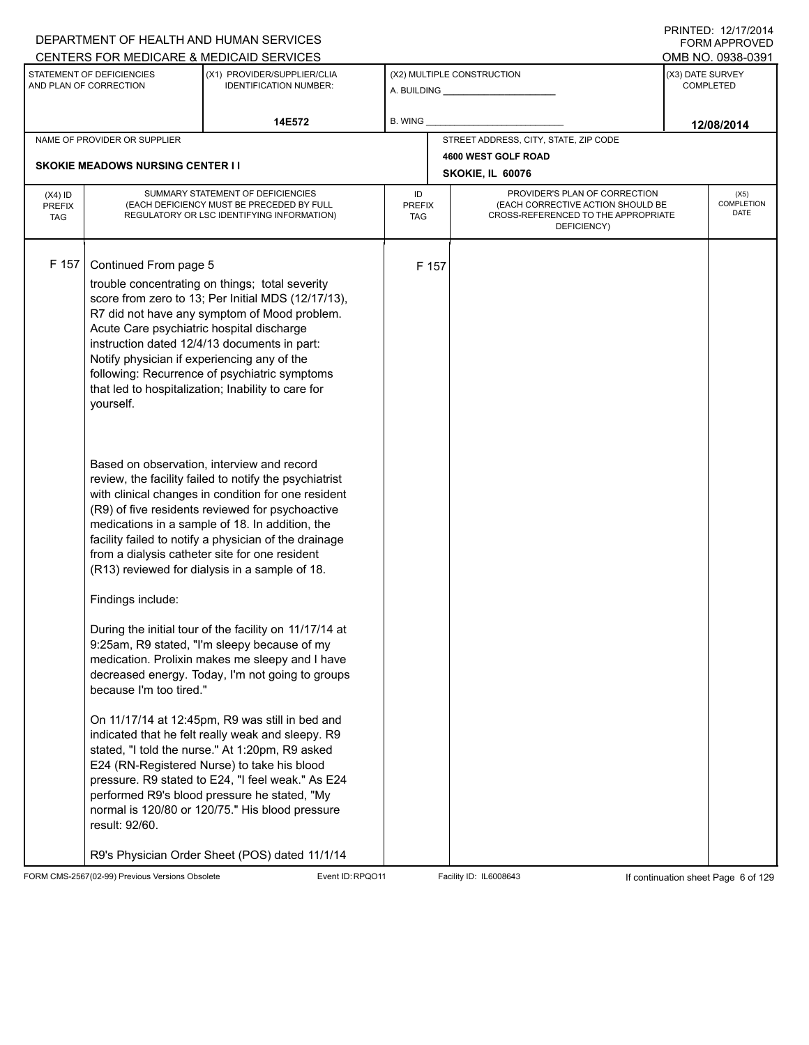|                                          |                                                                                                                                | DEPARTMENT OF HEALTH AND HUMAN SERVICES                                                                                                                                                                                                                                                                                                                                                                                                                                                                                                   |                            |       |                                                                                                                          |                  | <b>FORM APPROVED</b><br>OMB NO. 0938-0391 |
|------------------------------------------|--------------------------------------------------------------------------------------------------------------------------------|-------------------------------------------------------------------------------------------------------------------------------------------------------------------------------------------------------------------------------------------------------------------------------------------------------------------------------------------------------------------------------------------------------------------------------------------------------------------------------------------------------------------------------------------|----------------------------|-------|--------------------------------------------------------------------------------------------------------------------------|------------------|-------------------------------------------|
|                                          | STATEMENT OF DEFICIENCIES                                                                                                      | CENTERS FOR MEDICARE & MEDICAID SERVICES<br>(X1) PROVIDER/SUPPLIER/CLIA                                                                                                                                                                                                                                                                                                                                                                                                                                                                   |                            |       | (X2) MULTIPLE CONSTRUCTION                                                                                               | (X3) DATE SURVEY |                                           |
|                                          | AND PLAN OF CORRECTION                                                                                                         | <b>IDENTIFICATION NUMBER:</b>                                                                                                                                                                                                                                                                                                                                                                                                                                                                                                             |                            |       |                                                                                                                          |                  | <b>COMPLETED</b>                          |
|                                          |                                                                                                                                | 14E572                                                                                                                                                                                                                                                                                                                                                                                                                                                                                                                                    | B. WING                    |       |                                                                                                                          |                  | 12/08/2014                                |
|                                          | NAME OF PROVIDER OR SUPPLIER                                                                                                   |                                                                                                                                                                                                                                                                                                                                                                                                                                                                                                                                           |                            |       | STREET ADDRESS, CITY, STATE, ZIP CODE                                                                                    |                  |                                           |
|                                          | <b>SKOKIE MEADOWS NURSING CENTER I I</b>                                                                                       |                                                                                                                                                                                                                                                                                                                                                                                                                                                                                                                                           |                            |       | 4600 WEST GOLF ROAD<br>SKOKIE, IL 60076                                                                                  |                  |                                           |
| $(X4)$ ID<br><b>PREFIX</b><br><b>TAG</b> |                                                                                                                                | SUMMARY STATEMENT OF DEFICIENCIES<br>(EACH DEFICIENCY MUST BE PRECEDED BY FULL<br>REGULATORY OR LSC IDENTIFYING INFORMATION)                                                                                                                                                                                                                                                                                                                                                                                                              | ID<br><b>PREFIX</b><br>TAG |       | PROVIDER'S PLAN OF CORRECTION<br>(EACH CORRECTIVE ACTION SHOULD BE<br>CROSS-REFERENCED TO THE APPROPRIATE<br>DEFICIENCY) |                  | (X5)<br><b>COMPLETION</b><br>DATE         |
| F 157                                    | Continued From page 5<br>Acute Care psychiatric hospital discharge<br>Notify physician if experiencing any of the<br>yourself. | trouble concentrating on things; total severity<br>score from zero to 13; Per Initial MDS (12/17/13),<br>R7 did not have any symptom of Mood problem.<br>instruction dated 12/4/13 documents in part:<br>following: Recurrence of psychiatric symptoms<br>that led to hospitalization; Inability to care for                                                                                                                                                                                                                              |                            | F 157 |                                                                                                                          |                  |                                           |
|                                          | Findings include:                                                                                                              | Based on observation, interview and record<br>review, the facility failed to notify the psychiatrist<br>with clinical changes in condition for one resident<br>(R9) of five residents reviewed for psychoactive<br>medications in a sample of 18. In addition, the<br>facility failed to notify a physician of the drainage<br>from a dialysis catheter site for one resident<br>(R13) reviewed for dialysis in a sample of 18.<br>During the initial tour of the facility on 11/17/14 at<br>9:25am, R9 stated, "I'm sleepy because of my |                            |       |                                                                                                                          |                  |                                           |
|                                          | because I'm too tired."<br>result: 92/60.                                                                                      | medication. Prolixin makes me sleepy and I have<br>decreased energy. Today, I'm not going to groups<br>On 11/17/14 at 12:45pm, R9 was still in bed and<br>indicated that he felt really weak and sleepy. R9<br>stated, "I told the nurse." At 1:20pm, R9 asked<br>E24 (RN-Registered Nurse) to take his blood<br>pressure. R9 stated to E24, "I feel weak." As E24<br>performed R9's blood pressure he stated, "My<br>normal is 120/80 or 120/75." His blood pressure<br>R9's Physician Order Sheet (POS) dated 11/1/14                   |                            |       |                                                                                                                          |                  |                                           |

FORM CMS-2567(02-99) Previous Versions Obsolete Event ID:RPQO11 Facility ID: IL6008643 If continuation sheet Page 6 of 129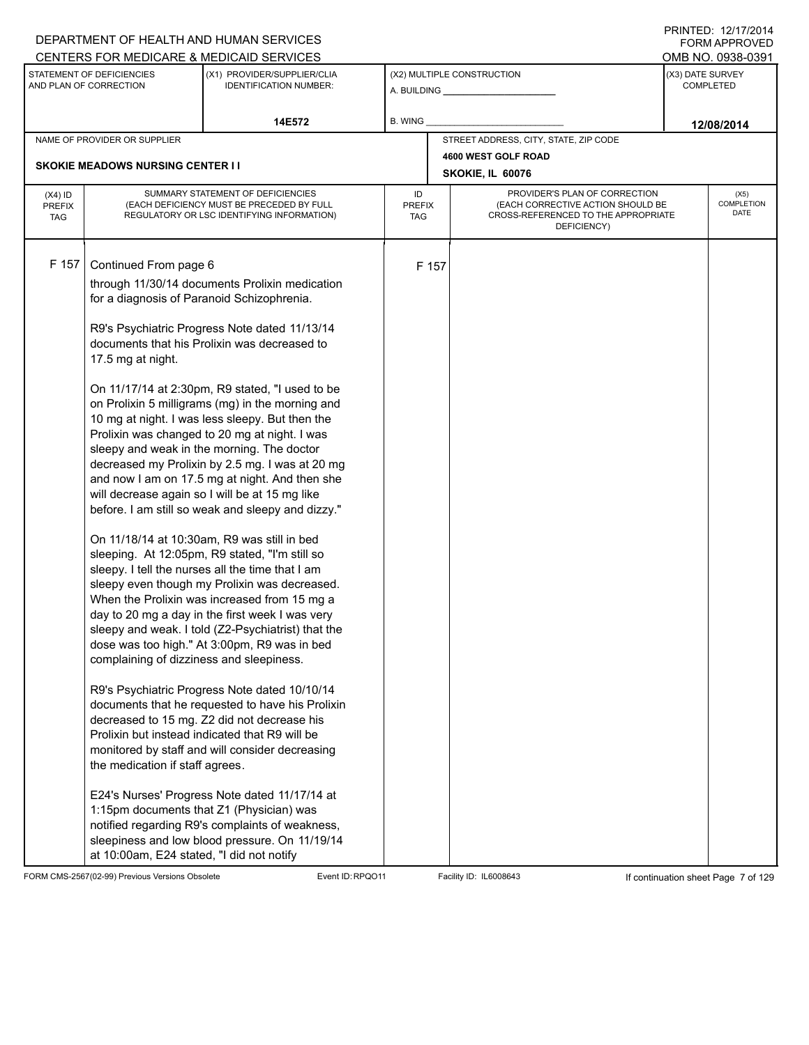|                                          |                                                                                                                                                                         | DEPARTMENT OF HEALTH AND HUMAN SERVICES                                                                                                                                                                                                                                                                                                                                                                                                                                                                                                                                                                                                                                                                                                                                                                                                                                                                                                                                                                                                                                                                                                                                                                                                                                                                                                                                                                                                      |                            |       |                                                                                                                          |                  | <b>FORM APPROVED</b>       |
|------------------------------------------|-------------------------------------------------------------------------------------------------------------------------------------------------------------------------|----------------------------------------------------------------------------------------------------------------------------------------------------------------------------------------------------------------------------------------------------------------------------------------------------------------------------------------------------------------------------------------------------------------------------------------------------------------------------------------------------------------------------------------------------------------------------------------------------------------------------------------------------------------------------------------------------------------------------------------------------------------------------------------------------------------------------------------------------------------------------------------------------------------------------------------------------------------------------------------------------------------------------------------------------------------------------------------------------------------------------------------------------------------------------------------------------------------------------------------------------------------------------------------------------------------------------------------------------------------------------------------------------------------------------------------------|----------------------------|-------|--------------------------------------------------------------------------------------------------------------------------|------------------|----------------------------|
|                                          | STATEMENT OF DEFICIENCIES                                                                                                                                               | CENTERS FOR MEDICARE & MEDICAID SERVICES<br>(X1) PROVIDER/SUPPLIER/CLIA                                                                                                                                                                                                                                                                                                                                                                                                                                                                                                                                                                                                                                                                                                                                                                                                                                                                                                                                                                                                                                                                                                                                                                                                                                                                                                                                                                      |                            |       | (X2) MULTIPLE CONSTRUCTION                                                                                               | (X3) DATE SURVEY | OMB NO. 0938-0391          |
|                                          | AND PLAN OF CORRECTION                                                                                                                                                  | <b>IDENTIFICATION NUMBER:</b>                                                                                                                                                                                                                                                                                                                                                                                                                                                                                                                                                                                                                                                                                                                                                                                                                                                                                                                                                                                                                                                                                                                                                                                                                                                                                                                                                                                                                |                            |       |                                                                                                                          |                  | <b>COMPLETED</b>           |
|                                          |                                                                                                                                                                         | 14E572                                                                                                                                                                                                                                                                                                                                                                                                                                                                                                                                                                                                                                                                                                                                                                                                                                                                                                                                                                                                                                                                                                                                                                                                                                                                                                                                                                                                                                       | B. WING                    |       |                                                                                                                          |                  | 12/08/2014                 |
|                                          | NAME OF PROVIDER OR SUPPLIER                                                                                                                                            |                                                                                                                                                                                                                                                                                                                                                                                                                                                                                                                                                                                                                                                                                                                                                                                                                                                                                                                                                                                                                                                                                                                                                                                                                                                                                                                                                                                                                                              |                            |       | STREET ADDRESS, CITY, STATE, ZIP CODE                                                                                    |                  |                            |
|                                          | <b>SKOKIE MEADOWS NURSING CENTER II</b>                                                                                                                                 |                                                                                                                                                                                                                                                                                                                                                                                                                                                                                                                                                                                                                                                                                                                                                                                                                                                                                                                                                                                                                                                                                                                                                                                                                                                                                                                                                                                                                                              |                            |       | 4600 WEST GOLF ROAD                                                                                                      |                  |                            |
|                                          |                                                                                                                                                                         |                                                                                                                                                                                                                                                                                                                                                                                                                                                                                                                                                                                                                                                                                                                                                                                                                                                                                                                                                                                                                                                                                                                                                                                                                                                                                                                                                                                                                                              |                            |       | SKOKIE, IL 60076                                                                                                         |                  |                            |
| $(X4)$ ID<br><b>PREFIX</b><br><b>TAG</b> |                                                                                                                                                                         | SUMMARY STATEMENT OF DEFICIENCIES<br>(EACH DEFICIENCY MUST BE PRECEDED BY FULL<br>REGULATORY OR LSC IDENTIFYING INFORMATION)                                                                                                                                                                                                                                                                                                                                                                                                                                                                                                                                                                                                                                                                                                                                                                                                                                                                                                                                                                                                                                                                                                                                                                                                                                                                                                                 | ID<br><b>PREFIX</b><br>TAG |       | PROVIDER'S PLAN OF CORRECTION<br>(EACH CORRECTIVE ACTION SHOULD BE<br>CROSS-REFERENCED TO THE APPROPRIATE<br>DEFICIENCY) |                  | (X5)<br>COMPLETION<br>DATE |
| F 157                                    | Continued From page 6<br>for a diagnosis of Paranoid Schizophrenia.<br>17.5 mg at night.<br>complaining of dizziness and sleepiness.<br>the medication if staff agrees. | through 11/30/14 documents Prolixin medication<br>R9's Psychiatric Progress Note dated 11/13/14<br>documents that his Prolixin was decreased to<br>On 11/17/14 at 2:30pm, R9 stated, "I used to be<br>on Prolixin 5 milligrams (mg) in the morning and<br>10 mg at night. I was less sleepy. But then the<br>Prolixin was changed to 20 mg at night. I was<br>sleepy and weak in the morning. The doctor<br>decreased my Prolixin by 2.5 mg. I was at 20 mg<br>and now I am on 17.5 mg at night. And then she<br>will decrease again so I will be at 15 mg like<br>before. I am still so weak and sleepy and dizzy."<br>On 11/18/14 at 10:30am, R9 was still in bed<br>sleeping. At 12:05pm, R9 stated, "I'm still so<br>sleepy. I tell the nurses all the time that I am<br>sleepy even though my Prolixin was decreased.<br>When the Prolixin was increased from 15 mg a<br>day to 20 mg a day in the first week I was very<br>sleepy and weak. I told (Z2-Psychiatrist) that the<br>dose was too high." At 3:00pm, R9 was in bed<br>R9's Psychiatric Progress Note dated 10/10/14<br>documents that he requested to have his Prolixin<br>decreased to 15 mg. Z2 did not decrease his<br>Prolixin but instead indicated that R9 will be<br>monitored by staff and will consider decreasing<br>E24's Nurses' Progress Note dated 11/17/14 at<br>1:15pm documents that Z1 (Physician) was<br>notified regarding R9's complaints of weakness, |                            | F 157 |                                                                                                                          |                  |                            |
|                                          | at 10:00am, E24 stated, "I did not notify                                                                                                                               | sleepiness and low blood pressure. On 11/19/14                                                                                                                                                                                                                                                                                                                                                                                                                                                                                                                                                                                                                                                                                                                                                                                                                                                                                                                                                                                                                                                                                                                                                                                                                                                                                                                                                                                               |                            |       |                                                                                                                          |                  |                            |

FORM CMS-2567(02-99) Previous Versions Obsolete Event ID:RPQO11 Facility ID: IL6008643 If continuation sheet Page 7 of 129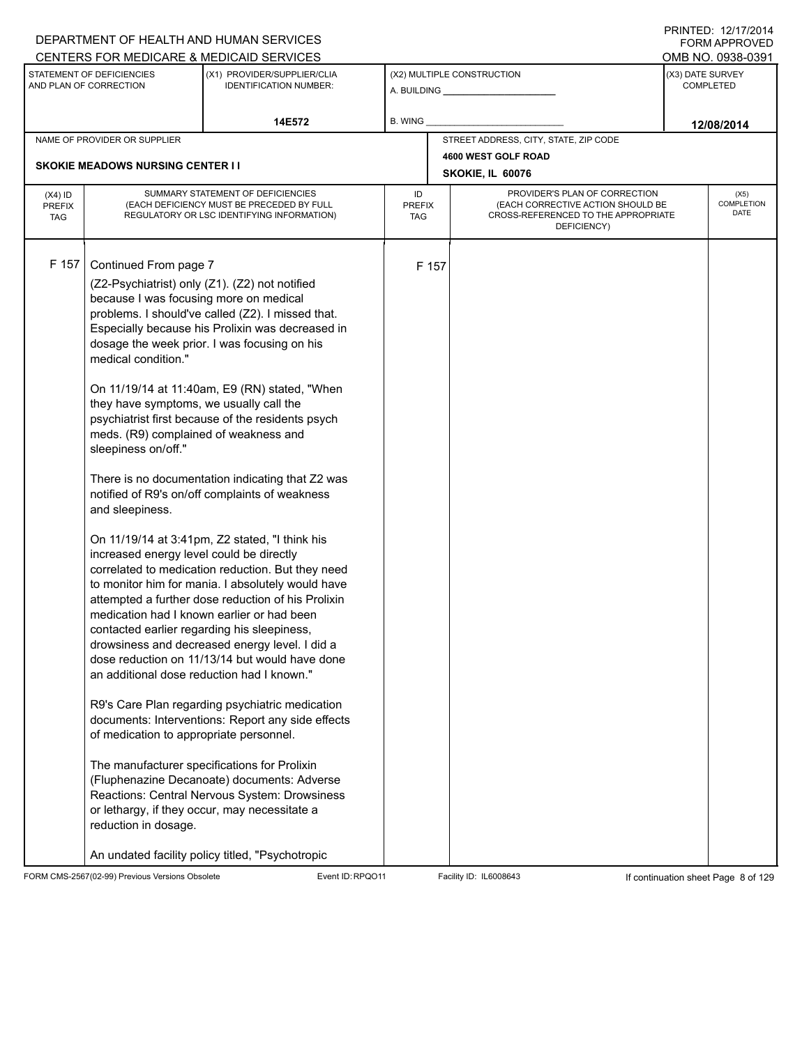| DEPARTMENT OF HEALTH AND HUMAN SERVICES                                                                                                                                                                                                                                                                                                                                                                                                                                                                                                                                                                                                    |                                                                                                                                                                                                                                                                                                                                                                                                                                                                                                                                                                                                                                                                                                                                                                                                                                                                                                                                                     |                            |       |                                                                                                                          |                  | 11111 LD. 14/11/4917<br>FORM APPROVED |
|--------------------------------------------------------------------------------------------------------------------------------------------------------------------------------------------------------------------------------------------------------------------------------------------------------------------------------------------------------------------------------------------------------------------------------------------------------------------------------------------------------------------------------------------------------------------------------------------------------------------------------------------|-----------------------------------------------------------------------------------------------------------------------------------------------------------------------------------------------------------------------------------------------------------------------------------------------------------------------------------------------------------------------------------------------------------------------------------------------------------------------------------------------------------------------------------------------------------------------------------------------------------------------------------------------------------------------------------------------------------------------------------------------------------------------------------------------------------------------------------------------------------------------------------------------------------------------------------------------------|----------------------------|-------|--------------------------------------------------------------------------------------------------------------------------|------------------|---------------------------------------|
| CENTERS FOR MEDICARE & MEDICAID SERVICES<br>STATEMENT OF DEFICIENCIES                                                                                                                                                                                                                                                                                                                                                                                                                                                                                                                                                                      | (X1) PROVIDER/SUPPLIER/CLIA                                                                                                                                                                                                                                                                                                                                                                                                                                                                                                                                                                                                                                                                                                                                                                                                                                                                                                                         |                            |       | (X2) MULTIPLE CONSTRUCTION                                                                                               | (X3) DATE SURVEY | OMB NO. 0938-0391                     |
| AND PLAN OF CORRECTION                                                                                                                                                                                                                                                                                                                                                                                                                                                                                                                                                                                                                     | <b>IDENTIFICATION NUMBER:</b>                                                                                                                                                                                                                                                                                                                                                                                                                                                                                                                                                                                                                                                                                                                                                                                                                                                                                                                       |                            |       | A. BUILDING A. BUILDING                                                                                                  |                  | <b>COMPLETED</b>                      |
|                                                                                                                                                                                                                                                                                                                                                                                                                                                                                                                                                                                                                                            | 14E572                                                                                                                                                                                                                                                                                                                                                                                                                                                                                                                                                                                                                                                                                                                                                                                                                                                                                                                                              | B. WING                    |       |                                                                                                                          |                  | 12/08/2014                            |
| NAME OF PROVIDER OR SUPPLIER                                                                                                                                                                                                                                                                                                                                                                                                                                                                                                                                                                                                               |                                                                                                                                                                                                                                                                                                                                                                                                                                                                                                                                                                                                                                                                                                                                                                                                                                                                                                                                                     |                            |       | STREET ADDRESS, CITY, STATE, ZIP CODE                                                                                    |                  |                                       |
| <b>SKOKIE MEADOWS NURSING CENTER II</b>                                                                                                                                                                                                                                                                                                                                                                                                                                                                                                                                                                                                    |                                                                                                                                                                                                                                                                                                                                                                                                                                                                                                                                                                                                                                                                                                                                                                                                                                                                                                                                                     |                            |       | 4600 WEST GOLF ROAD                                                                                                      |                  |                                       |
|                                                                                                                                                                                                                                                                                                                                                                                                                                                                                                                                                                                                                                            |                                                                                                                                                                                                                                                                                                                                                                                                                                                                                                                                                                                                                                                                                                                                                                                                                                                                                                                                                     |                            |       | SKOKIE, IL 60076                                                                                                         |                  |                                       |
| $(X4)$ ID<br><b>PREFIX</b><br><b>TAG</b>                                                                                                                                                                                                                                                                                                                                                                                                                                                                                                                                                                                                   | SUMMARY STATEMENT OF DEFICIENCIES<br>(EACH DEFICIENCY MUST BE PRECEDED BY FULL<br>REGULATORY OR LSC IDENTIFYING INFORMATION)                                                                                                                                                                                                                                                                                                                                                                                                                                                                                                                                                                                                                                                                                                                                                                                                                        | ID<br><b>PREFIX</b><br>TAG |       | PROVIDER'S PLAN OF CORRECTION<br>(EACH CORRECTIVE ACTION SHOULD BE<br>CROSS-REFERENCED TO THE APPROPRIATE<br>DEFICIENCY) |                  | (X5)<br>COMPLETION<br><b>DATE</b>     |
| F 157<br>Continued From page 7<br>(Z2-Psychiatrist) only (Z1). (Z2) not notified<br>because I was focusing more on medical<br>medical condition."<br>they have symptoms, we usually call the<br>meds. (R9) complained of weakness and<br>sleepiness on/off."<br>and sleepiness.<br>increased energy level could be directly<br>medication had I known earlier or had been<br>contacted earlier regarding his sleepiness,<br>an additional dose reduction had I known."<br>of medication to appropriate personnel.<br>The manufacturer specifications for Prolixin<br>or lethargy, if they occur, may necessitate a<br>reduction in dosage. | problems. I should've called (Z2). I missed that.<br>Especially because his Prolixin was decreased in<br>dosage the week prior. I was focusing on his<br>On 11/19/14 at 11:40am, E9 (RN) stated, "When<br>psychiatrist first because of the residents psych<br>There is no documentation indicating that Z2 was<br>notified of R9's on/off complaints of weakness<br>On 11/19/14 at 3:41pm, Z2 stated, "I think his<br>correlated to medication reduction. But they need<br>to monitor him for mania. I absolutely would have<br>attempted a further dose reduction of his Prolixin<br>drowsiness and decreased energy level. I did a<br>dose reduction on 11/13/14 but would have done<br>R9's Care Plan regarding psychiatric medication<br>documents: Interventions: Report any side effects<br>(Fluphenazine Decanoate) documents: Adverse<br>Reactions: Central Nervous System: Drowsiness<br>An undated facility policy titled, "Psychotropic |                            | F 157 |                                                                                                                          |                  |                                       |

FORM CMS-2567(02-99) Previous Versions Obsolete Event ID:RPQO11 Facility ID: IL6008643 If continuation sheet Page 8 of 129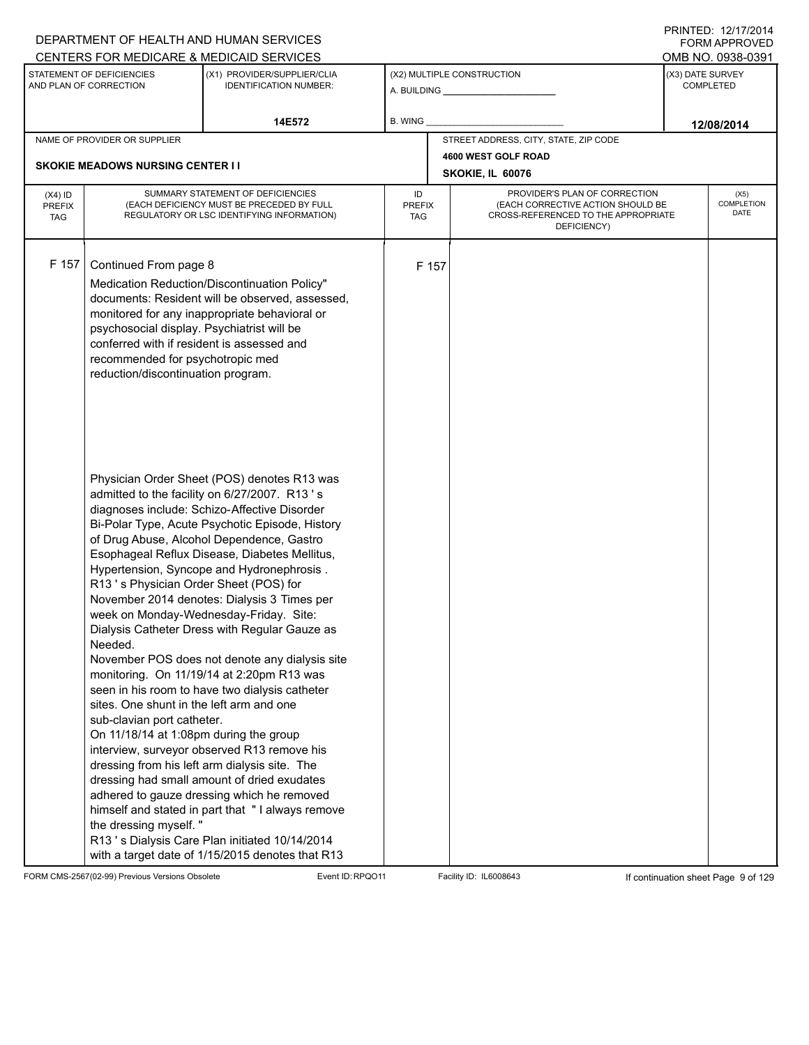|                                          |                                                                                                                                                                                               | DEPARTMENT OF HEALTH AND HUMAN SERVICES                                                                                                                                                                                                                                                                                                                                                                                                                                                                                                                                                                                                                                                                                                                                                                                                                                                                                                                                                    |                            |       |                                                                                                                          | FORM APPROVED                        |
|------------------------------------------|-----------------------------------------------------------------------------------------------------------------------------------------------------------------------------------------------|--------------------------------------------------------------------------------------------------------------------------------------------------------------------------------------------------------------------------------------------------------------------------------------------------------------------------------------------------------------------------------------------------------------------------------------------------------------------------------------------------------------------------------------------------------------------------------------------------------------------------------------------------------------------------------------------------------------------------------------------------------------------------------------------------------------------------------------------------------------------------------------------------------------------------------------------------------------------------------------------|----------------------------|-------|--------------------------------------------------------------------------------------------------------------------------|--------------------------------------|
|                                          |                                                                                                                                                                                               | CENTERS FOR MEDICARE & MEDICAID SERVICES                                                                                                                                                                                                                                                                                                                                                                                                                                                                                                                                                                                                                                                                                                                                                                                                                                                                                                                                                   |                            |       |                                                                                                                          | OMB NO. 0938-0391                    |
|                                          | STATEMENT OF DEFICIENCIES<br>AND PLAN OF CORRECTION                                                                                                                                           | (X1) PROVIDER/SUPPLIER/CLIA<br><b>IDENTIFICATION NUMBER:</b>                                                                                                                                                                                                                                                                                                                                                                                                                                                                                                                                                                                                                                                                                                                                                                                                                                                                                                                               |                            |       | (X2) MULTIPLE CONSTRUCTION                                                                                               | (X3) DATE SURVEY<br><b>COMPLETED</b> |
|                                          |                                                                                                                                                                                               | 14E572                                                                                                                                                                                                                                                                                                                                                                                                                                                                                                                                                                                                                                                                                                                                                                                                                                                                                                                                                                                     | B. WING                    |       |                                                                                                                          | 12/08/2014                           |
|                                          | NAME OF PROVIDER OR SUPPLIER                                                                                                                                                                  |                                                                                                                                                                                                                                                                                                                                                                                                                                                                                                                                                                                                                                                                                                                                                                                                                                                                                                                                                                                            |                            |       | STREET ADDRESS, CITY, STATE, ZIP CODE                                                                                    |                                      |
|                                          |                                                                                                                                                                                               |                                                                                                                                                                                                                                                                                                                                                                                                                                                                                                                                                                                                                                                                                                                                                                                                                                                                                                                                                                                            |                            |       | 4600 WEST GOLF ROAD                                                                                                      |                                      |
|                                          | <b>SKOKIE MEADOWS NURSING CENTER I I</b>                                                                                                                                                      |                                                                                                                                                                                                                                                                                                                                                                                                                                                                                                                                                                                                                                                                                                                                                                                                                                                                                                                                                                                            |                            |       | SKOKIE, IL 60076                                                                                                         |                                      |
| $(X4)$ ID<br><b>PREFIX</b><br><b>TAG</b> |                                                                                                                                                                                               | SUMMARY STATEMENT OF DEFICIENCIES<br>(EACH DEFICIENCY MUST BE PRECEDED BY FULL<br>REGULATORY OR LSC IDENTIFYING INFORMATION)                                                                                                                                                                                                                                                                                                                                                                                                                                                                                                                                                                                                                                                                                                                                                                                                                                                               | ID<br><b>PREFIX</b><br>TAG |       | PROVIDER'S PLAN OF CORRECTION<br>(EACH CORRECTIVE ACTION SHOULD BE<br>CROSS-REFERENCED TO THE APPROPRIATE<br>DEFICIENCY) | (X5)<br>COMPLETION<br>DATE           |
| F 157                                    | Continued From page 8<br>psychosocial display. Psychiatrist will be<br>conferred with if resident is assessed and<br>recommended for psychotropic med<br>reduction/discontinuation program.   | Medication Reduction/Discontinuation Policy"<br>documents: Resident will be observed, assessed,<br>monitored for any inappropriate behavioral or                                                                                                                                                                                                                                                                                                                                                                                                                                                                                                                                                                                                                                                                                                                                                                                                                                           |                            | F 157 |                                                                                                                          |                                      |
|                                          | R13's Physician Order Sheet (POS) for<br>Needed.<br>sites. One shunt in the left arm and one<br>sub-clavian port catheter.<br>On 11/18/14 at 1:08pm during the group<br>the dressing myself." | Physician Order Sheet (POS) denotes R13 was<br>admitted to the facility on 6/27/2007. R13's<br>diagnoses include: Schizo-Affective Disorder<br>Bi-Polar Type, Acute Psychotic Episode, History<br>of Drug Abuse, Alcohol Dependence, Gastro<br>Esophageal Reflux Disease, Diabetes Mellitus,<br>Hypertension, Syncope and Hydronephrosis.<br>November 2014 denotes: Dialysis 3 Times per<br>week on Monday-Wednesday-Friday. Site:<br>Dialysis Catheter Dress with Regular Gauze as<br>November POS does not denote any dialysis site<br>monitoring. On 11/19/14 at 2:20pm R13 was<br>seen in his room to have two dialysis catheter<br>interview, surveyor observed R13 remove his<br>dressing from his left arm dialysis site. The<br>dressing had small amount of dried exudates<br>adhered to gauze dressing which he removed<br>himself and stated in part that "I always remove<br>R13's Dialysis Care Plan initiated 10/14/2014<br>with a target date of 1/15/2015 denotes that R13 |                            |       |                                                                                                                          |                                      |

FORM CMS-2567(02-99) Previous Versions Obsolete Event ID:RPQO11 Facility ID: IL6008643 If continuation sheet Page 9 of 129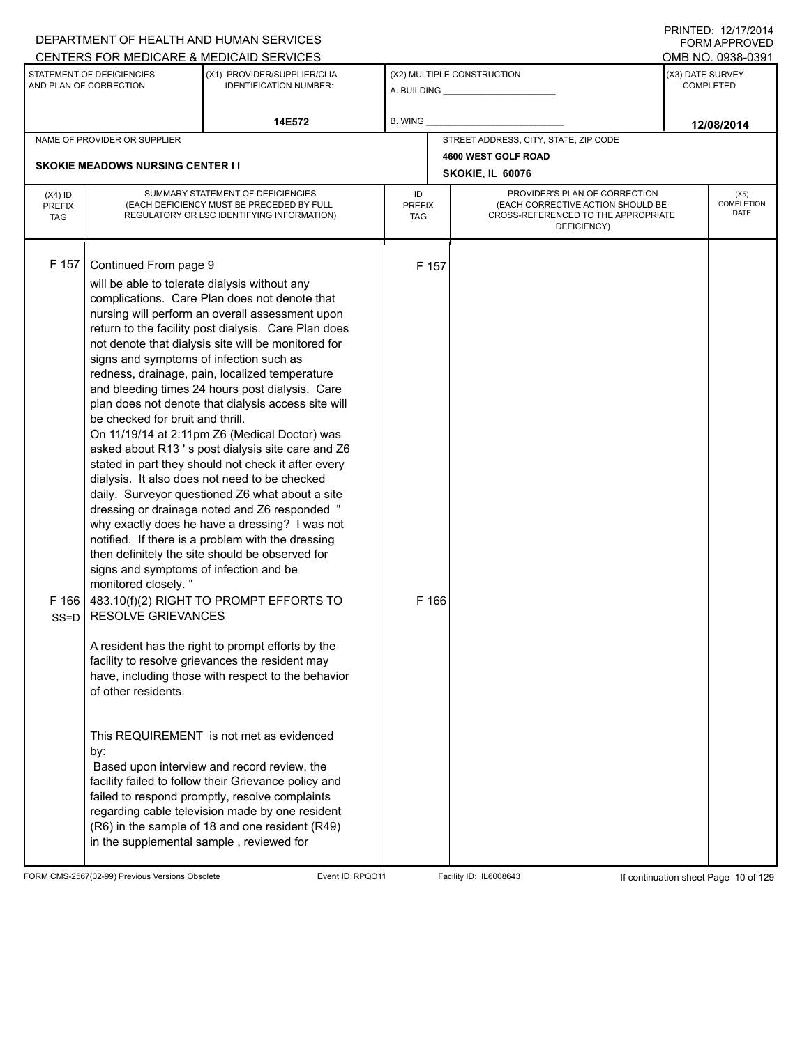|                                   |                                                                                                                                                                                                                                                                                                                               | DEPARTMENT OF HEALTH AND HUMAN SERVICES                                                                                                                                                                                                                                                                                                                                                                                                                                                                                                                                                                                                                                                                                                                                                                                                                                                                                                                                                                                                                                                                                                                                                                                                                                                                                                                                    |                                   |                |                                                                                                                          |                  | FORM APPROVED                     |
|-----------------------------------|-------------------------------------------------------------------------------------------------------------------------------------------------------------------------------------------------------------------------------------------------------------------------------------------------------------------------------|----------------------------------------------------------------------------------------------------------------------------------------------------------------------------------------------------------------------------------------------------------------------------------------------------------------------------------------------------------------------------------------------------------------------------------------------------------------------------------------------------------------------------------------------------------------------------------------------------------------------------------------------------------------------------------------------------------------------------------------------------------------------------------------------------------------------------------------------------------------------------------------------------------------------------------------------------------------------------------------------------------------------------------------------------------------------------------------------------------------------------------------------------------------------------------------------------------------------------------------------------------------------------------------------------------------------------------------------------------------------------|-----------------------------------|----------------|--------------------------------------------------------------------------------------------------------------------------|------------------|-----------------------------------|
|                                   |                                                                                                                                                                                                                                                                                                                               | CENTERS FOR MEDICARE & MEDICAID SERVICES                                                                                                                                                                                                                                                                                                                                                                                                                                                                                                                                                                                                                                                                                                                                                                                                                                                                                                                                                                                                                                                                                                                                                                                                                                                                                                                                   |                                   |                |                                                                                                                          |                  | OMB NO. 0938-0391                 |
|                                   | STATEMENT OF DEFICIENCIES<br>AND PLAN OF CORRECTION                                                                                                                                                                                                                                                                           | (X1) PROVIDER/SUPPLIER/CLIA<br><b>IDENTIFICATION NUMBER:</b>                                                                                                                                                                                                                                                                                                                                                                                                                                                                                                                                                                                                                                                                                                                                                                                                                                                                                                                                                                                                                                                                                                                                                                                                                                                                                                               |                                   |                | (X2) MULTIPLE CONSTRUCTION                                                                                               | (X3) DATE SURVEY | <b>COMPLETED</b>                  |
|                                   |                                                                                                                                                                                                                                                                                                                               | 14E572                                                                                                                                                                                                                                                                                                                                                                                                                                                                                                                                                                                                                                                                                                                                                                                                                                                                                                                                                                                                                                                                                                                                                                                                                                                                                                                                                                     | B. WING                           |                |                                                                                                                          |                  | 12/08/2014                        |
|                                   | NAME OF PROVIDER OR SUPPLIER                                                                                                                                                                                                                                                                                                  |                                                                                                                                                                                                                                                                                                                                                                                                                                                                                                                                                                                                                                                                                                                                                                                                                                                                                                                                                                                                                                                                                                                                                                                                                                                                                                                                                                            |                                   |                | STREET ADDRESS, CITY, STATE, ZIP CODE                                                                                    |                  |                                   |
|                                   | <b>SKOKIE MEADOWS NURSING CENTER II</b>                                                                                                                                                                                                                                                                                       |                                                                                                                                                                                                                                                                                                                                                                                                                                                                                                                                                                                                                                                                                                                                                                                                                                                                                                                                                                                                                                                                                                                                                                                                                                                                                                                                                                            |                                   |                | 4600 WEST GOLF ROAD                                                                                                      |                  |                                   |
|                                   |                                                                                                                                                                                                                                                                                                                               |                                                                                                                                                                                                                                                                                                                                                                                                                                                                                                                                                                                                                                                                                                                                                                                                                                                                                                                                                                                                                                                                                                                                                                                                                                                                                                                                                                            |                                   |                | SKOKIE, IL 60076                                                                                                         |                  |                                   |
| $(X4)$ ID<br>PREFIX<br><b>TAG</b> |                                                                                                                                                                                                                                                                                                                               | SUMMARY STATEMENT OF DEFICIENCIES<br>(EACH DEFICIENCY MUST BE PRECEDED BY FULL<br>REGULATORY OR LSC IDENTIFYING INFORMATION)                                                                                                                                                                                                                                                                                                                                                                                                                                                                                                                                                                                                                                                                                                                                                                                                                                                                                                                                                                                                                                                                                                                                                                                                                                               | ID<br><b>PREFIX</b><br><b>TAG</b> |                | PROVIDER'S PLAN OF CORRECTION<br>(EACH CORRECTIVE ACTION SHOULD BE<br>CROSS-REFERENCED TO THE APPROPRIATE<br>DEFICIENCY) |                  | (X5)<br>COMPLETION<br><b>DATE</b> |
| F 157<br>F 166<br>$SS = D$        | Continued From page 9<br>will be able to tolerate dialysis without any<br>signs and symptoms of infection such as<br>be checked for bruit and thrill.<br>signs and symptoms of infection and be<br>monitored closely."<br><b>RESOLVE GRIEVANCES</b><br>of other residents.<br>by:<br>in the supplemental sample, reviewed for | complications. Care Plan does not denote that<br>nursing will perform an overall assessment upon<br>return to the facility post dialysis. Care Plan does<br>not denote that dialysis site will be monitored for<br>redness, drainage, pain, localized temperature<br>and bleeding times 24 hours post dialysis. Care<br>plan does not denote that dialysis access site will<br>On 11/19/14 at 2:11pm Z6 (Medical Doctor) was<br>asked about R13's post dialysis site care and Z6<br>stated in part they should not check it after every<br>dialysis. It also does not need to be checked<br>daily. Surveyor questioned Z6 what about a site<br>dressing or drainage noted and Z6 responded "<br>why exactly does he have a dressing? I was not<br>notified. If there is a problem with the dressing<br>then definitely the site should be observed for<br>483.10(f)(2) RIGHT TO PROMPT EFFORTS TO<br>A resident has the right to prompt efforts by the<br>facility to resolve grievances the resident may<br>have, including those with respect to the behavior<br>This REQUIREMENT is not met as evidenced<br>Based upon interview and record review, the<br>facility failed to follow their Grievance policy and<br>failed to respond promptly, resolve complaints<br>regarding cable television made by one resident<br>(R6) in the sample of 18 and one resident (R49) |                                   | F 157<br>F 166 |                                                                                                                          |                  |                                   |

FORM CMS-2567(02-99) Previous Versions Obsolete Event ID:RPQO11 Facility ID: IL6008643 If continuation sheet Page 10 of 129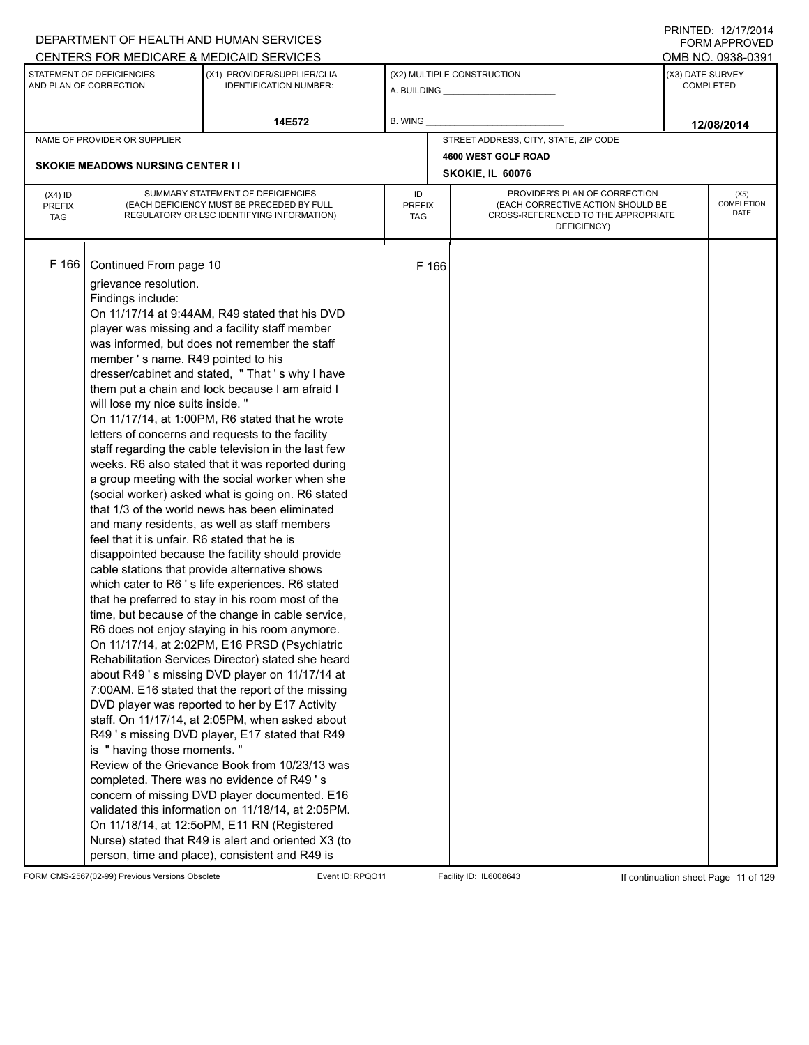|                                          |                                                                                                                                                                                                                               | DEPARTMENT OF HEALTH AND HUMAN SERVICES                                                                                                                                                                                                                                                                                                                                                                                                                                                                                                                                                                                                                                                                                                                                                                                                                                                                                                                                                                                                                                                                                                                                                                                                                                                                                                                                                                                                                                                                                                                                                                                                                                                                                                      |                                   |                  |                                                                                                                          |                  | INITILD. 14/11/4917<br><b>FORM APPROVED</b> |  |
|------------------------------------------|-------------------------------------------------------------------------------------------------------------------------------------------------------------------------------------------------------------------------------|----------------------------------------------------------------------------------------------------------------------------------------------------------------------------------------------------------------------------------------------------------------------------------------------------------------------------------------------------------------------------------------------------------------------------------------------------------------------------------------------------------------------------------------------------------------------------------------------------------------------------------------------------------------------------------------------------------------------------------------------------------------------------------------------------------------------------------------------------------------------------------------------------------------------------------------------------------------------------------------------------------------------------------------------------------------------------------------------------------------------------------------------------------------------------------------------------------------------------------------------------------------------------------------------------------------------------------------------------------------------------------------------------------------------------------------------------------------------------------------------------------------------------------------------------------------------------------------------------------------------------------------------------------------------------------------------------------------------------------------------|-----------------------------------|------------------|--------------------------------------------------------------------------------------------------------------------------|------------------|---------------------------------------------|--|
|                                          |                                                                                                                                                                                                                               | CENTERS FOR MEDICARE & MEDICAID SERVICES                                                                                                                                                                                                                                                                                                                                                                                                                                                                                                                                                                                                                                                                                                                                                                                                                                                                                                                                                                                                                                                                                                                                                                                                                                                                                                                                                                                                                                                                                                                                                                                                                                                                                                     |                                   |                  |                                                                                                                          |                  | OMB NO. 0938-0391                           |  |
|                                          | STATEMENT OF DEFICIENCIES<br>AND PLAN OF CORRECTION                                                                                                                                                                           | (X1) PROVIDER/SUPPLIER/CLIA<br><b>IDENTIFICATION NUMBER:</b>                                                                                                                                                                                                                                                                                                                                                                                                                                                                                                                                                                                                                                                                                                                                                                                                                                                                                                                                                                                                                                                                                                                                                                                                                                                                                                                                                                                                                                                                                                                                                                                                                                                                                 |                                   |                  | (X2) MULTIPLE CONSTRUCTION                                                                                               | (X3) DATE SURVEY | <b>COMPLETED</b>                            |  |
|                                          |                                                                                                                                                                                                                               | 14E572                                                                                                                                                                                                                                                                                                                                                                                                                                                                                                                                                                                                                                                                                                                                                                                                                                                                                                                                                                                                                                                                                                                                                                                                                                                                                                                                                                                                                                                                                                                                                                                                                                                                                                                                       | B. WING                           |                  |                                                                                                                          |                  | 12/08/2014                                  |  |
|                                          | NAME OF PROVIDER OR SUPPLIER                                                                                                                                                                                                  |                                                                                                                                                                                                                                                                                                                                                                                                                                                                                                                                                                                                                                                                                                                                                                                                                                                                                                                                                                                                                                                                                                                                                                                                                                                                                                                                                                                                                                                                                                                                                                                                                                                                                                                                              |                                   |                  | STREET ADDRESS, CITY, STATE, ZIP CODE                                                                                    |                  |                                             |  |
|                                          |                                                                                                                                                                                                                               |                                                                                                                                                                                                                                                                                                                                                                                                                                                                                                                                                                                                                                                                                                                                                                                                                                                                                                                                                                                                                                                                                                                                                                                                                                                                                                                                                                                                                                                                                                                                                                                                                                                                                                                                              |                                   |                  | 4600 WEST GOLF ROAD                                                                                                      |                  |                                             |  |
|                                          | <b>SKOKIE MEADOWS NURSING CENTER II</b>                                                                                                                                                                                       |                                                                                                                                                                                                                                                                                                                                                                                                                                                                                                                                                                                                                                                                                                                                                                                                                                                                                                                                                                                                                                                                                                                                                                                                                                                                                                                                                                                                                                                                                                                                                                                                                                                                                                                                              |                                   | SKOKIE, IL 60076 |                                                                                                                          |                  |                                             |  |
| $(X4)$ ID<br><b>PREFIX</b><br><b>TAG</b> |                                                                                                                                                                                                                               | SUMMARY STATEMENT OF DEFICIENCIES<br>(EACH DEFICIENCY MUST BE PRECEDED BY FULL<br>REGULATORY OR LSC IDENTIFYING INFORMATION)                                                                                                                                                                                                                                                                                                                                                                                                                                                                                                                                                                                                                                                                                                                                                                                                                                                                                                                                                                                                                                                                                                                                                                                                                                                                                                                                                                                                                                                                                                                                                                                                                 | ID<br><b>PREFIX</b><br><b>TAG</b> |                  | PROVIDER'S PLAN OF CORRECTION<br>(EACH CORRECTIVE ACTION SHOULD BE<br>CROSS-REFERENCED TO THE APPROPRIATE<br>DEFICIENCY) |                  | (X5)<br>COMPLETION<br>DATE                  |  |
| F 166                                    | Continued From page 10<br>grievance resolution.<br>Findings include:<br>member's name. R49 pointed to his<br>will lose my nice suits inside. "<br>feel that it is unfair. R6 stated that he is<br>is " having those moments." | On 11/17/14 at 9:44AM, R49 stated that his DVD<br>player was missing and a facility staff member<br>was informed, but does not remember the staff<br>dresser/cabinet and stated, "That's why I have<br>them put a chain and lock because I am afraid I<br>On 11/17/14, at 1:00PM, R6 stated that he wrote<br>letters of concerns and requests to the facility<br>staff regarding the cable television in the last few<br>weeks. R6 also stated that it was reported during<br>a group meeting with the social worker when she<br>(social worker) asked what is going on. R6 stated<br>that 1/3 of the world news has been eliminated<br>and many residents, as well as staff members<br>disappointed because the facility should provide<br>cable stations that provide alternative shows<br>which cater to R6 's life experiences. R6 stated<br>that he preferred to stay in his room most of the<br>time, but because of the change in cable service,<br>R6 does not enjoy staying in his room anymore.<br>On 11/17/14, at 2:02PM, E16 PRSD (Psychiatric<br>Rehabilitation Services Director) stated she heard<br>about R49 's missing DVD player on 11/17/14 at<br>7:00AM. E16 stated that the report of the missing<br>DVD player was reported to her by E17 Activity<br>staff. On 11/17/14, at 2:05PM, when asked about<br>R49 's missing DVD player, E17 stated that R49<br>Review of the Grievance Book from 10/23/13 was<br>completed. There was no evidence of R49's<br>concern of missing DVD player documented. E16<br>validated this information on 11/18/14, at 2:05PM.<br>On 11/18/14, at 12:50PM, E11 RN (Registered<br>Nurse) stated that R49 is alert and oriented X3 (to<br>person, time and place), consistent and R49 is | F 166                             |                  |                                                                                                                          |                  |                                             |  |

FORM CMS-2567(02-99) Previous Versions Obsolete Event ID:RPQO11 Facility ID: IL6008643 If continuation sheet Page 11 of 129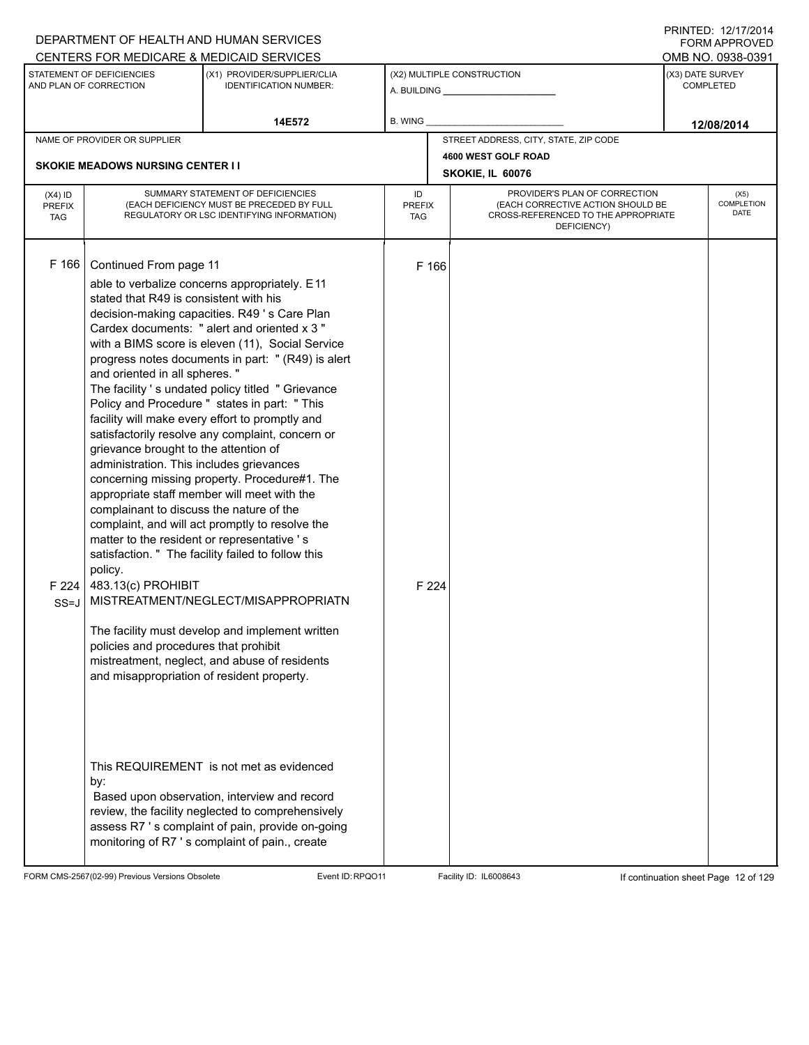|                                          |                                                                                                                                                                                                                                                                                                                                                                                                                                                          | DEPARTMENT OF HEALTH AND HUMAN SERVICES                                                                                                                                                                                                                                                                                                                                                                                                                                                                                                                                                                                                                                                                                                                                                                               |         |                |                                                              |                  | FORM APPROVED              |
|------------------------------------------|----------------------------------------------------------------------------------------------------------------------------------------------------------------------------------------------------------------------------------------------------------------------------------------------------------------------------------------------------------------------------------------------------------------------------------------------------------|-----------------------------------------------------------------------------------------------------------------------------------------------------------------------------------------------------------------------------------------------------------------------------------------------------------------------------------------------------------------------------------------------------------------------------------------------------------------------------------------------------------------------------------------------------------------------------------------------------------------------------------------------------------------------------------------------------------------------------------------------------------------------------------------------------------------------|---------|----------------|--------------------------------------------------------------|------------------|----------------------------|
|                                          |                                                                                                                                                                                                                                                                                                                                                                                                                                                          | CENTERS FOR MEDICARE & MEDICAID SERVICES                                                                                                                                                                                                                                                                                                                                                                                                                                                                                                                                                                                                                                                                                                                                                                              |         |                |                                                              |                  | OMB NO. 0938-0391          |
|                                          | STATEMENT OF DEFICIENCIES<br>AND PLAN OF CORRECTION                                                                                                                                                                                                                                                                                                                                                                                                      | (X1) PROVIDER/SUPPLIER/CLIA<br><b>IDENTIFICATION NUMBER:</b>                                                                                                                                                                                                                                                                                                                                                                                                                                                                                                                                                                                                                                                                                                                                                          |         |                | (X2) MULTIPLE CONSTRUCTION<br>A. BUILDING <b>A.</b> BUILDING | (X3) DATE SURVEY | <b>COMPLETED</b>           |
|                                          |                                                                                                                                                                                                                                                                                                                                                                                                                                                          | 14E572                                                                                                                                                                                                                                                                                                                                                                                                                                                                                                                                                                                                                                                                                                                                                                                                                | B. WING |                |                                                              |                  | 12/08/2014                 |
|                                          | NAME OF PROVIDER OR SUPPLIER                                                                                                                                                                                                                                                                                                                                                                                                                             |                                                                                                                                                                                                                                                                                                                                                                                                                                                                                                                                                                                                                                                                                                                                                                                                                       |         |                | STREET ADDRESS, CITY, STATE, ZIP CODE                        |                  |                            |
|                                          | <b>SKOKIE MEADOWS NURSING CENTER II</b>                                                                                                                                                                                                                                                                                                                                                                                                                  |                                                                                                                                                                                                                                                                                                                                                                                                                                                                                                                                                                                                                                                                                                                                                                                                                       |         |                | 4600 WEST GOLF ROAD                                          |                  |                            |
|                                          |                                                                                                                                                                                                                                                                                                                                                                                                                                                          |                                                                                                                                                                                                                                                                                                                                                                                                                                                                                                                                                                                                                                                                                                                                                                                                                       |         |                | SKOKIE, IL 60076                                             |                  |                            |
| $(X4)$ ID<br><b>PREFIX</b><br><b>TAG</b> |                                                                                                                                                                                                                                                                                                                                                                                                                                                          | SUMMARY STATEMENT OF DEFICIENCIES<br>PROVIDER'S PLAN OF CORRECTION<br>ID<br>(EACH CORRECTIVE ACTION SHOULD BE<br>(EACH DEFICIENCY MUST BE PRECEDED BY FULL<br><b>PREFIX</b><br>CROSS-REFERENCED TO THE APPROPRIATE<br>REGULATORY OR LSC IDENTIFYING INFORMATION)<br><b>TAG</b><br>DEFICIENCY)                                                                                                                                                                                                                                                                                                                                                                                                                                                                                                                         |         |                |                                                              |                  | (X5)<br>COMPLETION<br>DATE |
| F 166<br>F224<br>$SS = J$                | Continued From page 11<br>stated that R49 is consistent with his<br>and oriented in all spheres."<br>grievance brought to the attention of<br>administration. This includes grievances<br>appropriate staff member will meet with the<br>complainant to discuss the nature of the<br>matter to the resident or representative 's<br>policy.<br>483.13(c) PROHIBIT<br>policies and procedures that prohibit<br>and misappropriation of resident property. | able to verbalize concerns appropriately. E11<br>decision-making capacities. R49 's Care Plan<br>Cardex documents: " alert and oriented x 3 "<br>with a BIMS score is eleven (11), Social Service<br>progress notes documents in part: " (R49) is alert<br>The facility 's undated policy titled " Grievance<br>Policy and Procedure " states in part: " This<br>facility will make every effort to promptly and<br>satisfactorily resolve any complaint, concern or<br>concerning missing property. Procedure#1. The<br>complaint, and will act promptly to resolve the<br>satisfaction. " The facility failed to follow this<br>MISTREATMENT/NEGLECT/MISAPPROPRIATN<br>The facility must develop and implement written<br>mistreatment, neglect, and abuse of residents<br>This REQUIREMENT is not met as evidenced |         | F 166<br>F 224 |                                                              |                  |                            |
|                                          | by:                                                                                                                                                                                                                                                                                                                                                                                                                                                      | Based upon observation, interview and record<br>review, the facility neglected to comprehensively<br>assess R7 's complaint of pain, provide on-going<br>monitoring of R7 's complaint of pain., create                                                                                                                                                                                                                                                                                                                                                                                                                                                                                                                                                                                                               |         |                |                                                              |                  |                            |

FORM CMS-2567(02-99) Previous Versions Obsolete Event ID:RPQO11 Facility ID: IL6008643 If continuation sheet Page 12 of 129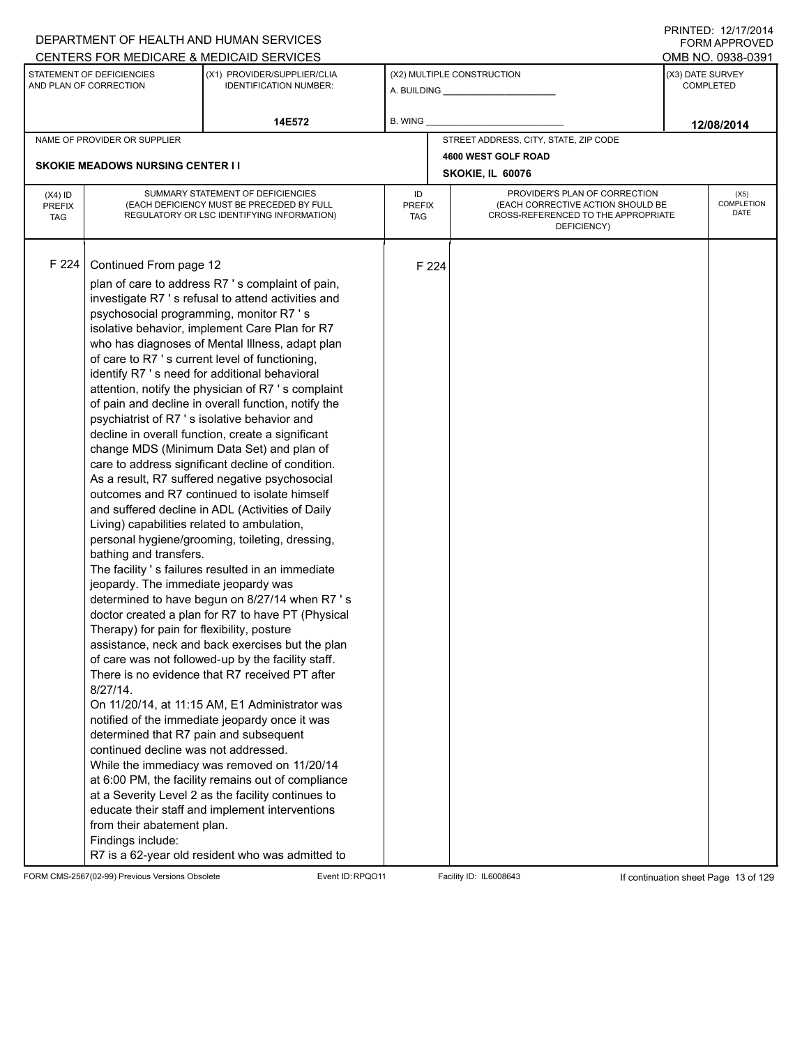|                                          |                                                                                                                                                                                                                                                                                                                                                                                                                                      | DEPARTMENT OF HEALTH AND HUMAN SERVICES                                                                                                                                                                                                                                                                                                                                                                                                                                                                                                                                                                                                                                                                                                                                                                                                                                                                                                                                                                                                                                                                                                                                                                                                                                                                                                                                                                                                                                                  |                            |       |                                                                                                                          | $1 \times 1 \times 1 = 1$ . $1 \times 1 \times 1 = 1$<br><b>FORM APPROVED</b> |
|------------------------------------------|--------------------------------------------------------------------------------------------------------------------------------------------------------------------------------------------------------------------------------------------------------------------------------------------------------------------------------------------------------------------------------------------------------------------------------------|------------------------------------------------------------------------------------------------------------------------------------------------------------------------------------------------------------------------------------------------------------------------------------------------------------------------------------------------------------------------------------------------------------------------------------------------------------------------------------------------------------------------------------------------------------------------------------------------------------------------------------------------------------------------------------------------------------------------------------------------------------------------------------------------------------------------------------------------------------------------------------------------------------------------------------------------------------------------------------------------------------------------------------------------------------------------------------------------------------------------------------------------------------------------------------------------------------------------------------------------------------------------------------------------------------------------------------------------------------------------------------------------------------------------------------------------------------------------------------------|----------------------------|-------|--------------------------------------------------------------------------------------------------------------------------|-------------------------------------------------------------------------------|
|                                          |                                                                                                                                                                                                                                                                                                                                                                                                                                      | CENTERS FOR MEDICARE & MEDICAID SERVICES                                                                                                                                                                                                                                                                                                                                                                                                                                                                                                                                                                                                                                                                                                                                                                                                                                                                                                                                                                                                                                                                                                                                                                                                                                                                                                                                                                                                                                                 |                            |       |                                                                                                                          | OMB NO. 0938-0391                                                             |
|                                          | STATEMENT OF DEFICIENCIES<br>AND PLAN OF CORRECTION                                                                                                                                                                                                                                                                                                                                                                                  | (X1) PROVIDER/SUPPLIER/CLIA<br><b>IDENTIFICATION NUMBER:</b>                                                                                                                                                                                                                                                                                                                                                                                                                                                                                                                                                                                                                                                                                                                                                                                                                                                                                                                                                                                                                                                                                                                                                                                                                                                                                                                                                                                                                             |                            |       | (X2) MULTIPLE CONSTRUCTION                                                                                               | (X3) DATE SURVEY<br><b>COMPLETED</b>                                          |
|                                          |                                                                                                                                                                                                                                                                                                                                                                                                                                      | 14E572                                                                                                                                                                                                                                                                                                                                                                                                                                                                                                                                                                                                                                                                                                                                                                                                                                                                                                                                                                                                                                                                                                                                                                                                                                                                                                                                                                                                                                                                                   | B. WING                    |       |                                                                                                                          | 12/08/2014                                                                    |
|                                          | NAME OF PROVIDER OR SUPPLIER                                                                                                                                                                                                                                                                                                                                                                                                         |                                                                                                                                                                                                                                                                                                                                                                                                                                                                                                                                                                                                                                                                                                                                                                                                                                                                                                                                                                                                                                                                                                                                                                                                                                                                                                                                                                                                                                                                                          |                            |       | STREET ADDRESS, CITY, STATE, ZIP CODE                                                                                    |                                                                               |
|                                          |                                                                                                                                                                                                                                                                                                                                                                                                                                      |                                                                                                                                                                                                                                                                                                                                                                                                                                                                                                                                                                                                                                                                                                                                                                                                                                                                                                                                                                                                                                                                                                                                                                                                                                                                                                                                                                                                                                                                                          |                            |       | 4600 WEST GOLF ROAD                                                                                                      |                                                                               |
|                                          | <b>SKOKIE MEADOWS NURSING CENTER II</b>                                                                                                                                                                                                                                                                                                                                                                                              |                                                                                                                                                                                                                                                                                                                                                                                                                                                                                                                                                                                                                                                                                                                                                                                                                                                                                                                                                                                                                                                                                                                                                                                                                                                                                                                                                                                                                                                                                          |                            |       | SKOKIE, IL 60076                                                                                                         |                                                                               |
| $(X4)$ ID<br><b>PREFIX</b><br><b>TAG</b> |                                                                                                                                                                                                                                                                                                                                                                                                                                      | SUMMARY STATEMENT OF DEFICIENCIES<br>(EACH DEFICIENCY MUST BE PRECEDED BY FULL<br>REGULATORY OR LSC IDENTIFYING INFORMATION)                                                                                                                                                                                                                                                                                                                                                                                                                                                                                                                                                                                                                                                                                                                                                                                                                                                                                                                                                                                                                                                                                                                                                                                                                                                                                                                                                             | ID<br><b>PREFIX</b><br>TAG |       | PROVIDER'S PLAN OF CORRECTION<br>(EACH CORRECTIVE ACTION SHOULD BE<br>CROSS-REFERENCED TO THE APPROPRIATE<br>DEFICIENCY) | (X5)<br><b>COMPLETION</b><br><b>DATE</b>                                      |
| F 224                                    | Continued From page 12<br>psychosocial programming, monitor R7 's<br>psychiatrist of R7 's isolative behavior and<br>Living) capabilities related to ambulation,<br>bathing and transfers.<br>jeopardy. The immediate jeopardy was<br>Therapy) for pain for flexibility, posture<br>$8/27/14$ .<br>determined that R7 pain and subsequent<br>continued decline was not addressed.<br>from their abatement plan.<br>Findings include: | plan of care to address R7 's complaint of pain,<br>investigate R7 's refusal to attend activities and<br>isolative behavior, implement Care Plan for R7<br>who has diagnoses of Mental Illness, adapt plan<br>of care to R7 's current level of functioning,<br>identify R7 's need for additional behavioral<br>attention, notify the physician of R7's complaint<br>of pain and decline in overall function, notify the<br>decline in overall function, create a significant<br>change MDS (Minimum Data Set) and plan of<br>care to address significant decline of condition.<br>As a result, R7 suffered negative psychosocial<br>outcomes and R7 continued to isolate himself<br>and suffered decline in ADL (Activities of Daily<br>personal hygiene/grooming, toileting, dressing,<br>The facility 's failures resulted in an immediate<br>determined to have begun on 8/27/14 when R7 's<br>doctor created a plan for R7 to have PT (Physical<br>assistance, neck and back exercises but the plan<br>of care was not followed-up by the facility staff.<br>There is no evidence that R7 received PT after<br>On 11/20/14, at 11:15 AM, E1 Administrator was<br>notified of the immediate jeopardy once it was<br>While the immediacy was removed on 11/20/14<br>at 6:00 PM, the facility remains out of compliance<br>at a Severity Level 2 as the facility continues to<br>educate their staff and implement interventions<br>R7 is a 62-year old resident who was admitted to |                            | F 224 |                                                                                                                          |                                                                               |

FORM CMS-2567(02-99) Previous Versions Obsolete Event ID:RPQO11 Facility ID: IL6008643 If continuation sheet Page 13 of 129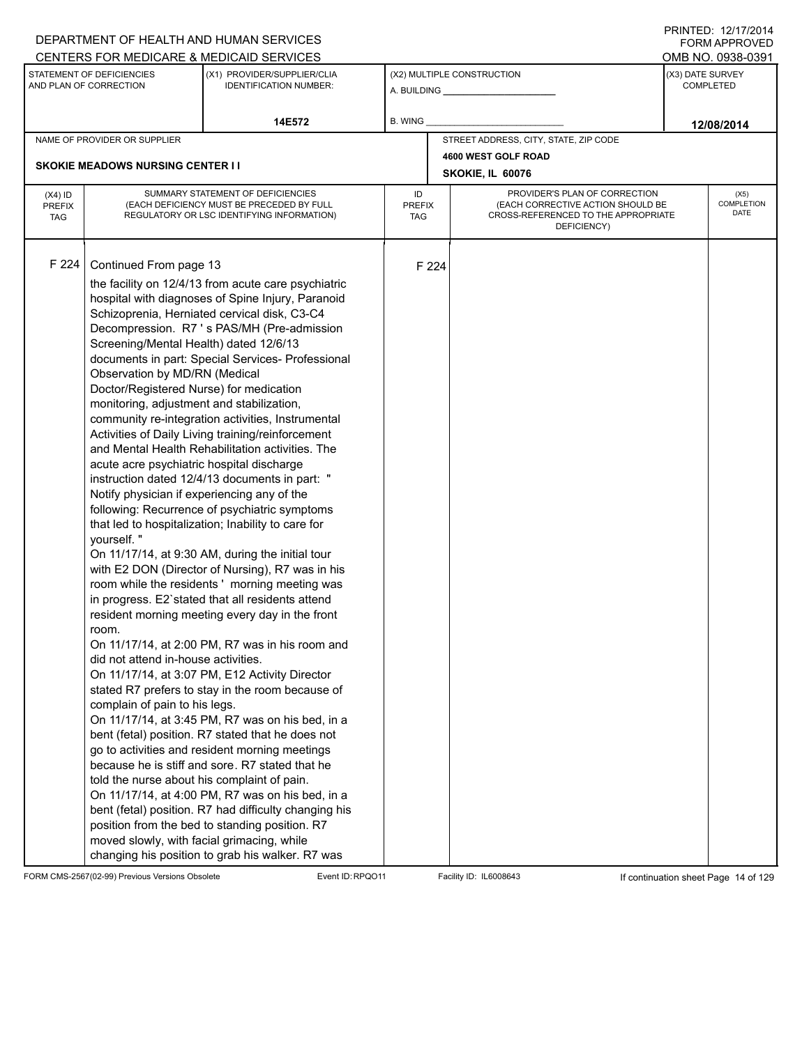|                                          |                                                                                                                                                                                                                                                                                                                                                                                                                                                                                   | DEPARTMENT OF HEALTH AND HUMAN SERVICES                                                                                                                                                                                                                                                                                                                                                                                                                                                                                                                                                                                                                                                                                                                                                                                                                                                                                                                                                                                                                                                                                                                                                                                                                                                                                                                                                  |                            |       |                                                                                                                          |  | <b>FORM APPROVED</b>                 |  |  |
|------------------------------------------|-----------------------------------------------------------------------------------------------------------------------------------------------------------------------------------------------------------------------------------------------------------------------------------------------------------------------------------------------------------------------------------------------------------------------------------------------------------------------------------|------------------------------------------------------------------------------------------------------------------------------------------------------------------------------------------------------------------------------------------------------------------------------------------------------------------------------------------------------------------------------------------------------------------------------------------------------------------------------------------------------------------------------------------------------------------------------------------------------------------------------------------------------------------------------------------------------------------------------------------------------------------------------------------------------------------------------------------------------------------------------------------------------------------------------------------------------------------------------------------------------------------------------------------------------------------------------------------------------------------------------------------------------------------------------------------------------------------------------------------------------------------------------------------------------------------------------------------------------------------------------------------|----------------------------|-------|--------------------------------------------------------------------------------------------------------------------------|--|--------------------------------------|--|--|
|                                          |                                                                                                                                                                                                                                                                                                                                                                                                                                                                                   | CENTERS FOR MEDICARE & MEDICAID SERVICES                                                                                                                                                                                                                                                                                                                                                                                                                                                                                                                                                                                                                                                                                                                                                                                                                                                                                                                                                                                                                                                                                                                                                                                                                                                                                                                                                 |                            |       |                                                                                                                          |  | OMB NO. 0938-0391                    |  |  |
|                                          | STATEMENT OF DEFICIENCIES<br>AND PLAN OF CORRECTION                                                                                                                                                                                                                                                                                                                                                                                                                               | (X1) PROVIDER/SUPPLIER/CLIA<br><b>IDENTIFICATION NUMBER:</b>                                                                                                                                                                                                                                                                                                                                                                                                                                                                                                                                                                                                                                                                                                                                                                                                                                                                                                                                                                                                                                                                                                                                                                                                                                                                                                                             |                            |       | (X2) MULTIPLE CONSTRUCTION<br>A. BUILDING <b>A.</b> BUILDING                                                             |  | (X3) DATE SURVEY<br><b>COMPLETED</b> |  |  |
|                                          |                                                                                                                                                                                                                                                                                                                                                                                                                                                                                   | 14E572                                                                                                                                                                                                                                                                                                                                                                                                                                                                                                                                                                                                                                                                                                                                                                                                                                                                                                                                                                                                                                                                                                                                                                                                                                                                                                                                                                                   | B. WING                    |       |                                                                                                                          |  | 12/08/2014                           |  |  |
|                                          | NAME OF PROVIDER OR SUPPLIER                                                                                                                                                                                                                                                                                                                                                                                                                                                      |                                                                                                                                                                                                                                                                                                                                                                                                                                                                                                                                                                                                                                                                                                                                                                                                                                                                                                                                                                                                                                                                                                                                                                                                                                                                                                                                                                                          |                            |       | STREET ADDRESS, CITY, STATE, ZIP CODE                                                                                    |  |                                      |  |  |
|                                          |                                                                                                                                                                                                                                                                                                                                                                                                                                                                                   |                                                                                                                                                                                                                                                                                                                                                                                                                                                                                                                                                                                                                                                                                                                                                                                                                                                                                                                                                                                                                                                                                                                                                                                                                                                                                                                                                                                          |                            |       | 4600 WEST GOLF ROAD                                                                                                      |  |                                      |  |  |
|                                          | <b>SKOKIE MEADOWS NURSING CENTER II</b>                                                                                                                                                                                                                                                                                                                                                                                                                                           |                                                                                                                                                                                                                                                                                                                                                                                                                                                                                                                                                                                                                                                                                                                                                                                                                                                                                                                                                                                                                                                                                                                                                                                                                                                                                                                                                                                          |                            |       | SKOKIE, IL 60076                                                                                                         |  |                                      |  |  |
| $(X4)$ ID<br><b>PREFIX</b><br><b>TAG</b> |                                                                                                                                                                                                                                                                                                                                                                                                                                                                                   | SUMMARY STATEMENT OF DEFICIENCIES<br>(EACH DEFICIENCY MUST BE PRECEDED BY FULL<br>REGULATORY OR LSC IDENTIFYING INFORMATION)                                                                                                                                                                                                                                                                                                                                                                                                                                                                                                                                                                                                                                                                                                                                                                                                                                                                                                                                                                                                                                                                                                                                                                                                                                                             | ID<br><b>PREFIX</b><br>TAG |       | PROVIDER'S PLAN OF CORRECTION<br>(EACH CORRECTIVE ACTION SHOULD BE<br>CROSS-REFERENCED TO THE APPROPRIATE<br>DEFICIENCY) |  | (X5)<br><b>COMPLETION</b><br>DATE    |  |  |
| F 224                                    | Continued From page 13<br>Screening/Mental Health) dated 12/6/13<br>Observation by MD/RN (Medical<br>Doctor/Registered Nurse) for medication<br>monitoring, adjustment and stabilization,<br>acute acre psychiatric hospital discharge<br>Notify physician if experiencing any of the<br>yourself."<br>room.<br>did not attend in-house activities.<br>complain of pain to his legs.<br>told the nurse about his complaint of pain.<br>moved slowly, with facial grimacing, while | the facility on 12/4/13 from acute care psychiatric<br>hospital with diagnoses of Spine Injury, Paranoid<br>Schizoprenia, Herniated cervical disk, C3-C4<br>Decompression. R7 's PAS/MH (Pre-admission<br>documents in part: Special Services- Professional<br>community re-integration activities, Instrumental<br>Activities of Daily Living training/reinforcement<br>and Mental Health Rehabilitation activities. The<br>instruction dated 12/4/13 documents in part: "<br>following: Recurrence of psychiatric symptoms<br>that led to hospitalization; Inability to care for<br>On 11/17/14, at 9:30 AM, during the initial tour<br>with E2 DON (Director of Nursing), R7 was in his<br>room while the residents' morning meeting was<br>in progress. E2'stated that all residents attend<br>resident morning meeting every day in the front<br>On 11/17/14, at 2:00 PM, R7 was in his room and<br>On 11/17/14, at 3:07 PM, E12 Activity Director<br>stated R7 prefers to stay in the room because of<br>On 11/17/14, at 3:45 PM, R7 was on his bed, in a<br>bent (fetal) position. R7 stated that he does not<br>go to activities and resident morning meetings<br>because he is stiff and sore. R7 stated that he<br>On 11/17/14, at 4:00 PM, R7 was on his bed, in a<br>bent (fetal) position. R7 had difficulty changing his<br>position from the bed to standing position. R7 |                            | F 224 |                                                                                                                          |  |                                      |  |  |
|                                          |                                                                                                                                                                                                                                                                                                                                                                                                                                                                                   | changing his position to grab his walker. R7 was                                                                                                                                                                                                                                                                                                                                                                                                                                                                                                                                                                                                                                                                                                                                                                                                                                                                                                                                                                                                                                                                                                                                                                                                                                                                                                                                         |                            |       |                                                                                                                          |  |                                      |  |  |

FORM CMS-2567(02-99) Previous Versions Obsolete Event ID:RPQO11 Facility ID: IL6008643 If continuation sheet Page 14 of 129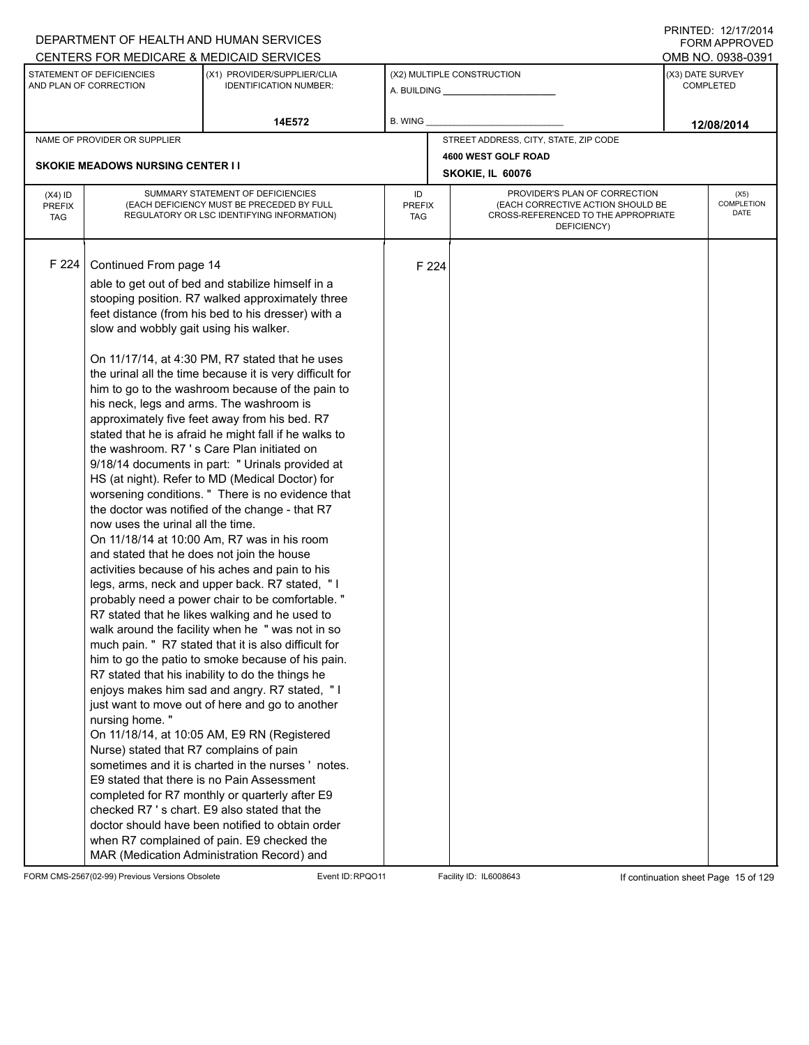|                                          |                                                                                                                                                                                                                                                              | DEPARTMENT OF HEALTH AND HUMAN SERVICES                                                                                                                                                                                                                                                                                                                                                                                                                                                                                                                                                                                                                                                                                                                                                                                                                                                                                                                                                                                                                                                                                                                                                                                                                                                                                                                                                                                                                                                                                                                                                        |                            |       |                                                                                                                          | FORM APPROVED                        |
|------------------------------------------|--------------------------------------------------------------------------------------------------------------------------------------------------------------------------------------------------------------------------------------------------------------|------------------------------------------------------------------------------------------------------------------------------------------------------------------------------------------------------------------------------------------------------------------------------------------------------------------------------------------------------------------------------------------------------------------------------------------------------------------------------------------------------------------------------------------------------------------------------------------------------------------------------------------------------------------------------------------------------------------------------------------------------------------------------------------------------------------------------------------------------------------------------------------------------------------------------------------------------------------------------------------------------------------------------------------------------------------------------------------------------------------------------------------------------------------------------------------------------------------------------------------------------------------------------------------------------------------------------------------------------------------------------------------------------------------------------------------------------------------------------------------------------------------------------------------------------------------------------------------------|----------------------------|-------|--------------------------------------------------------------------------------------------------------------------------|--------------------------------------|
|                                          |                                                                                                                                                                                                                                                              | CENTERS FOR MEDICARE & MEDICAID SERVICES                                                                                                                                                                                                                                                                                                                                                                                                                                                                                                                                                                                                                                                                                                                                                                                                                                                                                                                                                                                                                                                                                                                                                                                                                                                                                                                                                                                                                                                                                                                                                       |                            |       |                                                                                                                          | OMB NO. 0938-0391                    |
|                                          | STATEMENT OF DEFICIENCIES<br>AND PLAN OF CORRECTION                                                                                                                                                                                                          | (X1) PROVIDER/SUPPLIER/CLIA<br><b>IDENTIFICATION NUMBER:</b>                                                                                                                                                                                                                                                                                                                                                                                                                                                                                                                                                                                                                                                                                                                                                                                                                                                                                                                                                                                                                                                                                                                                                                                                                                                                                                                                                                                                                                                                                                                                   |                            |       | (X2) MULTIPLE CONSTRUCTION                                                                                               | (X3) DATE SURVEY<br><b>COMPLETED</b> |
|                                          |                                                                                                                                                                                                                                                              | 14E572                                                                                                                                                                                                                                                                                                                                                                                                                                                                                                                                                                                                                                                                                                                                                                                                                                                                                                                                                                                                                                                                                                                                                                                                                                                                                                                                                                                                                                                                                                                                                                                         | B. WING                    |       |                                                                                                                          | 12/08/2014                           |
|                                          | NAME OF PROVIDER OR SUPPLIER                                                                                                                                                                                                                                 |                                                                                                                                                                                                                                                                                                                                                                                                                                                                                                                                                                                                                                                                                                                                                                                                                                                                                                                                                                                                                                                                                                                                                                                                                                                                                                                                                                                                                                                                                                                                                                                                |                            |       | STREET ADDRESS, CITY, STATE, ZIP CODE                                                                                    |                                      |
|                                          |                                                                                                                                                                                                                                                              |                                                                                                                                                                                                                                                                                                                                                                                                                                                                                                                                                                                                                                                                                                                                                                                                                                                                                                                                                                                                                                                                                                                                                                                                                                                                                                                                                                                                                                                                                                                                                                                                |                            |       | 4600 WEST GOLF ROAD                                                                                                      |                                      |
|                                          | <b>SKOKIE MEADOWS NURSING CENTER I I</b>                                                                                                                                                                                                                     |                                                                                                                                                                                                                                                                                                                                                                                                                                                                                                                                                                                                                                                                                                                                                                                                                                                                                                                                                                                                                                                                                                                                                                                                                                                                                                                                                                                                                                                                                                                                                                                                |                            |       | SKOKIE, IL 60076                                                                                                         |                                      |
| $(X4)$ ID<br><b>PREFIX</b><br><b>TAG</b> |                                                                                                                                                                                                                                                              | SUMMARY STATEMENT OF DEFICIENCIES<br>(EACH DEFICIENCY MUST BE PRECEDED BY FULL<br>REGULATORY OR LSC IDENTIFYING INFORMATION)                                                                                                                                                                                                                                                                                                                                                                                                                                                                                                                                                                                                                                                                                                                                                                                                                                                                                                                                                                                                                                                                                                                                                                                                                                                                                                                                                                                                                                                                   | ID<br><b>PREFIX</b><br>TAG |       | PROVIDER'S PLAN OF CORRECTION<br>(EACH CORRECTIVE ACTION SHOULD BE<br>CROSS-REFERENCED TO THE APPROPRIATE<br>DEFICIENCY) | (X5)<br><b>COMPLETION</b><br>DATE    |
| F 224                                    | Continued From page 14<br>slow and wobbly gait using his walker.<br>his neck, legs and arms. The washroom is<br>now uses the urinal all the time.<br>and stated that he does not join the house<br>nursing home."<br>Nurse) stated that R7 complains of pain | able to get out of bed and stabilize himself in a<br>stooping position. R7 walked approximately three<br>feet distance (from his bed to his dresser) with a<br>On 11/17/14, at 4:30 PM, R7 stated that he uses<br>the urinal all the time because it is very difficult for<br>him to go to the washroom because of the pain to<br>approximately five feet away from his bed. R7<br>stated that he is afraid he might fall if he walks to<br>the washroom. R7 's Care Plan initiated on<br>9/18/14 documents in part: " Urinals provided at<br>HS (at night). Refer to MD (Medical Doctor) for<br>worsening conditions. " There is no evidence that<br>the doctor was notified of the change - that R7<br>On 11/18/14 at 10:00 Am, R7 was in his room<br>activities because of his aches and pain to his<br>legs, arms, neck and upper back. R7 stated, "I<br>probably need a power chair to be comfortable."<br>R7 stated that he likes walking and he used to<br>walk around the facility when he " was not in so<br>much pain. " R7 stated that it is also difficult for<br>him to go the patio to smoke because of his pain.<br>R7 stated that his inability to do the things he<br>enjoys makes him sad and angry. R7 stated, "I<br>just want to move out of here and go to another<br>On 11/18/14, at 10:05 AM, E9 RN (Registered<br>sometimes and it is charted in the nurses 'notes.<br>E9 stated that there is no Pain Assessment<br>completed for R7 monthly or quarterly after E9<br>checked R7's chart. E9 also stated that the<br>doctor should have been notified to obtain order |                            | F 224 |                                                                                                                          |                                      |
|                                          |                                                                                                                                                                                                                                                              | when R7 complained of pain. E9 checked the<br>MAR (Medication Administration Record) and                                                                                                                                                                                                                                                                                                                                                                                                                                                                                                                                                                                                                                                                                                                                                                                                                                                                                                                                                                                                                                                                                                                                                                                                                                                                                                                                                                                                                                                                                                       |                            |       |                                                                                                                          |                                      |

FORM CMS-2567(02-99) Previous Versions Obsolete Event ID:RPQO11 Facility ID: IL6008643 If continuation sheet Page 15 of 129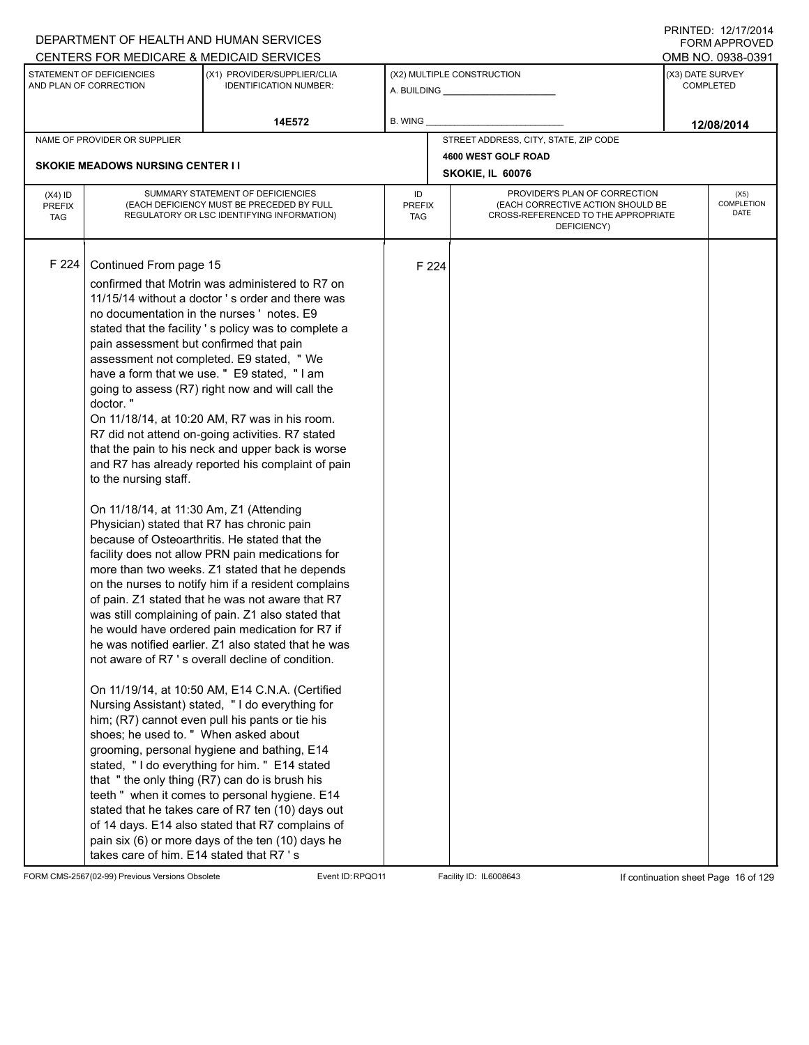|                                          |                                                                                                                                                                                                                                                                                     | DEPARTMENT OF HEALTH AND HUMAN SERVICES                                                                                                                                                                                                                                                                                                                                                                                                                                                                                                                                                                                                                                                                                                                                                                                                                                                                                                                                                                                                                                                                                                                                                                                                                                                                                                                                                                                                                                                                                                                                                  |                            |       |                                                                                                                          |                  | , INTILL, <i>LL, ITL</i><br><b>FORM APPROVED</b> |  |  |
|------------------------------------------|-------------------------------------------------------------------------------------------------------------------------------------------------------------------------------------------------------------------------------------------------------------------------------------|------------------------------------------------------------------------------------------------------------------------------------------------------------------------------------------------------------------------------------------------------------------------------------------------------------------------------------------------------------------------------------------------------------------------------------------------------------------------------------------------------------------------------------------------------------------------------------------------------------------------------------------------------------------------------------------------------------------------------------------------------------------------------------------------------------------------------------------------------------------------------------------------------------------------------------------------------------------------------------------------------------------------------------------------------------------------------------------------------------------------------------------------------------------------------------------------------------------------------------------------------------------------------------------------------------------------------------------------------------------------------------------------------------------------------------------------------------------------------------------------------------------------------------------------------------------------------------------|----------------------------|-------|--------------------------------------------------------------------------------------------------------------------------|------------------|--------------------------------------------------|--|--|
|                                          |                                                                                                                                                                                                                                                                                     | CENTERS FOR MEDICARE & MEDICAID SERVICES                                                                                                                                                                                                                                                                                                                                                                                                                                                                                                                                                                                                                                                                                                                                                                                                                                                                                                                                                                                                                                                                                                                                                                                                                                                                                                                                                                                                                                                                                                                                                 |                            |       |                                                                                                                          |                  | OMB NO. 0938-0391                                |  |  |
|                                          | STATEMENT OF DEFICIENCIES<br>AND PLAN OF CORRECTION                                                                                                                                                                                                                                 | (X1) PROVIDER/SUPPLIER/CLIA<br><b>IDENTIFICATION NUMBER:</b>                                                                                                                                                                                                                                                                                                                                                                                                                                                                                                                                                                                                                                                                                                                                                                                                                                                                                                                                                                                                                                                                                                                                                                                                                                                                                                                                                                                                                                                                                                                             |                            |       | (X2) MULTIPLE CONSTRUCTION                                                                                               | (X3) DATE SURVEY | <b>COMPLETED</b>                                 |  |  |
|                                          |                                                                                                                                                                                                                                                                                     | 14E572                                                                                                                                                                                                                                                                                                                                                                                                                                                                                                                                                                                                                                                                                                                                                                                                                                                                                                                                                                                                                                                                                                                                                                                                                                                                                                                                                                                                                                                                                                                                                                                   | B. WING                    |       |                                                                                                                          |                  | 12/08/2014                                       |  |  |
|                                          | NAME OF PROVIDER OR SUPPLIER                                                                                                                                                                                                                                                        |                                                                                                                                                                                                                                                                                                                                                                                                                                                                                                                                                                                                                                                                                                                                                                                                                                                                                                                                                                                                                                                                                                                                                                                                                                                                                                                                                                                                                                                                                                                                                                                          |                            |       | STREET ADDRESS, CITY, STATE, ZIP CODE                                                                                    |                  |                                                  |  |  |
|                                          |                                                                                                                                                                                                                                                                                     |                                                                                                                                                                                                                                                                                                                                                                                                                                                                                                                                                                                                                                                                                                                                                                                                                                                                                                                                                                                                                                                                                                                                                                                                                                                                                                                                                                                                                                                                                                                                                                                          |                            |       | 4600 WEST GOLF ROAD                                                                                                      |                  |                                                  |  |  |
|                                          | <b>SKOKIE MEADOWS NURSING CENTER I I</b>                                                                                                                                                                                                                                            |                                                                                                                                                                                                                                                                                                                                                                                                                                                                                                                                                                                                                                                                                                                                                                                                                                                                                                                                                                                                                                                                                                                                                                                                                                                                                                                                                                                                                                                                                                                                                                                          |                            |       | SKOKIE, IL 60076                                                                                                         | (X5)             |                                                  |  |  |
| $(X4)$ ID<br><b>PREFIX</b><br><b>TAG</b> |                                                                                                                                                                                                                                                                                     | SUMMARY STATEMENT OF DEFICIENCIES<br>(EACH DEFICIENCY MUST BE PRECEDED BY FULL<br>REGULATORY OR LSC IDENTIFYING INFORMATION)                                                                                                                                                                                                                                                                                                                                                                                                                                                                                                                                                                                                                                                                                                                                                                                                                                                                                                                                                                                                                                                                                                                                                                                                                                                                                                                                                                                                                                                             | ID<br><b>PREFIX</b><br>TAG |       | PROVIDER'S PLAN OF CORRECTION<br>(EACH CORRECTIVE ACTION SHOULD BE<br>CROSS-REFERENCED TO THE APPROPRIATE<br>DEFICIENCY) |                  | <b>COMPLETION</b><br>DATE                        |  |  |
| F 224                                    | Continued From page 15<br>pain assessment but confirmed that pain<br>doctor."<br>to the nursing staff.<br>On 11/18/14, at 11:30 Am, Z1 (Attending<br>Physician) stated that R7 has chronic pain<br>shoes; he used to. " When asked about<br>takes care of him. E14 stated that R7's | confirmed that Motrin was administered to R7 on<br>11/15/14 without a doctor 's order and there was<br>no documentation in the nurses 'notes. E9<br>stated that the facility 's policy was to complete a<br>assessment not completed. E9 stated, " We<br>have a form that we use. " E9 stated, "I am<br>going to assess (R7) right now and will call the<br>On 11/18/14, at 10:20 AM, R7 was in his room.<br>R7 did not attend on-going activities. R7 stated<br>that the pain to his neck and upper back is worse<br>and R7 has already reported his complaint of pain<br>because of Osteoarthritis. He stated that the<br>facility does not allow PRN pain medications for<br>more than two weeks. Z1 stated that he depends<br>on the nurses to notify him if a resident complains<br>of pain. Z1 stated that he was not aware that R7<br>was still complaining of pain. Z1 also stated that<br>he would have ordered pain medication for R7 if<br>he was notified earlier. Z1 also stated that he was<br>not aware of R7 's overall decline of condition.<br>On 11/19/14, at 10:50 AM, E14 C.N.A. (Certified<br>Nursing Assistant) stated, "I do everything for<br>him; (R7) cannot even pull his pants or tie his<br>grooming, personal hygiene and bathing, E14<br>stated, "I do everything for him. " E14 stated<br>that "the only thing (R7) can do is brush his<br>teeth " when it comes to personal hygiene. E14<br>stated that he takes care of R7 ten (10) days out<br>of 14 days. E14 also stated that R7 complains of<br>pain six (6) or more days of the ten (10) days he |                            | F 224 |                                                                                                                          |                  |                                                  |  |  |

FORM CMS-2567(02-99) Previous Versions Obsolete Event ID:RPQO11 Facility ID: IL6008643 If continuation sheet Page 16 of 129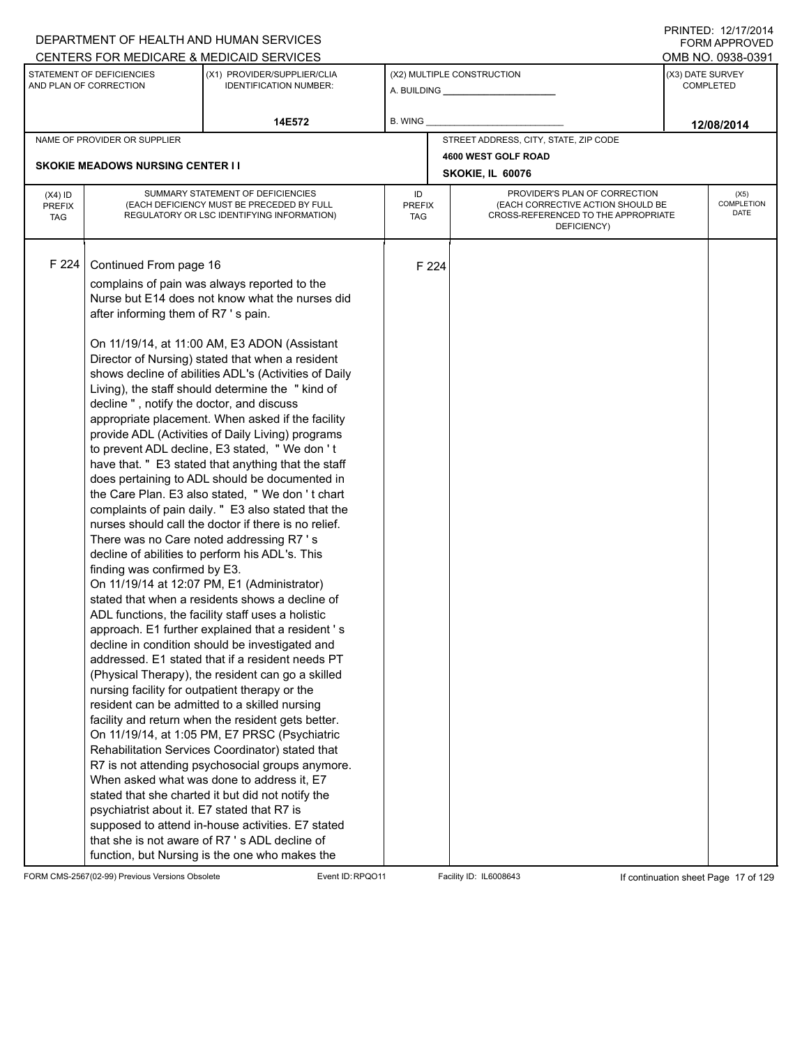|                                          |                                                                                                                                                                                                                                           | DEPARTMENT OF HEALTH AND HUMAN SERVICES                                                                                                                                                                                                                                                                                                                                                                                                                                                                                                                                                                                                                                                                                                                                                                                                                                                                                                                                                                                                                                                                                                                                                                                                                                                                                                                                                                                                                                                                                                                                                                                                                                                                                                               |                            |       |                                                                                                                          |                  | FORM APPROVED      |  |
|------------------------------------------|-------------------------------------------------------------------------------------------------------------------------------------------------------------------------------------------------------------------------------------------|-------------------------------------------------------------------------------------------------------------------------------------------------------------------------------------------------------------------------------------------------------------------------------------------------------------------------------------------------------------------------------------------------------------------------------------------------------------------------------------------------------------------------------------------------------------------------------------------------------------------------------------------------------------------------------------------------------------------------------------------------------------------------------------------------------------------------------------------------------------------------------------------------------------------------------------------------------------------------------------------------------------------------------------------------------------------------------------------------------------------------------------------------------------------------------------------------------------------------------------------------------------------------------------------------------------------------------------------------------------------------------------------------------------------------------------------------------------------------------------------------------------------------------------------------------------------------------------------------------------------------------------------------------------------------------------------------------------------------------------------------------|----------------------------|-------|--------------------------------------------------------------------------------------------------------------------------|------------------|--------------------|--|
|                                          |                                                                                                                                                                                                                                           | CENTERS FOR MEDICARE & MEDICAID SERVICES                                                                                                                                                                                                                                                                                                                                                                                                                                                                                                                                                                                                                                                                                                                                                                                                                                                                                                                                                                                                                                                                                                                                                                                                                                                                                                                                                                                                                                                                                                                                                                                                                                                                                                              |                            |       |                                                                                                                          |                  | OMB NO. 0938-0391  |  |
|                                          | STATEMENT OF DEFICIENCIES<br>AND PLAN OF CORRECTION                                                                                                                                                                                       | (X1) PROVIDER/SUPPLIER/CLIA<br><b>IDENTIFICATION NUMBER:</b>                                                                                                                                                                                                                                                                                                                                                                                                                                                                                                                                                                                                                                                                                                                                                                                                                                                                                                                                                                                                                                                                                                                                                                                                                                                                                                                                                                                                                                                                                                                                                                                                                                                                                          |                            |       | (X2) MULTIPLE CONSTRUCTION<br>A. BUILDING <b>A.</b> BUILDING                                                             | (X3) DATE SURVEY | <b>COMPLETED</b>   |  |
|                                          |                                                                                                                                                                                                                                           | 14E572                                                                                                                                                                                                                                                                                                                                                                                                                                                                                                                                                                                                                                                                                                                                                                                                                                                                                                                                                                                                                                                                                                                                                                                                                                                                                                                                                                                                                                                                                                                                                                                                                                                                                                                                                | B. WING                    |       |                                                                                                                          |                  | 12/08/2014         |  |
|                                          | NAME OF PROVIDER OR SUPPLIER                                                                                                                                                                                                              |                                                                                                                                                                                                                                                                                                                                                                                                                                                                                                                                                                                                                                                                                                                                                                                                                                                                                                                                                                                                                                                                                                                                                                                                                                                                                                                                                                                                                                                                                                                                                                                                                                                                                                                                                       |                            |       | STREET ADDRESS, CITY, STATE, ZIP CODE                                                                                    |                  |                    |  |
|                                          |                                                                                                                                                                                                                                           |                                                                                                                                                                                                                                                                                                                                                                                                                                                                                                                                                                                                                                                                                                                                                                                                                                                                                                                                                                                                                                                                                                                                                                                                                                                                                                                                                                                                                                                                                                                                                                                                                                                                                                                                                       |                            |       | 4600 WEST GOLF ROAD                                                                                                      |                  |                    |  |
|                                          | <b>SKOKIE MEADOWS NURSING CENTER I I</b>                                                                                                                                                                                                  |                                                                                                                                                                                                                                                                                                                                                                                                                                                                                                                                                                                                                                                                                                                                                                                                                                                                                                                                                                                                                                                                                                                                                                                                                                                                                                                                                                                                                                                                                                                                                                                                                                                                                                                                                       |                            |       | SKOKIE, IL 60076                                                                                                         | (X5)             |                    |  |
| $(X4)$ ID<br><b>PREFIX</b><br><b>TAG</b> |                                                                                                                                                                                                                                           | SUMMARY STATEMENT OF DEFICIENCIES<br>(EACH DEFICIENCY MUST BE PRECEDED BY FULL<br>REGULATORY OR LSC IDENTIFYING INFORMATION)                                                                                                                                                                                                                                                                                                                                                                                                                                                                                                                                                                                                                                                                                                                                                                                                                                                                                                                                                                                                                                                                                                                                                                                                                                                                                                                                                                                                                                                                                                                                                                                                                          | ID<br><b>PREFIX</b><br>TAG |       | PROVIDER'S PLAN OF CORRECTION<br>(EACH CORRECTIVE ACTION SHOULD BE<br>CROSS-REFERENCED TO THE APPROPRIATE<br>DEFICIENCY) |                  | COMPLETION<br>DATE |  |
| F 224                                    | Continued From page 16<br>after informing them of R7's pain.<br>decline", notify the doctor, and discuss<br>finding was confirmed by E3.<br>nursing facility for outpatient therapy or the<br>psychiatrist about it. E7 stated that R7 is | complains of pain was always reported to the<br>Nurse but E14 does not know what the nurses did<br>On 11/19/14, at 11:00 AM, E3 ADON (Assistant<br>Director of Nursing) stated that when a resident<br>shows decline of abilities ADL's (Activities of Daily<br>Living), the staff should determine the "kind of<br>appropriate placement. When asked if the facility<br>provide ADL (Activities of Daily Living) programs<br>to prevent ADL decline, E3 stated, "We don't<br>have that. " E3 stated that anything that the staff<br>does pertaining to ADL should be documented in<br>the Care Plan. E3 also stated, "We don't chart<br>complaints of pain daily. " E3 also stated that the<br>nurses should call the doctor if there is no relief.<br>There was no Care noted addressing R7's<br>decline of abilities to perform his ADL's. This<br>On 11/19/14 at 12:07 PM, E1 (Administrator)<br>stated that when a residents shows a decline of<br>ADL functions, the facility staff uses a holistic<br>approach. E1 further explained that a resident 's<br>decline in condition should be investigated and<br>addressed. E1 stated that if a resident needs PT<br>(Physical Therapy), the resident can go a skilled<br>resident can be admitted to a skilled nursing<br>facility and return when the resident gets better.<br>On 11/19/14, at 1:05 PM, E7 PRSC (Psychiatric<br>Rehabilitation Services Coordinator) stated that<br>R7 is not attending psychosocial groups anymore.<br>When asked what was done to address it, E7<br>stated that she charted it but did not notify the<br>supposed to attend in-house activities. E7 stated<br>that she is not aware of R7 's ADL decline of<br>function, but Nursing is the one who makes the |                            | F 224 |                                                                                                                          |                  |                    |  |

FORM CMS-2567(02-99) Previous Versions Obsolete Event ID:RPQO11 Facility ID: IL6008643 If continuation sheet Page 17 of 129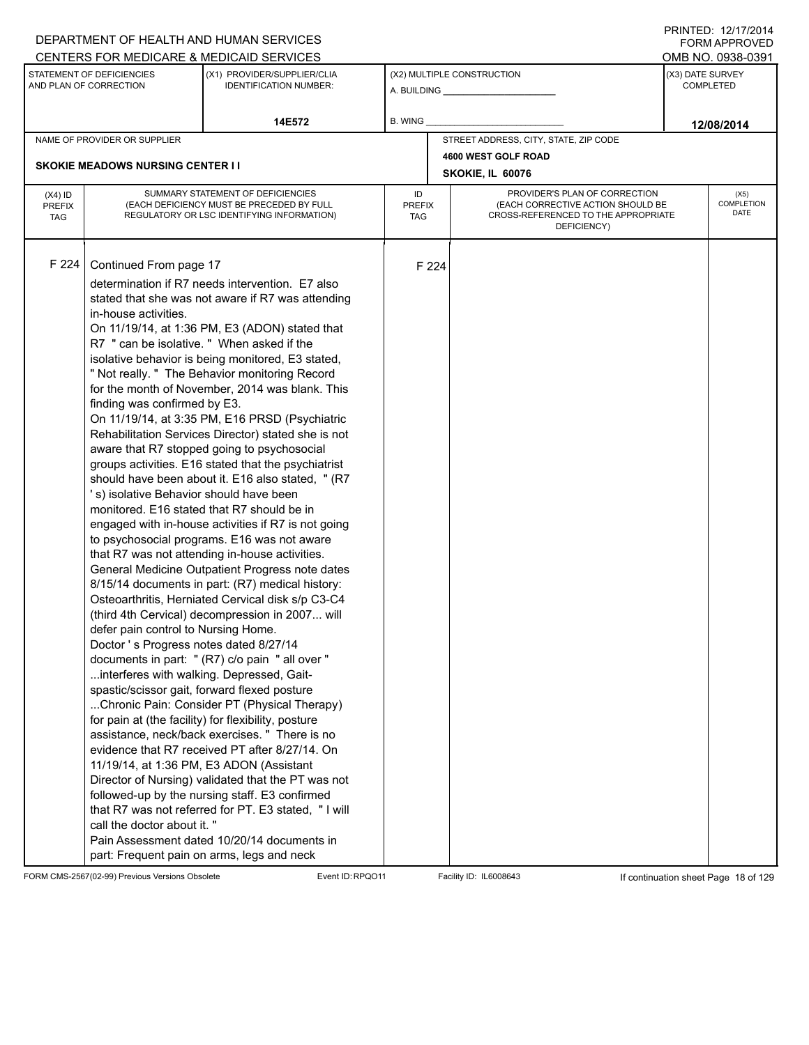|                                          |                                                                                                                                                                                                                                                                                                                                                                                                                                                                               | DEPARTMENT OF HEALTH AND HUMAN SERVICES                                                                                                                                                                                                                                                                                                                                                                                                                                                                                                                                                                                                                                                                                                                                                                                                                                                                                                                                                                                                                                                                                                                                                                                                                                                                                                                                                                                                                                               |                            |       |                                          |                                                                    | <b>FORM APPROVED</b>                 |  |  |
|------------------------------------------|-------------------------------------------------------------------------------------------------------------------------------------------------------------------------------------------------------------------------------------------------------------------------------------------------------------------------------------------------------------------------------------------------------------------------------------------------------------------------------|---------------------------------------------------------------------------------------------------------------------------------------------------------------------------------------------------------------------------------------------------------------------------------------------------------------------------------------------------------------------------------------------------------------------------------------------------------------------------------------------------------------------------------------------------------------------------------------------------------------------------------------------------------------------------------------------------------------------------------------------------------------------------------------------------------------------------------------------------------------------------------------------------------------------------------------------------------------------------------------------------------------------------------------------------------------------------------------------------------------------------------------------------------------------------------------------------------------------------------------------------------------------------------------------------------------------------------------------------------------------------------------------------------------------------------------------------------------------------------------|----------------------------|-------|------------------------------------------|--------------------------------------------------------------------|--------------------------------------|--|--|
|                                          |                                                                                                                                                                                                                                                                                                                                                                                                                                                                               | CENTERS FOR MEDICARE & MEDICAID SERVICES                                                                                                                                                                                                                                                                                                                                                                                                                                                                                                                                                                                                                                                                                                                                                                                                                                                                                                                                                                                                                                                                                                                                                                                                                                                                                                                                                                                                                                              |                            |       |                                          |                                                                    | OMB NO. 0938-0391                    |  |  |
|                                          | STATEMENT OF DEFICIENCIES<br>AND PLAN OF CORRECTION                                                                                                                                                                                                                                                                                                                                                                                                                           | (X1) PROVIDER/SUPPLIER/CLIA<br><b>IDENTIFICATION NUMBER:</b>                                                                                                                                                                                                                                                                                                                                                                                                                                                                                                                                                                                                                                                                                                                                                                                                                                                                                                                                                                                                                                                                                                                                                                                                                                                                                                                                                                                                                          |                            |       | (X2) MULTIPLE CONSTRUCTION               |                                                                    | (X3) DATE SURVEY<br><b>COMPLETED</b> |  |  |
|                                          |                                                                                                                                                                                                                                                                                                                                                                                                                                                                               | 14E572                                                                                                                                                                                                                                                                                                                                                                                                                                                                                                                                                                                                                                                                                                                                                                                                                                                                                                                                                                                                                                                                                                                                                                                                                                                                                                                                                                                                                                                                                | B. WING                    |       |                                          |                                                                    | 12/08/2014                           |  |  |
|                                          | NAME OF PROVIDER OR SUPPLIER                                                                                                                                                                                                                                                                                                                                                                                                                                                  |                                                                                                                                                                                                                                                                                                                                                                                                                                                                                                                                                                                                                                                                                                                                                                                                                                                                                                                                                                                                                                                                                                                                                                                                                                                                                                                                                                                                                                                                                       |                            |       | STREET ADDRESS, CITY, STATE, ZIP CODE    |                                                                    |                                      |  |  |
|                                          |                                                                                                                                                                                                                                                                                                                                                                                                                                                                               |                                                                                                                                                                                                                                                                                                                                                                                                                                                                                                                                                                                                                                                                                                                                                                                                                                                                                                                                                                                                                                                                                                                                                                                                                                                                                                                                                                                                                                                                                       |                            |       | 4600 WEST GOLF ROAD                      |                                                                    |                                      |  |  |
|                                          | <b>SKOKIE MEADOWS NURSING CENTER II</b>                                                                                                                                                                                                                                                                                                                                                                                                                                       |                                                                                                                                                                                                                                                                                                                                                                                                                                                                                                                                                                                                                                                                                                                                                                                                                                                                                                                                                                                                                                                                                                                                                                                                                                                                                                                                                                                                                                                                                       |                            |       | SKOKIE, IL 60076                         | PROVIDER'S PLAN OF CORRECTION<br>(EACH CORRECTIVE ACTION SHOULD BE |                                      |  |  |
| $(X4)$ ID<br><b>PREFIX</b><br><b>TAG</b> |                                                                                                                                                                                                                                                                                                                                                                                                                                                                               | SUMMARY STATEMENT OF DEFICIENCIES<br>(EACH DEFICIENCY MUST BE PRECEDED BY FULL<br>REGULATORY OR LSC IDENTIFYING INFORMATION)                                                                                                                                                                                                                                                                                                                                                                                                                                                                                                                                                                                                                                                                                                                                                                                                                                                                                                                                                                                                                                                                                                                                                                                                                                                                                                                                                          | ID<br><b>PREFIX</b><br>TAG |       | (X5)<br><b>COMPLETION</b><br><b>DATE</b> |                                                                    |                                      |  |  |
| F 224                                    | Continued From page 17<br>in-house activities.<br>R7 " can be isolative. " When asked if the<br>finding was confirmed by E3.<br>'s) isolative Behavior should have been<br>monitored. E16 stated that R7 should be in<br>defer pain control to Nursing Home.<br>Doctor's Progress notes dated 8/27/14<br>interferes with walking. Depressed, Gait-<br>spastic/scissor gait, forward flexed posture<br>11/19/14, at 1:36 PM, E3 ADON (Assistant<br>call the doctor about it. " | determination if R7 needs intervention. E7 also<br>stated that she was not aware if R7 was attending<br>On 11/19/14, at 1:36 PM, E3 (ADON) stated that<br>isolative behavior is being monitored, E3 stated,<br>" Not really. " The Behavior monitoring Record<br>for the month of November, 2014 was blank. This<br>On 11/19/14, at 3:35 PM, E16 PRSD (Psychiatric<br>Rehabilitation Services Director) stated she is not<br>aware that R7 stopped going to psychosocial<br>groups activities. E16 stated that the psychiatrist<br>should have been about it. E16 also stated, " (R7<br>engaged with in-house activities if R7 is not going<br>to psychosocial programs. E16 was not aware<br>that R7 was not attending in-house activities.<br>General Medicine Outpatient Progress note dates<br>8/15/14 documents in part: (R7) medical history:<br>Osteoarthritis, Herniated Cervical disk s/p C3-C4<br>(third 4th Cervical) decompression in 2007 will<br>documents in part: " (R7) c/o pain " all over "<br>Chronic Pain: Consider PT (Physical Therapy)<br>for pain at (the facility) for flexibility, posture<br>assistance, neck/back exercises. " There is no<br>evidence that R7 received PT after 8/27/14. On<br>Director of Nursing) validated that the PT was not<br>followed-up by the nursing staff. E3 confirmed<br>that R7 was not referred for PT. E3 stated, "I will<br>Pain Assessment dated 10/20/14 documents in<br>part: Frequent pain on arms, legs and neck |                            | F 224 |                                          |                                                                    |                                      |  |  |

FORM CMS-2567(02-99) Previous Versions Obsolete Event ID:RPQO11 Facility ID: IL6008643 If continuation sheet Page 18 of 129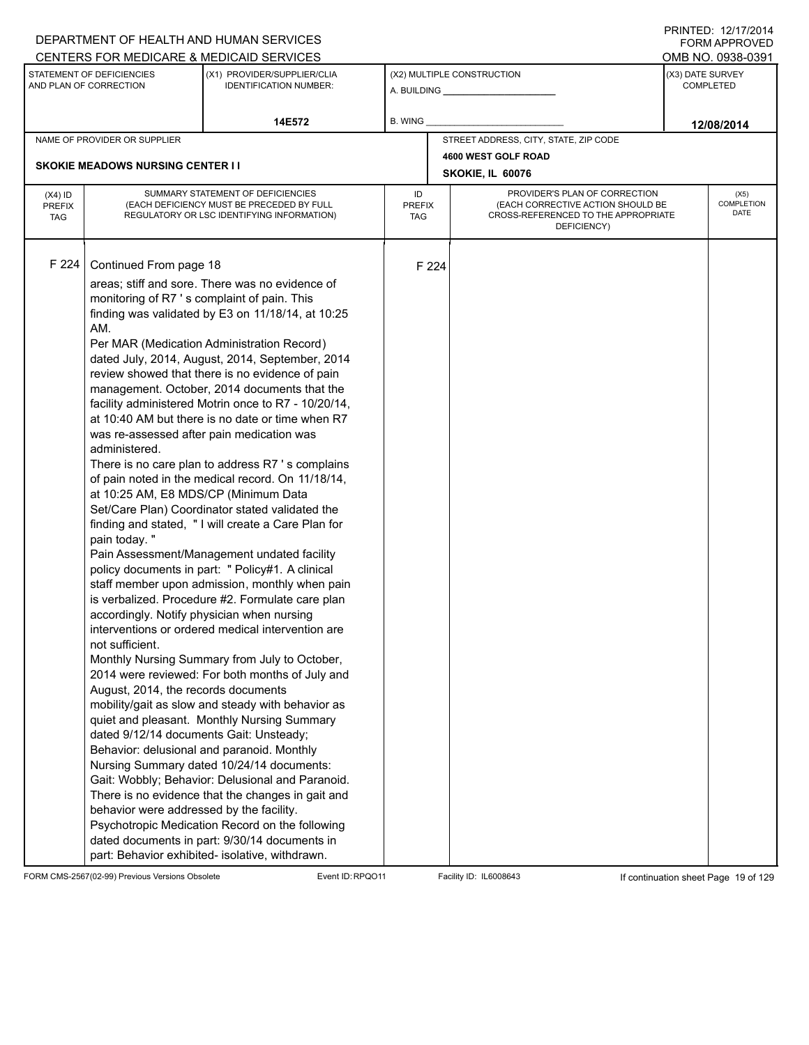| CENTERS FOR MEDICARE & MEDICAID SERVICES<br>OMB NO. 0938-0391<br>STATEMENT OF DEFICIENCIES<br>(X3) DATE SURVEY<br>(X1) PROVIDER/SUPPLIER/CLIA<br>(X2) MULTIPLE CONSTRUCTION<br>AND PLAN OF CORRECTION<br><b>IDENTIFICATION NUMBER:</b><br><b>COMPLETED</b><br>B. WING<br>14E572<br>12/08/2014<br>STREET ADDRESS, CITY, STATE, ZIP CODE<br>NAME OF PROVIDER OR SUPPLIER<br>4600 WEST GOLF ROAD<br><b>SKOKIE MEADOWS NURSING CENTER I I</b><br>SKOKIE, IL 60076<br>SUMMARY STATEMENT OF DEFICIENCIES<br>PROVIDER'S PLAN OF CORRECTION<br>ID<br>$(X4)$ ID<br>(EACH DEFICIENCY MUST BE PRECEDED BY FULL<br>(EACH CORRECTIVE ACTION SHOULD BE<br><b>PREFIX</b><br><b>PREFIX</b><br>REGULATORY OR LSC IDENTIFYING INFORMATION)<br>CROSS-REFERENCED TO THE APPROPRIATE<br><b>TAG</b><br>TAG<br>DEFICIENCY)<br>F 224<br>Continued From page 18<br>F 224<br>areas; stiff and sore. There was no evidence of<br>monitoring of R7 's complaint of pain. This<br>finding was validated by E3 on 11/18/14, at 10:25<br>AM.<br>Per MAR (Medication Administration Record)<br>dated July, 2014, August, 2014, September, 2014<br>review showed that there is no evidence of pain<br>management. October, 2014 documents that the<br>facility administered Motrin once to R7 - 10/20/14,<br>at 10:40 AM but there is no date or time when R7<br>was re-assessed after pain medication was<br>administered.<br>There is no care plan to address R7's complains<br>of pain noted in the medical record. On 11/18/14, |  | DEPARTMENT OF HEALTH AND HUMAN SERVICES |  |  | I I \ II \ I L D . I <i>L I I I I L</i> O I <del>T</del><br><b>FORM APPROVED</b> |  |  |
|----------------------------------------------------------------------------------------------------------------------------------------------------------------------------------------------------------------------------------------------------------------------------------------------------------------------------------------------------------------------------------------------------------------------------------------------------------------------------------------------------------------------------------------------------------------------------------------------------------------------------------------------------------------------------------------------------------------------------------------------------------------------------------------------------------------------------------------------------------------------------------------------------------------------------------------------------------------------------------------------------------------------------------------------------------------------------------------------------------------------------------------------------------------------------------------------------------------------------------------------------------------------------------------------------------------------------------------------------------------------------------------------------------------------------------------------------------------------------------------------------|--|-----------------------------------------|--|--|----------------------------------------------------------------------------------|--|--|
|                                                                                                                                                                                                                                                                                                                                                                                                                                                                                                                                                                                                                                                                                                                                                                                                                                                                                                                                                                                                                                                                                                                                                                                                                                                                                                                                                                                                                                                                                                    |  |                                         |  |  |                                                                                  |  |  |
|                                                                                                                                                                                                                                                                                                                                                                                                                                                                                                                                                                                                                                                                                                                                                                                                                                                                                                                                                                                                                                                                                                                                                                                                                                                                                                                                                                                                                                                                                                    |  |                                         |  |  |                                                                                  |  |  |
|                                                                                                                                                                                                                                                                                                                                                                                                                                                                                                                                                                                                                                                                                                                                                                                                                                                                                                                                                                                                                                                                                                                                                                                                                                                                                                                                                                                                                                                                                                    |  |                                         |  |  |                                                                                  |  |  |
|                                                                                                                                                                                                                                                                                                                                                                                                                                                                                                                                                                                                                                                                                                                                                                                                                                                                                                                                                                                                                                                                                                                                                                                                                                                                                                                                                                                                                                                                                                    |  |                                         |  |  |                                                                                  |  |  |
|                                                                                                                                                                                                                                                                                                                                                                                                                                                                                                                                                                                                                                                                                                                                                                                                                                                                                                                                                                                                                                                                                                                                                                                                                                                                                                                                                                                                                                                                                                    |  |                                         |  |  |                                                                                  |  |  |
|                                                                                                                                                                                                                                                                                                                                                                                                                                                                                                                                                                                                                                                                                                                                                                                                                                                                                                                                                                                                                                                                                                                                                                                                                                                                                                                                                                                                                                                                                                    |  |                                         |  |  |                                                                                  |  |  |
|                                                                                                                                                                                                                                                                                                                                                                                                                                                                                                                                                                                                                                                                                                                                                                                                                                                                                                                                                                                                                                                                                                                                                                                                                                                                                                                                                                                                                                                                                                    |  |                                         |  |  | (X5)<br><b>COMPLETION</b><br>DATE                                                |  |  |
| at 10:25 AM, E8 MDS/CP (Minimum Data<br>Set/Care Plan) Coordinator stated validated the<br>finding and stated, "I will create a Care Plan for<br>pain today. "<br>Pain Assessment/Management undated facility<br>policy documents in part: " Policy#1. A clinical<br>staff member upon admission, monthly when pain<br>is verbalized. Procedure #2. Formulate care plan<br>accordingly. Notify physician when nursing<br>interventions or ordered medical intervention are<br>not sufficient.<br>Monthly Nursing Summary from July to October,<br>2014 were reviewed: For both months of July and<br>August, 2014, the records documents<br>mobility/gait as slow and steady with behavior as<br>quiet and pleasant. Monthly Nursing Summary<br>dated 9/12/14 documents Gait: Unsteady;<br>Behavior: delusional and paranoid. Monthly<br>Nursing Summary dated 10/24/14 documents:<br>Gait: Wobbly; Behavior: Delusional and Paranoid.<br>There is no evidence that the changes in gait and<br>behavior were addressed by the facility.<br>Psychotropic Medication Record on the following<br>dated documents in part: 9/30/14 documents in<br>part: Behavior exhibited- isolative, withdrawn.                                                                                                                                                                                                                                                                                                     |  |                                         |  |  |                                                                                  |  |  |

FORM CMS-2567(02-99) Previous Versions Obsolete Event ID:RPQO11 Facility ID: IL6008643 If continuation sheet Page 19 of 129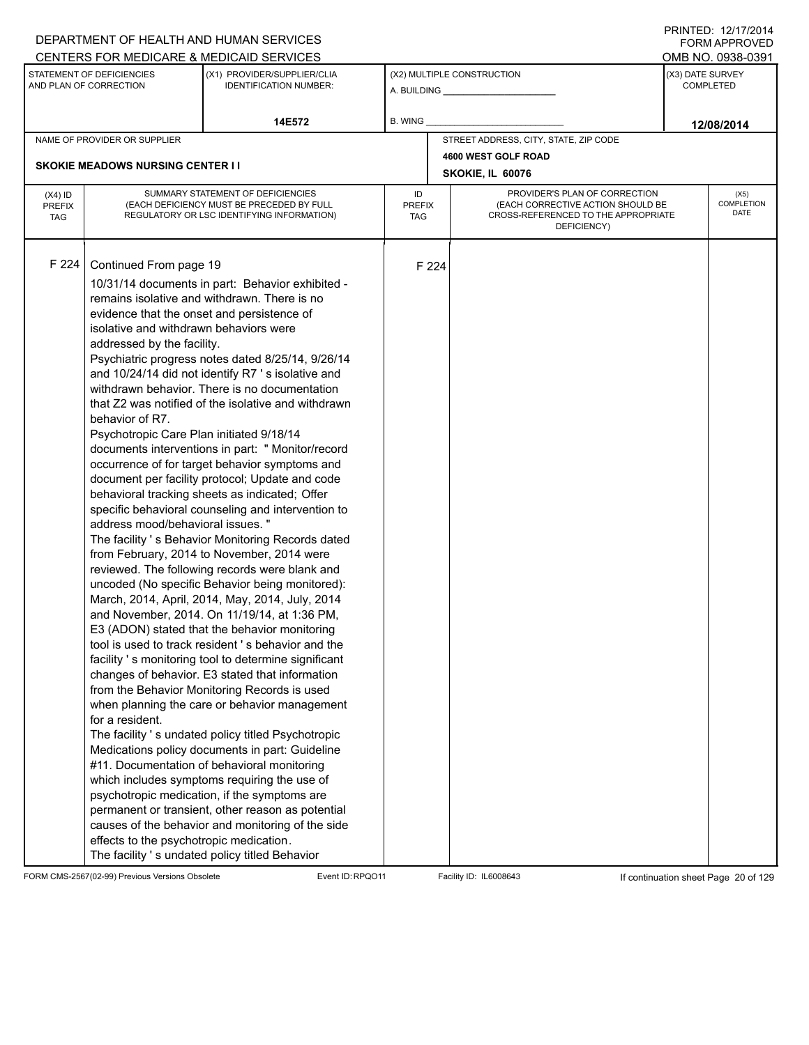|                                          |                                                                                                                                                                                                                                                                                                                | DEPARTMENT OF HEALTH AND HUMAN SERVICES                                                                                                                                                                                                                                                                                                                                                                                                                                                                                                                                                                                                                                                                                                                                                                                                                                                                                                                                                                                                                                                                                                                                                                                                                                                                                                                                                                                                                                                                                                                                                                                               |                            |       |                                                                                                                          |                  | <b>FORM APPROVED</b>              |  |  |
|------------------------------------------|----------------------------------------------------------------------------------------------------------------------------------------------------------------------------------------------------------------------------------------------------------------------------------------------------------------|---------------------------------------------------------------------------------------------------------------------------------------------------------------------------------------------------------------------------------------------------------------------------------------------------------------------------------------------------------------------------------------------------------------------------------------------------------------------------------------------------------------------------------------------------------------------------------------------------------------------------------------------------------------------------------------------------------------------------------------------------------------------------------------------------------------------------------------------------------------------------------------------------------------------------------------------------------------------------------------------------------------------------------------------------------------------------------------------------------------------------------------------------------------------------------------------------------------------------------------------------------------------------------------------------------------------------------------------------------------------------------------------------------------------------------------------------------------------------------------------------------------------------------------------------------------------------------------------------------------------------------------|----------------------------|-------|--------------------------------------------------------------------------------------------------------------------------|------------------|-----------------------------------|--|--|
|                                          |                                                                                                                                                                                                                                                                                                                | CENTERS FOR MEDICARE & MEDICAID SERVICES                                                                                                                                                                                                                                                                                                                                                                                                                                                                                                                                                                                                                                                                                                                                                                                                                                                                                                                                                                                                                                                                                                                                                                                                                                                                                                                                                                                                                                                                                                                                                                                              |                            |       |                                                                                                                          |                  | OMB NO. 0938-0391                 |  |  |
|                                          | STATEMENT OF DEFICIENCIES<br>AND PLAN OF CORRECTION                                                                                                                                                                                                                                                            | (X1) PROVIDER/SUPPLIER/CLIA<br><b>IDENTIFICATION NUMBER:</b>                                                                                                                                                                                                                                                                                                                                                                                                                                                                                                                                                                                                                                                                                                                                                                                                                                                                                                                                                                                                                                                                                                                                                                                                                                                                                                                                                                                                                                                                                                                                                                          |                            |       | (X2) MULTIPLE CONSTRUCTION                                                                                               | (X3) DATE SURVEY | <b>COMPLETED</b>                  |  |  |
|                                          |                                                                                                                                                                                                                                                                                                                | 14E572                                                                                                                                                                                                                                                                                                                                                                                                                                                                                                                                                                                                                                                                                                                                                                                                                                                                                                                                                                                                                                                                                                                                                                                                                                                                                                                                                                                                                                                                                                                                                                                                                                | <b>B. WING</b>             |       |                                                                                                                          |                  | 12/08/2014                        |  |  |
|                                          | NAME OF PROVIDER OR SUPPLIER                                                                                                                                                                                                                                                                                   |                                                                                                                                                                                                                                                                                                                                                                                                                                                                                                                                                                                                                                                                                                                                                                                                                                                                                                                                                                                                                                                                                                                                                                                                                                                                                                                                                                                                                                                                                                                                                                                                                                       |                            |       | STREET ADDRESS, CITY, STATE, ZIP CODE                                                                                    |                  |                                   |  |  |
|                                          |                                                                                                                                                                                                                                                                                                                |                                                                                                                                                                                                                                                                                                                                                                                                                                                                                                                                                                                                                                                                                                                                                                                                                                                                                                                                                                                                                                                                                                                                                                                                                                                                                                                                                                                                                                                                                                                                                                                                                                       |                            |       | 4600 WEST GOLF ROAD                                                                                                      |                  |                                   |  |  |
|                                          | <b>SKOKIE MEADOWS NURSING CENTER II</b>                                                                                                                                                                                                                                                                        |                                                                                                                                                                                                                                                                                                                                                                                                                                                                                                                                                                                                                                                                                                                                                                                                                                                                                                                                                                                                                                                                                                                                                                                                                                                                                                                                                                                                                                                                                                                                                                                                                                       |                            |       | SKOKIE, IL 60076                                                                                                         |                  |                                   |  |  |
| $(X4)$ ID<br><b>PREFIX</b><br><b>TAG</b> |                                                                                                                                                                                                                                                                                                                | SUMMARY STATEMENT OF DEFICIENCIES<br>(EACH DEFICIENCY MUST BE PRECEDED BY FULL<br>REGULATORY OR LSC IDENTIFYING INFORMATION)                                                                                                                                                                                                                                                                                                                                                                                                                                                                                                                                                                                                                                                                                                                                                                                                                                                                                                                                                                                                                                                                                                                                                                                                                                                                                                                                                                                                                                                                                                          | ID<br><b>PREFIX</b><br>TAG |       | PROVIDER'S PLAN OF CORRECTION<br>(EACH CORRECTIVE ACTION SHOULD BE<br>CROSS-REFERENCED TO THE APPROPRIATE<br>DEFICIENCY) |                  | (X5)<br><b>COMPLETION</b><br>DATE |  |  |
| F 224                                    | Continued From page 19<br>evidence that the onset and persistence of<br>isolative and withdrawn behaviors were<br>addressed by the facility.<br>behavior of R7.<br>Psychotropic Care Plan initiated 9/18/14<br>address mood/behavioral issues. "<br>for a resident.<br>effects to the psychotropic medication. | 10/31/14 documents in part: Behavior exhibited -<br>remains isolative and withdrawn. There is no<br>Psychiatric progress notes dated 8/25/14, 9/26/14<br>and 10/24/14 did not identify R7's isolative and<br>withdrawn behavior. There is no documentation<br>that Z2 was notified of the isolative and withdrawn<br>documents interventions in part: " Monitor/record<br>occurrence of for target behavior symptoms and<br>document per facility protocol; Update and code<br>behavioral tracking sheets as indicated; Offer<br>specific behavioral counseling and intervention to<br>The facility 's Behavior Monitoring Records dated<br>from February, 2014 to November, 2014 were<br>reviewed. The following records were blank and<br>uncoded (No specific Behavior being monitored):<br>March, 2014, April, 2014, May, 2014, July, 2014<br>and November, 2014. On 11/19/14, at 1:36 PM,<br>E3 (ADON) stated that the behavior monitoring<br>tool is used to track resident 's behavior and the<br>facility 's monitoring tool to determine significant<br>changes of behavior. E3 stated that information<br>from the Behavior Monitoring Records is used<br>when planning the care or behavior management<br>The facility 's undated policy titled Psychotropic<br>Medications policy documents in part: Guideline<br>#11. Documentation of behavioral monitoring<br>which includes symptoms requiring the use of<br>psychotropic medication, if the symptoms are<br>permanent or transient, other reason as potential<br>causes of the behavior and monitoring of the side<br>The facility 's undated policy titled Behavior |                            | F 224 |                                                                                                                          |                  |                                   |  |  |

FORM CMS-2567(02-99) Previous Versions Obsolete Event ID:RPQO11 Facility ID: IL6008643 If continuation sheet Page 20 of 129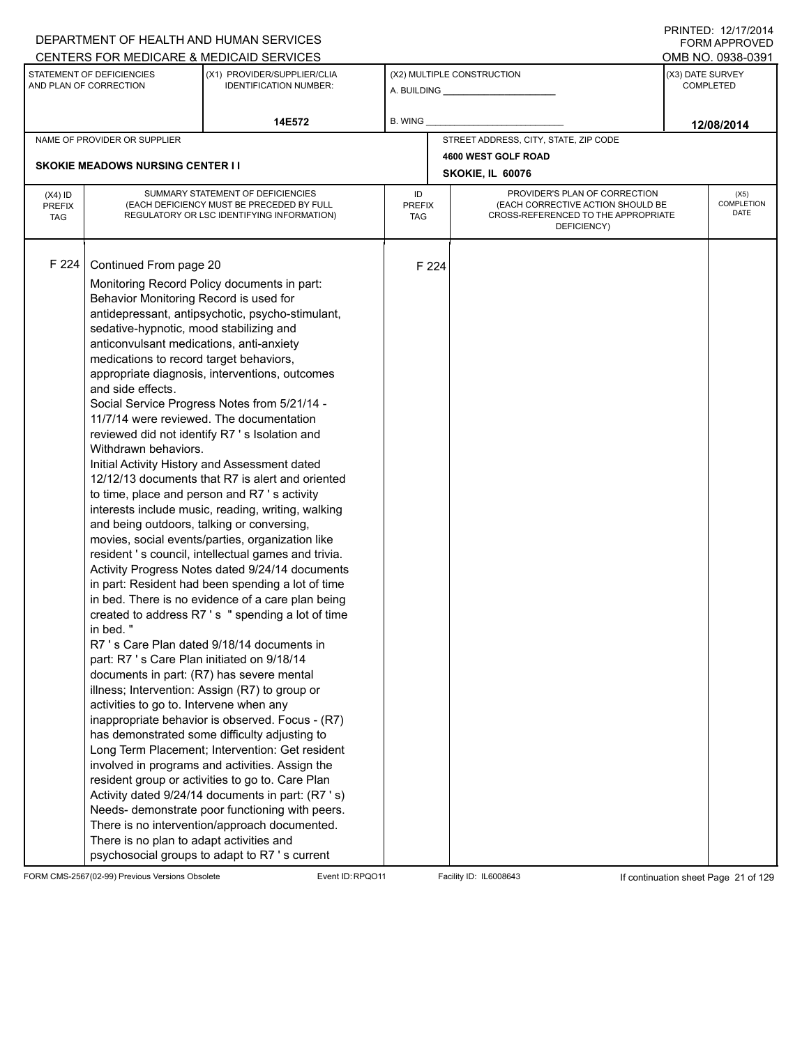|                                          |                                                                                                                                                                                                                                                                                                                                                                                                                                                | DEPARTMENT OF HEALTH AND HUMAN SERVICES                                                                                                                                                                                                                                                                                                                                                                                                                                                                                                                                                                                                                                                                                                                                                                                                                                                                                                                                                                                                                                                                                                                                                                                                                                                                                                                                                                                                                     |                            |       |                                                                                         |                               | <b>FORM APPROVED</b>                 |  |  |
|------------------------------------------|------------------------------------------------------------------------------------------------------------------------------------------------------------------------------------------------------------------------------------------------------------------------------------------------------------------------------------------------------------------------------------------------------------------------------------------------|-------------------------------------------------------------------------------------------------------------------------------------------------------------------------------------------------------------------------------------------------------------------------------------------------------------------------------------------------------------------------------------------------------------------------------------------------------------------------------------------------------------------------------------------------------------------------------------------------------------------------------------------------------------------------------------------------------------------------------------------------------------------------------------------------------------------------------------------------------------------------------------------------------------------------------------------------------------------------------------------------------------------------------------------------------------------------------------------------------------------------------------------------------------------------------------------------------------------------------------------------------------------------------------------------------------------------------------------------------------------------------------------------------------------------------------------------------------|----------------------------|-------|-----------------------------------------------------------------------------------------|-------------------------------|--------------------------------------|--|--|
|                                          |                                                                                                                                                                                                                                                                                                                                                                                                                                                | CENTERS FOR MEDICARE & MEDICAID SERVICES                                                                                                                                                                                                                                                                                                                                                                                                                                                                                                                                                                                                                                                                                                                                                                                                                                                                                                                                                                                                                                                                                                                                                                                                                                                                                                                                                                                                                    |                            |       |                                                                                         |                               | OMB NO. 0938-0391                    |  |  |
|                                          | STATEMENT OF DEFICIENCIES<br>AND PLAN OF CORRECTION                                                                                                                                                                                                                                                                                                                                                                                            | (X1) PROVIDER/SUPPLIER/CLIA<br><b>IDENTIFICATION NUMBER:</b>                                                                                                                                                                                                                                                                                                                                                                                                                                                                                                                                                                                                                                                                                                                                                                                                                                                                                                                                                                                                                                                                                                                                                                                                                                                                                                                                                                                                |                            |       | (X2) MULTIPLE CONSTRUCTION                                                              |                               | (X3) DATE SURVEY<br><b>COMPLETED</b> |  |  |
|                                          |                                                                                                                                                                                                                                                                                                                                                                                                                                                | 14E572                                                                                                                                                                                                                                                                                                                                                                                                                                                                                                                                                                                                                                                                                                                                                                                                                                                                                                                                                                                                                                                                                                                                                                                                                                                                                                                                                                                                                                                      | B. WING                    |       |                                                                                         |                               | 12/08/2014                           |  |  |
|                                          | NAME OF PROVIDER OR SUPPLIER                                                                                                                                                                                                                                                                                                                                                                                                                   |                                                                                                                                                                                                                                                                                                                                                                                                                                                                                                                                                                                                                                                                                                                                                                                                                                                                                                                                                                                                                                                                                                                                                                                                                                                                                                                                                                                                                                                             |                            |       | STREET ADDRESS, CITY, STATE, ZIP CODE                                                   |                               |                                      |  |  |
|                                          |                                                                                                                                                                                                                                                                                                                                                                                                                                                |                                                                                                                                                                                                                                                                                                                                                                                                                                                                                                                                                                                                                                                                                                                                                                                                                                                                                                                                                                                                                                                                                                                                                                                                                                                                                                                                                                                                                                                             |                            |       | 4600 WEST GOLF ROAD                                                                     |                               |                                      |  |  |
|                                          | <b>SKOKIE MEADOWS NURSING CENTER II</b>                                                                                                                                                                                                                                                                                                                                                                                                        |                                                                                                                                                                                                                                                                                                                                                                                                                                                                                                                                                                                                                                                                                                                                                                                                                                                                                                                                                                                                                                                                                                                                                                                                                                                                                                                                                                                                                                                             |                            |       | SKOKIE, IL 60076                                                                        | PROVIDER'S PLAN OF CORRECTION |                                      |  |  |
| $(X4)$ ID<br><b>PREFIX</b><br><b>TAG</b> |                                                                                                                                                                                                                                                                                                                                                                                                                                                | SUMMARY STATEMENT OF DEFICIENCIES<br>(EACH DEFICIENCY MUST BE PRECEDED BY FULL<br>REGULATORY OR LSC IDENTIFYING INFORMATION)                                                                                                                                                                                                                                                                                                                                                                                                                                                                                                                                                                                                                                                                                                                                                                                                                                                                                                                                                                                                                                                                                                                                                                                                                                                                                                                                | ID<br><b>PREFIX</b><br>TAG |       | (EACH CORRECTIVE ACTION SHOULD BE<br>CROSS-REFERENCED TO THE APPROPRIATE<br>DEFICIENCY) |                               | (X5)<br>COMPLETION<br>DATE           |  |  |
| F 224                                    | Continued From page 20<br>Behavior Monitoring Record is used for<br>sedative-hypnotic, mood stabilizing and<br>anticonvulsant medications, anti-anxiety<br>medications to record target behaviors,<br>and side effects.<br>Withdrawn behaviors.<br>and being outdoors, talking or conversing,<br>in bed."<br>part: R7 's Care Plan initiated on 9/18/14<br>activities to go to. Intervene when any<br>There is no plan to adapt activities and | Monitoring Record Policy documents in part:<br>antidepressant, antipsychotic, psycho-stimulant,<br>appropriate diagnosis, interventions, outcomes<br>Social Service Progress Notes from 5/21/14 -<br>11/7/14 were reviewed. The documentation<br>reviewed did not identify R7 's Isolation and<br>Initial Activity History and Assessment dated<br>12/12/13 documents that R7 is alert and oriented<br>to time, place and person and R7 's activity<br>interests include music, reading, writing, walking<br>movies, social events/parties, organization like<br>resident 's council, intellectual games and trivia.<br>Activity Progress Notes dated 9/24/14 documents<br>in part: Resident had been spending a lot of time<br>in bed. There is no evidence of a care plan being<br>created to address R7's " spending a lot of time<br>R7 's Care Plan dated 9/18/14 documents in<br>documents in part: (R7) has severe mental<br>illness; Intervention: Assign (R7) to group or<br>inappropriate behavior is observed. Focus - (R7)<br>has demonstrated some difficulty adjusting to<br>Long Term Placement; Intervention: Get resident<br>involved in programs and activities. Assign the<br>resident group or activities to go to. Care Plan<br>Activity dated 9/24/14 documents in part: (R7 's)<br>Needs- demonstrate poor functioning with peers.<br>There is no intervention/approach documented.<br>psychosocial groups to adapt to R7 's current |                            | F 224 |                                                                                         |                               |                                      |  |  |

FORM CMS-2567(02-99) Previous Versions Obsolete Event ID:RPQO11 Facility ID: IL6008643 If continuation sheet Page 21 of 129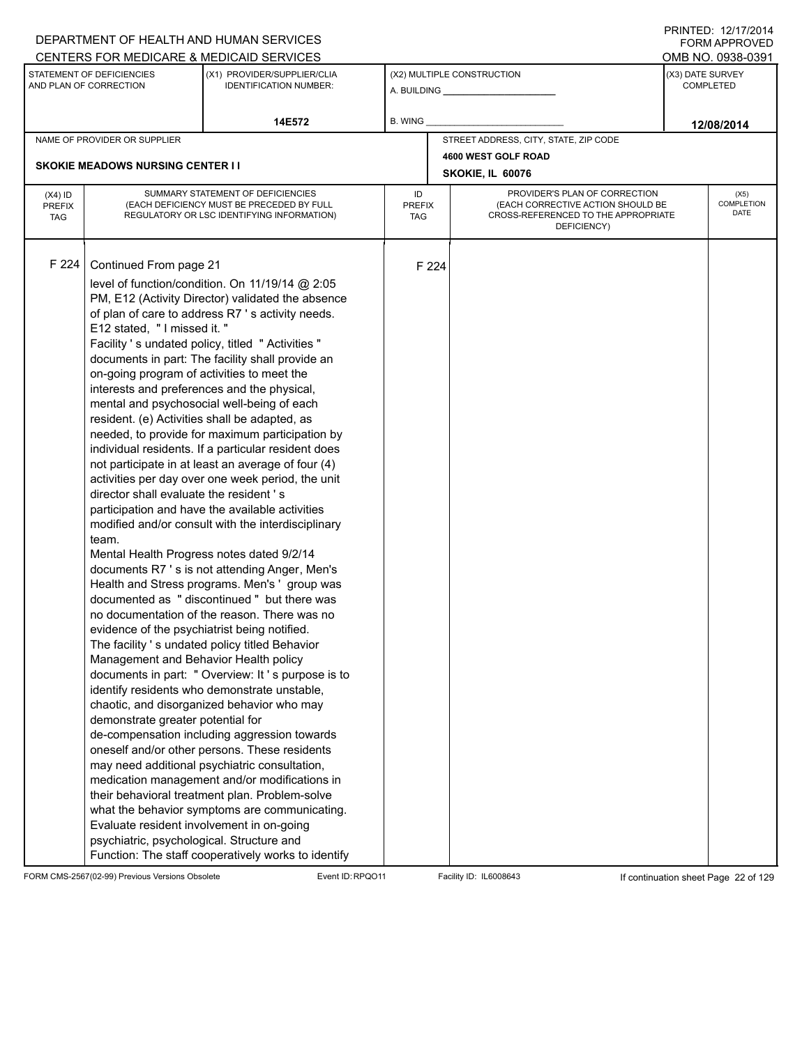|                                          |                                                                                                                                                                                                                                                                                                                                                                                                                                                                                                                            | DEPARTMENT OF HEALTH AND HUMAN SERVICES                                                                                                                                                                                                                                                                                                                                                                                                                                                                                                                                                                                                                                                                                                                                                                                                                                                                                                                                                                                                                                                                                                                                                                                                                                                                                                                                                                      |                            |       |                                                                                                                          |                  | <b>FORM APPROVED</b>              |  |  |
|------------------------------------------|----------------------------------------------------------------------------------------------------------------------------------------------------------------------------------------------------------------------------------------------------------------------------------------------------------------------------------------------------------------------------------------------------------------------------------------------------------------------------------------------------------------------------|--------------------------------------------------------------------------------------------------------------------------------------------------------------------------------------------------------------------------------------------------------------------------------------------------------------------------------------------------------------------------------------------------------------------------------------------------------------------------------------------------------------------------------------------------------------------------------------------------------------------------------------------------------------------------------------------------------------------------------------------------------------------------------------------------------------------------------------------------------------------------------------------------------------------------------------------------------------------------------------------------------------------------------------------------------------------------------------------------------------------------------------------------------------------------------------------------------------------------------------------------------------------------------------------------------------------------------------------------------------------------------------------------------------|----------------------------|-------|--------------------------------------------------------------------------------------------------------------------------|------------------|-----------------------------------|--|--|
|                                          |                                                                                                                                                                                                                                                                                                                                                                                                                                                                                                                            | CENTERS FOR MEDICARE & MEDICAID SERVICES                                                                                                                                                                                                                                                                                                                                                                                                                                                                                                                                                                                                                                                                                                                                                                                                                                                                                                                                                                                                                                                                                                                                                                                                                                                                                                                                                                     |                            |       |                                                                                                                          |                  | OMB NO. 0938-0391                 |  |  |
|                                          | STATEMENT OF DEFICIENCIES<br>AND PLAN OF CORRECTION                                                                                                                                                                                                                                                                                                                                                                                                                                                                        | (X1) PROVIDER/SUPPLIER/CLIA<br><b>IDENTIFICATION NUMBER:</b>                                                                                                                                                                                                                                                                                                                                                                                                                                                                                                                                                                                                                                                                                                                                                                                                                                                                                                                                                                                                                                                                                                                                                                                                                                                                                                                                                 |                            |       | (X2) MULTIPLE CONSTRUCTION                                                                                               | (X3) DATE SURVEY | <b>COMPLETED</b>                  |  |  |
|                                          |                                                                                                                                                                                                                                                                                                                                                                                                                                                                                                                            | 14E572                                                                                                                                                                                                                                                                                                                                                                                                                                                                                                                                                                                                                                                                                                                                                                                                                                                                                                                                                                                                                                                                                                                                                                                                                                                                                                                                                                                                       | B. WING                    |       |                                                                                                                          |                  | 12/08/2014                        |  |  |
|                                          | NAME OF PROVIDER OR SUPPLIER                                                                                                                                                                                                                                                                                                                                                                                                                                                                                               |                                                                                                                                                                                                                                                                                                                                                                                                                                                                                                                                                                                                                                                                                                                                                                                                                                                                                                                                                                                                                                                                                                                                                                                                                                                                                                                                                                                                              |                            |       | STREET ADDRESS, CITY, STATE, ZIP CODE                                                                                    |                  |                                   |  |  |
|                                          |                                                                                                                                                                                                                                                                                                                                                                                                                                                                                                                            |                                                                                                                                                                                                                                                                                                                                                                                                                                                                                                                                                                                                                                                                                                                                                                                                                                                                                                                                                                                                                                                                                                                                                                                                                                                                                                                                                                                                              |                            |       | 4600 WEST GOLF ROAD                                                                                                      |                  |                                   |  |  |
|                                          | <b>SKOKIE MEADOWS NURSING CENTER I I</b>                                                                                                                                                                                                                                                                                                                                                                                                                                                                                   |                                                                                                                                                                                                                                                                                                                                                                                                                                                                                                                                                                                                                                                                                                                                                                                                                                                                                                                                                                                                                                                                                                                                                                                                                                                                                                                                                                                                              |                            |       | SKOKIE, IL 60076                                                                                                         |                  |                                   |  |  |
| $(X4)$ ID<br><b>PREFIX</b><br><b>TAG</b> |                                                                                                                                                                                                                                                                                                                                                                                                                                                                                                                            | SUMMARY STATEMENT OF DEFICIENCIES<br>(EACH DEFICIENCY MUST BE PRECEDED BY FULL<br>REGULATORY OR LSC IDENTIFYING INFORMATION)                                                                                                                                                                                                                                                                                                                                                                                                                                                                                                                                                                                                                                                                                                                                                                                                                                                                                                                                                                                                                                                                                                                                                                                                                                                                                 | ID<br><b>PREFIX</b><br>TAG |       | PROVIDER'S PLAN OF CORRECTION<br>(EACH CORRECTIVE ACTION SHOULD BE<br>CROSS-REFERENCED TO THE APPROPRIATE<br>DEFICIENCY) |                  | (X5)<br><b>COMPLETION</b><br>DATE |  |  |
| F 224                                    | Continued From page 21<br>E12 stated, "I missed it."<br>on-going program of activities to meet the<br>interests and preferences and the physical,<br>resident. (e) Activities shall be adapted, as<br>director shall evaluate the resident's<br>team.<br>Mental Health Progress notes dated 9/2/14<br>evidence of the psychiatrist being notified.<br>Management and Behavior Health policy<br>demonstrate greater potential for<br>Evaluate resident involvement in on-going<br>psychiatric, psychological. Structure and | level of function/condition. On 11/19/14 @ 2:05<br>PM, E12 (Activity Director) validated the absence<br>of plan of care to address R7 's activity needs.<br>Facility 's undated policy, titled "Activities"<br>documents in part: The facility shall provide an<br>mental and psychosocial well-being of each<br>needed, to provide for maximum participation by<br>individual residents. If a particular resident does<br>not participate in at least an average of four (4)<br>activities per day over one week period, the unit<br>participation and have the available activities<br>modified and/or consult with the interdisciplinary<br>documents R7 's is not attending Anger, Men's<br>Health and Stress programs. Men's 'group was<br>documented as "discontinued" but there was<br>no documentation of the reason. There was no<br>The facility 's undated policy titled Behavior<br>documents in part: " Overview: It's purpose is to<br>identify residents who demonstrate unstable,<br>chaotic, and disorganized behavior who may<br>de-compensation including aggression towards<br>oneself and/or other persons. These residents<br>may need additional psychiatric consultation,<br>medication management and/or modifications in<br>their behavioral treatment plan. Problem-solve<br>what the behavior symptoms are communicating.<br>Function: The staff cooperatively works to identify |                            | F 224 |                                                                                                                          |                  |                                   |  |  |

FORM CMS-2567(02-99) Previous Versions Obsolete Event ID:RPQO11 Facility ID: IL6008643 If continuation sheet Page 22 of 129

PRINTED: 12/17/2014 FORM APPROVED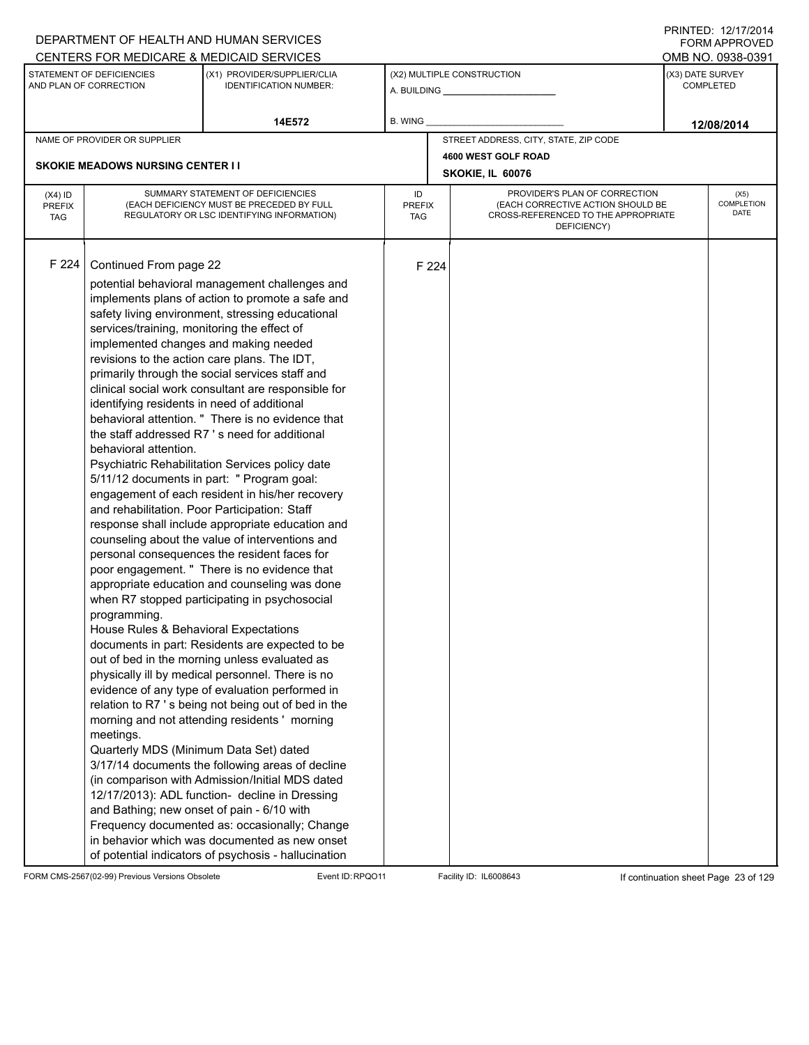|                                          |                                                                                                                                                                                                                                                                                                                                                                                                       | DEPARTMENT OF HEALTH AND HUMAN SERVICES                                                                                                                                                                                                                                                                                                                                                                                                                                                                                                                                                                                                                                                                                                                                                                                                                                                                                                                                                                                                                                                                                                                                                                                                                                                                                                                                                                                                                                                                                 |                            |       |                                                                                                                          |  | <b>FORM APPROVED</b>                 |  |  |
|------------------------------------------|-------------------------------------------------------------------------------------------------------------------------------------------------------------------------------------------------------------------------------------------------------------------------------------------------------------------------------------------------------------------------------------------------------|-------------------------------------------------------------------------------------------------------------------------------------------------------------------------------------------------------------------------------------------------------------------------------------------------------------------------------------------------------------------------------------------------------------------------------------------------------------------------------------------------------------------------------------------------------------------------------------------------------------------------------------------------------------------------------------------------------------------------------------------------------------------------------------------------------------------------------------------------------------------------------------------------------------------------------------------------------------------------------------------------------------------------------------------------------------------------------------------------------------------------------------------------------------------------------------------------------------------------------------------------------------------------------------------------------------------------------------------------------------------------------------------------------------------------------------------------------------------------------------------------------------------------|----------------------------|-------|--------------------------------------------------------------------------------------------------------------------------|--|--------------------------------------|--|--|
|                                          |                                                                                                                                                                                                                                                                                                                                                                                                       | CENTERS FOR MEDICARE & MEDICAID SERVICES                                                                                                                                                                                                                                                                                                                                                                                                                                                                                                                                                                                                                                                                                                                                                                                                                                                                                                                                                                                                                                                                                                                                                                                                                                                                                                                                                                                                                                                                                |                            |       |                                                                                                                          |  | OMB NO. 0938-0391                    |  |  |
|                                          | STATEMENT OF DEFICIENCIES<br>AND PLAN OF CORRECTION                                                                                                                                                                                                                                                                                                                                                   | (X1) PROVIDER/SUPPLIER/CLIA<br><b>IDENTIFICATION NUMBER:</b>                                                                                                                                                                                                                                                                                                                                                                                                                                                                                                                                                                                                                                                                                                                                                                                                                                                                                                                                                                                                                                                                                                                                                                                                                                                                                                                                                                                                                                                            |                            |       | (X2) MULTIPLE CONSTRUCTION                                                                                               |  | (X3) DATE SURVEY<br><b>COMPLETED</b> |  |  |
|                                          |                                                                                                                                                                                                                                                                                                                                                                                                       | 14E572                                                                                                                                                                                                                                                                                                                                                                                                                                                                                                                                                                                                                                                                                                                                                                                                                                                                                                                                                                                                                                                                                                                                                                                                                                                                                                                                                                                                                                                                                                                  | B. WING                    |       |                                                                                                                          |  | 12/08/2014                           |  |  |
|                                          | NAME OF PROVIDER OR SUPPLIER                                                                                                                                                                                                                                                                                                                                                                          |                                                                                                                                                                                                                                                                                                                                                                                                                                                                                                                                                                                                                                                                                                                                                                                                                                                                                                                                                                                                                                                                                                                                                                                                                                                                                                                                                                                                                                                                                                                         |                            |       | STREET ADDRESS, CITY, STATE, ZIP CODE                                                                                    |  |                                      |  |  |
|                                          |                                                                                                                                                                                                                                                                                                                                                                                                       |                                                                                                                                                                                                                                                                                                                                                                                                                                                                                                                                                                                                                                                                                                                                                                                                                                                                                                                                                                                                                                                                                                                                                                                                                                                                                                                                                                                                                                                                                                                         |                            |       | 4600 WEST GOLF ROAD                                                                                                      |  |                                      |  |  |
|                                          | <b>SKOKIE MEADOWS NURSING CENTER I I</b>                                                                                                                                                                                                                                                                                                                                                              |                                                                                                                                                                                                                                                                                                                                                                                                                                                                                                                                                                                                                                                                                                                                                                                                                                                                                                                                                                                                                                                                                                                                                                                                                                                                                                                                                                                                                                                                                                                         |                            |       | SKOKIE, IL 60076                                                                                                         |  |                                      |  |  |
| $(X4)$ ID<br><b>PREFIX</b><br><b>TAG</b> |                                                                                                                                                                                                                                                                                                                                                                                                       | SUMMARY STATEMENT OF DEFICIENCIES<br>(EACH DEFICIENCY MUST BE PRECEDED BY FULL<br>REGULATORY OR LSC IDENTIFYING INFORMATION)                                                                                                                                                                                                                                                                                                                                                                                                                                                                                                                                                                                                                                                                                                                                                                                                                                                                                                                                                                                                                                                                                                                                                                                                                                                                                                                                                                                            | ID<br><b>PREFIX</b><br>TAG |       | PROVIDER'S PLAN OF CORRECTION<br>(EACH CORRECTIVE ACTION SHOULD BE<br>CROSS-REFERENCED TO THE APPROPRIATE<br>DEFICIENCY) |  | (X5)<br>COMPLETION<br><b>DATE</b>    |  |  |
| F 224                                    | Continued From page 22<br>services/training, monitoring the effect of<br>implemented changes and making needed<br>identifying residents in need of additional<br>behavioral attention.<br>and rehabilitation. Poor Participation: Staff<br>programming.<br>House Rules & Behavioral Expectations<br>meetings.<br>Quarterly MDS (Minimum Data Set) dated<br>and Bathing; new onset of pain - 6/10 with | potential behavioral management challenges and<br>implements plans of action to promote a safe and<br>safety living environment, stressing educational<br>revisions to the action care plans. The IDT,<br>primarily through the social services staff and<br>clinical social work consultant are responsible for<br>behavioral attention. " There is no evidence that<br>the staff addressed R7's need for additional<br>Psychiatric Rehabilitation Services policy date<br>5/11/12 documents in part: " Program goal:<br>engagement of each resident in his/her recovery<br>response shall include appropriate education and<br>counseling about the value of interventions and<br>personal consequences the resident faces for<br>poor engagement. " There is no evidence that<br>appropriate education and counseling was done<br>when R7 stopped participating in psychosocial<br>documents in part: Residents are expected to be<br>out of bed in the morning unless evaluated as<br>physically ill by medical personnel. There is no<br>evidence of any type of evaluation performed in<br>relation to R7 's being not being out of bed in the<br>morning and not attending residents' morning<br>3/17/14 documents the following areas of decline<br>(in comparison with Admission/Initial MDS dated<br>12/17/2013): ADL function- decline in Dressing<br>Frequency documented as: occasionally; Change<br>in behavior which was documented as new onset<br>of potential indicators of psychosis - hallucination |                            | F 224 |                                                                                                                          |  |                                      |  |  |

FORM CMS-2567(02-99) Previous Versions Obsolete Event ID:RPQO11 Facility ID: IL6008643 If continuation sheet Page 23 of 129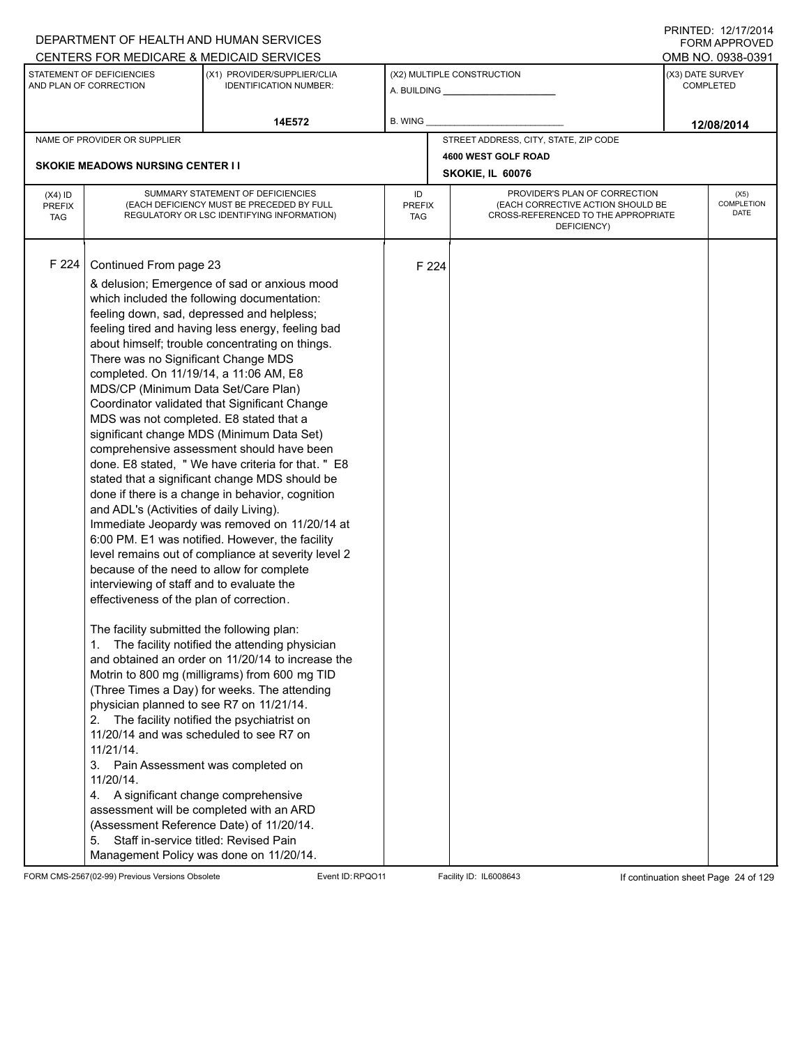|                                                                                                 |                                                                                                                                                                                                                                                                                                                                                                                                                                                                                                                                                                                                                                                                                                                                        | DEPARTMENT OF HEALTH AND HUMAN SERVICES                                                                                                                                                                                                                                                                                                                                                                                                                                                                                                                                                                                                                                                                                                                                                                                                                                                                                                                                                                                                                   |                  |                                                                                                                                           |                                              |                  | FNINILD. 14/11/4014<br><b>FORM APPROVED</b><br>OMB NO. 0938-0391 |  |
|-------------------------------------------------------------------------------------------------|----------------------------------------------------------------------------------------------------------------------------------------------------------------------------------------------------------------------------------------------------------------------------------------------------------------------------------------------------------------------------------------------------------------------------------------------------------------------------------------------------------------------------------------------------------------------------------------------------------------------------------------------------------------------------------------------------------------------------------------|-----------------------------------------------------------------------------------------------------------------------------------------------------------------------------------------------------------------------------------------------------------------------------------------------------------------------------------------------------------------------------------------------------------------------------------------------------------------------------------------------------------------------------------------------------------------------------------------------------------------------------------------------------------------------------------------------------------------------------------------------------------------------------------------------------------------------------------------------------------------------------------------------------------------------------------------------------------------------------------------------------------------------------------------------------------|------------------|-------------------------------------------------------------------------------------------------------------------------------------------|----------------------------------------------|------------------|------------------------------------------------------------------|--|
| CENTERS FOR MEDICARE & MEDICAID SERVICES<br>STATEMENT OF DEFICIENCIES<br>AND PLAN OF CORRECTION |                                                                                                                                                                                                                                                                                                                                                                                                                                                                                                                                                                                                                                                                                                                                        | (X1) PROVIDER/SUPPLIER/CLIA<br><b>IDENTIFICATION NUMBER:</b>                                                                                                                                                                                                                                                                                                                                                                                                                                                                                                                                                                                                                                                                                                                                                                                                                                                                                                                                                                                              |                  |                                                                                                                                           | (X2) MULTIPLE CONSTRUCTION<br>A. BUILDING A. | (X3) DATE SURVEY | <b>COMPLETED</b>                                                 |  |
|                                                                                                 |                                                                                                                                                                                                                                                                                                                                                                                                                                                                                                                                                                                                                                                                                                                                        | 14E572                                                                                                                                                                                                                                                                                                                                                                                                                                                                                                                                                                                                                                                                                                                                                                                                                                                                                                                                                                                                                                                    | <b>B. WING</b>   |                                                                                                                                           |                                              |                  | 12/08/2014                                                       |  |
|                                                                                                 | NAME OF PROVIDER OR SUPPLIER                                                                                                                                                                                                                                                                                                                                                                                                                                                                                                                                                                                                                                                                                                           |                                                                                                                                                                                                                                                                                                                                                                                                                                                                                                                                                                                                                                                                                                                                                                                                                                                                                                                                                                                                                                                           |                  |                                                                                                                                           | STREET ADDRESS, CITY, STATE, ZIP CODE        |                  |                                                                  |  |
|                                                                                                 | <b>SKOKIE MEADOWS NURSING CENTER II</b>                                                                                                                                                                                                                                                                                                                                                                                                                                                                                                                                                                                                                                                                                                |                                                                                                                                                                                                                                                                                                                                                                                                                                                                                                                                                                                                                                                                                                                                                                                                                                                                                                                                                                                                                                                           |                  |                                                                                                                                           | 4600 WEST GOLF ROAD<br>SKOKIE, IL 60076      |                  |                                                                  |  |
| $(X4)$ ID<br><b>PREFIX</b><br><b>TAG</b>                                                        |                                                                                                                                                                                                                                                                                                                                                                                                                                                                                                                                                                                                                                                                                                                                        | SUMMARY STATEMENT OF DEFICIENCIES<br>(EACH DEFICIENCY MUST BE PRECEDED BY FULL<br>REGULATORY OR LSC IDENTIFYING INFORMATION)                                                                                                                                                                                                                                                                                                                                                                                                                                                                                                                                                                                                                                                                                                                                                                                                                                                                                                                              | ID<br><b>TAG</b> | PROVIDER'S PLAN OF CORRECTION<br>(EACH CORRECTIVE ACTION SHOULD BE<br><b>PREFIX</b><br>CROSS-REFERENCED TO THE APPROPRIATE<br>DEFICIENCY) |                                              |                  |                                                                  |  |
| F 224                                                                                           | Continued From page 23<br>There was no Significant Change MDS<br>completed. On 11/19/14, a 11:06 AM, E8<br>MDS/CP (Minimum Data Set/Care Plan)<br>MDS was not completed. E8 stated that a<br>and ADL's (Activities of daily Living).<br>because of the need to allow for complete<br>interviewing of staff and to evaluate the<br>effectiveness of the plan of correction.<br>The facility submitted the following plan:<br>1.<br>physician planned to see R7 on 11/21/14.<br>2.<br>11/20/14 and was scheduled to see R7 on<br>$11/21/14$ .<br>3. Pain Assessment was completed on<br>11/20/14.<br>4. A significant change comprehensive<br>assessment will be completed with an ARD<br>(Assessment Reference Date) of 11/20/14.<br>5. | & delusion; Emergence of sad or anxious mood<br>which included the following documentation:<br>feeling down, sad, depressed and helpless;<br>feeling tired and having less energy, feeling bad<br>about himself; trouble concentrating on things.<br>Coordinator validated that Significant Change<br>significant change MDS (Minimum Data Set)<br>comprehensive assessment should have been<br>done. E8 stated, "We have criteria for that." E8<br>stated that a significant change MDS should be<br>done if there is a change in behavior, cognition<br>Immediate Jeopardy was removed on 11/20/14 at<br>6:00 PM. E1 was notified. However, the facility<br>level remains out of compliance at severity level 2<br>The facility notified the attending physician<br>and obtained an order on 11/20/14 to increase the<br>Motrin to 800 mg (milligrams) from 600 mg TID<br>(Three Times a Day) for weeks. The attending<br>The facility notified the psychiatrist on<br>Staff in-service titled: Revised Pain<br>Management Policy was done on 11/20/14. |                  | F 224                                                                                                                                     |                                              |                  |                                                                  |  |

FORM CMS-2567(02-99) Previous Versions Obsolete Event ID:RPQO11 Facility ID: IL6008643 If continuation sheet Page 24 of 129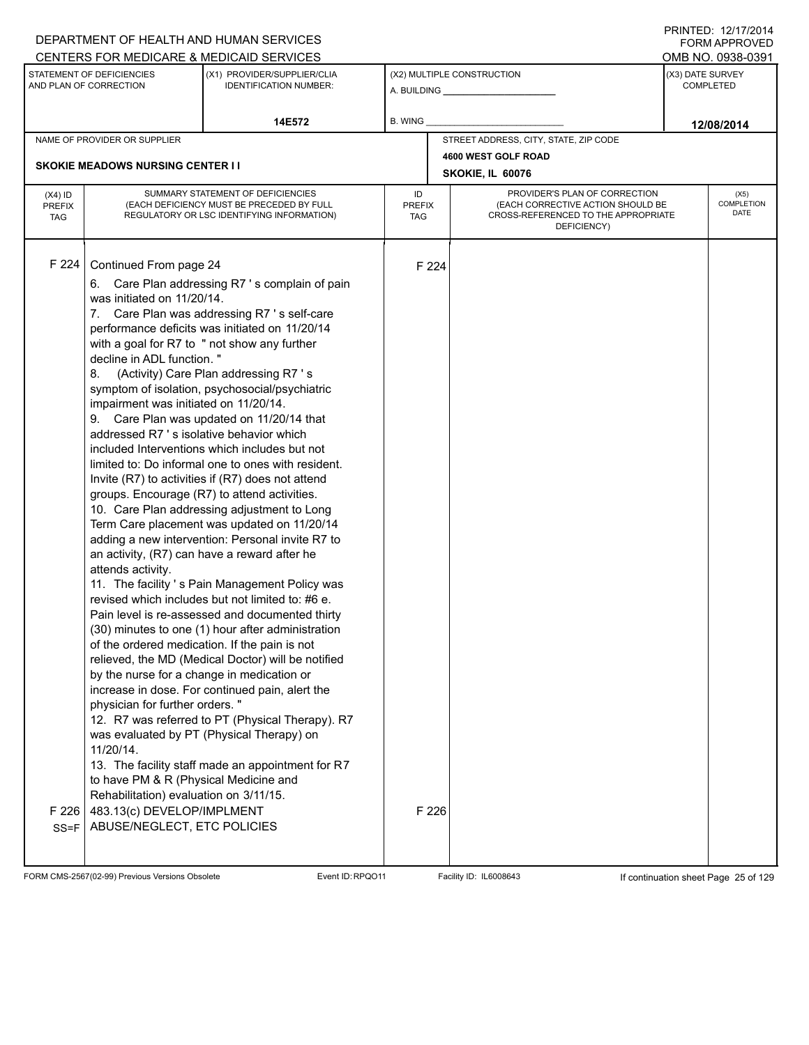| CENTERS FOR MEDICARE & MEDICAID SERVICES<br>OMB NO. 0938-0391<br>STATEMENT OF DEFICIENCIES<br>(X1) PROVIDER/SUPPLIER/CLIA<br>(X2) MULTIPLE CONSTRUCTION<br>(X3) DATE SURVEY<br>AND PLAN OF CORRECTION<br><b>IDENTIFICATION NUMBER:</b><br><b>COMPLETED</b><br>B. WING<br>14E572<br>12/08/2014<br>STREET ADDRESS, CITY, STATE, ZIP CODE<br>NAME OF PROVIDER OR SUPPLIER<br>4600 WEST GOLF ROAD<br><b>SKOKIE MEADOWS NURSING CENTER I I</b><br>SKOKIE, IL 60076<br>PROVIDER'S PLAN OF CORRECTION<br>SUMMARY STATEMENT OF DEFICIENCIES<br>ID<br>$(X4)$ ID<br>(X5)<br>(EACH DEFICIENCY MUST BE PRECEDED BY FULL<br>(EACH CORRECTIVE ACTION SHOULD BE<br><b>PREFIX</b><br><b>PREFIX</b><br><b>DATE</b><br>CROSS-REFERENCED TO THE APPROPRIATE<br>REGULATORY OR LSC IDENTIFYING INFORMATION)<br><b>TAG</b><br><b>TAG</b><br>DEFICIENCY)<br>F 224<br>Continued From page 24<br>F 224<br>6. Care Plan addressing R7's complain of pain<br>was initiated on 11/20/14.<br>7. Care Plan was addressing R7's self-care<br>performance deficits was initiated on 11/20/14<br>with a goal for R7 to " not show any further<br>decline in ADL function."<br>(Activity) Care Plan addressing R7 's<br>8.<br>symptom of isolation, psychosocial/psychiatric<br>impairment was initiated on 11/20/14.<br>9. Care Plan was updated on 11/20/14 that<br>addressed R7 's isolative behavior which<br>included Interventions which includes but not<br>limited to: Do informal one to ones with resident.<br>Invite (R7) to activities if (R7) does not attend<br>groups. Encourage (R7) to attend activities.<br>10. Care Plan addressing adjustment to Long<br>Term Care placement was updated on 11/20/14<br>adding a new intervention: Personal invite R7 to<br>an activity, (R7) can have a reward after he<br>attends activity.<br>11. The facility 's Pain Management Policy was<br>revised which includes but not limited to: #6 e.<br>Pain level is re-assessed and documented thirty<br>(30) minutes to one (1) hour after administration<br>of the ordered medication. If the pain is not<br>relieved, the MD (Medical Doctor) will be notified<br>by the nurse for a change in medication or<br>increase in dose. For continued pain, alert the<br>physician for further orders."<br>12. R7 was referred to PT (Physical Therapy). R7<br>was evaluated by PT (Physical Therapy) on<br>11/20/14.<br>13. The facility staff made an appointment for R7<br>to have PM & R (Physical Medicine and<br>Rehabilitation) evaluation on 3/11/15. |  | DEPARTMENT OF HEALTH AND HUMAN SERVICES |  | <b>FORM APPROVED</b> |
|-------------------------------------------------------------------------------------------------------------------------------------------------------------------------------------------------------------------------------------------------------------------------------------------------------------------------------------------------------------------------------------------------------------------------------------------------------------------------------------------------------------------------------------------------------------------------------------------------------------------------------------------------------------------------------------------------------------------------------------------------------------------------------------------------------------------------------------------------------------------------------------------------------------------------------------------------------------------------------------------------------------------------------------------------------------------------------------------------------------------------------------------------------------------------------------------------------------------------------------------------------------------------------------------------------------------------------------------------------------------------------------------------------------------------------------------------------------------------------------------------------------------------------------------------------------------------------------------------------------------------------------------------------------------------------------------------------------------------------------------------------------------------------------------------------------------------------------------------------------------------------------------------------------------------------------------------------------------------------------------------------------------------------------------------------------------------------------------------------------------------------------------------------------------------------------------------------------------------------------------------------------------------------------------------------------------------------------------------------------------------------------------------------------------------------------------------------------------------------------------------------------------------------|--|-----------------------------------------|--|----------------------|
|                                                                                                                                                                                                                                                                                                                                                                                                                                                                                                                                                                                                                                                                                                                                                                                                                                                                                                                                                                                                                                                                                                                                                                                                                                                                                                                                                                                                                                                                                                                                                                                                                                                                                                                                                                                                                                                                                                                                                                                                                                                                                                                                                                                                                                                                                                                                                                                                                                                                                                                               |  |                                         |  |                      |
|                                                                                                                                                                                                                                                                                                                                                                                                                                                                                                                                                                                                                                                                                                                                                                                                                                                                                                                                                                                                                                                                                                                                                                                                                                                                                                                                                                                                                                                                                                                                                                                                                                                                                                                                                                                                                                                                                                                                                                                                                                                                                                                                                                                                                                                                                                                                                                                                                                                                                                                               |  |                                         |  |                      |
|                                                                                                                                                                                                                                                                                                                                                                                                                                                                                                                                                                                                                                                                                                                                                                                                                                                                                                                                                                                                                                                                                                                                                                                                                                                                                                                                                                                                                                                                                                                                                                                                                                                                                                                                                                                                                                                                                                                                                                                                                                                                                                                                                                                                                                                                                                                                                                                                                                                                                                                               |  |                                         |  |                      |
|                                                                                                                                                                                                                                                                                                                                                                                                                                                                                                                                                                                                                                                                                                                                                                                                                                                                                                                                                                                                                                                                                                                                                                                                                                                                                                                                                                                                                                                                                                                                                                                                                                                                                                                                                                                                                                                                                                                                                                                                                                                                                                                                                                                                                                                                                                                                                                                                                                                                                                                               |  |                                         |  |                      |
|                                                                                                                                                                                                                                                                                                                                                                                                                                                                                                                                                                                                                                                                                                                                                                                                                                                                                                                                                                                                                                                                                                                                                                                                                                                                                                                                                                                                                                                                                                                                                                                                                                                                                                                                                                                                                                                                                                                                                                                                                                                                                                                                                                                                                                                                                                                                                                                                                                                                                                                               |  |                                         |  |                      |
|                                                                                                                                                                                                                                                                                                                                                                                                                                                                                                                                                                                                                                                                                                                                                                                                                                                                                                                                                                                                                                                                                                                                                                                                                                                                                                                                                                                                                                                                                                                                                                                                                                                                                                                                                                                                                                                                                                                                                                                                                                                                                                                                                                                                                                                                                                                                                                                                                                                                                                                               |  |                                         |  |                      |
|                                                                                                                                                                                                                                                                                                                                                                                                                                                                                                                                                                                                                                                                                                                                                                                                                                                                                                                                                                                                                                                                                                                                                                                                                                                                                                                                                                                                                                                                                                                                                                                                                                                                                                                                                                                                                                                                                                                                                                                                                                                                                                                                                                                                                                                                                                                                                                                                                                                                                                                               |  |                                         |  | <b>COMPLETION</b>    |
| 483.13(c) DEVELOP/IMPLMENT<br>F 226<br>F 226<br>ABUSE/NEGLECT, ETC POLICIES<br>$SS = F$                                                                                                                                                                                                                                                                                                                                                                                                                                                                                                                                                                                                                                                                                                                                                                                                                                                                                                                                                                                                                                                                                                                                                                                                                                                                                                                                                                                                                                                                                                                                                                                                                                                                                                                                                                                                                                                                                                                                                                                                                                                                                                                                                                                                                                                                                                                                                                                                                                       |  |                                         |  |                      |

FORM CMS-2567(02-99) Previous Versions Obsolete Event ID:RPQO11 Facility ID: IL6008643 If continuation sheet Page 25 of 129

DEPARTMENT OF HEALTH AND HUMAN SERVICES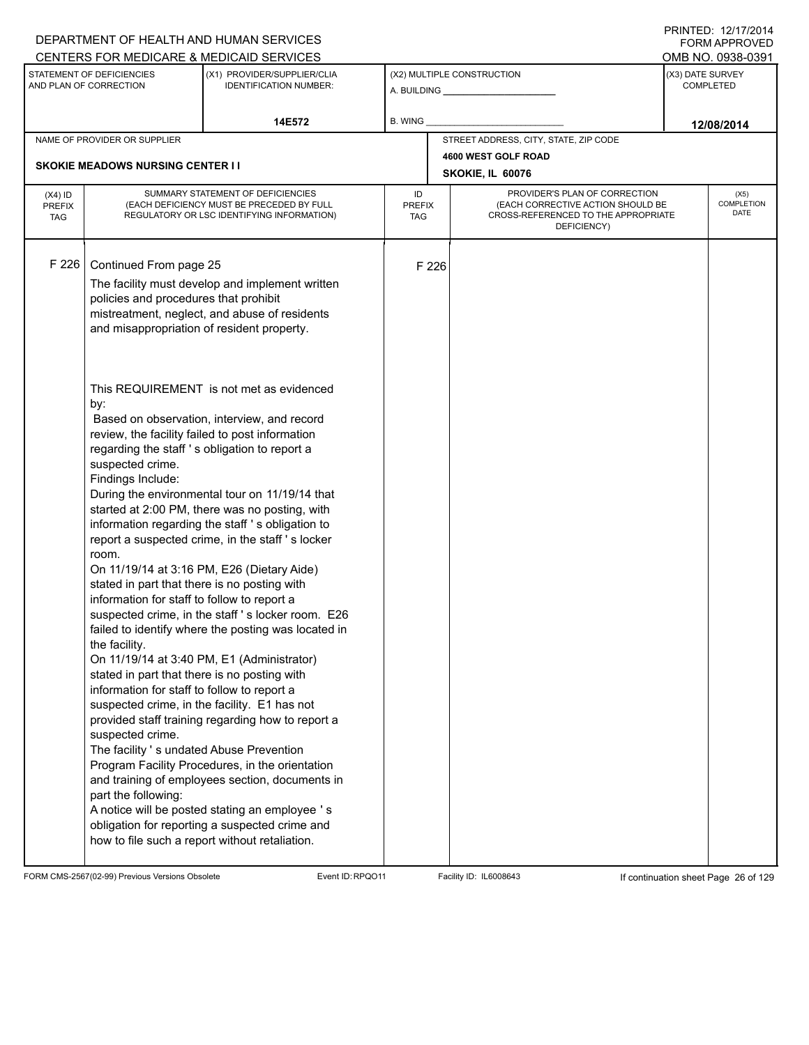|                                          |                                                                                                                                                                                                                                                                                                                                                                                                                                                                                                                | DEPARTMENT OF HEALTH AND HUMAN SERVICES                                                                                                                                                                                                                                                                                                                                                                                                                                                                                                                                                                                                                                                                                                                                          |                            |       |                                                                                                                          | <b>FORM APPROVED</b>                 |
|------------------------------------------|----------------------------------------------------------------------------------------------------------------------------------------------------------------------------------------------------------------------------------------------------------------------------------------------------------------------------------------------------------------------------------------------------------------------------------------------------------------------------------------------------------------|----------------------------------------------------------------------------------------------------------------------------------------------------------------------------------------------------------------------------------------------------------------------------------------------------------------------------------------------------------------------------------------------------------------------------------------------------------------------------------------------------------------------------------------------------------------------------------------------------------------------------------------------------------------------------------------------------------------------------------------------------------------------------------|----------------------------|-------|--------------------------------------------------------------------------------------------------------------------------|--------------------------------------|
|                                          |                                                                                                                                                                                                                                                                                                                                                                                                                                                                                                                | CENTERS FOR MEDICARE & MEDICAID SERVICES                                                                                                                                                                                                                                                                                                                                                                                                                                                                                                                                                                                                                                                                                                                                         |                            |       |                                                                                                                          | OMB NO. 0938-0391                    |
|                                          | STATEMENT OF DEFICIENCIES<br>AND PLAN OF CORRECTION                                                                                                                                                                                                                                                                                                                                                                                                                                                            | (X1) PROVIDER/SUPPLIER/CLIA<br><b>IDENTIFICATION NUMBER:</b>                                                                                                                                                                                                                                                                                                                                                                                                                                                                                                                                                                                                                                                                                                                     |                            |       | (X2) MULTIPLE CONSTRUCTION                                                                                               | (X3) DATE SURVEY<br><b>COMPLETED</b> |
|                                          |                                                                                                                                                                                                                                                                                                                                                                                                                                                                                                                | 14E572                                                                                                                                                                                                                                                                                                                                                                                                                                                                                                                                                                                                                                                                                                                                                                           | B. WING                    |       |                                                                                                                          | 12/08/2014                           |
|                                          | NAME OF PROVIDER OR SUPPLIER                                                                                                                                                                                                                                                                                                                                                                                                                                                                                   |                                                                                                                                                                                                                                                                                                                                                                                                                                                                                                                                                                                                                                                                                                                                                                                  |                            |       | STREET ADDRESS, CITY, STATE, ZIP CODE                                                                                    |                                      |
|                                          | <b>SKOKIE MEADOWS NURSING CENTER I I</b>                                                                                                                                                                                                                                                                                                                                                                                                                                                                       |                                                                                                                                                                                                                                                                                                                                                                                                                                                                                                                                                                                                                                                                                                                                                                                  |                            |       | 4600 WEST GOLF ROAD                                                                                                      |                                      |
|                                          |                                                                                                                                                                                                                                                                                                                                                                                                                                                                                                                |                                                                                                                                                                                                                                                                                                                                                                                                                                                                                                                                                                                                                                                                                                                                                                                  |                            |       | SKOKIE, IL 60076                                                                                                         |                                      |
| $(X4)$ ID<br><b>PREFIX</b><br><b>TAG</b> |                                                                                                                                                                                                                                                                                                                                                                                                                                                                                                                | SUMMARY STATEMENT OF DEFICIENCIES<br>(EACH DEFICIENCY MUST BE PRECEDED BY FULL<br>REGULATORY OR LSC IDENTIFYING INFORMATION)                                                                                                                                                                                                                                                                                                                                                                                                                                                                                                                                                                                                                                                     | ID<br><b>PREFIX</b><br>TAG |       | PROVIDER'S PLAN OF CORRECTION<br>(EACH CORRECTIVE ACTION SHOULD BE<br>CROSS-REFERENCED TO THE APPROPRIATE<br>DEFICIENCY) | (X5)<br>COMPLETION<br>DATE           |
| F 226                                    | Continued From page 25<br>policies and procedures that prohibit<br>and misappropriation of resident property.                                                                                                                                                                                                                                                                                                                                                                                                  | The facility must develop and implement written<br>mistreatment, neglect, and abuse of residents<br>This REQUIREMENT is not met as evidenced                                                                                                                                                                                                                                                                                                                                                                                                                                                                                                                                                                                                                                     |                            | F 226 |                                                                                                                          |                                      |
|                                          | by:<br>regarding the staff 's obligation to report a<br>suspected crime.<br>Findings Include:<br>room.<br>stated in part that there is no posting with<br>information for staff to follow to report a<br>the facility.<br>stated in part that there is no posting with<br>information for staff to follow to report a<br>suspected crime, in the facility. E1 has not<br>suspected crime.<br>The facility 's undated Abuse Prevention<br>part the following:<br>how to file such a report without retaliation. | Based on observation, interview, and record<br>review, the facility failed to post information<br>During the environmental tour on 11/19/14 that<br>started at 2:00 PM, there was no posting, with<br>information regarding the staff 's obligation to<br>report a suspected crime, in the staff's locker<br>On 11/19/14 at 3:16 PM, E26 (Dietary Aide)<br>suspected crime, in the staff 's locker room. E26<br>failed to identify where the posting was located in<br>On 11/19/14 at 3:40 PM, E1 (Administrator)<br>provided staff training regarding how to report a<br>Program Facility Procedures, in the orientation<br>and training of employees section, documents in<br>A notice will be posted stating an employee 's<br>obligation for reporting a suspected crime and |                            |       |                                                                                                                          |                                      |

FORM CMS-2567(02-99) Previous Versions Obsolete Event ID:RPQO11 Facility ID: IL6008643 If continuation sheet Page 26 of 129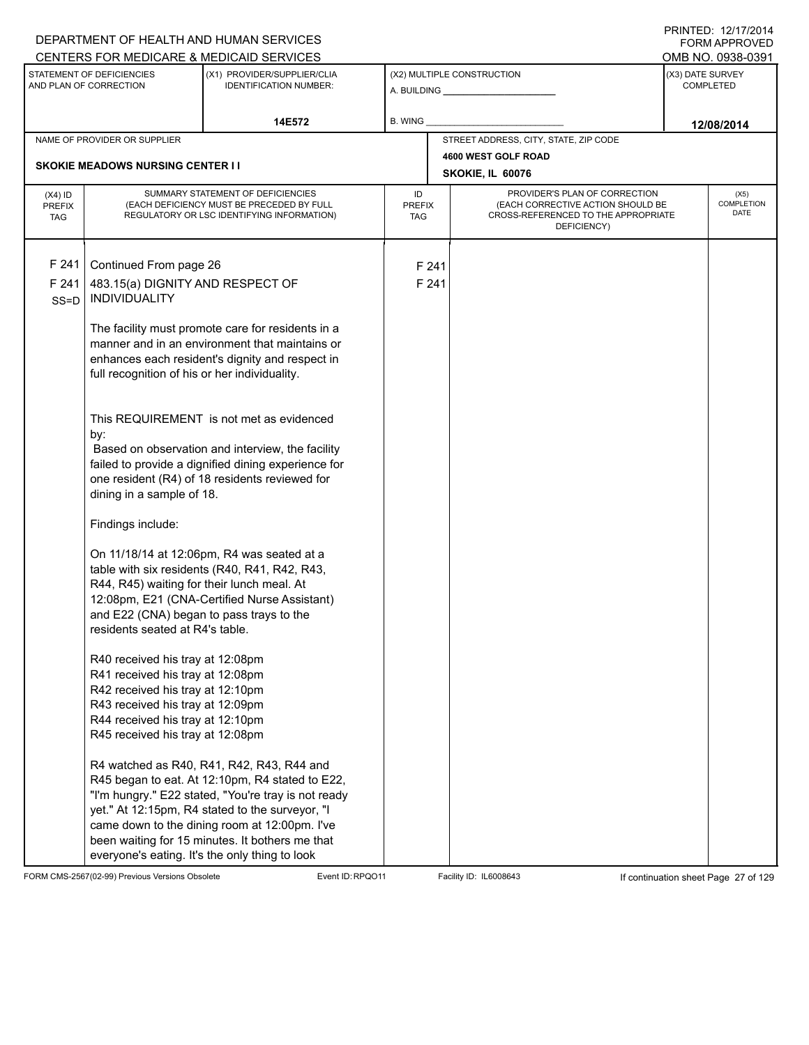|                                          |                                                     | DEPARTMENT OF HEALTH AND HUMAN SERVICES                                                                                      |                            |       |                                                                                                                          |                  | <b>FORM APPROVED</b>              |
|------------------------------------------|-----------------------------------------------------|------------------------------------------------------------------------------------------------------------------------------|----------------------------|-------|--------------------------------------------------------------------------------------------------------------------------|------------------|-----------------------------------|
|                                          |                                                     | CENTERS FOR MEDICARE & MEDICAID SERVICES                                                                                     |                            |       |                                                                                                                          |                  | OMB NO. 0938-0391                 |
|                                          | STATEMENT OF DEFICIENCIES<br>AND PLAN OF CORRECTION | (X1) PROVIDER/SUPPLIER/CLIA<br><b>IDENTIFICATION NUMBER:</b>                                                                 |                            |       | (X2) MULTIPLE CONSTRUCTION<br>A. BUILDING A. BUILDING                                                                    | (X3) DATE SURVEY | <b>COMPLETED</b>                  |
|                                          |                                                     | 14E572                                                                                                                       | B. WING                    |       |                                                                                                                          |                  | 12/08/2014                        |
|                                          | NAME OF PROVIDER OR SUPPLIER                        |                                                                                                                              |                            |       | STREET ADDRESS, CITY, STATE, ZIP CODE                                                                                    |                  |                                   |
|                                          |                                                     |                                                                                                                              |                            |       | 4600 WEST GOLF ROAD                                                                                                      |                  |                                   |
|                                          | <b>SKOKIE MEADOWS NURSING CENTER I I</b>            |                                                                                                                              |                            |       | SKOKIE, IL 60076                                                                                                         |                  |                                   |
| $(X4)$ ID<br><b>PREFIX</b><br><b>TAG</b> |                                                     | SUMMARY STATEMENT OF DEFICIENCIES<br>(EACH DEFICIENCY MUST BE PRECEDED BY FULL<br>REGULATORY OR LSC IDENTIFYING INFORMATION) | ID<br><b>PREFIX</b><br>TAG |       | PROVIDER'S PLAN OF CORRECTION<br>(EACH CORRECTIVE ACTION SHOULD BE<br>CROSS-REFERENCED TO THE APPROPRIATE<br>DEFICIENCY) |                  | (X5)<br><b>COMPLETION</b><br>DATE |
| F 241                                    | Continued From page 26                              |                                                                                                                              |                            | F 241 |                                                                                                                          |                  |                                   |
| F 241                                    | 483.15(a) DIGNITY AND RESPECT OF                    |                                                                                                                              |                            | F 241 |                                                                                                                          |                  |                                   |
| $SS = D$                                 | <b>INDIVIDUALITY</b>                                |                                                                                                                              |                            |       |                                                                                                                          |                  |                                   |
|                                          |                                                     | The facility must promote care for residents in a<br>manner and in an environment that maintains or                          |                            |       |                                                                                                                          |                  |                                   |
|                                          |                                                     | enhances each resident's dignity and respect in                                                                              |                            |       |                                                                                                                          |                  |                                   |
|                                          | full recognition of his or her individuality.       |                                                                                                                              |                            |       |                                                                                                                          |                  |                                   |
|                                          |                                                     | This REQUIREMENT is not met as evidenced                                                                                     |                            |       |                                                                                                                          |                  |                                   |
|                                          | by:                                                 |                                                                                                                              |                            |       |                                                                                                                          |                  |                                   |
|                                          |                                                     | Based on observation and interview, the facility                                                                             |                            |       |                                                                                                                          |                  |                                   |
|                                          |                                                     | failed to provide a dignified dining experience for<br>one resident (R4) of 18 residents reviewed for                        |                            |       |                                                                                                                          |                  |                                   |
|                                          | dining in a sample of 18.                           |                                                                                                                              |                            |       |                                                                                                                          |                  |                                   |
|                                          | Findings include:                                   |                                                                                                                              |                            |       |                                                                                                                          |                  |                                   |
|                                          |                                                     | On 11/18/14 at 12:06pm, R4 was seated at a                                                                                   |                            |       |                                                                                                                          |                  |                                   |
|                                          |                                                     | table with six residents (R40, R41, R42, R43,                                                                                |                            |       |                                                                                                                          |                  |                                   |
|                                          | R44, R45) waiting for their lunch meal. At          |                                                                                                                              |                            |       |                                                                                                                          |                  |                                   |
|                                          | and E22 (CNA) began to pass trays to the            | 12:08pm, E21 (CNA-Certified Nurse Assistant)                                                                                 |                            |       |                                                                                                                          |                  |                                   |
|                                          | residents seated at R4's table.                     |                                                                                                                              |                            |       |                                                                                                                          |                  |                                   |
|                                          | R40 received his tray at 12:08pm                    |                                                                                                                              |                            |       |                                                                                                                          |                  |                                   |
|                                          | R41 received his tray at 12:08pm                    |                                                                                                                              |                            |       |                                                                                                                          |                  |                                   |
|                                          | R42 received his tray at 12:10pm                    |                                                                                                                              |                            |       |                                                                                                                          |                  |                                   |
|                                          | R43 received his tray at 12:09pm                    |                                                                                                                              |                            |       |                                                                                                                          |                  |                                   |
|                                          | R44 received his tray at 12:10pm                    |                                                                                                                              |                            |       |                                                                                                                          |                  |                                   |
|                                          | R45 received his tray at 12:08pm                    |                                                                                                                              |                            |       |                                                                                                                          |                  |                                   |
|                                          |                                                     | R4 watched as R40, R41, R42, R43, R44 and                                                                                    |                            |       |                                                                                                                          |                  |                                   |
|                                          |                                                     | R45 began to eat. At 12:10pm, R4 stated to E22,                                                                              |                            |       |                                                                                                                          |                  |                                   |
|                                          |                                                     | "I'm hungry." E22 stated, "You're tray is not ready                                                                          |                            |       |                                                                                                                          |                  |                                   |
|                                          |                                                     | yet." At 12:15pm, R4 stated to the surveyor, "I                                                                              |                            |       |                                                                                                                          |                  |                                   |
|                                          |                                                     | came down to the dining room at 12:00pm. I've                                                                                |                            |       |                                                                                                                          |                  |                                   |
|                                          |                                                     | been waiting for 15 minutes. It bothers me that<br>everyone's eating. It's the only thing to look                            |                            |       |                                                                                                                          |                  |                                   |

FORM CMS-2567(02-99) Previous Versions Obsolete Event ID:RPQO11 Facility ID: IL6008643 If continuation sheet Page 27 of 129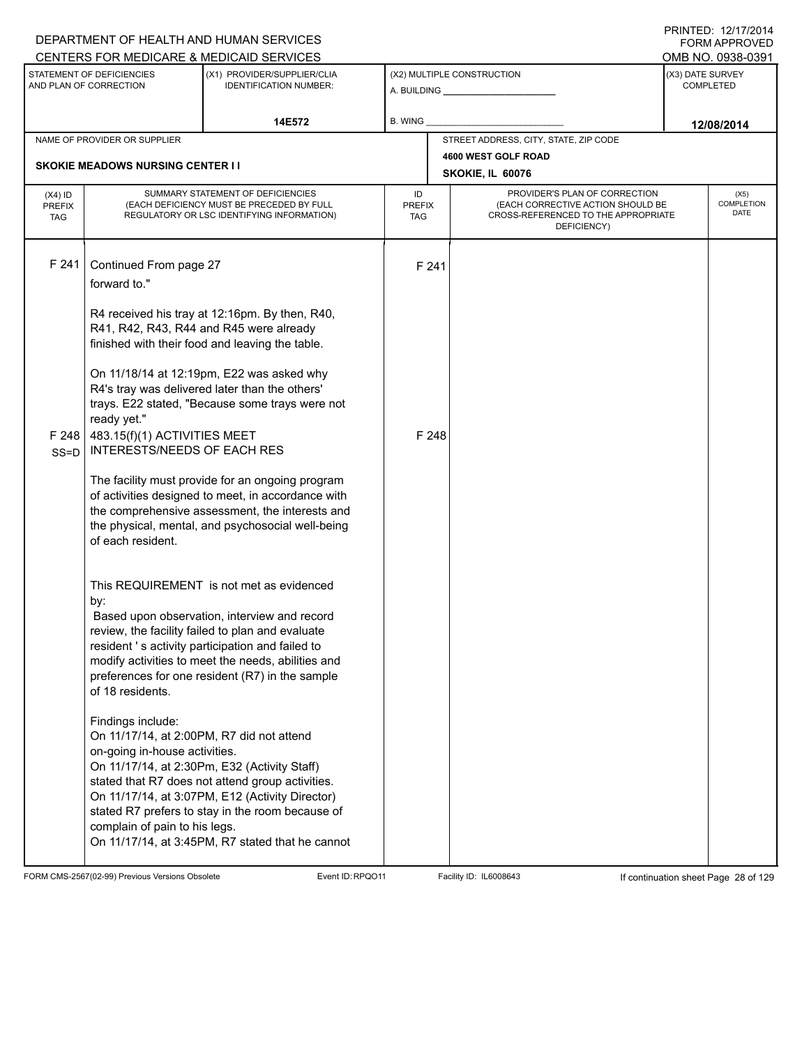|                                          |                                                                                                                                  | DEPARTMENT OF HEALTH AND HUMAN SERVICES<br>CENTERS FOR MEDICARE & MEDICAID SERVICES                                                                                                                                                                                                                       |                                   |                                         |                                                                                                                          |                  | FNINILD. IZIIIIZVI <del>4</del><br>FORM APPROVED<br>OMB NO. 0938-0391 |
|------------------------------------------|----------------------------------------------------------------------------------------------------------------------------------|-----------------------------------------------------------------------------------------------------------------------------------------------------------------------------------------------------------------------------------------------------------------------------------------------------------|-----------------------------------|-----------------------------------------|--------------------------------------------------------------------------------------------------------------------------|------------------|-----------------------------------------------------------------------|
|                                          | STATEMENT OF DEFICIENCIES<br>AND PLAN OF CORRECTION                                                                              | (X1) PROVIDER/SUPPLIER/CLIA<br><b>IDENTIFICATION NUMBER:</b>                                                                                                                                                                                                                                              |                                   |                                         | (X2) MULTIPLE CONSTRUCTION                                                                                               | (X3) DATE SURVEY | <b>COMPLETED</b>                                                      |
|                                          |                                                                                                                                  | 14E572                                                                                                                                                                                                                                                                                                    | <b>B. WING</b>                    |                                         |                                                                                                                          |                  | 12/08/2014                                                            |
|                                          | NAME OF PROVIDER OR SUPPLIER                                                                                                     |                                                                                                                                                                                                                                                                                                           |                                   |                                         | STREET ADDRESS, CITY, STATE, ZIP CODE                                                                                    |                  |                                                                       |
|                                          | <b>SKOKIE MEADOWS NURSING CENTER I I</b>                                                                                         |                                                                                                                                                                                                                                                                                                           |                                   | 4600 WEST GOLF ROAD<br>SKOKIE, IL 60076 |                                                                                                                          |                  |                                                                       |
| $(X4)$ ID<br><b>PREFIX</b><br><b>TAG</b> |                                                                                                                                  | SUMMARY STATEMENT OF DEFICIENCIES<br>(EACH DEFICIENCY MUST BE PRECEDED BY FULL<br>REGULATORY OR LSC IDENTIFYING INFORMATION)                                                                                                                                                                              | ID<br><b>PREFIX</b><br><b>TAG</b> |                                         | PROVIDER'S PLAN OF CORRECTION<br>(EACH CORRECTIVE ACTION SHOULD BE<br>CROSS-REFERENCED TO THE APPROPRIATE<br>DEFICIENCY) |                  | (X5)<br>COMPLETION<br><b>DATE</b>                                     |
| F 241                                    | Continued From page 27<br>forward to."                                                                                           | R4 received his tray at 12:16pm. By then, R40,                                                                                                                                                                                                                                                            |                                   | F 241                                   |                                                                                                                          |                  |                                                                       |
|                                          | ready yet."                                                                                                                      | R41, R42, R43, R44 and R45 were already<br>finished with their food and leaving the table.<br>On 11/18/14 at 12:19pm, E22 was asked why<br>R4's tray was delivered later than the others'<br>trays. E22 stated, "Because some trays were not                                                              |                                   |                                         |                                                                                                                          |                  |                                                                       |
| F 248<br>$SS = D$                        | 483.15(f)(1) ACTIVITIES MEET<br><b>INTERESTS/NEEDS OF EACH RES</b><br>of each resident.                                          | The facility must provide for an ongoing program<br>of activities designed to meet, in accordance with<br>the comprehensive assessment, the interests and<br>the physical, mental, and psychosocial well-being                                                                                            |                                   | F 248                                   |                                                                                                                          |                  |                                                                       |
|                                          | by:<br>of 18 residents.                                                                                                          | This REQUIREMENT is not met as evidenced<br>Based upon observation, interview and record<br>review, the facility failed to plan and evaluate<br>resident 's activity participation and failed to<br>modify activities to meet the needs, abilities and<br>preferences for one resident (R7) in the sample |                                   |                                         |                                                                                                                          |                  |                                                                       |
|                                          | Findings include:<br>On 11/17/14, at 2:00PM, R7 did not attend<br>on-going in-house activities.<br>complain of pain to his legs. | On 11/17/14, at 2:30Pm, E32 (Activity Staff)<br>stated that R7 does not attend group activities.<br>On 11/17/14, at 3:07PM, E12 (Activity Director)<br>stated R7 prefers to stay in the room because of<br>On 11/17/14, at 3:45PM, R7 stated that he cannot                                               |                                   |                                         |                                                                                                                          |                  |                                                                       |

FORM CMS-2567(02-99) Previous Versions Obsolete Event ID:RPQO11 Facility ID: IL6008643 If continuation sheet Page 28 of 129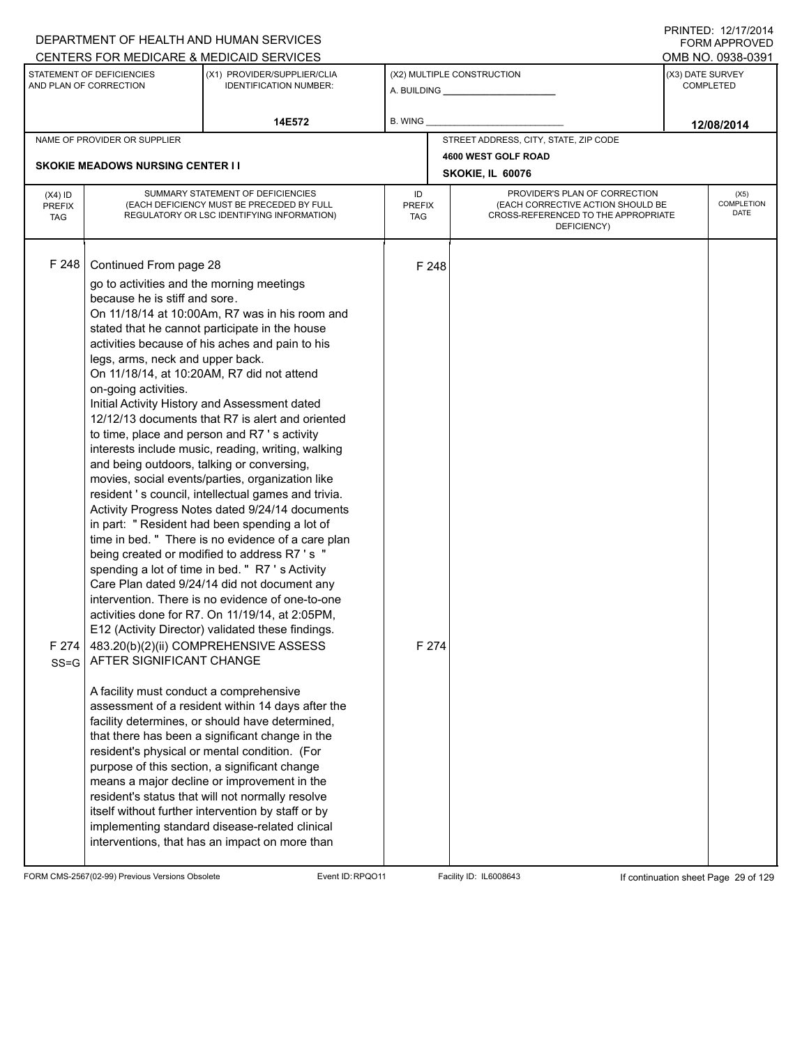|                                   |                                                                                                                                                                                                                                                                                       | DEPARTMENT OF HEALTH AND HUMAN SERVICES                                                                                                                                                                                                                                                                                                                                                                                                                                                                                                                                                                                                                                                                                                                                                                                                                                                                                                                                                                                                                                                                                                                                                                                                                                                                                                                                                                                                                                                                                                                              |                                   |                |                                                                                                                          |                                      | FORM APPROVED                     |
|-----------------------------------|---------------------------------------------------------------------------------------------------------------------------------------------------------------------------------------------------------------------------------------------------------------------------------------|----------------------------------------------------------------------------------------------------------------------------------------------------------------------------------------------------------------------------------------------------------------------------------------------------------------------------------------------------------------------------------------------------------------------------------------------------------------------------------------------------------------------------------------------------------------------------------------------------------------------------------------------------------------------------------------------------------------------------------------------------------------------------------------------------------------------------------------------------------------------------------------------------------------------------------------------------------------------------------------------------------------------------------------------------------------------------------------------------------------------------------------------------------------------------------------------------------------------------------------------------------------------------------------------------------------------------------------------------------------------------------------------------------------------------------------------------------------------------------------------------------------------------------------------------------------------|-----------------------------------|----------------|--------------------------------------------------------------------------------------------------------------------------|--------------------------------------|-----------------------------------|
|                                   |                                                                                                                                                                                                                                                                                       | CENTERS FOR MEDICARE & MEDICAID SERVICES                                                                                                                                                                                                                                                                                                                                                                                                                                                                                                                                                                                                                                                                                                                                                                                                                                                                                                                                                                                                                                                                                                                                                                                                                                                                                                                                                                                                                                                                                                                             |                                   |                |                                                                                                                          |                                      | OMB NO. 0938-0391                 |
|                                   | STATEMENT OF DEFICIENCIES<br>(X1) PROVIDER/SUPPLIER/CLIA<br>AND PLAN OF CORRECTION<br><b>IDENTIFICATION NUMBER:</b>                                                                                                                                                                   |                                                                                                                                                                                                                                                                                                                                                                                                                                                                                                                                                                                                                                                                                                                                                                                                                                                                                                                                                                                                                                                                                                                                                                                                                                                                                                                                                                                                                                                                                                                                                                      | (X2) MULTIPLE CONSTRUCTION        |                |                                                                                                                          | (X3) DATE SURVEY<br><b>COMPLETED</b> |                                   |
|                                   |                                                                                                                                                                                                                                                                                       | 14E572                                                                                                                                                                                                                                                                                                                                                                                                                                                                                                                                                                                                                                                                                                                                                                                                                                                                                                                                                                                                                                                                                                                                                                                                                                                                                                                                                                                                                                                                                                                                                               | B. WING                           |                |                                                                                                                          |                                      | 12/08/2014                        |
|                                   | NAME OF PROVIDER OR SUPPLIER                                                                                                                                                                                                                                                          |                                                                                                                                                                                                                                                                                                                                                                                                                                                                                                                                                                                                                                                                                                                                                                                                                                                                                                                                                                                                                                                                                                                                                                                                                                                                                                                                                                                                                                                                                                                                                                      |                                   |                | STREET ADDRESS, CITY, STATE, ZIP CODE                                                                                    |                                      |                                   |
|                                   | <b>SKOKIE MEADOWS NURSING CENTER II</b>                                                                                                                                                                                                                                               |                                                                                                                                                                                                                                                                                                                                                                                                                                                                                                                                                                                                                                                                                                                                                                                                                                                                                                                                                                                                                                                                                                                                                                                                                                                                                                                                                                                                                                                                                                                                                                      |                                   |                | 4600 WEST GOLF ROAD                                                                                                      |                                      |                                   |
|                                   |                                                                                                                                                                                                                                                                                       |                                                                                                                                                                                                                                                                                                                                                                                                                                                                                                                                                                                                                                                                                                                                                                                                                                                                                                                                                                                                                                                                                                                                                                                                                                                                                                                                                                                                                                                                                                                                                                      |                                   |                | SKOKIE, IL 60076                                                                                                         |                                      |                                   |
| $(X4)$ ID<br>PREFIX<br><b>TAG</b> |                                                                                                                                                                                                                                                                                       | SUMMARY STATEMENT OF DEFICIENCIES<br>(EACH DEFICIENCY MUST BE PRECEDED BY FULL<br>REGULATORY OR LSC IDENTIFYING INFORMATION)                                                                                                                                                                                                                                                                                                                                                                                                                                                                                                                                                                                                                                                                                                                                                                                                                                                                                                                                                                                                                                                                                                                                                                                                                                                                                                                                                                                                                                         | ID<br><b>PREFIX</b><br><b>TAG</b> |                | PROVIDER'S PLAN OF CORRECTION<br>(EACH CORRECTIVE ACTION SHOULD BE<br>CROSS-REFERENCED TO THE APPROPRIATE<br>DEFICIENCY) |                                      | (X5)<br>COMPLETION<br><b>DATE</b> |
| F248<br>F 274<br>$SS = G$         | Continued From page 28<br>go to activities and the morning meetings<br>because he is stiff and sore.<br>legs, arms, neck and upper back.<br>on-going activities.<br>and being outdoors, talking or conversing,<br>AFTER SIGNIFICANT CHANGE<br>A facility must conduct a comprehensive | On 11/18/14 at 10:00Am, R7 was in his room and<br>stated that he cannot participate in the house<br>activities because of his aches and pain to his<br>On 11/18/14, at 10:20AM, R7 did not attend<br>Initial Activity History and Assessment dated<br>12/12/13 documents that R7 is alert and oriented<br>to time, place and person and R7 's activity<br>interests include music, reading, writing, walking<br>movies, social events/parties, organization like<br>resident 's council, intellectual games and trivia.<br>Activity Progress Notes dated 9/24/14 documents<br>in part: " Resident had been spending a lot of<br>time in bed. " There is no evidence of a care plan<br>being created or modified to address R7 's "<br>spending a lot of time in bed. " R7 's Activity<br>Care Plan dated 9/24/14 did not document any<br>intervention. There is no evidence of one-to-one<br>activities done for R7. On 11/19/14, at 2:05PM,<br>E12 (Activity Director) validated these findings.<br>483.20(b)(2)(ii) COMPREHENSIVE ASSESS<br>assessment of a resident within 14 days after the<br>facility determines, or should have determined,<br>that there has been a significant change in the<br>resident's physical or mental condition. (For<br>purpose of this section, a significant change<br>means a major decline or improvement in the<br>resident's status that will not normally resolve<br>itself without further intervention by staff or by<br>implementing standard disease-related clinical<br>interventions, that has an impact on more than |                                   | F 248<br>F 274 |                                                                                                                          |                                      |                                   |

FORM CMS-2567(02-99) Previous Versions Obsolete Event ID:RPQO11 Facility ID: IL6008643 If continuation sheet Page 29 of 129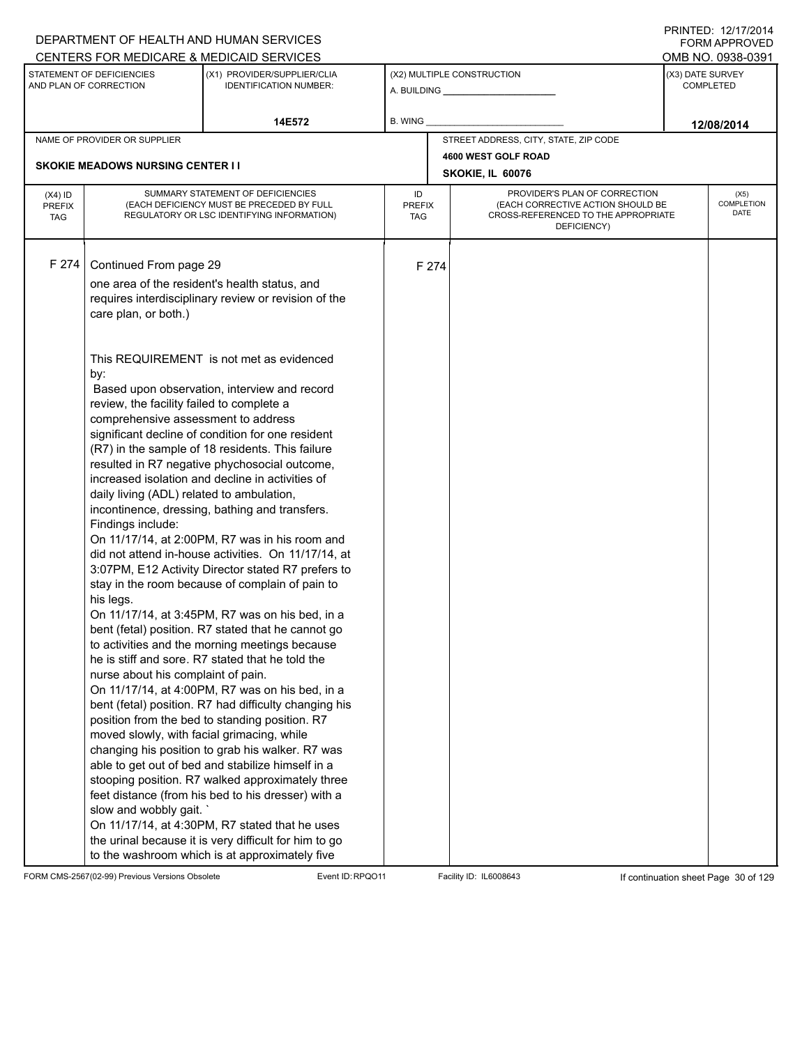|                                          |                                                                                                                                                                 | DEPARTMENT OF HEALTH AND HUMAN SERVICES                                                                                                                                                                                                                                                                                                                                                                                                                                                                                                                                                                                                                                                                |                            |       |                                                                                                                          | <b>FORM APPROVED</b>                     |
|------------------------------------------|-----------------------------------------------------------------------------------------------------------------------------------------------------------------|--------------------------------------------------------------------------------------------------------------------------------------------------------------------------------------------------------------------------------------------------------------------------------------------------------------------------------------------------------------------------------------------------------------------------------------------------------------------------------------------------------------------------------------------------------------------------------------------------------------------------------------------------------------------------------------------------------|----------------------------|-------|--------------------------------------------------------------------------------------------------------------------------|------------------------------------------|
|                                          |                                                                                                                                                                 | CENTERS FOR MEDICARE & MEDICAID SERVICES                                                                                                                                                                                                                                                                                                                                                                                                                                                                                                                                                                                                                                                               |                            |       |                                                                                                                          | OMB NO. 0938-0391                        |
|                                          | STATEMENT OF DEFICIENCIES<br>AND PLAN OF CORRECTION                                                                                                             | (X1) PROVIDER/SUPPLIER/CLIA<br><b>IDENTIFICATION NUMBER:</b>                                                                                                                                                                                                                                                                                                                                                                                                                                                                                                                                                                                                                                           |                            |       | (X2) MULTIPLE CONSTRUCTION                                                                                               | (X3) DATE SURVEY<br><b>COMPLETED</b>     |
|                                          |                                                                                                                                                                 | 14E572                                                                                                                                                                                                                                                                                                                                                                                                                                                                                                                                                                                                                                                                                                 | B. WING                    |       |                                                                                                                          | 12/08/2014                               |
|                                          | NAME OF PROVIDER OR SUPPLIER                                                                                                                                    |                                                                                                                                                                                                                                                                                                                                                                                                                                                                                                                                                                                                                                                                                                        |                            |       | STREET ADDRESS, CITY, STATE, ZIP CODE                                                                                    |                                          |
|                                          |                                                                                                                                                                 |                                                                                                                                                                                                                                                                                                                                                                                                                                                                                                                                                                                                                                                                                                        |                            |       | 4600 WEST GOLF ROAD                                                                                                      |                                          |
|                                          | <b>SKOKIE MEADOWS NURSING CENTER II</b>                                                                                                                         |                                                                                                                                                                                                                                                                                                                                                                                                                                                                                                                                                                                                                                                                                                        |                            |       | SKOKIE, IL 60076                                                                                                         |                                          |
| $(X4)$ ID<br><b>PREFIX</b><br><b>TAG</b> |                                                                                                                                                                 | SUMMARY STATEMENT OF DEFICIENCIES<br>(EACH DEFICIENCY MUST BE PRECEDED BY FULL<br>REGULATORY OR LSC IDENTIFYING INFORMATION)                                                                                                                                                                                                                                                                                                                                                                                                                                                                                                                                                                           | ID<br><b>PREFIX</b><br>TAG |       | PROVIDER'S PLAN OF CORRECTION<br>(EACH CORRECTIVE ACTION SHOULD BE<br>CROSS-REFERENCED TO THE APPROPRIATE<br>DEFICIENCY) | (X5)<br><b>COMPLETION</b><br><b>DATE</b> |
| F 274                                    | Continued From page 29<br>care plan, or both.)<br>by:                                                                                                           | one area of the resident's health status, and<br>requires interdisciplinary review or revision of the<br>This REQUIREMENT is not met as evidenced<br>Based upon observation, interview and record                                                                                                                                                                                                                                                                                                                                                                                                                                                                                                      |                            | F 274 |                                                                                                                          |                                          |
|                                          | review, the facility failed to complete a<br>comprehensive assessment to address<br>daily living (ADL) related to ambulation,<br>Findings include:<br>his legs. | significant decline of condition for one resident<br>(R7) in the sample of 18 residents. This failure<br>resulted in R7 negative phychosocial outcome,<br>increased isolation and decline in activities of<br>incontinence, dressing, bathing and transfers.<br>On 11/17/14, at 2:00PM, R7 was in his room and<br>did not attend in-house activities. On 11/17/14, at<br>3:07PM, E12 Activity Director stated R7 prefers to<br>stay in the room because of complain of pain to<br>On 11/17/14, at 3:45PM, R7 was on his bed, in a                                                                                                                                                                      |                            |       |                                                                                                                          |                                          |
|                                          | nurse about his complaint of pain.<br>moved slowly, with facial grimacing, while<br>slow and wobbly gait.                                                       | bent (fetal) position. R7 stated that he cannot go<br>to activities and the morning meetings because<br>he is stiff and sore. R7 stated that he told the<br>On 11/17/14, at 4:00PM, R7 was on his bed, in a<br>bent (fetal) position. R7 had difficulty changing his<br>position from the bed to standing position. R7<br>changing his position to grab his walker. R7 was<br>able to get out of bed and stabilize himself in a<br>stooping position. R7 walked approximately three<br>feet distance (from his bed to his dresser) with a<br>On 11/17/14, at 4:30PM, R7 stated that he uses<br>the urinal because it is very difficult for him to go<br>to the washroom which is at approximately five |                            |       |                                                                                                                          |                                          |

FORM CMS-2567(02-99) Previous Versions Obsolete Event ID:RPQO11 Facility ID: IL6008643 If continuation sheet Page 30 of 129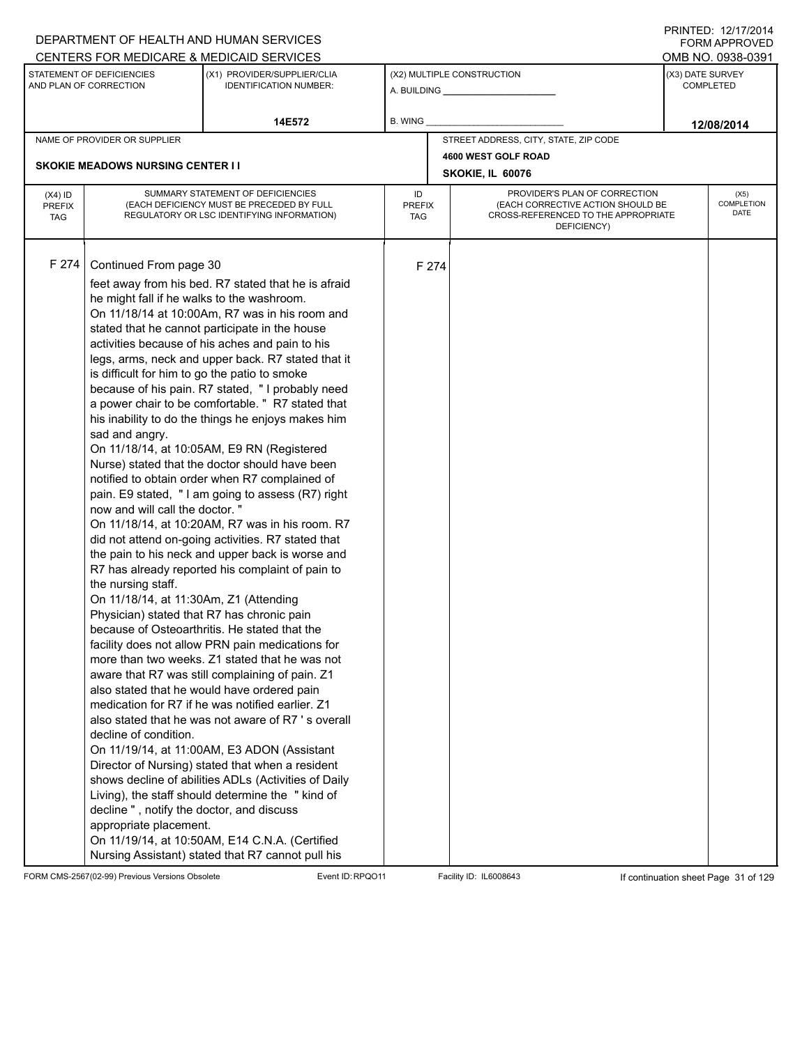|                                          |                                                                                                                                                                                                                                                                                                                                                                                         | DEPARTMENT OF HEALTH AND HUMAN SERVICES                                                                                                                                                                                                                                                                                                                                                                                                                                                                                                                                                                                                                                                                                                                                                                                                                                                                                                                                                                                                                                                                                                                                                                                                                                                                                                                                                                                                                                                                                                          |                            |       |                                                                                                                          | I I \ II \ I L D . I <i>L I I I I L</i> O I <del>T</del><br><b>FORM APPROVED</b> |
|------------------------------------------|-----------------------------------------------------------------------------------------------------------------------------------------------------------------------------------------------------------------------------------------------------------------------------------------------------------------------------------------------------------------------------------------|--------------------------------------------------------------------------------------------------------------------------------------------------------------------------------------------------------------------------------------------------------------------------------------------------------------------------------------------------------------------------------------------------------------------------------------------------------------------------------------------------------------------------------------------------------------------------------------------------------------------------------------------------------------------------------------------------------------------------------------------------------------------------------------------------------------------------------------------------------------------------------------------------------------------------------------------------------------------------------------------------------------------------------------------------------------------------------------------------------------------------------------------------------------------------------------------------------------------------------------------------------------------------------------------------------------------------------------------------------------------------------------------------------------------------------------------------------------------------------------------------------------------------------------------------|----------------------------|-------|--------------------------------------------------------------------------------------------------------------------------|----------------------------------------------------------------------------------|
|                                          |                                                                                                                                                                                                                                                                                                                                                                                         | CENTERS FOR MEDICARE & MEDICAID SERVICES                                                                                                                                                                                                                                                                                                                                                                                                                                                                                                                                                                                                                                                                                                                                                                                                                                                                                                                                                                                                                                                                                                                                                                                                                                                                                                                                                                                                                                                                                                         |                            |       |                                                                                                                          | OMB NO. 0938-0391                                                                |
|                                          | STATEMENT OF DEFICIENCIES<br>AND PLAN OF CORRECTION                                                                                                                                                                                                                                                                                                                                     | (X1) PROVIDER/SUPPLIER/CLIA<br><b>IDENTIFICATION NUMBER:</b>                                                                                                                                                                                                                                                                                                                                                                                                                                                                                                                                                                                                                                                                                                                                                                                                                                                                                                                                                                                                                                                                                                                                                                                                                                                                                                                                                                                                                                                                                     |                            |       | (X2) MULTIPLE CONSTRUCTION                                                                                               | (X3) DATE SURVEY<br><b>COMPLETED</b>                                             |
|                                          |                                                                                                                                                                                                                                                                                                                                                                                         | 14E572                                                                                                                                                                                                                                                                                                                                                                                                                                                                                                                                                                                                                                                                                                                                                                                                                                                                                                                                                                                                                                                                                                                                                                                                                                                                                                                                                                                                                                                                                                                                           | B. WING                    |       |                                                                                                                          | 12/08/2014                                                                       |
|                                          | NAME OF PROVIDER OR SUPPLIER                                                                                                                                                                                                                                                                                                                                                            |                                                                                                                                                                                                                                                                                                                                                                                                                                                                                                                                                                                                                                                                                                                                                                                                                                                                                                                                                                                                                                                                                                                                                                                                                                                                                                                                                                                                                                                                                                                                                  |                            |       | STREET ADDRESS, CITY, STATE, ZIP CODE                                                                                    |                                                                                  |
|                                          |                                                                                                                                                                                                                                                                                                                                                                                         |                                                                                                                                                                                                                                                                                                                                                                                                                                                                                                                                                                                                                                                                                                                                                                                                                                                                                                                                                                                                                                                                                                                                                                                                                                                                                                                                                                                                                                                                                                                                                  |                            |       | 4600 WEST GOLF ROAD                                                                                                      |                                                                                  |
|                                          | <b>SKOKIE MEADOWS NURSING CENTER I I</b>                                                                                                                                                                                                                                                                                                                                                |                                                                                                                                                                                                                                                                                                                                                                                                                                                                                                                                                                                                                                                                                                                                                                                                                                                                                                                                                                                                                                                                                                                                                                                                                                                                                                                                                                                                                                                                                                                                                  |                            |       | SKOKIE, IL 60076                                                                                                         |                                                                                  |
| $(X4)$ ID<br><b>PREFIX</b><br><b>TAG</b> |                                                                                                                                                                                                                                                                                                                                                                                         | SUMMARY STATEMENT OF DEFICIENCIES<br>(EACH DEFICIENCY MUST BE PRECEDED BY FULL<br>REGULATORY OR LSC IDENTIFYING INFORMATION)                                                                                                                                                                                                                                                                                                                                                                                                                                                                                                                                                                                                                                                                                                                                                                                                                                                                                                                                                                                                                                                                                                                                                                                                                                                                                                                                                                                                                     | ID<br><b>PREFIX</b><br>TAG |       | PROVIDER'S PLAN OF CORRECTION<br>(EACH CORRECTIVE ACTION SHOULD BE<br>CROSS-REFERENCED TO THE APPROPRIATE<br>DEFICIENCY) | (X5)<br><b>COMPLETION</b><br>DATE                                                |
| F 274                                    | Continued From page 30<br>he might fall if he walks to the washroom.<br>is difficult for him to go the patio to smoke<br>sad and angry.<br>now and will call the doctor. "<br>the nursing staff.<br>On 11/18/14, at 11:30Am, Z1 (Attending<br>Physician) stated that R7 has chronic pain<br>decline of condition.<br>decline", notify the doctor, and discuss<br>appropriate placement. | feet away from his bed. R7 stated that he is afraid<br>On 11/18/14 at 10:00Am, R7 was in his room and<br>stated that he cannot participate in the house<br>activities because of his aches and pain to his<br>legs, arms, neck and upper back. R7 stated that it<br>because of his pain. R7 stated, "I probably need<br>a power chair to be comfortable. " R7 stated that<br>his inability to do the things he enjoys makes him<br>On 11/18/14, at 10:05AM, E9 RN (Registered<br>Nurse) stated that the doctor should have been<br>notified to obtain order when R7 complained of<br>pain. E9 stated, "I am going to assess (R7) right<br>On 11/18/14, at 10:20AM, R7 was in his room. R7<br>did not attend on-going activities. R7 stated that<br>the pain to his neck and upper back is worse and<br>R7 has already reported his complaint of pain to<br>because of Osteoarthritis. He stated that the<br>facility does not allow PRN pain medications for<br>more than two weeks. Z1 stated that he was not<br>aware that R7 was still complaining of pain. Z1<br>also stated that he would have ordered pain<br>medication for R7 if he was notified earlier. Z1<br>also stated that he was not aware of R7 's overall<br>On 11/19/14, at 11:00AM, E3 ADON (Assistant<br>Director of Nursing) stated that when a resident<br>shows decline of abilities ADLs (Activities of Daily<br>Living), the staff should determine the "kind of<br>On 11/19/14, at 10:50AM, E14 C.N.A. (Certified<br>Nursing Assistant) stated that R7 cannot pull his |                            | F 274 |                                                                                                                          |                                                                                  |

FORM CMS-2567(02-99) Previous Versions Obsolete Event ID:RPQO11 Facility ID: IL6008643 If continuation sheet Page 31 of 129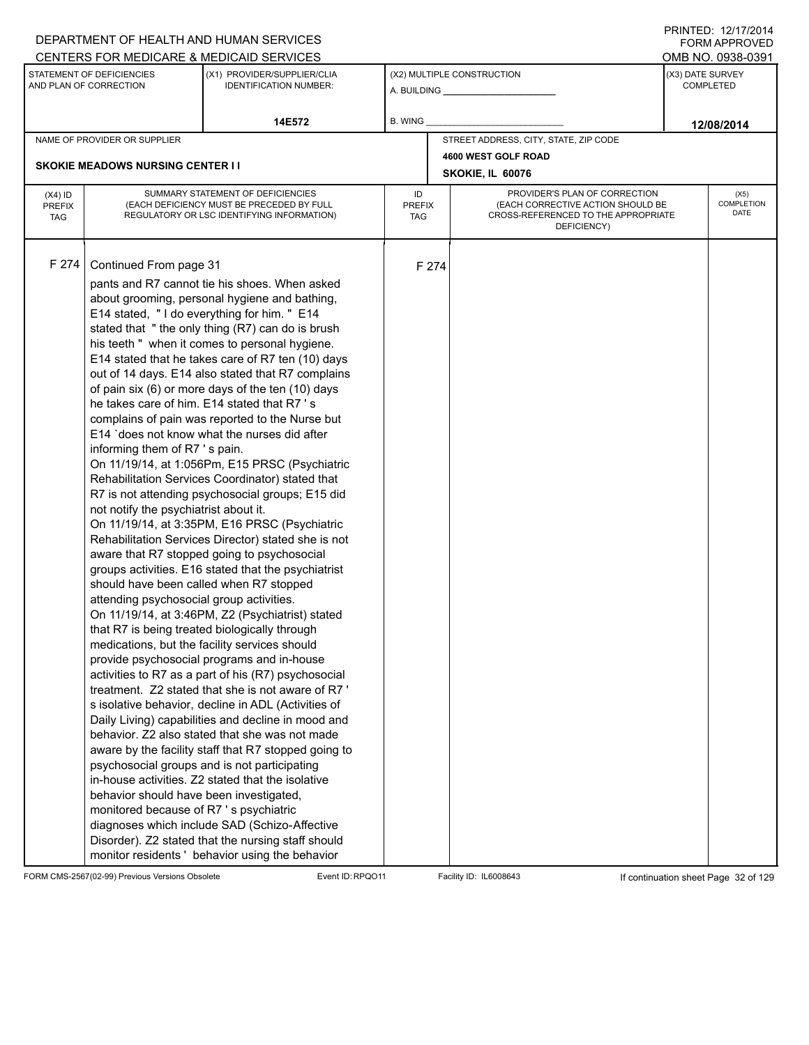|                                          |                                                                                                                                                                                                                                                                              | DEPARTMENT OF HEALTH AND HUMAN SERVICES                                                                                                                                                                                                                                                                                                                                                                                                                                                                                                                                                                                                                                                                                                                                                                                                                                                                                                                                                                                                                                                                                                                                                                                                                                                                                                                                                                                                                                                                                                                                                                                                                                                                                                            |                            |       |                                                                                                                          |                  | I I \ II \ I L D . I <i>L I I I I L</i> O I <del>T</del><br><b>FORM APPROVED</b> |
|------------------------------------------|------------------------------------------------------------------------------------------------------------------------------------------------------------------------------------------------------------------------------------------------------------------------------|----------------------------------------------------------------------------------------------------------------------------------------------------------------------------------------------------------------------------------------------------------------------------------------------------------------------------------------------------------------------------------------------------------------------------------------------------------------------------------------------------------------------------------------------------------------------------------------------------------------------------------------------------------------------------------------------------------------------------------------------------------------------------------------------------------------------------------------------------------------------------------------------------------------------------------------------------------------------------------------------------------------------------------------------------------------------------------------------------------------------------------------------------------------------------------------------------------------------------------------------------------------------------------------------------------------------------------------------------------------------------------------------------------------------------------------------------------------------------------------------------------------------------------------------------------------------------------------------------------------------------------------------------------------------------------------------------------------------------------------------------|----------------------------|-------|--------------------------------------------------------------------------------------------------------------------------|------------------|----------------------------------------------------------------------------------|
|                                          |                                                                                                                                                                                                                                                                              | CENTERS FOR MEDICARE & MEDICAID SERVICES                                                                                                                                                                                                                                                                                                                                                                                                                                                                                                                                                                                                                                                                                                                                                                                                                                                                                                                                                                                                                                                                                                                                                                                                                                                                                                                                                                                                                                                                                                                                                                                                                                                                                                           |                            |       |                                                                                                                          |                  | OMB NO. 0938-0391                                                                |
|                                          | STATEMENT OF DEFICIENCIES<br>AND PLAN OF CORRECTION                                                                                                                                                                                                                          | (X1) PROVIDER/SUPPLIER/CLIA<br><b>IDENTIFICATION NUMBER:</b>                                                                                                                                                                                                                                                                                                                                                                                                                                                                                                                                                                                                                                                                                                                                                                                                                                                                                                                                                                                                                                                                                                                                                                                                                                                                                                                                                                                                                                                                                                                                                                                                                                                                                       |                            |       | (X2) MULTIPLE CONSTRUCTION                                                                                               | (X3) DATE SURVEY | <b>COMPLETED</b>                                                                 |
|                                          |                                                                                                                                                                                                                                                                              | 14E572                                                                                                                                                                                                                                                                                                                                                                                                                                                                                                                                                                                                                                                                                                                                                                                                                                                                                                                                                                                                                                                                                                                                                                                                                                                                                                                                                                                                                                                                                                                                                                                                                                                                                                                                             | B. WING                    |       |                                                                                                                          |                  | 12/08/2014                                                                       |
|                                          | NAME OF PROVIDER OR SUPPLIER                                                                                                                                                                                                                                                 |                                                                                                                                                                                                                                                                                                                                                                                                                                                                                                                                                                                                                                                                                                                                                                                                                                                                                                                                                                                                                                                                                                                                                                                                                                                                                                                                                                                                                                                                                                                                                                                                                                                                                                                                                    |                            |       | STREET ADDRESS, CITY, STATE, ZIP CODE                                                                                    |                  |                                                                                  |
|                                          |                                                                                                                                                                                                                                                                              |                                                                                                                                                                                                                                                                                                                                                                                                                                                                                                                                                                                                                                                                                                                                                                                                                                                                                                                                                                                                                                                                                                                                                                                                                                                                                                                                                                                                                                                                                                                                                                                                                                                                                                                                                    |                            |       | 4600 WEST GOLF ROAD                                                                                                      |                  |                                                                                  |
|                                          | <b>SKOKIE MEADOWS NURSING CENTER I I</b>                                                                                                                                                                                                                                     |                                                                                                                                                                                                                                                                                                                                                                                                                                                                                                                                                                                                                                                                                                                                                                                                                                                                                                                                                                                                                                                                                                                                                                                                                                                                                                                                                                                                                                                                                                                                                                                                                                                                                                                                                    |                            |       | SKOKIE, IL 60076                                                                                                         |                  |                                                                                  |
| $(X4)$ ID<br><b>PREFIX</b><br><b>TAG</b> |                                                                                                                                                                                                                                                                              | SUMMARY STATEMENT OF DEFICIENCIES<br>(EACH DEFICIENCY MUST BE PRECEDED BY FULL<br>REGULATORY OR LSC IDENTIFYING INFORMATION)                                                                                                                                                                                                                                                                                                                                                                                                                                                                                                                                                                                                                                                                                                                                                                                                                                                                                                                                                                                                                                                                                                                                                                                                                                                                                                                                                                                                                                                                                                                                                                                                                       | ID<br><b>PREFIX</b><br>TAG |       | PROVIDER'S PLAN OF CORRECTION<br>(EACH CORRECTIVE ACTION SHOULD BE<br>CROSS-REFERENCED TO THE APPROPRIATE<br>DEFICIENCY) |                  | (X5)<br><b>COMPLETION</b><br>DATE                                                |
| F 274                                    | Continued From page 31<br>informing them of R7 's pain.<br>not notify the psychiatrist about it.<br>should have been called when R7 stopped<br>attending psychosocial group activities.<br>behavior should have been investigated,<br>monitored because of R7 's psychiatric | pants and R7 cannot tie his shoes. When asked<br>about grooming, personal hygiene and bathing,<br>E14 stated, "I do everything for him. " E14<br>stated that "the only thing (R7) can do is brush<br>his teeth " when it comes to personal hygiene.<br>E14 stated that he takes care of R7 ten (10) days<br>out of 14 days. E14 also stated that R7 complains<br>of pain six (6) or more days of the ten (10) days<br>he takes care of him. E14 stated that R7 's<br>complains of pain was reported to the Nurse but<br>E14 'does not know what the nurses did after<br>On 11/19/14, at 1:056Pm, E15 PRSC (Psychiatric<br>Rehabilitation Services Coordinator) stated that<br>R7 is not attending psychosocial groups; E15 did<br>On 11/19/14, at 3:35PM, E16 PRSC (Psychiatric<br>Rehabilitation Services Director) stated she is not<br>aware that R7 stopped going to psychosocial<br>groups activities. E16 stated that the psychiatrist<br>On 11/19/14, at 3:46PM, Z2 (Psychiatrist) stated<br>that R7 is being treated biologically through<br>medications, but the facility services should<br>provide psychosocial programs and in-house<br>activities to R7 as a part of his (R7) psychosocial<br>treatment. Z2 stated that she is not aware of R7'<br>s isolative behavior, decline in ADL (Activities of<br>Daily Living) capabilities and decline in mood and<br>behavior. Z2 also stated that she was not made<br>aware by the facility staff that R7 stopped going to<br>psychosocial groups and is not participating<br>in-house activities. Z2 stated that the isolative<br>diagnoses which include SAD (Schizo-Affective<br>Disorder). Z2 stated that the nursing staff should<br>monitor residents ' behavior using the behavior |                            | F 274 |                                                                                                                          |                  |                                                                                  |

FORM CMS-2567(02-99) Previous Versions Obsolete Event ID:RPQO11 Facility ID: IL6008643 If continuation sheet Page 32 of 129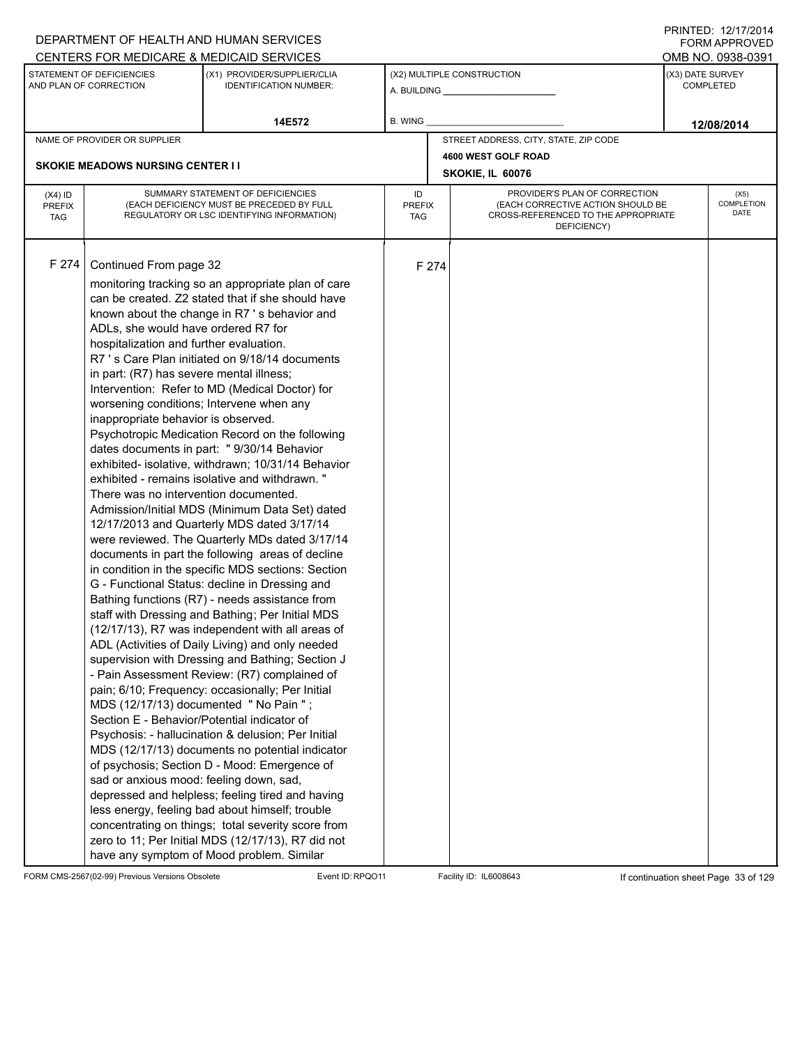|                                          |                                                                                                                                                                                                                                                                                                                                                                                                                      | DEPARTMENT OF HEALTH AND HUMAN SERVICES                                                                                                                                                                                                                                                                                                                                                                                                                                                                                                                                                                                                                                                                                                                                                                                                                                                                                                                                                                                                                                                                                                                                                                                                                                                                                                                                                                                                                                                                                                                                           |                            |       |                                                                                                                          |                  | <b>FORM APPROVED</b>              |
|------------------------------------------|----------------------------------------------------------------------------------------------------------------------------------------------------------------------------------------------------------------------------------------------------------------------------------------------------------------------------------------------------------------------------------------------------------------------|-----------------------------------------------------------------------------------------------------------------------------------------------------------------------------------------------------------------------------------------------------------------------------------------------------------------------------------------------------------------------------------------------------------------------------------------------------------------------------------------------------------------------------------------------------------------------------------------------------------------------------------------------------------------------------------------------------------------------------------------------------------------------------------------------------------------------------------------------------------------------------------------------------------------------------------------------------------------------------------------------------------------------------------------------------------------------------------------------------------------------------------------------------------------------------------------------------------------------------------------------------------------------------------------------------------------------------------------------------------------------------------------------------------------------------------------------------------------------------------------------------------------------------------------------------------------------------------|----------------------------|-------|--------------------------------------------------------------------------------------------------------------------------|------------------|-----------------------------------|
|                                          |                                                                                                                                                                                                                                                                                                                                                                                                                      | CENTERS FOR MEDICARE & MEDICAID SERVICES                                                                                                                                                                                                                                                                                                                                                                                                                                                                                                                                                                                                                                                                                                                                                                                                                                                                                                                                                                                                                                                                                                                                                                                                                                                                                                                                                                                                                                                                                                                                          |                            |       |                                                                                                                          |                  | OMB NO. 0938-0391                 |
|                                          | STATEMENT OF DEFICIENCIES<br>AND PLAN OF CORRECTION                                                                                                                                                                                                                                                                                                                                                                  | (X1) PROVIDER/SUPPLIER/CLIA<br><b>IDENTIFICATION NUMBER:</b>                                                                                                                                                                                                                                                                                                                                                                                                                                                                                                                                                                                                                                                                                                                                                                                                                                                                                                                                                                                                                                                                                                                                                                                                                                                                                                                                                                                                                                                                                                                      |                            |       | (X2) MULTIPLE CONSTRUCTION                                                                                               | (X3) DATE SURVEY | <b>COMPLETED</b>                  |
|                                          |                                                                                                                                                                                                                                                                                                                                                                                                                      | 14E572                                                                                                                                                                                                                                                                                                                                                                                                                                                                                                                                                                                                                                                                                                                                                                                                                                                                                                                                                                                                                                                                                                                                                                                                                                                                                                                                                                                                                                                                                                                                                                            | B. WING                    |       |                                                                                                                          |                  | 12/08/2014                        |
|                                          | NAME OF PROVIDER OR SUPPLIER                                                                                                                                                                                                                                                                                                                                                                                         |                                                                                                                                                                                                                                                                                                                                                                                                                                                                                                                                                                                                                                                                                                                                                                                                                                                                                                                                                                                                                                                                                                                                                                                                                                                                                                                                                                                                                                                                                                                                                                                   |                            |       | STREET ADDRESS, CITY, STATE, ZIP CODE                                                                                    |                  |                                   |
|                                          |                                                                                                                                                                                                                                                                                                                                                                                                                      |                                                                                                                                                                                                                                                                                                                                                                                                                                                                                                                                                                                                                                                                                                                                                                                                                                                                                                                                                                                                                                                                                                                                                                                                                                                                                                                                                                                                                                                                                                                                                                                   |                            |       | 4600 WEST GOLF ROAD                                                                                                      |                  |                                   |
|                                          | <b>SKOKIE MEADOWS NURSING CENTER I I</b>                                                                                                                                                                                                                                                                                                                                                                             |                                                                                                                                                                                                                                                                                                                                                                                                                                                                                                                                                                                                                                                                                                                                                                                                                                                                                                                                                                                                                                                                                                                                                                                                                                                                                                                                                                                                                                                                                                                                                                                   |                            |       | SKOKIE, IL 60076                                                                                                         |                  |                                   |
| $(X4)$ ID<br><b>PREFIX</b><br><b>TAG</b> |                                                                                                                                                                                                                                                                                                                                                                                                                      | SUMMARY STATEMENT OF DEFICIENCIES<br>(EACH DEFICIENCY MUST BE PRECEDED BY FULL<br>REGULATORY OR LSC IDENTIFYING INFORMATION)                                                                                                                                                                                                                                                                                                                                                                                                                                                                                                                                                                                                                                                                                                                                                                                                                                                                                                                                                                                                                                                                                                                                                                                                                                                                                                                                                                                                                                                      | ID<br><b>PREFIX</b><br>TAG |       | PROVIDER'S PLAN OF CORRECTION<br>(EACH CORRECTIVE ACTION SHOULD BE<br>CROSS-REFERENCED TO THE APPROPRIATE<br>DEFICIENCY) |                  | (X5)<br><b>COMPLETION</b><br>DATE |
| F 274                                    | Continued From page 32<br>ADLs, she would have ordered R7 for<br>hospitalization and further evaluation.<br>in part: (R7) has severe mental illness;<br>worsening conditions; Intervene when any<br>inappropriate behavior is observed.<br>There was no intervention documented.<br>MDS (12/17/13) documented " No Pain ";<br>Section E - Behavior/Potential indicator of<br>sad or anxious mood: feeling down, sad, | monitoring tracking so an appropriate plan of care<br>can be created. Z2 stated that if she should have<br>known about the change in R7 's behavior and<br>R7 's Care Plan initiated on 9/18/14 documents<br>Intervention: Refer to MD (Medical Doctor) for<br>Psychotropic Medication Record on the following<br>dates documents in part: " 9/30/14 Behavior<br>exhibited- isolative, withdrawn; 10/31/14 Behavior<br>exhibited - remains isolative and withdrawn."<br>Admission/Initial MDS (Minimum Data Set) dated<br>12/17/2013 and Quarterly MDS dated 3/17/14<br>were reviewed. The Quarterly MDs dated 3/17/14<br>documents in part the following areas of decline<br>in condition in the specific MDS sections: Section<br>G - Functional Status: decline in Dressing and<br>Bathing functions (R7) - needs assistance from<br>staff with Dressing and Bathing; Per Initial MDS<br>(12/17/13), R7 was independent with all areas of<br>ADL (Activities of Daily Living) and only needed<br>supervision with Dressing and Bathing; Section J<br>- Pain Assessment Review: (R7) complained of<br>pain; 6/10; Frequency: occasionally; Per Initial<br>Psychosis: - hallucination & delusion; Per Initial<br>MDS (12/17/13) documents no potential indicator<br>of psychosis; Section D - Mood: Emergence of<br>depressed and helpless; feeling tired and having<br>less energy, feeling bad about himself; trouble<br>concentrating on things; total severity score from<br>zero to 11; Per Initial MDS (12/17/13), R7 did not<br>have any symptom of Mood problem. Similar |                            | F 274 |                                                                                                                          |                  |                                   |

FORM CMS-2567(02-99) Previous Versions Obsolete Event ID:RPQO11 Facility ID: IL6008643 If continuation sheet Page 33 of 129

PRINTED: 12/17/2014 FORM APPROVED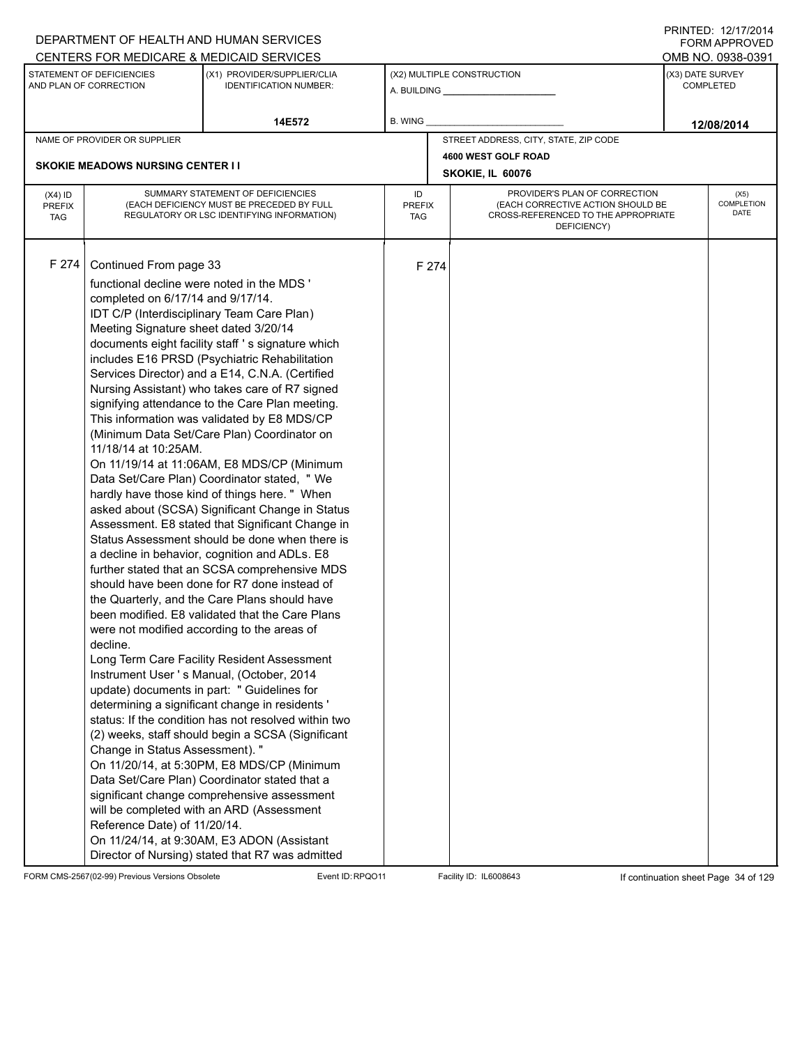|                                          |                                                                                                                                                                                                                                                                                                         | DEPARTMENT OF HEALTH AND HUMAN SERVICES                                                                                                                                                                                                                                                                                                                                                                                                                                                                                                                                                                                                                                                                                                                                                                                                                                                                                                                                                                                                                                                                                                                                                                                                                                                                                                                                                                                                                                                                                                                                       |                            |       |                                                                                                                          |                  | I I \ II \ I L D . I <i>L I I I I L</i> O I <del>T</del><br><b>FORM APPROVED</b> |
|------------------------------------------|---------------------------------------------------------------------------------------------------------------------------------------------------------------------------------------------------------------------------------------------------------------------------------------------------------|-------------------------------------------------------------------------------------------------------------------------------------------------------------------------------------------------------------------------------------------------------------------------------------------------------------------------------------------------------------------------------------------------------------------------------------------------------------------------------------------------------------------------------------------------------------------------------------------------------------------------------------------------------------------------------------------------------------------------------------------------------------------------------------------------------------------------------------------------------------------------------------------------------------------------------------------------------------------------------------------------------------------------------------------------------------------------------------------------------------------------------------------------------------------------------------------------------------------------------------------------------------------------------------------------------------------------------------------------------------------------------------------------------------------------------------------------------------------------------------------------------------------------------------------------------------------------------|----------------------------|-------|--------------------------------------------------------------------------------------------------------------------------|------------------|----------------------------------------------------------------------------------|
|                                          |                                                                                                                                                                                                                                                                                                         | CENTERS FOR MEDICARE & MEDICAID SERVICES                                                                                                                                                                                                                                                                                                                                                                                                                                                                                                                                                                                                                                                                                                                                                                                                                                                                                                                                                                                                                                                                                                                                                                                                                                                                                                                                                                                                                                                                                                                                      |                            |       |                                                                                                                          |                  | OMB NO. 0938-0391                                                                |
|                                          | STATEMENT OF DEFICIENCIES<br>AND PLAN OF CORRECTION                                                                                                                                                                                                                                                     | (X1) PROVIDER/SUPPLIER/CLIA<br><b>IDENTIFICATION NUMBER:</b>                                                                                                                                                                                                                                                                                                                                                                                                                                                                                                                                                                                                                                                                                                                                                                                                                                                                                                                                                                                                                                                                                                                                                                                                                                                                                                                                                                                                                                                                                                                  |                            |       | (X2) MULTIPLE CONSTRUCTION                                                                                               | (X3) DATE SURVEY | <b>COMPLETED</b>                                                                 |
|                                          |                                                                                                                                                                                                                                                                                                         | 14E572                                                                                                                                                                                                                                                                                                                                                                                                                                                                                                                                                                                                                                                                                                                                                                                                                                                                                                                                                                                                                                                                                                                                                                                                                                                                                                                                                                                                                                                                                                                                                                        | B. WING                    |       |                                                                                                                          |                  | 12/08/2014                                                                       |
|                                          | NAME OF PROVIDER OR SUPPLIER                                                                                                                                                                                                                                                                            |                                                                                                                                                                                                                                                                                                                                                                                                                                                                                                                                                                                                                                                                                                                                                                                                                                                                                                                                                                                                                                                                                                                                                                                                                                                                                                                                                                                                                                                                                                                                                                               |                            |       | STREET ADDRESS, CITY, STATE, ZIP CODE                                                                                    |                  |                                                                                  |
|                                          |                                                                                                                                                                                                                                                                                                         |                                                                                                                                                                                                                                                                                                                                                                                                                                                                                                                                                                                                                                                                                                                                                                                                                                                                                                                                                                                                                                                                                                                                                                                                                                                                                                                                                                                                                                                                                                                                                                               |                            |       | 4600 WEST GOLF ROAD                                                                                                      |                  |                                                                                  |
|                                          | <b>SKOKIE MEADOWS NURSING CENTER I I</b>                                                                                                                                                                                                                                                                |                                                                                                                                                                                                                                                                                                                                                                                                                                                                                                                                                                                                                                                                                                                                                                                                                                                                                                                                                                                                                                                                                                                                                                                                                                                                                                                                                                                                                                                                                                                                                                               |                            |       | SKOKIE, IL 60076                                                                                                         |                  |                                                                                  |
| $(X4)$ ID<br><b>PREFIX</b><br><b>TAG</b> |                                                                                                                                                                                                                                                                                                         | SUMMARY STATEMENT OF DEFICIENCIES<br>(EACH DEFICIENCY MUST BE PRECEDED BY FULL<br>REGULATORY OR LSC IDENTIFYING INFORMATION)                                                                                                                                                                                                                                                                                                                                                                                                                                                                                                                                                                                                                                                                                                                                                                                                                                                                                                                                                                                                                                                                                                                                                                                                                                                                                                                                                                                                                                                  | ID<br><b>PREFIX</b><br>TAG |       | PROVIDER'S PLAN OF CORRECTION<br>(EACH CORRECTIVE ACTION SHOULD BE<br>CROSS-REFERENCED TO THE APPROPRIATE<br>DEFICIENCY) |                  | (X5)<br><b>COMPLETION</b><br>DATE                                                |
| F 274                                    | Continued From page 33<br>functional decline were noted in the MDS '<br>completed on 6/17/14 and 9/17/14.<br>IDT C/P (Interdisciplinary Team Care Plan)<br>Meeting Signature sheet dated 3/20/14<br>11/18/14 at 10:25AM.<br>decline.<br>Change in Status Assessment). "<br>Reference Date) of 11/20/14. | documents eight facility staff 's signature which<br>includes E16 PRSD (Psychiatric Rehabilitation<br>Services Director) and a E14, C.N.A. (Certified<br>Nursing Assistant) who takes care of R7 signed<br>signifying attendance to the Care Plan meeting.<br>This information was validated by E8 MDS/CP<br>(Minimum Data Set/Care Plan) Coordinator on<br>On 11/19/14 at 11:06AM, E8 MDS/CP (Minimum<br>Data Set/Care Plan) Coordinator stated, " We<br>hardly have those kind of things here. " When<br>asked about (SCSA) Significant Change in Status<br>Assessment. E8 stated that Significant Change in<br>Status Assessment should be done when there is<br>a decline in behavior, cognition and ADLs. E8<br>further stated that an SCSA comprehensive MDS<br>should have been done for R7 done instead of<br>the Quarterly, and the Care Plans should have<br>been modified. E8 validated that the Care Plans<br>were not modified according to the areas of<br>Long Term Care Facility Resident Assessment<br>Instrument User 's Manual, (October, 2014<br>update) documents in part: " Guidelines for<br>determining a significant change in residents '<br>status: If the condition has not resolved within two<br>(2) weeks, staff should begin a SCSA (Significant<br>On 11/20/14, at 5:30PM, E8 MDS/CP (Minimum<br>Data Set/Care Plan) Coordinator stated that a<br>significant change comprehensive assessment<br>will be completed with an ARD (Assessment<br>On 11/24/14, at 9:30AM, E3 ADON (Assistant<br>Director of Nursing) stated that R7 was admitted |                            | F 274 |                                                                                                                          |                  |                                                                                  |

FORM CMS-2567(02-99) Previous Versions Obsolete Event ID:RPQO11 Facility ID: IL6008643 If continuation sheet Page 34 of 129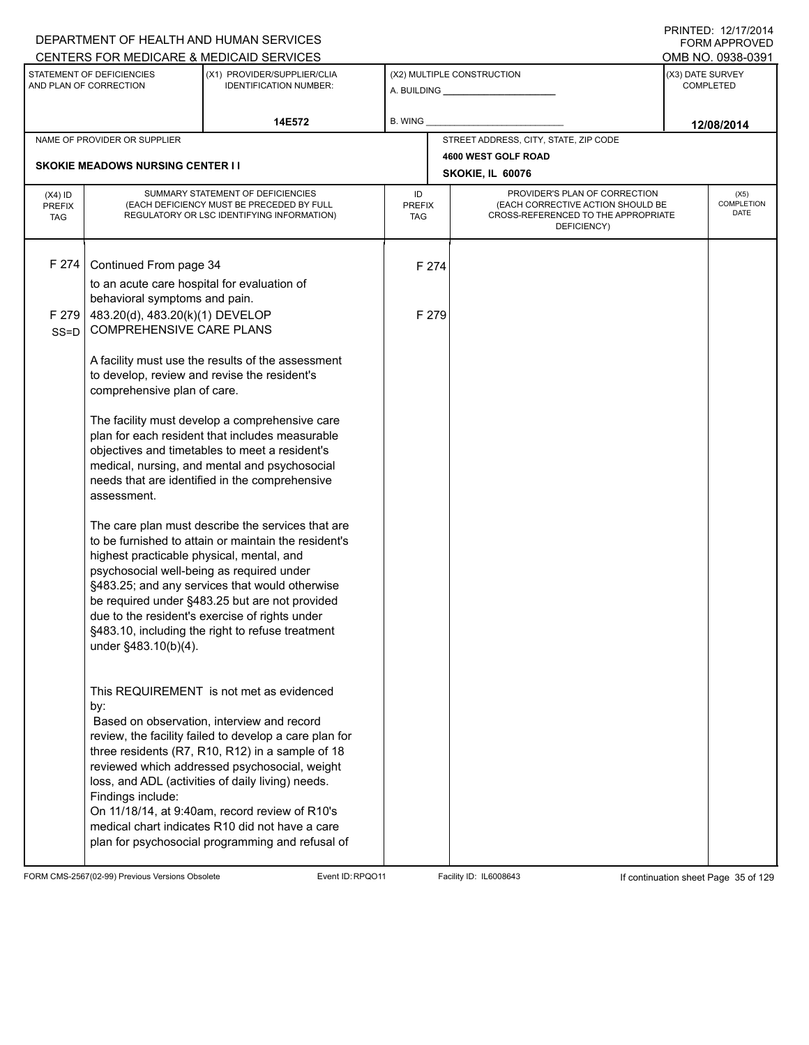|                                          |                                                                                                                                                                                                                                                                       | DEPARTMENT OF HEALTH AND HUMAN SERVICES<br>CENTERS FOR MEDICARE & MEDICAID SERVICES                                                                                                                                                                                                                                                                                                                                                                                 |                            |                                                                                                                          |                  | <b>FORM APPROVED</b><br>OMB NO. 0938-0391 |
|------------------------------------------|-----------------------------------------------------------------------------------------------------------------------------------------------------------------------------------------------------------------------------------------------------------------------|---------------------------------------------------------------------------------------------------------------------------------------------------------------------------------------------------------------------------------------------------------------------------------------------------------------------------------------------------------------------------------------------------------------------------------------------------------------------|----------------------------|--------------------------------------------------------------------------------------------------------------------------|------------------|-------------------------------------------|
|                                          | STATEMENT OF DEFICIENCIES<br>AND PLAN OF CORRECTION                                                                                                                                                                                                                   | (X1) PROVIDER/SUPPLIER/CLIA<br><b>IDENTIFICATION NUMBER:</b>                                                                                                                                                                                                                                                                                                                                                                                                        |                            | (X2) MULTIPLE CONSTRUCTION                                                                                               | (X3) DATE SURVEY | <b>COMPLETED</b>                          |
|                                          |                                                                                                                                                                                                                                                                       | 14E572                                                                                                                                                                                                                                                                                                                                                                                                                                                              | B. WING                    |                                                                                                                          |                  |                                           |
|                                          | NAME OF PROVIDER OR SUPPLIER                                                                                                                                                                                                                                          |                                                                                                                                                                                                                                                                                                                                                                                                                                                                     |                            | STREET ADDRESS, CITY, STATE, ZIP CODE                                                                                    |                  | 12/08/2014                                |
|                                          |                                                                                                                                                                                                                                                                       |                                                                                                                                                                                                                                                                                                                                                                                                                                                                     |                            | 4600 WEST GOLF ROAD                                                                                                      |                  |                                           |
|                                          | <b>SKOKIE MEADOWS NURSING CENTER I I</b>                                                                                                                                                                                                                              |                                                                                                                                                                                                                                                                                                                                                                                                                                                                     |                            | SKOKIE, IL 60076                                                                                                         |                  |                                           |
| $(X4)$ ID<br><b>PREFIX</b><br><b>TAG</b> |                                                                                                                                                                                                                                                                       | SUMMARY STATEMENT OF DEFICIENCIES<br>(EACH DEFICIENCY MUST BE PRECEDED BY FULL<br>REGULATORY OR LSC IDENTIFYING INFORMATION)                                                                                                                                                                                                                                                                                                                                        | ID<br><b>PREFIX</b><br>TAG | PROVIDER'S PLAN OF CORRECTION<br>(EACH CORRECTIVE ACTION SHOULD BE<br>CROSS-REFERENCED TO THE APPROPRIATE<br>DEFICIENCY) |                  | (X5)<br>COMPLETION<br>DATE                |
| F 274                                    | Continued From page 34                                                                                                                                                                                                                                                |                                                                                                                                                                                                                                                                                                                                                                                                                                                                     | F 274                      |                                                                                                                          |                  |                                           |
|                                          | to an acute care hospital for evaluation of                                                                                                                                                                                                                           |                                                                                                                                                                                                                                                                                                                                                                                                                                                                     |                            |                                                                                                                          |                  |                                           |
|                                          | behavioral symptoms and pain.                                                                                                                                                                                                                                         |                                                                                                                                                                                                                                                                                                                                                                                                                                                                     |                            |                                                                                                                          |                  |                                           |
| F 279                                    | 483.20(d), 483.20(k)(1) DEVELOP                                                                                                                                                                                                                                       |                                                                                                                                                                                                                                                                                                                                                                                                                                                                     | F 279                      |                                                                                                                          |                  |                                           |
| $SS = D$                                 | <b>COMPREHENSIVE CARE PLANS</b>                                                                                                                                                                                                                                       |                                                                                                                                                                                                                                                                                                                                                                                                                                                                     |                            |                                                                                                                          |                  |                                           |
|                                          |                                                                                                                                                                                                                                                                       | A facility must use the results of the assessment                                                                                                                                                                                                                                                                                                                                                                                                                   |                            |                                                                                                                          |                  |                                           |
|                                          |                                                                                                                                                                                                                                                                       | to develop, review and revise the resident's                                                                                                                                                                                                                                                                                                                                                                                                                        |                            |                                                                                                                          |                  |                                           |
|                                          | comprehensive plan of care.                                                                                                                                                                                                                                           |                                                                                                                                                                                                                                                                                                                                                                                                                                                                     |                            |                                                                                                                          |                  |                                           |
|                                          | The facility must develop a comprehensive care<br>plan for each resident that includes measurable<br>objectives and timetables to meet a resident's<br>medical, nursing, and mental and psychosocial<br>needs that are identified in the comprehensive<br>assessment. |                                                                                                                                                                                                                                                                                                                                                                                                                                                                     |                            |                                                                                                                          |                  |                                           |
|                                          | highest practicable physical, mental, and<br>psychosocial well-being as required under<br>under §483.10(b)(4).                                                                                                                                                        | The care plan must describe the services that are<br>to be furnished to attain or maintain the resident's<br>§483.25; and any services that would otherwise<br>be required under §483.25 but are not provided<br>due to the resident's exercise of rights under<br>§483.10, including the right to refuse treatment                                                                                                                                                 |                            |                                                                                                                          |                  |                                           |
|                                          | by:<br>Findings include:                                                                                                                                                                                                                                              | This REQUIREMENT is not met as evidenced<br>Based on observation, interview and record<br>review, the facility failed to develop a care plan for<br>three residents (R7, R10, R12) in a sample of 18<br>reviewed which addressed psychosocial, weight<br>loss, and ADL (activities of daily living) needs.<br>On 11/18/14, at 9:40am, record review of R10's<br>medical chart indicates R10 did not have a care<br>plan for psychosocial programming and refusal of |                            |                                                                                                                          |                  |                                           |

FORM CMS-2567(02-99) Previous Versions Obsolete Event ID:RPQO11 Facility ID: IL6008643 If continuation sheet Page 35 of 129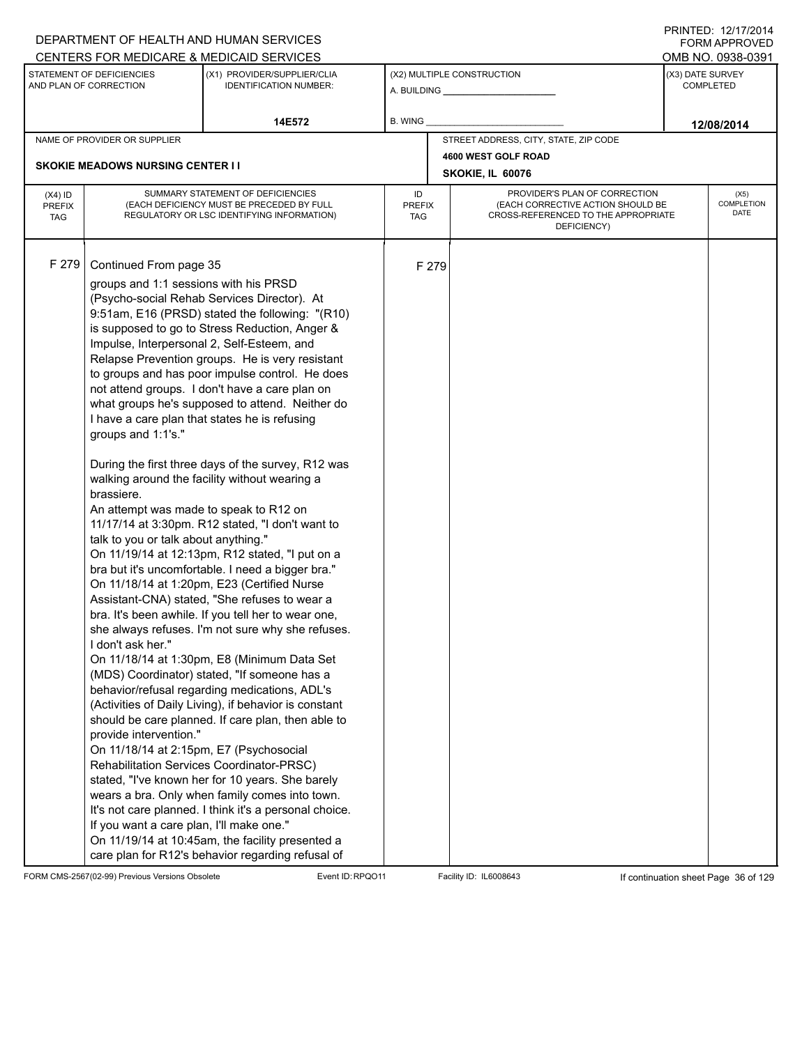|                                          |                                                                                                                                                                                                                                                                                                                                                                                                                            | DEPARTMENT OF HEALTH AND HUMAN SERVICES                                                                                                                                                                                                                                                                                                                                                                                                                                                                                                                                                                                                                                                                                                                                                                                                                                                                                                                                                                                                                                                                                                                                                                                                                                                                                                                                                                                         |                            |       |                                                                                                                          |                  | <b>FORM APPROVED</b>              |
|------------------------------------------|----------------------------------------------------------------------------------------------------------------------------------------------------------------------------------------------------------------------------------------------------------------------------------------------------------------------------------------------------------------------------------------------------------------------------|---------------------------------------------------------------------------------------------------------------------------------------------------------------------------------------------------------------------------------------------------------------------------------------------------------------------------------------------------------------------------------------------------------------------------------------------------------------------------------------------------------------------------------------------------------------------------------------------------------------------------------------------------------------------------------------------------------------------------------------------------------------------------------------------------------------------------------------------------------------------------------------------------------------------------------------------------------------------------------------------------------------------------------------------------------------------------------------------------------------------------------------------------------------------------------------------------------------------------------------------------------------------------------------------------------------------------------------------------------------------------------------------------------------------------------|----------------------------|-------|--------------------------------------------------------------------------------------------------------------------------|------------------|-----------------------------------|
|                                          |                                                                                                                                                                                                                                                                                                                                                                                                                            | CENTERS FOR MEDICARE & MEDICAID SERVICES                                                                                                                                                                                                                                                                                                                                                                                                                                                                                                                                                                                                                                                                                                                                                                                                                                                                                                                                                                                                                                                                                                                                                                                                                                                                                                                                                                                        |                            |       |                                                                                                                          |                  | OMB NO. 0938-0391                 |
|                                          | STATEMENT OF DEFICIENCIES<br>AND PLAN OF CORRECTION                                                                                                                                                                                                                                                                                                                                                                        | (X1) PROVIDER/SUPPLIER/CLIA<br>IDENTIFICATION NUMBER:                                                                                                                                                                                                                                                                                                                                                                                                                                                                                                                                                                                                                                                                                                                                                                                                                                                                                                                                                                                                                                                                                                                                                                                                                                                                                                                                                                           |                            |       | (X2) MULTIPLE CONSTRUCTION                                                                                               | (X3) DATE SURVEY | <b>COMPLETED</b>                  |
|                                          |                                                                                                                                                                                                                                                                                                                                                                                                                            | 14E572                                                                                                                                                                                                                                                                                                                                                                                                                                                                                                                                                                                                                                                                                                                                                                                                                                                                                                                                                                                                                                                                                                                                                                                                                                                                                                                                                                                                                          | B. WING                    |       |                                                                                                                          |                  | 12/08/2014                        |
|                                          | NAME OF PROVIDER OR SUPPLIER                                                                                                                                                                                                                                                                                                                                                                                               |                                                                                                                                                                                                                                                                                                                                                                                                                                                                                                                                                                                                                                                                                                                                                                                                                                                                                                                                                                                                                                                                                                                                                                                                                                                                                                                                                                                                                                 |                            |       | STREET ADDRESS, CITY, STATE, ZIP CODE                                                                                    |                  |                                   |
|                                          |                                                                                                                                                                                                                                                                                                                                                                                                                            |                                                                                                                                                                                                                                                                                                                                                                                                                                                                                                                                                                                                                                                                                                                                                                                                                                                                                                                                                                                                                                                                                                                                                                                                                                                                                                                                                                                                                                 |                            |       | 4600 WEST GOLF ROAD                                                                                                      |                  |                                   |
|                                          | <b>SKOKIE MEADOWS NURSING CENTER I I</b>                                                                                                                                                                                                                                                                                                                                                                                   |                                                                                                                                                                                                                                                                                                                                                                                                                                                                                                                                                                                                                                                                                                                                                                                                                                                                                                                                                                                                                                                                                                                                                                                                                                                                                                                                                                                                                                 |                            |       | SKOKIE, IL 60076                                                                                                         |                  |                                   |
| $(X4)$ ID<br><b>PREFIX</b><br><b>TAG</b> |                                                                                                                                                                                                                                                                                                                                                                                                                            | SUMMARY STATEMENT OF DEFICIENCIES<br>(EACH DEFICIENCY MUST BE PRECEDED BY FULL<br>REGULATORY OR LSC IDENTIFYING INFORMATION)                                                                                                                                                                                                                                                                                                                                                                                                                                                                                                                                                                                                                                                                                                                                                                                                                                                                                                                                                                                                                                                                                                                                                                                                                                                                                                    | ID<br><b>PREFIX</b><br>TAG |       | PROVIDER'S PLAN OF CORRECTION<br>(EACH CORRECTIVE ACTION SHOULD BE<br>CROSS-REFERENCED TO THE APPROPRIATE<br>DEFICIENCY) |                  | (X5)<br><b>COMPLETION</b><br>DATE |
| F 279                                    | Continued From page 35<br>groups and 1:1 sessions with his PRSD<br>Impulse, Interpersonal 2, Self-Esteem, and<br>I have a care plan that states he is refusing<br>groups and 1:1's."<br>brassiere.<br>An attempt was made to speak to R12 on<br>talk to you or talk about anything."<br>I don't ask her."<br>provide intervention."<br>On 11/18/14 at 2:15pm, E7 (Psychosocial<br>If you want a care plan, I'll make one." | (Psycho-social Rehab Services Director). At<br>9:51am, E16 (PRSD) stated the following: "(R10)<br>is supposed to go to Stress Reduction, Anger &<br>Relapse Prevention groups. He is very resistant<br>to groups and has poor impulse control. He does<br>not attend groups. I don't have a care plan on<br>what groups he's supposed to attend. Neither do<br>During the first three days of the survey, R12 was<br>walking around the facility without wearing a<br>11/17/14 at 3:30pm. R12 stated, "I don't want to<br>On 11/19/14 at 12:13pm, R12 stated, "I put on a<br>bra but it's uncomfortable. I need a bigger bra."<br>On 11/18/14 at 1:20pm, E23 (Certified Nurse<br>Assistant-CNA) stated, "She refuses to wear a<br>bra. It's been awhile. If you tell her to wear one,<br>she always refuses. I'm not sure why she refuses.<br>On 11/18/14 at 1:30pm, E8 (Minimum Data Set<br>(MDS) Coordinator) stated, "If someone has a<br>behavior/refusal regarding medications, ADL's<br>(Activities of Daily Living), if behavior is constant<br>should be care planned. If care plan, then able to<br>Rehabilitation Services Coordinator-PRSC)<br>stated, "I've known her for 10 years. She barely<br>wears a bra. Only when family comes into town.<br>It's not care planned. I think it's a personal choice.<br>On 11/19/14 at 10:45am, the facility presented a<br>care plan for R12's behavior regarding refusal of |                            | F 279 |                                                                                                                          |                  |                                   |

FORM CMS-2567(02-99) Previous Versions Obsolete Event ID:RPQO11 Facility ID: IL6008643 If continuation sheet Page 36 of 129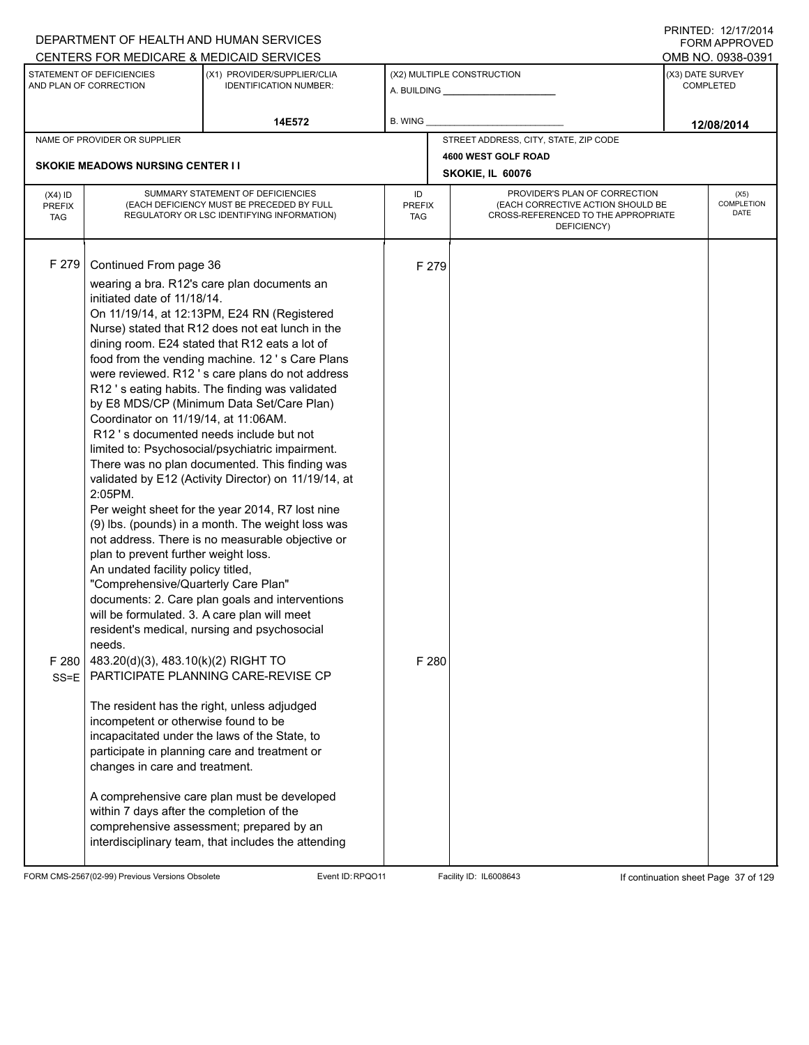|                                          |                                                                                                                                                                                                                                                                                                                                                                                                                                                       | DEPARTMENT OF HEALTH AND HUMAN SERVICES<br>CENTERS FOR MEDICARE & MEDICAID SERVICES                                                                                                                                                                                                                                                                                                                                                                                                                                                                                                                                                                                                                                                                                                                                                                                                                                                                                                                                                                                                                                                                                                                                   |                            |                |                                                                                                                          |                  | FNINILD. IZIIIIZVI <del>4</del><br><b>FORM APPROVED</b><br>OMB NO. 0938-0391 |  |
|------------------------------------------|-------------------------------------------------------------------------------------------------------------------------------------------------------------------------------------------------------------------------------------------------------------------------------------------------------------------------------------------------------------------------------------------------------------------------------------------------------|-----------------------------------------------------------------------------------------------------------------------------------------------------------------------------------------------------------------------------------------------------------------------------------------------------------------------------------------------------------------------------------------------------------------------------------------------------------------------------------------------------------------------------------------------------------------------------------------------------------------------------------------------------------------------------------------------------------------------------------------------------------------------------------------------------------------------------------------------------------------------------------------------------------------------------------------------------------------------------------------------------------------------------------------------------------------------------------------------------------------------------------------------------------------------------------------------------------------------|----------------------------|----------------|--------------------------------------------------------------------------------------------------------------------------|------------------|------------------------------------------------------------------------------|--|
|                                          | STATEMENT OF DEFICIENCIES<br>AND PLAN OF CORRECTION                                                                                                                                                                                                                                                                                                                                                                                                   | (X1) PROVIDER/SUPPLIER/CLIA<br><b>IDENTIFICATION NUMBER:</b>                                                                                                                                                                                                                                                                                                                                                                                                                                                                                                                                                                                                                                                                                                                                                                                                                                                                                                                                                                                                                                                                                                                                                          |                            |                | (X2) MULTIPLE CONSTRUCTION                                                                                               | (X3) DATE SURVEY | COMPLETED                                                                    |  |
|                                          |                                                                                                                                                                                                                                                                                                                                                                                                                                                       | 14E572                                                                                                                                                                                                                                                                                                                                                                                                                                                                                                                                                                                                                                                                                                                                                                                                                                                                                                                                                                                                                                                                                                                                                                                                                | <b>B. WING</b>             |                |                                                                                                                          |                  | 12/08/2014                                                                   |  |
|                                          | NAME OF PROVIDER OR SUPPLIER                                                                                                                                                                                                                                                                                                                                                                                                                          |                                                                                                                                                                                                                                                                                                                                                                                                                                                                                                                                                                                                                                                                                                                                                                                                                                                                                                                                                                                                                                                                                                                                                                                                                       |                            |                | STREET ADDRESS, CITY, STATE, ZIP CODE                                                                                    |                  |                                                                              |  |
|                                          | <b>SKOKIE MEADOWS NURSING CENTER II</b>                                                                                                                                                                                                                                                                                                                                                                                                               |                                                                                                                                                                                                                                                                                                                                                                                                                                                                                                                                                                                                                                                                                                                                                                                                                                                                                                                                                                                                                                                                                                                                                                                                                       |                            |                | 4600 WEST GOLF ROAD<br>SKOKIE, IL 60076                                                                                  |                  |                                                                              |  |
| $(X4)$ ID<br><b>PREFIX</b><br><b>TAG</b> |                                                                                                                                                                                                                                                                                                                                                                                                                                                       | SUMMARY STATEMENT OF DEFICIENCIES<br>(EACH DEFICIENCY MUST BE PRECEDED BY FULL<br>REGULATORY OR LSC IDENTIFYING INFORMATION)                                                                                                                                                                                                                                                                                                                                                                                                                                                                                                                                                                                                                                                                                                                                                                                                                                                                                                                                                                                                                                                                                          | ID<br><b>PREFIX</b><br>TAG |                | PROVIDER'S PLAN OF CORRECTION<br>(EACH CORRECTIVE ACTION SHOULD BE<br>CROSS-REFERENCED TO THE APPROPRIATE<br>DEFICIENCY) |                  | (X5)<br>COMPLETION<br><b>DATE</b>                                            |  |
| F 279<br>F 280<br>$SS = E$               | Continued From page 36<br>initiated date of 11/18/14.<br>Coordinator on 11/19/14, at 11:06AM.<br>2:05PM.<br>plan to prevent further weight loss.<br>An undated facility policy titled,<br>"Comprehensive/Quarterly Care Plan"<br>will be formulated. 3. A care plan will meet<br>needs.<br>483.20(d)(3), 483.10(k)(2) RIGHT TO<br>incompetent or otherwise found to be<br>changes in care and treatment.<br>within 7 days after the completion of the | wearing a bra. R12's care plan documents an<br>On 11/19/14, at 12:13PM, E24 RN (Registered<br>Nurse) stated that R12 does not eat lunch in the<br>dining room. E24 stated that R12 eats a lot of<br>food from the vending machine. 12's Care Plans<br>were reviewed. R12's care plans do not address<br>R12's eating habits. The finding was validated<br>by E8 MDS/CP (Minimum Data Set/Care Plan)<br>R12's documented needs include but not<br>limited to: Psychosocial/psychiatric impairment.<br>There was no plan documented. This finding was<br>validated by E12 (Activity Director) on 11/19/14, at<br>Per weight sheet for the year 2014, R7 lost nine<br>(9) Ibs. (pounds) in a month. The weight loss was<br>not address. There is no measurable objective or<br>documents: 2. Care plan goals and interventions<br>resident's medical, nursing and psychosocial<br>PARTICIPATE PLANNING CARE-REVISE CP<br>The resident has the right, unless adjudged<br>incapacitated under the laws of the State, to<br>participate in planning care and treatment or<br>A comprehensive care plan must be developed<br>comprehensive assessment; prepared by an<br>interdisciplinary team, that includes the attending |                            | F 279<br>F 280 |                                                                                                                          |                  |                                                                              |  |

FORM CMS-2567(02-99) Previous Versions Obsolete Event ID:RPQO11 Facility ID: IL6008643 If continuation sheet Page 37 of 129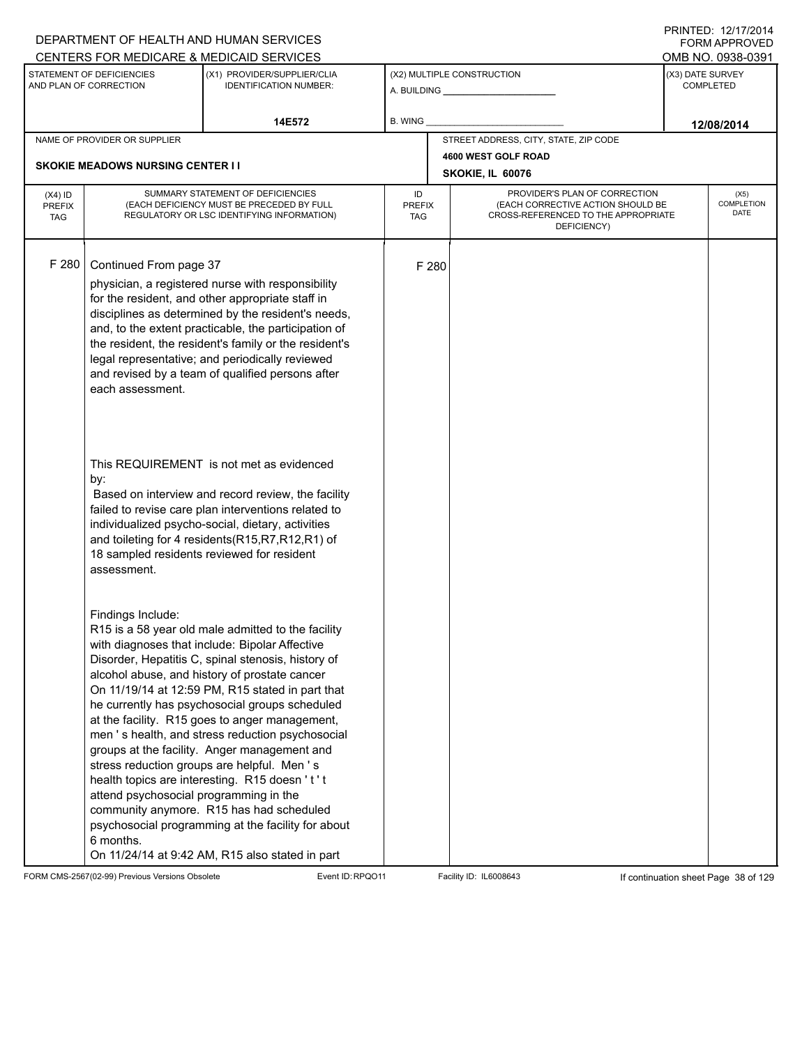|                                          |                                                                          | DEPARTMENT OF HEALTH AND HUMAN SERVICES                                                                                                                                                                                                                                                                                                                                                                                                                                                                                                                                                                                                                                                                                    |                            |       |                                                                                                                          |                  | <b>FORM APPROVED</b>              |  |
|------------------------------------------|--------------------------------------------------------------------------|----------------------------------------------------------------------------------------------------------------------------------------------------------------------------------------------------------------------------------------------------------------------------------------------------------------------------------------------------------------------------------------------------------------------------------------------------------------------------------------------------------------------------------------------------------------------------------------------------------------------------------------------------------------------------------------------------------------------------|----------------------------|-------|--------------------------------------------------------------------------------------------------------------------------|------------------|-----------------------------------|--|
|                                          |                                                                          | CENTERS FOR MEDICARE & MEDICAID SERVICES                                                                                                                                                                                                                                                                                                                                                                                                                                                                                                                                                                                                                                                                                   |                            |       |                                                                                                                          |                  | OMB NO. 0938-0391                 |  |
|                                          | STATEMENT OF DEFICIENCIES<br>AND PLAN OF CORRECTION                      | (X1) PROVIDER/SUPPLIER/CLIA<br><b>IDENTIFICATION NUMBER:</b>                                                                                                                                                                                                                                                                                                                                                                                                                                                                                                                                                                                                                                                               |                            |       | (X2) MULTIPLE CONSTRUCTION                                                                                               | (X3) DATE SURVEY | <b>COMPLETED</b>                  |  |
|                                          |                                                                          | 14E572                                                                                                                                                                                                                                                                                                                                                                                                                                                                                                                                                                                                                                                                                                                     | B. WING                    |       |                                                                                                                          |                  | 12/08/2014                        |  |
|                                          | NAME OF PROVIDER OR SUPPLIER                                             |                                                                                                                                                                                                                                                                                                                                                                                                                                                                                                                                                                                                                                                                                                                            |                            |       | STREET ADDRESS, CITY, STATE, ZIP CODE                                                                                    |                  |                                   |  |
|                                          |                                                                          |                                                                                                                                                                                                                                                                                                                                                                                                                                                                                                                                                                                                                                                                                                                            |                            |       | 4600 WEST GOLF ROAD                                                                                                      |                  |                                   |  |
|                                          | <b>SKOKIE MEADOWS NURSING CENTER I I</b>                                 |                                                                                                                                                                                                                                                                                                                                                                                                                                                                                                                                                                                                                                                                                                                            |                            |       | SKOKIE, IL 60076                                                                                                         |                  |                                   |  |
| $(X4)$ ID<br><b>PREFIX</b><br><b>TAG</b> |                                                                          | SUMMARY STATEMENT OF DEFICIENCIES<br>(EACH DEFICIENCY MUST BE PRECEDED BY FULL<br>REGULATORY OR LSC IDENTIFYING INFORMATION)                                                                                                                                                                                                                                                                                                                                                                                                                                                                                                                                                                                               | ID<br><b>PREFIX</b><br>TAG |       | PROVIDER'S PLAN OF CORRECTION<br>(EACH CORRECTIVE ACTION SHOULD BE<br>CROSS-REFERENCED TO THE APPROPRIATE<br>DEFICIENCY) |                  | (X5)<br>COMPLETION<br><b>DATE</b> |  |
| F 280                                    | Continued From page 37<br>each assessment.                               | physician, a registered nurse with responsibility<br>for the resident, and other appropriate staff in<br>disciplines as determined by the resident's needs,<br>and, to the extent practicable, the participation of<br>the resident, the resident's family or the resident's<br>legal representative; and periodically reviewed<br>and revised by a team of qualified persons after                                                                                                                                                                                                                                                                                                                                        |                            | F 280 |                                                                                                                          |                  |                                   |  |
|                                          | by:<br>assessment.                                                       | This REQUIREMENT is not met as evidenced<br>Based on interview and record review, the facility<br>failed to revise care plan interventions related to<br>individualized psycho-social, dietary, activities<br>and toileting for 4 residents(R15,R7,R12,R1) of<br>18 sampled residents reviewed for resident                                                                                                                                                                                                                                                                                                                                                                                                                |                            |       |                                                                                                                          |                  |                                   |  |
|                                          | Findings Include:<br>attend psychosocial programming in the<br>6 months. | R15 is a 58 year old male admitted to the facility<br>with diagnoses that include: Bipolar Affective<br>Disorder, Hepatitis C, spinal stenosis, history of<br>alcohol abuse, and history of prostate cancer<br>On 11/19/14 at 12:59 PM, R15 stated in part that<br>he currently has psychosocial groups scheduled<br>at the facility. R15 goes to anger management,<br>men 's health, and stress reduction psychosocial<br>groups at the facility. Anger management and<br>stress reduction groups are helpful. Men's<br>health topics are interesting. R15 doesn't't<br>community anymore. R15 has had scheduled<br>psychosocial programming at the facility for about<br>On 11/24/14 at 9:42 AM, R15 also stated in part |                            |       |                                                                                                                          |                  |                                   |  |

FORM CMS-2567(02-99) Previous Versions Obsolete Event ID:RPQO11 Facility ID: IL6008643 If continuation sheet Page 38 of 129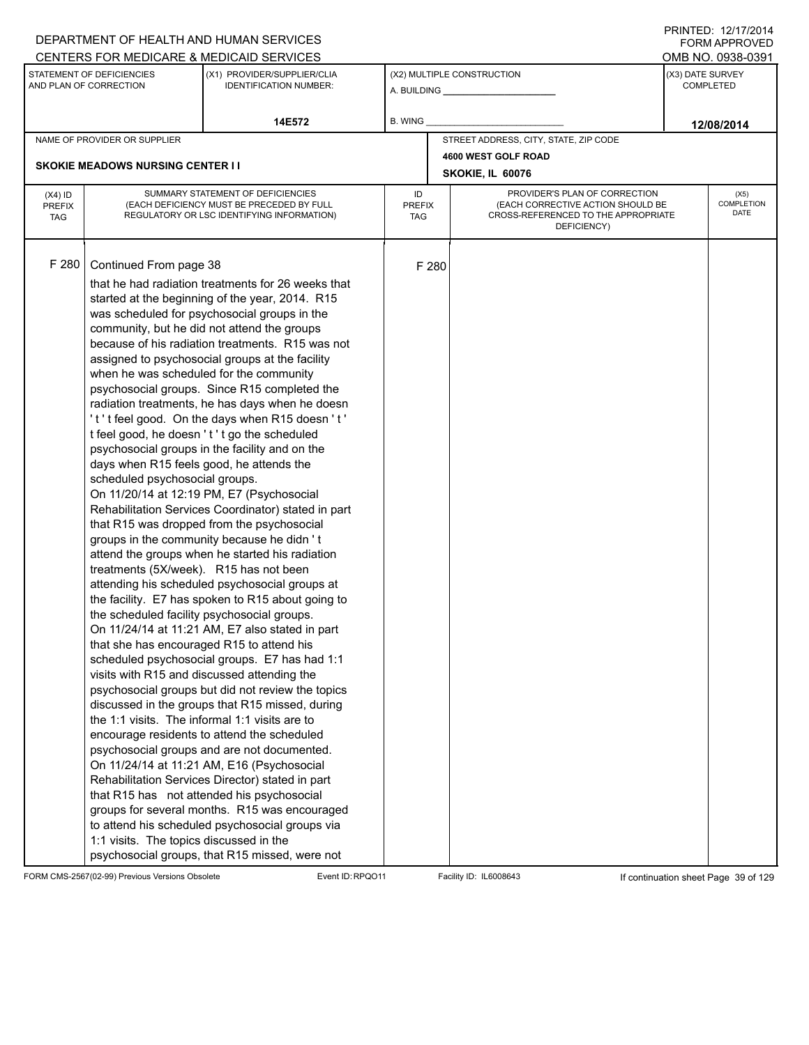|                                          |                                                                                                                                                                                                                                                                                                                                  | DEPARTMENT OF HEALTH AND HUMAN SERVICES                                                                                                                                                                                                                                                                                                                                                                                                                                                                                                                                                                                                                                                                                                                                                                                                                                                                                                                                                                                                                                                                                                                                                                                                                                                                                                                                                                                                                                                                                                                                                                                                    |                            |       |                                                                                                                          |                  | FORM APPROVED              |
|------------------------------------------|----------------------------------------------------------------------------------------------------------------------------------------------------------------------------------------------------------------------------------------------------------------------------------------------------------------------------------|--------------------------------------------------------------------------------------------------------------------------------------------------------------------------------------------------------------------------------------------------------------------------------------------------------------------------------------------------------------------------------------------------------------------------------------------------------------------------------------------------------------------------------------------------------------------------------------------------------------------------------------------------------------------------------------------------------------------------------------------------------------------------------------------------------------------------------------------------------------------------------------------------------------------------------------------------------------------------------------------------------------------------------------------------------------------------------------------------------------------------------------------------------------------------------------------------------------------------------------------------------------------------------------------------------------------------------------------------------------------------------------------------------------------------------------------------------------------------------------------------------------------------------------------------------------------------------------------------------------------------------------------|----------------------------|-------|--------------------------------------------------------------------------------------------------------------------------|------------------|----------------------------|
|                                          | CENTERS FOR MEDICARE & MEDICAID SERVICES                                                                                                                                                                                                                                                                                         |                                                                                                                                                                                                                                                                                                                                                                                                                                                                                                                                                                                                                                                                                                                                                                                                                                                                                                                                                                                                                                                                                                                                                                                                                                                                                                                                                                                                                                                                                                                                                                                                                                            |                            |       |                                                                                                                          |                  | OMB NO. 0938-0391          |
|                                          | STATEMENT OF DEFICIENCIES<br>AND PLAN OF CORRECTION                                                                                                                                                                                                                                                                              | (X1) PROVIDER/SUPPLIER/CLIA<br><b>IDENTIFICATION NUMBER:</b>                                                                                                                                                                                                                                                                                                                                                                                                                                                                                                                                                                                                                                                                                                                                                                                                                                                                                                                                                                                                                                                                                                                                                                                                                                                                                                                                                                                                                                                                                                                                                                               |                            |       | (X2) MULTIPLE CONSTRUCTION                                                                                               | (X3) DATE SURVEY | <b>COMPLETED</b>           |
|                                          |                                                                                                                                                                                                                                                                                                                                  | 14E572                                                                                                                                                                                                                                                                                                                                                                                                                                                                                                                                                                                                                                                                                                                                                                                                                                                                                                                                                                                                                                                                                                                                                                                                                                                                                                                                                                                                                                                                                                                                                                                                                                     | B. WING                    |       |                                                                                                                          |                  | 12/08/2014                 |
|                                          | NAME OF PROVIDER OR SUPPLIER                                                                                                                                                                                                                                                                                                     |                                                                                                                                                                                                                                                                                                                                                                                                                                                                                                                                                                                                                                                                                                                                                                                                                                                                                                                                                                                                                                                                                                                                                                                                                                                                                                                                                                                                                                                                                                                                                                                                                                            |                            |       | STREET ADDRESS, CITY, STATE, ZIP CODE                                                                                    |                  |                            |
|                                          |                                                                                                                                                                                                                                                                                                                                  |                                                                                                                                                                                                                                                                                                                                                                                                                                                                                                                                                                                                                                                                                                                                                                                                                                                                                                                                                                                                                                                                                                                                                                                                                                                                                                                                                                                                                                                                                                                                                                                                                                            |                            |       | 4600 WEST GOLF ROAD                                                                                                      |                  |                            |
|                                          | <b>SKOKIE MEADOWS NURSING CENTER I I</b>                                                                                                                                                                                                                                                                                         |                                                                                                                                                                                                                                                                                                                                                                                                                                                                                                                                                                                                                                                                                                                                                                                                                                                                                                                                                                                                                                                                                                                                                                                                                                                                                                                                                                                                                                                                                                                                                                                                                                            |                            |       | SKOKIE, IL 60076                                                                                                         |                  |                            |
| $(X4)$ ID<br><b>PREFIX</b><br><b>TAG</b> |                                                                                                                                                                                                                                                                                                                                  | SUMMARY STATEMENT OF DEFICIENCIES<br>(EACH DEFICIENCY MUST BE PRECEDED BY FULL<br>REGULATORY OR LSC IDENTIFYING INFORMATION)                                                                                                                                                                                                                                                                                                                                                                                                                                                                                                                                                                                                                                                                                                                                                                                                                                                                                                                                                                                                                                                                                                                                                                                                                                                                                                                                                                                                                                                                                                               | ID<br><b>PREFIX</b><br>TAG |       | PROVIDER'S PLAN OF CORRECTION<br>(EACH CORRECTIVE ACTION SHOULD BE<br>CROSS-REFERENCED TO THE APPROPRIATE<br>DEFICIENCY) |                  | (X5)<br>COMPLETION<br>DATE |
| F 280                                    | Continued From page 38<br>when he was scheduled for the community<br>days when R15 feels good, he attends the<br>scheduled psychosocial groups.<br>treatments (5X/week). R15 has not been<br>the scheduled facility psychosocial groups.<br>that she has encouraged R15 to attend his<br>1:1 visits. The topics discussed in the | that he had radiation treatments for 26 weeks that<br>started at the beginning of the year, 2014. R15<br>was scheduled for psychosocial groups in the<br>community, but he did not attend the groups<br>because of his radiation treatments. R15 was not<br>assigned to psychosocial groups at the facility<br>psychosocial groups. Since R15 completed the<br>radiation treatments, he has days when he doesn<br>'t't feel good. On the days when R15 doesn't'<br>t feel good, he doesn 't't go the scheduled<br>psychosocial groups in the facility and on the<br>On 11/20/14 at 12:19 PM, E7 (Psychosocial<br>Rehabilitation Services Coordinator) stated in part<br>that R15 was dropped from the psychosocial<br>groups in the community because he didn't<br>attend the groups when he started his radiation<br>attending his scheduled psychosocial groups at<br>the facility. E7 has spoken to R15 about going to<br>On 11/24/14 at 11:21 AM, E7 also stated in part<br>scheduled psychosocial groups. E7 has had 1:1<br>visits with R15 and discussed attending the<br>psychosocial groups but did not review the topics<br>discussed in the groups that R15 missed, during<br>the 1:1 visits. The informal 1:1 visits are to<br>encourage residents to attend the scheduled<br>psychosocial groups and are not documented.<br>On 11/24/14 at 11:21 AM, E16 (Psychosocial<br>Rehabilitation Services Director) stated in part<br>that R15 has not attended his psychosocial<br>groups for several months. R15 was encouraged<br>to attend his scheduled psychosocial groups via<br>psychosocial groups, that R15 missed, were not |                            | F 280 |                                                                                                                          |                  |                            |

FORM CMS-2567(02-99) Previous Versions Obsolete Event ID:RPQO11 Facility ID: IL6008643 If continuation sheet Page 39 of 129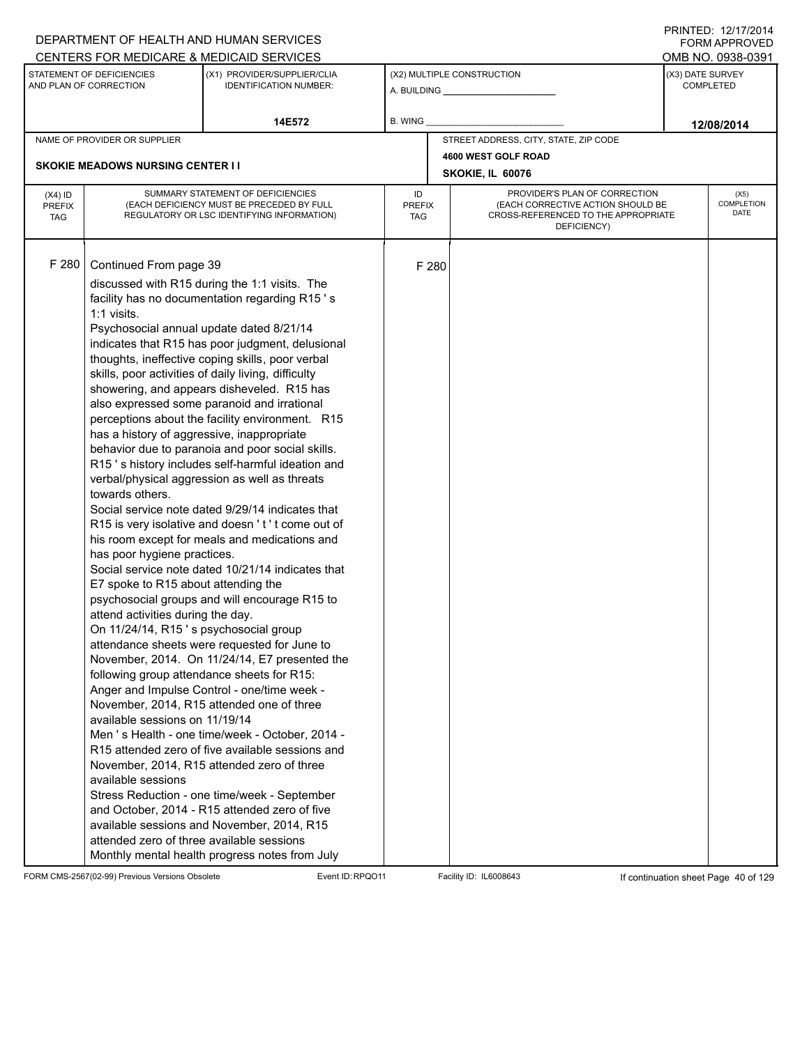|                                          |                                                                                                                                                                                                                                                                                                                                                                                                               | DEPARTMENT OF HEALTH AND HUMAN SERVICES<br>CENTERS FOR MEDICARE & MEDICAID SERVICES                                                                                                                                                                                                                                                                                                                                                                                                                                                                                                                                                                                                                                                                                                                                                                                                                                                                                                                                                                                                                                                                                                                                                                                                                                                                                                                                                   |                            |       |                                                                                                                          | FNINILD. IZIIIIZVI <del>4</del><br><b>FORM APPROVED</b><br>OMB NO. 0938-0391 |
|------------------------------------------|---------------------------------------------------------------------------------------------------------------------------------------------------------------------------------------------------------------------------------------------------------------------------------------------------------------------------------------------------------------------------------------------------------------|---------------------------------------------------------------------------------------------------------------------------------------------------------------------------------------------------------------------------------------------------------------------------------------------------------------------------------------------------------------------------------------------------------------------------------------------------------------------------------------------------------------------------------------------------------------------------------------------------------------------------------------------------------------------------------------------------------------------------------------------------------------------------------------------------------------------------------------------------------------------------------------------------------------------------------------------------------------------------------------------------------------------------------------------------------------------------------------------------------------------------------------------------------------------------------------------------------------------------------------------------------------------------------------------------------------------------------------------------------------------------------------------------------------------------------------|----------------------------|-------|--------------------------------------------------------------------------------------------------------------------------|------------------------------------------------------------------------------|
|                                          | STATEMENT OF DEFICIENCIES<br>AND PLAN OF CORRECTION                                                                                                                                                                                                                                                                                                                                                           | (X1) PROVIDER/SUPPLIER/CLIA<br><b>IDENTIFICATION NUMBER:</b>                                                                                                                                                                                                                                                                                                                                                                                                                                                                                                                                                                                                                                                                                                                                                                                                                                                                                                                                                                                                                                                                                                                                                                                                                                                                                                                                                                          |                            |       | (X2) MULTIPLE CONSTRUCTION                                                                                               | (X3) DATE SURVEY<br><b>COMPLETED</b>                                         |
|                                          |                                                                                                                                                                                                                                                                                                                                                                                                               | 14E572                                                                                                                                                                                                                                                                                                                                                                                                                                                                                                                                                                                                                                                                                                                                                                                                                                                                                                                                                                                                                                                                                                                                                                                                                                                                                                                                                                                                                                | <b>B. WING</b>             |       |                                                                                                                          | 12/08/2014                                                                   |
|                                          | NAME OF PROVIDER OR SUPPLIER                                                                                                                                                                                                                                                                                                                                                                                  |                                                                                                                                                                                                                                                                                                                                                                                                                                                                                                                                                                                                                                                                                                                                                                                                                                                                                                                                                                                                                                                                                                                                                                                                                                                                                                                                                                                                                                       |                            |       | STREET ADDRESS, CITY, STATE, ZIP CODE                                                                                    |                                                                              |
|                                          |                                                                                                                                                                                                                                                                                                                                                                                                               |                                                                                                                                                                                                                                                                                                                                                                                                                                                                                                                                                                                                                                                                                                                                                                                                                                                                                                                                                                                                                                                                                                                                                                                                                                                                                                                                                                                                                                       |                            |       | 4600 WEST GOLF ROAD                                                                                                      |                                                                              |
|                                          | <b>SKOKIE MEADOWS NURSING CENTER I I</b>                                                                                                                                                                                                                                                                                                                                                                      |                                                                                                                                                                                                                                                                                                                                                                                                                                                                                                                                                                                                                                                                                                                                                                                                                                                                                                                                                                                                                                                                                                                                                                                                                                                                                                                                                                                                                                       |                            |       | SKOKIE, IL 60076                                                                                                         |                                                                              |
| $(X4)$ ID<br><b>PREFIX</b><br><b>TAG</b> |                                                                                                                                                                                                                                                                                                                                                                                                               | SUMMARY STATEMENT OF DEFICIENCIES<br>(EACH DEFICIENCY MUST BE PRECEDED BY FULL<br>REGULATORY OR LSC IDENTIFYING INFORMATION)                                                                                                                                                                                                                                                                                                                                                                                                                                                                                                                                                                                                                                                                                                                                                                                                                                                                                                                                                                                                                                                                                                                                                                                                                                                                                                          | ID<br><b>PREFIX</b><br>TAG |       | PROVIDER'S PLAN OF CORRECTION<br>(EACH CORRECTIVE ACTION SHOULD BE<br>CROSS-REFERENCED TO THE APPROPRIATE<br>DEFICIENCY) | (X5)<br>COMPLETION<br>DATE                                                   |
| F 280                                    | Continued From page 39<br>$1:1$ visits.<br>Psychosocial annual update dated 8/21/14<br>has a history of aggressive, inappropriate<br>towards others.<br>has poor hygiene practices.<br>E7 spoke to R15 about attending the<br>attend activities during the day.<br>On 11/24/14, R15's psychosocial group<br>available sessions on 11/19/14<br>available sessions<br>attended zero of three available sessions | discussed with R15 during the 1:1 visits. The<br>facility has no documentation regarding R15's<br>indicates that R15 has poor judgment, delusional<br>thoughts, ineffective coping skills, poor verbal<br>skills, poor activities of daily living, difficulty<br>showering, and appears disheveled. R15 has<br>also expressed some paranoid and irrational<br>perceptions about the facility environment. R15<br>behavior due to paranoia and poor social skills.<br>R15's history includes self-harmful ideation and<br>verbal/physical aggression as well as threats<br>Social service note dated 9/29/14 indicates that<br>R15 is very isolative and doesn't't come out of<br>his room except for meals and medications and<br>Social service note dated 10/21/14 indicates that<br>psychosocial groups and will encourage R15 to<br>attendance sheets were requested for June to<br>November, 2014. On 11/24/14, E7 presented the<br>following group attendance sheets for R15:<br>Anger and Impulse Control - one/time week -<br>November, 2014, R15 attended one of three<br>Men 's Health - one time/week - October, 2014 -<br>R15 attended zero of five available sessions and<br>November, 2014, R15 attended zero of three<br>Stress Reduction - one time/week - September<br>and October, 2014 - R15 attended zero of five<br>available sessions and November, 2014, R15<br>Monthly mental health progress notes from July |                            | F 280 |                                                                                                                          |                                                                              |

FORM CMS-2567(02-99) Previous Versions Obsolete Event ID:RPQO11 Facility ID: IL6008643 If continuation sheet Page 40 of 129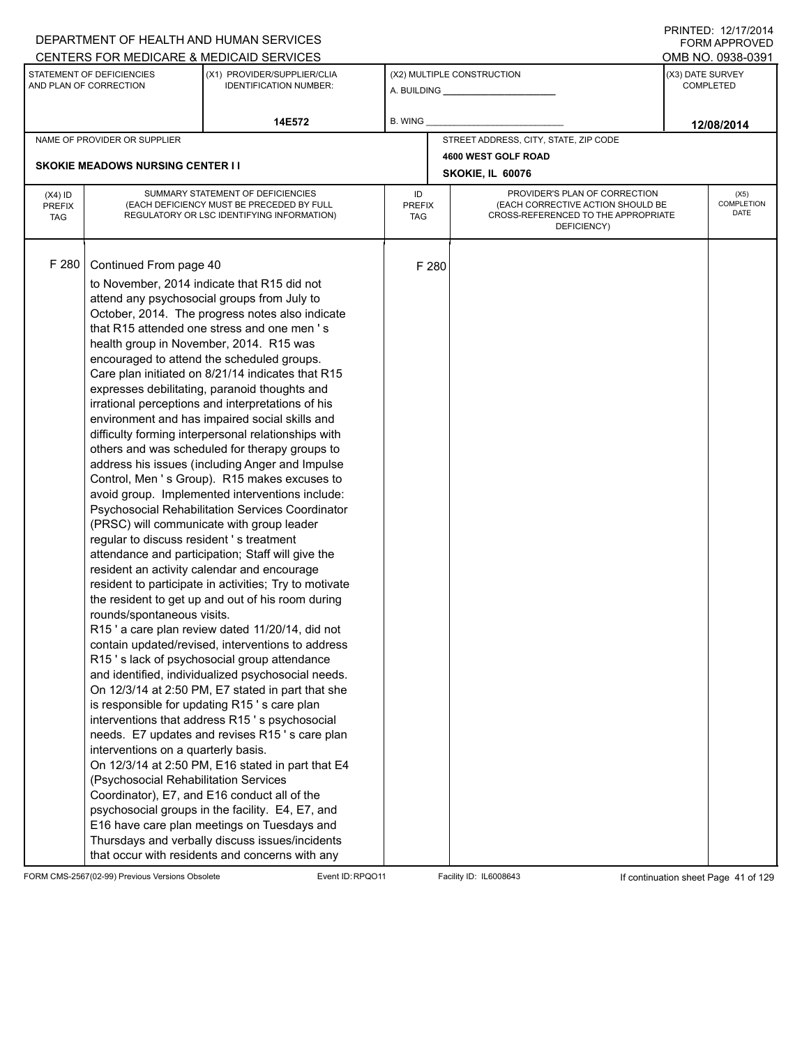|                                          |                                                                                                                                                                                                                             | DEPARTMENT OF HEALTH AND HUMAN SERVICES                                                                                                                                                                                                                                                                                                                                                                                                                                                                                                                                                                                                                                                                                                                                                                                                                                                                                                                                                                                                                                                                                                                                                                                                                                                                                                                                                                                                                                                                                                                                                                                                                                                                                                                                    |                            |       |                                                                                                                          |  | $1 \times 1 \times 1 = 1$ . $1 \times 1 \times 1 = 1$<br><b>FORM APPROVED</b> |  |
|------------------------------------------|-----------------------------------------------------------------------------------------------------------------------------------------------------------------------------------------------------------------------------|----------------------------------------------------------------------------------------------------------------------------------------------------------------------------------------------------------------------------------------------------------------------------------------------------------------------------------------------------------------------------------------------------------------------------------------------------------------------------------------------------------------------------------------------------------------------------------------------------------------------------------------------------------------------------------------------------------------------------------------------------------------------------------------------------------------------------------------------------------------------------------------------------------------------------------------------------------------------------------------------------------------------------------------------------------------------------------------------------------------------------------------------------------------------------------------------------------------------------------------------------------------------------------------------------------------------------------------------------------------------------------------------------------------------------------------------------------------------------------------------------------------------------------------------------------------------------------------------------------------------------------------------------------------------------------------------------------------------------------------------------------------------------|----------------------------|-------|--------------------------------------------------------------------------------------------------------------------------|--|-------------------------------------------------------------------------------|--|
|                                          |                                                                                                                                                                                                                             | CENTERS FOR MEDICARE & MEDICAID SERVICES                                                                                                                                                                                                                                                                                                                                                                                                                                                                                                                                                                                                                                                                                                                                                                                                                                                                                                                                                                                                                                                                                                                                                                                                                                                                                                                                                                                                                                                                                                                                                                                                                                                                                                                                   |                            |       |                                                                                                                          |  | OMB NO. 0938-0391                                                             |  |
|                                          | STATEMENT OF DEFICIENCIES<br>AND PLAN OF CORRECTION                                                                                                                                                                         | (X1) PROVIDER/SUPPLIER/CLIA<br><b>IDENTIFICATION NUMBER:</b>                                                                                                                                                                                                                                                                                                                                                                                                                                                                                                                                                                                                                                                                                                                                                                                                                                                                                                                                                                                                                                                                                                                                                                                                                                                                                                                                                                                                                                                                                                                                                                                                                                                                                                               |                            |       | (X2) MULTIPLE CONSTRUCTION                                                                                               |  | (X3) DATE SURVEY<br><b>COMPLETED</b>                                          |  |
|                                          |                                                                                                                                                                                                                             | 14E572                                                                                                                                                                                                                                                                                                                                                                                                                                                                                                                                                                                                                                                                                                                                                                                                                                                                                                                                                                                                                                                                                                                                                                                                                                                                                                                                                                                                                                                                                                                                                                                                                                                                                                                                                                     | B. WING                    |       |                                                                                                                          |  | 12/08/2014                                                                    |  |
|                                          | NAME OF PROVIDER OR SUPPLIER                                                                                                                                                                                                |                                                                                                                                                                                                                                                                                                                                                                                                                                                                                                                                                                                                                                                                                                                                                                                                                                                                                                                                                                                                                                                                                                                                                                                                                                                                                                                                                                                                                                                                                                                                                                                                                                                                                                                                                                            |                            |       | STREET ADDRESS, CITY, STATE, ZIP CODE                                                                                    |  |                                                                               |  |
|                                          |                                                                                                                                                                                                                             |                                                                                                                                                                                                                                                                                                                                                                                                                                                                                                                                                                                                                                                                                                                                                                                                                                                                                                                                                                                                                                                                                                                                                                                                                                                                                                                                                                                                                                                                                                                                                                                                                                                                                                                                                                            |                            |       | 4600 WEST GOLF ROAD                                                                                                      |  |                                                                               |  |
|                                          | <b>SKOKIE MEADOWS NURSING CENTER II</b>                                                                                                                                                                                     |                                                                                                                                                                                                                                                                                                                                                                                                                                                                                                                                                                                                                                                                                                                                                                                                                                                                                                                                                                                                                                                                                                                                                                                                                                                                                                                                                                                                                                                                                                                                                                                                                                                                                                                                                                            |                            |       | SKOKIE, IL 60076                                                                                                         |  |                                                                               |  |
| $(X4)$ ID<br><b>PREFIX</b><br><b>TAG</b> |                                                                                                                                                                                                                             | SUMMARY STATEMENT OF DEFICIENCIES<br>(EACH DEFICIENCY MUST BE PRECEDED BY FULL<br>REGULATORY OR LSC IDENTIFYING INFORMATION)                                                                                                                                                                                                                                                                                                                                                                                                                                                                                                                                                                                                                                                                                                                                                                                                                                                                                                                                                                                                                                                                                                                                                                                                                                                                                                                                                                                                                                                                                                                                                                                                                                               | ID<br><b>PREFIX</b><br>TAG |       | PROVIDER'S PLAN OF CORRECTION<br>(EACH CORRECTIVE ACTION SHOULD BE<br>CROSS-REFERENCED TO THE APPROPRIATE<br>DEFICIENCY) |  | (X5)<br>COMPLETION<br>DATE                                                    |  |
| F 280                                    | Continued From page 40<br>health group in November, 2014. R15 was<br>regular to discuss resident 's treatment<br>rounds/spontaneous visits.<br>interventions on a quarterly basis.<br>(Psychosocial Rehabilitation Services | to November, 2014 indicate that R15 did not<br>attend any psychosocial groups from July to<br>October, 2014. The progress notes also indicate<br>that R15 attended one stress and one men's<br>encouraged to attend the scheduled groups.<br>Care plan initiated on 8/21/14 indicates that R15<br>expresses debilitating, paranoid thoughts and<br>irrational perceptions and interpretations of his<br>environment and has impaired social skills and<br>difficulty forming interpersonal relationships with<br>others and was scheduled for therapy groups to<br>address his issues (including Anger and Impulse<br>Control, Men 's Group). R15 makes excuses to<br>avoid group. Implemented interventions include:<br>Psychosocial Rehabilitation Services Coordinator<br>(PRSC) will communicate with group leader<br>attendance and participation; Staff will give the<br>resident an activity calendar and encourage<br>resident to participate in activities; Try to motivate<br>the resident to get up and out of his room during<br>R15' a care plan review dated 11/20/14, did not<br>contain updated/revised, interventions to address<br>R15's lack of psychosocial group attendance<br>and identified, individualized psychosocial needs.<br>On 12/3/14 at 2:50 PM, E7 stated in part that she<br>is responsible for updating R15's care plan<br>interventions that address R15's psychosocial<br>needs. E7 updates and revises R15's care plan<br>On 12/3/14 at 2:50 PM, E16 stated in part that E4<br>Coordinator), E7, and E16 conduct all of the<br>psychosocial groups in the facility. E4, E7, and<br>E16 have care plan meetings on Tuesdays and<br>Thursdays and verbally discuss issues/incidents<br>that occur with residents and concerns with any |                            | F 280 |                                                                                                                          |  |                                                                               |  |

FORM CMS-2567(02-99) Previous Versions Obsolete Event ID:RPQO11 Facility ID: IL6008643 If continuation sheet Page 41 of 129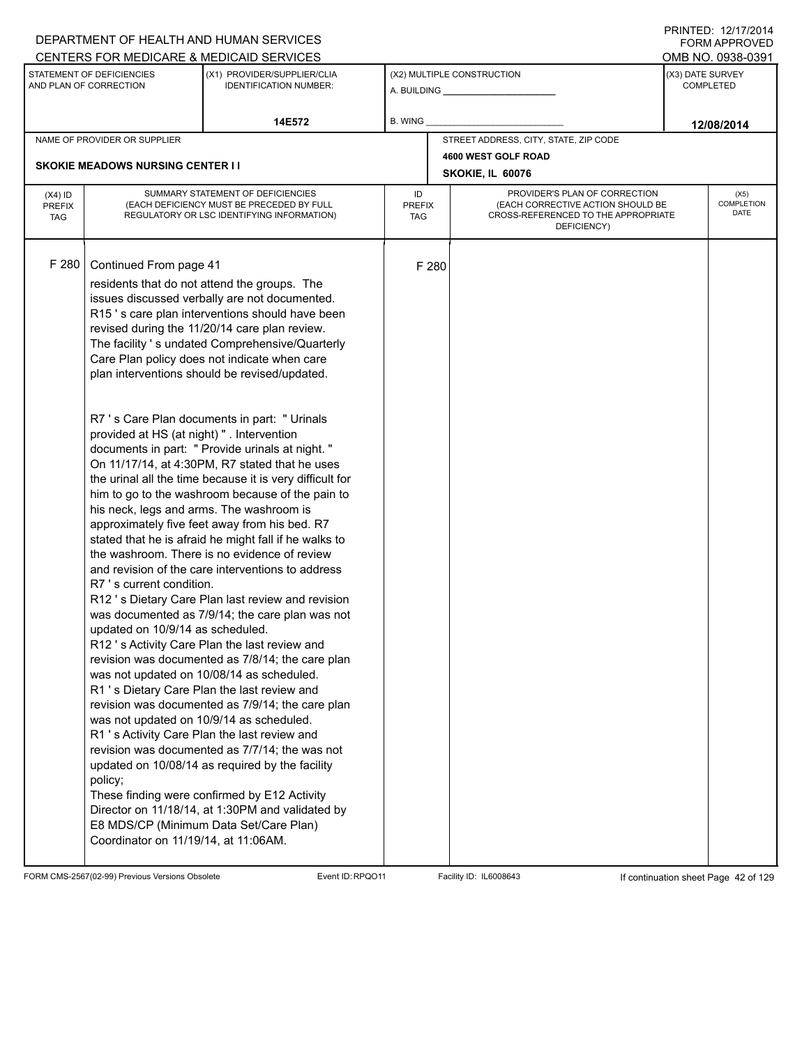|                                          |                                            | DEPARTMENT OF HEALTH AND HUMAN SERVICES                                                                                      |                            |       |                                                                                                                          |                  | <b>FORM APPROVED</b>              |
|------------------------------------------|--------------------------------------------|------------------------------------------------------------------------------------------------------------------------------|----------------------------|-------|--------------------------------------------------------------------------------------------------------------------------|------------------|-----------------------------------|
|                                          | STATEMENT OF DEFICIENCIES                  | CENTERS FOR MEDICARE & MEDICAID SERVICES<br>(X1) PROVIDER/SUPPLIER/CLIA                                                      |                            |       | (X2) MULTIPLE CONSTRUCTION                                                                                               | (X3) DATE SURVEY | OMB NO. 0938-0391                 |
|                                          | AND PLAN OF CORRECTION                     | <b>IDENTIFICATION NUMBER:</b>                                                                                                |                            |       |                                                                                                                          |                  | <b>COMPLETED</b>                  |
|                                          |                                            | 14E572                                                                                                                       | B. WING                    |       |                                                                                                                          |                  | 12/08/2014                        |
|                                          | NAME OF PROVIDER OR SUPPLIER               |                                                                                                                              |                            |       | STREET ADDRESS, CITY, STATE, ZIP CODE                                                                                    |                  |                                   |
|                                          |                                            |                                                                                                                              |                            |       | 4600 WEST GOLF ROAD                                                                                                      |                  |                                   |
|                                          | <b>SKOKIE MEADOWS NURSING CENTER I I</b>   |                                                                                                                              |                            |       | SKOKIE, IL 60076                                                                                                         |                  |                                   |
| $(X4)$ ID<br><b>PREFIX</b><br><b>TAG</b> |                                            | SUMMARY STATEMENT OF DEFICIENCIES<br>(EACH DEFICIENCY MUST BE PRECEDED BY FULL<br>REGULATORY OR LSC IDENTIFYING INFORMATION) | ID<br><b>PREFIX</b><br>TAG |       | PROVIDER'S PLAN OF CORRECTION<br>(EACH CORRECTIVE ACTION SHOULD BE<br>CROSS-REFERENCED TO THE APPROPRIATE<br>DEFICIENCY) |                  | (X5)<br><b>COMPLETION</b><br>DATE |
|                                          |                                            |                                                                                                                              |                            |       |                                                                                                                          |                  |                                   |
| F 280                                    | Continued From page 41                     |                                                                                                                              |                            | F 280 |                                                                                                                          |                  |                                   |
|                                          |                                            | residents that do not attend the groups. The<br>issues discussed verbally are not documented.                                |                            |       |                                                                                                                          |                  |                                   |
|                                          |                                            | R15's care plan interventions should have been                                                                               |                            |       |                                                                                                                          |                  |                                   |
|                                          |                                            | revised during the 11/20/14 care plan review.                                                                                |                            |       |                                                                                                                          |                  |                                   |
|                                          |                                            | The facility 's undated Comprehensive/Quarterly                                                                              |                            |       |                                                                                                                          |                  |                                   |
|                                          |                                            | Care Plan policy does not indicate when care<br>plan interventions should be revised/updated.                                |                            |       |                                                                                                                          |                  |                                   |
|                                          |                                            |                                                                                                                              |                            |       |                                                                                                                          |                  |                                   |
|                                          |                                            |                                                                                                                              |                            |       |                                                                                                                          |                  |                                   |
|                                          | provided at HS (at night) " . Intervention | R7 's Care Plan documents in part: " Urinals                                                                                 |                            |       |                                                                                                                          |                  |                                   |
|                                          |                                            | documents in part: " Provide urinals at night."                                                                              |                            |       |                                                                                                                          |                  |                                   |
|                                          |                                            | On 11/17/14, at 4:30PM, R7 stated that he uses                                                                               |                            |       |                                                                                                                          |                  |                                   |
|                                          |                                            | the urinal all the time because it is very difficult for                                                                     |                            |       |                                                                                                                          |                  |                                   |
|                                          | his neck, legs and arms. The washroom is   | him to go to the washroom because of the pain to                                                                             |                            |       |                                                                                                                          |                  |                                   |
|                                          |                                            | approximately five feet away from his bed. R7                                                                                |                            |       |                                                                                                                          |                  |                                   |
|                                          |                                            | stated that he is afraid he might fall if he walks to                                                                        |                            |       |                                                                                                                          |                  |                                   |
|                                          |                                            | the washroom. There is no evidence of review                                                                                 |                            |       |                                                                                                                          |                  |                                   |
|                                          |                                            | and revision of the care interventions to address                                                                            |                            |       |                                                                                                                          |                  |                                   |
|                                          | R7 's current condition.                   | R12's Dietary Care Plan last review and revision                                                                             |                            |       |                                                                                                                          |                  |                                   |
|                                          |                                            | was documented as 7/9/14; the care plan was not                                                                              |                            |       |                                                                                                                          |                  |                                   |
|                                          | updated on 10/9/14 as scheduled.           |                                                                                                                              |                            |       |                                                                                                                          |                  |                                   |
|                                          |                                            | R12's Activity Care Plan the last review and                                                                                 |                            |       |                                                                                                                          |                  |                                   |
|                                          |                                            | revision was documented as 7/8/14; the care plan                                                                             |                            |       |                                                                                                                          |                  |                                   |
|                                          |                                            | was not updated on 10/08/14 as scheduled.<br>R1's Dietary Care Plan the last review and                                      |                            |       |                                                                                                                          |                  |                                   |
|                                          |                                            | revision was documented as 7/9/14; the care plan                                                                             |                            |       |                                                                                                                          |                  |                                   |
|                                          | was not updated on 10/9/14 as scheduled.   |                                                                                                                              |                            |       |                                                                                                                          |                  |                                   |
|                                          |                                            | R1 's Activity Care Plan the last review and                                                                                 |                            |       |                                                                                                                          |                  |                                   |
|                                          |                                            | revision was documented as 7/7/14; the was not                                                                               |                            |       |                                                                                                                          |                  |                                   |
|                                          | policy;                                    | updated on 10/08/14 as required by the facility                                                                              |                            |       |                                                                                                                          |                  |                                   |
|                                          |                                            | These finding were confirmed by E12 Activity                                                                                 |                            |       |                                                                                                                          |                  |                                   |
|                                          |                                            | Director on 11/18/14, at 1:30PM and validated by                                                                             |                            |       |                                                                                                                          |                  |                                   |
|                                          |                                            | E8 MDS/CP (Minimum Data Set/Care Plan)                                                                                       |                            |       |                                                                                                                          |                  |                                   |
|                                          | Coordinator on 11/19/14, at 11:06AM.       |                                                                                                                              |                            |       |                                                                                                                          |                  |                                   |
|                                          |                                            |                                                                                                                              |                            |       |                                                                                                                          |                  |                                   |

FORM CMS-2567(02-99) Previous Versions Obsolete Event ID:RPQO11 Facility ID: IL6008643 If continuation sheet Page 42 of 129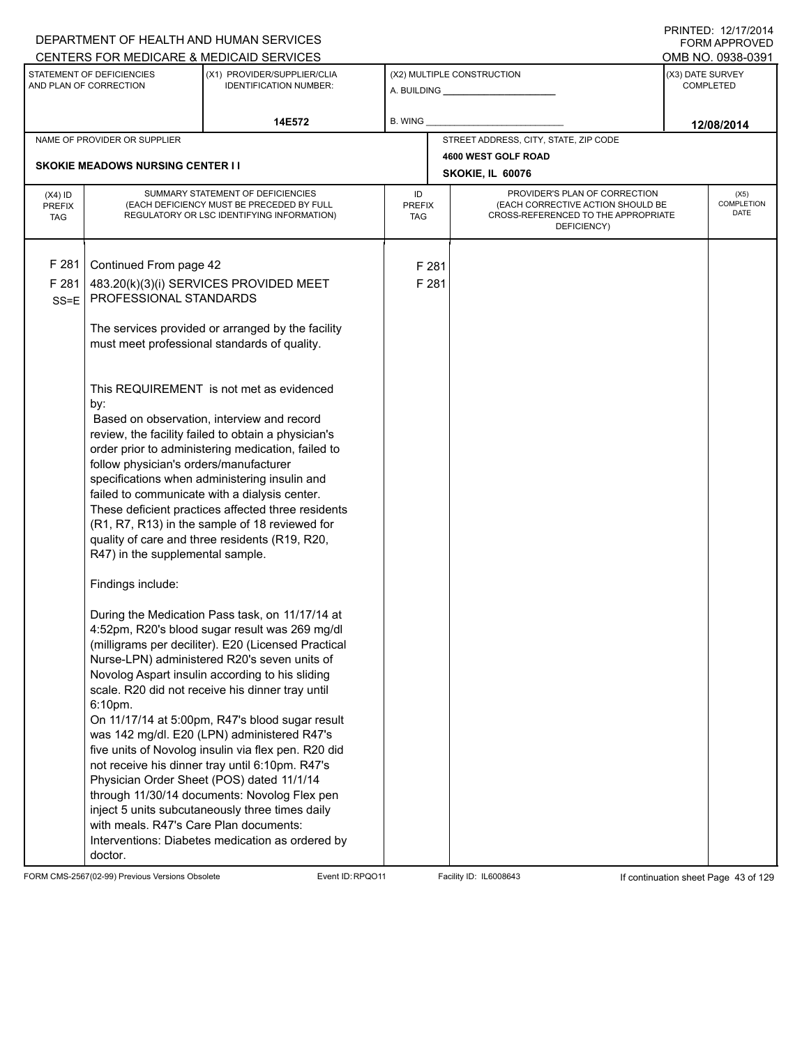|                                          |                                                                                   | DEPARTMENT OF HEALTH AND HUMAN SERVICES                                                                                                                                                                                                                                                                                                                                                                                                                                                                                                                                                                                                                                                                                         |                            |       |                                                                                                                          | <b>FORM APPROVED</b>                 |
|------------------------------------------|-----------------------------------------------------------------------------------|---------------------------------------------------------------------------------------------------------------------------------------------------------------------------------------------------------------------------------------------------------------------------------------------------------------------------------------------------------------------------------------------------------------------------------------------------------------------------------------------------------------------------------------------------------------------------------------------------------------------------------------------------------------------------------------------------------------------------------|----------------------------|-------|--------------------------------------------------------------------------------------------------------------------------|--------------------------------------|
|                                          |                                                                                   | CENTERS FOR MEDICARE & MEDICAID SERVICES                                                                                                                                                                                                                                                                                                                                                                                                                                                                                                                                                                                                                                                                                        |                            |       |                                                                                                                          | OMB NO. 0938-0391                    |
|                                          | STATEMENT OF DEFICIENCIES<br>AND PLAN OF CORRECTION                               | (X1) PROVIDER/SUPPLIER/CLIA<br><b>IDENTIFICATION NUMBER:</b>                                                                                                                                                                                                                                                                                                                                                                                                                                                                                                                                                                                                                                                                    |                            |       | (X2) MULTIPLE CONSTRUCTION                                                                                               | (X3) DATE SURVEY<br><b>COMPLETED</b> |
|                                          |                                                                                   | 14E572                                                                                                                                                                                                                                                                                                                                                                                                                                                                                                                                                                                                                                                                                                                          | B. WING                    |       |                                                                                                                          | 12/08/2014                           |
|                                          | NAME OF PROVIDER OR SUPPLIER                                                      |                                                                                                                                                                                                                                                                                                                                                                                                                                                                                                                                                                                                                                                                                                                                 |                            |       | STREET ADDRESS, CITY, STATE, ZIP CODE                                                                                    |                                      |
|                                          | <b>SKOKIE MEADOWS NURSING CENTER I I</b>                                          |                                                                                                                                                                                                                                                                                                                                                                                                                                                                                                                                                                                                                                                                                                                                 |                            |       | 4600 WEST GOLF ROAD                                                                                                      |                                      |
|                                          |                                                                                   |                                                                                                                                                                                                                                                                                                                                                                                                                                                                                                                                                                                                                                                                                                                                 |                            |       | SKOKIE, IL 60076                                                                                                         |                                      |
| $(X4)$ ID<br><b>PREFIX</b><br><b>TAG</b> |                                                                                   | SUMMARY STATEMENT OF DEFICIENCIES<br>(EACH DEFICIENCY MUST BE PRECEDED BY FULL<br>REGULATORY OR LSC IDENTIFYING INFORMATION)                                                                                                                                                                                                                                                                                                                                                                                                                                                                                                                                                                                                    | ID<br><b>PREFIX</b><br>TAG |       | PROVIDER'S PLAN OF CORRECTION<br>(EACH CORRECTIVE ACTION SHOULD BE<br>CROSS-REFERENCED TO THE APPROPRIATE<br>DEFICIENCY) | (X5)<br>COMPLETION<br>DATE           |
| F 281                                    | Continued From page 42                                                            |                                                                                                                                                                                                                                                                                                                                                                                                                                                                                                                                                                                                                                                                                                                                 |                            | F 281 |                                                                                                                          |                                      |
| F 281                                    |                                                                                   | 483.20(k)(3)(i) SERVICES PROVIDED MEET                                                                                                                                                                                                                                                                                                                                                                                                                                                                                                                                                                                                                                                                                          |                            | F 281 |                                                                                                                          |                                      |
| $SS = E$                                 | PROFESSIONAL STANDARDS                                                            |                                                                                                                                                                                                                                                                                                                                                                                                                                                                                                                                                                                                                                                                                                                                 |                            |       |                                                                                                                          |                                      |
|                                          |                                                                                   | The services provided or arranged by the facility<br>must meet professional standards of quality.                                                                                                                                                                                                                                                                                                                                                                                                                                                                                                                                                                                                                               |                            |       |                                                                                                                          |                                      |
|                                          | by:<br>follow physician's orders/manufacturer<br>R47) in the supplemental sample. | This REQUIREMENT is not met as evidenced<br>Based on observation, interview and record<br>review, the facility failed to obtain a physician's<br>order prior to administering medication, failed to<br>specifications when administering insulin and<br>failed to communicate with a dialysis center.<br>These deficient practices affected three residents<br>(R1, R7, R13) in the sample of 18 reviewed for<br>quality of care and three residents (R19, R20,                                                                                                                                                                                                                                                                 |                            |       |                                                                                                                          |                                      |
|                                          | Findings include:<br>6:10pm.<br>with meals. R47's Care Plan documents:<br>doctor. | During the Medication Pass task, on 11/17/14 at<br>4:52pm, R20's blood sugar result was 269 mg/dl<br>(milligrams per deciliter). E20 (Licensed Practical<br>Nurse-LPN) administered R20's seven units of<br>Novolog Aspart insulin according to his sliding<br>scale. R20 did not receive his dinner tray until<br>On 11/17/14 at 5:00pm, R47's blood sugar result<br>was 142 mg/dl. E20 (LPN) administered R47's<br>five units of Novolog insulin via flex pen. R20 did<br>not receive his dinner tray until 6:10pm. R47's<br>Physician Order Sheet (POS) dated 11/1/14<br>through 11/30/14 documents: Novolog Flex pen<br>inject 5 units subcutaneously three times daily<br>Interventions: Diabetes medication as ordered by |                            |       |                                                                                                                          |                                      |

FORM CMS-2567(02-99) Previous Versions Obsolete Event ID:RPQO11 Facility ID: IL6008643 If continuation sheet Page 43 of 129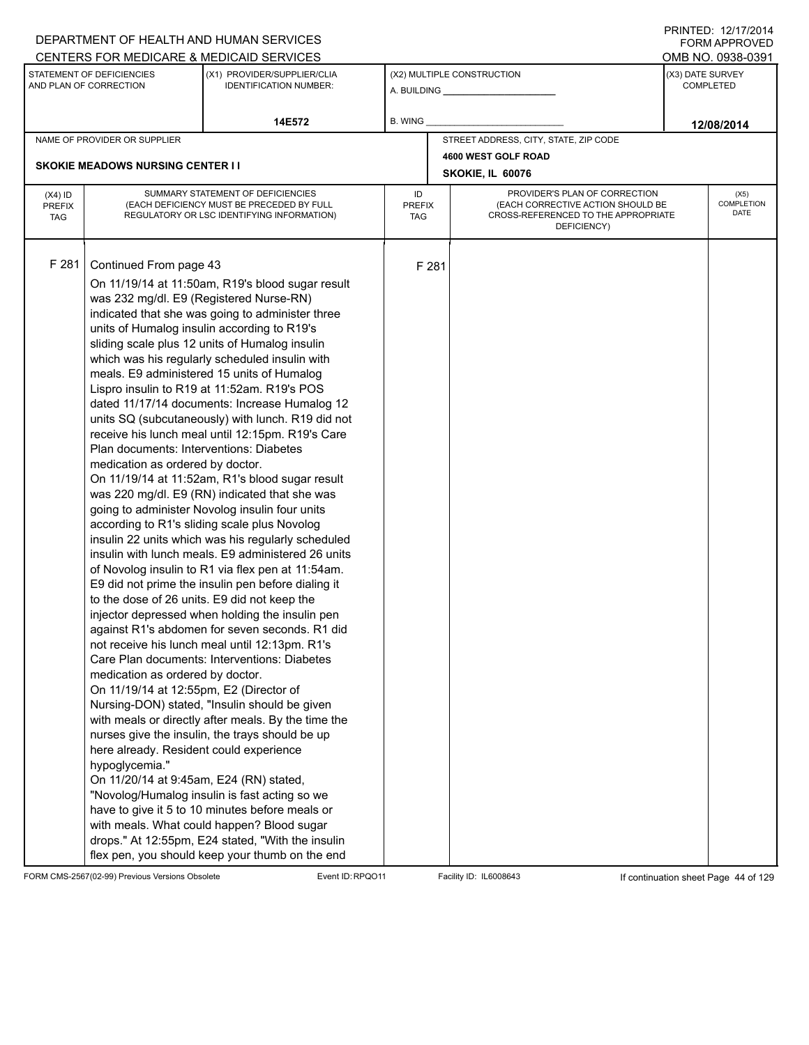|                                          |                                                                                                                                                                                                                                                                                                                                         | DEPARTMENT OF HEALTH AND HUMAN SERVICES                                                                                                                                                                                                                                                                                                                                                                                                                                                                                                                                                                                                                                                                                                                                                                                                                                                                                                                                                                                                                                                                                                                                                                                                                                                                                                                                                                                                                                                                                                                                                                                 |                            |       |                                                                                                                          |  | <b>FORM APPROVED</b>                 |  |
|------------------------------------------|-----------------------------------------------------------------------------------------------------------------------------------------------------------------------------------------------------------------------------------------------------------------------------------------------------------------------------------------|-------------------------------------------------------------------------------------------------------------------------------------------------------------------------------------------------------------------------------------------------------------------------------------------------------------------------------------------------------------------------------------------------------------------------------------------------------------------------------------------------------------------------------------------------------------------------------------------------------------------------------------------------------------------------------------------------------------------------------------------------------------------------------------------------------------------------------------------------------------------------------------------------------------------------------------------------------------------------------------------------------------------------------------------------------------------------------------------------------------------------------------------------------------------------------------------------------------------------------------------------------------------------------------------------------------------------------------------------------------------------------------------------------------------------------------------------------------------------------------------------------------------------------------------------------------------------------------------------------------------------|----------------------------|-------|--------------------------------------------------------------------------------------------------------------------------|--|--------------------------------------|--|
|                                          |                                                                                                                                                                                                                                                                                                                                         | CENTERS FOR MEDICARE & MEDICAID SERVICES                                                                                                                                                                                                                                                                                                                                                                                                                                                                                                                                                                                                                                                                                                                                                                                                                                                                                                                                                                                                                                                                                                                                                                                                                                                                                                                                                                                                                                                                                                                                                                                |                            |       |                                                                                                                          |  | OMB NO. 0938-0391                    |  |
|                                          | STATEMENT OF DEFICIENCIES<br>AND PLAN OF CORRECTION                                                                                                                                                                                                                                                                                     | (X1) PROVIDER/SUPPLIER/CLIA<br><b>IDENTIFICATION NUMBER:</b>                                                                                                                                                                                                                                                                                                                                                                                                                                                                                                                                                                                                                                                                                                                                                                                                                                                                                                                                                                                                                                                                                                                                                                                                                                                                                                                                                                                                                                                                                                                                                            |                            |       | (X2) MULTIPLE CONSTRUCTION                                                                                               |  | (X3) DATE SURVEY<br><b>COMPLETED</b> |  |
|                                          |                                                                                                                                                                                                                                                                                                                                         | 14E572                                                                                                                                                                                                                                                                                                                                                                                                                                                                                                                                                                                                                                                                                                                                                                                                                                                                                                                                                                                                                                                                                                                                                                                                                                                                                                                                                                                                                                                                                                                                                                                                                  | <b>B. WING</b>             |       |                                                                                                                          |  | 12/08/2014                           |  |
|                                          | NAME OF PROVIDER OR SUPPLIER                                                                                                                                                                                                                                                                                                            |                                                                                                                                                                                                                                                                                                                                                                                                                                                                                                                                                                                                                                                                                                                                                                                                                                                                                                                                                                                                                                                                                                                                                                                                                                                                                                                                                                                                                                                                                                                                                                                                                         |                            |       | STREET ADDRESS, CITY, STATE, ZIP CODE                                                                                    |  |                                      |  |
|                                          |                                                                                                                                                                                                                                                                                                                                         |                                                                                                                                                                                                                                                                                                                                                                                                                                                                                                                                                                                                                                                                                                                                                                                                                                                                                                                                                                                                                                                                                                                                                                                                                                                                                                                                                                                                                                                                                                                                                                                                                         |                            |       | 4600 WEST GOLF ROAD                                                                                                      |  |                                      |  |
|                                          | <b>SKOKIE MEADOWS NURSING CENTER II</b>                                                                                                                                                                                                                                                                                                 |                                                                                                                                                                                                                                                                                                                                                                                                                                                                                                                                                                                                                                                                                                                                                                                                                                                                                                                                                                                                                                                                                                                                                                                                                                                                                                                                                                                                                                                                                                                                                                                                                         |                            |       | SKOKIE, IL 60076                                                                                                         |  |                                      |  |
| $(X4)$ ID<br><b>PREFIX</b><br><b>TAG</b> |                                                                                                                                                                                                                                                                                                                                         | SUMMARY STATEMENT OF DEFICIENCIES<br>(EACH DEFICIENCY MUST BE PRECEDED BY FULL<br>REGULATORY OR LSC IDENTIFYING INFORMATION)                                                                                                                                                                                                                                                                                                                                                                                                                                                                                                                                                                                                                                                                                                                                                                                                                                                                                                                                                                                                                                                                                                                                                                                                                                                                                                                                                                                                                                                                                            | ID<br><b>PREFIX</b><br>TAG |       | PROVIDER'S PLAN OF CORRECTION<br>(EACH CORRECTIVE ACTION SHOULD BE<br>CROSS-REFERENCED TO THE APPROPRIATE<br>DEFICIENCY) |  | (X5)<br><b>COMPLETION</b><br>DATE    |  |
| F 281                                    | Continued From page 43<br>was 232 mg/dl. E9 (Registered Nurse-RN)<br>Plan documents: Interventions: Diabetes<br>medication as ordered by doctor.<br>medication as ordered by doctor.<br>On 11/19/14 at 12:55pm, E2 (Director of<br>here already. Resident could experience<br>hypoglycemia."<br>On 11/20/14 at 9:45am, E24 (RN) stated, | On 11/19/14 at 11:50am, R19's blood sugar result<br>indicated that she was going to administer three<br>units of Humalog insulin according to R19's<br>sliding scale plus 12 units of Humalog insulin<br>which was his regularly scheduled insulin with<br>meals. E9 administered 15 units of Humalog<br>Lispro insulin to R19 at 11:52am. R19's POS<br>dated 11/17/14 documents: Increase Humalog 12<br>units SQ (subcutaneously) with lunch. R19 did not<br>receive his lunch meal until 12:15pm. R19's Care<br>On 11/19/14 at 11:52am, R1's blood sugar result<br>was 220 mg/dl. E9 (RN) indicated that she was<br>going to administer Novolog insulin four units<br>according to R1's sliding scale plus Novolog<br>insulin 22 units which was his regularly scheduled<br>insulin with lunch meals. E9 administered 26 units<br>of Novolog insulin to R1 via flex pen at 11:54am.<br>E9 did not prime the insulin pen before dialing it<br>to the dose of 26 units. E9 did not keep the<br>injector depressed when holding the insulin pen<br>against R1's abdomen for seven seconds. R1 did<br>not receive his lunch meal until 12:13pm. R1's<br>Care Plan documents: Interventions: Diabetes<br>Nursing-DON) stated, "Insulin should be given<br>with meals or directly after meals. By the time the<br>nurses give the insulin, the trays should be up<br>"Novolog/Humalog insulin is fast acting so we<br>have to give it 5 to 10 minutes before meals or<br>with meals. What could happen? Blood sugar<br>drops." At 12:55pm, E24 stated, "With the insulin<br>flex pen, you should keep your thumb on the end |                            | F 281 |                                                                                                                          |  |                                      |  |

FORM CMS-2567(02-99) Previous Versions Obsolete Event ID:RPQO11 Facility ID: IL6008643 If continuation sheet Page 44 of 129

PRINTED: 12/17/2014 FORM APPROVED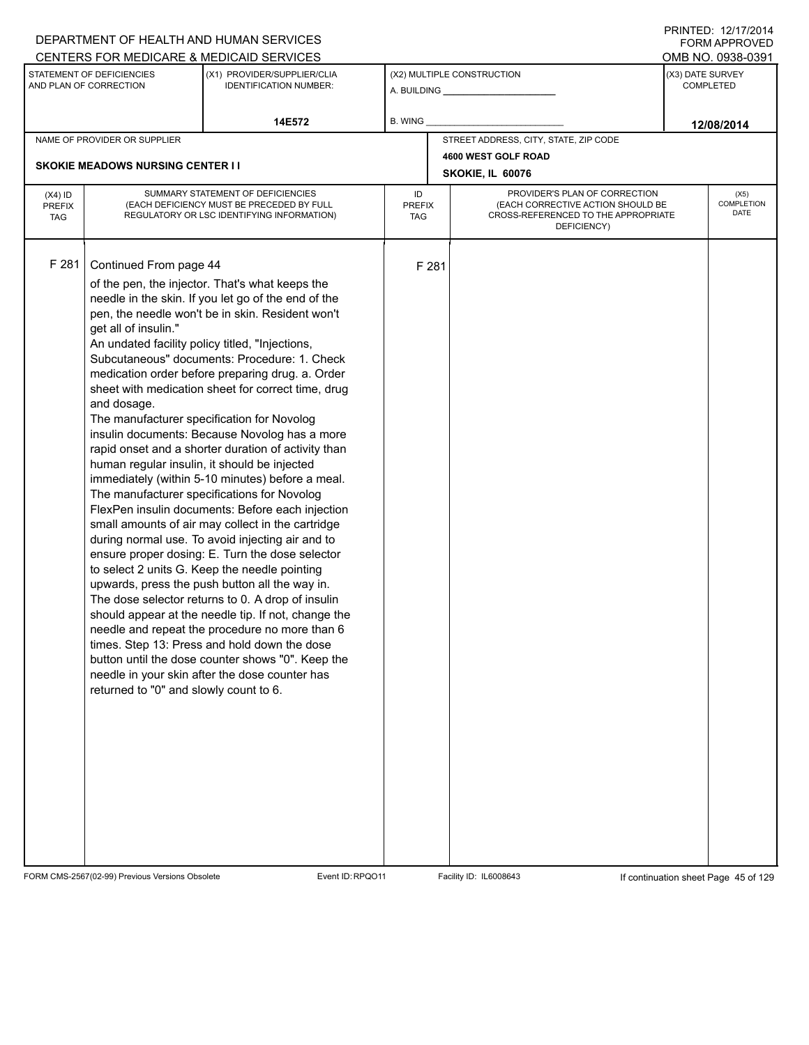|                                          |                                                                                                                                                            | DEPARTMENT OF HEALTH AND HUMAN SERVICES<br>CENTERS FOR MEDICARE & MEDICAID SERVICES                                                                                                                                                                                                                                                                                                                                                                                                                                                                                                                                                                                                                                                                                                                                                                                                                                                                                                                                                                                                                                                                                                                                                                                   |                                   |       |                                                                                                                          |  | <b>FORM APPROVED</b><br>OMB NO. 0938-0391 |
|------------------------------------------|------------------------------------------------------------------------------------------------------------------------------------------------------------|-----------------------------------------------------------------------------------------------------------------------------------------------------------------------------------------------------------------------------------------------------------------------------------------------------------------------------------------------------------------------------------------------------------------------------------------------------------------------------------------------------------------------------------------------------------------------------------------------------------------------------------------------------------------------------------------------------------------------------------------------------------------------------------------------------------------------------------------------------------------------------------------------------------------------------------------------------------------------------------------------------------------------------------------------------------------------------------------------------------------------------------------------------------------------------------------------------------------------------------------------------------------------|-----------------------------------|-------|--------------------------------------------------------------------------------------------------------------------------|--|-------------------------------------------|
|                                          | STATEMENT OF DEFICIENCIES<br>AND PLAN OF CORRECTION                                                                                                        | (X1) PROVIDER/SUPPLIER/CLIA<br><b>IDENTIFICATION NUMBER:</b>                                                                                                                                                                                                                                                                                                                                                                                                                                                                                                                                                                                                                                                                                                                                                                                                                                                                                                                                                                                                                                                                                                                                                                                                          |                                   |       | (X2) MULTIPLE CONSTRUCTION                                                                                               |  | (X3) DATE SURVEY<br><b>COMPLETED</b>      |
| 14E572<br>B. WING                        |                                                                                                                                                            |                                                                                                                                                                                                                                                                                                                                                                                                                                                                                                                                                                                                                                                                                                                                                                                                                                                                                                                                                                                                                                                                                                                                                                                                                                                                       | 12/08/2014                        |       |                                                                                                                          |  |                                           |
|                                          | NAME OF PROVIDER OR SUPPLIER<br><b>SKOKIE MEADOWS NURSING CENTER I I</b>                                                                                   |                                                                                                                                                                                                                                                                                                                                                                                                                                                                                                                                                                                                                                                                                                                                                                                                                                                                                                                                                                                                                                                                                                                                                                                                                                                                       |                                   |       | STREET ADDRESS, CITY, STATE, ZIP CODE<br>4600 WEST GOLF ROAD<br>SKOKIE, IL 60076                                         |  |                                           |
| $(X4)$ ID<br><b>PREFIX</b><br><b>TAG</b> |                                                                                                                                                            | SUMMARY STATEMENT OF DEFICIENCIES<br>(EACH DEFICIENCY MUST BE PRECEDED BY FULL<br>REGULATORY OR LSC IDENTIFYING INFORMATION)                                                                                                                                                                                                                                                                                                                                                                                                                                                                                                                                                                                                                                                                                                                                                                                                                                                                                                                                                                                                                                                                                                                                          | ID<br><b>PREFIX</b><br><b>TAG</b> |       | PROVIDER'S PLAN OF CORRECTION<br>(EACH CORRECTIVE ACTION SHOULD BE<br>CROSS-REFERENCED TO THE APPROPRIATE<br>DEFICIENCY) |  | (X5)<br>COMPLETION<br>DATE                |
| F 281                                    | Continued From page 44<br>get all of insulin."<br>An undated facility policy titled, "Injections,<br>and dosage.<br>returned to "0" and slowly count to 6. | of the pen, the injector. That's what keeps the<br>needle in the skin. If you let go of the end of the<br>pen, the needle won't be in skin. Resident won't<br>Subcutaneous" documents: Procedure: 1. Check<br>medication order before preparing drug. a. Order<br>sheet with medication sheet for correct time, drug<br>The manufacturer specification for Novolog<br>insulin documents: Because Novolog has a more<br>rapid onset and a shorter duration of activity than<br>human regular insulin, it should be injected<br>immediately (within 5-10 minutes) before a meal.<br>The manufacturer specifications for Novolog<br>FlexPen insulin documents: Before each injection<br>small amounts of air may collect in the cartridge<br>during normal use. To avoid injecting air and to<br>ensure proper dosing: E. Turn the dose selector<br>to select 2 units G. Keep the needle pointing<br>upwards, press the push button all the way in.<br>The dose selector returns to 0. A drop of insulin<br>should appear at the needle tip. If not, change the<br>needle and repeat the procedure no more than 6<br>times. Step 13: Press and hold down the dose<br>button until the dose counter shows "0". Keep the<br>needle in your skin after the dose counter has |                                   | F 281 |                                                                                                                          |  |                                           |

FORM CMS-2567(02-99) Previous Versions Obsolete Event ID:RPQO11 Facility ID: IL6008643 If continuation sheet Page 45 of 129

DEPARTMENT OF HEALTH AND HUMAN SERVICES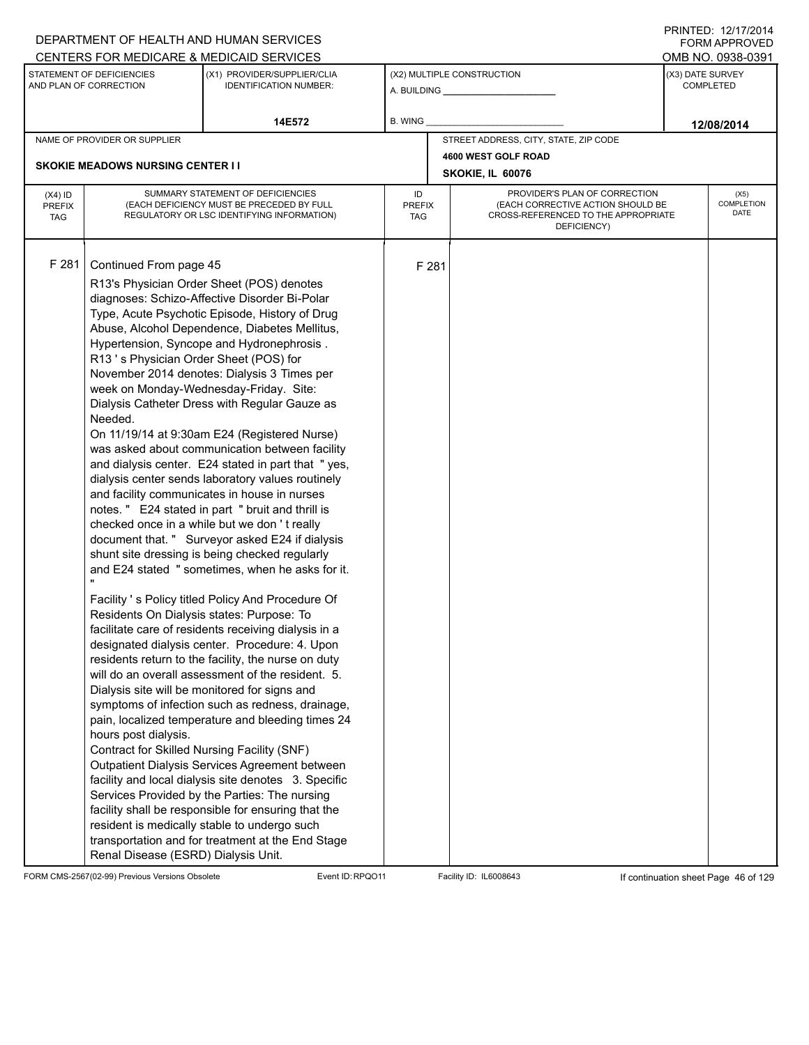|                                          |                                                                                                                                                                                                                                       | DEPARTMENT OF HEALTH AND HUMAN SERVICES                                                                                                                                                                                                                                                                                                                                                                                                                                                                                                                                                                                                                                                                                                                                                                                                                                                                                                                                                                                                                                                                                                                                                                                                                                                                                                                                                                                                                                                                                                                                                                                                                                  |                            |       |                                                                                                                          | FORM APPROVED                        |
|------------------------------------------|---------------------------------------------------------------------------------------------------------------------------------------------------------------------------------------------------------------------------------------|--------------------------------------------------------------------------------------------------------------------------------------------------------------------------------------------------------------------------------------------------------------------------------------------------------------------------------------------------------------------------------------------------------------------------------------------------------------------------------------------------------------------------------------------------------------------------------------------------------------------------------------------------------------------------------------------------------------------------------------------------------------------------------------------------------------------------------------------------------------------------------------------------------------------------------------------------------------------------------------------------------------------------------------------------------------------------------------------------------------------------------------------------------------------------------------------------------------------------------------------------------------------------------------------------------------------------------------------------------------------------------------------------------------------------------------------------------------------------------------------------------------------------------------------------------------------------------------------------------------------------------------------------------------------------|----------------------------|-------|--------------------------------------------------------------------------------------------------------------------------|--------------------------------------|
|                                          |                                                                                                                                                                                                                                       | CENTERS FOR MEDICARE & MEDICAID SERVICES                                                                                                                                                                                                                                                                                                                                                                                                                                                                                                                                                                                                                                                                                                                                                                                                                                                                                                                                                                                                                                                                                                                                                                                                                                                                                                                                                                                                                                                                                                                                                                                                                                 |                            |       |                                                                                                                          | OMB NO. 0938-0391                    |
|                                          | STATEMENT OF DEFICIENCIES<br>AND PLAN OF CORRECTION                                                                                                                                                                                   | (X1) PROVIDER/SUPPLIER/CLIA<br><b>IDENTIFICATION NUMBER:</b>                                                                                                                                                                                                                                                                                                                                                                                                                                                                                                                                                                                                                                                                                                                                                                                                                                                                                                                                                                                                                                                                                                                                                                                                                                                                                                                                                                                                                                                                                                                                                                                                             |                            |       | (X2) MULTIPLE CONSTRUCTION                                                                                               | (X3) DATE SURVEY<br><b>COMPLETED</b> |
|                                          |                                                                                                                                                                                                                                       | 14E572                                                                                                                                                                                                                                                                                                                                                                                                                                                                                                                                                                                                                                                                                                                                                                                                                                                                                                                                                                                                                                                                                                                                                                                                                                                                                                                                                                                                                                                                                                                                                                                                                                                                   | B. WING                    |       |                                                                                                                          | 12/08/2014                           |
|                                          | NAME OF PROVIDER OR SUPPLIER                                                                                                                                                                                                          |                                                                                                                                                                                                                                                                                                                                                                                                                                                                                                                                                                                                                                                                                                                                                                                                                                                                                                                                                                                                                                                                                                                                                                                                                                                                                                                                                                                                                                                                                                                                                                                                                                                                          |                            |       | STREET ADDRESS, CITY, STATE, ZIP CODE                                                                                    |                                      |
|                                          |                                                                                                                                                                                                                                       |                                                                                                                                                                                                                                                                                                                                                                                                                                                                                                                                                                                                                                                                                                                                                                                                                                                                                                                                                                                                                                                                                                                                                                                                                                                                                                                                                                                                                                                                                                                                                                                                                                                                          |                            |       | 4600 WEST GOLF ROAD                                                                                                      |                                      |
|                                          | <b>SKOKIE MEADOWS NURSING CENTER I I</b>                                                                                                                                                                                              |                                                                                                                                                                                                                                                                                                                                                                                                                                                                                                                                                                                                                                                                                                                                                                                                                                                                                                                                                                                                                                                                                                                                                                                                                                                                                                                                                                                                                                                                                                                                                                                                                                                                          |                            |       | SKOKIE, IL 60076                                                                                                         |                                      |
| $(X4)$ ID<br><b>PREFIX</b><br><b>TAG</b> |                                                                                                                                                                                                                                       | SUMMARY STATEMENT OF DEFICIENCIES<br>(EACH DEFICIENCY MUST BE PRECEDED BY FULL<br>REGULATORY OR LSC IDENTIFYING INFORMATION)                                                                                                                                                                                                                                                                                                                                                                                                                                                                                                                                                                                                                                                                                                                                                                                                                                                                                                                                                                                                                                                                                                                                                                                                                                                                                                                                                                                                                                                                                                                                             | ID<br><b>PREFIX</b><br>TAG |       | PROVIDER'S PLAN OF CORRECTION<br>(EACH CORRECTIVE ACTION SHOULD BE<br>CROSS-REFERENCED TO THE APPROPRIATE<br>DEFICIENCY) | (X5)<br>COMPLETION<br>DATE           |
| F 281                                    | Continued From page 45<br>R13's Physician Order Sheet (POS) for<br>Needed.<br>Residents On Dialysis states: Purpose: To<br>hours post dialysis.<br>Contract for Skilled Nursing Facility (SNF)<br>Renal Disease (ESRD) Dialysis Unit. | R13's Physician Order Sheet (POS) denotes<br>diagnoses: Schizo-Affective Disorder Bi-Polar<br>Type, Acute Psychotic Episode, History of Drug<br>Abuse, Alcohol Dependence, Diabetes Mellitus,<br>Hypertension, Syncope and Hydronephrosis.<br>November 2014 denotes: Dialysis 3 Times per<br>week on Monday-Wednesday-Friday. Site:<br>Dialysis Catheter Dress with Regular Gauze as<br>On 11/19/14 at 9:30am E24 (Registered Nurse)<br>was asked about communication between facility<br>and dialysis center. E24 stated in part that "yes,<br>dialysis center sends laboratory values routinely<br>and facility communicates in house in nurses<br>notes." E24 stated in part "bruit and thrill is<br>checked once in a while but we don't really<br>document that. " Surveyor asked E24 if dialysis<br>shunt site dressing is being checked regularly<br>and E24 stated " sometimes, when he asks for it.<br>Facility 's Policy titled Policy And Procedure Of<br>facilitate care of residents receiving dialysis in a<br>designated dialysis center. Procedure: 4. Upon<br>residents return to the facility, the nurse on duty<br>will do an overall assessment of the resident. 5.<br>Dialysis site will be monitored for signs and<br>symptoms of infection such as redness, drainage,<br>pain, localized temperature and bleeding times 24<br>Outpatient Dialysis Services Agreement between<br>facility and local dialysis site denotes 3. Specific<br>Services Provided by the Parties: The nursing<br>facility shall be responsible for ensuring that the<br>resident is medically stable to undergo such<br>transportation and for treatment at the End Stage |                            | F 281 |                                                                                                                          |                                      |

FORM CMS-2567(02-99) Previous Versions Obsolete Event ID:RPQO11 Facility ID: IL6008643 If continuation sheet Page 46 of 129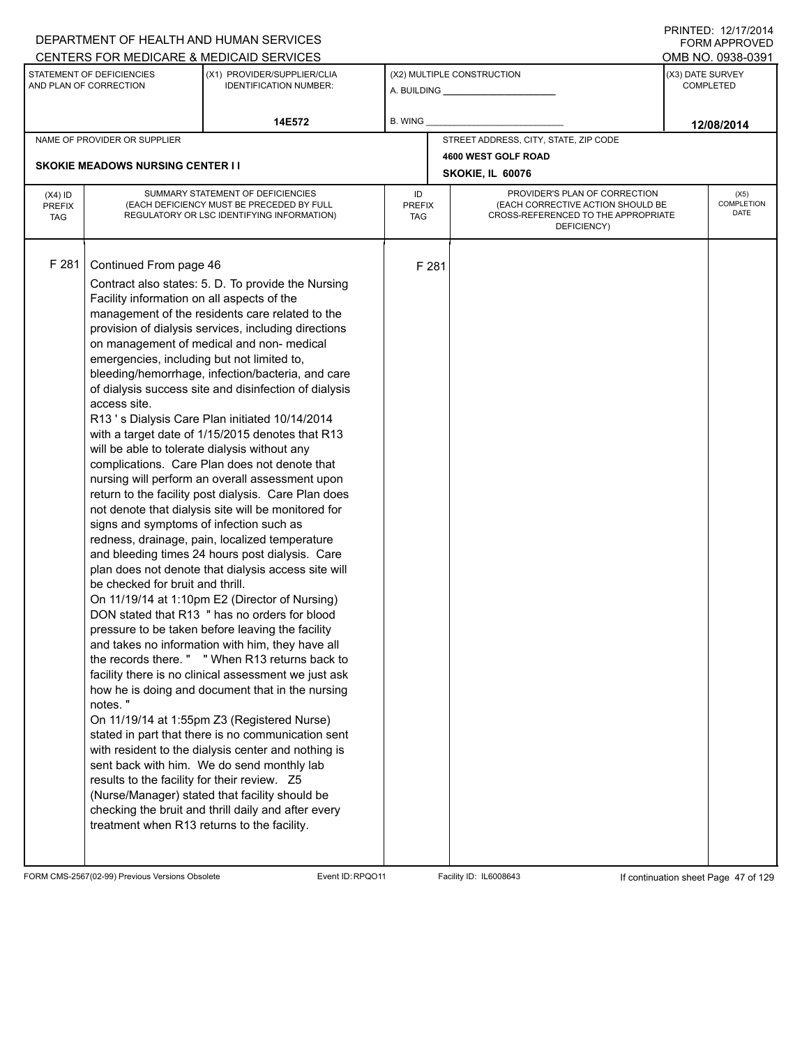|                                          |                                                                                                                                                                                                                                                                                                                                                                              | DEPARTMENT OF HEALTH AND HUMAN SERVICES                                                                                                                                                                                                                                                                                                                                                                                                                                                                                                                                                                                                                                                                                                                                                                                                                                                                                                                                                                                                                                                                                                                                                                                                                                                                                                                                                                                                                                                                  |                            |       |                                                                                                                          |                  | <b>FORM APPROVED</b>       |
|------------------------------------------|------------------------------------------------------------------------------------------------------------------------------------------------------------------------------------------------------------------------------------------------------------------------------------------------------------------------------------------------------------------------------|----------------------------------------------------------------------------------------------------------------------------------------------------------------------------------------------------------------------------------------------------------------------------------------------------------------------------------------------------------------------------------------------------------------------------------------------------------------------------------------------------------------------------------------------------------------------------------------------------------------------------------------------------------------------------------------------------------------------------------------------------------------------------------------------------------------------------------------------------------------------------------------------------------------------------------------------------------------------------------------------------------------------------------------------------------------------------------------------------------------------------------------------------------------------------------------------------------------------------------------------------------------------------------------------------------------------------------------------------------------------------------------------------------------------------------------------------------------------------------------------------------|----------------------------|-------|--------------------------------------------------------------------------------------------------------------------------|------------------|----------------------------|
|                                          |                                                                                                                                                                                                                                                                                                                                                                              | CENTERS FOR MEDICARE & MEDICAID SERVICES                                                                                                                                                                                                                                                                                                                                                                                                                                                                                                                                                                                                                                                                                                                                                                                                                                                                                                                                                                                                                                                                                                                                                                                                                                                                                                                                                                                                                                                                 |                            |       |                                                                                                                          |                  | OMB NO. 0938-0391          |
|                                          | STATEMENT OF DEFICIENCIES<br>AND PLAN OF CORRECTION                                                                                                                                                                                                                                                                                                                          | (X1) PROVIDER/SUPPLIER/CLIA<br><b>IDENTIFICATION NUMBER:</b>                                                                                                                                                                                                                                                                                                                                                                                                                                                                                                                                                                                                                                                                                                                                                                                                                                                                                                                                                                                                                                                                                                                                                                                                                                                                                                                                                                                                                                             |                            |       | (X2) MULTIPLE CONSTRUCTION                                                                                               | (X3) DATE SURVEY | <b>COMPLETED</b>           |
|                                          |                                                                                                                                                                                                                                                                                                                                                                              | 14E572                                                                                                                                                                                                                                                                                                                                                                                                                                                                                                                                                                                                                                                                                                                                                                                                                                                                                                                                                                                                                                                                                                                                                                                                                                                                                                                                                                                                                                                                                                   | B. WING                    |       |                                                                                                                          |                  | 12/08/2014                 |
|                                          | NAME OF PROVIDER OR SUPPLIER                                                                                                                                                                                                                                                                                                                                                 |                                                                                                                                                                                                                                                                                                                                                                                                                                                                                                                                                                                                                                                                                                                                                                                                                                                                                                                                                                                                                                                                                                                                                                                                                                                                                                                                                                                                                                                                                                          |                            |       | STREET ADDRESS, CITY, STATE, ZIP CODE                                                                                    |                  |                            |
|                                          |                                                                                                                                                                                                                                                                                                                                                                              |                                                                                                                                                                                                                                                                                                                                                                                                                                                                                                                                                                                                                                                                                                                                                                                                                                                                                                                                                                                                                                                                                                                                                                                                                                                                                                                                                                                                                                                                                                          |                            |       | 4600 WEST GOLF ROAD                                                                                                      |                  |                            |
|                                          | <b>SKOKIE MEADOWS NURSING CENTER I I</b>                                                                                                                                                                                                                                                                                                                                     |                                                                                                                                                                                                                                                                                                                                                                                                                                                                                                                                                                                                                                                                                                                                                                                                                                                                                                                                                                                                                                                                                                                                                                                                                                                                                                                                                                                                                                                                                                          |                            |       | SKOKIE, IL 60076                                                                                                         |                  |                            |
| $(X4)$ ID<br><b>PREFIX</b><br><b>TAG</b> |                                                                                                                                                                                                                                                                                                                                                                              | SUMMARY STATEMENT OF DEFICIENCIES<br>(EACH DEFICIENCY MUST BE PRECEDED BY FULL<br>REGULATORY OR LSC IDENTIFYING INFORMATION)                                                                                                                                                                                                                                                                                                                                                                                                                                                                                                                                                                                                                                                                                                                                                                                                                                                                                                                                                                                                                                                                                                                                                                                                                                                                                                                                                                             | ID<br><b>PREFIX</b><br>TAG |       | PROVIDER'S PLAN OF CORRECTION<br>(EACH CORRECTIVE ACTION SHOULD BE<br>CROSS-REFERENCED TO THE APPROPRIATE<br>DEFICIENCY) |                  | (X5)<br>COMPLETION<br>DATE |
| F 281                                    | Continued From page 46<br>Facility information on all aspects of the<br>emergencies, including but not limited to,<br>access site.<br>will be able to tolerate dialysis without any<br>signs and symptoms of infection such as<br>be checked for bruit and thrill.<br>notes."<br>results to the facility for their review. Z5<br>treatment when R13 returns to the facility. | Contract also states: 5. D. To provide the Nursing<br>management of the residents care related to the<br>provision of dialysis services, including directions<br>on management of medical and non- medical<br>bleeding/hemorrhage, infection/bacteria, and care<br>of dialysis success site and disinfection of dialysis<br>R13's Dialysis Care Plan initiated 10/14/2014<br>with a target date of 1/15/2015 denotes that R13<br>complications. Care Plan does not denote that<br>nursing will perform an overall assessment upon<br>return to the facility post dialysis. Care Plan does<br>not denote that dialysis site will be monitored for<br>redness, drainage, pain, localized temperature<br>and bleeding times 24 hours post dialysis. Care<br>plan does not denote that dialysis access site will<br>On 11/19/14 at 1:10pm E2 (Director of Nursing)<br>DON stated that R13 " has no orders for blood<br>pressure to be taken before leaving the facility<br>and takes no information with him, they have all<br>the records there. " "When R13 returns back to<br>facility there is no clinical assessment we just ask<br>how he is doing and document that in the nursing<br>On 11/19/14 at 1:55pm Z3 (Registered Nurse)<br>stated in part that there is no communication sent<br>with resident to the dialysis center and nothing is<br>sent back with him. We do send monthly lab<br>(Nurse/Manager) stated that facility should be<br>checking the bruit and thrill daily and after every |                            | F 281 |                                                                                                                          |                  |                            |

FORM CMS-2567(02-99) Previous Versions Obsolete Event ID:RPQO11 Facility ID: IL6008643 If continuation sheet Page 47 of 129

PRINTED: 12/17/2014 FORM APPROVED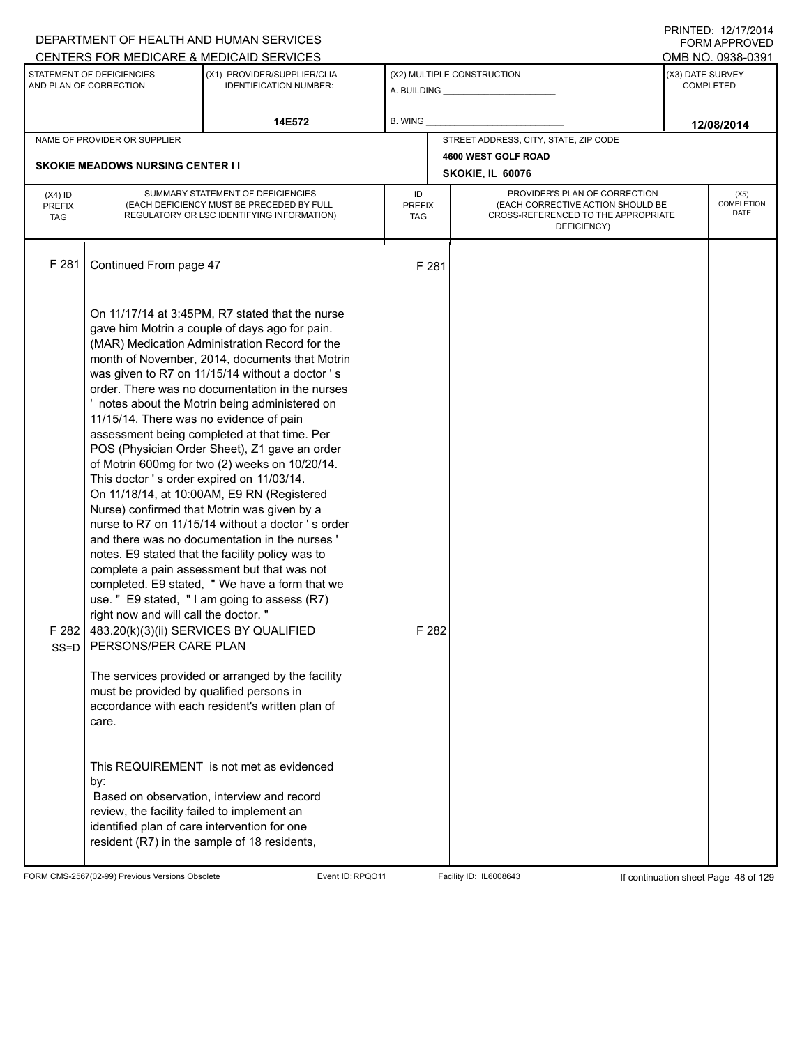|                                          |                                                                                                                                                                                                                                                      | DEPARTMENT OF HEALTH AND HUMAN SERVICES                                                                                                                                                                                                                                                                                                                                                                                                                                                                                                                                                                                                                                                                                                                                                                                                                                                                                                                                                                                                                                    |                                   |       |                                                                                                                          |                  | FORM APPROVED                         |
|------------------------------------------|------------------------------------------------------------------------------------------------------------------------------------------------------------------------------------------------------------------------------------------------------|----------------------------------------------------------------------------------------------------------------------------------------------------------------------------------------------------------------------------------------------------------------------------------------------------------------------------------------------------------------------------------------------------------------------------------------------------------------------------------------------------------------------------------------------------------------------------------------------------------------------------------------------------------------------------------------------------------------------------------------------------------------------------------------------------------------------------------------------------------------------------------------------------------------------------------------------------------------------------------------------------------------------------------------------------------------------------|-----------------------------------|-------|--------------------------------------------------------------------------------------------------------------------------|------------------|---------------------------------------|
|                                          | STATEMENT OF DEFICIENCIES<br>AND PLAN OF CORRECTION                                                                                                                                                                                                  | CENTERS FOR MEDICARE & MEDICAID SERVICES<br>(X1) PROVIDER/SUPPLIER/CLIA<br><b>IDENTIFICATION NUMBER:</b>                                                                                                                                                                                                                                                                                                                                                                                                                                                                                                                                                                                                                                                                                                                                                                                                                                                                                                                                                                   |                                   |       | (X2) MULTIPLE CONSTRUCTION<br>A. BUILDING <b>A.</b> BUILDING                                                             | (X3) DATE SURVEY | OMB NO. 0938-0391<br><b>COMPLETED</b> |
|                                          |                                                                                                                                                                                                                                                      | 14E572                                                                                                                                                                                                                                                                                                                                                                                                                                                                                                                                                                                                                                                                                                                                                                                                                                                                                                                                                                                                                                                                     | B. WING                           |       |                                                                                                                          |                  | 12/08/2014                            |
|                                          | NAME OF PROVIDER OR SUPPLIER                                                                                                                                                                                                                         |                                                                                                                                                                                                                                                                                                                                                                                                                                                                                                                                                                                                                                                                                                                                                                                                                                                                                                                                                                                                                                                                            |                                   |       | STREET ADDRESS, CITY, STATE, ZIP CODE                                                                                    |                  |                                       |
|                                          | <b>SKOKIE MEADOWS NURSING CENTER II</b>                                                                                                                                                                                                              |                                                                                                                                                                                                                                                                                                                                                                                                                                                                                                                                                                                                                                                                                                                                                                                                                                                                                                                                                                                                                                                                            |                                   |       | 4600 WEST GOLF ROAD<br>SKOKIE, IL 60076                                                                                  |                  |                                       |
| $(X4)$ ID<br><b>PREFIX</b><br><b>TAG</b> |                                                                                                                                                                                                                                                      | SUMMARY STATEMENT OF DEFICIENCIES<br>(EACH DEFICIENCY MUST BE PRECEDED BY FULL<br>REGULATORY OR LSC IDENTIFYING INFORMATION)                                                                                                                                                                                                                                                                                                                                                                                                                                                                                                                                                                                                                                                                                                                                                                                                                                                                                                                                               | ID<br><b>PREFIX</b><br><b>TAG</b> |       | PROVIDER'S PLAN OF CORRECTION<br>(EACH CORRECTIVE ACTION SHOULD BE<br>CROSS-REFERENCED TO THE APPROPRIATE<br>DEFICIENCY) |                  | (X5)<br>COMPLETION<br>DATE            |
| F 281                                    | Continued From page 47                                                                                                                                                                                                                               |                                                                                                                                                                                                                                                                                                                                                                                                                                                                                                                                                                                                                                                                                                                                                                                                                                                                                                                                                                                                                                                                            |                                   | F 281 |                                                                                                                          |                  |                                       |
| F282<br>$SS = D$                         | 11/15/14. There was no evidence of pain<br>This doctor's order expired on 11/03/14.<br>right now and will call the doctor. "<br>483.20(k)(3)(ii) SERVICES BY QUALIFIED<br>PERSONS/PER CARE PLAN<br>must be provided by qualified persons in<br>care. | On 11/17/14 at 3:45PM, R7 stated that the nurse<br>gave him Motrin a couple of days ago for pain.<br>(MAR) Medication Administration Record for the<br>month of November, 2014, documents that Motrin<br>was given to R7 on 11/15/14 without a doctor's<br>order. There was no documentation in the nurses<br>notes about the Motrin being administered on<br>assessment being completed at that time. Per<br>POS (Physician Order Sheet), Z1 gave an order<br>of Motrin 600mg for two (2) weeks on 10/20/14.<br>On 11/18/14, at 10:00AM, E9 RN (Registered<br>Nurse) confirmed that Motrin was given by a<br>nurse to R7 on 11/15/14 without a doctor 's order<br>and there was no documentation in the nurses '<br>notes. E9 stated that the facility policy was to<br>complete a pain assessment but that was not<br>completed. E9 stated, " We have a form that we<br>use. " E9 stated, "I am going to assess (R7)<br>The services provided or arranged by the facility<br>accordance with each resident's written plan of<br>This REQUIREMENT is not met as evidenced |                                   | F 282 |                                                                                                                          |                  |                                       |
|                                          | by:<br>review, the facility failed to implement an<br>identified plan of care intervention for one<br>resident (R7) in the sample of 18 residents,                                                                                                   | Based on observation, interview and record                                                                                                                                                                                                                                                                                                                                                                                                                                                                                                                                                                                                                                                                                                                                                                                                                                                                                                                                                                                                                                 |                                   |       |                                                                                                                          |                  |                                       |

FORM CMS-2567(02-99) Previous Versions Obsolete Event ID:RPQO11 Facility ID: IL6008643 If continuation sheet Page 48 of 129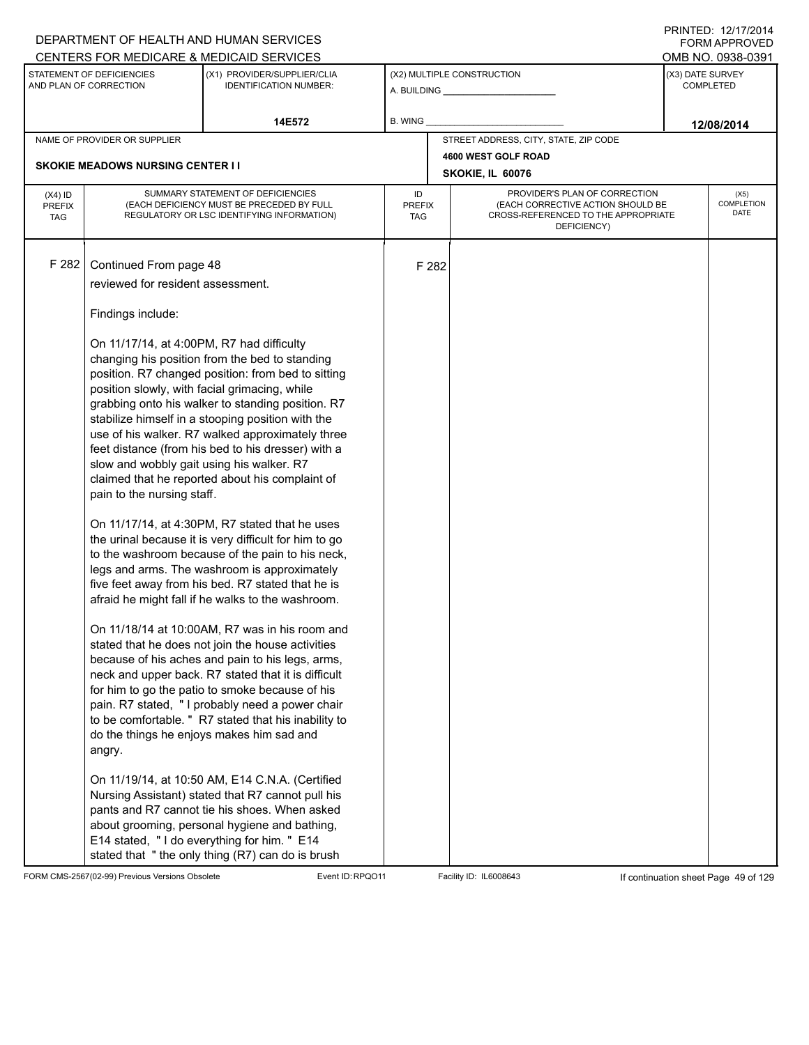|                                          |                                                                                                                                                                                                                                                                     | DEPARTMENT OF HEALTH AND HUMAN SERVICES<br>CENTERS FOR MEDICARE & MEDICAID SERVICES                                                                                                                                                                                                                                                                                                                                                                                                                                                                                                                                                                                                                                                                                                                                                                                                                                                                                                                                                                                                                                                                                                                                                                                                         |                            |       |                                                                                                                          | FORM APPROVED<br>OMB NO. 0938-0391   |
|------------------------------------------|---------------------------------------------------------------------------------------------------------------------------------------------------------------------------------------------------------------------------------------------------------------------|---------------------------------------------------------------------------------------------------------------------------------------------------------------------------------------------------------------------------------------------------------------------------------------------------------------------------------------------------------------------------------------------------------------------------------------------------------------------------------------------------------------------------------------------------------------------------------------------------------------------------------------------------------------------------------------------------------------------------------------------------------------------------------------------------------------------------------------------------------------------------------------------------------------------------------------------------------------------------------------------------------------------------------------------------------------------------------------------------------------------------------------------------------------------------------------------------------------------------------------------------------------------------------------------|----------------------------|-------|--------------------------------------------------------------------------------------------------------------------------|--------------------------------------|
|                                          | STATEMENT OF DEFICIENCIES<br>AND PLAN OF CORRECTION                                                                                                                                                                                                                 | (X1) PROVIDER/SUPPLIER/CLIA<br><b>IDENTIFICATION NUMBER:</b>                                                                                                                                                                                                                                                                                                                                                                                                                                                                                                                                                                                                                                                                                                                                                                                                                                                                                                                                                                                                                                                                                                                                                                                                                                |                            |       | (X2) MULTIPLE CONSTRUCTION                                                                                               | (X3) DATE SURVEY<br><b>COMPLETED</b> |
|                                          |                                                                                                                                                                                                                                                                     | 14E572                                                                                                                                                                                                                                                                                                                                                                                                                                                                                                                                                                                                                                                                                                                                                                                                                                                                                                                                                                                                                                                                                                                                                                                                                                                                                      | B. WING                    |       |                                                                                                                          | 12/08/2014                           |
|                                          | NAME OF PROVIDER OR SUPPLIER                                                                                                                                                                                                                                        |                                                                                                                                                                                                                                                                                                                                                                                                                                                                                                                                                                                                                                                                                                                                                                                                                                                                                                                                                                                                                                                                                                                                                                                                                                                                                             |                            |       | STREET ADDRESS, CITY, STATE, ZIP CODE                                                                                    |                                      |
|                                          | <b>SKOKIE MEADOWS NURSING CENTER I I</b>                                                                                                                                                                                                                            |                                                                                                                                                                                                                                                                                                                                                                                                                                                                                                                                                                                                                                                                                                                                                                                                                                                                                                                                                                                                                                                                                                                                                                                                                                                                                             |                            |       | 4600 WEST GOLF ROAD<br>SKOKIE, IL 60076                                                                                  |                                      |
| $(X4)$ ID<br><b>PREFIX</b><br><b>TAG</b> |                                                                                                                                                                                                                                                                     | SUMMARY STATEMENT OF DEFICIENCIES<br>(EACH DEFICIENCY MUST BE PRECEDED BY FULL<br>REGULATORY OR LSC IDENTIFYING INFORMATION)                                                                                                                                                                                                                                                                                                                                                                                                                                                                                                                                                                                                                                                                                                                                                                                                                                                                                                                                                                                                                                                                                                                                                                | ID<br><b>PREFIX</b><br>TAG |       | PROVIDER'S PLAN OF CORRECTION<br>(EACH CORRECTIVE ACTION SHOULD BE<br>CROSS-REFERENCED TO THE APPROPRIATE<br>DEFICIENCY) | (X5)<br>COMPLETION<br>DATE           |
| F 282                                    | Continued From page 48<br>reviewed for resident assessment.<br>Findings include:<br>On 11/17/14, at 4:00PM, R7 had difficulty<br>position slowly, with facial grimacing, while<br>slow and wobbly gait using his walker. R7<br>pain to the nursing staff.<br>angry. | changing his position from the bed to standing<br>position. R7 changed position: from bed to sitting<br>grabbing onto his walker to standing position. R7<br>stabilize himself in a stooping position with the<br>use of his walker. R7 walked approximately three<br>feet distance (from his bed to his dresser) with a<br>claimed that he reported about his complaint of<br>On 11/17/14, at 4:30PM, R7 stated that he uses<br>the urinal because it is very difficult for him to go<br>to the washroom because of the pain to his neck,<br>legs and arms. The washroom is approximately<br>five feet away from his bed. R7 stated that he is<br>afraid he might fall if he walks to the washroom.<br>On 11/18/14 at 10:00AM, R7 was in his room and<br>stated that he does not join the house activities<br>because of his aches and pain to his legs, arms,<br>neck and upper back. R7 stated that it is difficult<br>for him to go the patio to smoke because of his<br>pain. R7 stated, " I probably need a power chair<br>to be comfortable. " R7 stated that his inability to<br>do the things he enjoys makes him sad and<br>On 11/19/14, at 10:50 AM, E14 C.N.A. (Certified<br>Nursing Assistant) stated that R7 cannot pull his<br>pants and R7 cannot tie his shoes. When asked |                            | F 282 |                                                                                                                          |                                      |
|                                          |                                                                                                                                                                                                                                                                     | about grooming, personal hygiene and bathing,<br>E14 stated, "I do everything for him. " E14<br>stated that "the only thing (R7) can do is brush                                                                                                                                                                                                                                                                                                                                                                                                                                                                                                                                                                                                                                                                                                                                                                                                                                                                                                                                                                                                                                                                                                                                            |                            |       |                                                                                                                          |                                      |

FORM CMS-2567(02-99) Previous Versions Obsolete Event ID:RPQO11 Facility ID: IL6008643 If continuation sheet Page 49 of 129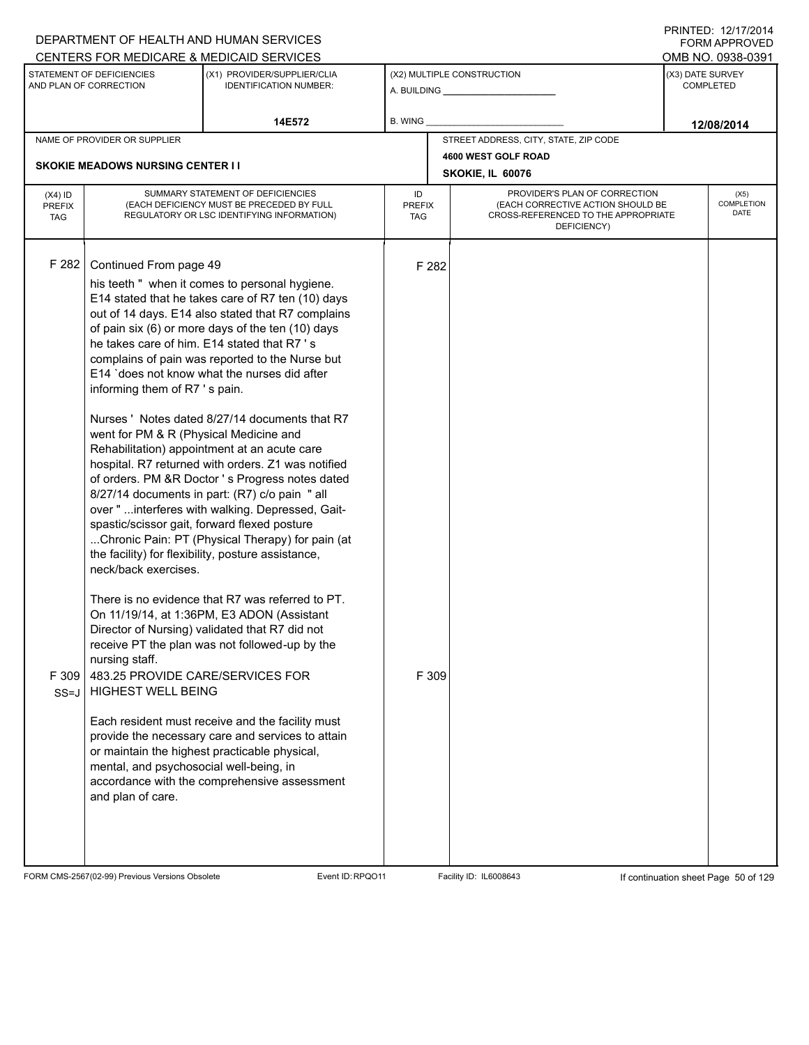|                             |                                              | DEPARTMENT OF HEALTH AND HUMAN SERVICES                                                                |                      |       |                                                                          |                  | <b>FORM APPROVED</b>      |
|-----------------------------|----------------------------------------------|--------------------------------------------------------------------------------------------------------|----------------------|-------|--------------------------------------------------------------------------|------------------|---------------------------|
|                             | STATEMENT OF DEFICIENCIES                    | CENTERS FOR MEDICARE & MEDICAID SERVICES<br>(X1) PROVIDER/SUPPLIER/CLIA                                |                      |       |                                                                          | (X3) DATE SURVEY | OMB NO. 0938-0391         |
|                             | AND PLAN OF CORRECTION                       | <b>IDENTIFICATION NUMBER:</b>                                                                          |                      |       | (X2) MULTIPLE CONSTRUCTION                                               |                  | <b>COMPLETED</b>          |
|                             |                                              | 14E572                                                                                                 | B. WING              |       |                                                                          |                  |                           |
|                             | NAME OF PROVIDER OR SUPPLIER                 |                                                                                                        |                      |       | STREET ADDRESS, CITY, STATE, ZIP CODE                                    |                  | 12/08/2014                |
|                             |                                              |                                                                                                        |                      |       | 4600 WEST GOLF ROAD                                                      |                  |                           |
|                             | <b>SKOKIE MEADOWS NURSING CENTER I I</b>     |                                                                                                        |                      |       | SKOKIE, IL 60076                                                         |                  |                           |
| $(X4)$ ID                   |                                              | SUMMARY STATEMENT OF DEFICIENCIES                                                                      | ID                   |       | PROVIDER'S PLAN OF CORRECTION                                            |                  | (X5)                      |
| <b>PREFIX</b><br><b>TAG</b> |                                              | (EACH DEFICIENCY MUST BE PRECEDED BY FULL<br>REGULATORY OR LSC IDENTIFYING INFORMATION)                | <b>PREFIX</b><br>TAG |       | (EACH CORRECTIVE ACTION SHOULD BE<br>CROSS-REFERENCED TO THE APPROPRIATE |                  | <b>COMPLETION</b><br>DATE |
|                             |                                              |                                                                                                        |                      |       | DEFICIENCY)                                                              |                  |                           |
|                             |                                              |                                                                                                        |                      |       |                                                                          |                  |                           |
| F 282                       | Continued From page 49                       |                                                                                                        |                      | F 282 |                                                                          |                  |                           |
|                             |                                              | his teeth " when it comes to personal hygiene.                                                         |                      |       |                                                                          |                  |                           |
|                             |                                              | E14 stated that he takes care of R7 ten (10) days<br>out of 14 days. E14 also stated that R7 complains |                      |       |                                                                          |                  |                           |
|                             |                                              | of pain six (6) or more days of the ten (10) days                                                      |                      |       |                                                                          |                  |                           |
|                             |                                              | he takes care of him. E14 stated that R7 's                                                            |                      |       |                                                                          |                  |                           |
|                             |                                              | complains of pain was reported to the Nurse but                                                        |                      |       |                                                                          |                  |                           |
|                             |                                              | E14 'does not know what the nurses did after                                                           |                      |       |                                                                          |                  |                           |
|                             | informing them of R7's pain.                 |                                                                                                        |                      |       |                                                                          |                  |                           |
|                             |                                              | Nurses ' Notes dated 8/27/14 documents that R7                                                         |                      |       |                                                                          |                  |                           |
|                             | went for PM & R (Physical Medicine and       |                                                                                                        |                      |       |                                                                          |                  |                           |
|                             |                                              | Rehabilitation) appointment at an acute care                                                           |                      |       |                                                                          |                  |                           |
|                             |                                              | hospital. R7 returned with orders. Z1 was notified                                                     |                      |       |                                                                          |                  |                           |
|                             |                                              | of orders. PM &R Doctor's Progress notes dated                                                         |                      |       |                                                                          |                  |                           |
|                             |                                              | 8/27/14 documents in part: (R7) c/o pain "all                                                          |                      |       |                                                                          |                  |                           |
|                             | spastic/scissor gait, forward flexed posture | over "  interferes with walking. Depressed, Gait-                                                      |                      |       |                                                                          |                  |                           |
|                             |                                              | Chronic Pain: PT (Physical Therapy) for pain (at                                                       |                      |       |                                                                          |                  |                           |
|                             |                                              | the facility) for flexibility, posture assistance,                                                     |                      |       |                                                                          |                  |                           |
|                             | neck/back exercises.                         |                                                                                                        |                      |       |                                                                          |                  |                           |
|                             |                                              | There is no evidence that R7 was referred to PT.                                                       |                      |       |                                                                          |                  |                           |
|                             |                                              | On 11/19/14, at 1:36PM, E3 ADON (Assistant                                                             |                      |       |                                                                          |                  |                           |
|                             |                                              | Director of Nursing) validated that R7 did not                                                         |                      |       |                                                                          |                  |                           |
|                             |                                              | receive PT the plan was not followed-up by the                                                         |                      |       |                                                                          |                  |                           |
|                             | nursing staff.                               |                                                                                                        |                      |       |                                                                          |                  |                           |
| F 309                       | 483.25 PROVIDE CARE/SERVICES FOR             |                                                                                                        |                      | F 309 |                                                                          |                  |                           |
| $SS = J$                    | <b>HIGHEST WELL BEING</b>                    |                                                                                                        |                      |       |                                                                          |                  |                           |
|                             |                                              | Each resident must receive and the facility must                                                       |                      |       |                                                                          |                  |                           |
|                             |                                              | provide the necessary care and services to attain                                                      |                      |       |                                                                          |                  |                           |
|                             |                                              | or maintain the highest practicable physical,                                                          |                      |       |                                                                          |                  |                           |
|                             | mental, and psychosocial well-being, in      |                                                                                                        |                      |       |                                                                          |                  |                           |
|                             |                                              | accordance with the comprehensive assessment                                                           |                      |       |                                                                          |                  |                           |
|                             | and plan of care.                            |                                                                                                        |                      |       |                                                                          |                  |                           |
|                             |                                              |                                                                                                        |                      |       |                                                                          |                  |                           |
|                             |                                              |                                                                                                        |                      |       |                                                                          |                  |                           |
|                             |                                              |                                                                                                        |                      |       |                                                                          |                  |                           |

FORM CMS-2567(02-99) Previous Versions Obsolete Event ID:RPQO11 Facility ID: IL6008643 If continuation sheet Page 50 of 129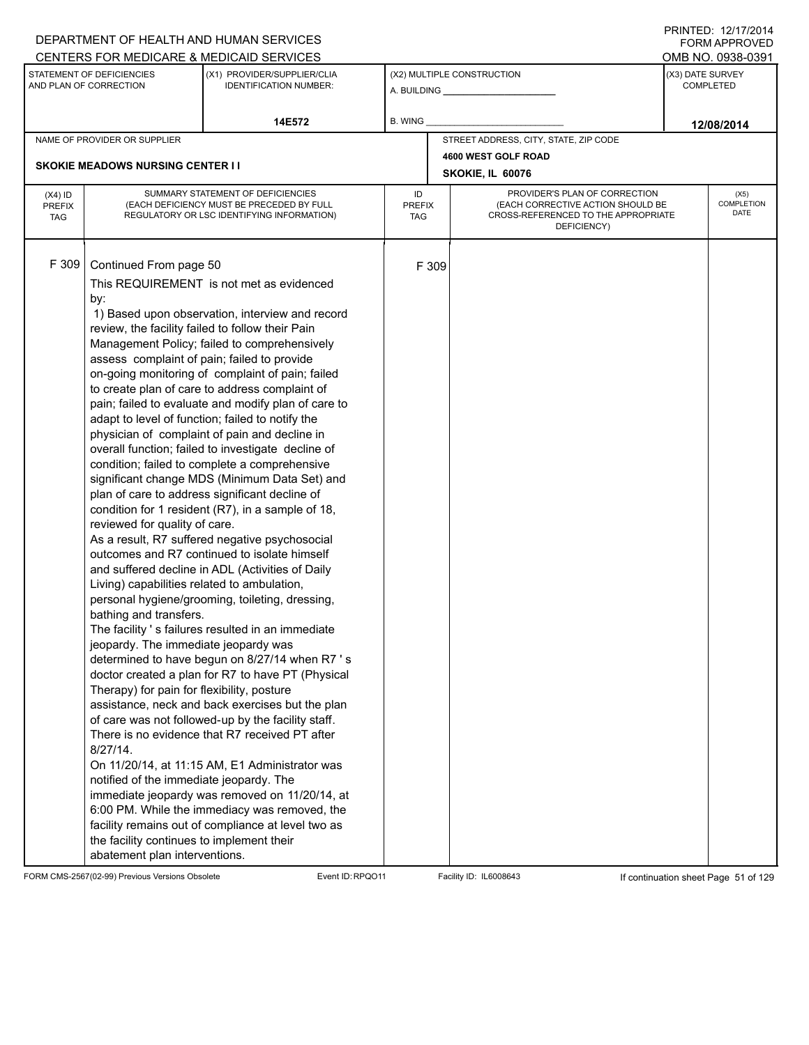|                                          |                                                                                                                                                                                                                                                                                                                                                                                                                                                                          | DEPARTMENT OF HEALTH AND HUMAN SERVICES<br>CENTERS FOR MEDICARE & MEDICAID SERVICES                                                                                                                                                                                                                                                                                                                                                                                                                                                                                                                                                                                                                                                                                                                                                                                                                                                                                                                                                                                                                                                                                                                                                                                                                                                                                                                                      |                                   |       |                                                                                                                          |                  | FNINILD. IZIIIIZVI <del>4</del><br><b>FORM APPROVED</b><br>OMB NO. 0938-0391 |
|------------------------------------------|--------------------------------------------------------------------------------------------------------------------------------------------------------------------------------------------------------------------------------------------------------------------------------------------------------------------------------------------------------------------------------------------------------------------------------------------------------------------------|--------------------------------------------------------------------------------------------------------------------------------------------------------------------------------------------------------------------------------------------------------------------------------------------------------------------------------------------------------------------------------------------------------------------------------------------------------------------------------------------------------------------------------------------------------------------------------------------------------------------------------------------------------------------------------------------------------------------------------------------------------------------------------------------------------------------------------------------------------------------------------------------------------------------------------------------------------------------------------------------------------------------------------------------------------------------------------------------------------------------------------------------------------------------------------------------------------------------------------------------------------------------------------------------------------------------------------------------------------------------------------------------------------------------------|-----------------------------------|-------|--------------------------------------------------------------------------------------------------------------------------|------------------|------------------------------------------------------------------------------|
|                                          | STATEMENT OF DEFICIENCIES<br>AND PLAN OF CORRECTION                                                                                                                                                                                                                                                                                                                                                                                                                      | (X1) PROVIDER/SUPPLIER/CLIA<br><b>IDENTIFICATION NUMBER:</b>                                                                                                                                                                                                                                                                                                                                                                                                                                                                                                                                                                                                                                                                                                                                                                                                                                                                                                                                                                                                                                                                                                                                                                                                                                                                                                                                                             |                                   |       | (X2) MULTIPLE CONSTRUCTION<br>A. BUILDING <b>A.</b> BUILDING                                                             | (X3) DATE SURVEY | <b>COMPLETED</b>                                                             |
|                                          |                                                                                                                                                                                                                                                                                                                                                                                                                                                                          | 14E572                                                                                                                                                                                                                                                                                                                                                                                                                                                                                                                                                                                                                                                                                                                                                                                                                                                                                                                                                                                                                                                                                                                                                                                                                                                                                                                                                                                                                   | <b>B. WING</b>                    |       |                                                                                                                          |                  | 12/08/2014                                                                   |
|                                          | NAME OF PROVIDER OR SUPPLIER                                                                                                                                                                                                                                                                                                                                                                                                                                             |                                                                                                                                                                                                                                                                                                                                                                                                                                                                                                                                                                                                                                                                                                                                                                                                                                                                                                                                                                                                                                                                                                                                                                                                                                                                                                                                                                                                                          |                                   |       | STREET ADDRESS, CITY, STATE, ZIP CODE                                                                                    |                  |                                                                              |
|                                          | <b>SKOKIE MEADOWS NURSING CENTER I I</b>                                                                                                                                                                                                                                                                                                                                                                                                                                 |                                                                                                                                                                                                                                                                                                                                                                                                                                                                                                                                                                                                                                                                                                                                                                                                                                                                                                                                                                                                                                                                                                                                                                                                                                                                                                                                                                                                                          |                                   |       | 4600 WEST GOLF ROAD<br>SKOKIE, IL 60076                                                                                  |                  |                                                                              |
| $(X4)$ ID<br><b>PREFIX</b><br><b>TAG</b> |                                                                                                                                                                                                                                                                                                                                                                                                                                                                          | SUMMARY STATEMENT OF DEFICIENCIES<br>(EACH DEFICIENCY MUST BE PRECEDED BY FULL<br>REGULATORY OR LSC IDENTIFYING INFORMATION)                                                                                                                                                                                                                                                                                                                                                                                                                                                                                                                                                                                                                                                                                                                                                                                                                                                                                                                                                                                                                                                                                                                                                                                                                                                                                             | ID<br><b>PREFIX</b><br><b>TAG</b> |       | PROVIDER'S PLAN OF CORRECTION<br>(EACH CORRECTIVE ACTION SHOULD BE<br>CROSS-REFERENCED TO THE APPROPRIATE<br>DEFICIENCY) |                  | (X5)<br>COMPLETION<br><b>DATE</b>                                            |
| F 309                                    | Continued From page 50<br>by:<br>review, the facility failed to follow their Pain<br>assess complaint of pain; failed to provide<br>reviewed for quality of care.<br>Living) capabilities related to ambulation,<br>bathing and transfers.<br>jeopardy. The immediate jeopardy was<br>Therapy) for pain for flexibility, posture<br>$8/27/14$ .<br>notified of the immediate jeopardy. The<br>the facility continues to implement their<br>abatement plan interventions. | This REQUIREMENT is not met as evidenced<br>1) Based upon observation, interview and record<br>Management Policy; failed to comprehensively<br>on-going monitoring of complaint of pain; failed<br>to create plan of care to address complaint of<br>pain; failed to evaluate and modify plan of care to<br>adapt to level of function; failed to notify the<br>physician of complaint of pain and decline in<br>overall function; failed to investigate decline of<br>condition; failed to complete a comprehensive<br>significant change MDS (Minimum Data Set) and<br>plan of care to address significant decline of<br>condition for 1 resident (R7), in a sample of 18,<br>As a result, R7 suffered negative psychosocial<br>outcomes and R7 continued to isolate himself<br>and suffered decline in ADL (Activities of Daily<br>personal hygiene/grooming, toileting, dressing,<br>The facility 's failures resulted in an immediate<br>determined to have begun on 8/27/14 when R7 's<br>doctor created a plan for R7 to have PT (Physical<br>assistance, neck and back exercises but the plan<br>of care was not followed-up by the facility staff.<br>There is no evidence that R7 received PT after<br>On 11/20/14, at 11:15 AM, E1 Administrator was<br>immediate jeopardy was removed on 11/20/14, at<br>6:00 PM. While the immediacy was removed, the<br>facility remains out of compliance at level two as |                                   | F 309 |                                                                                                                          |                  |                                                                              |

FORM CMS-2567(02-99) Previous Versions Obsolete Event ID:RPQO11 Facility ID: IL6008643 If continuation sheet Page 51 of 129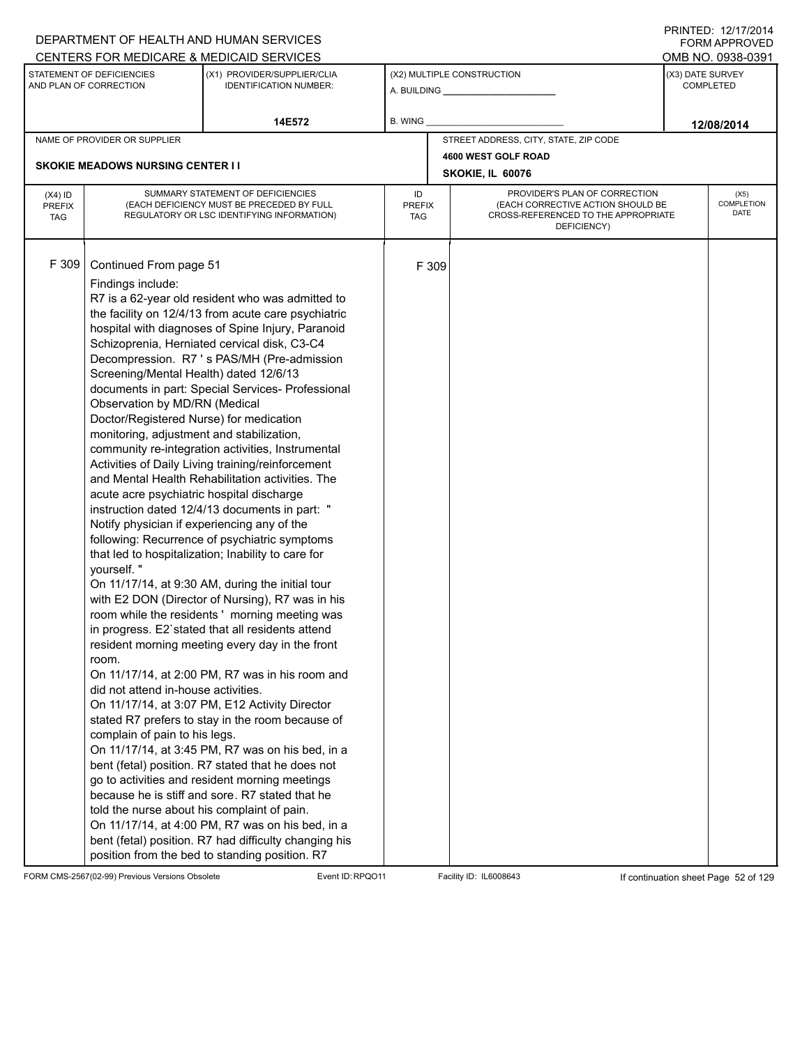|                                          |                                                                                                                                                                                                                                                                                                                                                                                                                                                          | DEPARTMENT OF HEALTH AND HUMAN SERVICES                                                                                                                                                                                                                                                                                                                                                                                                                                                                                                                                                                                                                                                                                                                                                                                                                                                                                                                                                                                                                                                                                                                                                                                                                                                                                                                                                                                                      |                                   |       |                                                                                                                          |                  | FORM APPROVED              |
|------------------------------------------|----------------------------------------------------------------------------------------------------------------------------------------------------------------------------------------------------------------------------------------------------------------------------------------------------------------------------------------------------------------------------------------------------------------------------------------------------------|----------------------------------------------------------------------------------------------------------------------------------------------------------------------------------------------------------------------------------------------------------------------------------------------------------------------------------------------------------------------------------------------------------------------------------------------------------------------------------------------------------------------------------------------------------------------------------------------------------------------------------------------------------------------------------------------------------------------------------------------------------------------------------------------------------------------------------------------------------------------------------------------------------------------------------------------------------------------------------------------------------------------------------------------------------------------------------------------------------------------------------------------------------------------------------------------------------------------------------------------------------------------------------------------------------------------------------------------------------------------------------------------------------------------------------------------|-----------------------------------|-------|--------------------------------------------------------------------------------------------------------------------------|------------------|----------------------------|
|                                          |                                                                                                                                                                                                                                                                                                                                                                                                                                                          | CENTERS FOR MEDICARE & MEDICAID SERVICES                                                                                                                                                                                                                                                                                                                                                                                                                                                                                                                                                                                                                                                                                                                                                                                                                                                                                                                                                                                                                                                                                                                                                                                                                                                                                                                                                                                                     |                                   |       |                                                                                                                          |                  | OMB NO. 0938-0391          |
|                                          | STATEMENT OF DEFICIENCIES<br>AND PLAN OF CORRECTION                                                                                                                                                                                                                                                                                                                                                                                                      | (X1) PROVIDER/SUPPLIER/CLIA<br><b>IDENTIFICATION NUMBER:</b>                                                                                                                                                                                                                                                                                                                                                                                                                                                                                                                                                                                                                                                                                                                                                                                                                                                                                                                                                                                                                                                                                                                                                                                                                                                                                                                                                                                 |                                   |       | (X2) MULTIPLE CONSTRUCTION<br>A. BUILDING A.                                                                             | (X3) DATE SURVEY | <b>COMPLETED</b>           |
|                                          |                                                                                                                                                                                                                                                                                                                                                                                                                                                          | 14E572                                                                                                                                                                                                                                                                                                                                                                                                                                                                                                                                                                                                                                                                                                                                                                                                                                                                                                                                                                                                                                                                                                                                                                                                                                                                                                                                                                                                                                       | B. WING                           |       |                                                                                                                          |                  | 12/08/2014                 |
|                                          | NAME OF PROVIDER OR SUPPLIER                                                                                                                                                                                                                                                                                                                                                                                                                             |                                                                                                                                                                                                                                                                                                                                                                                                                                                                                                                                                                                                                                                                                                                                                                                                                                                                                                                                                                                                                                                                                                                                                                                                                                                                                                                                                                                                                                              |                                   |       | STREET ADDRESS, CITY, STATE, ZIP CODE                                                                                    |                  |                            |
|                                          |                                                                                                                                                                                                                                                                                                                                                                                                                                                          |                                                                                                                                                                                                                                                                                                                                                                                                                                                                                                                                                                                                                                                                                                                                                                                                                                                                                                                                                                                                                                                                                                                                                                                                                                                                                                                                                                                                                                              |                                   |       | 4600 WEST GOLF ROAD                                                                                                      |                  |                            |
|                                          | <b>SKOKIE MEADOWS NURSING CENTER I I</b>                                                                                                                                                                                                                                                                                                                                                                                                                 |                                                                                                                                                                                                                                                                                                                                                                                                                                                                                                                                                                                                                                                                                                                                                                                                                                                                                                                                                                                                                                                                                                                                                                                                                                                                                                                                                                                                                                              |                                   |       | SKOKIE, IL 60076                                                                                                         |                  |                            |
| $(X4)$ ID<br><b>PREFIX</b><br><b>TAG</b> |                                                                                                                                                                                                                                                                                                                                                                                                                                                          | SUMMARY STATEMENT OF DEFICIENCIES<br>(EACH DEFICIENCY MUST BE PRECEDED BY FULL<br>REGULATORY OR LSC IDENTIFYING INFORMATION)                                                                                                                                                                                                                                                                                                                                                                                                                                                                                                                                                                                                                                                                                                                                                                                                                                                                                                                                                                                                                                                                                                                                                                                                                                                                                                                 | ID<br><b>PREFIX</b><br><b>TAG</b> |       | PROVIDER'S PLAN OF CORRECTION<br>(EACH CORRECTIVE ACTION SHOULD BE<br>CROSS-REFERENCED TO THE APPROPRIATE<br>DEFICIENCY) |                  | (X5)<br>COMPLETION<br>DATE |
| F 309                                    | Continued From page 51<br>Findings include:<br>Screening/Mental Health) dated 12/6/13<br>Observation by MD/RN (Medical<br>Doctor/Registered Nurse) for medication<br>monitoring, adjustment and stabilization,<br>acute acre psychiatric hospital discharge<br>Notify physician if experiencing any of the<br>yourself."<br>room.<br>did not attend in-house activities.<br>complain of pain to his legs.<br>told the nurse about his complaint of pain. | R7 is a 62-year old resident who was admitted to<br>the facility on 12/4/13 from acute care psychiatric<br>hospital with diagnoses of Spine Injury, Paranoid<br>Schizoprenia, Herniated cervical disk, C3-C4<br>Decompression. R7 's PAS/MH (Pre-admission<br>documents in part: Special Services- Professional<br>community re-integration activities, Instrumental<br>Activities of Daily Living training/reinforcement<br>and Mental Health Rehabilitation activities. The<br>instruction dated 12/4/13 documents in part: "<br>following: Recurrence of psychiatric symptoms<br>that led to hospitalization; Inability to care for<br>On 11/17/14, at 9:30 AM, during the initial tour<br>with E2 DON (Director of Nursing), R7 was in his<br>room while the residents' morning meeting was<br>in progress. E2'stated that all residents attend<br>resident morning meeting every day in the front<br>On 11/17/14, at 2:00 PM, R7 was in his room and<br>On 11/17/14, at 3:07 PM, E12 Activity Director<br>stated R7 prefers to stay in the room because of<br>On 11/17/14, at 3:45 PM, R7 was on his bed, in a<br>bent (fetal) position. R7 stated that he does not<br>go to activities and resident morning meetings<br>because he is stiff and sore. R7 stated that he<br>On 11/17/14, at 4:00 PM, R7 was on his bed, in a<br>bent (fetal) position. R7 had difficulty changing his<br>position from the bed to standing position. R7 |                                   | F 309 |                                                                                                                          |                  |                            |

FORM CMS-2567(02-99) Previous Versions Obsolete Event ID:RPQO11 Facility ID: IL6008643 If continuation sheet Page 52 of 129

PRINTED: 12/17/2014 FORM APPROVED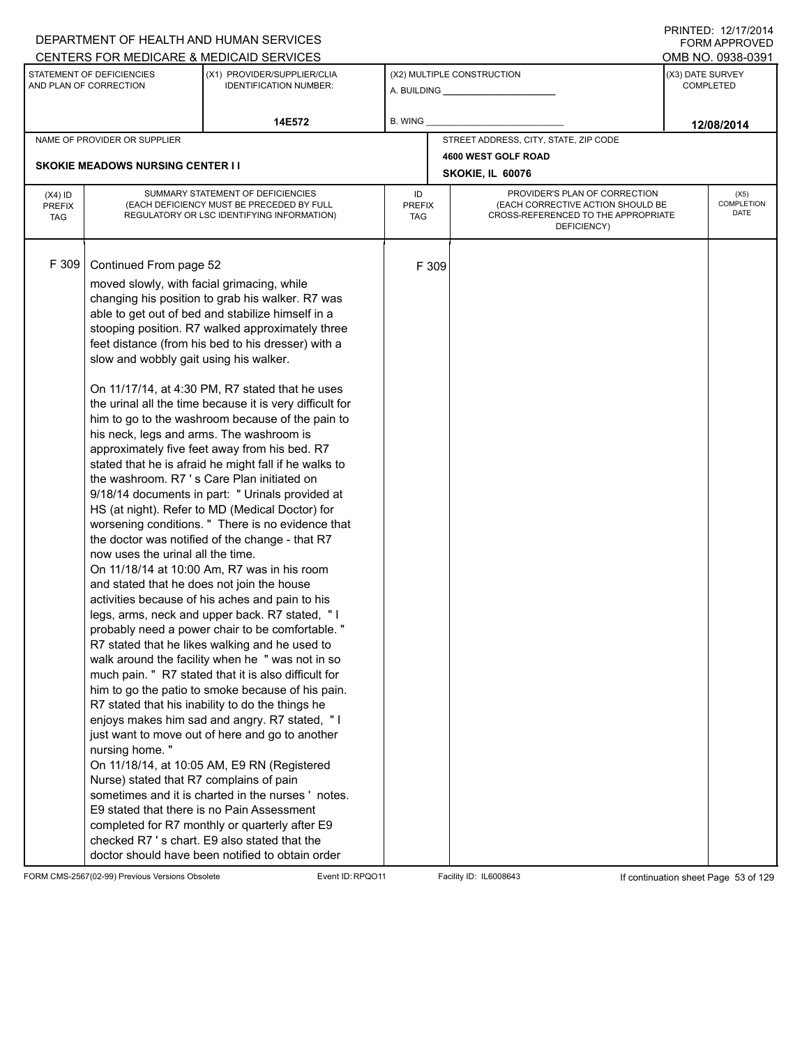|                                          |                                                                                                                                                                                                                                                                                                            | DEPARTMENT OF HEALTH AND HUMAN SERVICES                                                                                                                                                                                                                                                                                                                                                                                                                                                                                                                                                                                                                                                                                                                                                                                                                                                                                                                                                                                                                                                                                                                                                                                                                                                                                                                                                                                                                                                                                                                                                                                                            |                            |       |                                                                                                                          | <b>FORM APPROVED</b>                 |
|------------------------------------------|------------------------------------------------------------------------------------------------------------------------------------------------------------------------------------------------------------------------------------------------------------------------------------------------------------|----------------------------------------------------------------------------------------------------------------------------------------------------------------------------------------------------------------------------------------------------------------------------------------------------------------------------------------------------------------------------------------------------------------------------------------------------------------------------------------------------------------------------------------------------------------------------------------------------------------------------------------------------------------------------------------------------------------------------------------------------------------------------------------------------------------------------------------------------------------------------------------------------------------------------------------------------------------------------------------------------------------------------------------------------------------------------------------------------------------------------------------------------------------------------------------------------------------------------------------------------------------------------------------------------------------------------------------------------------------------------------------------------------------------------------------------------------------------------------------------------------------------------------------------------------------------------------------------------------------------------------------------------|----------------------------|-------|--------------------------------------------------------------------------------------------------------------------------|--------------------------------------|
|                                          |                                                                                                                                                                                                                                                                                                            | CENTERS FOR MEDICARE & MEDICAID SERVICES                                                                                                                                                                                                                                                                                                                                                                                                                                                                                                                                                                                                                                                                                                                                                                                                                                                                                                                                                                                                                                                                                                                                                                                                                                                                                                                                                                                                                                                                                                                                                                                                           |                            |       |                                                                                                                          | OMB NO. 0938-0391                    |
|                                          | STATEMENT OF DEFICIENCIES<br>AND PLAN OF CORRECTION                                                                                                                                                                                                                                                        | (X1) PROVIDER/SUPPLIER/CLIA<br><b>IDENTIFICATION NUMBER:</b>                                                                                                                                                                                                                                                                                                                                                                                                                                                                                                                                                                                                                                                                                                                                                                                                                                                                                                                                                                                                                                                                                                                                                                                                                                                                                                                                                                                                                                                                                                                                                                                       |                            |       | (X2) MULTIPLE CONSTRUCTION                                                                                               | (X3) DATE SURVEY<br><b>COMPLETED</b> |
|                                          |                                                                                                                                                                                                                                                                                                            | 14E572                                                                                                                                                                                                                                                                                                                                                                                                                                                                                                                                                                                                                                                                                                                                                                                                                                                                                                                                                                                                                                                                                                                                                                                                                                                                                                                                                                                                                                                                                                                                                                                                                                             | B. WING                    |       |                                                                                                                          | 12/08/2014                           |
|                                          | NAME OF PROVIDER OR SUPPLIER                                                                                                                                                                                                                                                                               |                                                                                                                                                                                                                                                                                                                                                                                                                                                                                                                                                                                                                                                                                                                                                                                                                                                                                                                                                                                                                                                                                                                                                                                                                                                                                                                                                                                                                                                                                                                                                                                                                                                    |                            |       | STREET ADDRESS, CITY, STATE, ZIP CODE                                                                                    |                                      |
|                                          |                                                                                                                                                                                                                                                                                                            |                                                                                                                                                                                                                                                                                                                                                                                                                                                                                                                                                                                                                                                                                                                                                                                                                                                                                                                                                                                                                                                                                                                                                                                                                                                                                                                                                                                                                                                                                                                                                                                                                                                    |                            |       | 4600 WEST GOLF ROAD                                                                                                      |                                      |
|                                          | <b>SKOKIE MEADOWS NURSING CENTER II</b>                                                                                                                                                                                                                                                                    |                                                                                                                                                                                                                                                                                                                                                                                                                                                                                                                                                                                                                                                                                                                                                                                                                                                                                                                                                                                                                                                                                                                                                                                                                                                                                                                                                                                                                                                                                                                                                                                                                                                    |                            |       | SKOKIE, IL 60076                                                                                                         |                                      |
| $(X4)$ ID<br><b>PREFIX</b><br><b>TAG</b> |                                                                                                                                                                                                                                                                                                            | SUMMARY STATEMENT OF DEFICIENCIES<br>(EACH DEFICIENCY MUST BE PRECEDED BY FULL<br>REGULATORY OR LSC IDENTIFYING INFORMATION)                                                                                                                                                                                                                                                                                                                                                                                                                                                                                                                                                                                                                                                                                                                                                                                                                                                                                                                                                                                                                                                                                                                                                                                                                                                                                                                                                                                                                                                                                                                       | ID<br><b>PREFIX</b><br>TAG |       | PROVIDER'S PLAN OF CORRECTION<br>(EACH CORRECTIVE ACTION SHOULD BE<br>CROSS-REFERENCED TO THE APPROPRIATE<br>DEFICIENCY) | (X5)<br>COMPLETION<br><b>DATE</b>    |
| F 309                                    | Continued From page 52<br>moved slowly, with facial grimacing, while<br>slow and wobbly gait using his walker.<br>his neck, legs and arms. The washroom is<br>now uses the urinal all the time.<br>and stated that he does not join the house<br>nursing home."<br>Nurse) stated that R7 complains of pain | changing his position to grab his walker. R7 was<br>able to get out of bed and stabilize himself in a<br>stooping position. R7 walked approximately three<br>feet distance (from his bed to his dresser) with a<br>On 11/17/14, at 4:30 PM, R7 stated that he uses<br>the urinal all the time because it is very difficult for<br>him to go to the washroom because of the pain to<br>approximately five feet away from his bed. R7<br>stated that he is afraid he might fall if he walks to<br>the washroom. R7's Care Plan initiated on<br>9/18/14 documents in part: " Urinals provided at<br>HS (at night). Refer to MD (Medical Doctor) for<br>worsening conditions. " There is no evidence that<br>the doctor was notified of the change - that R7<br>On 11/18/14 at 10:00 Am, R7 was in his room<br>activities because of his aches and pain to his<br>legs, arms, neck and upper back. R7 stated, "I<br>probably need a power chair to be comfortable. "<br>R7 stated that he likes walking and he used to<br>walk around the facility when he " was not in so<br>much pain. " R7 stated that it is also difficult for<br>him to go the patio to smoke because of his pain.<br>R7 stated that his inability to do the things he<br>enjoys makes him sad and angry. R7 stated, "I<br>just want to move out of here and go to another<br>On 11/18/14, at 10:05 AM, E9 RN (Registered<br>sometimes and it is charted in the nurses 'notes.<br>E9 stated that there is no Pain Assessment<br>completed for R7 monthly or quarterly after E9<br>checked R7's chart. E9 also stated that the<br>doctor should have been notified to obtain order |                            | F 309 |                                                                                                                          |                                      |

FORM CMS-2567(02-99) Previous Versions Obsolete Event ID:RPQO11 Facility ID: IL6008643 If continuation sheet Page 53 of 129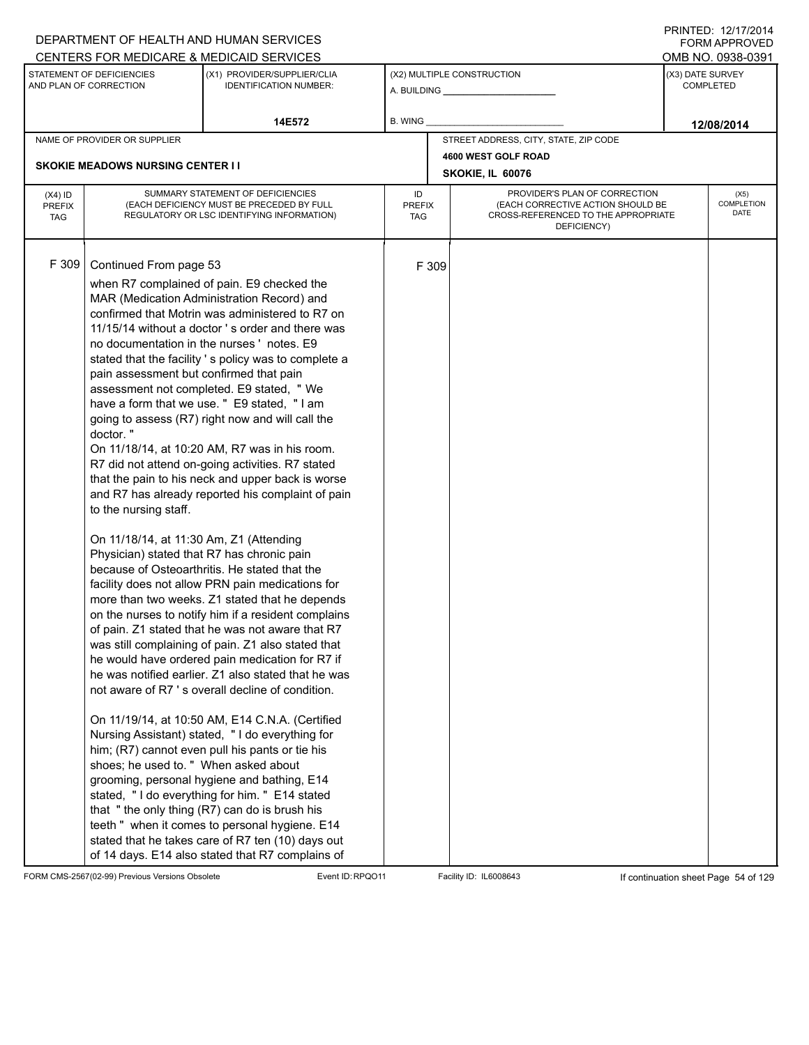|                                          |                                                                                                                                                                                                                                          | DEPARTMENT OF HEALTH AND HUMAN SERVICES                                                                                                                                                                                                                                                                                                                                                                                                                                                                                                                                                                                                                                                                                                                                                                                                                                                                                                                                                                                                                                                                                                                                                                                                                                                                                                                                                                                                                                                                                                                                                                                         |                            |       |                                                                                                                          |                  | <b>FORM APPROVED</b>              |
|------------------------------------------|------------------------------------------------------------------------------------------------------------------------------------------------------------------------------------------------------------------------------------------|---------------------------------------------------------------------------------------------------------------------------------------------------------------------------------------------------------------------------------------------------------------------------------------------------------------------------------------------------------------------------------------------------------------------------------------------------------------------------------------------------------------------------------------------------------------------------------------------------------------------------------------------------------------------------------------------------------------------------------------------------------------------------------------------------------------------------------------------------------------------------------------------------------------------------------------------------------------------------------------------------------------------------------------------------------------------------------------------------------------------------------------------------------------------------------------------------------------------------------------------------------------------------------------------------------------------------------------------------------------------------------------------------------------------------------------------------------------------------------------------------------------------------------------------------------------------------------------------------------------------------------|----------------------------|-------|--------------------------------------------------------------------------------------------------------------------------|------------------|-----------------------------------|
|                                          |                                                                                                                                                                                                                                          | CENTERS FOR MEDICARE & MEDICAID SERVICES                                                                                                                                                                                                                                                                                                                                                                                                                                                                                                                                                                                                                                                                                                                                                                                                                                                                                                                                                                                                                                                                                                                                                                                                                                                                                                                                                                                                                                                                                                                                                                                        |                            |       |                                                                                                                          |                  | OMB NO. 0938-0391                 |
|                                          | STATEMENT OF DEFICIENCIES<br>AND PLAN OF CORRECTION                                                                                                                                                                                      | (X1) PROVIDER/SUPPLIER/CLIA<br><b>IDENTIFICATION NUMBER:</b>                                                                                                                                                                                                                                                                                                                                                                                                                                                                                                                                                                                                                                                                                                                                                                                                                                                                                                                                                                                                                                                                                                                                                                                                                                                                                                                                                                                                                                                                                                                                                                    |                            |       | (X2) MULTIPLE CONSTRUCTION                                                                                               | (X3) DATE SURVEY | <b>COMPLETED</b>                  |
|                                          |                                                                                                                                                                                                                                          | 14E572                                                                                                                                                                                                                                                                                                                                                                                                                                                                                                                                                                                                                                                                                                                                                                                                                                                                                                                                                                                                                                                                                                                                                                                                                                                                                                                                                                                                                                                                                                                                                                                                                          | B. WING                    |       |                                                                                                                          |                  | 12/08/2014                        |
|                                          | NAME OF PROVIDER OR SUPPLIER                                                                                                                                                                                                             |                                                                                                                                                                                                                                                                                                                                                                                                                                                                                                                                                                                                                                                                                                                                                                                                                                                                                                                                                                                                                                                                                                                                                                                                                                                                                                                                                                                                                                                                                                                                                                                                                                 |                            |       | STREET ADDRESS, CITY, STATE, ZIP CODE                                                                                    |                  |                                   |
|                                          | <b>SKOKIE MEADOWS NURSING CENTER I I</b>                                                                                                                                                                                                 |                                                                                                                                                                                                                                                                                                                                                                                                                                                                                                                                                                                                                                                                                                                                                                                                                                                                                                                                                                                                                                                                                                                                                                                                                                                                                                                                                                                                                                                                                                                                                                                                                                 |                            |       | 4600 WEST GOLF ROAD                                                                                                      |                  |                                   |
|                                          |                                                                                                                                                                                                                                          |                                                                                                                                                                                                                                                                                                                                                                                                                                                                                                                                                                                                                                                                                                                                                                                                                                                                                                                                                                                                                                                                                                                                                                                                                                                                                                                                                                                                                                                                                                                                                                                                                                 |                            |       | SKOKIE, IL 60076                                                                                                         |                  |                                   |
| $(X4)$ ID<br><b>PREFIX</b><br><b>TAG</b> |                                                                                                                                                                                                                                          | SUMMARY STATEMENT OF DEFICIENCIES<br>(EACH DEFICIENCY MUST BE PRECEDED BY FULL<br>REGULATORY OR LSC IDENTIFYING INFORMATION)                                                                                                                                                                                                                                                                                                                                                                                                                                                                                                                                                                                                                                                                                                                                                                                                                                                                                                                                                                                                                                                                                                                                                                                                                                                                                                                                                                                                                                                                                                    | ID<br><b>PREFIX</b><br>TAG |       | PROVIDER'S PLAN OF CORRECTION<br>(EACH CORRECTIVE ACTION SHOULD BE<br>CROSS-REFERENCED TO THE APPROPRIATE<br>DEFICIENCY) |                  | (X5)<br><b>COMPLETION</b><br>DATE |
| F 309                                    | Continued From page 53<br>pain assessment but confirmed that pain<br>doctor."<br>to the nursing staff.<br>On 11/18/14, at 11:30 Am, Z1 (Attending<br>Physician) stated that R7 has chronic pain<br>shoes; he used to. " When asked about | when R7 complained of pain. E9 checked the<br>MAR (Medication Administration Record) and<br>confirmed that Motrin was administered to R7 on<br>11/15/14 without a doctor 's order and there was<br>no documentation in the nurses 'notes. E9<br>stated that the facility 's policy was to complete a<br>assessment not completed. E9 stated, " We<br>have a form that we use. " E9 stated, "I am<br>going to assess (R7) right now and will call the<br>On 11/18/14, at 10:20 AM, R7 was in his room.<br>R7 did not attend on-going activities. R7 stated<br>that the pain to his neck and upper back is worse<br>and R7 has already reported his complaint of pain<br>because of Osteoarthritis. He stated that the<br>facility does not allow PRN pain medications for<br>more than two weeks. Z1 stated that he depends<br>on the nurses to notify him if a resident complains<br>of pain. Z1 stated that he was not aware that R7<br>was still complaining of pain. Z1 also stated that<br>he would have ordered pain medication for R7 if<br>he was notified earlier. Z1 also stated that he was<br>not aware of R7 's overall decline of condition.<br>On 11/19/14, at 10:50 AM, E14 C.N.A. (Certified<br>Nursing Assistant) stated, "I do everything for<br>him; (R7) cannot even pull his pants or tie his<br>grooming, personal hygiene and bathing, E14<br>stated, "I do everything for him. " E14 stated<br>that "the only thing (R7) can do is brush his<br>teeth " when it comes to personal hygiene. E14<br>stated that he takes care of R7 ten (10) days out<br>of 14 days. E14 also stated that R7 complains of |                            | F 309 |                                                                                                                          |                  |                                   |

FORM CMS-2567(02-99) Previous Versions Obsolete Event ID:RPQO11 Facility ID: IL6008643 If continuation sheet Page 54 of 129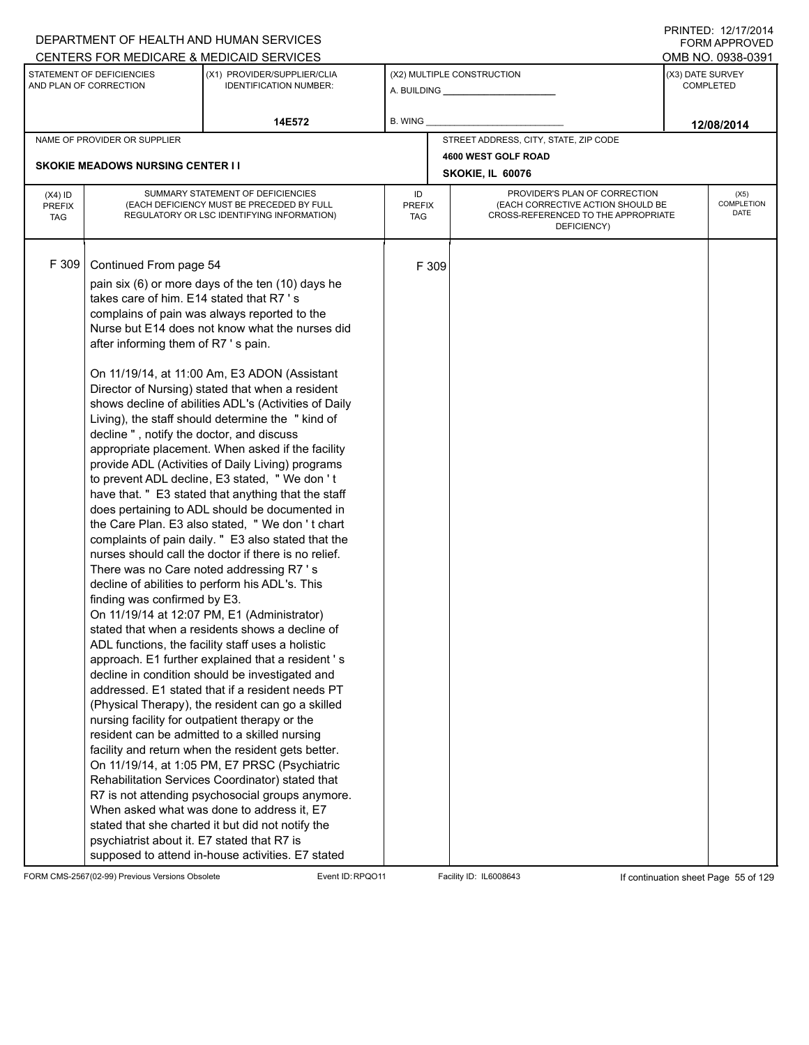|                                          |                                                                                                                                                                                                                                                                                      | DEPARTMENT OF HEALTH AND HUMAN SERVICES                                                                                                                                                                                                                                                                                                                                                                                                                                                                                                                                                                                                                                                                                                                                                                                                                                                                                                                                                                                                                                                                                                                                                                                                                                                                                                                                                                                                                                                                                                                                                                                                                                                                 |                            |       |                                                                                                                          |                  | FORM APPROVED                     |  |
|------------------------------------------|--------------------------------------------------------------------------------------------------------------------------------------------------------------------------------------------------------------------------------------------------------------------------------------|---------------------------------------------------------------------------------------------------------------------------------------------------------------------------------------------------------------------------------------------------------------------------------------------------------------------------------------------------------------------------------------------------------------------------------------------------------------------------------------------------------------------------------------------------------------------------------------------------------------------------------------------------------------------------------------------------------------------------------------------------------------------------------------------------------------------------------------------------------------------------------------------------------------------------------------------------------------------------------------------------------------------------------------------------------------------------------------------------------------------------------------------------------------------------------------------------------------------------------------------------------------------------------------------------------------------------------------------------------------------------------------------------------------------------------------------------------------------------------------------------------------------------------------------------------------------------------------------------------------------------------------------------------------------------------------------------------|----------------------------|-------|--------------------------------------------------------------------------------------------------------------------------|------------------|-----------------------------------|--|
|                                          |                                                                                                                                                                                                                                                                                      | CENTERS FOR MEDICARE & MEDICAID SERVICES                                                                                                                                                                                                                                                                                                                                                                                                                                                                                                                                                                                                                                                                                                                                                                                                                                                                                                                                                                                                                                                                                                                                                                                                                                                                                                                                                                                                                                                                                                                                                                                                                                                                |                            |       |                                                                                                                          |                  | OMB NO. 0938-0391                 |  |
|                                          | STATEMENT OF DEFICIENCIES<br>AND PLAN OF CORRECTION                                                                                                                                                                                                                                  | (X1) PROVIDER/SUPPLIER/CLIA<br><b>IDENTIFICATION NUMBER:</b>                                                                                                                                                                                                                                                                                                                                                                                                                                                                                                                                                                                                                                                                                                                                                                                                                                                                                                                                                                                                                                                                                                                                                                                                                                                                                                                                                                                                                                                                                                                                                                                                                                            |                            |       | (X2) MULTIPLE CONSTRUCTION                                                                                               | (X3) DATE SURVEY | <b>COMPLETED</b>                  |  |
|                                          |                                                                                                                                                                                                                                                                                      | 14E572                                                                                                                                                                                                                                                                                                                                                                                                                                                                                                                                                                                                                                                                                                                                                                                                                                                                                                                                                                                                                                                                                                                                                                                                                                                                                                                                                                                                                                                                                                                                                                                                                                                                                                  | B. WING                    |       |                                                                                                                          |                  | 12/08/2014                        |  |
|                                          | NAME OF PROVIDER OR SUPPLIER                                                                                                                                                                                                                                                         |                                                                                                                                                                                                                                                                                                                                                                                                                                                                                                                                                                                                                                                                                                                                                                                                                                                                                                                                                                                                                                                                                                                                                                                                                                                                                                                                                                                                                                                                                                                                                                                                                                                                                                         |                            |       | STREET ADDRESS, CITY, STATE, ZIP CODE                                                                                    |                  |                                   |  |
|                                          |                                                                                                                                                                                                                                                                                      |                                                                                                                                                                                                                                                                                                                                                                                                                                                                                                                                                                                                                                                                                                                                                                                                                                                                                                                                                                                                                                                                                                                                                                                                                                                                                                                                                                                                                                                                                                                                                                                                                                                                                                         |                            |       | 4600 WEST GOLF ROAD                                                                                                      |                  |                                   |  |
|                                          | <b>SKOKIE MEADOWS NURSING CENTER I I</b>                                                                                                                                                                                                                                             |                                                                                                                                                                                                                                                                                                                                                                                                                                                                                                                                                                                                                                                                                                                                                                                                                                                                                                                                                                                                                                                                                                                                                                                                                                                                                                                                                                                                                                                                                                                                                                                                                                                                                                         |                            |       | SKOKIE, IL 60076                                                                                                         |                  |                                   |  |
| $(X4)$ ID<br><b>PREFIX</b><br><b>TAG</b> |                                                                                                                                                                                                                                                                                      | SUMMARY STATEMENT OF DEFICIENCIES<br>(EACH DEFICIENCY MUST BE PRECEDED BY FULL<br>REGULATORY OR LSC IDENTIFYING INFORMATION)                                                                                                                                                                                                                                                                                                                                                                                                                                                                                                                                                                                                                                                                                                                                                                                                                                                                                                                                                                                                                                                                                                                                                                                                                                                                                                                                                                                                                                                                                                                                                                            | ID<br><b>PREFIX</b><br>TAG |       | PROVIDER'S PLAN OF CORRECTION<br>(EACH CORRECTIVE ACTION SHOULD BE<br>CROSS-REFERENCED TO THE APPROPRIATE<br>DEFICIENCY) |                  | (X5)<br><b>COMPLETION</b><br>DATE |  |
| F 309                                    | Continued From page 54<br>takes care of him. E14 stated that R7's<br>after informing them of R7's pain.<br>decline", notify the doctor, and discuss<br>finding was confirmed by E3.<br>nursing facility for outpatient therapy or the<br>psychiatrist about it. E7 stated that R7 is | pain six (6) or more days of the ten (10) days he<br>complains of pain was always reported to the<br>Nurse but E14 does not know what the nurses did<br>On 11/19/14, at 11:00 Am, E3 ADON (Assistant<br>Director of Nursing) stated that when a resident<br>shows decline of abilities ADL's (Activities of Daily<br>Living), the staff should determine the "kind of<br>appropriate placement. When asked if the facility<br>provide ADL (Activities of Daily Living) programs<br>to prevent ADL decline, E3 stated, "We don't<br>have that. " E3 stated that anything that the staff<br>does pertaining to ADL should be documented in<br>the Care Plan. E3 also stated, "We don't chart<br>complaints of pain daily. " E3 also stated that the<br>nurses should call the doctor if there is no relief.<br>There was no Care noted addressing R7 's<br>decline of abilities to perform his ADL's. This<br>On 11/19/14 at 12:07 PM, E1 (Administrator)<br>stated that when a residents shows a decline of<br>ADL functions, the facility staff uses a holistic<br>approach. E1 further explained that a resident's<br>decline in condition should be investigated and<br>addressed. E1 stated that if a resident needs PT<br>(Physical Therapy), the resident can go a skilled<br>resident can be admitted to a skilled nursing<br>facility and return when the resident gets better.<br>On 11/19/14, at 1:05 PM, E7 PRSC (Psychiatric<br>Rehabilitation Services Coordinator) stated that<br>R7 is not attending psychosocial groups anymore.<br>When asked what was done to address it, E7<br>stated that she charted it but did not notify the<br>supposed to attend in-house activities. E7 stated |                            | F 309 |                                                                                                                          |                  |                                   |  |

FORM CMS-2567(02-99) Previous Versions Obsolete Event ID:RPQO11 Facility ID: IL6008643 If continuation sheet Page 55 of 129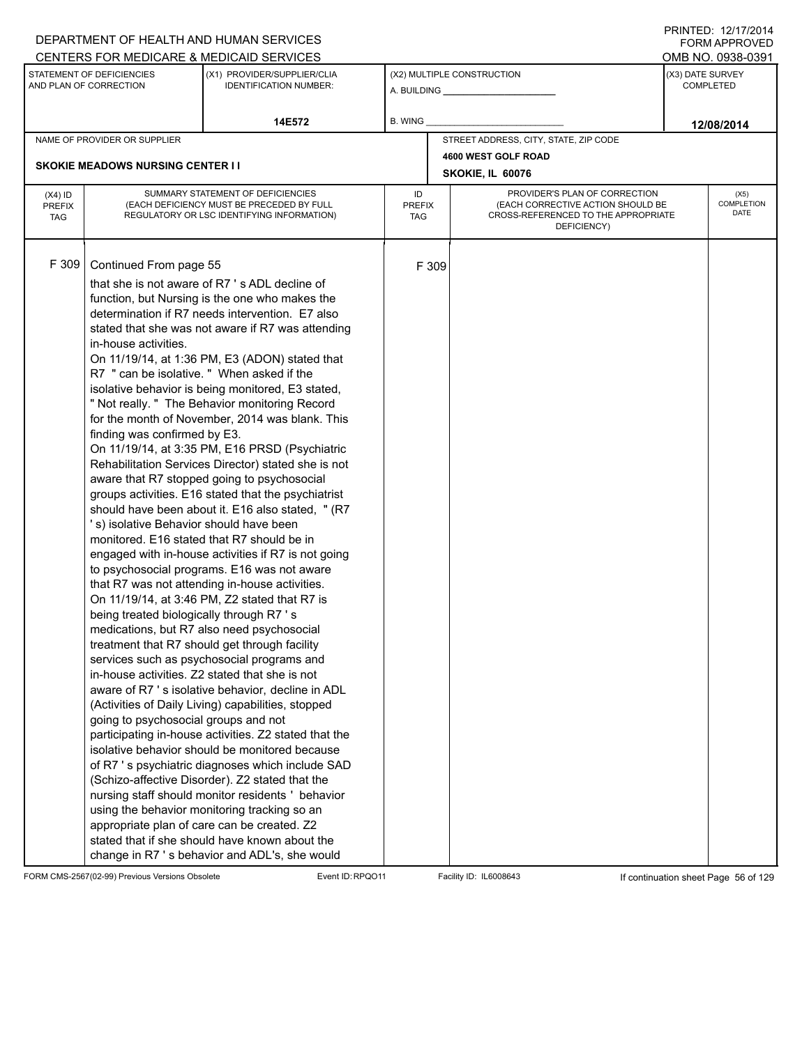|                                          |                                                                                                                                                                                                                                                                                                          | DEPARTMENT OF HEALTH AND HUMAN SERVICES                                                                                                                                                                                                                                                                                                                                                                                                                                                                                                                                                                                                                                                                                                                                                                                                                                                                                                                                                                                                                                                                                                                                                                                                                                                                                                                                                                                                                                                                                                                                                                                                                                          |                            |       |                                                                                                                          |                  | <b>FORM APPROVED</b>       |  |
|------------------------------------------|----------------------------------------------------------------------------------------------------------------------------------------------------------------------------------------------------------------------------------------------------------------------------------------------------------|----------------------------------------------------------------------------------------------------------------------------------------------------------------------------------------------------------------------------------------------------------------------------------------------------------------------------------------------------------------------------------------------------------------------------------------------------------------------------------------------------------------------------------------------------------------------------------------------------------------------------------------------------------------------------------------------------------------------------------------------------------------------------------------------------------------------------------------------------------------------------------------------------------------------------------------------------------------------------------------------------------------------------------------------------------------------------------------------------------------------------------------------------------------------------------------------------------------------------------------------------------------------------------------------------------------------------------------------------------------------------------------------------------------------------------------------------------------------------------------------------------------------------------------------------------------------------------------------------------------------------------------------------------------------------------|----------------------------|-------|--------------------------------------------------------------------------------------------------------------------------|------------------|----------------------------|--|
|                                          |                                                                                                                                                                                                                                                                                                          | CENTERS FOR MEDICARE & MEDICAID SERVICES                                                                                                                                                                                                                                                                                                                                                                                                                                                                                                                                                                                                                                                                                                                                                                                                                                                                                                                                                                                                                                                                                                                                                                                                                                                                                                                                                                                                                                                                                                                                                                                                                                         |                            |       |                                                                                                                          |                  | OMB NO. 0938-0391          |  |
|                                          | STATEMENT OF DEFICIENCIES<br>AND PLAN OF CORRECTION                                                                                                                                                                                                                                                      | (X1) PROVIDER/SUPPLIER/CLIA<br><b>IDENTIFICATION NUMBER:</b>                                                                                                                                                                                                                                                                                                                                                                                                                                                                                                                                                                                                                                                                                                                                                                                                                                                                                                                                                                                                                                                                                                                                                                                                                                                                                                                                                                                                                                                                                                                                                                                                                     |                            |       | (X2) MULTIPLE CONSTRUCTION                                                                                               | (X3) DATE SURVEY | <b>COMPLETED</b>           |  |
|                                          |                                                                                                                                                                                                                                                                                                          | 14E572                                                                                                                                                                                                                                                                                                                                                                                                                                                                                                                                                                                                                                                                                                                                                                                                                                                                                                                                                                                                                                                                                                                                                                                                                                                                                                                                                                                                                                                                                                                                                                                                                                                                           | B. WING                    |       |                                                                                                                          |                  | 12/08/2014                 |  |
|                                          | NAME OF PROVIDER OR SUPPLIER                                                                                                                                                                                                                                                                             |                                                                                                                                                                                                                                                                                                                                                                                                                                                                                                                                                                                                                                                                                                                                                                                                                                                                                                                                                                                                                                                                                                                                                                                                                                                                                                                                                                                                                                                                                                                                                                                                                                                                                  |                            |       | STREET ADDRESS, CITY, STATE, ZIP CODE                                                                                    |                  |                            |  |
|                                          |                                                                                                                                                                                                                                                                                                          |                                                                                                                                                                                                                                                                                                                                                                                                                                                                                                                                                                                                                                                                                                                                                                                                                                                                                                                                                                                                                                                                                                                                                                                                                                                                                                                                                                                                                                                                                                                                                                                                                                                                                  |                            |       | 4600 WEST GOLF ROAD                                                                                                      |                  |                            |  |
|                                          | <b>SKOKIE MEADOWS NURSING CENTER II</b>                                                                                                                                                                                                                                                                  |                                                                                                                                                                                                                                                                                                                                                                                                                                                                                                                                                                                                                                                                                                                                                                                                                                                                                                                                                                                                                                                                                                                                                                                                                                                                                                                                                                                                                                                                                                                                                                                                                                                                                  |                            |       | SKOKIE, IL 60076                                                                                                         |                  |                            |  |
| $(X4)$ ID<br><b>PREFIX</b><br><b>TAG</b> |                                                                                                                                                                                                                                                                                                          | SUMMARY STATEMENT OF DEFICIENCIES<br>(EACH DEFICIENCY MUST BE PRECEDED BY FULL<br>REGULATORY OR LSC IDENTIFYING INFORMATION)                                                                                                                                                                                                                                                                                                                                                                                                                                                                                                                                                                                                                                                                                                                                                                                                                                                                                                                                                                                                                                                                                                                                                                                                                                                                                                                                                                                                                                                                                                                                                     | ID<br><b>PREFIX</b><br>TAG |       | PROVIDER'S PLAN OF CORRECTION<br>(EACH CORRECTIVE ACTION SHOULD BE<br>CROSS-REFERENCED TO THE APPROPRIATE<br>DEFICIENCY) |                  | (X5)<br>COMPLETION<br>DATE |  |
| F 309                                    | Continued From page 55<br>in-house activities.<br>R7 " can be isolative. " When asked if the<br>finding was confirmed by E3.<br>'s) isolative Behavior should have been<br>monitored. E16 stated that R7 should be in<br>being treated biologically through R7's<br>going to psychosocial groups and not | that she is not aware of R7's ADL decline of<br>function, but Nursing is the one who makes the<br>determination if R7 needs intervention. E7 also<br>stated that she was not aware if R7 was attending<br>On 11/19/14, at 1:36 PM, E3 (ADON) stated that<br>isolative behavior is being monitored, E3 stated,<br>" Not really. " The Behavior monitoring Record<br>for the month of November, 2014 was blank. This<br>On 11/19/14, at 3:35 PM, E16 PRSD (Psychiatric<br>Rehabilitation Services Director) stated she is not<br>aware that R7 stopped going to psychosocial<br>groups activities. E16 stated that the psychiatrist<br>should have been about it. E16 also stated, " (R7<br>engaged with in-house activities if R7 is not going<br>to psychosocial programs. E16 was not aware<br>that R7 was not attending in-house activities.<br>On 11/19/14, at 3:46 PM, Z2 stated that R7 is<br>medications, but R7 also need psychosocial<br>treatment that R7 should get through facility<br>services such as psychosocial programs and<br>in-house activities. Z2 stated that she is not<br>aware of R7's isolative behavior, decline in ADL<br>(Activities of Daily Living) capabilities, stopped<br>participating in-house activities. Z2 stated that the<br>isolative behavior should be monitored because<br>of R7 's psychiatric diagnoses which include SAD<br>(Schizo-affective Disorder). Z2 stated that the<br>nursing staff should monitor residents ' behavior<br>using the behavior monitoring tracking so an<br>appropriate plan of care can be created. Z2<br>stated that if she should have known about the<br>change in R7's behavior and ADL's, she would |                            | F 309 |                                                                                                                          |                  |                            |  |

FORM CMS-2567(02-99) Previous Versions Obsolete Event ID:RPQO11 Facility ID: IL6008643 If continuation sheet Page 56 of 129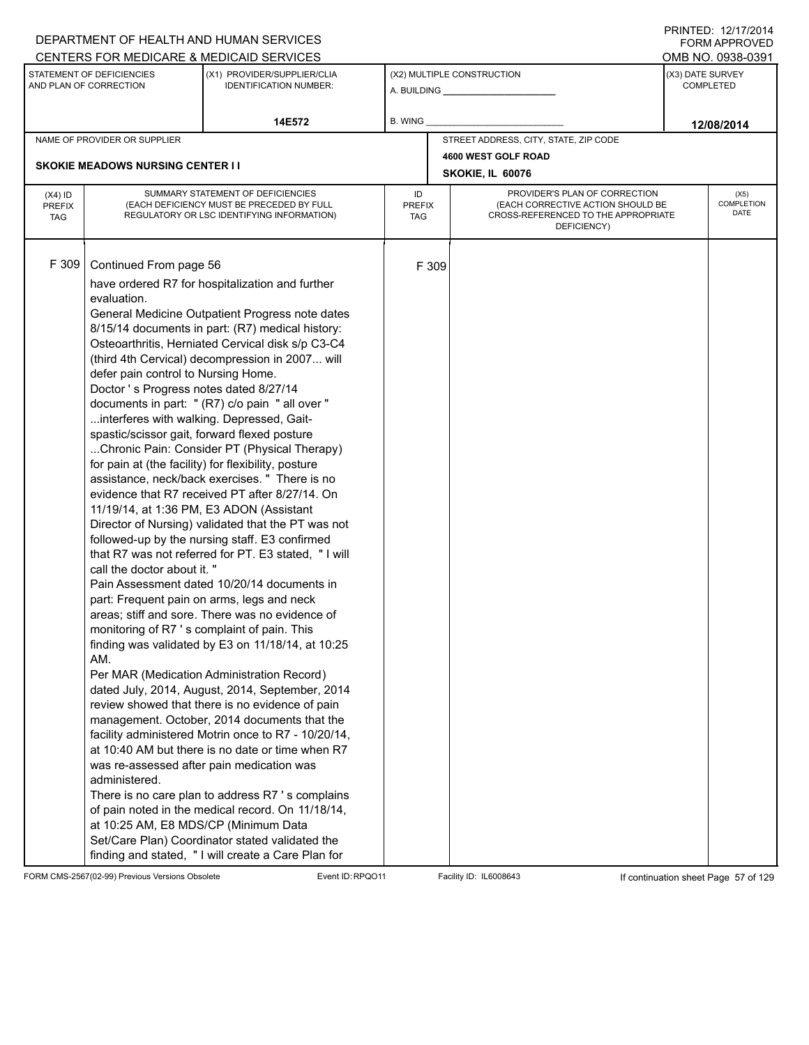|            |                                                                              | DEPARTMENT OF HEALTH AND HUMAN SERVICES                                                 |               |       |                                                                          |                  | . <del>.</del> <del>. .</del><br><b>FORM APPROVED</b> |  |  |
|------------|------------------------------------------------------------------------------|-----------------------------------------------------------------------------------------|---------------|-------|--------------------------------------------------------------------------|------------------|-------------------------------------------------------|--|--|
|            |                                                                              | CENTERS FOR MEDICARE & MEDICAID SERVICES                                                |               |       |                                                                          |                  | OMB NO. 0938-0391                                     |  |  |
|            | STATEMENT OF DEFICIENCIES<br>AND PLAN OF CORRECTION                          | (X1) PROVIDER/SUPPLIER/CLIA<br><b>IDENTIFICATION NUMBER:</b>                            |               |       | (X2) MULTIPLE CONSTRUCTION                                               | (X3) DATE SURVEY | <b>COMPLETED</b>                                      |  |  |
|            |                                                                              | 14E572                                                                                  | B. WING       |       |                                                                          |                  | 12/08/2014                                            |  |  |
|            | NAME OF PROVIDER OR SUPPLIER                                                 |                                                                                         |               |       | STREET ADDRESS, CITY, STATE, ZIP CODE                                    |                  |                                                       |  |  |
|            |                                                                              |                                                                                         |               |       | 4600 WEST GOLF ROAD                                                      |                  |                                                       |  |  |
|            | <b>SKOKIE MEADOWS NURSING CENTER I I</b>                                     |                                                                                         |               |       | SKOKIE, IL 60076                                                         | (X5)             |                                                       |  |  |
| $(X4)$ ID  |                                                                              | SUMMARY STATEMENT OF DEFICIENCIES                                                       | ID            |       | PROVIDER'S PLAN OF CORRECTION                                            |                  |                                                       |  |  |
| PREFIX     |                                                                              | (EACH DEFICIENCY MUST BE PRECEDED BY FULL<br>REGULATORY OR LSC IDENTIFYING INFORMATION) | <b>PREFIX</b> |       | (EACH CORRECTIVE ACTION SHOULD BE<br>CROSS-REFERENCED TO THE APPROPRIATE |                  | <b>COMPLETION</b><br>DATE                             |  |  |
| <b>TAG</b> |                                                                              |                                                                                         | TAG           |       | DEFICIENCY)                                                              |                  |                                                       |  |  |
|            |                                                                              |                                                                                         |               |       |                                                                          |                  |                                                       |  |  |
| F 309      | Continued From page 56                                                       |                                                                                         |               | F 309 |                                                                          |                  |                                                       |  |  |
|            |                                                                              |                                                                                         |               |       |                                                                          |                  |                                                       |  |  |
|            |                                                                              | have ordered R7 for hospitalization and further                                         |               |       |                                                                          |                  |                                                       |  |  |
|            | evaluation.                                                                  |                                                                                         |               |       |                                                                          |                  |                                                       |  |  |
|            |                                                                              | General Medicine Outpatient Progress note dates                                         |               |       |                                                                          |                  |                                                       |  |  |
|            |                                                                              | 8/15/14 documents in part: (R7) medical history:                                        |               |       |                                                                          |                  |                                                       |  |  |
|            |                                                                              | Osteoarthritis, Herniated Cervical disk s/p C3-C4                                       |               |       |                                                                          |                  |                                                       |  |  |
|            |                                                                              | (third 4th Cervical) decompression in 2007 will                                         |               |       |                                                                          |                  |                                                       |  |  |
|            | defer pain control to Nursing Home.<br>Doctor's Progress notes dated 8/27/14 |                                                                                         |               |       |                                                                          |                  |                                                       |  |  |
|            |                                                                              |                                                                                         |               |       |                                                                          |                  |                                                       |  |  |
|            | interferes with walking. Depressed, Gait-                                    | documents in part: " (R7) c/o pain " all over "                                         |               |       |                                                                          |                  |                                                       |  |  |
|            | spastic/scissor gait, forward flexed posture                                 |                                                                                         |               |       |                                                                          |                  |                                                       |  |  |
|            |                                                                              | Chronic Pain: Consider PT (Physical Therapy)                                            |               |       |                                                                          |                  |                                                       |  |  |
|            |                                                                              | for pain at (the facility) for flexibility, posture                                     |               |       |                                                                          |                  |                                                       |  |  |
|            |                                                                              | assistance, neck/back exercises. " There is no                                          |               |       |                                                                          |                  |                                                       |  |  |
|            |                                                                              | evidence that R7 received PT after 8/27/14. On                                          |               |       |                                                                          |                  |                                                       |  |  |
|            |                                                                              | 11/19/14, at 1:36 PM, E3 ADON (Assistant                                                |               |       |                                                                          |                  |                                                       |  |  |
|            |                                                                              | Director of Nursing) validated that the PT was not                                      |               |       |                                                                          |                  |                                                       |  |  |
|            |                                                                              | followed-up by the nursing staff. E3 confirmed                                          |               |       |                                                                          |                  |                                                       |  |  |
|            |                                                                              | that R7 was not referred for PT. E3 stated, "I will                                     |               |       |                                                                          |                  |                                                       |  |  |
|            | call the doctor about it. "                                                  |                                                                                         |               |       |                                                                          |                  |                                                       |  |  |
|            |                                                                              | Pain Assessment dated 10/20/14 documents in                                             |               |       |                                                                          |                  |                                                       |  |  |
|            |                                                                              | part: Frequent pain on arms, legs and neck                                              |               |       |                                                                          |                  |                                                       |  |  |
|            |                                                                              | areas; stiff and sore. There was no evidence of                                         |               |       |                                                                          |                  |                                                       |  |  |
|            |                                                                              | monitoring of R7 's complaint of pain. This                                             |               |       |                                                                          |                  |                                                       |  |  |
|            |                                                                              | finding was validated by E3 on 11/18/14, at 10:25                                       |               |       |                                                                          |                  |                                                       |  |  |
|            | AM.                                                                          |                                                                                         |               |       |                                                                          |                  |                                                       |  |  |
|            |                                                                              | Per MAR (Medication Administration Record)                                              |               |       |                                                                          |                  |                                                       |  |  |
|            |                                                                              | dated July, 2014, August, 2014, September, 2014                                         |               |       |                                                                          |                  |                                                       |  |  |
|            |                                                                              | review showed that there is no evidence of pain                                         |               |       |                                                                          |                  |                                                       |  |  |
|            |                                                                              | management. October, 2014 documents that the                                            |               |       |                                                                          |                  |                                                       |  |  |
|            |                                                                              | facility administered Motrin once to R7 - 10/20/14,                                     |               |       |                                                                          |                  |                                                       |  |  |
|            |                                                                              | at 10:40 AM but there is no date or time when R7                                        |               |       |                                                                          |                  |                                                       |  |  |
|            |                                                                              | was re-assessed after pain medication was                                               |               |       |                                                                          |                  |                                                       |  |  |
|            | administered.                                                                |                                                                                         |               |       |                                                                          |                  |                                                       |  |  |
|            |                                                                              | There is no care plan to address R7 's complains                                        |               |       |                                                                          |                  |                                                       |  |  |
|            |                                                                              | of pain noted in the medical record. On 11/18/14,                                       |               |       |                                                                          |                  |                                                       |  |  |
|            | at 10:25 AM, E8 MDS/CP (Minimum Data                                         |                                                                                         |               |       |                                                                          |                  |                                                       |  |  |
|            |                                                                              | Set/Care Plan) Coordinator stated validated the                                         |               |       |                                                                          |                  |                                                       |  |  |
|            |                                                                              | finding and stated, " I will create a Care Plan for                                     |               |       |                                                                          |                  |                                                       |  |  |

FORM CMS-2567(02-99) Previous Versions Obsolete Event ID:RPQO11 Facility ID: IL6008643 If continuation sheet Page 57 of 129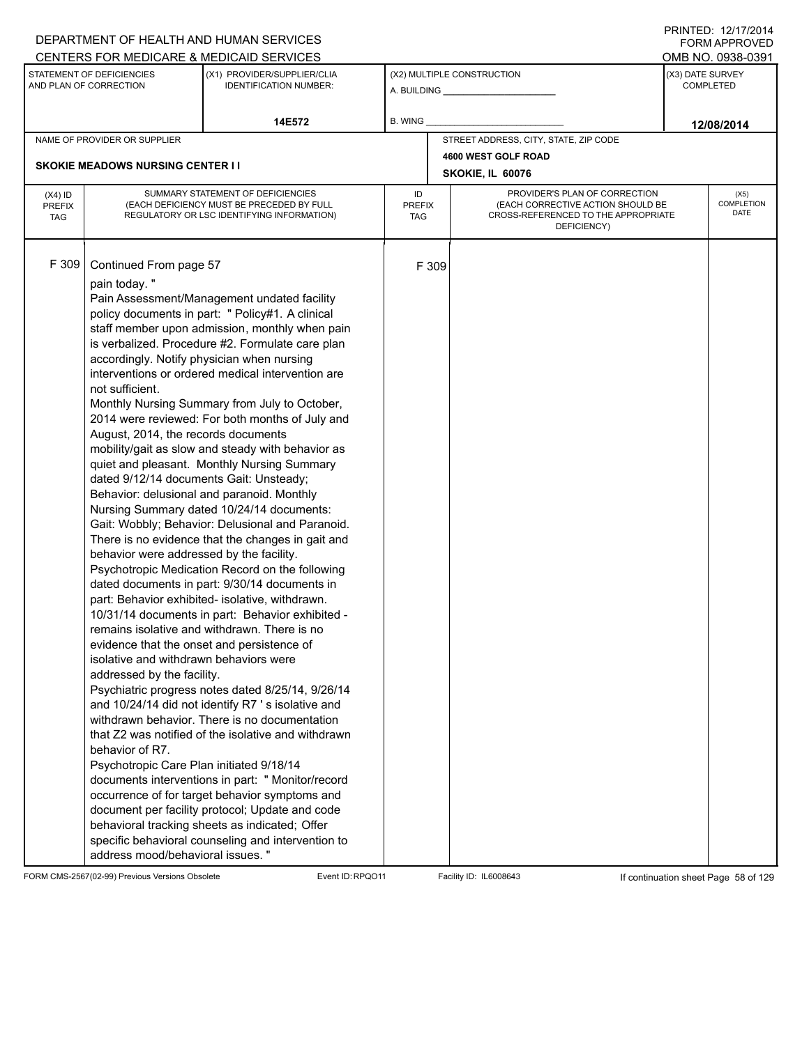|                                          |                                                                                                                                                                                                                                                                                                                                                                                                                                                                 | DEPARTMENT OF HEALTH AND HUMAN SERVICES<br>CENTERS FOR MEDICARE & MEDICAID SERVICES                                                                                                                                                                                                                                                                                                                                                                                                                                                                                                                                                                                                                                                                                                                                                                                                                                                                                                                                                                                                                                                                                                                                                                                                                                                                                                                                  |                                   |       |                                                                                                                          |                  | FNINILD. IZIIIIZVI <del>4</del><br><b>FORM APPROVED</b><br>OMB NO. 0938-0391 |
|------------------------------------------|-----------------------------------------------------------------------------------------------------------------------------------------------------------------------------------------------------------------------------------------------------------------------------------------------------------------------------------------------------------------------------------------------------------------------------------------------------------------|----------------------------------------------------------------------------------------------------------------------------------------------------------------------------------------------------------------------------------------------------------------------------------------------------------------------------------------------------------------------------------------------------------------------------------------------------------------------------------------------------------------------------------------------------------------------------------------------------------------------------------------------------------------------------------------------------------------------------------------------------------------------------------------------------------------------------------------------------------------------------------------------------------------------------------------------------------------------------------------------------------------------------------------------------------------------------------------------------------------------------------------------------------------------------------------------------------------------------------------------------------------------------------------------------------------------------------------------------------------------------------------------------------------------|-----------------------------------|-------|--------------------------------------------------------------------------------------------------------------------------|------------------|------------------------------------------------------------------------------|
|                                          | STATEMENT OF DEFICIENCIES<br>AND PLAN OF CORRECTION                                                                                                                                                                                                                                                                                                                                                                                                             | (X1) PROVIDER/SUPPLIER/CLIA<br><b>IDENTIFICATION NUMBER:</b>                                                                                                                                                                                                                                                                                                                                                                                                                                                                                                                                                                                                                                                                                                                                                                                                                                                                                                                                                                                                                                                                                                                                                                                                                                                                                                                                                         |                                   |       | (X2) MULTIPLE CONSTRUCTION                                                                                               | (X3) DATE SURVEY | <b>COMPLETED</b>                                                             |
|                                          |                                                                                                                                                                                                                                                                                                                                                                                                                                                                 | 14E572                                                                                                                                                                                                                                                                                                                                                                                                                                                                                                                                                                                                                                                                                                                                                                                                                                                                                                                                                                                                                                                                                                                                                                                                                                                                                                                                                                                                               | B. WING                           |       |                                                                                                                          |                  | 12/08/2014                                                                   |
|                                          | NAME OF PROVIDER OR SUPPLIER                                                                                                                                                                                                                                                                                                                                                                                                                                    |                                                                                                                                                                                                                                                                                                                                                                                                                                                                                                                                                                                                                                                                                                                                                                                                                                                                                                                                                                                                                                                                                                                                                                                                                                                                                                                                                                                                                      |                                   |       | STREET ADDRESS, CITY, STATE, ZIP CODE                                                                                    |                  |                                                                              |
|                                          | <b>SKOKIE MEADOWS NURSING CENTER I I</b>                                                                                                                                                                                                                                                                                                                                                                                                                        |                                                                                                                                                                                                                                                                                                                                                                                                                                                                                                                                                                                                                                                                                                                                                                                                                                                                                                                                                                                                                                                                                                                                                                                                                                                                                                                                                                                                                      |                                   |       | 4600 WEST GOLF ROAD<br>SKOKIE, IL 60076                                                                                  |                  |                                                                              |
| $(X4)$ ID<br><b>PREFIX</b><br><b>TAG</b> |                                                                                                                                                                                                                                                                                                                                                                                                                                                                 | SUMMARY STATEMENT OF DEFICIENCIES<br>(EACH DEFICIENCY MUST BE PRECEDED BY FULL<br>REGULATORY OR LSC IDENTIFYING INFORMATION)                                                                                                                                                                                                                                                                                                                                                                                                                                                                                                                                                                                                                                                                                                                                                                                                                                                                                                                                                                                                                                                                                                                                                                                                                                                                                         | ID<br><b>PREFIX</b><br><b>TAG</b> |       | PROVIDER'S PLAN OF CORRECTION<br>(EACH CORRECTIVE ACTION SHOULD BE<br>CROSS-REFERENCED TO THE APPROPRIATE<br>DEFICIENCY) |                  | (X5)<br>COMPLETION<br><b>DATE</b>                                            |
| F 309                                    | Continued From page 57<br>pain today."<br>accordingly. Notify physician when nursing<br>not sufficient.<br>August, 2014, the records documents<br>dated 9/12/14 documents Gait: Unsteady;<br>behavior were addressed by the facility.<br>evidence that the onset and persistence of<br>isolative and withdrawn behaviors were<br>addressed by the facility.<br>behavior of R7.<br>Psychotropic Care Plan initiated 9/18/14<br>address mood/behavioral issues. " | Pain Assessment/Management undated facility<br>policy documents in part: " Policy#1. A clinical<br>staff member upon admission, monthly when pain<br>is verbalized. Procedure #2. Formulate care plan<br>interventions or ordered medical intervention are<br>Monthly Nursing Summary from July to October,<br>2014 were reviewed: For both months of July and<br>mobility/gait as slow and steady with behavior as<br>quiet and pleasant. Monthly Nursing Summary<br>Behavior: delusional and paranoid. Monthly<br>Nursing Summary dated 10/24/14 documents:<br>Gait: Wobbly; Behavior: Delusional and Paranoid.<br>There is no evidence that the changes in gait and<br>Psychotropic Medication Record on the following<br>dated documents in part: 9/30/14 documents in<br>part: Behavior exhibited- isolative, withdrawn.<br>10/31/14 documents in part: Behavior exhibited -<br>remains isolative and withdrawn. There is no<br>Psychiatric progress notes dated 8/25/14, 9/26/14<br>and 10/24/14 did not identify R7's isolative and<br>withdrawn behavior. There is no documentation<br>that Z2 was notified of the isolative and withdrawn<br>documents interventions in part: " Monitor/record<br>occurrence of for target behavior symptoms and<br>document per facility protocol; Update and code<br>behavioral tracking sheets as indicated; Offer<br>specific behavioral counseling and intervention to |                                   | F 309 |                                                                                                                          |                  |                                                                              |

FORM CMS-2567(02-99) Previous Versions Obsolete Event ID:RPQO11 Facility ID: IL6008643 If continuation sheet Page 58 of 129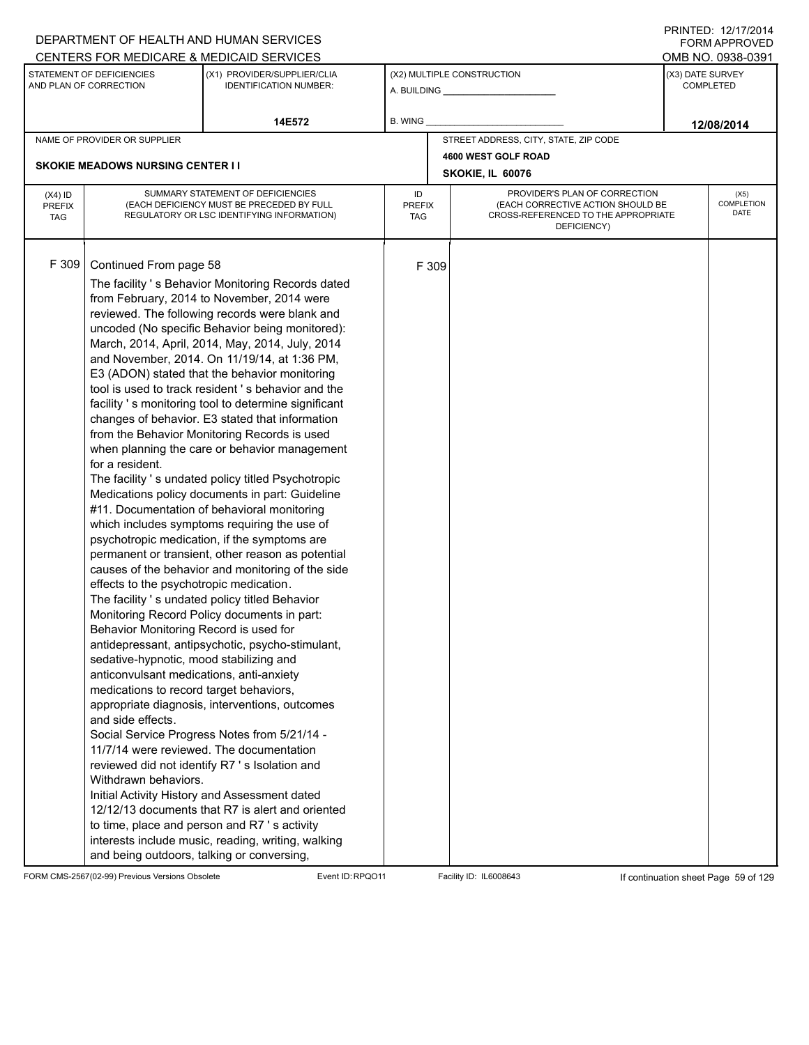|                                          |                                                                                                                                                                                                                                                                                                                                                             | DEPARTMENT OF HEALTH AND HUMAN SERVICES<br>CENTERS FOR MEDICARE & MEDICAID SERVICES                                                                                                                                                                                                                                                                                                                                                                                                                                                                                                                                                                                                                                                                                                                                                                                                                                                                                                                                                                                                                                                                                                                                                                                                                                                                                                                                                                                                                                                                         |                                   |       |                                                                                                                          | FNINILD. IZIIIIZVI <del>4</del><br><b>FORM APPROVED</b><br>OMB NO. 0938-0391 |
|------------------------------------------|-------------------------------------------------------------------------------------------------------------------------------------------------------------------------------------------------------------------------------------------------------------------------------------------------------------------------------------------------------------|-------------------------------------------------------------------------------------------------------------------------------------------------------------------------------------------------------------------------------------------------------------------------------------------------------------------------------------------------------------------------------------------------------------------------------------------------------------------------------------------------------------------------------------------------------------------------------------------------------------------------------------------------------------------------------------------------------------------------------------------------------------------------------------------------------------------------------------------------------------------------------------------------------------------------------------------------------------------------------------------------------------------------------------------------------------------------------------------------------------------------------------------------------------------------------------------------------------------------------------------------------------------------------------------------------------------------------------------------------------------------------------------------------------------------------------------------------------------------------------------------------------------------------------------------------------|-----------------------------------|-------|--------------------------------------------------------------------------------------------------------------------------|------------------------------------------------------------------------------|
|                                          | STATEMENT OF DEFICIENCIES<br>AND PLAN OF CORRECTION                                                                                                                                                                                                                                                                                                         | (X1) PROVIDER/SUPPLIER/CLIA<br><b>IDENTIFICATION NUMBER:</b>                                                                                                                                                                                                                                                                                                                                                                                                                                                                                                                                                                                                                                                                                                                                                                                                                                                                                                                                                                                                                                                                                                                                                                                                                                                                                                                                                                                                                                                                                                |                                   |       | (X2) MULTIPLE CONSTRUCTION<br>A. BUILDING <b>A.</b> BUILDING                                                             | (X3) DATE SURVEY<br><b>COMPLETED</b>                                         |
|                                          |                                                                                                                                                                                                                                                                                                                                                             | 14E572                                                                                                                                                                                                                                                                                                                                                                                                                                                                                                                                                                                                                                                                                                                                                                                                                                                                                                                                                                                                                                                                                                                                                                                                                                                                                                                                                                                                                                                                                                                                                      | <b>B. WING</b>                    |       |                                                                                                                          | 12/08/2014                                                                   |
|                                          | NAME OF PROVIDER OR SUPPLIER                                                                                                                                                                                                                                                                                                                                |                                                                                                                                                                                                                                                                                                                                                                                                                                                                                                                                                                                                                                                                                                                                                                                                                                                                                                                                                                                                                                                                                                                                                                                                                                                                                                                                                                                                                                                                                                                                                             |                                   |       | STREET ADDRESS, CITY, STATE, ZIP CODE                                                                                    |                                                                              |
|                                          |                                                                                                                                                                                                                                                                                                                                                             |                                                                                                                                                                                                                                                                                                                                                                                                                                                                                                                                                                                                                                                                                                                                                                                                                                                                                                                                                                                                                                                                                                                                                                                                                                                                                                                                                                                                                                                                                                                                                             |                                   |       | 4600 WEST GOLF ROAD                                                                                                      |                                                                              |
|                                          | <b>SKOKIE MEADOWS NURSING CENTER II</b>                                                                                                                                                                                                                                                                                                                     |                                                                                                                                                                                                                                                                                                                                                                                                                                                                                                                                                                                                                                                                                                                                                                                                                                                                                                                                                                                                                                                                                                                                                                                                                                                                                                                                                                                                                                                                                                                                                             |                                   |       | SKOKIE, IL 60076                                                                                                         |                                                                              |
| $(X4)$ ID<br><b>PREFIX</b><br><b>TAG</b> |                                                                                                                                                                                                                                                                                                                                                             | SUMMARY STATEMENT OF DEFICIENCIES<br>(EACH DEFICIENCY MUST BE PRECEDED BY FULL<br>REGULATORY OR LSC IDENTIFYING INFORMATION)                                                                                                                                                                                                                                                                                                                                                                                                                                                                                                                                                                                                                                                                                                                                                                                                                                                                                                                                                                                                                                                                                                                                                                                                                                                                                                                                                                                                                                | ID<br><b>PREFIX</b><br><b>TAG</b> |       | PROVIDER'S PLAN OF CORRECTION<br>(EACH CORRECTIVE ACTION SHOULD BE<br>CROSS-REFERENCED TO THE APPROPRIATE<br>DEFICIENCY) | (X5)<br><b>COMPLETION</b><br>DATE                                            |
| F 309                                    | Continued From page 58<br>for a resident.<br>effects to the psychotropic medication.<br>Behavior Monitoring Record is used for<br>sedative-hypnotic, mood stabilizing and<br>anticonvulsant medications, anti-anxiety<br>medications to record target behaviors,<br>and side effects.<br>Withdrawn behaviors.<br>and being outdoors, talking or conversing, | The facility 's Behavior Monitoring Records dated<br>from February, 2014 to November, 2014 were<br>reviewed. The following records were blank and<br>uncoded (No specific Behavior being monitored):<br>March, 2014, April, 2014, May, 2014, July, 2014<br>and November, 2014. On 11/19/14, at 1:36 PM,<br>E3 (ADON) stated that the behavior monitoring<br>tool is used to track resident 's behavior and the<br>facility 's monitoring tool to determine significant<br>changes of behavior. E3 stated that information<br>from the Behavior Monitoring Records is used<br>when planning the care or behavior management<br>The facility 's undated policy titled Psychotropic<br>Medications policy documents in part: Guideline<br>#11. Documentation of behavioral monitoring<br>which includes symptoms requiring the use of<br>psychotropic medication, if the symptoms are<br>permanent or transient, other reason as potential<br>causes of the behavior and monitoring of the side<br>The facility 's undated policy titled Behavior<br>Monitoring Record Policy documents in part:<br>antidepressant, antipsychotic, psycho-stimulant,<br>appropriate diagnosis, interventions, outcomes<br>Social Service Progress Notes from 5/21/14 -<br>11/7/14 were reviewed. The documentation<br>reviewed did not identify R7 's Isolation and<br>Initial Activity History and Assessment dated<br>12/12/13 documents that R7 is alert and oriented<br>to time, place and person and R7 's activity<br>interests include music, reading, writing, walking |                                   | F 309 |                                                                                                                          |                                                                              |

FORM CMS-2567(02-99) Previous Versions Obsolete Event ID:RPQO11 Facility ID: IL6008643 If continuation sheet Page 59 of 129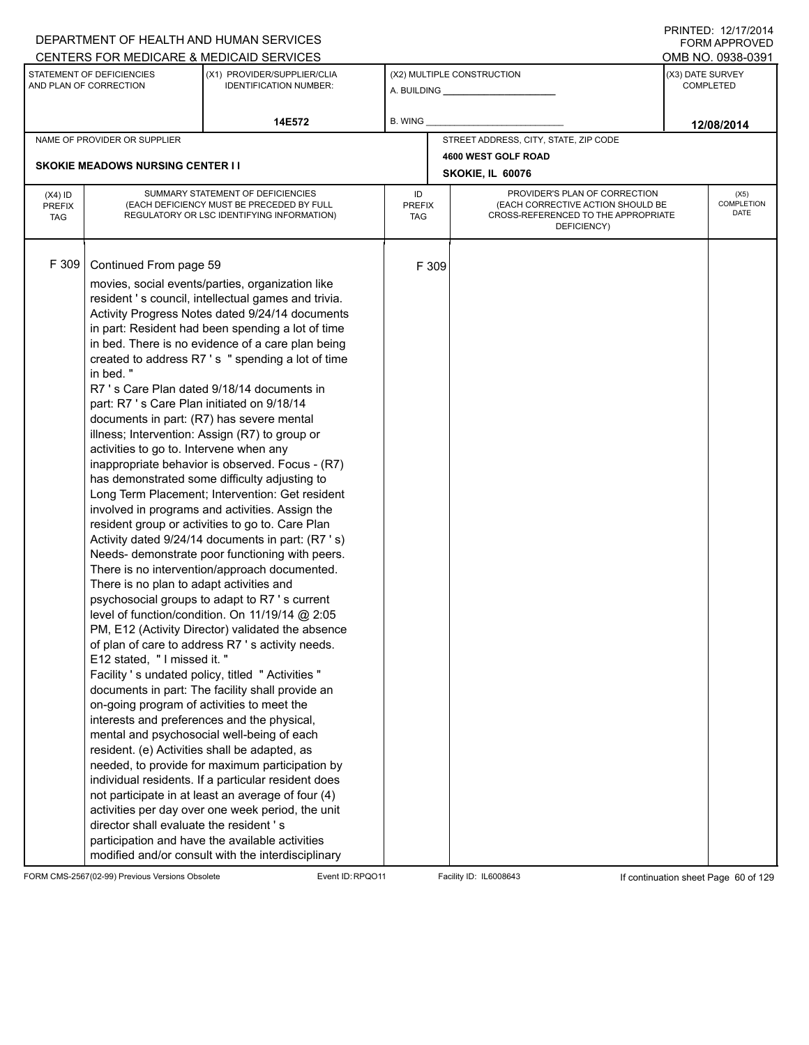|                                          |                                                                                                                                                                                                                                                                                                                                                                                             | DEPARTMENT OF HEALTH AND HUMAN SERVICES                                                                                                                                                                                                                                                                                                                                                                                                                                                                                                                                                                                                                                                                                                                                                                                                                                                                                                                                                                                                                                                                                                                                                                                                                                                                                                                                                                                                                                                                                                                                                          |                            |       |                                                                                                                          | $1 \times 1 \times 1 = 1$ . $1 \times 1 \times 1 = 1$<br><b>FORM APPROVED</b> |
|------------------------------------------|---------------------------------------------------------------------------------------------------------------------------------------------------------------------------------------------------------------------------------------------------------------------------------------------------------------------------------------------------------------------------------------------|--------------------------------------------------------------------------------------------------------------------------------------------------------------------------------------------------------------------------------------------------------------------------------------------------------------------------------------------------------------------------------------------------------------------------------------------------------------------------------------------------------------------------------------------------------------------------------------------------------------------------------------------------------------------------------------------------------------------------------------------------------------------------------------------------------------------------------------------------------------------------------------------------------------------------------------------------------------------------------------------------------------------------------------------------------------------------------------------------------------------------------------------------------------------------------------------------------------------------------------------------------------------------------------------------------------------------------------------------------------------------------------------------------------------------------------------------------------------------------------------------------------------------------------------------------------------------------------------------|----------------------------|-------|--------------------------------------------------------------------------------------------------------------------------|-------------------------------------------------------------------------------|
|                                          |                                                                                                                                                                                                                                                                                                                                                                                             | CENTERS FOR MEDICARE & MEDICAID SERVICES                                                                                                                                                                                                                                                                                                                                                                                                                                                                                                                                                                                                                                                                                                                                                                                                                                                                                                                                                                                                                                                                                                                                                                                                                                                                                                                                                                                                                                                                                                                                                         |                            |       |                                                                                                                          | OMB NO. 0938-0391                                                             |
|                                          | STATEMENT OF DEFICIENCIES<br>AND PLAN OF CORRECTION                                                                                                                                                                                                                                                                                                                                         | (X1) PROVIDER/SUPPLIER/CLIA<br><b>IDENTIFICATION NUMBER:</b>                                                                                                                                                                                                                                                                                                                                                                                                                                                                                                                                                                                                                                                                                                                                                                                                                                                                                                                                                                                                                                                                                                                                                                                                                                                                                                                                                                                                                                                                                                                                     |                            |       | (X2) MULTIPLE CONSTRUCTION                                                                                               | (X3) DATE SURVEY<br><b>COMPLETED</b>                                          |
|                                          |                                                                                                                                                                                                                                                                                                                                                                                             | 14E572                                                                                                                                                                                                                                                                                                                                                                                                                                                                                                                                                                                                                                                                                                                                                                                                                                                                                                                                                                                                                                                                                                                                                                                                                                                                                                                                                                                                                                                                                                                                                                                           | B. WING                    |       |                                                                                                                          | 12/08/2014                                                                    |
|                                          | NAME OF PROVIDER OR SUPPLIER                                                                                                                                                                                                                                                                                                                                                                |                                                                                                                                                                                                                                                                                                                                                                                                                                                                                                                                                                                                                                                                                                                                                                                                                                                                                                                                                                                                                                                                                                                                                                                                                                                                                                                                                                                                                                                                                                                                                                                                  |                            |       | STREET ADDRESS, CITY, STATE, ZIP CODE                                                                                    |                                                                               |
|                                          |                                                                                                                                                                                                                                                                                                                                                                                             |                                                                                                                                                                                                                                                                                                                                                                                                                                                                                                                                                                                                                                                                                                                                                                                                                                                                                                                                                                                                                                                                                                                                                                                                                                                                                                                                                                                                                                                                                                                                                                                                  |                            |       | 4600 WEST GOLF ROAD                                                                                                      |                                                                               |
|                                          | <b>SKOKIE MEADOWS NURSING CENTER II</b>                                                                                                                                                                                                                                                                                                                                                     |                                                                                                                                                                                                                                                                                                                                                                                                                                                                                                                                                                                                                                                                                                                                                                                                                                                                                                                                                                                                                                                                                                                                                                                                                                                                                                                                                                                                                                                                                                                                                                                                  |                            |       | SKOKIE, IL 60076                                                                                                         |                                                                               |
| $(X4)$ ID<br><b>PREFIX</b><br><b>TAG</b> |                                                                                                                                                                                                                                                                                                                                                                                             | SUMMARY STATEMENT OF DEFICIENCIES<br>(EACH DEFICIENCY MUST BE PRECEDED BY FULL<br>REGULATORY OR LSC IDENTIFYING INFORMATION)                                                                                                                                                                                                                                                                                                                                                                                                                                                                                                                                                                                                                                                                                                                                                                                                                                                                                                                                                                                                                                                                                                                                                                                                                                                                                                                                                                                                                                                                     | ID<br><b>PREFIX</b><br>TAG |       | PROVIDER'S PLAN OF CORRECTION<br>(EACH CORRECTIVE ACTION SHOULD BE<br>CROSS-REFERENCED TO THE APPROPRIATE<br>DEFICIENCY) | (X5)<br><b>COMPLETION</b><br><b>DATE</b>                                      |
| F 309                                    | Continued From page 59<br>in bed."<br>part: R7 's Care Plan initiated on 9/18/14<br>documents in part: (R7) has severe mental<br>activities to go to. Intervene when any<br>There is no plan to adapt activities and<br>E12 stated, "I missed it."<br>on-going program of activities to meet the<br>resident. (e) Activities shall be adapted, as<br>director shall evaluate the resident's | movies, social events/parties, organization like<br>resident 's council, intellectual games and trivia.<br>Activity Progress Notes dated 9/24/14 documents<br>in part: Resident had been spending a lot of time<br>in bed. There is no evidence of a care plan being<br>created to address R7's "spending a lot of time<br>R7 's Care Plan dated 9/18/14 documents in<br>illness; Intervention: Assign (R7) to group or<br>inappropriate behavior is observed. Focus - (R7)<br>has demonstrated some difficulty adjusting to<br>Long Term Placement; Intervention: Get resident<br>involved in programs and activities. Assign the<br>resident group or activities to go to. Care Plan<br>Activity dated 9/24/14 documents in part: (R7 's)<br>Needs- demonstrate poor functioning with peers.<br>There is no intervention/approach documented.<br>psychosocial groups to adapt to R7 's current<br>level of function/condition. On 11/19/14 @ 2:05<br>PM, E12 (Activity Director) validated the absence<br>of plan of care to address R7 's activity needs.<br>Facility 's undated policy, titled " Activities "<br>documents in part: The facility shall provide an<br>interests and preferences and the physical,<br>mental and psychosocial well-being of each<br>needed, to provide for maximum participation by<br>individual residents. If a particular resident does<br>not participate in at least an average of four (4)<br>activities per day over one week period, the unit<br>participation and have the available activities<br>modified and/or consult with the interdisciplinary |                            | F 309 |                                                                                                                          |                                                                               |

FORM CMS-2567(02-99) Previous Versions Obsolete Event ID:RPQO11 Facility ID: IL6008643 If continuation sheet Page 60 of 129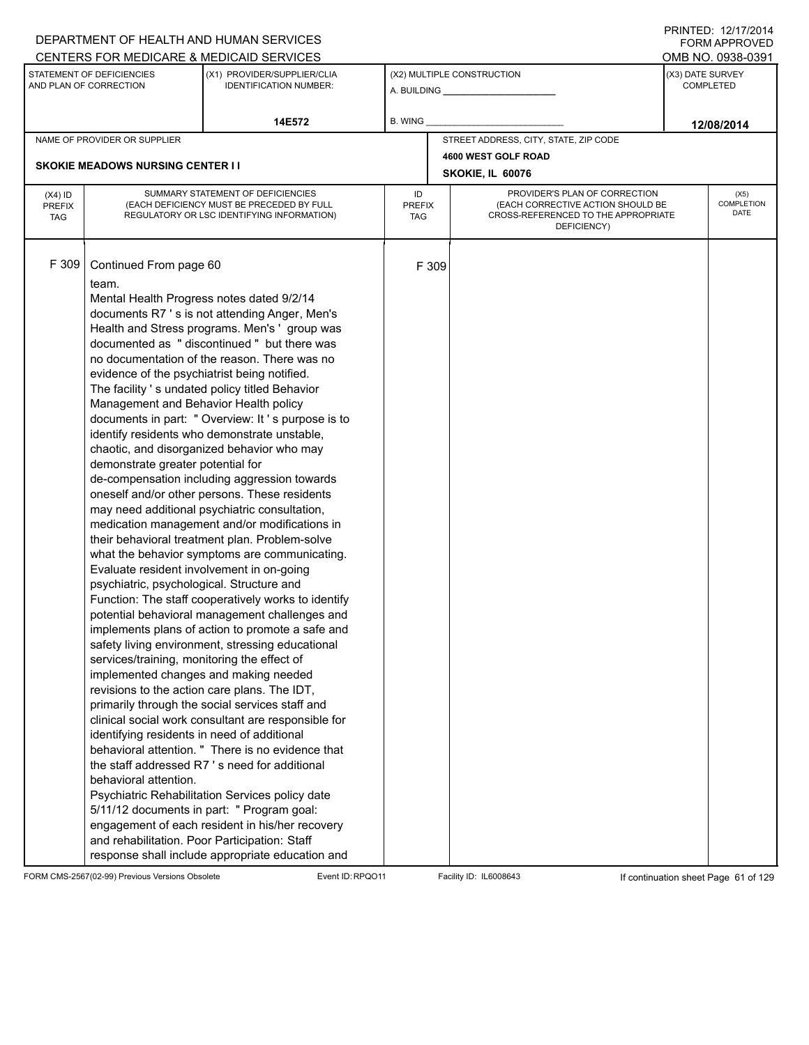|                                          |                                                                                                                                                                                                                                                                                                                                                                                                                                                                                                                                                                       | DEPARTMENT OF HEALTH AND HUMAN SERVICES                                                                                                                                                                                                                                                                                                                                                                                                                                                                                                                                                                                                                                                                                                                                                                                                                                                                                                                                                                                                                                                                                                                                                                                                                                                                                                        |                            |       |                                                                                                                          | FORM APPROVED                        |
|------------------------------------------|-----------------------------------------------------------------------------------------------------------------------------------------------------------------------------------------------------------------------------------------------------------------------------------------------------------------------------------------------------------------------------------------------------------------------------------------------------------------------------------------------------------------------------------------------------------------------|------------------------------------------------------------------------------------------------------------------------------------------------------------------------------------------------------------------------------------------------------------------------------------------------------------------------------------------------------------------------------------------------------------------------------------------------------------------------------------------------------------------------------------------------------------------------------------------------------------------------------------------------------------------------------------------------------------------------------------------------------------------------------------------------------------------------------------------------------------------------------------------------------------------------------------------------------------------------------------------------------------------------------------------------------------------------------------------------------------------------------------------------------------------------------------------------------------------------------------------------------------------------------------------------------------------------------------------------|----------------------------|-------|--------------------------------------------------------------------------------------------------------------------------|--------------------------------------|
|                                          |                                                                                                                                                                                                                                                                                                                                                                                                                                                                                                                                                                       | CENTERS FOR MEDICARE & MEDICAID SERVICES                                                                                                                                                                                                                                                                                                                                                                                                                                                                                                                                                                                                                                                                                                                                                                                                                                                                                                                                                                                                                                                                                                                                                                                                                                                                                                       |                            |       |                                                                                                                          | OMB NO. 0938-0391                    |
|                                          | STATEMENT OF DEFICIENCIES<br>AND PLAN OF CORRECTION                                                                                                                                                                                                                                                                                                                                                                                                                                                                                                                   | (X1) PROVIDER/SUPPLIER/CLIA<br><b>IDENTIFICATION NUMBER:</b>                                                                                                                                                                                                                                                                                                                                                                                                                                                                                                                                                                                                                                                                                                                                                                                                                                                                                                                                                                                                                                                                                                                                                                                                                                                                                   |                            |       | (X2) MULTIPLE CONSTRUCTION                                                                                               | (X3) DATE SURVEY<br><b>COMPLETED</b> |
|                                          |                                                                                                                                                                                                                                                                                                                                                                                                                                                                                                                                                                       | 14E572                                                                                                                                                                                                                                                                                                                                                                                                                                                                                                                                                                                                                                                                                                                                                                                                                                                                                                                                                                                                                                                                                                                                                                                                                                                                                                                                         | B. WING                    |       |                                                                                                                          | 12/08/2014                           |
|                                          | NAME OF PROVIDER OR SUPPLIER                                                                                                                                                                                                                                                                                                                                                                                                                                                                                                                                          |                                                                                                                                                                                                                                                                                                                                                                                                                                                                                                                                                                                                                                                                                                                                                                                                                                                                                                                                                                                                                                                                                                                                                                                                                                                                                                                                                |                            |       | STREET ADDRESS, CITY, STATE, ZIP CODE                                                                                    |                                      |
|                                          |                                                                                                                                                                                                                                                                                                                                                                                                                                                                                                                                                                       |                                                                                                                                                                                                                                                                                                                                                                                                                                                                                                                                                                                                                                                                                                                                                                                                                                                                                                                                                                                                                                                                                                                                                                                                                                                                                                                                                |                            |       | 4600 WEST GOLF ROAD                                                                                                      |                                      |
|                                          | <b>SKOKIE MEADOWS NURSING CENTER I I</b>                                                                                                                                                                                                                                                                                                                                                                                                                                                                                                                              |                                                                                                                                                                                                                                                                                                                                                                                                                                                                                                                                                                                                                                                                                                                                                                                                                                                                                                                                                                                                                                                                                                                                                                                                                                                                                                                                                |                            |       | SKOKIE, IL 60076                                                                                                         |                                      |
| $(X4)$ ID<br><b>PREFIX</b><br><b>TAG</b> |                                                                                                                                                                                                                                                                                                                                                                                                                                                                                                                                                                       | SUMMARY STATEMENT OF DEFICIENCIES<br>(EACH DEFICIENCY MUST BE PRECEDED BY FULL<br>REGULATORY OR LSC IDENTIFYING INFORMATION)                                                                                                                                                                                                                                                                                                                                                                                                                                                                                                                                                                                                                                                                                                                                                                                                                                                                                                                                                                                                                                                                                                                                                                                                                   | ID<br><b>PREFIX</b><br>TAG |       | PROVIDER'S PLAN OF CORRECTION<br>(EACH CORRECTIVE ACTION SHOULD BE<br>CROSS-REFERENCED TO THE APPROPRIATE<br>DEFICIENCY) | (X5)<br>COMPLETION<br>DATE           |
| F 309                                    | Continued From page 60<br>team.<br>Mental Health Progress notes dated 9/2/14<br>evidence of the psychiatrist being notified.<br>Management and Behavior Health policy<br>demonstrate greater potential for<br>Evaluate resident involvement in on-going<br>psychiatric, psychological. Structure and<br>services/training, monitoring the effect of<br>implemented changes and making needed<br>revisions to the action care plans. The IDT,<br>identifying residents in need of additional<br>behavioral attention.<br>and rehabilitation. Poor Participation: Staff | documents R7 's is not attending Anger, Men's<br>Health and Stress programs. Men's 'group was<br>documented as "discontinued" but there was<br>no documentation of the reason. There was no<br>The facility 's undated policy titled Behavior<br>documents in part: " Overview: It's purpose is to<br>identify residents who demonstrate unstable,<br>chaotic, and disorganized behavior who may<br>de-compensation including aggression towards<br>oneself and/or other persons. These residents<br>may need additional psychiatric consultation,<br>medication management and/or modifications in<br>their behavioral treatment plan. Problem-solve<br>what the behavior symptoms are communicating.<br>Function: The staff cooperatively works to identify<br>potential behavioral management challenges and<br>implements plans of action to promote a safe and<br>safety living environment, stressing educational<br>primarily through the social services staff and<br>clinical social work consultant are responsible for<br>behavioral attention. " There is no evidence that<br>the staff addressed R7's need for additional<br>Psychiatric Rehabilitation Services policy date<br>5/11/12 documents in part: " Program goal:<br>engagement of each resident in his/her recovery<br>response shall include appropriate education and |                            | F 309 |                                                                                                                          |                                      |

FORM CMS-2567(02-99) Previous Versions Obsolete Event ID:RPQO11 Facility ID: IL6008643 If continuation sheet Page 61 of 129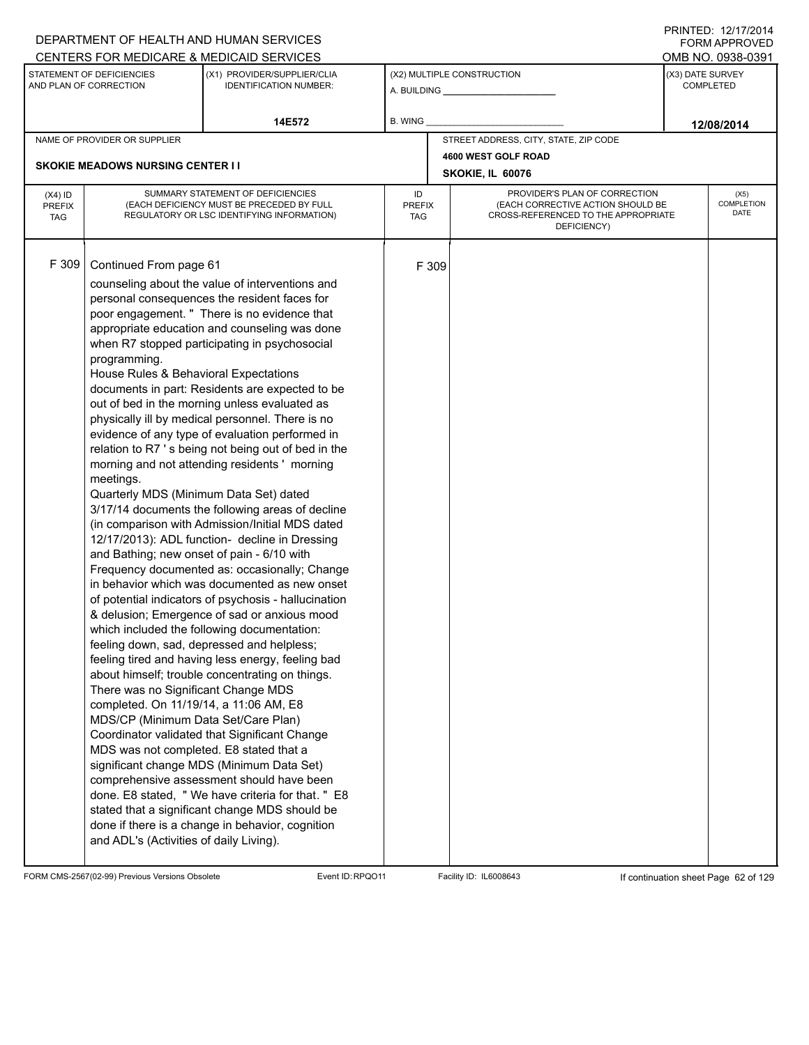|                                          |                                                                                                                                                                                                                                                                                                                                                                                                    | DEPARTMENT OF HEALTH AND HUMAN SERVICES                                                                                                                                                                                                                                                                                                                                                                                                                                                                                                                                                                                                                                                                                                                                                                                                                                                                                                                                                                                                                                                                                                                                                                                                                                                                                                                                                                                                            |                            |       |                                                                                                                          |                  | <b>FORM APPROVED</b>       |
|------------------------------------------|----------------------------------------------------------------------------------------------------------------------------------------------------------------------------------------------------------------------------------------------------------------------------------------------------------------------------------------------------------------------------------------------------|----------------------------------------------------------------------------------------------------------------------------------------------------------------------------------------------------------------------------------------------------------------------------------------------------------------------------------------------------------------------------------------------------------------------------------------------------------------------------------------------------------------------------------------------------------------------------------------------------------------------------------------------------------------------------------------------------------------------------------------------------------------------------------------------------------------------------------------------------------------------------------------------------------------------------------------------------------------------------------------------------------------------------------------------------------------------------------------------------------------------------------------------------------------------------------------------------------------------------------------------------------------------------------------------------------------------------------------------------------------------------------------------------------------------------------------------------|----------------------------|-------|--------------------------------------------------------------------------------------------------------------------------|------------------|----------------------------|
|                                          |                                                                                                                                                                                                                                                                                                                                                                                                    | CENTERS FOR MEDICARE & MEDICAID SERVICES                                                                                                                                                                                                                                                                                                                                                                                                                                                                                                                                                                                                                                                                                                                                                                                                                                                                                                                                                                                                                                                                                                                                                                                                                                                                                                                                                                                                           |                            |       |                                                                                                                          |                  | OMB NO. 0938-0391          |
|                                          | STATEMENT OF DEFICIENCIES<br>AND PLAN OF CORRECTION                                                                                                                                                                                                                                                                                                                                                | (X1) PROVIDER/SUPPLIER/CLIA<br><b>IDENTIFICATION NUMBER:</b>                                                                                                                                                                                                                                                                                                                                                                                                                                                                                                                                                                                                                                                                                                                                                                                                                                                                                                                                                                                                                                                                                                                                                                                                                                                                                                                                                                                       |                            |       | (X2) MULTIPLE CONSTRUCTION                                                                                               | (X3) DATE SURVEY | <b>COMPLETED</b>           |
|                                          |                                                                                                                                                                                                                                                                                                                                                                                                    | 14E572                                                                                                                                                                                                                                                                                                                                                                                                                                                                                                                                                                                                                                                                                                                                                                                                                                                                                                                                                                                                                                                                                                                                                                                                                                                                                                                                                                                                                                             | B. WING                    |       |                                                                                                                          |                  | 12/08/2014                 |
|                                          | NAME OF PROVIDER OR SUPPLIER                                                                                                                                                                                                                                                                                                                                                                       |                                                                                                                                                                                                                                                                                                                                                                                                                                                                                                                                                                                                                                                                                                                                                                                                                                                                                                                                                                                                                                                                                                                                                                                                                                                                                                                                                                                                                                                    |                            |       | STREET ADDRESS, CITY, STATE, ZIP CODE                                                                                    |                  |                            |
|                                          |                                                                                                                                                                                                                                                                                                                                                                                                    |                                                                                                                                                                                                                                                                                                                                                                                                                                                                                                                                                                                                                                                                                                                                                                                                                                                                                                                                                                                                                                                                                                                                                                                                                                                                                                                                                                                                                                                    |                            |       | 4600 WEST GOLF ROAD                                                                                                      |                  |                            |
|                                          | <b>SKOKIE MEADOWS NURSING CENTER I I</b>                                                                                                                                                                                                                                                                                                                                                           |                                                                                                                                                                                                                                                                                                                                                                                                                                                                                                                                                                                                                                                                                                                                                                                                                                                                                                                                                                                                                                                                                                                                                                                                                                                                                                                                                                                                                                                    |                            |       | SKOKIE, IL 60076                                                                                                         |                  |                            |
| $(X4)$ ID<br><b>PREFIX</b><br><b>TAG</b> |                                                                                                                                                                                                                                                                                                                                                                                                    | SUMMARY STATEMENT OF DEFICIENCIES<br>(EACH DEFICIENCY MUST BE PRECEDED BY FULL<br>REGULATORY OR LSC IDENTIFYING INFORMATION)                                                                                                                                                                                                                                                                                                                                                                                                                                                                                                                                                                                                                                                                                                                                                                                                                                                                                                                                                                                                                                                                                                                                                                                                                                                                                                                       | ID<br><b>PREFIX</b><br>TAG |       | PROVIDER'S PLAN OF CORRECTION<br>(EACH CORRECTIVE ACTION SHOULD BE<br>CROSS-REFERENCED TO THE APPROPRIATE<br>DEFICIENCY) |                  | (X5)<br>COMPLETION<br>DATE |
| F 309                                    | Continued From page 61<br>programming.<br>House Rules & Behavioral Expectations<br>meetings.<br>Quarterly MDS (Minimum Data Set) dated<br>and Bathing; new onset of pain - 6/10 with<br>There was no Significant Change MDS<br>completed. On 11/19/14, a 11:06 AM, E8<br>MDS/CP (Minimum Data Set/Care Plan)<br>MDS was not completed. E8 stated that a<br>and ADL's (Activities of daily Living). | counseling about the value of interventions and<br>personal consequences the resident faces for<br>poor engagement. " There is no evidence that<br>appropriate education and counseling was done<br>when R7 stopped participating in psychosocial<br>documents in part: Residents are expected to be<br>out of bed in the morning unless evaluated as<br>physically ill by medical personnel. There is no<br>evidence of any type of evaluation performed in<br>relation to R7 's being not being out of bed in the<br>morning and not attending residents ' morning<br>3/17/14 documents the following areas of decline<br>(in comparison with Admission/Initial MDS dated<br>12/17/2013): ADL function- decline in Dressing<br>Frequency documented as: occasionally; Change<br>in behavior which was documented as new onset<br>of potential indicators of psychosis - hallucination<br>& delusion; Emergence of sad or anxious mood<br>which included the following documentation:<br>feeling down, sad, depressed and helpless;<br>feeling tired and having less energy, feeling bad<br>about himself; trouble concentrating on things.<br>Coordinator validated that Significant Change<br>significant change MDS (Minimum Data Set)<br>comprehensive assessment should have been<br>done. E8 stated, "We have criteria for that. " E8<br>stated that a significant change MDS should be<br>done if there is a change in behavior, cognition |                            | F 309 |                                                                                                                          |                  |                            |

FORM CMS-2567(02-99) Previous Versions Obsolete Event ID:RPQO11 Facility ID: IL6008643 If continuation sheet Page 62 of 129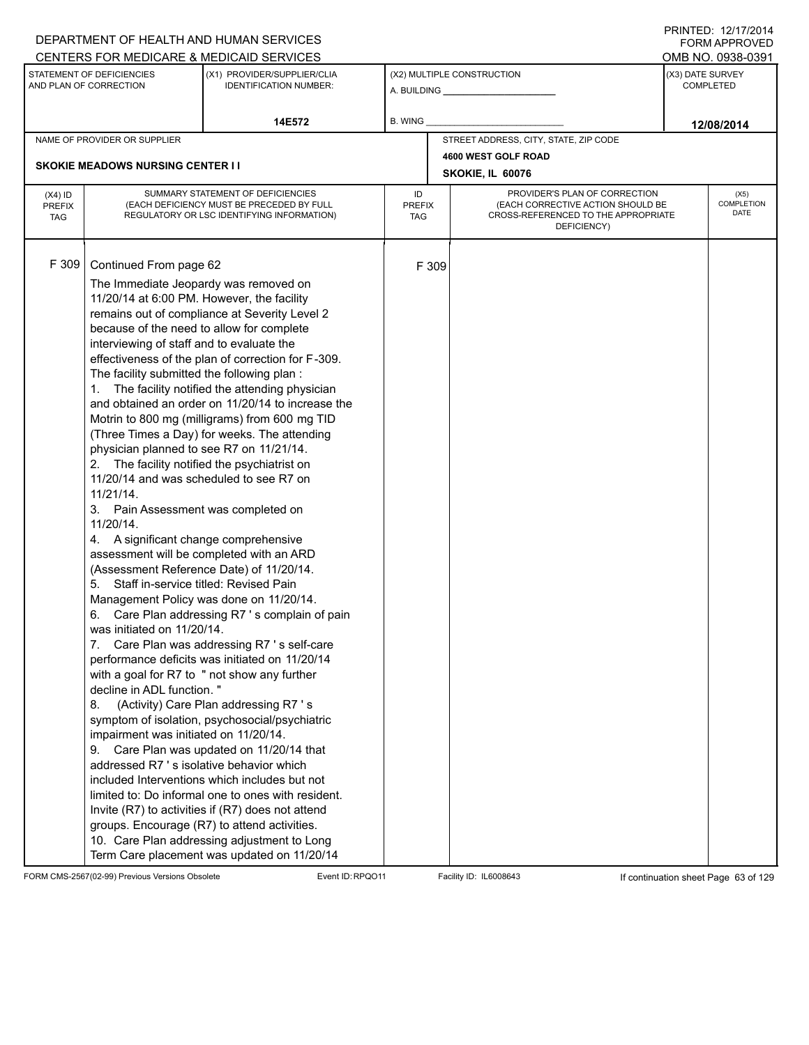| DEPARTMENT OF HEALTH AND HUMAN SERVICES<br>CENTERS FOR MEDICARE & MEDICAID SERVICES                                                                                                                                                                                                                                                                     |                                                                                                                                                                                                                                                                                                                                                                                                                                                                                                                                                                                                                                                                                                                                                                                                                                                                                                                                                                                                                                                                                                                                                                                                                                                                                                                                                                                                                                                                                        |                            |                                                                                                                          | FNINILD. IZIIIIZVI <del>4</del><br><b>FORM APPROVED</b><br>OMB NO. 0938-0391 |
|---------------------------------------------------------------------------------------------------------------------------------------------------------------------------------------------------------------------------------------------------------------------------------------------------------------------------------------------------------|----------------------------------------------------------------------------------------------------------------------------------------------------------------------------------------------------------------------------------------------------------------------------------------------------------------------------------------------------------------------------------------------------------------------------------------------------------------------------------------------------------------------------------------------------------------------------------------------------------------------------------------------------------------------------------------------------------------------------------------------------------------------------------------------------------------------------------------------------------------------------------------------------------------------------------------------------------------------------------------------------------------------------------------------------------------------------------------------------------------------------------------------------------------------------------------------------------------------------------------------------------------------------------------------------------------------------------------------------------------------------------------------------------------------------------------------------------------------------------------|----------------------------|--------------------------------------------------------------------------------------------------------------------------|------------------------------------------------------------------------------|
| STATEMENT OF DEFICIENCIES<br>AND PLAN OF CORRECTION                                                                                                                                                                                                                                                                                                     | (X1) PROVIDER/SUPPLIER/CLIA<br><b>IDENTIFICATION NUMBER:</b>                                                                                                                                                                                                                                                                                                                                                                                                                                                                                                                                                                                                                                                                                                                                                                                                                                                                                                                                                                                                                                                                                                                                                                                                                                                                                                                                                                                                                           |                            | (X2) MULTIPLE CONSTRUCTION                                                                                               | (X3) DATE SURVEY<br>COMPLETED                                                |
|                                                                                                                                                                                                                                                                                                                                                         | 14E572                                                                                                                                                                                                                                                                                                                                                                                                                                                                                                                                                                                                                                                                                                                                                                                                                                                                                                                                                                                                                                                                                                                                                                                                                                                                                                                                                                                                                                                                                 | <b>B. WING</b>             |                                                                                                                          | 12/08/2014                                                                   |
| NAME OF PROVIDER OR SUPPLIER                                                                                                                                                                                                                                                                                                                            |                                                                                                                                                                                                                                                                                                                                                                                                                                                                                                                                                                                                                                                                                                                                                                                                                                                                                                                                                                                                                                                                                                                                                                                                                                                                                                                                                                                                                                                                                        |                            | STREET ADDRESS, CITY, STATE, ZIP CODE                                                                                    |                                                                              |
| <b>SKOKIE MEADOWS NURSING CENTER II</b>                                                                                                                                                                                                                                                                                                                 |                                                                                                                                                                                                                                                                                                                                                                                                                                                                                                                                                                                                                                                                                                                                                                                                                                                                                                                                                                                                                                                                                                                                                                                                                                                                                                                                                                                                                                                                                        |                            | 4600 WEST GOLF ROAD<br>SKOKIE, IL 60076                                                                                  |                                                                              |
|                                                                                                                                                                                                                                                                                                                                                         |                                                                                                                                                                                                                                                                                                                                                                                                                                                                                                                                                                                                                                                                                                                                                                                                                                                                                                                                                                                                                                                                                                                                                                                                                                                                                                                                                                                                                                                                                        |                            |                                                                                                                          |                                                                              |
| $(X4)$ ID<br><b>PREFIX</b><br><b>TAG</b>                                                                                                                                                                                                                                                                                                                | SUMMARY STATEMENT OF DEFICIENCIES<br>(EACH DEFICIENCY MUST BE PRECEDED BY FULL<br>REGULATORY OR LSC IDENTIFYING INFORMATION)                                                                                                                                                                                                                                                                                                                                                                                                                                                                                                                                                                                                                                                                                                                                                                                                                                                                                                                                                                                                                                                                                                                                                                                                                                                                                                                                                           | ID<br><b>PREFIX</b><br>TAG | PROVIDER'S PLAN OF CORRECTION<br>(EACH CORRECTIVE ACTION SHOULD BE<br>CROSS-REFERENCED TO THE APPROPRIATE<br>DEFICIENCY) | (X5)<br>COMPLETION<br><b>DATE</b>                                            |
| F 309<br>Continued From page 62<br>interviewing of staff and to evaluate the<br>The facility submitted the following plan:<br>1.<br>$11/21/14$ .<br>3.<br>11/20/14.<br>4.<br>5.<br>6.<br>was initiated on 11/20/14.<br>7.<br>decline in ADL function."<br>8.<br>impairment was initiated on 11/20/14.<br>9.<br>addressed R7 's isolative behavior which | The Immediate Jeopardy was removed on<br>11/20/14 at 6:00 PM. However, the facility<br>remains out of compliance at Severity Level 2<br>because of the need to allow for complete<br>effectiveness of the plan of correction for F-309.<br>The facility notified the attending physician<br>and obtained an order on 11/20/14 to increase the<br>Motrin to 800 mg (milligrams) from 600 mg TID<br>(Three Times a Day) for weeks. The attending<br>physician planned to see R7 on 11/21/14.<br>2. The facility notified the psychiatrist on<br>11/20/14 and was scheduled to see R7 on<br>Pain Assessment was completed on<br>A significant change comprehensive<br>assessment will be completed with an ARD<br>(Assessment Reference Date) of 11/20/14.<br>Staff in-service titled: Revised Pain<br>Management Policy was done on 11/20/14.<br>Care Plan addressing R7's complain of pain<br>Care Plan was addressing R7 's self-care<br>performance deficits was initiated on 11/20/14<br>with a goal for R7 to " not show any further<br>(Activity) Care Plan addressing R7 's<br>symptom of isolation, psychosocial/psychiatric<br>Care Plan was updated on 11/20/14 that<br>included Interventions which includes but not<br>limited to: Do informal one to ones with resident.<br>Invite (R7) to activities if (R7) does not attend<br>groups. Encourage (R7) to attend activities.<br>10. Care Plan addressing adjustment to Long<br>Term Care placement was updated on 11/20/14 |                            | F 309                                                                                                                    |                                                                              |

FORM CMS-2567(02-99) Previous Versions Obsolete Event ID:RPQO11 Facility ID: IL6008643 If continuation sheet Page 63 of 129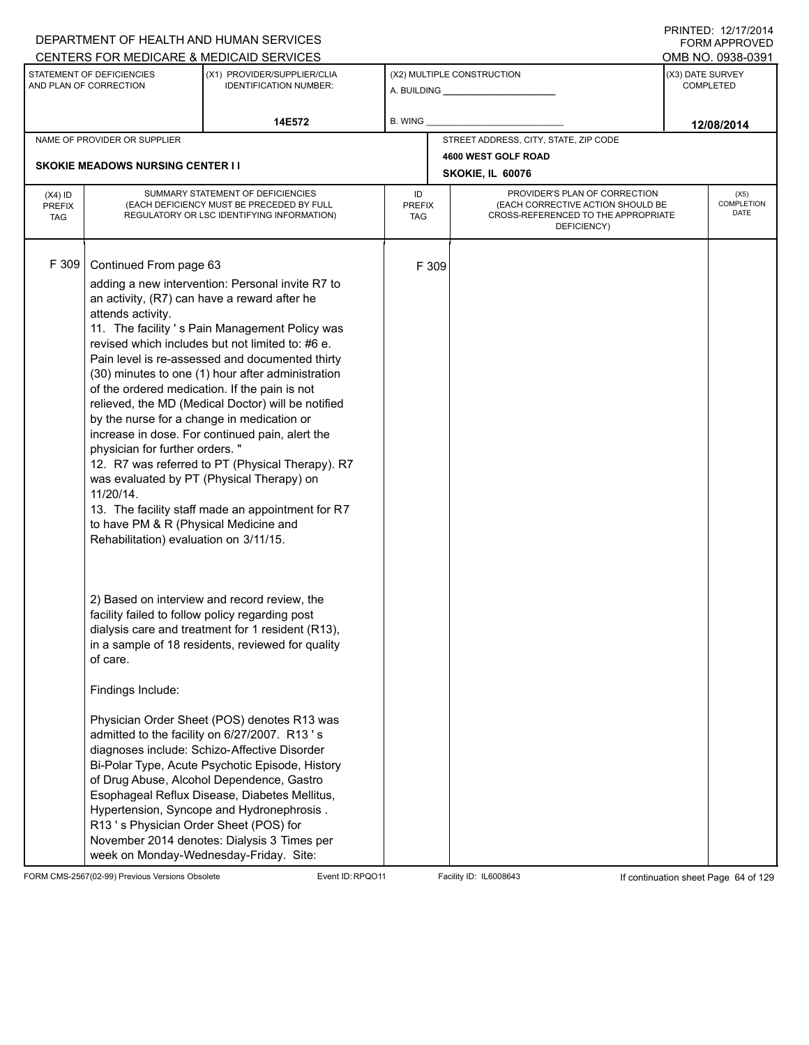|                                          |                                                                                                                                                                                                                                                              | DEPARTMENT OF HEALTH AND HUMAN SERVICES                                                                                                                                                                                                                                                                                                                                                                                                                                                                                                                                                                                                                                                                                                                                                                                                                                                                                                                                                                                                                                                                                                     |                            |                                                                                                                          | <b>FORM APPROVED</b>                 |
|------------------------------------------|--------------------------------------------------------------------------------------------------------------------------------------------------------------------------------------------------------------------------------------------------------------|---------------------------------------------------------------------------------------------------------------------------------------------------------------------------------------------------------------------------------------------------------------------------------------------------------------------------------------------------------------------------------------------------------------------------------------------------------------------------------------------------------------------------------------------------------------------------------------------------------------------------------------------------------------------------------------------------------------------------------------------------------------------------------------------------------------------------------------------------------------------------------------------------------------------------------------------------------------------------------------------------------------------------------------------------------------------------------------------------------------------------------------------|----------------------------|--------------------------------------------------------------------------------------------------------------------------|--------------------------------------|
|                                          |                                                                                                                                                                                                                                                              | CENTERS FOR MEDICARE & MEDICAID SERVICES                                                                                                                                                                                                                                                                                                                                                                                                                                                                                                                                                                                                                                                                                                                                                                                                                                                                                                                                                                                                                                                                                                    |                            |                                                                                                                          | OMB NO. 0938-0391                    |
|                                          | STATEMENT OF DEFICIENCIES<br>AND PLAN OF CORRECTION                                                                                                                                                                                                          | (X1) PROVIDER/SUPPLIER/CLIA<br><b>IDENTIFICATION NUMBER:</b>                                                                                                                                                                                                                                                                                                                                                                                                                                                                                                                                                                                                                                                                                                                                                                                                                                                                                                                                                                                                                                                                                |                            | (X2) MULTIPLE CONSTRUCTION                                                                                               | (X3) DATE SURVEY<br><b>COMPLETED</b> |
|                                          |                                                                                                                                                                                                                                                              | 14E572                                                                                                                                                                                                                                                                                                                                                                                                                                                                                                                                                                                                                                                                                                                                                                                                                                                                                                                                                                                                                                                                                                                                      | B. WING _                  |                                                                                                                          | 12/08/2014                           |
|                                          | NAME OF PROVIDER OR SUPPLIER                                                                                                                                                                                                                                 |                                                                                                                                                                                                                                                                                                                                                                                                                                                                                                                                                                                                                                                                                                                                                                                                                                                                                                                                                                                                                                                                                                                                             |                            | STREET ADDRESS, CITY, STATE, ZIP CODE                                                                                    |                                      |
|                                          | <b>SKOKIE MEADOWS NURSING CENTER II</b>                                                                                                                                                                                                                      |                                                                                                                                                                                                                                                                                                                                                                                                                                                                                                                                                                                                                                                                                                                                                                                                                                                                                                                                                                                                                                                                                                                                             |                            | 4600 WEST GOLF ROAD                                                                                                      |                                      |
|                                          |                                                                                                                                                                                                                                                              |                                                                                                                                                                                                                                                                                                                                                                                                                                                                                                                                                                                                                                                                                                                                                                                                                                                                                                                                                                                                                                                                                                                                             |                            | SKOKIE, IL 60076                                                                                                         |                                      |
| $(X4)$ ID<br><b>PREFIX</b><br><b>TAG</b> |                                                                                                                                                                                                                                                              | SUMMARY STATEMENT OF DEFICIENCIES<br>(EACH DEFICIENCY MUST BE PRECEDED BY FULL<br>REGULATORY OR LSC IDENTIFYING INFORMATION)                                                                                                                                                                                                                                                                                                                                                                                                                                                                                                                                                                                                                                                                                                                                                                                                                                                                                                                                                                                                                | ID<br><b>PREFIX</b><br>TAG | PROVIDER'S PLAN OF CORRECTION<br>(EACH CORRECTIVE ACTION SHOULD BE<br>CROSS-REFERENCED TO THE APPROPRIATE<br>DEFICIENCY) | (X5)<br><b>COMPLETION</b><br>DATE    |
| F 309                                    | Continued From page 63<br>attends activity.<br>by the nurse for a change in medication or<br>physician for further orders."<br>11/20/14.<br>to have PM & R (Physical Medicine and<br>Rehabilitation) evaluation on 3/11/15.<br>of care.<br>Findings Include: | adding a new intervention: Personal invite R7 to<br>an activity, (R7) can have a reward after he<br>11. The facility 's Pain Management Policy was<br>revised which includes but not limited to: #6 e.<br>Pain level is re-assessed and documented thirty<br>(30) minutes to one (1) hour after administration<br>of the ordered medication. If the pain is not<br>relieved, the MD (Medical Doctor) will be notified<br>increase in dose. For continued pain, alert the<br>12. R7 was referred to PT (Physical Therapy). R7<br>was evaluated by PT (Physical Therapy) on<br>13. The facility staff made an appointment for R7<br>2) Based on interview and record review, the<br>facility failed to follow policy regarding post<br>dialysis care and treatment for 1 resident (R13),<br>in a sample of 18 residents, reviewed for quality<br>Physician Order Sheet (POS) denotes R13 was<br>admitted to the facility on 6/27/2007. R13's<br>diagnoses include: Schizo-Affective Disorder<br>Bi-Polar Type, Acute Psychotic Episode, History<br>of Drug Abuse, Alcohol Dependence, Gastro<br>Esophageal Reflux Disease, Diabetes Mellitus, | F 309                      |                                                                                                                          |                                      |
|                                          | R13's Physician Order Sheet (POS) for                                                                                                                                                                                                                        | Hypertension, Syncope and Hydronephrosis.<br>November 2014 denotes: Dialysis 3 Times per<br>week on Monday-Wednesday-Friday. Site:                                                                                                                                                                                                                                                                                                                                                                                                                                                                                                                                                                                                                                                                                                                                                                                                                                                                                                                                                                                                          |                            |                                                                                                                          |                                      |

FORM CMS-2567(02-99) Previous Versions Obsolete Event ID:RPQO11 Facility ID: IL6008643 If continuation sheet Page 64 of 129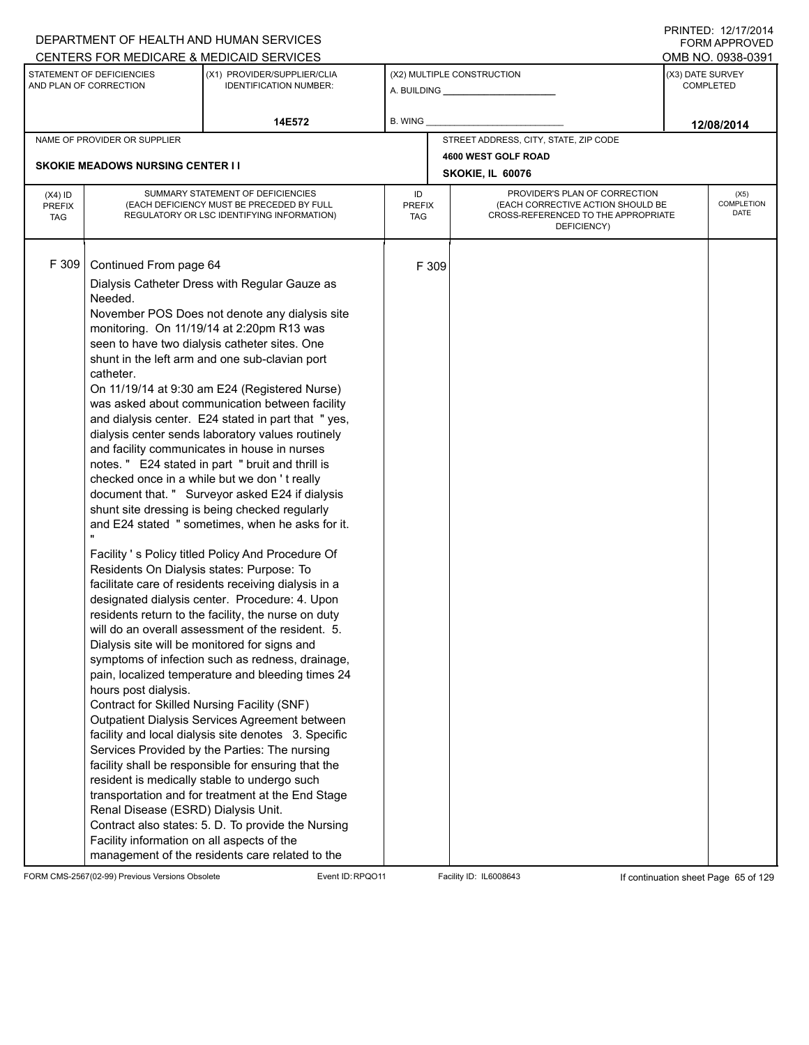| DEPARTMENT OF HEALTH AND HUMAN SERVICES                                                                                                                                                                                                                                                                                                                                                                                                                                                                                                                                                                          |                                                                                                                                                                                                                                                                                                                                                                                                                                                                                                                                                                                                                                                                                                                                                                                                                                                                                                                                                                                                                                                                                                                                                                                                                                                                                               |                            |       |                                                                                                                          |                  | FORM APPROVED                     |
|------------------------------------------------------------------------------------------------------------------------------------------------------------------------------------------------------------------------------------------------------------------------------------------------------------------------------------------------------------------------------------------------------------------------------------------------------------------------------------------------------------------------------------------------------------------------------------------------------------------|-----------------------------------------------------------------------------------------------------------------------------------------------------------------------------------------------------------------------------------------------------------------------------------------------------------------------------------------------------------------------------------------------------------------------------------------------------------------------------------------------------------------------------------------------------------------------------------------------------------------------------------------------------------------------------------------------------------------------------------------------------------------------------------------------------------------------------------------------------------------------------------------------------------------------------------------------------------------------------------------------------------------------------------------------------------------------------------------------------------------------------------------------------------------------------------------------------------------------------------------------------------------------------------------------|----------------------------|-------|--------------------------------------------------------------------------------------------------------------------------|------------------|-----------------------------------|
| CENTERS FOR MEDICARE & MEDICAID SERVICES                                                                                                                                                                                                                                                                                                                                                                                                                                                                                                                                                                         |                                                                                                                                                                                                                                                                                                                                                                                                                                                                                                                                                                                                                                                                                                                                                                                                                                                                                                                                                                                                                                                                                                                                                                                                                                                                                               |                            |       |                                                                                                                          |                  | OMB NO. 0938-0391                 |
| STATEMENT OF DEFICIENCIES<br>AND PLAN OF CORRECTION                                                                                                                                                                                                                                                                                                                                                                                                                                                                                                                                                              | (X1) PROVIDER/SUPPLIER/CLIA<br><b>IDENTIFICATION NUMBER:</b>                                                                                                                                                                                                                                                                                                                                                                                                                                                                                                                                                                                                                                                                                                                                                                                                                                                                                                                                                                                                                                                                                                                                                                                                                                  |                            |       | (X2) MULTIPLE CONSTRUCTION                                                                                               | (X3) DATE SURVEY | <b>COMPLETED</b>                  |
|                                                                                                                                                                                                                                                                                                                                                                                                                                                                                                                                                                                                                  | 14E572                                                                                                                                                                                                                                                                                                                                                                                                                                                                                                                                                                                                                                                                                                                                                                                                                                                                                                                                                                                                                                                                                                                                                                                                                                                                                        | B. WING                    |       |                                                                                                                          |                  | 12/08/2014                        |
| NAME OF PROVIDER OR SUPPLIER                                                                                                                                                                                                                                                                                                                                                                                                                                                                                                                                                                                     |                                                                                                                                                                                                                                                                                                                                                                                                                                                                                                                                                                                                                                                                                                                                                                                                                                                                                                                                                                                                                                                                                                                                                                                                                                                                                               |                            |       | STREET ADDRESS, CITY, STATE, ZIP CODE                                                                                    |                  |                                   |
|                                                                                                                                                                                                                                                                                                                                                                                                                                                                                                                                                                                                                  |                                                                                                                                                                                                                                                                                                                                                                                                                                                                                                                                                                                                                                                                                                                                                                                                                                                                                                                                                                                                                                                                                                                                                                                                                                                                                               |                            |       | 4600 WEST GOLF ROAD                                                                                                      |                  |                                   |
| <b>SKOKIE MEADOWS NURSING CENTER I I</b>                                                                                                                                                                                                                                                                                                                                                                                                                                                                                                                                                                         |                                                                                                                                                                                                                                                                                                                                                                                                                                                                                                                                                                                                                                                                                                                                                                                                                                                                                                                                                                                                                                                                                                                                                                                                                                                                                               |                            |       | SKOKIE, IL 60076                                                                                                         |                  |                                   |
| $(X4)$ ID<br><b>PREFIX</b><br><b>TAG</b>                                                                                                                                                                                                                                                                                                                                                                                                                                                                                                                                                                         | SUMMARY STATEMENT OF DEFICIENCIES<br>(EACH DEFICIENCY MUST BE PRECEDED BY FULL<br>REGULATORY OR LSC IDENTIFYING INFORMATION)                                                                                                                                                                                                                                                                                                                                                                                                                                                                                                                                                                                                                                                                                                                                                                                                                                                                                                                                                                                                                                                                                                                                                                  | ID<br><b>PREFIX</b><br>TAG |       | PROVIDER'S PLAN OF CORRECTION<br>(EACH CORRECTIVE ACTION SHOULD BE<br>CROSS-REFERENCED TO THE APPROPRIATE<br>DEFICIENCY) |                  | (X5)<br><b>COMPLETION</b><br>DATE |
| F 309<br>Continued From page 64<br>Needed.<br>monitoring. On 11/19/14 at 2:20pm R13 was<br>seen to have two dialysis catheter sites. One<br>shunt in the left arm and one sub-clavian port<br>catheter.<br>and facility communicates in house in nurses<br>checked once in a while but we don't really<br>Residents On Dialysis states: Purpose: To<br>Dialysis site will be monitored for signs and<br>hours post dialysis.<br>Contract for Skilled Nursing Facility (SNF)<br>resident is medically stable to undergo such<br>Renal Disease (ESRD) Dialysis Unit.<br>Facility information on all aspects of the | Dialysis Catheter Dress with Regular Gauze as<br>November POS Does not denote any dialysis site<br>On 11/19/14 at 9:30 am E24 (Registered Nurse)<br>was asked about communication between facility<br>and dialysis center. E24 stated in part that "yes,<br>dialysis center sends laboratory values routinely<br>notes." E24 stated in part "bruit and thrill is<br>document that. " Surveyor asked E24 if dialysis<br>shunt site dressing is being checked regularly<br>and E24 stated " sometimes, when he asks for it.<br>Facility 's Policy titled Policy And Procedure Of<br>facilitate care of residents receiving dialysis in a<br>designated dialysis center. Procedure: 4. Upon<br>residents return to the facility, the nurse on duty<br>will do an overall assessment of the resident. 5.<br>symptoms of infection such as redness, drainage,<br>pain, localized temperature and bleeding times 24<br>Outpatient Dialysis Services Agreement between<br>facility and local dialysis site denotes 3. Specific<br>Services Provided by the Parties: The nursing<br>facility shall be responsible for ensuring that the<br>transportation and for treatment at the End Stage<br>Contract also states: 5. D. To provide the Nursing<br>management of the residents care related to the |                            | F 309 |                                                                                                                          |                  |                                   |

FORM CMS-2567(02-99) Previous Versions Obsolete Event ID:RPQO11 Facility ID: IL6008643 If continuation sheet Page 65 of 129

PRINTED: 12/17/2014 FORM APPROVED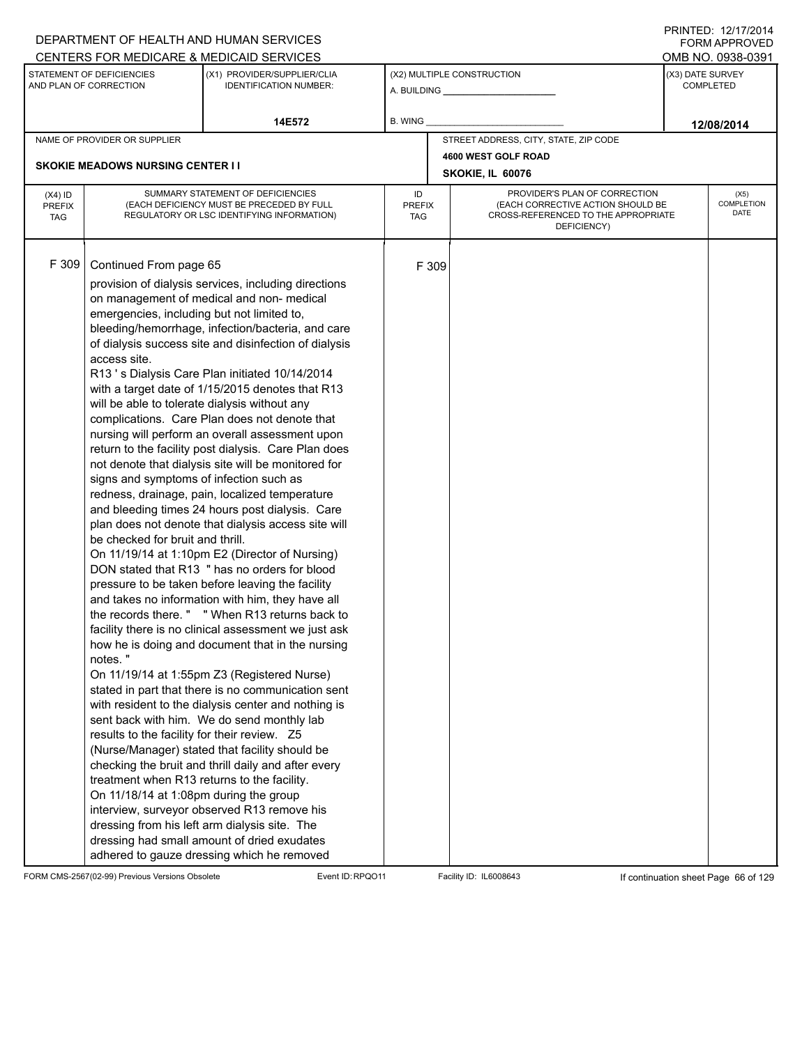| CENTERS FOR MEDICARE & MEDICAID SERVICES<br>STATEMENT OF DEFICIENCIES                                                                                                                                                                                                                                                                                                                                                                                                                                                                                                                                                                                                                                                                                                                                                                                                                                                                                                                                                                                                                                                                                                                                                                                                                                                                                                                                                                                                                                                                                                                                                                                                                                                                                                                                                                                                                                                                                                             |                                                                                                                              |                            |       |                                                                                                                          |                  |                                   |
|-----------------------------------------------------------------------------------------------------------------------------------------------------------------------------------------------------------------------------------------------------------------------------------------------------------------------------------------------------------------------------------------------------------------------------------------------------------------------------------------------------------------------------------------------------------------------------------------------------------------------------------------------------------------------------------------------------------------------------------------------------------------------------------------------------------------------------------------------------------------------------------------------------------------------------------------------------------------------------------------------------------------------------------------------------------------------------------------------------------------------------------------------------------------------------------------------------------------------------------------------------------------------------------------------------------------------------------------------------------------------------------------------------------------------------------------------------------------------------------------------------------------------------------------------------------------------------------------------------------------------------------------------------------------------------------------------------------------------------------------------------------------------------------------------------------------------------------------------------------------------------------------------------------------------------------------------------------------------------------|------------------------------------------------------------------------------------------------------------------------------|----------------------------|-------|--------------------------------------------------------------------------------------------------------------------------|------------------|-----------------------------------|
|                                                                                                                                                                                                                                                                                                                                                                                                                                                                                                                                                                                                                                                                                                                                                                                                                                                                                                                                                                                                                                                                                                                                                                                                                                                                                                                                                                                                                                                                                                                                                                                                                                                                                                                                                                                                                                                                                                                                                                                   |                                                                                                                              |                            |       |                                                                                                                          |                  | OMB NO. 0938-0391                 |
| AND PLAN OF CORRECTION                                                                                                                                                                                                                                                                                                                                                                                                                                                                                                                                                                                                                                                                                                                                                                                                                                                                                                                                                                                                                                                                                                                                                                                                                                                                                                                                                                                                                                                                                                                                                                                                                                                                                                                                                                                                                                                                                                                                                            | (X1) PROVIDER/SUPPLIER/CLIA<br><b>IDENTIFICATION NUMBER:</b>                                                                 |                            |       | (X2) MULTIPLE CONSTRUCTION                                                                                               | (X3) DATE SURVEY | <b>COMPLETED</b>                  |
|                                                                                                                                                                                                                                                                                                                                                                                                                                                                                                                                                                                                                                                                                                                                                                                                                                                                                                                                                                                                                                                                                                                                                                                                                                                                                                                                                                                                                                                                                                                                                                                                                                                                                                                                                                                                                                                                                                                                                                                   | 14E572                                                                                                                       | B. WING                    |       |                                                                                                                          |                  | 12/08/2014                        |
| NAME OF PROVIDER OR SUPPLIER                                                                                                                                                                                                                                                                                                                                                                                                                                                                                                                                                                                                                                                                                                                                                                                                                                                                                                                                                                                                                                                                                                                                                                                                                                                                                                                                                                                                                                                                                                                                                                                                                                                                                                                                                                                                                                                                                                                                                      |                                                                                                                              |                            |       | STREET ADDRESS, CITY, STATE, ZIP CODE                                                                                    |                  |                                   |
|                                                                                                                                                                                                                                                                                                                                                                                                                                                                                                                                                                                                                                                                                                                                                                                                                                                                                                                                                                                                                                                                                                                                                                                                                                                                                                                                                                                                                                                                                                                                                                                                                                                                                                                                                                                                                                                                                                                                                                                   |                                                                                                                              |                            |       | 4600 WEST GOLF ROAD                                                                                                      |                  |                                   |
| <b>SKOKIE MEADOWS NURSING CENTER I I</b>                                                                                                                                                                                                                                                                                                                                                                                                                                                                                                                                                                                                                                                                                                                                                                                                                                                                                                                                                                                                                                                                                                                                                                                                                                                                                                                                                                                                                                                                                                                                                                                                                                                                                                                                                                                                                                                                                                                                          |                                                                                                                              |                            |       | SKOKIE, IL 60076                                                                                                         |                  |                                   |
| $(X4)$ ID<br><b>PREFIX</b><br><b>TAG</b>                                                                                                                                                                                                                                                                                                                                                                                                                                                                                                                                                                                                                                                                                                                                                                                                                                                                                                                                                                                                                                                                                                                                                                                                                                                                                                                                                                                                                                                                                                                                                                                                                                                                                                                                                                                                                                                                                                                                          | SUMMARY STATEMENT OF DEFICIENCIES<br>(EACH DEFICIENCY MUST BE PRECEDED BY FULL<br>REGULATORY OR LSC IDENTIFYING INFORMATION) | ID<br><b>PREFIX</b><br>TAG |       | PROVIDER'S PLAN OF CORRECTION<br>(EACH CORRECTIVE ACTION SHOULD BE<br>CROSS-REFERENCED TO THE APPROPRIATE<br>DEFICIENCY) |                  | (X5)<br><b>COMPLETION</b><br>DATE |
| F 309<br>Continued From page 65<br>provision of dialysis services, including directions<br>on management of medical and non- medical<br>emergencies, including but not limited to,<br>bleeding/hemorrhage, infection/bacteria, and care<br>of dialysis success site and disinfection of dialysis<br>access site.<br>R13's Dialysis Care Plan initiated 10/14/2014<br>with a target date of 1/15/2015 denotes that R13<br>will be able to tolerate dialysis without any<br>complications. Care Plan does not denote that<br>nursing will perform an overall assessment upon<br>return to the facility post dialysis. Care Plan does<br>not denote that dialysis site will be monitored for<br>signs and symptoms of infection such as<br>redness, drainage, pain, localized temperature<br>and bleeding times 24 hours post dialysis. Care<br>plan does not denote that dialysis access site will<br>be checked for bruit and thrill.<br>On 11/19/14 at 1:10pm E2 (Director of Nursing)<br>DON stated that R13 " has no orders for blood<br>pressure to be taken before leaving the facility<br>and takes no information with him, they have all<br>the records there. " "When R13 returns back to<br>facility there is no clinical assessment we just ask<br>how he is doing and document that in the nursing<br>notes."<br>On 11/19/14 at 1:55pm Z3 (Registered Nurse)<br>stated in part that there is no communication sent<br>with resident to the dialysis center and nothing is<br>sent back with him. We do send monthly lab<br>results to the facility for their review. Z5<br>(Nurse/Manager) stated that facility should be<br>checking the bruit and thrill daily and after every<br>treatment when R13 returns to the facility.<br>On 11/18/14 at 1:08pm during the group<br>interview, surveyor observed R13 remove his<br>dressing from his left arm dialysis site. The<br>dressing had small amount of dried exudates<br>adhered to gauze dressing which he removed |                                                                                                                              |                            | F 309 |                                                                                                                          |                  |                                   |

FORM CMS-2567(02-99) Previous Versions Obsolete Event ID:RPQO11 Facility ID: IL6008643 If continuation sheet Page 66 of 129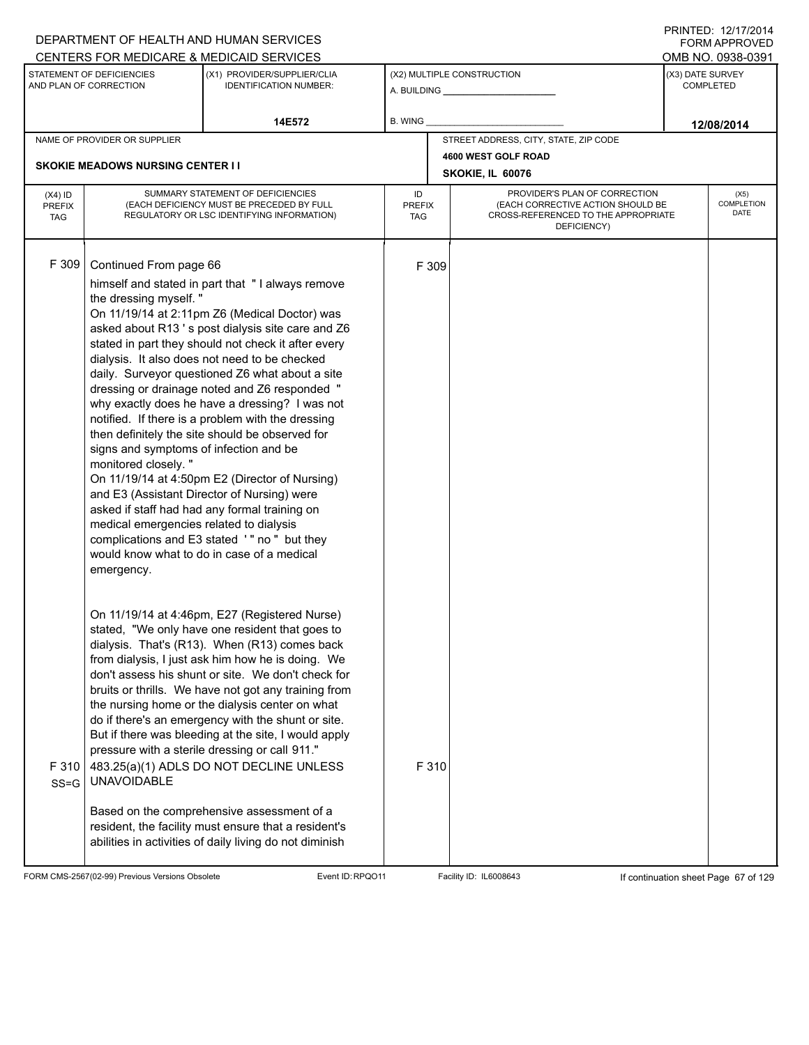|                             |                                          | DEPARTMENT OF HEALTH AND HUMAN SERVICES                                                                    |                      |       |                                                                          |                  | FORM APPROVED             |
|-----------------------------|------------------------------------------|------------------------------------------------------------------------------------------------------------|----------------------|-------|--------------------------------------------------------------------------|------------------|---------------------------|
|                             | STATEMENT OF DEFICIENCIES                | CENTERS FOR MEDICARE & MEDICAID SERVICES<br>(X1) PROVIDER/SUPPLIER/CLIA                                    |                      |       | (X2) MULTIPLE CONSTRUCTION                                               | (X3) DATE SURVEY | OMB NO. 0938-0391         |
|                             | AND PLAN OF CORRECTION                   | <b>IDENTIFICATION NUMBER:</b>                                                                              |                      |       |                                                                          |                  | <b>COMPLETED</b>          |
|                             |                                          | 14E572                                                                                                     | B. WING              |       |                                                                          |                  | 12/08/2014                |
|                             | NAME OF PROVIDER OR SUPPLIER             |                                                                                                            |                      |       | STREET ADDRESS, CITY, STATE, ZIP CODE                                    |                  |                           |
|                             | <b>SKOKIE MEADOWS NURSING CENTER I I</b> |                                                                                                            |                      |       | 4600 WEST GOLF ROAD                                                      |                  |                           |
|                             |                                          |                                                                                                            |                      |       | SKOKIE, IL 60076                                                         |                  |                           |
| $(X4)$ ID                   |                                          | SUMMARY STATEMENT OF DEFICIENCIES                                                                          | ID                   |       | PROVIDER'S PLAN OF CORRECTION                                            |                  | (X5)<br><b>COMPLETION</b> |
| <b>PREFIX</b><br><b>TAG</b> |                                          | (EACH DEFICIENCY MUST BE PRECEDED BY FULL<br>REGULATORY OR LSC IDENTIFYING INFORMATION)                    | <b>PREFIX</b><br>TAG |       | (EACH CORRECTIVE ACTION SHOULD BE<br>CROSS-REFERENCED TO THE APPROPRIATE |                  | DATE                      |
|                             | DEFICIENCY)                              |                                                                                                            |                      |       |                                                                          |                  |                           |
|                             |                                          |                                                                                                            |                      |       |                                                                          |                  |                           |
| F 309                       | Continued From page 66                   |                                                                                                            |                      | F 309 |                                                                          |                  |                           |
|                             | the dressing myself."                    | himself and stated in part that "I always remove                                                           |                      |       |                                                                          |                  |                           |
|                             |                                          | On 11/19/14 at 2:11pm Z6 (Medical Doctor) was                                                              |                      |       |                                                                          |                  |                           |
|                             |                                          | asked about R13's post dialysis site care and Z6                                                           |                      |       |                                                                          |                  |                           |
|                             |                                          | stated in part they should not check it after every                                                        |                      |       |                                                                          |                  |                           |
|                             |                                          | dialysis. It also does not need to be checked<br>daily. Surveyor questioned Z6 what about a site           |                      |       |                                                                          |                  |                           |
|                             |                                          | dressing or drainage noted and Z6 responded "                                                              |                      |       |                                                                          |                  |                           |
|                             |                                          | why exactly does he have a dressing? I was not                                                             |                      |       |                                                                          |                  |                           |
|                             |                                          | notified. If there is a problem with the dressing<br>then definitely the site should be observed for       |                      |       |                                                                          |                  |                           |
|                             | signs and symptoms of infection and be   |                                                                                                            |                      |       |                                                                          |                  |                           |
|                             | monitored closely."                      |                                                                                                            |                      |       |                                                                          |                  |                           |
|                             |                                          | On 11/19/14 at 4:50pm E2 (Director of Nursing)                                                             |                      |       |                                                                          |                  |                           |
|                             |                                          | and E3 (Assistant Director of Nursing) were<br>asked if staff had had any formal training on               |                      |       |                                                                          |                  |                           |
|                             | medical emergencies related to dialysis  |                                                                                                            |                      |       |                                                                          |                  |                           |
|                             |                                          | complications and E3 stated '" no " but they                                                               |                      |       |                                                                          |                  |                           |
|                             |                                          | would know what to do in case of a medical                                                                 |                      |       |                                                                          |                  |                           |
|                             | emergency.                               |                                                                                                            |                      |       |                                                                          |                  |                           |
|                             |                                          |                                                                                                            |                      |       |                                                                          |                  |                           |
|                             |                                          | On 11/19/14 at 4:46pm, E27 (Registered Nurse)                                                              |                      |       |                                                                          |                  |                           |
|                             |                                          | stated, "We only have one resident that goes to                                                            |                      |       |                                                                          |                  |                           |
|                             |                                          | dialysis. That's (R13). When (R13) comes back<br>from dialysis, I just ask him how he is doing. We         |                      |       |                                                                          |                  |                           |
|                             |                                          | don't assess his shunt or site. We don't check for                                                         |                      |       |                                                                          |                  |                           |
|                             |                                          | bruits or thrills. We have not got any training from                                                       |                      |       |                                                                          |                  |                           |
|                             |                                          | the nursing home or the dialysis center on what                                                            |                      |       |                                                                          |                  |                           |
|                             |                                          | do if there's an emergency with the shunt or site.<br>But if there was bleeding at the site, I would apply |                      |       |                                                                          |                  |                           |
|                             |                                          | pressure with a sterile dressing or call 911."                                                             |                      |       |                                                                          |                  |                           |
| F 310                       |                                          | 483.25(a)(1) ADLS DO NOT DECLINE UNLESS                                                                    |                      | F 310 |                                                                          |                  |                           |
| $SS = G$                    | <b>UNAVOIDABLE</b>                       |                                                                                                            |                      |       |                                                                          |                  |                           |
|                             |                                          | Based on the comprehensive assessment of a                                                                 |                      |       |                                                                          |                  |                           |
|                             |                                          | resident, the facility must ensure that a resident's                                                       |                      |       |                                                                          |                  |                           |
|                             |                                          | abilities in activities of daily living do not diminish                                                    |                      |       |                                                                          |                  |                           |
|                             |                                          |                                                                                                            |                      |       |                                                                          |                  |                           |

FORM CMS-2567(02-99) Previous Versions Obsolete Event ID:RPQO11 Facility ID: IL6008643 If continuation sheet Page 67 of 129

PRINTED: 12/17/2014 FORM APPROVED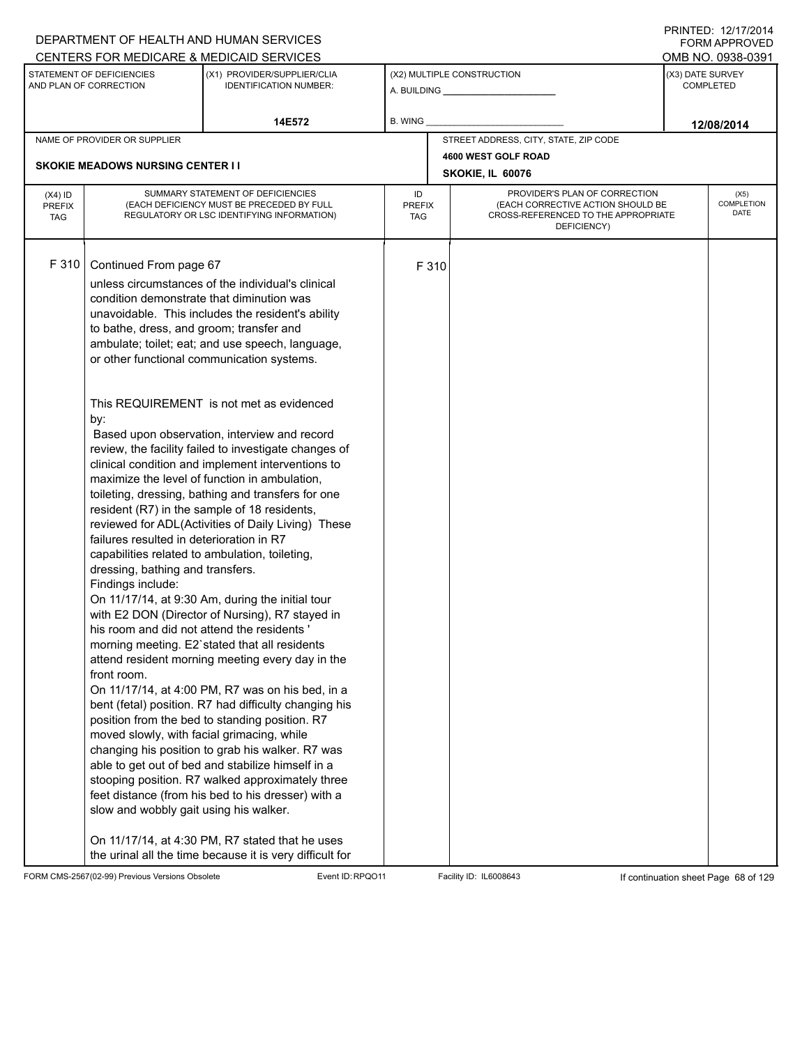| DEPARTMENT OF HEALTH AND HUMAN SERVICES                                                                                                                                                                                                                                                                                                                                                                                                                                                                                                                                                                                                                                                                                                                                                                                                           |                                                                                                                                                                                                                                                                                                                                                                                                                                                                                                                                                                                                                                                                                                                                                                                                                                                                           |                            |       |                                                                                                                          |                  | FORM APPROVED              |
|---------------------------------------------------------------------------------------------------------------------------------------------------------------------------------------------------------------------------------------------------------------------------------------------------------------------------------------------------------------------------------------------------------------------------------------------------------------------------------------------------------------------------------------------------------------------------------------------------------------------------------------------------------------------------------------------------------------------------------------------------------------------------------------------------------------------------------------------------|---------------------------------------------------------------------------------------------------------------------------------------------------------------------------------------------------------------------------------------------------------------------------------------------------------------------------------------------------------------------------------------------------------------------------------------------------------------------------------------------------------------------------------------------------------------------------------------------------------------------------------------------------------------------------------------------------------------------------------------------------------------------------------------------------------------------------------------------------------------------------|----------------------------|-------|--------------------------------------------------------------------------------------------------------------------------|------------------|----------------------------|
| CENTERS FOR MEDICARE & MEDICAID SERVICES<br>STATEMENT OF DEFICIENCIES                                                                                                                                                                                                                                                                                                                                                                                                                                                                                                                                                                                                                                                                                                                                                                             |                                                                                                                                                                                                                                                                                                                                                                                                                                                                                                                                                                                                                                                                                                                                                                                                                                                                           |                            |       |                                                                                                                          |                  | OMB NO. 0938-0391          |
| AND PLAN OF CORRECTION                                                                                                                                                                                                                                                                                                                                                                                                                                                                                                                                                                                                                                                                                                                                                                                                                            | (X1) PROVIDER/SUPPLIER/CLIA<br><b>IDENTIFICATION NUMBER:</b>                                                                                                                                                                                                                                                                                                                                                                                                                                                                                                                                                                                                                                                                                                                                                                                                              |                            |       | (X2) MULTIPLE CONSTRUCTION<br>A. BUILDING <b>A.</b> BUILDING                                                             | (X3) DATE SURVEY | <b>COMPLETED</b>           |
|                                                                                                                                                                                                                                                                                                                                                                                                                                                                                                                                                                                                                                                                                                                                                                                                                                                   | 14E572                                                                                                                                                                                                                                                                                                                                                                                                                                                                                                                                                                                                                                                                                                                                                                                                                                                                    | B. WING                    |       |                                                                                                                          |                  | 12/08/2014                 |
| NAME OF PROVIDER OR SUPPLIER                                                                                                                                                                                                                                                                                                                                                                                                                                                                                                                                                                                                                                                                                                                                                                                                                      |                                                                                                                                                                                                                                                                                                                                                                                                                                                                                                                                                                                                                                                                                                                                                                                                                                                                           |                            |       | STREET ADDRESS, CITY, STATE, ZIP CODE                                                                                    |                  |                            |
|                                                                                                                                                                                                                                                                                                                                                                                                                                                                                                                                                                                                                                                                                                                                                                                                                                                   |                                                                                                                                                                                                                                                                                                                                                                                                                                                                                                                                                                                                                                                                                                                                                                                                                                                                           |                            |       | 4600 WEST GOLF ROAD                                                                                                      |                  |                            |
| <b>SKOKIE MEADOWS NURSING CENTER I I</b>                                                                                                                                                                                                                                                                                                                                                                                                                                                                                                                                                                                                                                                                                                                                                                                                          |                                                                                                                                                                                                                                                                                                                                                                                                                                                                                                                                                                                                                                                                                                                                                                                                                                                                           |                            |       | SKOKIE, IL 60076                                                                                                         |                  |                            |
| $(X4)$ ID<br><b>PREFIX</b><br><b>TAG</b>                                                                                                                                                                                                                                                                                                                                                                                                                                                                                                                                                                                                                                                                                                                                                                                                          | SUMMARY STATEMENT OF DEFICIENCIES<br>(EACH DEFICIENCY MUST BE PRECEDED BY FULL<br>REGULATORY OR LSC IDENTIFYING INFORMATION)                                                                                                                                                                                                                                                                                                                                                                                                                                                                                                                                                                                                                                                                                                                                              | ID<br><b>PREFIX</b><br>TAG |       | PROVIDER'S PLAN OF CORRECTION<br>(EACH CORRECTIVE ACTION SHOULD BE<br>CROSS-REFERENCED TO THE APPROPRIATE<br>DEFICIENCY) |                  | (X5)<br>COMPLETION<br>DATE |
| F 310<br>Continued From page 67<br>condition demonstrate that diminution was<br>to bathe, dress, and groom; transfer and<br>or other functional communication systems.<br>This REQUIREMENT is not met as evidenced<br>by:<br>maximize the level of function in ambulation,<br>resident (R7) in the sample of 18 residents,<br>failures resulted in deterioration in R7<br>capabilities related to ambulation, toileting,<br>dressing, bathing and transfers.<br>Findings include:<br>On 11/17/14, at 9:30 Am, during the initial tour<br>his room and did not attend the residents<br>morning meeting. E2'stated that all residents<br>front room.<br>position from the bed to standing position. R7<br>moved slowly, with facial grimacing, while<br>able to get out of bed and stabilize himself in a<br>slow and wobbly gait using his walker. | unless circumstances of the individual's clinical<br>unavoidable. This includes the resident's ability<br>ambulate; toilet; eat; and use speech, language,<br>Based upon observation, interview and record<br>review, the facility failed to investigate changes of<br>clinical condition and implement interventions to<br>toileting, dressing, bathing and transfers for one<br>reviewed for ADL(Activities of Daily Living) These<br>with E2 DON (Director of Nursing), R7 stayed in<br>attend resident morning meeting every day in the<br>On 11/17/14, at 4:00 PM, R7 was on his bed, in a<br>bent (fetal) position. R7 had difficulty changing his<br>changing his position to grab his walker. R7 was<br>stooping position. R7 walked approximately three<br>feet distance (from his bed to his dresser) with a<br>On 11/17/14, at 4:30 PM, R7 stated that he uses |                            | F 310 |                                                                                                                          |                  |                            |

FORM CMS-2567(02-99) Previous Versions Obsolete Event ID:RPQO11 Facility ID: IL6008643 If continuation sheet Page 68 of 129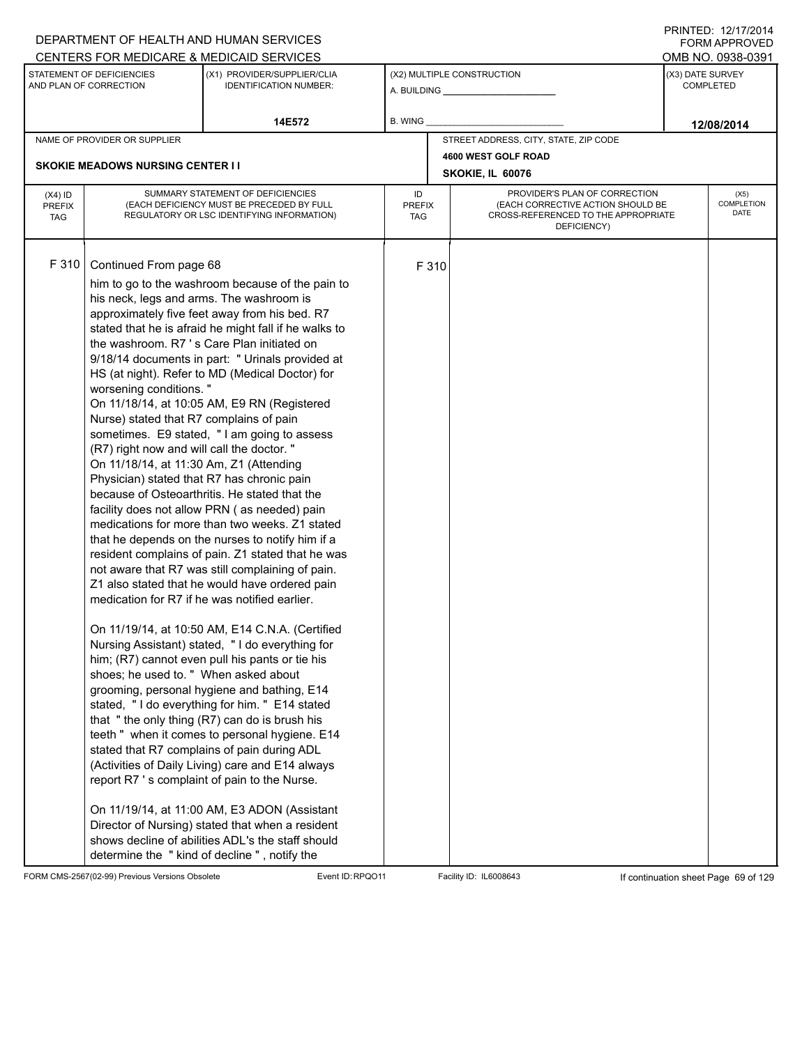| CENTERS FOR MEDICARE & MEDICAID SERVICES<br>OMB NO. 0938-0391<br>(X3) DATE SURVEY<br>STATEMENT OF DEFICIENCIES<br>(X1) PROVIDER/SUPPLIER/CLIA<br>(X2) MULTIPLE CONSTRUCTION<br>AND PLAN OF CORRECTION<br><b>IDENTIFICATION NUMBER:</b><br><b>COMPLETED</b><br>B. WING<br>14E572<br>12/08/2014<br>STREET ADDRESS, CITY, STATE, ZIP CODE<br>NAME OF PROVIDER OR SUPPLIER<br>4600 WEST GOLF ROAD<br><b>SKOKIE MEADOWS NURSING CENTER I I</b><br>SKOKIE, IL 60076<br>PROVIDER'S PLAN OF CORRECTION<br>SUMMARY STATEMENT OF DEFICIENCIES<br>ID<br>(X5)<br>$(X4)$ ID<br><b>COMPLETION</b><br>(EACH DEFICIENCY MUST BE PRECEDED BY FULL<br>(EACH CORRECTIVE ACTION SHOULD BE<br>PREFIX<br><b>PREFIX</b><br>DATE<br>CROSS-REFERENCED TO THE APPROPRIATE<br>REGULATORY OR LSC IDENTIFYING INFORMATION)<br><b>TAG</b><br>TAG<br>DEFICIENCY)<br>F 310<br>Continued From page 68<br>F 310<br>him to go to the washroom because of the pain to<br>his neck, legs and arms. The washroom is<br>approximately five feet away from his bed. R7<br>stated that he is afraid he might fall if he walks to<br>the washroom. R7 's Care Plan initiated on<br>9/18/14 documents in part: " Urinals provided at<br>HS (at night). Refer to MD (Medical Doctor) for<br>worsening conditions."<br>On 11/18/14, at 10:05 AM, E9 RN (Registered<br>Nurse) stated that R7 complains of pain<br>sometimes. E9 stated, "I am going to assess<br>(R7) right now and will call the doctor. "<br>On 11/18/14, at 11:30 Am, Z1 (Attending<br>Physician) stated that R7 has chronic pain<br>because of Osteoarthritis. He stated that the<br>facility does not allow PRN (as needed) pain<br>medications for more than two weeks. Z1 stated<br>that he depends on the nurses to notify him if a<br>resident complains of pain. Z1 stated that he was<br>not aware that R7 was still complaining of pain.<br>Z1 also stated that he would have ordered pain<br>medication for R7 if he was notified earlier.<br>On 11/19/14, at 10:50 AM, E14 C.N.A. (Certified<br>Nursing Assistant) stated, "I do everything for<br>him; (R7) cannot even pull his pants or tie his<br>shoes; he used to. " When asked about<br>grooming, personal hygiene and bathing, E14<br>stated, "I do everything for him. " E14 stated<br>that "the only thing (R7) can do is brush his<br>teeth " when it comes to personal hygiene. E14<br>stated that R7 complains of pain during ADL |  | DEPARTMENT OF HEALTH AND HUMAN SERVICES |  |  | <b>FORM APPROVED</b> |
|--------------------------------------------------------------------------------------------------------------------------------------------------------------------------------------------------------------------------------------------------------------------------------------------------------------------------------------------------------------------------------------------------------------------------------------------------------------------------------------------------------------------------------------------------------------------------------------------------------------------------------------------------------------------------------------------------------------------------------------------------------------------------------------------------------------------------------------------------------------------------------------------------------------------------------------------------------------------------------------------------------------------------------------------------------------------------------------------------------------------------------------------------------------------------------------------------------------------------------------------------------------------------------------------------------------------------------------------------------------------------------------------------------------------------------------------------------------------------------------------------------------------------------------------------------------------------------------------------------------------------------------------------------------------------------------------------------------------------------------------------------------------------------------------------------------------------------------------------------------------------------------------------------------------------------------------------------------------------------------------------------------------------------------------------------------------------------------------------------------------------------------------------------------------------------------------------------------------------------------------------------------------------------------------------------------------------------------------------------------------------------------------------------------------------------|--|-----------------------------------------|--|--|----------------------|
|                                                                                                                                                                                                                                                                                                                                                                                                                                                                                                                                                                                                                                                                                                                                                                                                                                                                                                                                                                                                                                                                                                                                                                                                                                                                                                                                                                                                                                                                                                                                                                                                                                                                                                                                                                                                                                                                                                                                                                                                                                                                                                                                                                                                                                                                                                                                                                                                                                |  |                                         |  |  |                      |
|                                                                                                                                                                                                                                                                                                                                                                                                                                                                                                                                                                                                                                                                                                                                                                                                                                                                                                                                                                                                                                                                                                                                                                                                                                                                                                                                                                                                                                                                                                                                                                                                                                                                                                                                                                                                                                                                                                                                                                                                                                                                                                                                                                                                                                                                                                                                                                                                                                |  |                                         |  |  |                      |
|                                                                                                                                                                                                                                                                                                                                                                                                                                                                                                                                                                                                                                                                                                                                                                                                                                                                                                                                                                                                                                                                                                                                                                                                                                                                                                                                                                                                                                                                                                                                                                                                                                                                                                                                                                                                                                                                                                                                                                                                                                                                                                                                                                                                                                                                                                                                                                                                                                |  |                                         |  |  |                      |
|                                                                                                                                                                                                                                                                                                                                                                                                                                                                                                                                                                                                                                                                                                                                                                                                                                                                                                                                                                                                                                                                                                                                                                                                                                                                                                                                                                                                                                                                                                                                                                                                                                                                                                                                                                                                                                                                                                                                                                                                                                                                                                                                                                                                                                                                                                                                                                                                                                |  |                                         |  |  |                      |
|                                                                                                                                                                                                                                                                                                                                                                                                                                                                                                                                                                                                                                                                                                                                                                                                                                                                                                                                                                                                                                                                                                                                                                                                                                                                                                                                                                                                                                                                                                                                                                                                                                                                                                                                                                                                                                                                                                                                                                                                                                                                                                                                                                                                                                                                                                                                                                                                                                |  |                                         |  |  |                      |
|                                                                                                                                                                                                                                                                                                                                                                                                                                                                                                                                                                                                                                                                                                                                                                                                                                                                                                                                                                                                                                                                                                                                                                                                                                                                                                                                                                                                                                                                                                                                                                                                                                                                                                                                                                                                                                                                                                                                                                                                                                                                                                                                                                                                                                                                                                                                                                                                                                |  |                                         |  |  |                      |
|                                                                                                                                                                                                                                                                                                                                                                                                                                                                                                                                                                                                                                                                                                                                                                                                                                                                                                                                                                                                                                                                                                                                                                                                                                                                                                                                                                                                                                                                                                                                                                                                                                                                                                                                                                                                                                                                                                                                                                                                                                                                                                                                                                                                                                                                                                                                                                                                                                |  |                                         |  |  |                      |
| (Activities of Daily Living) care and E14 always<br>report R7 's complaint of pain to the Nurse.<br>On 11/19/14, at 11:00 AM, E3 ADON (Assistant<br>Director of Nursing) stated that when a resident<br>shows decline of abilities ADL's the staff should<br>determine the "kind of decline", notify the                                                                                                                                                                                                                                                                                                                                                                                                                                                                                                                                                                                                                                                                                                                                                                                                                                                                                                                                                                                                                                                                                                                                                                                                                                                                                                                                                                                                                                                                                                                                                                                                                                                                                                                                                                                                                                                                                                                                                                                                                                                                                                                       |  |                                         |  |  |                      |

FORM CMS-2567(02-99) Previous Versions Obsolete Event ID:RPQO11 Facility ID: IL6008643 If continuation sheet Page 69 of 129

DEPARTMENT OF HEALTH AND HUMAN SERVICES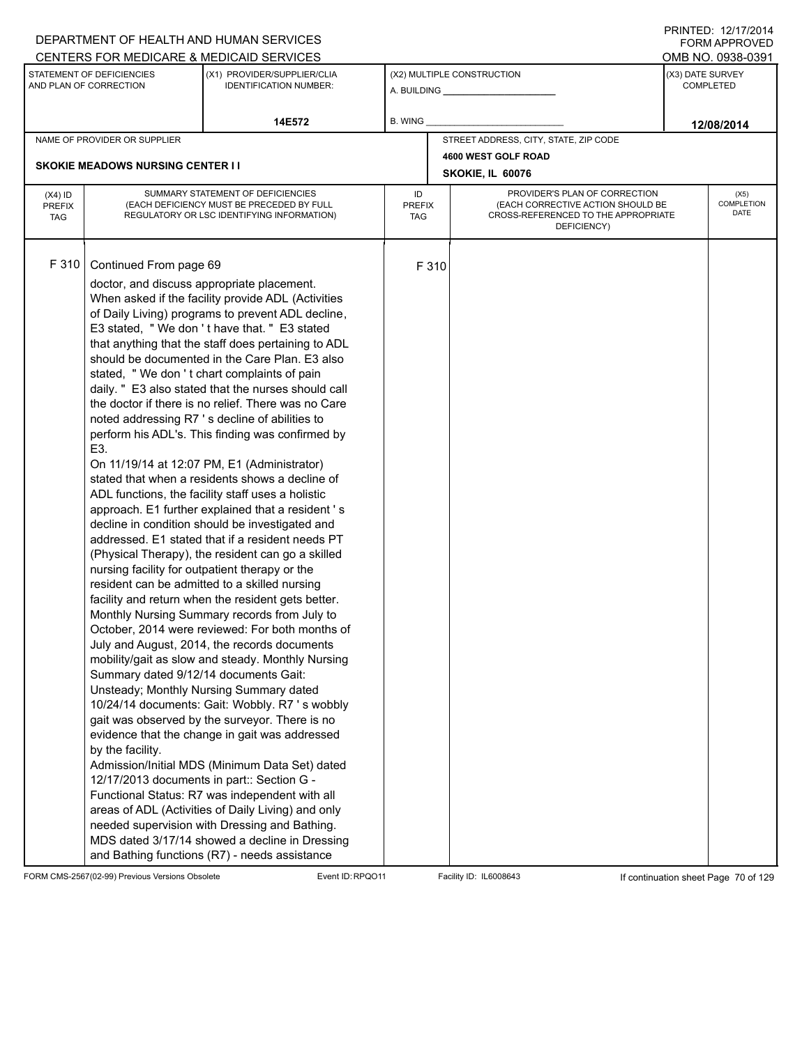|                                          |                                                                                                                                                                                                                                          | DEPARTMENT OF HEALTH AND HUMAN SERVICES                                                                                                                                                                                                                                                                                                                                                                                                                                                                                                                                                                                                                                                                                                                                                                                                                                                                                                                                                                                                                                                                                                                                                                                                                                                                                                                                                                                                                                                                                                                                                                                                                                                                                                |                                   |       |                                                                                                                          | FORM APPROVED                 |
|------------------------------------------|------------------------------------------------------------------------------------------------------------------------------------------------------------------------------------------------------------------------------------------|----------------------------------------------------------------------------------------------------------------------------------------------------------------------------------------------------------------------------------------------------------------------------------------------------------------------------------------------------------------------------------------------------------------------------------------------------------------------------------------------------------------------------------------------------------------------------------------------------------------------------------------------------------------------------------------------------------------------------------------------------------------------------------------------------------------------------------------------------------------------------------------------------------------------------------------------------------------------------------------------------------------------------------------------------------------------------------------------------------------------------------------------------------------------------------------------------------------------------------------------------------------------------------------------------------------------------------------------------------------------------------------------------------------------------------------------------------------------------------------------------------------------------------------------------------------------------------------------------------------------------------------------------------------------------------------------------------------------------------------|-----------------------------------|-------|--------------------------------------------------------------------------------------------------------------------------|-------------------------------|
|                                          |                                                                                                                                                                                                                                          | CENTERS FOR MEDICARE & MEDICAID SERVICES                                                                                                                                                                                                                                                                                                                                                                                                                                                                                                                                                                                                                                                                                                                                                                                                                                                                                                                                                                                                                                                                                                                                                                                                                                                                                                                                                                                                                                                                                                                                                                                                                                                                                               |                                   |       |                                                                                                                          | OMB NO. 0938-0391             |
|                                          | STATEMENT OF DEFICIENCIES<br>AND PLAN OF CORRECTION                                                                                                                                                                                      | (X1) PROVIDER/SUPPLIER/CLIA<br><b>IDENTIFICATION NUMBER:</b>                                                                                                                                                                                                                                                                                                                                                                                                                                                                                                                                                                                                                                                                                                                                                                                                                                                                                                                                                                                                                                                                                                                                                                                                                                                                                                                                                                                                                                                                                                                                                                                                                                                                           |                                   |       | (X2) MULTIPLE CONSTRUCTION<br>A. BUILDING <b>A.</b> BUILDING                                                             | (X3) DATE SURVEY<br>COMPLETED |
|                                          |                                                                                                                                                                                                                                          | 14E572                                                                                                                                                                                                                                                                                                                                                                                                                                                                                                                                                                                                                                                                                                                                                                                                                                                                                                                                                                                                                                                                                                                                                                                                                                                                                                                                                                                                                                                                                                                                                                                                                                                                                                                                 | <b>B. WING</b>                    |       |                                                                                                                          | 12/08/2014                    |
|                                          | NAME OF PROVIDER OR SUPPLIER                                                                                                                                                                                                             |                                                                                                                                                                                                                                                                                                                                                                                                                                                                                                                                                                                                                                                                                                                                                                                                                                                                                                                                                                                                                                                                                                                                                                                                                                                                                                                                                                                                                                                                                                                                                                                                                                                                                                                                        |                                   |       | STREET ADDRESS, CITY, STATE, ZIP CODE                                                                                    |                               |
|                                          |                                                                                                                                                                                                                                          |                                                                                                                                                                                                                                                                                                                                                                                                                                                                                                                                                                                                                                                                                                                                                                                                                                                                                                                                                                                                                                                                                                                                                                                                                                                                                                                                                                                                                                                                                                                                                                                                                                                                                                                                        |                                   |       | 4600 WEST GOLF ROAD                                                                                                      |                               |
|                                          | <b>SKOKIE MEADOWS NURSING CENTER I I</b>                                                                                                                                                                                                 |                                                                                                                                                                                                                                                                                                                                                                                                                                                                                                                                                                                                                                                                                                                                                                                                                                                                                                                                                                                                                                                                                                                                                                                                                                                                                                                                                                                                                                                                                                                                                                                                                                                                                                                                        |                                   |       | SKOKIE, IL 60076                                                                                                         |                               |
| $(X4)$ ID<br><b>PREFIX</b><br><b>TAG</b> |                                                                                                                                                                                                                                          | SUMMARY STATEMENT OF DEFICIENCIES<br>(EACH DEFICIENCY MUST BE PRECEDED BY FULL<br>REGULATORY OR LSC IDENTIFYING INFORMATION)                                                                                                                                                                                                                                                                                                                                                                                                                                                                                                                                                                                                                                                                                                                                                                                                                                                                                                                                                                                                                                                                                                                                                                                                                                                                                                                                                                                                                                                                                                                                                                                                           | ID<br><b>PREFIX</b><br><b>TAG</b> |       | PROVIDER'S PLAN OF CORRECTION<br>(EACH CORRECTIVE ACTION SHOULD BE<br>CROSS-REFERENCED TO THE APPROPRIATE<br>DEFICIENCY) | (X5)<br>COMPLETION<br>DATE    |
| F 310                                    | Continued From page 69<br>doctor, and discuss appropriate placement.<br>E3.<br>nursing facility for outpatient therapy or the<br>Summary dated 9/12/14 documents Gait:<br>by the facility.<br>12/17/2013 documents in part:: Section G - | When asked if the facility provide ADL (Activities<br>of Daily Living) programs to prevent ADL decline,<br>E3 stated, "We don't have that. " E3 stated<br>that anything that the staff does pertaining to ADL<br>should be documented in the Care Plan. E3 also<br>stated, "We don't chart complaints of pain<br>daily. " E3 also stated that the nurses should call<br>the doctor if there is no relief. There was no Care<br>noted addressing R7 's decline of abilities to<br>perform his ADL's. This finding was confirmed by<br>On 11/19/14 at 12:07 PM, E1 (Administrator)<br>stated that when a residents shows a decline of<br>ADL functions, the facility staff uses a holistic<br>approach. E1 further explained that a resident 's<br>decline in condition should be investigated and<br>addressed. E1 stated that if a resident needs PT<br>(Physical Therapy), the resident can go a skilled<br>resident can be admitted to a skilled nursing<br>facility and return when the resident gets better.<br>Monthly Nursing Summary records from July to<br>October, 2014 were reviewed: For both months of<br>July and August, 2014, the records documents<br>mobility/gait as slow and steady. Monthly Nursing<br>Unsteady; Monthly Nursing Summary dated<br>10/24/14 documents: Gait: Wobbly. R7's wobbly<br>gait was observed by the surveyor. There is no<br>evidence that the change in gait was addressed<br>Admission/Initial MDS (Minimum Data Set) dated<br>Functional Status: R7 was independent with all<br>areas of ADL (Activities of Daily Living) and only<br>needed supervision with Dressing and Bathing.<br>MDS dated 3/17/14 showed a decline in Dressing<br>and Bathing functions (R7) - needs assistance |                                   | F 310 |                                                                                                                          |                               |

FORM CMS-2567(02-99) Previous Versions Obsolete Event ID:RPQO11 Facility ID: IL6008643 If continuation sheet Page 70 of 129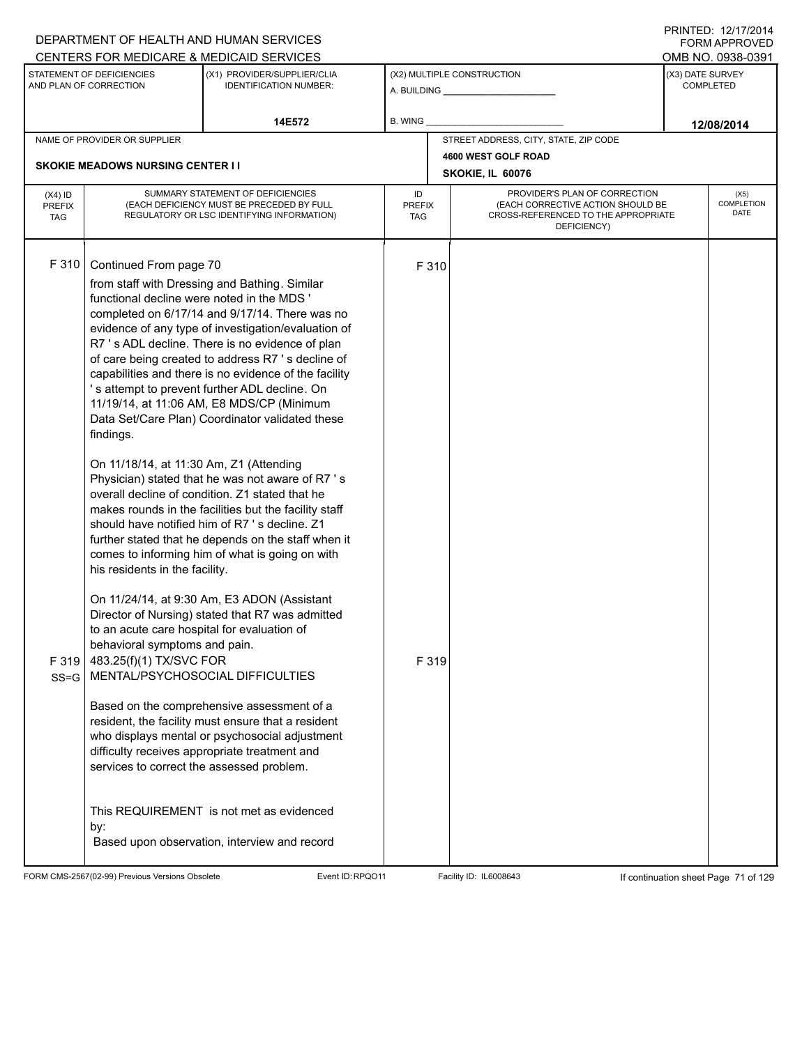|                                          |                                                                                                                                                                                                                                                                                                                                                                   | DEPARTMENT OF HEALTH AND HUMAN SERVICES                                                                                                                                                                                                                                                                                                                                                                                                                                                                                                                                                                                                                                                                                                                                                                                                                                                                                                                                                                                                                                                                                                                  |                            |                |                                                                                                                          |                  | <b>FORM APPROVED</b>              |
|------------------------------------------|-------------------------------------------------------------------------------------------------------------------------------------------------------------------------------------------------------------------------------------------------------------------------------------------------------------------------------------------------------------------|----------------------------------------------------------------------------------------------------------------------------------------------------------------------------------------------------------------------------------------------------------------------------------------------------------------------------------------------------------------------------------------------------------------------------------------------------------------------------------------------------------------------------------------------------------------------------------------------------------------------------------------------------------------------------------------------------------------------------------------------------------------------------------------------------------------------------------------------------------------------------------------------------------------------------------------------------------------------------------------------------------------------------------------------------------------------------------------------------------------------------------------------------------|----------------------------|----------------|--------------------------------------------------------------------------------------------------------------------------|------------------|-----------------------------------|
|                                          |                                                                                                                                                                                                                                                                                                                                                                   | CENTERS FOR MEDICARE & MEDICAID SERVICES                                                                                                                                                                                                                                                                                                                                                                                                                                                                                                                                                                                                                                                                                                                                                                                                                                                                                                                                                                                                                                                                                                                 |                            |                |                                                                                                                          |                  | OMB NO. 0938-0391                 |
|                                          | STATEMENT OF DEFICIENCIES<br>AND PLAN OF CORRECTION                                                                                                                                                                                                                                                                                                               | (X1) PROVIDER/SUPPLIER/CLIA<br><b>IDENTIFICATION NUMBER:</b>                                                                                                                                                                                                                                                                                                                                                                                                                                                                                                                                                                                                                                                                                                                                                                                                                                                                                                                                                                                                                                                                                             |                            |                | (X2) MULTIPLE CONSTRUCTION                                                                                               | (X3) DATE SURVEY | <b>COMPLETED</b>                  |
|                                          |                                                                                                                                                                                                                                                                                                                                                                   | 14E572                                                                                                                                                                                                                                                                                                                                                                                                                                                                                                                                                                                                                                                                                                                                                                                                                                                                                                                                                                                                                                                                                                                                                   | B. WING                    |                |                                                                                                                          |                  | 12/08/2014                        |
|                                          | NAME OF PROVIDER OR SUPPLIER                                                                                                                                                                                                                                                                                                                                      |                                                                                                                                                                                                                                                                                                                                                                                                                                                                                                                                                                                                                                                                                                                                                                                                                                                                                                                                                                                                                                                                                                                                                          |                            |                | STREET ADDRESS, CITY, STATE, ZIP CODE                                                                                    |                  |                                   |
|                                          | <b>SKOKIE MEADOWS NURSING CENTER I I</b>                                                                                                                                                                                                                                                                                                                          |                                                                                                                                                                                                                                                                                                                                                                                                                                                                                                                                                                                                                                                                                                                                                                                                                                                                                                                                                                                                                                                                                                                                                          |                            |                | 4600 WEST GOLF ROAD                                                                                                      |                  |                                   |
|                                          |                                                                                                                                                                                                                                                                                                                                                                   |                                                                                                                                                                                                                                                                                                                                                                                                                                                                                                                                                                                                                                                                                                                                                                                                                                                                                                                                                                                                                                                                                                                                                          |                            |                | SKOKIE, IL 60076                                                                                                         |                  |                                   |
| $(X4)$ ID<br><b>PREFIX</b><br><b>TAG</b> |                                                                                                                                                                                                                                                                                                                                                                   | SUMMARY STATEMENT OF DEFICIENCIES<br>(EACH DEFICIENCY MUST BE PRECEDED BY FULL<br>REGULATORY OR LSC IDENTIFYING INFORMATION)                                                                                                                                                                                                                                                                                                                                                                                                                                                                                                                                                                                                                                                                                                                                                                                                                                                                                                                                                                                                                             | ID<br><b>PREFIX</b><br>TAG |                | PROVIDER'S PLAN OF CORRECTION<br>(EACH CORRECTIVE ACTION SHOULD BE<br>CROSS-REFERENCED TO THE APPROPRIATE<br>DEFICIENCY) |                  | (X5)<br><b>COMPLETION</b><br>DATE |
| F 310<br>F 319<br>$SS = G$               | Continued From page 70<br>functional decline were noted in the MDS '<br>findings.<br>On 11/18/14, at 11:30 Am, Z1 (Attending<br>his residents in the facility.<br>to an acute care hospital for evaluation of<br>behavioral symptoms and pain.<br>483.25(f)(1) TX/SVC FOR<br>MENTAL/PSYCHOSOCIAL DIFFICULTIES<br>services to correct the assessed problem.<br>by: | from staff with Dressing and Bathing. Similar<br>completed on 6/17/14 and 9/17/14. There was no<br>evidence of any type of investigation/evaluation of<br>R7 's ADL decline. There is no evidence of plan<br>of care being created to address R7 's decline of<br>capabilities and there is no evidence of the facility<br>'s attempt to prevent further ADL decline. On<br>11/19/14, at 11:06 AM, E8 MDS/CP (Minimum<br>Data Set/Care Plan) Coordinator validated these<br>Physician) stated that he was not aware of R7 's<br>overall decline of condition. Z1 stated that he<br>makes rounds in the facilities but the facility staff<br>should have notified him of R7's decline. Z1<br>further stated that he depends on the staff when it<br>comes to informing him of what is going on with<br>On 11/24/14, at 9:30 Am, E3 ADON (Assistant<br>Director of Nursing) stated that R7 was admitted<br>Based on the comprehensive assessment of a<br>resident, the facility must ensure that a resident<br>who displays mental or psychosocial adjustment<br>difficulty receives appropriate treatment and<br>This REQUIREMENT is not met as evidenced |                            | F 310<br>F 319 |                                                                                                                          |                  |                                   |
|                                          |                                                                                                                                                                                                                                                                                                                                                                   | Based upon observation, interview and record                                                                                                                                                                                                                                                                                                                                                                                                                                                                                                                                                                                                                                                                                                                                                                                                                                                                                                                                                                                                                                                                                                             |                            |                |                                                                                                                          |                  |                                   |

FORM CMS-2567(02-99) Previous Versions Obsolete Event ID:RPQO11 Facility ID: IL6008643 If continuation sheet Page 71 of 129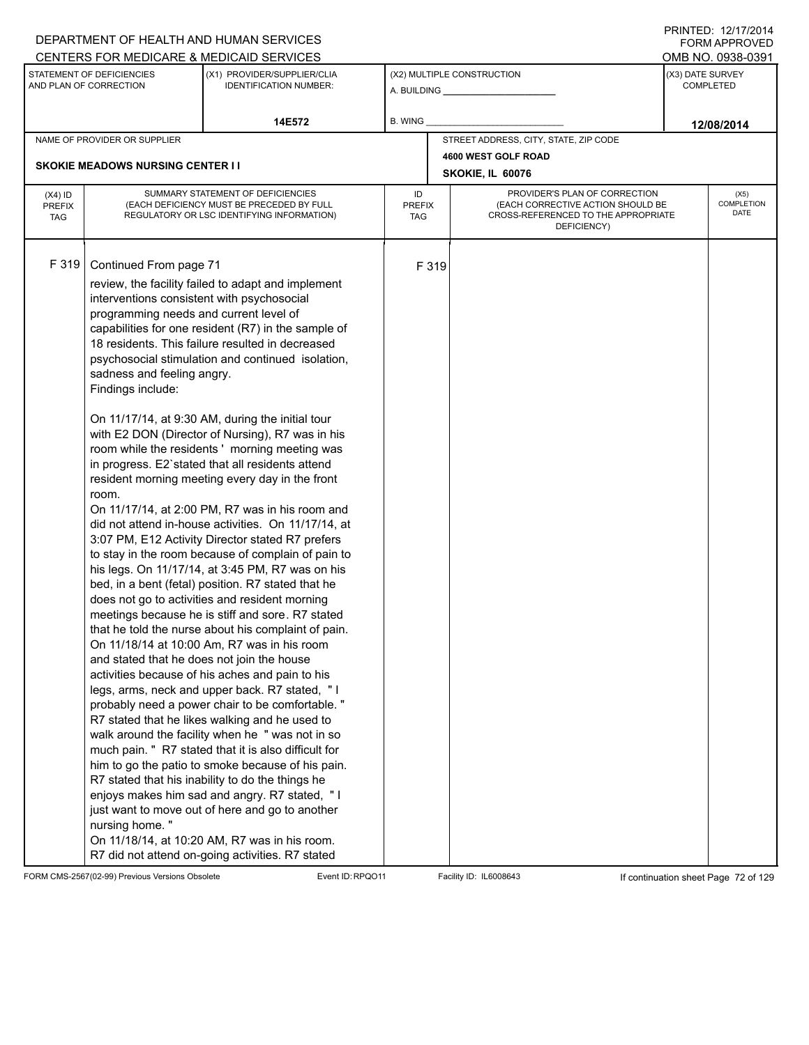|                                          |                                                                                                                                                                                                                                            | DEPARTMENT OF HEALTH AND HUMAN SERVICES                                                                                                                                                                                                                                                                                                                                                                                                                                                                                                                                                                                                                                                                                                                                                                                                                                                                                                                                                                                                                                                                                                                                                                                                                                                                                                                                                                                                                                                                                                                                                                                                                               |                            |       |                                                                                                                          |                  | I I \ II \ I L D . I <i>L I I I I L</i> O I <del>T</del><br><b>FORM APPROVED</b> |
|------------------------------------------|--------------------------------------------------------------------------------------------------------------------------------------------------------------------------------------------------------------------------------------------|-----------------------------------------------------------------------------------------------------------------------------------------------------------------------------------------------------------------------------------------------------------------------------------------------------------------------------------------------------------------------------------------------------------------------------------------------------------------------------------------------------------------------------------------------------------------------------------------------------------------------------------------------------------------------------------------------------------------------------------------------------------------------------------------------------------------------------------------------------------------------------------------------------------------------------------------------------------------------------------------------------------------------------------------------------------------------------------------------------------------------------------------------------------------------------------------------------------------------------------------------------------------------------------------------------------------------------------------------------------------------------------------------------------------------------------------------------------------------------------------------------------------------------------------------------------------------------------------------------------------------------------------------------------------------|----------------------------|-------|--------------------------------------------------------------------------------------------------------------------------|------------------|----------------------------------------------------------------------------------|
|                                          |                                                                                                                                                                                                                                            | CENTERS FOR MEDICARE & MEDICAID SERVICES                                                                                                                                                                                                                                                                                                                                                                                                                                                                                                                                                                                                                                                                                                                                                                                                                                                                                                                                                                                                                                                                                                                                                                                                                                                                                                                                                                                                                                                                                                                                                                                                                              |                            |       |                                                                                                                          |                  | OMB NO. 0938-0391                                                                |
|                                          | STATEMENT OF DEFICIENCIES<br>AND PLAN OF CORRECTION                                                                                                                                                                                        | (X1) PROVIDER/SUPPLIER/CLIA<br><b>IDENTIFICATION NUMBER:</b>                                                                                                                                                                                                                                                                                                                                                                                                                                                                                                                                                                                                                                                                                                                                                                                                                                                                                                                                                                                                                                                                                                                                                                                                                                                                                                                                                                                                                                                                                                                                                                                                          |                            |       | (X2) MULTIPLE CONSTRUCTION                                                                                               | (X3) DATE SURVEY | <b>COMPLETED</b>                                                                 |
|                                          |                                                                                                                                                                                                                                            | 14E572                                                                                                                                                                                                                                                                                                                                                                                                                                                                                                                                                                                                                                                                                                                                                                                                                                                                                                                                                                                                                                                                                                                                                                                                                                                                                                                                                                                                                                                                                                                                                                                                                                                                | B. WING                    |       |                                                                                                                          |                  | 12/08/2014                                                                       |
|                                          | NAME OF PROVIDER OR SUPPLIER                                                                                                                                                                                                               |                                                                                                                                                                                                                                                                                                                                                                                                                                                                                                                                                                                                                                                                                                                                                                                                                                                                                                                                                                                                                                                                                                                                                                                                                                                                                                                                                                                                                                                                                                                                                                                                                                                                       |                            |       | STREET ADDRESS, CITY, STATE, ZIP CODE                                                                                    |                  |                                                                                  |
|                                          |                                                                                                                                                                                                                                            |                                                                                                                                                                                                                                                                                                                                                                                                                                                                                                                                                                                                                                                                                                                                                                                                                                                                                                                                                                                                                                                                                                                                                                                                                                                                                                                                                                                                                                                                                                                                                                                                                                                                       |                            |       | 4600 WEST GOLF ROAD                                                                                                      |                  |                                                                                  |
|                                          | <b>SKOKIE MEADOWS NURSING CENTER I I</b>                                                                                                                                                                                                   |                                                                                                                                                                                                                                                                                                                                                                                                                                                                                                                                                                                                                                                                                                                                                                                                                                                                                                                                                                                                                                                                                                                                                                                                                                                                                                                                                                                                                                                                                                                                                                                                                                                                       |                            |       | SKOKIE, IL 60076                                                                                                         |                  |                                                                                  |
| $(X4)$ ID<br><b>PREFIX</b><br><b>TAG</b> |                                                                                                                                                                                                                                            | SUMMARY STATEMENT OF DEFICIENCIES<br>(EACH DEFICIENCY MUST BE PRECEDED BY FULL<br>REGULATORY OR LSC IDENTIFYING INFORMATION)                                                                                                                                                                                                                                                                                                                                                                                                                                                                                                                                                                                                                                                                                                                                                                                                                                                                                                                                                                                                                                                                                                                                                                                                                                                                                                                                                                                                                                                                                                                                          | ID<br><b>PREFIX</b><br>TAG |       | PROVIDER'S PLAN OF CORRECTION<br>(EACH CORRECTIVE ACTION SHOULD BE<br>CROSS-REFERENCED TO THE APPROPRIATE<br>DEFICIENCY) |                  | (X5)<br><b>COMPLETION</b><br>DATE                                                |
| F 319                                    | Continued From page 71<br>interventions consistent with psychosocial<br>programming needs and current level of<br>sadness and feeling angry.<br>Findings include:<br>room.<br>and stated that he does not join the house<br>nursing home." | review, the facility failed to adapt and implement<br>capabilities for one resident (R7) in the sample of<br>18 residents. This failure resulted in decreased<br>psychosocial stimulation and continued isolation,<br>On 11/17/14, at 9:30 AM, during the initial tour<br>with E2 DON (Director of Nursing), R7 was in his<br>room while the residents' morning meeting was<br>in progress. E2'stated that all residents attend<br>resident morning meeting every day in the front<br>On 11/17/14, at 2:00 PM, R7 was in his room and<br>did not attend in-house activities. On 11/17/14, at<br>3:07 PM, E12 Activity Director stated R7 prefers<br>to stay in the room because of complain of pain to<br>his legs. On 11/17/14, at 3:45 PM, R7 was on his<br>bed, in a bent (fetal) position. R7 stated that he<br>does not go to activities and resident morning<br>meetings because he is stiff and sore. R7 stated<br>that he told the nurse about his complaint of pain.<br>On 11/18/14 at 10:00 Am, R7 was in his room<br>activities because of his aches and pain to his<br>legs, arms, neck and upper back. R7 stated, "I<br>probably need a power chair to be comfortable. "<br>R7 stated that he likes walking and he used to<br>walk around the facility when he " was not in so<br>much pain. " R7 stated that it is also difficult for<br>him to go the patio to smoke because of his pain.<br>R7 stated that his inability to do the things he<br>enjoys makes him sad and angry. R7 stated, "I<br>just want to move out of here and go to another<br>On 11/18/14, at 10:20 AM, R7 was in his room.<br>R7 did not attend on-going activities. R7 stated |                            | F 319 |                                                                                                                          |                  |                                                                                  |

FORM CMS-2567(02-99) Previous Versions Obsolete Event ID:RPQO11 Facility ID: IL6008643 If continuation sheet Page 72 of 129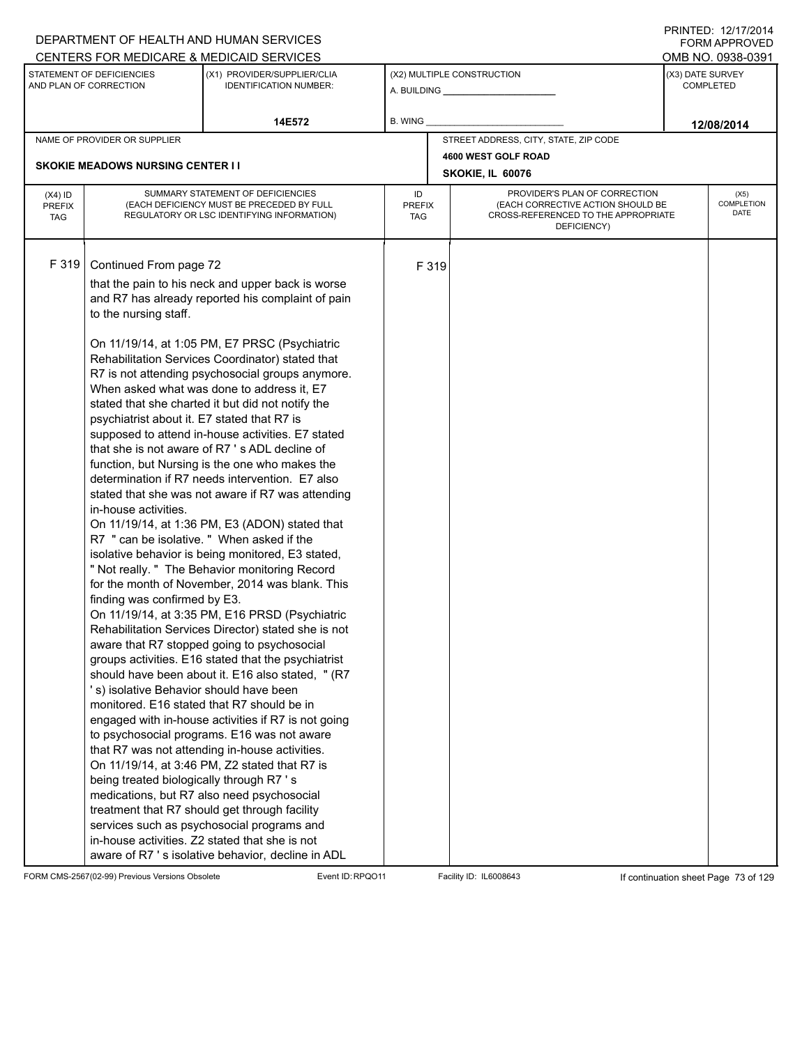|                                          |                                                                                                                                                                                                                                                                                             | DEPARTMENT OF HEALTH AND HUMAN SERVICES                                                                                                                                                                                                                                                                                                                                                                                                                                                                                                                                                                                                                                                                                                                                                                                                                                                                                                                                                                                                                                                                                                                                                                                                                                                                                                                                                                                                                                                                                                                                                                                      |                            |       |                                                                                                                          |                  | I I \ II \ I L D . I <i>L I I I I L</i> O I <del>T</del><br><b>FORM APPROVED</b> |
|------------------------------------------|---------------------------------------------------------------------------------------------------------------------------------------------------------------------------------------------------------------------------------------------------------------------------------------------|------------------------------------------------------------------------------------------------------------------------------------------------------------------------------------------------------------------------------------------------------------------------------------------------------------------------------------------------------------------------------------------------------------------------------------------------------------------------------------------------------------------------------------------------------------------------------------------------------------------------------------------------------------------------------------------------------------------------------------------------------------------------------------------------------------------------------------------------------------------------------------------------------------------------------------------------------------------------------------------------------------------------------------------------------------------------------------------------------------------------------------------------------------------------------------------------------------------------------------------------------------------------------------------------------------------------------------------------------------------------------------------------------------------------------------------------------------------------------------------------------------------------------------------------------------------------------------------------------------------------------|----------------------------|-------|--------------------------------------------------------------------------------------------------------------------------|------------------|----------------------------------------------------------------------------------|
|                                          |                                                                                                                                                                                                                                                                                             | CENTERS FOR MEDICARE & MEDICAID SERVICES                                                                                                                                                                                                                                                                                                                                                                                                                                                                                                                                                                                                                                                                                                                                                                                                                                                                                                                                                                                                                                                                                                                                                                                                                                                                                                                                                                                                                                                                                                                                                                                     |                            |       |                                                                                                                          |                  | OMB NO. 0938-0391                                                                |
|                                          | STATEMENT OF DEFICIENCIES<br>AND PLAN OF CORRECTION                                                                                                                                                                                                                                         | (X1) PROVIDER/SUPPLIER/CLIA<br><b>IDENTIFICATION NUMBER:</b>                                                                                                                                                                                                                                                                                                                                                                                                                                                                                                                                                                                                                                                                                                                                                                                                                                                                                                                                                                                                                                                                                                                                                                                                                                                                                                                                                                                                                                                                                                                                                                 |                            |       | (X2) MULTIPLE CONSTRUCTION                                                                                               | (X3) DATE SURVEY | <b>COMPLETED</b>                                                                 |
|                                          |                                                                                                                                                                                                                                                                                             | 14E572                                                                                                                                                                                                                                                                                                                                                                                                                                                                                                                                                                                                                                                                                                                                                                                                                                                                                                                                                                                                                                                                                                                                                                                                                                                                                                                                                                                                                                                                                                                                                                                                                       | <b>B. WING</b>             |       |                                                                                                                          |                  | 12/08/2014                                                                       |
|                                          | NAME OF PROVIDER OR SUPPLIER                                                                                                                                                                                                                                                                |                                                                                                                                                                                                                                                                                                                                                                                                                                                                                                                                                                                                                                                                                                                                                                                                                                                                                                                                                                                                                                                                                                                                                                                                                                                                                                                                                                                                                                                                                                                                                                                                                              |                            |       | STREET ADDRESS, CITY, STATE, ZIP CODE                                                                                    |                  |                                                                                  |
|                                          |                                                                                                                                                                                                                                                                                             |                                                                                                                                                                                                                                                                                                                                                                                                                                                                                                                                                                                                                                                                                                                                                                                                                                                                                                                                                                                                                                                                                                                                                                                                                                                                                                                                                                                                                                                                                                                                                                                                                              |                            |       | 4600 WEST GOLF ROAD                                                                                                      |                  |                                                                                  |
|                                          | <b>SKOKIE MEADOWS NURSING CENTER II</b>                                                                                                                                                                                                                                                     |                                                                                                                                                                                                                                                                                                                                                                                                                                                                                                                                                                                                                                                                                                                                                                                                                                                                                                                                                                                                                                                                                                                                                                                                                                                                                                                                                                                                                                                                                                                                                                                                                              |                            |       | SKOKIE, IL 60076                                                                                                         |                  |                                                                                  |
| $(X4)$ ID<br><b>PREFIX</b><br><b>TAG</b> |                                                                                                                                                                                                                                                                                             | SUMMARY STATEMENT OF DEFICIENCIES<br>(EACH DEFICIENCY MUST BE PRECEDED BY FULL<br>REGULATORY OR LSC IDENTIFYING INFORMATION)                                                                                                                                                                                                                                                                                                                                                                                                                                                                                                                                                                                                                                                                                                                                                                                                                                                                                                                                                                                                                                                                                                                                                                                                                                                                                                                                                                                                                                                                                                 | ID<br><b>PREFIX</b><br>TAG |       | PROVIDER'S PLAN OF CORRECTION<br>(EACH CORRECTIVE ACTION SHOULD BE<br>CROSS-REFERENCED TO THE APPROPRIATE<br>DEFICIENCY) |                  | (X5)<br><b>COMPLETION</b><br>DATE                                                |
| F 319                                    | Continued From page 72<br>to the nursing staff.<br>psychiatrist about it. E7 stated that R7 is<br>in-house activities.<br>R7 " can be isolative. " When asked if the<br>finding was confirmed by E3.<br>'s) isolative Behavior should have been<br>being treated biologically through R7 's | that the pain to his neck and upper back is worse<br>and R7 has already reported his complaint of pain<br>On 11/19/14, at 1:05 PM, E7 PRSC (Psychiatric<br>Rehabilitation Services Coordinator) stated that<br>R7 is not attending psychosocial groups anymore.<br>When asked what was done to address it, E7<br>stated that she charted it but did not notify the<br>supposed to attend in-house activities. E7 stated<br>that she is not aware of R7's ADL decline of<br>function, but Nursing is the one who makes the<br>determination if R7 needs intervention. E7 also<br>stated that she was not aware if R7 was attending<br>On 11/19/14, at 1:36 PM, E3 (ADON) stated that<br>isolative behavior is being monitored, E3 stated,<br>" Not really. " The Behavior monitoring Record<br>for the month of November, 2014 was blank. This<br>On 11/19/14, at 3:35 PM, E16 PRSD (Psychiatric<br>Rehabilitation Services Director) stated she is not<br>aware that R7 stopped going to psychosocial<br>groups activities. E16 stated that the psychiatrist<br>should have been about it. E16 also stated, " (R7<br>monitored. E16 stated that R7 should be in<br>engaged with in-house activities if R7 is not going<br>to psychosocial programs. E16 was not aware<br>that R7 was not attending in-house activities.<br>On 11/19/14, at 3:46 PM, Z2 stated that R7 is<br>medications, but R7 also need psychosocial<br>treatment that R7 should get through facility<br>services such as psychosocial programs and<br>in-house activities. Z2 stated that she is not<br>aware of R7 's isolative behavior, decline in ADL |                            | F 319 |                                                                                                                          |                  |                                                                                  |

FORM CMS-2567(02-99) Previous Versions Obsolete Event ID:RPQO11 Facility ID: IL6008643 If continuation sheet Page 73 of 129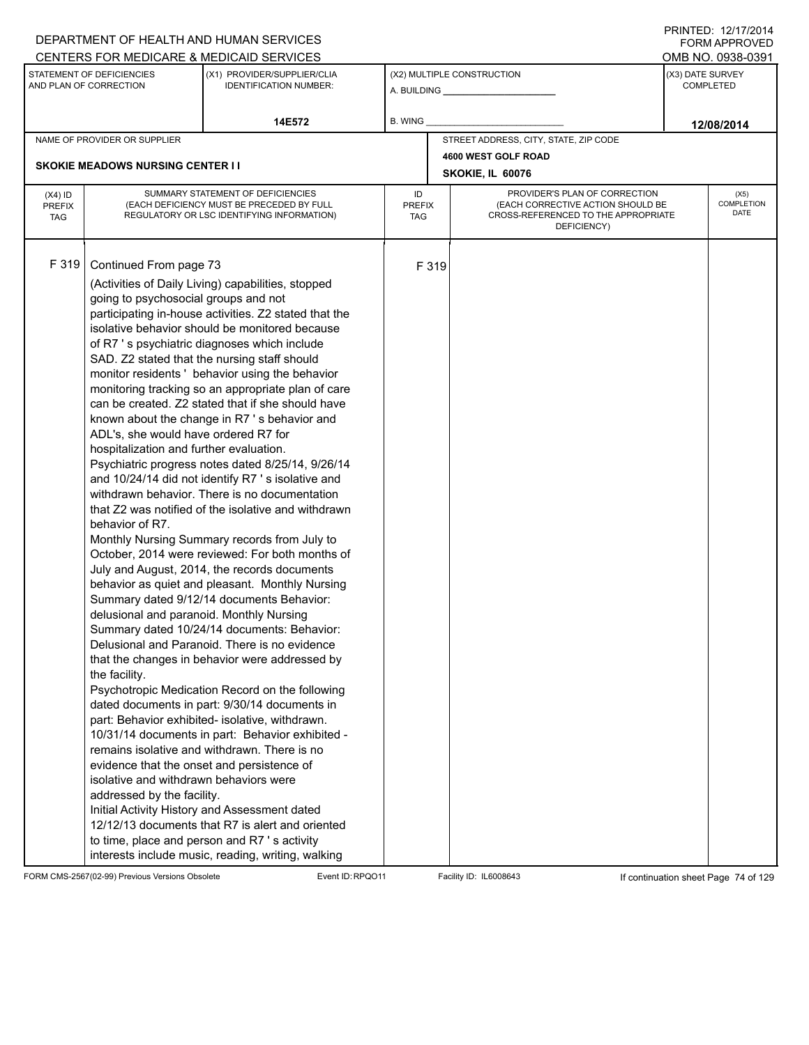|                                          |                                                                                                                                                                                                                                                                                                                                                         | DEPARTMENT OF HEALTH AND HUMAN SERVICES                                                                                                                                                                                                                                                                                                                                                                                                                                                                                                                                                                                                                                                                                                                                                                                                                                                                                                                                                                                                                                                                                                                                                                                                                                                                                                                                                                                                                                                                                                                                |                            |       |                                                                                                                          | <b>FORM APPROVED</b>                 |
|------------------------------------------|---------------------------------------------------------------------------------------------------------------------------------------------------------------------------------------------------------------------------------------------------------------------------------------------------------------------------------------------------------|------------------------------------------------------------------------------------------------------------------------------------------------------------------------------------------------------------------------------------------------------------------------------------------------------------------------------------------------------------------------------------------------------------------------------------------------------------------------------------------------------------------------------------------------------------------------------------------------------------------------------------------------------------------------------------------------------------------------------------------------------------------------------------------------------------------------------------------------------------------------------------------------------------------------------------------------------------------------------------------------------------------------------------------------------------------------------------------------------------------------------------------------------------------------------------------------------------------------------------------------------------------------------------------------------------------------------------------------------------------------------------------------------------------------------------------------------------------------------------------------------------------------------------------------------------------------|----------------------------|-------|--------------------------------------------------------------------------------------------------------------------------|--------------------------------------|
|                                          |                                                                                                                                                                                                                                                                                                                                                         | CENTERS FOR MEDICARE & MEDICAID SERVICES                                                                                                                                                                                                                                                                                                                                                                                                                                                                                                                                                                                                                                                                                                                                                                                                                                                                                                                                                                                                                                                                                                                                                                                                                                                                                                                                                                                                                                                                                                                               |                            |       |                                                                                                                          | OMB NO. 0938-0391                    |
|                                          | STATEMENT OF DEFICIENCIES<br>AND PLAN OF CORRECTION                                                                                                                                                                                                                                                                                                     | (X1) PROVIDER/SUPPLIER/CLIA<br><b>IDENTIFICATION NUMBER:</b>                                                                                                                                                                                                                                                                                                                                                                                                                                                                                                                                                                                                                                                                                                                                                                                                                                                                                                                                                                                                                                                                                                                                                                                                                                                                                                                                                                                                                                                                                                           |                            |       | (X2) MULTIPLE CONSTRUCTION<br>A. BUILDING ________________                                                               | (X3) DATE SURVEY<br><b>COMPLETED</b> |
|                                          |                                                                                                                                                                                                                                                                                                                                                         | 14E572                                                                                                                                                                                                                                                                                                                                                                                                                                                                                                                                                                                                                                                                                                                                                                                                                                                                                                                                                                                                                                                                                                                                                                                                                                                                                                                                                                                                                                                                                                                                                                 | <b>B. WING</b>             |       |                                                                                                                          | 12/08/2014                           |
|                                          | NAME OF PROVIDER OR SUPPLIER                                                                                                                                                                                                                                                                                                                            |                                                                                                                                                                                                                                                                                                                                                                                                                                                                                                                                                                                                                                                                                                                                                                                                                                                                                                                                                                                                                                                                                                                                                                                                                                                                                                                                                                                                                                                                                                                                                                        |                            |       | STREET ADDRESS, CITY, STATE, ZIP CODE                                                                                    |                                      |
|                                          |                                                                                                                                                                                                                                                                                                                                                         |                                                                                                                                                                                                                                                                                                                                                                                                                                                                                                                                                                                                                                                                                                                                                                                                                                                                                                                                                                                                                                                                                                                                                                                                                                                                                                                                                                                                                                                                                                                                                                        |                            |       | 4600 WEST GOLF ROAD                                                                                                      |                                      |
|                                          | <b>SKOKIE MEADOWS NURSING CENTER II</b>                                                                                                                                                                                                                                                                                                                 |                                                                                                                                                                                                                                                                                                                                                                                                                                                                                                                                                                                                                                                                                                                                                                                                                                                                                                                                                                                                                                                                                                                                                                                                                                                                                                                                                                                                                                                                                                                                                                        |                            |       | SKOKIE, IL 60076                                                                                                         |                                      |
| $(X4)$ ID<br><b>PREFIX</b><br><b>TAG</b> |                                                                                                                                                                                                                                                                                                                                                         | SUMMARY STATEMENT OF DEFICIENCIES<br>(EACH DEFICIENCY MUST BE PRECEDED BY FULL<br>REGULATORY OR LSC IDENTIFYING INFORMATION)                                                                                                                                                                                                                                                                                                                                                                                                                                                                                                                                                                                                                                                                                                                                                                                                                                                                                                                                                                                                                                                                                                                                                                                                                                                                                                                                                                                                                                           | ID<br><b>PREFIX</b><br>TAG |       | PROVIDER'S PLAN OF CORRECTION<br>(EACH CORRECTIVE ACTION SHOULD BE<br>CROSS-REFERENCED TO THE APPROPRIATE<br>DEFICIENCY) | (X5)<br>COMPLETION<br>DATE           |
| F 319                                    | Continued From page 73<br>going to psychosocial groups and not<br>ADL's, she would have ordered R7 for<br>hospitalization and further evaluation.<br>behavior of R7.<br>delusional and paranoid. Monthly Nursing<br>the facility.<br>evidence that the onset and persistence of<br>isolative and withdrawn behaviors were<br>addressed by the facility. | (Activities of Daily Living) capabilities, stopped<br>participating in-house activities. Z2 stated that the<br>isolative behavior should be monitored because<br>of R7 's psychiatric diagnoses which include<br>SAD. Z2 stated that the nursing staff should<br>monitor residents ' behavior using the behavior<br>monitoring tracking so an appropriate plan of care<br>can be created. Z2 stated that if she should have<br>known about the change in R7's behavior and<br>Psychiatric progress notes dated 8/25/14, 9/26/14<br>and 10/24/14 did not identify R7's isolative and<br>withdrawn behavior. There is no documentation<br>that Z2 was notified of the isolative and withdrawn<br>Monthly Nursing Summary records from July to<br>October, 2014 were reviewed: For both months of<br>July and August, 2014, the records documents<br>behavior as quiet and pleasant. Monthly Nursing<br>Summary dated 9/12/14 documents Behavior:<br>Summary dated 10/24/14 documents: Behavior:<br>Delusional and Paranoid. There is no evidence<br>that the changes in behavior were addressed by<br>Psychotropic Medication Record on the following<br>dated documents in part: 9/30/14 documents in<br>part: Behavior exhibited- isolative, withdrawn.<br>10/31/14 documents in part: Behavior exhibited -<br>remains isolative and withdrawn. There is no<br>Initial Activity History and Assessment dated<br>12/12/13 documents that R7 is alert and oriented<br>to time, place and person and R7 's activity<br>interests include music, reading, writing, walking |                            | F 319 |                                                                                                                          |                                      |

FORM CMS-2567(02-99) Previous Versions Obsolete Event ID:RPQO11 Facility ID: IL6008643 If continuation sheet Page 74 of 129

PRINTED: 12/17/2014 FORM APPROVED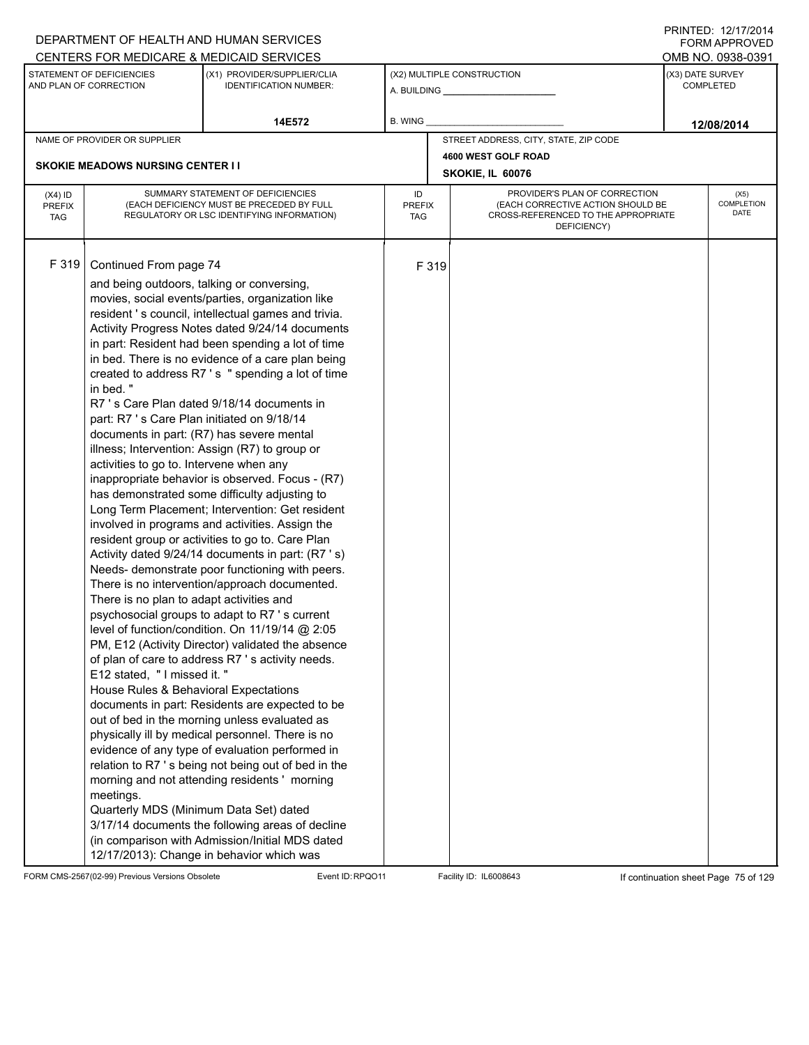|                                          |                                                                                                                                                                                                                                                                                                                                                       | DEPARTMENT OF HEALTH AND HUMAN SERVICES                                                                                                                                                                                                                                                                                                                                                                                                                                                                                                                                                                                                                                                                                                                                                                                                                                                                                                                                                                                                                                                                                                                                                                                                                                                                                                                                                                                                                                                                                                                                         |                            |       |                                                                                                                          |                  | <b>FORM APPROVED</b>              |
|------------------------------------------|-------------------------------------------------------------------------------------------------------------------------------------------------------------------------------------------------------------------------------------------------------------------------------------------------------------------------------------------------------|---------------------------------------------------------------------------------------------------------------------------------------------------------------------------------------------------------------------------------------------------------------------------------------------------------------------------------------------------------------------------------------------------------------------------------------------------------------------------------------------------------------------------------------------------------------------------------------------------------------------------------------------------------------------------------------------------------------------------------------------------------------------------------------------------------------------------------------------------------------------------------------------------------------------------------------------------------------------------------------------------------------------------------------------------------------------------------------------------------------------------------------------------------------------------------------------------------------------------------------------------------------------------------------------------------------------------------------------------------------------------------------------------------------------------------------------------------------------------------------------------------------------------------------------------------------------------------|----------------------------|-------|--------------------------------------------------------------------------------------------------------------------------|------------------|-----------------------------------|
|                                          |                                                                                                                                                                                                                                                                                                                                                       | CENTERS FOR MEDICARE & MEDICAID SERVICES                                                                                                                                                                                                                                                                                                                                                                                                                                                                                                                                                                                                                                                                                                                                                                                                                                                                                                                                                                                                                                                                                                                                                                                                                                                                                                                                                                                                                                                                                                                                        |                            |       |                                                                                                                          |                  | OMB NO. 0938-0391                 |
|                                          | STATEMENT OF DEFICIENCIES<br>AND PLAN OF CORRECTION                                                                                                                                                                                                                                                                                                   | (X1) PROVIDER/SUPPLIER/CLIA<br><b>IDENTIFICATION NUMBER:</b>                                                                                                                                                                                                                                                                                                                                                                                                                                                                                                                                                                                                                                                                                                                                                                                                                                                                                                                                                                                                                                                                                                                                                                                                                                                                                                                                                                                                                                                                                                                    |                            |       | (X2) MULTIPLE CONSTRUCTION                                                                                               | (X3) DATE SURVEY | <b>COMPLETED</b>                  |
|                                          |                                                                                                                                                                                                                                                                                                                                                       | 14E572                                                                                                                                                                                                                                                                                                                                                                                                                                                                                                                                                                                                                                                                                                                                                                                                                                                                                                                                                                                                                                                                                                                                                                                                                                                                                                                                                                                                                                                                                                                                                                          | B. WING                    |       |                                                                                                                          |                  | 12/08/2014                        |
|                                          | NAME OF PROVIDER OR SUPPLIER                                                                                                                                                                                                                                                                                                                          |                                                                                                                                                                                                                                                                                                                                                                                                                                                                                                                                                                                                                                                                                                                                                                                                                                                                                                                                                                                                                                                                                                                                                                                                                                                                                                                                                                                                                                                                                                                                                                                 |                            |       | STREET ADDRESS, CITY, STATE, ZIP CODE                                                                                    |                  |                                   |
|                                          |                                                                                                                                                                                                                                                                                                                                                       |                                                                                                                                                                                                                                                                                                                                                                                                                                                                                                                                                                                                                                                                                                                                                                                                                                                                                                                                                                                                                                                                                                                                                                                                                                                                                                                                                                                                                                                                                                                                                                                 |                            |       | 4600 WEST GOLF ROAD                                                                                                      |                  |                                   |
|                                          | <b>SKOKIE MEADOWS NURSING CENTER II</b>                                                                                                                                                                                                                                                                                                               |                                                                                                                                                                                                                                                                                                                                                                                                                                                                                                                                                                                                                                                                                                                                                                                                                                                                                                                                                                                                                                                                                                                                                                                                                                                                                                                                                                                                                                                                                                                                                                                 |                            |       | SKOKIE, IL 60076                                                                                                         |                  |                                   |
| $(X4)$ ID<br><b>PREFIX</b><br><b>TAG</b> |                                                                                                                                                                                                                                                                                                                                                       | SUMMARY STATEMENT OF DEFICIENCIES<br>(EACH DEFICIENCY MUST BE PRECEDED BY FULL<br>REGULATORY OR LSC IDENTIFYING INFORMATION)                                                                                                                                                                                                                                                                                                                                                                                                                                                                                                                                                                                                                                                                                                                                                                                                                                                                                                                                                                                                                                                                                                                                                                                                                                                                                                                                                                                                                                                    | ID<br><b>PREFIX</b><br>TAG |       | PROVIDER'S PLAN OF CORRECTION<br>(EACH CORRECTIVE ACTION SHOULD BE<br>CROSS-REFERENCED TO THE APPROPRIATE<br>DEFICIENCY) |                  | (X5)<br><b>COMPLETION</b><br>DATE |
| F319                                     | Continued From page 74<br>and being outdoors, talking or conversing,<br>in bed."<br>part: R7 's Care Plan initiated on 9/18/14<br>activities to go to. Intervene when any<br>There is no plan to adapt activities and<br>E12 stated, " I missed it. "<br>House Rules & Behavioral Expectations<br>meetings.<br>Quarterly MDS (Minimum Data Set) dated | movies, social events/parties, organization like<br>resident 's council, intellectual games and trivia.<br>Activity Progress Notes dated 9/24/14 documents<br>in part: Resident had been spending a lot of time<br>in bed. There is no evidence of a care plan being<br>created to address R7's "spending a lot of time<br>R7 's Care Plan dated 9/18/14 documents in<br>documents in part: (R7) has severe mental<br>illness; Intervention: Assign (R7) to group or<br>inappropriate behavior is observed. Focus - (R7)<br>has demonstrated some difficulty adjusting to<br>Long Term Placement; Intervention: Get resident<br>involved in programs and activities. Assign the<br>resident group or activities to go to. Care Plan<br>Activity dated 9/24/14 documents in part: (R7 's)<br>Needs- demonstrate poor functioning with peers.<br>There is no intervention/approach documented.<br>psychosocial groups to adapt to R7 's current<br>level of function/condition. On 11/19/14 @ 2:05<br>PM, E12 (Activity Director) validated the absence<br>of plan of care to address R7 's activity needs.<br>documents in part: Residents are expected to be<br>out of bed in the morning unless evaluated as<br>physically ill by medical personnel. There is no<br>evidence of any type of evaluation performed in<br>relation to R7 's being not being out of bed in the<br>morning and not attending residents' morning<br>3/17/14 documents the following areas of decline<br>(in comparison with Admission/Initial MDS dated<br>12/17/2013): Change in behavior which was |                            | F 319 |                                                                                                                          |                  |                                   |

FORM CMS-2567(02-99) Previous Versions Obsolete Event ID:RPQO11 Facility ID: IL6008643 If continuation sheet Page 75 of 129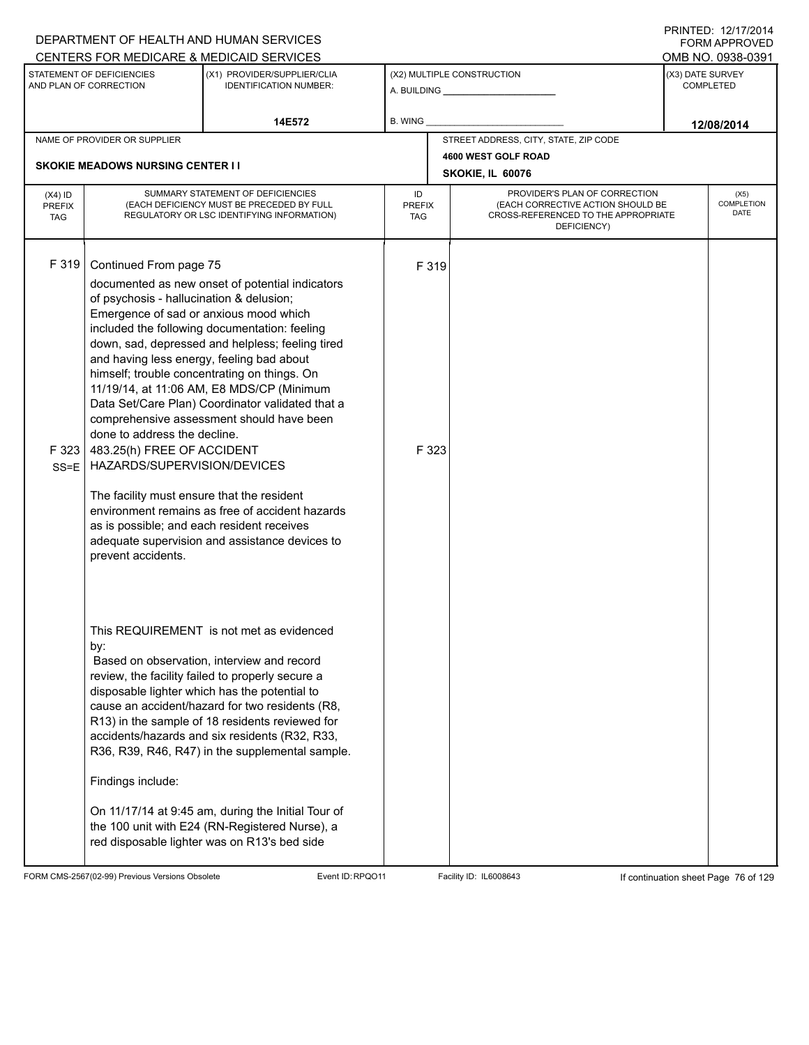|                                          |                                                                                                                                                                                                                                                                                                                                                                          | DEPARTMENT OF HEALTH AND HUMAN SERVICES                                                                                                                                                                                                                                                                                                                                                                                                                                                                                                                        |                            |                                                                                                                          |                  | FORM APPROVED              |
|------------------------------------------|--------------------------------------------------------------------------------------------------------------------------------------------------------------------------------------------------------------------------------------------------------------------------------------------------------------------------------------------------------------------------|----------------------------------------------------------------------------------------------------------------------------------------------------------------------------------------------------------------------------------------------------------------------------------------------------------------------------------------------------------------------------------------------------------------------------------------------------------------------------------------------------------------------------------------------------------------|----------------------------|--------------------------------------------------------------------------------------------------------------------------|------------------|----------------------------|
|                                          | STATEMENT OF DEFICIENCIES                                                                                                                                                                                                                                                                                                                                                | CENTERS FOR MEDICARE & MEDICAID SERVICES<br>(X1) PROVIDER/SUPPLIER/CLIA                                                                                                                                                                                                                                                                                                                                                                                                                                                                                        |                            | (X2) MULTIPLE CONSTRUCTION                                                                                               | (X3) DATE SURVEY | OMB NO. 0938-0391          |
|                                          | AND PLAN OF CORRECTION                                                                                                                                                                                                                                                                                                                                                   | <b>IDENTIFICATION NUMBER:</b>                                                                                                                                                                                                                                                                                                                                                                                                                                                                                                                                  |                            | A. BUILDING <b>A.</b> BUILDING                                                                                           |                  | COMPLETED                  |
|                                          |                                                                                                                                                                                                                                                                                                                                                                          | 14E572                                                                                                                                                                                                                                                                                                                                                                                                                                                                                                                                                         | B. WING                    |                                                                                                                          |                  | 12/08/2014                 |
|                                          | NAME OF PROVIDER OR SUPPLIER                                                                                                                                                                                                                                                                                                                                             |                                                                                                                                                                                                                                                                                                                                                                                                                                                                                                                                                                |                            | STREET ADDRESS, CITY, STATE, ZIP CODE                                                                                    |                  |                            |
|                                          | <b>SKOKIE MEADOWS NURSING CENTER II</b>                                                                                                                                                                                                                                                                                                                                  |                                                                                                                                                                                                                                                                                                                                                                                                                                                                                                                                                                |                            | 4600 WEST GOLF ROAD<br>SKOKIE, IL 60076                                                                                  |                  |                            |
| $(X4)$ ID<br><b>PREFIX</b><br><b>TAG</b> |                                                                                                                                                                                                                                                                                                                                                                          | SUMMARY STATEMENT OF DEFICIENCIES<br>(EACH DEFICIENCY MUST BE PRECEDED BY FULL<br>REGULATORY OR LSC IDENTIFYING INFORMATION)                                                                                                                                                                                                                                                                                                                                                                                                                                   | ID<br>PREFIX<br><b>TAG</b> | PROVIDER'S PLAN OF CORRECTION<br>(EACH CORRECTIVE ACTION SHOULD BE<br>CROSS-REFERENCED TO THE APPROPRIATE<br>DEFICIENCY) |                  | (X5)<br>COMPLETION<br>DATE |
| F 319<br>F323<br>$SS = E$                | Continued From page 75<br>of psychosis - hallucination & delusion;<br>Emergence of sad or anxious mood which<br>and having less energy, feeling bad about<br>done to address the decline.<br>483.25(h) FREE OF ACCIDENT<br>HAZARDS/SUPERVISION/DEVICES<br>The facility must ensure that the resident<br>as is possible; and each resident receives<br>prevent accidents. | documented as new onset of potential indicators<br>included the following documentation: feeling<br>down, sad, depressed and helpless; feeling tired<br>himself; trouble concentrating on things. On<br>11/19/14, at 11:06 AM, E8 MDS/CP (Minimum<br>Data Set/Care Plan) Coordinator validated that a<br>comprehensive assessment should have been<br>environment remains as free of accident hazards<br>adequate supervision and assistance devices to                                                                                                        | F 319<br>F 323             |                                                                                                                          |                  |                            |
|                                          | by:<br>Findings include:                                                                                                                                                                                                                                                                                                                                                 | This REQUIREMENT is not met as evidenced<br>Based on observation, interview and record<br>review, the facility failed to properly secure a<br>disposable lighter which has the potential to<br>cause an accident/hazard for two residents (R8,<br>R13) in the sample of 18 residents reviewed for<br>accidents/hazards and six residents (R32, R33,<br>R36, R39, R46, R47) in the supplemental sample.<br>On 11/17/14 at 9:45 am, during the Initial Tour of<br>the 100 unit with E24 (RN-Registered Nurse), a<br>red disposable lighter was on R13's bed side |                            |                                                                                                                          |                  |                            |

FORM CMS-2567(02-99) Previous Versions Obsolete Event ID:RPQO11 Facility ID: IL6008643 If continuation sheet Page 76 of 129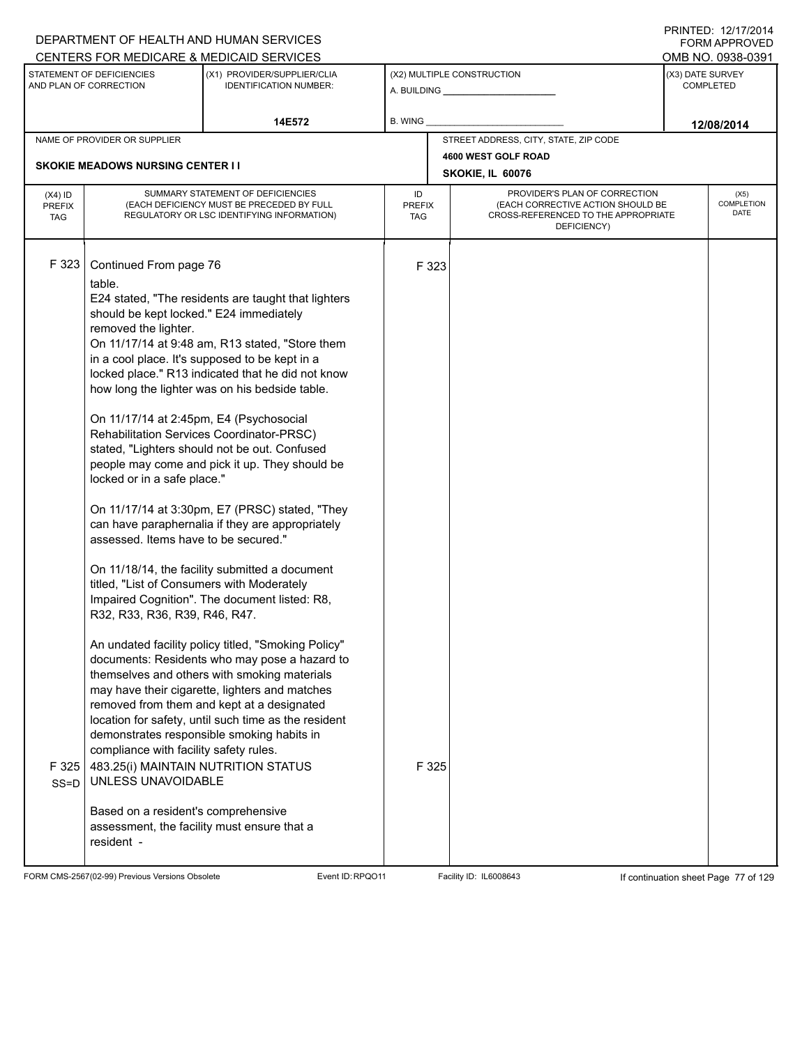|                                   |                                                                                                                                                                                                                                                                                                                                                                                                                                                                                                                 | DEPARTMENT OF HEALTH AND HUMAN SERVICES                                                                                                                                                                                                                                                                                                                                                                                                                                                                                                                                                                                                                                                                                                                                                                                                                                                                                                                                                |                            |                |                                                                                                                          |                  | <b>FORM APPROVED</b>              |  |
|-----------------------------------|-----------------------------------------------------------------------------------------------------------------------------------------------------------------------------------------------------------------------------------------------------------------------------------------------------------------------------------------------------------------------------------------------------------------------------------------------------------------------------------------------------------------|----------------------------------------------------------------------------------------------------------------------------------------------------------------------------------------------------------------------------------------------------------------------------------------------------------------------------------------------------------------------------------------------------------------------------------------------------------------------------------------------------------------------------------------------------------------------------------------------------------------------------------------------------------------------------------------------------------------------------------------------------------------------------------------------------------------------------------------------------------------------------------------------------------------------------------------------------------------------------------------|----------------------------|----------------|--------------------------------------------------------------------------------------------------------------------------|------------------|-----------------------------------|--|
|                                   |                                                                                                                                                                                                                                                                                                                                                                                                                                                                                                                 | CENTERS FOR MEDICARE & MEDICAID SERVICES                                                                                                                                                                                                                                                                                                                                                                                                                                                                                                                                                                                                                                                                                                                                                                                                                                                                                                                                               |                            |                |                                                                                                                          |                  | OMB NO. 0938-0391                 |  |
|                                   | STATEMENT OF DEFICIENCIES<br>AND PLAN OF CORRECTION                                                                                                                                                                                                                                                                                                                                                                                                                                                             | (X1) PROVIDER/SUPPLIER/CLIA<br><b>IDENTIFICATION NUMBER:</b>                                                                                                                                                                                                                                                                                                                                                                                                                                                                                                                                                                                                                                                                                                                                                                                                                                                                                                                           |                            |                | (X2) MULTIPLE CONSTRUCTION                                                                                               | (X3) DATE SURVEY | <b>COMPLETED</b>                  |  |
|                                   |                                                                                                                                                                                                                                                                                                                                                                                                                                                                                                                 | 14E572                                                                                                                                                                                                                                                                                                                                                                                                                                                                                                                                                                                                                                                                                                                                                                                                                                                                                                                                                                                 | B. WING                    |                |                                                                                                                          |                  | 12/08/2014                        |  |
|                                   | NAME OF PROVIDER OR SUPPLIER                                                                                                                                                                                                                                                                                                                                                                                                                                                                                    |                                                                                                                                                                                                                                                                                                                                                                                                                                                                                                                                                                                                                                                                                                                                                                                                                                                                                                                                                                                        |                            |                | STREET ADDRESS, CITY, STATE, ZIP CODE                                                                                    |                  |                                   |  |
|                                   | <b>SKOKIE MEADOWS NURSING CENTER I I</b>                                                                                                                                                                                                                                                                                                                                                                                                                                                                        |                                                                                                                                                                                                                                                                                                                                                                                                                                                                                                                                                                                                                                                                                                                                                                                                                                                                                                                                                                                        |                            |                | 4600 WEST GOLF ROAD                                                                                                      |                  |                                   |  |
|                                   |                                                                                                                                                                                                                                                                                                                                                                                                                                                                                                                 |                                                                                                                                                                                                                                                                                                                                                                                                                                                                                                                                                                                                                                                                                                                                                                                                                                                                                                                                                                                        |                            |                | SKOKIE, IL 60076                                                                                                         |                  |                                   |  |
| $(X4)$ ID<br>PREFIX<br><b>TAG</b> |                                                                                                                                                                                                                                                                                                                                                                                                                                                                                                                 | SUMMARY STATEMENT OF DEFICIENCIES<br>(EACH DEFICIENCY MUST BE PRECEDED BY FULL<br>REGULATORY OR LSC IDENTIFYING INFORMATION)                                                                                                                                                                                                                                                                                                                                                                                                                                                                                                                                                                                                                                                                                                                                                                                                                                                           | ID<br><b>PREFIX</b><br>TAG |                | PROVIDER'S PLAN OF CORRECTION<br>(EACH CORRECTIVE ACTION SHOULD BE<br>CROSS-REFERENCED TO THE APPROPRIATE<br>DEFICIENCY) |                  | (X5)<br><b>COMPLETION</b><br>DATE |  |
| F 323<br>F 325<br>$SS = D$        | Continued From page 76<br>table.<br>should be kept locked." E24 immediately<br>removed the lighter.<br>On 11/17/14 at 2:45pm, E4 (Psychosocial<br>locked or in a safe place."<br>assessed. Items have to be secured."<br>titled, "List of Consumers with Moderately<br>R32, R33, R36, R39, R46, R47.<br>compliance with facility safety rules.<br>483.25(i) MAINTAIN NUTRITION STATUS<br>UNLESS UNAVOIDABLE<br>Based on a resident's comprehensive<br>assessment, the facility must ensure that a<br>resident - | E24 stated, "The residents are taught that lighters<br>On 11/17/14 at 9:48 am, R13 stated, "Store them<br>in a cool place. It's supposed to be kept in a<br>locked place." R13 indicated that he did not know<br>how long the lighter was on his bedside table.<br>Rehabilitation Services Coordinator-PRSC)<br>stated, "Lighters should not be out. Confused<br>people may come and pick it up. They should be<br>On 11/17/14 at 3:30pm, E7 (PRSC) stated, "They<br>can have paraphernalia if they are appropriately<br>On 11/18/14, the facility submitted a document<br>Impaired Cognition". The document listed: R8,<br>An undated facility policy titled, "Smoking Policy"<br>documents: Residents who may pose a hazard to<br>themselves and others with smoking materials<br>may have their cigarette, lighters and matches<br>removed from them and kept at a designated<br>location for safety, until such time as the resident<br>demonstrates responsible smoking habits in |                            | F 323<br>F 325 |                                                                                                                          |                  |                                   |  |
|                                   |                                                                                                                                                                                                                                                                                                                                                                                                                                                                                                                 |                                                                                                                                                                                                                                                                                                                                                                                                                                                                                                                                                                                                                                                                                                                                                                                                                                                                                                                                                                                        |                            |                |                                                                                                                          |                  |                                   |  |

FORM CMS-2567(02-99) Previous Versions Obsolete Event ID:RPQO11 Facility ID: IL6008643 If continuation sheet Page 77 of 129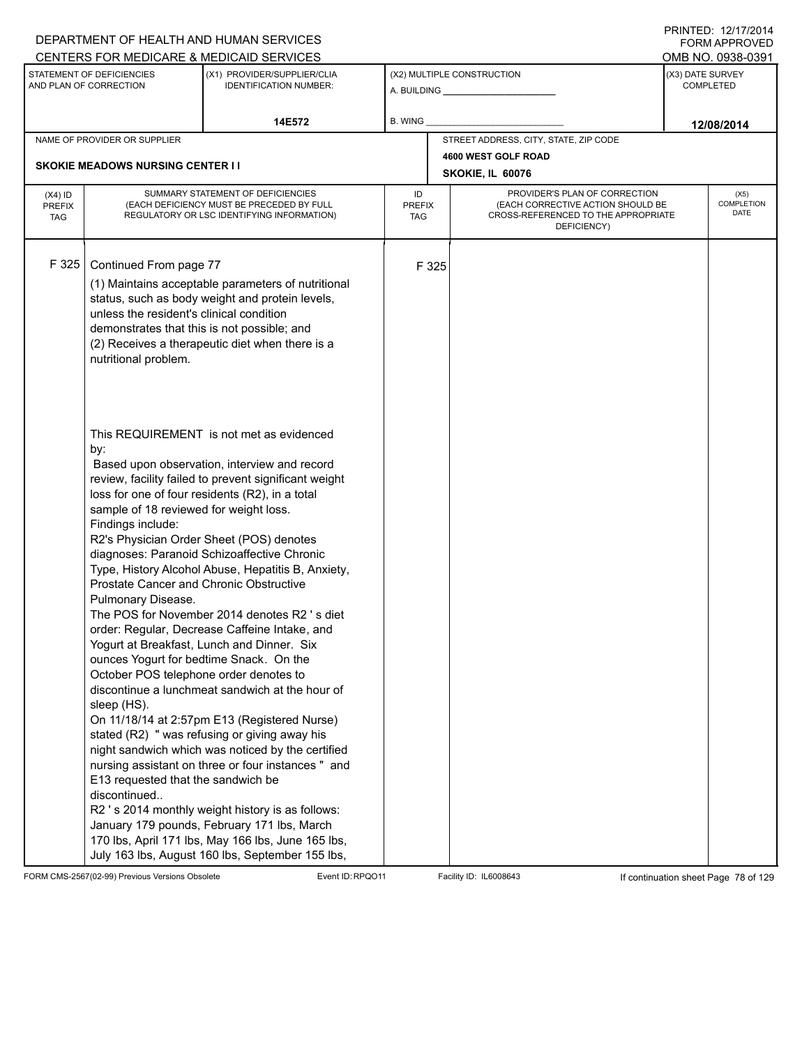|                                          |                                                                                                                                                                                                                                                                                               | DEPARTMENT OF HEALTH AND HUMAN SERVICES<br>CENTERS FOR MEDICARE & MEDICAID SERVICES                                                                                                                                                                                                                                                                                                                                                                                                                                                                                                                                                                                                                                                                                                                                                                                                                                                                                              |                                   |       |                                                                                                                          |                  | FNINILU. IZIIIIZVI <del>4</del><br>FORM APPROVED<br>OMB NO. 0938-0391 |
|------------------------------------------|-----------------------------------------------------------------------------------------------------------------------------------------------------------------------------------------------------------------------------------------------------------------------------------------------|----------------------------------------------------------------------------------------------------------------------------------------------------------------------------------------------------------------------------------------------------------------------------------------------------------------------------------------------------------------------------------------------------------------------------------------------------------------------------------------------------------------------------------------------------------------------------------------------------------------------------------------------------------------------------------------------------------------------------------------------------------------------------------------------------------------------------------------------------------------------------------------------------------------------------------------------------------------------------------|-----------------------------------|-------|--------------------------------------------------------------------------------------------------------------------------|------------------|-----------------------------------------------------------------------|
|                                          | STATEMENT OF DEFICIENCIES<br>AND PLAN OF CORRECTION                                                                                                                                                                                                                                           | (X1) PROVIDER/SUPPLIER/CLIA<br><b>IDENTIFICATION NUMBER:</b>                                                                                                                                                                                                                                                                                                                                                                                                                                                                                                                                                                                                                                                                                                                                                                                                                                                                                                                     |                                   |       | (X2) MULTIPLE CONSTRUCTION                                                                                               | (X3) DATE SURVEY | <b>COMPLETED</b>                                                      |
|                                          |                                                                                                                                                                                                                                                                                               | 14E572                                                                                                                                                                                                                                                                                                                                                                                                                                                                                                                                                                                                                                                                                                                                                                                                                                                                                                                                                                           | <b>B. WING</b>                    |       |                                                                                                                          |                  | 12/08/2014                                                            |
|                                          | NAME OF PROVIDER OR SUPPLIER                                                                                                                                                                                                                                                                  |                                                                                                                                                                                                                                                                                                                                                                                                                                                                                                                                                                                                                                                                                                                                                                                                                                                                                                                                                                                  |                                   |       | STREET ADDRESS, CITY, STATE, ZIP CODE                                                                                    |                  |                                                                       |
|                                          | <b>SKOKIE MEADOWS NURSING CENTER I I</b>                                                                                                                                                                                                                                                      |                                                                                                                                                                                                                                                                                                                                                                                                                                                                                                                                                                                                                                                                                                                                                                                                                                                                                                                                                                                  |                                   |       | 4600 WEST GOLF ROAD                                                                                                      |                  |                                                                       |
|                                          |                                                                                                                                                                                                                                                                                               |                                                                                                                                                                                                                                                                                                                                                                                                                                                                                                                                                                                                                                                                                                                                                                                                                                                                                                                                                                                  |                                   |       | SKOKIE, IL 60076                                                                                                         |                  |                                                                       |
| $(X4)$ ID<br><b>PREFIX</b><br><b>TAG</b> |                                                                                                                                                                                                                                                                                               | SUMMARY STATEMENT OF DEFICIENCIES<br>(EACH DEFICIENCY MUST BE PRECEDED BY FULL<br>REGULATORY OR LSC IDENTIFYING INFORMATION)                                                                                                                                                                                                                                                                                                                                                                                                                                                                                                                                                                                                                                                                                                                                                                                                                                                     | ID<br><b>PREFIX</b><br><b>TAG</b> |       | PROVIDER'S PLAN OF CORRECTION<br>(EACH CORRECTIVE ACTION SHOULD BE<br>CROSS-REFERENCED TO THE APPROPRIATE<br>DEFICIENCY) |                  | (X5)<br>COMPLETION<br><b>DATE</b>                                     |
| F 325                                    | Continued From page 77<br>unless the resident's clinical condition<br>demonstrates that this is not possible; and<br>nutritional problem.                                                                                                                                                     | (1) Maintains acceptable parameters of nutritional<br>status, such as body weight and protein levels,<br>(2) Receives a therapeutic diet when there is a                                                                                                                                                                                                                                                                                                                                                                                                                                                                                                                                                                                                                                                                                                                                                                                                                         |                                   | F 325 |                                                                                                                          |                  |                                                                       |
|                                          | by:<br>sample of 18 reviewed for weight loss.<br>Findings include:<br>Prostate Cancer and Chronic Obstructive<br>Pulmonary Disease.<br>ounces Yogurt for bedtime Snack. On the<br>October POS telephone order denotes to<br>sleep (HS).<br>E13 requested that the sandwich be<br>discontinued | This REQUIREMENT is not met as evidenced<br>Based upon observation, interview and record<br>review, facility failed to prevent significant weight<br>loss for one of four residents (R2), in a total<br>R2's Physician Order Sheet (POS) denotes<br>diagnoses: Paranoid Schizoaffective Chronic<br>Type, History Alcohol Abuse, Hepatitis B, Anxiety,<br>The POS for November 2014 denotes R2 's diet<br>order: Regular, Decrease Caffeine Intake, and<br>Yogurt at Breakfast, Lunch and Dinner. Six<br>discontinue a lunchmeat sandwich at the hour of<br>On 11/18/14 at 2:57pm E13 (Registered Nurse)<br>stated (R2) " was refusing or giving away his<br>night sandwich which was noticed by the certified<br>nursing assistant on three or four instances " and<br>R2 's 2014 monthly weight history is as follows:<br>January 179 pounds, February 171 lbs, March<br>170 lbs, April 171 lbs, May 166 lbs, June 165 lbs,<br>July 163 lbs, August 160 lbs, September 155 lbs, |                                   |       |                                                                                                                          |                  |                                                                       |

FORM CMS-2567(02-99) Previous Versions Obsolete Event ID:RPQO11 Facility ID: IL6008643 If continuation sheet Page 78 of 129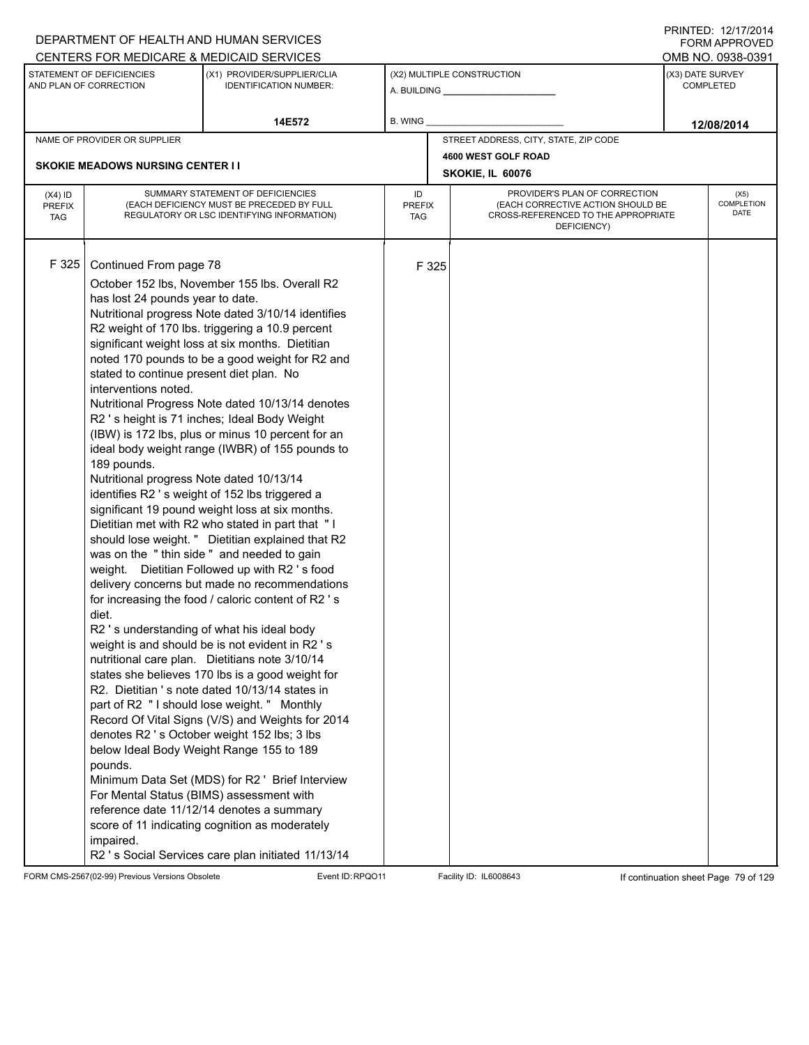|                                          |                                                                                                                                                                                                                                                                        | DEPARTMENT OF HEALTH AND HUMAN SERVICES                                                                                                                                                                                                                                                                                                                                                                                                                                                                                                                                                                                                                                                                                                                                                                                                                                                                                                                                                                                                                                                                                                                                                                                                                                                                                                                                                                                                                                                                                                                     |                                   |                  |                                                                                                                          |  | $1 \times 1 \times 1 = 1$ . $1 \times 1 \times 1 = 1$<br><b>FORM APPROVED</b> |  |  |  |
|------------------------------------------|------------------------------------------------------------------------------------------------------------------------------------------------------------------------------------------------------------------------------------------------------------------------|-------------------------------------------------------------------------------------------------------------------------------------------------------------------------------------------------------------------------------------------------------------------------------------------------------------------------------------------------------------------------------------------------------------------------------------------------------------------------------------------------------------------------------------------------------------------------------------------------------------------------------------------------------------------------------------------------------------------------------------------------------------------------------------------------------------------------------------------------------------------------------------------------------------------------------------------------------------------------------------------------------------------------------------------------------------------------------------------------------------------------------------------------------------------------------------------------------------------------------------------------------------------------------------------------------------------------------------------------------------------------------------------------------------------------------------------------------------------------------------------------------------------------------------------------------------|-----------------------------------|------------------|--------------------------------------------------------------------------------------------------------------------------|--|-------------------------------------------------------------------------------|--|--|--|
|                                          |                                                                                                                                                                                                                                                                        | CENTERS FOR MEDICARE & MEDICAID SERVICES                                                                                                                                                                                                                                                                                                                                                                                                                                                                                                                                                                                                                                                                                                                                                                                                                                                                                                                                                                                                                                                                                                                                                                                                                                                                                                                                                                                                                                                                                                                    |                                   |                  |                                                                                                                          |  | OMB NO. 0938-0391                                                             |  |  |  |
|                                          | STATEMENT OF DEFICIENCIES<br>AND PLAN OF CORRECTION                                                                                                                                                                                                                    | (X1) PROVIDER/SUPPLIER/CLIA<br><b>IDENTIFICATION NUMBER:</b>                                                                                                                                                                                                                                                                                                                                                                                                                                                                                                                                                                                                                                                                                                                                                                                                                                                                                                                                                                                                                                                                                                                                                                                                                                                                                                                                                                                                                                                                                                |                                   |                  | (X2) MULTIPLE CONSTRUCTION                                                                                               |  | (X3) DATE SURVEY<br><b>COMPLETED</b>                                          |  |  |  |
|                                          |                                                                                                                                                                                                                                                                        | 14E572                                                                                                                                                                                                                                                                                                                                                                                                                                                                                                                                                                                                                                                                                                                                                                                                                                                                                                                                                                                                                                                                                                                                                                                                                                                                                                                                                                                                                                                                                                                                                      | B. WING                           |                  |                                                                                                                          |  | 12/08/2014                                                                    |  |  |  |
|                                          | NAME OF PROVIDER OR SUPPLIER                                                                                                                                                                                                                                           |                                                                                                                                                                                                                                                                                                                                                                                                                                                                                                                                                                                                                                                                                                                                                                                                                                                                                                                                                                                                                                                                                                                                                                                                                                                                                                                                                                                                                                                                                                                                                             |                                   |                  | STREET ADDRESS, CITY, STATE, ZIP CODE                                                                                    |  |                                                                               |  |  |  |
|                                          |                                                                                                                                                                                                                                                                        |                                                                                                                                                                                                                                                                                                                                                                                                                                                                                                                                                                                                                                                                                                                                                                                                                                                                                                                                                                                                                                                                                                                                                                                                                                                                                                                                                                                                                                                                                                                                                             |                                   |                  | 4600 WEST GOLF ROAD                                                                                                      |  |                                                                               |  |  |  |
|                                          | <b>SKOKIE MEADOWS NURSING CENTER II</b>                                                                                                                                                                                                                                |                                                                                                                                                                                                                                                                                                                                                                                                                                                                                                                                                                                                                                                                                                                                                                                                                                                                                                                                                                                                                                                                                                                                                                                                                                                                                                                                                                                                                                                                                                                                                             |                                   | SKOKIE, IL 60076 |                                                                                                                          |  |                                                                               |  |  |  |
| $(X4)$ ID<br><b>PREFIX</b><br><b>TAG</b> |                                                                                                                                                                                                                                                                        | SUMMARY STATEMENT OF DEFICIENCIES<br>(EACH DEFICIENCY MUST BE PRECEDED BY FULL<br>REGULATORY OR LSC IDENTIFYING INFORMATION)                                                                                                                                                                                                                                                                                                                                                                                                                                                                                                                                                                                                                                                                                                                                                                                                                                                                                                                                                                                                                                                                                                                                                                                                                                                                                                                                                                                                                                | ID<br><b>PREFIX</b><br><b>TAG</b> |                  | PROVIDER'S PLAN OF CORRECTION<br>(EACH CORRECTIVE ACTION SHOULD BE<br>CROSS-REFERENCED TO THE APPROPRIATE<br>DEFICIENCY) |  | (X5)<br>COMPLETION<br>DATE                                                    |  |  |  |
| F325                                     | Continued From page 78<br>has lost 24 pounds year to date.<br>stated to continue present diet plan. No<br>interventions noted.<br>189 pounds.<br>Nutritional progress Note dated 10/13/14<br>diet.<br>pounds.<br>For Mental Status (BIMS) assessment with<br>impaired. | October 152 lbs, November 155 lbs. Overall R2<br>Nutritional progress Note dated 3/10/14 identifies<br>R2 weight of 170 lbs. triggering a 10.9 percent<br>significant weight loss at six months. Dietitian<br>noted 170 pounds to be a good weight for R2 and<br>Nutritional Progress Note dated 10/13/14 denotes<br>R2 's height is 71 inches; Ideal Body Weight<br>(IBW) is 172 lbs, plus or minus 10 percent for an<br>ideal body weight range (IWBR) of 155 pounds to<br>identifies R2 's weight of 152 lbs triggered a<br>significant 19 pound weight loss at six months.<br>Dietitian met with R2 who stated in part that "I<br>should lose weight. " Dietitian explained that R2<br>was on the "thin side" and needed to gain<br>weight. Dietitian Followed up with R2's food<br>delivery concerns but made no recommendations<br>for increasing the food / caloric content of R2 's<br>R2 's understanding of what his ideal body<br>weight is and should be is not evident in R2 's<br>nutritional care plan. Dietitians note 3/10/14<br>states she believes 170 lbs is a good weight for<br>R2. Dietitian 's note dated 10/13/14 states in<br>part of R2 " I should lose weight. " Monthly<br>Record Of Vital Signs (V/S) and Weights for 2014<br>denotes R2 's October weight 152 lbs; 3 lbs<br>below Ideal Body Weight Range 155 to 189<br>Minimum Data Set (MDS) for R2 ' Brief Interview<br>reference date 11/12/14 denotes a summary<br>score of 11 indicating cognition as moderately<br>R2 's Social Services care plan initiated 11/13/14 |                                   | F 325            |                                                                                                                          |  |                                                                               |  |  |  |

FORM CMS-2567(02-99) Previous Versions Obsolete Event ID:RPQO11 Facility ID: IL6008643 If continuation sheet Page 79 of 129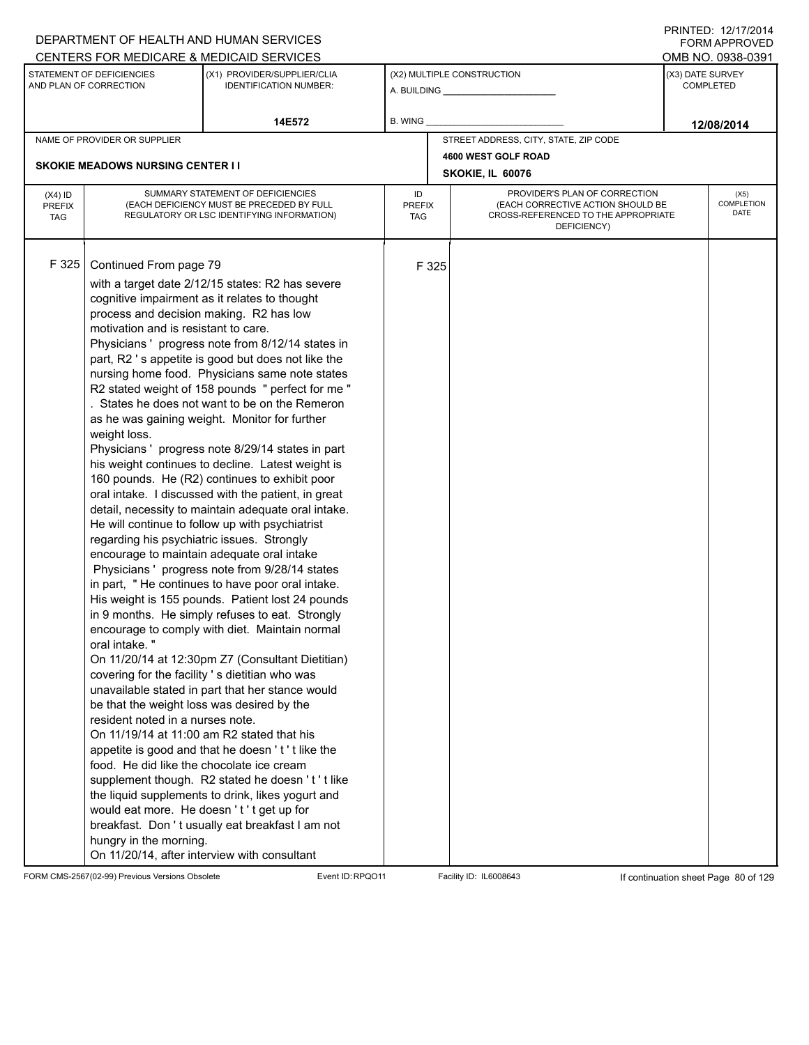|                                          |                                                                                                                                                                                                                                                                                                                                                                                                                                            | DEPARTMENT OF HEALTH AND HUMAN SERVICES                                                                                                                                                                                                                                                                                                                                                                                                                                                                                                                                                                                                                                                                                                                                                                                                                                                                                                                                                                                                                                                                                                                                                                                                                                                                                                                                                                                                                                                |                            |                  |                                                                                                                          |                  | <b>FORM APPROVED</b>              |
|------------------------------------------|--------------------------------------------------------------------------------------------------------------------------------------------------------------------------------------------------------------------------------------------------------------------------------------------------------------------------------------------------------------------------------------------------------------------------------------------|----------------------------------------------------------------------------------------------------------------------------------------------------------------------------------------------------------------------------------------------------------------------------------------------------------------------------------------------------------------------------------------------------------------------------------------------------------------------------------------------------------------------------------------------------------------------------------------------------------------------------------------------------------------------------------------------------------------------------------------------------------------------------------------------------------------------------------------------------------------------------------------------------------------------------------------------------------------------------------------------------------------------------------------------------------------------------------------------------------------------------------------------------------------------------------------------------------------------------------------------------------------------------------------------------------------------------------------------------------------------------------------------------------------------------------------------------------------------------------------|----------------------------|------------------|--------------------------------------------------------------------------------------------------------------------------|------------------|-----------------------------------|
|                                          |                                                                                                                                                                                                                                                                                                                                                                                                                                            | CENTERS FOR MEDICARE & MEDICAID SERVICES                                                                                                                                                                                                                                                                                                                                                                                                                                                                                                                                                                                                                                                                                                                                                                                                                                                                                                                                                                                                                                                                                                                                                                                                                                                                                                                                                                                                                                               |                            |                  |                                                                                                                          |                  | OMB NO. 0938-0391                 |
|                                          | STATEMENT OF DEFICIENCIES<br>AND PLAN OF CORRECTION                                                                                                                                                                                                                                                                                                                                                                                        | (X1) PROVIDER/SUPPLIER/CLIA<br><b>IDENTIFICATION NUMBER:</b>                                                                                                                                                                                                                                                                                                                                                                                                                                                                                                                                                                                                                                                                                                                                                                                                                                                                                                                                                                                                                                                                                                                                                                                                                                                                                                                                                                                                                           |                            |                  | (X2) MULTIPLE CONSTRUCTION<br>A. BUILDING ________________                                                               | (X3) DATE SURVEY | <b>COMPLETED</b>                  |
|                                          |                                                                                                                                                                                                                                                                                                                                                                                                                                            | 14E572                                                                                                                                                                                                                                                                                                                                                                                                                                                                                                                                                                                                                                                                                                                                                                                                                                                                                                                                                                                                                                                                                                                                                                                                                                                                                                                                                                                                                                                                                 | <b>B. WING</b>             |                  |                                                                                                                          |                  | 12/08/2014                        |
|                                          | NAME OF PROVIDER OR SUPPLIER                                                                                                                                                                                                                                                                                                                                                                                                               |                                                                                                                                                                                                                                                                                                                                                                                                                                                                                                                                                                                                                                                                                                                                                                                                                                                                                                                                                                                                                                                                                                                                                                                                                                                                                                                                                                                                                                                                                        |                            |                  | STREET ADDRESS, CITY, STATE, ZIP CODE                                                                                    |                  |                                   |
|                                          |                                                                                                                                                                                                                                                                                                                                                                                                                                            |                                                                                                                                                                                                                                                                                                                                                                                                                                                                                                                                                                                                                                                                                                                                                                                                                                                                                                                                                                                                                                                                                                                                                                                                                                                                                                                                                                                                                                                                                        |                            |                  | 4600 WEST GOLF ROAD                                                                                                      |                  |                                   |
|                                          | <b>SKOKIE MEADOWS NURSING CENTER II</b>                                                                                                                                                                                                                                                                                                                                                                                                    |                                                                                                                                                                                                                                                                                                                                                                                                                                                                                                                                                                                                                                                                                                                                                                                                                                                                                                                                                                                                                                                                                                                                                                                                                                                                                                                                                                                                                                                                                        |                            | SKOKIE, IL 60076 |                                                                                                                          |                  |                                   |
| $(X4)$ ID<br><b>PREFIX</b><br><b>TAG</b> |                                                                                                                                                                                                                                                                                                                                                                                                                                            | SUMMARY STATEMENT OF DEFICIENCIES<br>(EACH DEFICIENCY MUST BE PRECEDED BY FULL<br>REGULATORY OR LSC IDENTIFYING INFORMATION)                                                                                                                                                                                                                                                                                                                                                                                                                                                                                                                                                                                                                                                                                                                                                                                                                                                                                                                                                                                                                                                                                                                                                                                                                                                                                                                                                           | ID<br><b>PREFIX</b><br>TAG |                  | PROVIDER'S PLAN OF CORRECTION<br>(EACH CORRECTIVE ACTION SHOULD BE<br>CROSS-REFERENCED TO THE APPROPRIATE<br>DEFICIENCY) |                  | (X5)<br><b>COMPLETION</b><br>DATE |
| F325                                     | Continued From page 79<br>process and decision making. R2 has low<br>motivation and is resistant to care.<br>weight loss.<br>regarding his psychiatric issues. Strongly<br>oral intake."<br>be that the weight loss was desired by the<br>resident noted in a nurses note.<br>On 11/19/14 at 11:00 am R2 stated that his<br>food. He did like the chocolate ice cream<br>would eat more. He doesn't't get up for<br>hungry in the morning. | with a target date 2/12/15 states: R2 has severe<br>cognitive impairment as it relates to thought<br>Physicians ' progress note from 8/12/14 states in<br>part, R2 's appetite is good but does not like the<br>nursing home food. Physicians same note states<br>R2 stated weight of 158 pounds " perfect for me "<br>. States he does not want to be on the Remeron<br>as he was gaining weight. Monitor for further<br>Physicians ' progress note 8/29/14 states in part<br>his weight continues to decline. Latest weight is<br>160 pounds. He (R2) continues to exhibit poor<br>oral intake. I discussed with the patient, in great<br>detail, necessity to maintain adequate oral intake.<br>He will continue to follow up with psychiatrist<br>encourage to maintain adequate oral intake<br>Physicians ' progress note from 9/28/14 states<br>in part, "He continues to have poor oral intake.<br>His weight is 155 pounds. Patient lost 24 pounds<br>in 9 months. He simply refuses to eat. Strongly<br>encourage to comply with diet. Maintain normal<br>On 11/20/14 at 12:30pm Z7 (Consultant Dietitian)<br>covering for the facility 's dietitian who was<br>unavailable stated in part that her stance would<br>appetite is good and that he doesn't' tlike the<br>supplement though. R2 stated he doesn't't like<br>the liquid supplements to drink, likes yogurt and<br>breakfast. Don't usually eat breakfast I am not<br>On 11/20/14, after interview with consultant |                            | F 325            |                                                                                                                          |                  |                                   |

FORM CMS-2567(02-99) Previous Versions Obsolete Event ID:RPQO11 Facility ID: IL6008643 If continuation sheet Page 80 of 129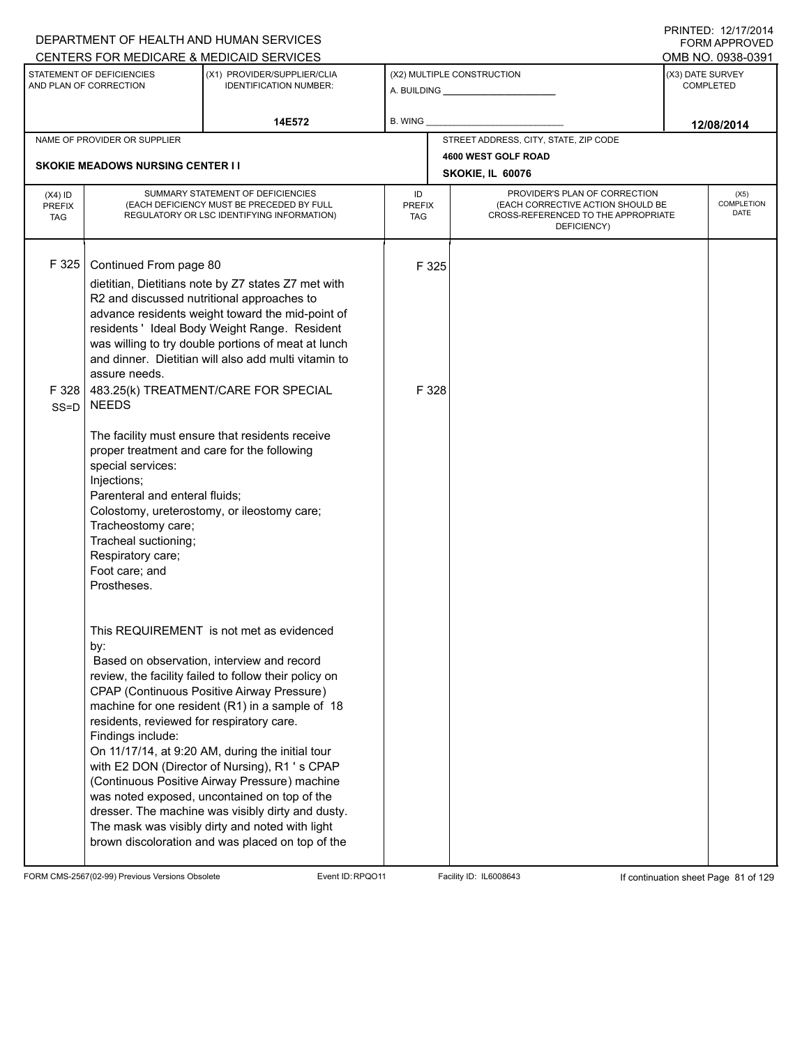|                             |                                             | DEPARTMENT OF HEALTH AND HUMAN SERVICES                                                             |                      |       |                                                                          |                  | I INITILLY. I <i>litil</i> ly I <del>t</del><br>FORM APPROVED |
|-----------------------------|---------------------------------------------|-----------------------------------------------------------------------------------------------------|----------------------|-------|--------------------------------------------------------------------------|------------------|---------------------------------------------------------------|
|                             | STATEMENT OF DEFICIENCIES                   | CENTERS FOR MEDICARE & MEDICAID SERVICES<br>(X1) PROVIDER/SUPPLIER/CLIA                             |                      |       | (X2) MULTIPLE CONSTRUCTION                                               | (X3) DATE SURVEY | OMB NO. 0938-0391                                             |
|                             | AND PLAN OF CORRECTION                      | <b>IDENTIFICATION NUMBER:</b>                                                                       |                      |       |                                                                          |                  | <b>COMPLETED</b>                                              |
|                             |                                             | 14E572                                                                                              | B. WING              |       |                                                                          |                  |                                                               |
|                             | NAME OF PROVIDER OR SUPPLIER                |                                                                                                     |                      |       | STREET ADDRESS, CITY, STATE, ZIP CODE                                    |                  | 12/08/2014                                                    |
|                             |                                             |                                                                                                     |                      |       | 4600 WEST GOLF ROAD                                                      |                  |                                                               |
|                             | <b>SKOKIE MEADOWS NURSING CENTER I I</b>    |                                                                                                     |                      |       | SKOKIE, IL 60076                                                         |                  |                                                               |
| $(X4)$ ID                   |                                             | SUMMARY STATEMENT OF DEFICIENCIES                                                                   | ID                   |       | PROVIDER'S PLAN OF CORRECTION                                            |                  | (X5)                                                          |
| <b>PREFIX</b><br><b>TAG</b> |                                             | (EACH DEFICIENCY MUST BE PRECEDED BY FULL<br>REGULATORY OR LSC IDENTIFYING INFORMATION)             | <b>PREFIX</b><br>TAG |       | (EACH CORRECTIVE ACTION SHOULD BE<br>CROSS-REFERENCED TO THE APPROPRIATE |                  | COMPLETION<br>DATE                                            |
|                             |                                             |                                                                                                     |                      |       | DEFICIENCY)                                                              |                  |                                                               |
|                             |                                             |                                                                                                     |                      |       |                                                                          |                  |                                                               |
| F 325                       | Continued From page 80                      |                                                                                                     |                      | F 325 |                                                                          |                  |                                                               |
|                             |                                             | dietitian, Dietitians note by Z7 states Z7 met with<br>R2 and discussed nutritional approaches to   |                      |       |                                                                          |                  |                                                               |
|                             |                                             | advance residents weight toward the mid-point of                                                    |                      |       |                                                                          |                  |                                                               |
|                             |                                             | residents ' Ideal Body Weight Range. Resident                                                       |                      |       |                                                                          |                  |                                                               |
|                             |                                             | was willing to try double portions of meat at lunch                                                 |                      |       |                                                                          |                  |                                                               |
|                             |                                             | and dinner. Dietitian will also add multi vitamin to                                                |                      |       |                                                                          |                  |                                                               |
|                             | assure needs.                               |                                                                                                     |                      |       |                                                                          |                  |                                                               |
| F 328<br>$SS = D$           | <b>NEEDS</b>                                | 483.25(k) TREATMENT/CARE FOR SPECIAL                                                                |                      | F 328 |                                                                          |                  |                                                               |
|                             |                                             | The facility must ensure that residents receive                                                     |                      |       |                                                                          |                  |                                                               |
|                             | proper treatment and care for the following |                                                                                                     |                      |       |                                                                          |                  |                                                               |
|                             | special services:                           |                                                                                                     |                      |       |                                                                          |                  |                                                               |
|                             | Injections;                                 |                                                                                                     |                      |       |                                                                          |                  |                                                               |
|                             | Parenteral and enteral fluids;              |                                                                                                     |                      |       |                                                                          |                  |                                                               |
|                             | Tracheostomy care;                          | Colostomy, ureterostomy, or ileostomy care;                                                         |                      |       |                                                                          |                  |                                                               |
|                             | Tracheal suctioning;                        |                                                                                                     |                      |       |                                                                          |                  |                                                               |
|                             | Respiratory care;                           |                                                                                                     |                      |       |                                                                          |                  |                                                               |
|                             | Foot care; and                              |                                                                                                     |                      |       |                                                                          |                  |                                                               |
|                             | Prostheses.                                 |                                                                                                     |                      |       |                                                                          |                  |                                                               |
|                             |                                             |                                                                                                     |                      |       |                                                                          |                  |                                                               |
|                             |                                             | This REQUIREMENT is not met as evidenced                                                            |                      |       |                                                                          |                  |                                                               |
|                             | by:                                         |                                                                                                     |                      |       |                                                                          |                  |                                                               |
|                             |                                             | Based on observation, interview and record<br>review, the facility failed to follow their policy on |                      |       |                                                                          |                  |                                                               |
|                             |                                             | CPAP (Continuous Positive Airway Pressure)                                                          |                      |       |                                                                          |                  |                                                               |
|                             |                                             | machine for one resident (R1) in a sample of 18                                                     |                      |       |                                                                          |                  |                                                               |
|                             | residents, reviewed for respiratory care.   |                                                                                                     |                      |       |                                                                          |                  |                                                               |
|                             | Findings include:                           |                                                                                                     |                      |       |                                                                          |                  |                                                               |
|                             |                                             | On 11/17/14, at 9:20 AM, during the initial tour                                                    |                      |       |                                                                          |                  |                                                               |
|                             |                                             | with E2 DON (Director of Nursing), R1 's CPAP<br>(Continuous Positive Airway Pressure) machine      |                      |       |                                                                          |                  |                                                               |
|                             |                                             | was noted exposed, uncontained on top of the                                                        |                      |       |                                                                          |                  |                                                               |
|                             |                                             | dresser. The machine was visibly dirty and dusty.                                                   |                      |       |                                                                          |                  |                                                               |
|                             |                                             | The mask was visibly dirty and noted with light                                                     |                      |       |                                                                          |                  |                                                               |
|                             |                                             | brown discoloration and was placed on top of the                                                    |                      |       |                                                                          |                  |                                                               |
|                             |                                             |                                                                                                     |                      |       |                                                                          |                  |                                                               |

FORM CMS-2567(02-99) Previous Versions Obsolete Event ID:RPQO11 Facility ID: IL6008643 If continuation sheet Page 81 of 129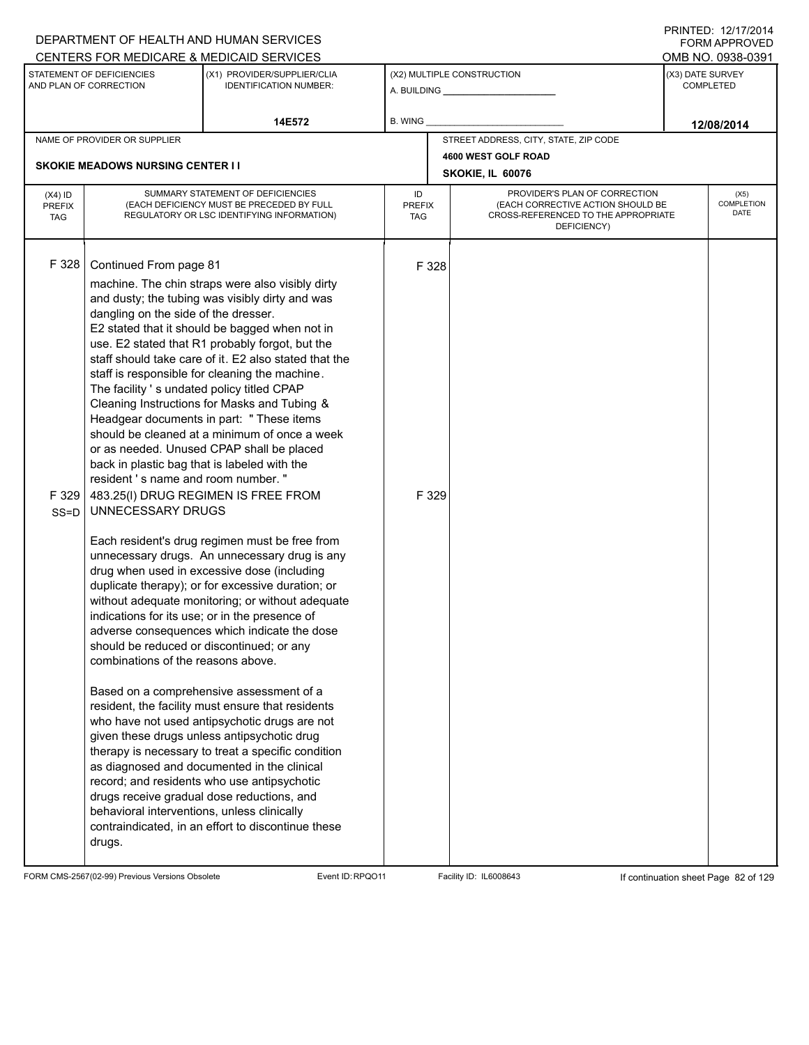|                                          |                                                                                                                                                                                                                                                                                                                                                                     | DEPARTMENT OF HEALTH AND HUMAN SERVICES                                                                                                                                                                                                                                                                                                                                                                                                                                                                                                                                                                                                                                                                                                                                                                                                                                                                                                                                                                                                                                                                                                                                                                                                                                                                                                                                     |                            |                                                                                                                          |                  | <b>FORM APPROVED</b>              |
|------------------------------------------|---------------------------------------------------------------------------------------------------------------------------------------------------------------------------------------------------------------------------------------------------------------------------------------------------------------------------------------------------------------------|-----------------------------------------------------------------------------------------------------------------------------------------------------------------------------------------------------------------------------------------------------------------------------------------------------------------------------------------------------------------------------------------------------------------------------------------------------------------------------------------------------------------------------------------------------------------------------------------------------------------------------------------------------------------------------------------------------------------------------------------------------------------------------------------------------------------------------------------------------------------------------------------------------------------------------------------------------------------------------------------------------------------------------------------------------------------------------------------------------------------------------------------------------------------------------------------------------------------------------------------------------------------------------------------------------------------------------------------------------------------------------|----------------------------|--------------------------------------------------------------------------------------------------------------------------|------------------|-----------------------------------|
|                                          |                                                                                                                                                                                                                                                                                                                                                                     | CENTERS FOR MEDICARE & MEDICAID SERVICES                                                                                                                                                                                                                                                                                                                                                                                                                                                                                                                                                                                                                                                                                                                                                                                                                                                                                                                                                                                                                                                                                                                                                                                                                                                                                                                                    |                            |                                                                                                                          |                  | OMB NO. 0938-0391                 |
|                                          | STATEMENT OF DEFICIENCIES<br>AND PLAN OF CORRECTION                                                                                                                                                                                                                                                                                                                 | (X1) PROVIDER/SUPPLIER/CLIA<br><b>IDENTIFICATION NUMBER:</b>                                                                                                                                                                                                                                                                                                                                                                                                                                                                                                                                                                                                                                                                                                                                                                                                                                                                                                                                                                                                                                                                                                                                                                                                                                                                                                                |                            | (X2) MULTIPLE CONSTRUCTION                                                                                               | (X3) DATE SURVEY | <b>COMPLETED</b>                  |
|                                          |                                                                                                                                                                                                                                                                                                                                                                     | 14E572                                                                                                                                                                                                                                                                                                                                                                                                                                                                                                                                                                                                                                                                                                                                                                                                                                                                                                                                                                                                                                                                                                                                                                                                                                                                                                                                                                      | <b>B. WING</b>             |                                                                                                                          |                  | 12/08/2014                        |
|                                          | NAME OF PROVIDER OR SUPPLIER                                                                                                                                                                                                                                                                                                                                        |                                                                                                                                                                                                                                                                                                                                                                                                                                                                                                                                                                                                                                                                                                                                                                                                                                                                                                                                                                                                                                                                                                                                                                                                                                                                                                                                                                             |                            | STREET ADDRESS, CITY, STATE, ZIP CODE                                                                                    |                  |                                   |
|                                          | <b>SKOKIE MEADOWS NURSING CENTER II</b>                                                                                                                                                                                                                                                                                                                             |                                                                                                                                                                                                                                                                                                                                                                                                                                                                                                                                                                                                                                                                                                                                                                                                                                                                                                                                                                                                                                                                                                                                                                                                                                                                                                                                                                             |                            | 4600 WEST GOLF ROAD                                                                                                      |                  |                                   |
|                                          |                                                                                                                                                                                                                                                                                                                                                                     |                                                                                                                                                                                                                                                                                                                                                                                                                                                                                                                                                                                                                                                                                                                                                                                                                                                                                                                                                                                                                                                                                                                                                                                                                                                                                                                                                                             |                            | SKOKIE, IL 60076                                                                                                         |                  |                                   |
| $(X4)$ ID<br><b>PREFIX</b><br><b>TAG</b> |                                                                                                                                                                                                                                                                                                                                                                     | SUMMARY STATEMENT OF DEFICIENCIES<br>(EACH DEFICIENCY MUST BE PRECEDED BY FULL<br>REGULATORY OR LSC IDENTIFYING INFORMATION)                                                                                                                                                                                                                                                                                                                                                                                                                                                                                                                                                                                                                                                                                                                                                                                                                                                                                                                                                                                                                                                                                                                                                                                                                                                | ID<br><b>PREFIX</b><br>TAG | PROVIDER'S PLAN OF CORRECTION<br>(EACH CORRECTIVE ACTION SHOULD BE<br>CROSS-REFERENCED TO THE APPROPRIATE<br>DEFICIENCY) |                  | (X5)<br><b>COMPLETION</b><br>DATE |
| F 328<br>F 329<br>$SS = D$               | Continued From page 81<br>dangling on the side of the dresser.<br>The facility 's undated policy titled CPAP<br>back in plastic bag that is labeled with the<br>resident 's name and room number."<br>UNNECESSARY DRUGS<br>should be reduced or discontinued; or any<br>combinations of the reasons above.<br>behavioral interventions, unless clinically<br>drugs. | machine. The chin straps were also visibly dirty<br>and dusty; the tubing was visibly dirty and was<br>E2 stated that it should be bagged when not in<br>use. E2 stated that R1 probably forgot, but the<br>staff should take care of it. E2 also stated that the<br>staff is responsible for cleaning the machine.<br>Cleaning Instructions for Masks and Tubing &<br>Headgear documents in part: " These items<br>should be cleaned at a minimum of once a week<br>or as needed. Unused CPAP shall be placed<br>483.25(I) DRUG REGIMEN IS FREE FROM<br>Each resident's drug regimen must be free from<br>unnecessary drugs. An unnecessary drug is any<br>drug when used in excessive dose (including<br>duplicate therapy); or for excessive duration; or<br>without adequate monitoring; or without adequate<br>indications for its use; or in the presence of<br>adverse consequences which indicate the dose<br>Based on a comprehensive assessment of a<br>resident, the facility must ensure that residents<br>who have not used antipsychotic drugs are not<br>given these drugs unless antipsychotic drug<br>therapy is necessary to treat a specific condition<br>as diagnosed and documented in the clinical<br>record; and residents who use antipsychotic<br>drugs receive gradual dose reductions, and<br>contraindicated, in an effort to discontinue these | F 328<br>F 329             |                                                                                                                          |                  |                                   |

FORM CMS-2567(02-99) Previous Versions Obsolete Event ID:RPQO11 Facility ID: IL6008643 If continuation sheet Page 82 of 129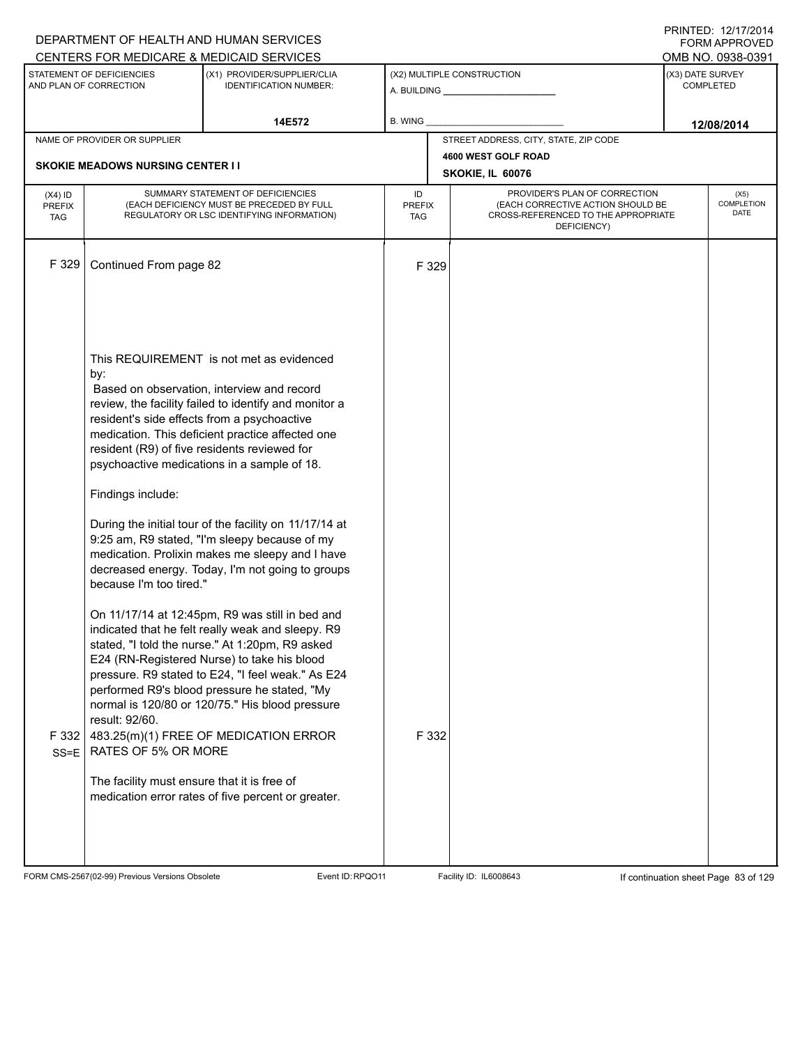|                                          |                                                                                                                                                                                                                                                   | DEPARTMENT OF HEALTH AND HUMAN SERVICES<br>CENTERS FOR MEDICARE & MEDICAID SERVICES                                                                                                                                                                                                                                                                                                                                                                                                                                                                                                                                                                                                                                                                                                                                                                                                                                                   |                                   |                                         |                                                                                                                          | $\Gamma$ NIIVILU. IZIIIIZVI <del>4</del><br>FORM APPROVED<br>OMB NO. 0938-0391 |
|------------------------------------------|---------------------------------------------------------------------------------------------------------------------------------------------------------------------------------------------------------------------------------------------------|---------------------------------------------------------------------------------------------------------------------------------------------------------------------------------------------------------------------------------------------------------------------------------------------------------------------------------------------------------------------------------------------------------------------------------------------------------------------------------------------------------------------------------------------------------------------------------------------------------------------------------------------------------------------------------------------------------------------------------------------------------------------------------------------------------------------------------------------------------------------------------------------------------------------------------------|-----------------------------------|-----------------------------------------|--------------------------------------------------------------------------------------------------------------------------|--------------------------------------------------------------------------------|
|                                          | STATEMENT OF DEFICIENCIES<br>AND PLAN OF CORRECTION                                                                                                                                                                                               | (X1) PROVIDER/SUPPLIER/CLIA<br><b>IDENTIFICATION NUMBER:</b>                                                                                                                                                                                                                                                                                                                                                                                                                                                                                                                                                                                                                                                                                                                                                                                                                                                                          |                                   | (X2) MULTIPLE CONSTRUCTION              |                                                                                                                          | (X3) DATE SURVEY<br><b>COMPLETED</b>                                           |
|                                          |                                                                                                                                                                                                                                                   | 14E572                                                                                                                                                                                                                                                                                                                                                                                                                                                                                                                                                                                                                                                                                                                                                                                                                                                                                                                                | <b>B. WING</b>                    |                                         |                                                                                                                          | 12/08/2014                                                                     |
|                                          | NAME OF PROVIDER OR SUPPLIER                                                                                                                                                                                                                      |                                                                                                                                                                                                                                                                                                                                                                                                                                                                                                                                                                                                                                                                                                                                                                                                                                                                                                                                       |                                   | STREET ADDRESS, CITY, STATE, ZIP CODE   |                                                                                                                          |                                                                                |
|                                          | <b>SKOKIE MEADOWS NURSING CENTER I I</b>                                                                                                                                                                                                          |                                                                                                                                                                                                                                                                                                                                                                                                                                                                                                                                                                                                                                                                                                                                                                                                                                                                                                                                       |                                   | 4600 WEST GOLF ROAD<br>SKOKIE, IL 60076 |                                                                                                                          |                                                                                |
| $(X4)$ ID<br><b>PREFIX</b><br><b>TAG</b> |                                                                                                                                                                                                                                                   | SUMMARY STATEMENT OF DEFICIENCIES<br>(EACH DEFICIENCY MUST BE PRECEDED BY FULL<br>REGULATORY OR LSC IDENTIFYING INFORMATION)                                                                                                                                                                                                                                                                                                                                                                                                                                                                                                                                                                                                                                                                                                                                                                                                          | ID<br><b>PREFIX</b><br><b>TAG</b> |                                         | PROVIDER'S PLAN OF CORRECTION<br>(EACH CORRECTIVE ACTION SHOULD BE<br>CROSS-REFERENCED TO THE APPROPRIATE<br>DEFICIENCY) | (X5)<br>COMPLETION<br>DATE                                                     |
| F 329                                    | Continued From page 82                                                                                                                                                                                                                            |                                                                                                                                                                                                                                                                                                                                                                                                                                                                                                                                                                                                                                                                                                                                                                                                                                                                                                                                       |                                   | F 329                                   |                                                                                                                          |                                                                                |
| F 332<br>SS=E                            | by:<br>resident's side effects from a psychoactive<br>resident (R9) of five residents reviewed for<br>Findings include:<br>because I'm too tired."<br>result: 92/60.<br><b>RATES OF 5% OR MORE</b><br>The facility must ensure that it is free of | This REQUIREMENT is not met as evidenced<br>Based on observation, interview and record<br>review, the facility failed to identify and monitor a<br>medication. This deficient practice affected one<br>psychoactive medications in a sample of 18.<br>During the initial tour of the facility on 11/17/14 at<br>9:25 am, R9 stated, "I'm sleepy because of my<br>medication. Prolixin makes me sleepy and I have<br>decreased energy. Today, I'm not going to groups<br>On 11/17/14 at 12:45pm, R9 was still in bed and<br>indicated that he felt really weak and sleepy. R9<br>stated, "I told the nurse." At 1:20pm, R9 asked<br>E24 (RN-Registered Nurse) to take his blood<br>pressure. R9 stated to E24, "I feel weak." As E24<br>performed R9's blood pressure he stated, "My<br>normal is 120/80 or 120/75." His blood pressure<br>483.25(m)(1) FREE OF MEDICATION ERROR<br>medication error rates of five percent or greater. |                                   | F 332                                   |                                                                                                                          |                                                                                |

FORM CMS-2567(02-99) Previous Versions Obsolete Event ID:RPQO11 Facility ID: IL6008643 If continuation sheet Page 83 of 129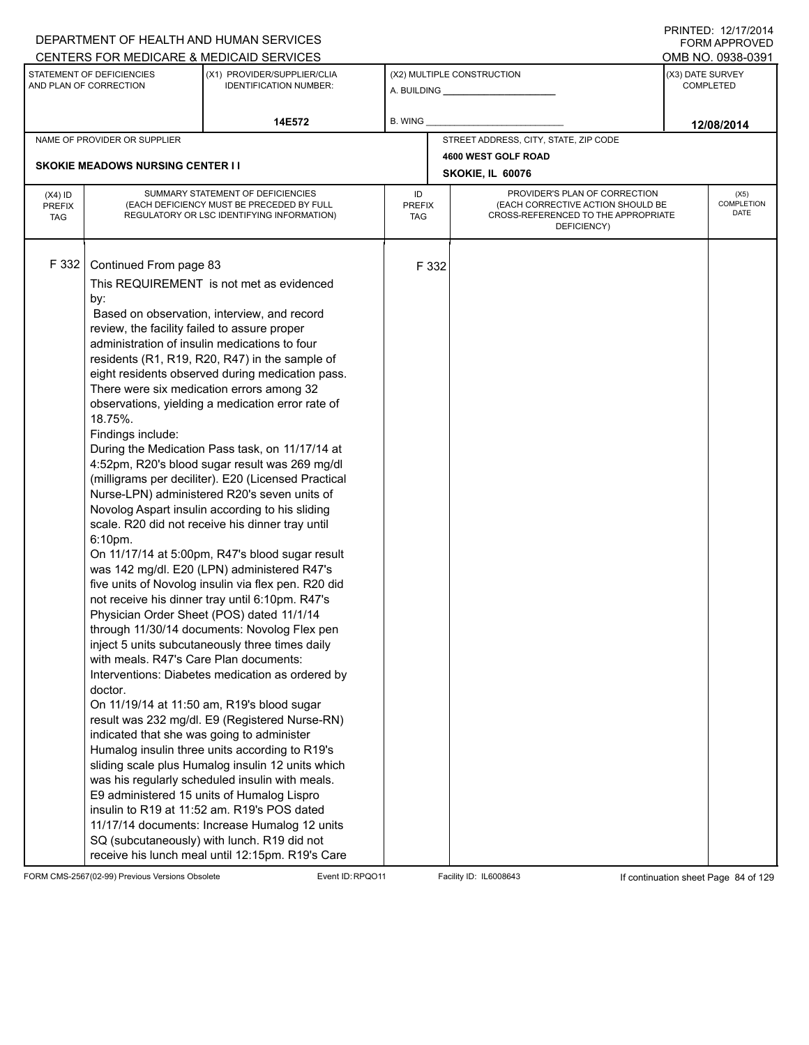|                                          |                                                                                                                                                                                                                             | DEPARTMENT OF HEALTH AND HUMAN SERVICES                                                                                                                                                                                                                                                                                                                                                                                                                                                                                                                                                                                                                                                                                                                                                                                                                                                                                                                                                                                                                                                                                                                                                                                                                                                                                                                                                                                                                                                                                                                                                        |                            |       |                                                                                                                          | <b>FORM APPROVED</b>                 |
|------------------------------------------|-----------------------------------------------------------------------------------------------------------------------------------------------------------------------------------------------------------------------------|------------------------------------------------------------------------------------------------------------------------------------------------------------------------------------------------------------------------------------------------------------------------------------------------------------------------------------------------------------------------------------------------------------------------------------------------------------------------------------------------------------------------------------------------------------------------------------------------------------------------------------------------------------------------------------------------------------------------------------------------------------------------------------------------------------------------------------------------------------------------------------------------------------------------------------------------------------------------------------------------------------------------------------------------------------------------------------------------------------------------------------------------------------------------------------------------------------------------------------------------------------------------------------------------------------------------------------------------------------------------------------------------------------------------------------------------------------------------------------------------------------------------------------------------------------------------------------------------|----------------------------|-------|--------------------------------------------------------------------------------------------------------------------------|--------------------------------------|
|                                          |                                                                                                                                                                                                                             | CENTERS FOR MEDICARE & MEDICAID SERVICES                                                                                                                                                                                                                                                                                                                                                                                                                                                                                                                                                                                                                                                                                                                                                                                                                                                                                                                                                                                                                                                                                                                                                                                                                                                                                                                                                                                                                                                                                                                                                       |                            |       |                                                                                                                          | OMB NO. 0938-0391                    |
|                                          | STATEMENT OF DEFICIENCIES<br>AND PLAN OF CORRECTION                                                                                                                                                                         | (X1) PROVIDER/SUPPLIER/CLIA<br><b>IDENTIFICATION NUMBER:</b>                                                                                                                                                                                                                                                                                                                                                                                                                                                                                                                                                                                                                                                                                                                                                                                                                                                                                                                                                                                                                                                                                                                                                                                                                                                                                                                                                                                                                                                                                                                                   |                            |       | (X2) MULTIPLE CONSTRUCTION                                                                                               | (X3) DATE SURVEY<br><b>COMPLETED</b> |
|                                          |                                                                                                                                                                                                                             | 14E572                                                                                                                                                                                                                                                                                                                                                                                                                                                                                                                                                                                                                                                                                                                                                                                                                                                                                                                                                                                                                                                                                                                                                                                                                                                                                                                                                                                                                                                                                                                                                                                         | B. WING                    |       |                                                                                                                          | 12/08/2014                           |
|                                          | NAME OF PROVIDER OR SUPPLIER                                                                                                                                                                                                |                                                                                                                                                                                                                                                                                                                                                                                                                                                                                                                                                                                                                                                                                                                                                                                                                                                                                                                                                                                                                                                                                                                                                                                                                                                                                                                                                                                                                                                                                                                                                                                                |                            |       | STREET ADDRESS, CITY, STATE, ZIP CODE                                                                                    |                                      |
|                                          |                                                                                                                                                                                                                             |                                                                                                                                                                                                                                                                                                                                                                                                                                                                                                                                                                                                                                                                                                                                                                                                                                                                                                                                                                                                                                                                                                                                                                                                                                                                                                                                                                                                                                                                                                                                                                                                |                            |       | 4600 WEST GOLF ROAD                                                                                                      |                                      |
|                                          | <b>SKOKIE MEADOWS NURSING CENTER I I</b>                                                                                                                                                                                    |                                                                                                                                                                                                                                                                                                                                                                                                                                                                                                                                                                                                                                                                                                                                                                                                                                                                                                                                                                                                                                                                                                                                                                                                                                                                                                                                                                                                                                                                                                                                                                                                |                            |       | SKOKIE, IL 60076                                                                                                         |                                      |
| $(X4)$ ID<br><b>PREFIX</b><br><b>TAG</b> |                                                                                                                                                                                                                             | SUMMARY STATEMENT OF DEFICIENCIES<br>(EACH DEFICIENCY MUST BE PRECEDED BY FULL<br>REGULATORY OR LSC IDENTIFYING INFORMATION)                                                                                                                                                                                                                                                                                                                                                                                                                                                                                                                                                                                                                                                                                                                                                                                                                                                                                                                                                                                                                                                                                                                                                                                                                                                                                                                                                                                                                                                                   | ID<br><b>PREFIX</b><br>TAG |       | PROVIDER'S PLAN OF CORRECTION<br>(EACH CORRECTIVE ACTION SHOULD BE<br>CROSS-REFERENCED TO THE APPROPRIATE<br>DEFICIENCY) | (X5)<br>COMPLETION<br>DATE           |
| F 332                                    | Continued From page 83<br>by:<br>review, the facility failed to assure proper<br>18.75%.<br>Findings include:<br>6:10pm.<br>with meals. R47's Care Plan documents:<br>doctor.<br>indicated that she was going to administer | This REQUIREMENT is not met as evidenced<br>Based on observation, interview, and record<br>administration of insulin medications to four<br>residents (R1, R19, R20, R47) in the sample of<br>eight residents observed during medication pass.<br>There were six medication errors among 32<br>observations, yielding a medication error rate of<br>During the Medication Pass task, on 11/17/14 at<br>4:52pm, R20's blood sugar result was 269 mg/dl<br>(milligrams per deciliter). E20 (Licensed Practical<br>Nurse-LPN) administered R20's seven units of<br>Novolog Aspart insulin according to his sliding<br>scale. R20 did not receive his dinner tray until<br>On 11/17/14 at 5:00pm, R47's blood sugar result<br>was 142 mg/dl. E20 (LPN) administered R47's<br>five units of Novolog insulin via flex pen. R20 did<br>not receive his dinner tray until 6:10pm. R47's<br>Physician Order Sheet (POS) dated 11/1/14<br>through 11/30/14 documents: Novolog Flex pen<br>inject 5 units subcutaneously three times daily<br>Interventions: Diabetes medication as ordered by<br>On 11/19/14 at 11:50 am, R19's blood sugar<br>result was 232 mg/dl. E9 (Registered Nurse-RN)<br>Humalog insulin three units according to R19's<br>sliding scale plus Humalog insulin 12 units which<br>was his regularly scheduled insulin with meals.<br>E9 administered 15 units of Humalog Lispro<br>insulin to R19 at 11:52 am. R19's POS dated<br>11/17/14 documents: Increase Humalog 12 units<br>SQ (subcutaneously) with lunch. R19 did not<br>receive his lunch meal until 12:15pm. R19's Care |                            | F 332 |                                                                                                                          |                                      |

FORM CMS-2567(02-99) Previous Versions Obsolete Event ID:RPQO11 Facility ID: IL6008643 If continuation sheet Page 84 of 129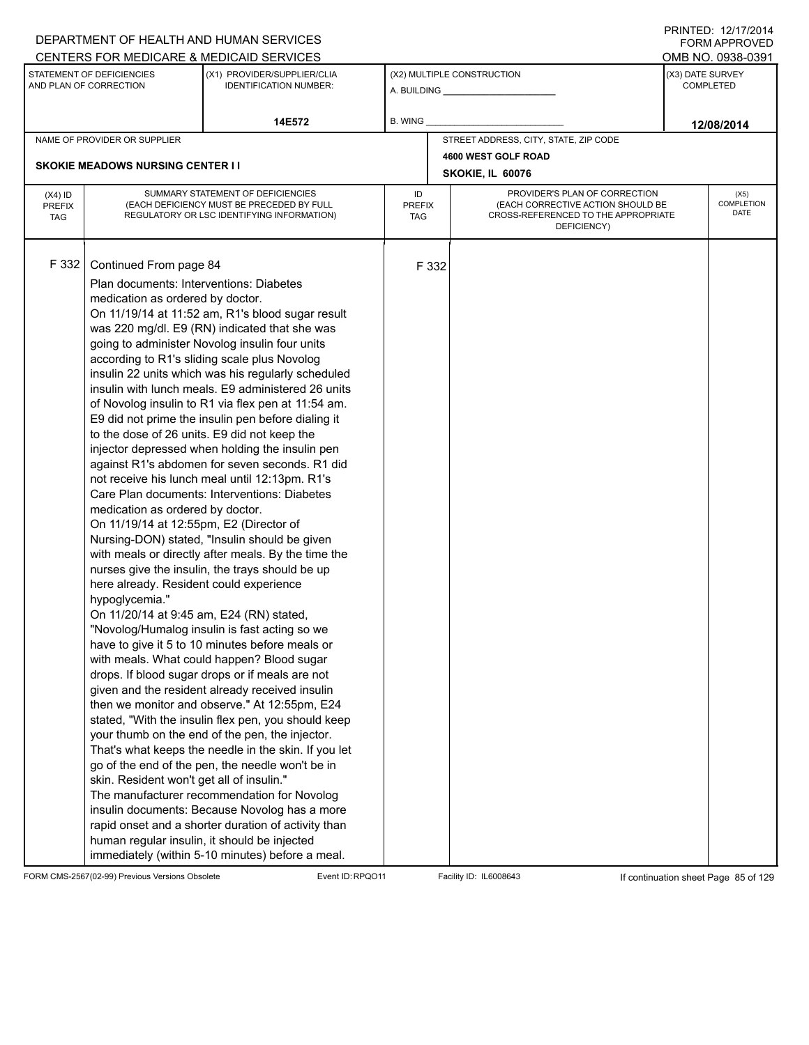|                                          |                                                                                                                                                                                                                                                                                                                                                                                                                                            | DEPARTMENT OF HEALTH AND HUMAN SERVICES                                                                                                                                                                                                                                                                                                                                                                                                                                                                                                                                                                                                                                                                                                                                                                                                                                                                                                                                                                                                                                                                                                                                                                                                                                                                                                                                                                                                                                                                                                 |                            |       |                                                                                                                          |                  | $1 \times 1 \times 1 = 1$ . $1 \times 1 \times 1 = 1$<br><b>FORM APPROVED</b> |
|------------------------------------------|--------------------------------------------------------------------------------------------------------------------------------------------------------------------------------------------------------------------------------------------------------------------------------------------------------------------------------------------------------------------------------------------------------------------------------------------|-----------------------------------------------------------------------------------------------------------------------------------------------------------------------------------------------------------------------------------------------------------------------------------------------------------------------------------------------------------------------------------------------------------------------------------------------------------------------------------------------------------------------------------------------------------------------------------------------------------------------------------------------------------------------------------------------------------------------------------------------------------------------------------------------------------------------------------------------------------------------------------------------------------------------------------------------------------------------------------------------------------------------------------------------------------------------------------------------------------------------------------------------------------------------------------------------------------------------------------------------------------------------------------------------------------------------------------------------------------------------------------------------------------------------------------------------------------------------------------------------------------------------------------------|----------------------------|-------|--------------------------------------------------------------------------------------------------------------------------|------------------|-------------------------------------------------------------------------------|
|                                          | CENTERS FOR MEDICARE & MEDICAID SERVICES                                                                                                                                                                                                                                                                                                                                                                                                   |                                                                                                                                                                                                                                                                                                                                                                                                                                                                                                                                                                                                                                                                                                                                                                                                                                                                                                                                                                                                                                                                                                                                                                                                                                                                                                                                                                                                                                                                                                                                         |                            |       |                                                                                                                          |                  | OMB NO. 0938-0391                                                             |
|                                          | STATEMENT OF DEFICIENCIES<br>AND PLAN OF CORRECTION                                                                                                                                                                                                                                                                                                                                                                                        | (X1) PROVIDER/SUPPLIER/CLIA<br><b>IDENTIFICATION NUMBER:</b>                                                                                                                                                                                                                                                                                                                                                                                                                                                                                                                                                                                                                                                                                                                                                                                                                                                                                                                                                                                                                                                                                                                                                                                                                                                                                                                                                                                                                                                                            |                            |       | (X2) MULTIPLE CONSTRUCTION                                                                                               | (X3) DATE SURVEY | <b>COMPLETED</b>                                                              |
|                                          |                                                                                                                                                                                                                                                                                                                                                                                                                                            | 14E572                                                                                                                                                                                                                                                                                                                                                                                                                                                                                                                                                                                                                                                                                                                                                                                                                                                                                                                                                                                                                                                                                                                                                                                                                                                                                                                                                                                                                                                                                                                                  | B. WING                    |       |                                                                                                                          |                  | 12/08/2014                                                                    |
|                                          | NAME OF PROVIDER OR SUPPLIER                                                                                                                                                                                                                                                                                                                                                                                                               |                                                                                                                                                                                                                                                                                                                                                                                                                                                                                                                                                                                                                                                                                                                                                                                                                                                                                                                                                                                                                                                                                                                                                                                                                                                                                                                                                                                                                                                                                                                                         |                            |       | STREET ADDRESS, CITY, STATE, ZIP CODE                                                                                    |                  |                                                                               |
|                                          |                                                                                                                                                                                                                                                                                                                                                                                                                                            |                                                                                                                                                                                                                                                                                                                                                                                                                                                                                                                                                                                                                                                                                                                                                                                                                                                                                                                                                                                                                                                                                                                                                                                                                                                                                                                                                                                                                                                                                                                                         |                            |       | 4600 WEST GOLF ROAD                                                                                                      |                  |                                                                               |
|                                          | <b>SKOKIE MEADOWS NURSING CENTER I I</b>                                                                                                                                                                                                                                                                                                                                                                                                   |                                                                                                                                                                                                                                                                                                                                                                                                                                                                                                                                                                                                                                                                                                                                                                                                                                                                                                                                                                                                                                                                                                                                                                                                                                                                                                                                                                                                                                                                                                                                         |                            |       | SKOKIE, IL 60076                                                                                                         |                  |                                                                               |
| $(X4)$ ID<br><b>PREFIX</b><br><b>TAG</b> |                                                                                                                                                                                                                                                                                                                                                                                                                                            | SUMMARY STATEMENT OF DEFICIENCIES<br>(EACH DEFICIENCY MUST BE PRECEDED BY FULL<br>REGULATORY OR LSC IDENTIFYING INFORMATION)                                                                                                                                                                                                                                                                                                                                                                                                                                                                                                                                                                                                                                                                                                                                                                                                                                                                                                                                                                                                                                                                                                                                                                                                                                                                                                                                                                                                            | ID<br><b>PREFIX</b><br>TAG |       | PROVIDER'S PLAN OF CORRECTION<br>(EACH CORRECTIVE ACTION SHOULD BE<br>CROSS-REFERENCED TO THE APPROPRIATE<br>DEFICIENCY) |                  | (X5)<br>COMPLETION<br><b>DATE</b>                                             |
| F 332                                    | Continued From page 84<br>Plan documents: Interventions: Diabetes<br>medication as ordered by doctor.<br>to the dose of 26 units. E9 did not keep the<br>medication as ordered by doctor.<br>On 11/19/14 at 12:55pm, E2 (Director of<br>here already. Resident could experience<br>hypoglycemia."<br>On 11/20/14 at 9:45 am, E24 (RN) stated,<br>skin. Resident won't get all of insulin."<br>human regular insulin, it should be injected | On 11/19/14 at 11:52 am, R1's blood sugar result<br>was 220 mg/dl. E9 (RN) indicated that she was<br>going to administer Novolog insulin four units<br>according to R1's sliding scale plus Novolog<br>insulin 22 units which was his regularly scheduled<br>insulin with lunch meals. E9 administered 26 units<br>of Novolog insulin to R1 via flex pen at 11:54 am.<br>E9 did not prime the insulin pen before dialing it<br>injector depressed when holding the insulin pen<br>against R1's abdomen for seven seconds. R1 did<br>not receive his lunch meal until 12:13pm. R1's<br>Care Plan documents: Interventions: Diabetes<br>Nursing-DON) stated, "Insulin should be given<br>with meals or directly after meals. By the time the<br>nurses give the insulin, the trays should be up<br>"Novolog/Humalog insulin is fast acting so we<br>have to give it 5 to 10 minutes before meals or<br>with meals. What could happen? Blood sugar<br>drops. If blood sugar drops or if meals are not<br>given and the resident already received insulin<br>then we monitor and observe." At 12:55pm, E24<br>stated, "With the insulin flex pen, you should keep<br>your thumb on the end of the pen, the injector.<br>That's what keeps the needle in the skin. If you let<br>go of the end of the pen, the needle won't be in<br>The manufacturer recommendation for Novolog<br>insulin documents: Because Novolog has a more<br>rapid onset and a shorter duration of activity than<br>immediately (within 5-10 minutes) before a meal. |                            | F 332 |                                                                                                                          |                  |                                                                               |

FORM CMS-2567(02-99) Previous Versions Obsolete Event ID:RPQO11 Facility ID: IL6008643 If continuation sheet Page 85 of 129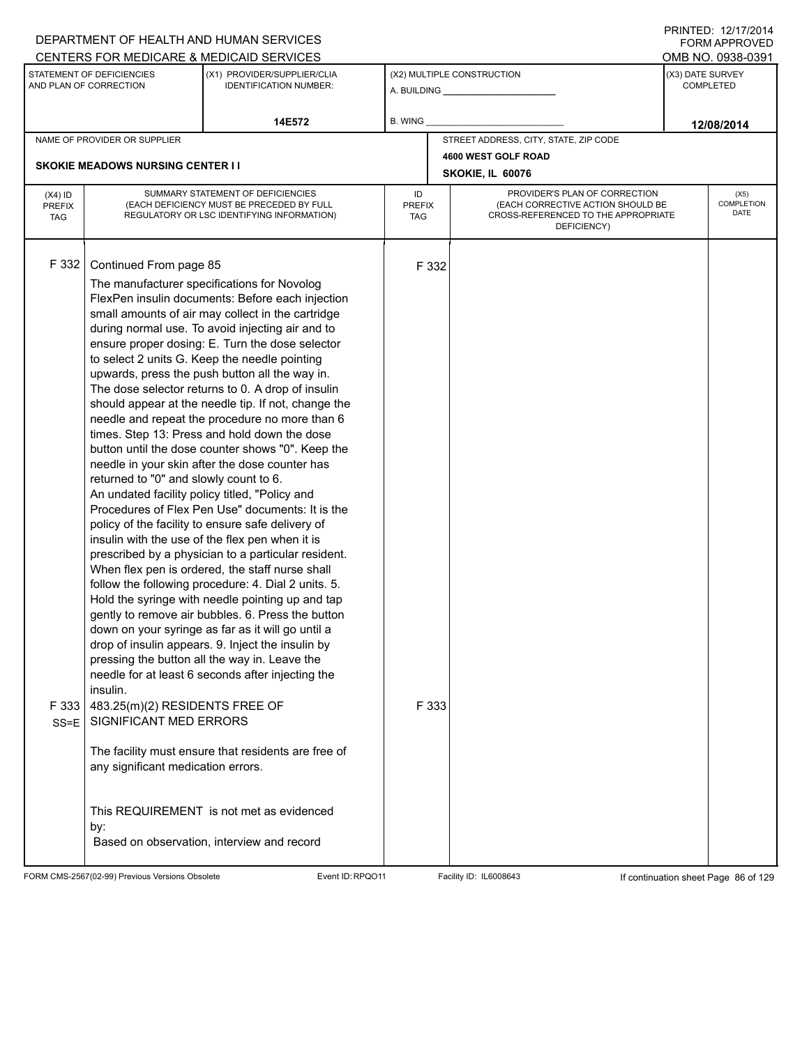|                             |                                                          | DEPARTMENT OF HEALTH AND HUMAN SERVICES                                                                 |                      |       |                                                                          |                  | <b>FORM APPROVED</b><br>OMB NO. 0938-0391 |  |  |
|-----------------------------|----------------------------------------------------------|---------------------------------------------------------------------------------------------------------|----------------------|-------|--------------------------------------------------------------------------|------------------|-------------------------------------------|--|--|
|                             | STATEMENT OF DEFICIENCIES                                | CENTERS FOR MEDICARE & MEDICAID SERVICES<br>(X1) PROVIDER/SUPPLIER/CLIA                                 |                      |       | (X2) MULTIPLE CONSTRUCTION                                               | (X3) DATE SURVEY |                                           |  |  |
|                             | AND PLAN OF CORRECTION                                   | <b>IDENTIFICATION NUMBER:</b>                                                                           |                      |       |                                                                          |                  | <b>COMPLETED</b>                          |  |  |
|                             |                                                          |                                                                                                         |                      |       |                                                                          |                  |                                           |  |  |
|                             |                                                          | 14E572                                                                                                  | B. WING              |       |                                                                          |                  | 12/08/2014                                |  |  |
|                             | NAME OF PROVIDER OR SUPPLIER                             |                                                                                                         |                      |       | STREET ADDRESS, CITY, STATE, ZIP CODE                                    |                  |                                           |  |  |
|                             | <b>SKOKIE MEADOWS NURSING CENTER I I</b>                 |                                                                                                         |                      |       | 4600 WEST GOLF ROAD                                                      |                  |                                           |  |  |
|                             |                                                          |                                                                                                         |                      |       | SKOKIE, IL 60076                                                         |                  |                                           |  |  |
| $(X4)$ ID                   |                                                          | SUMMARY STATEMENT OF DEFICIENCIES                                                                       | ID                   |       | PROVIDER'S PLAN OF CORRECTION                                            | (X5)             |                                           |  |  |
| <b>PREFIX</b><br><b>TAG</b> |                                                          | (EACH DEFICIENCY MUST BE PRECEDED BY FULL<br>REGULATORY OR LSC IDENTIFYING INFORMATION)                 | <b>PREFIX</b><br>TAG |       | (EACH CORRECTIVE ACTION SHOULD BE<br>CROSS-REFERENCED TO THE APPROPRIATE |                  | COMPLETION<br>DATE                        |  |  |
|                             |                                                          |                                                                                                         |                      |       | DEFICIENCY)                                                              |                  |                                           |  |  |
|                             |                                                          |                                                                                                         |                      |       |                                                                          |                  |                                           |  |  |
| F 332                       | Continued From page 85                                   |                                                                                                         |                      | F 332 |                                                                          |                  |                                           |  |  |
|                             |                                                          | The manufacturer specifications for Novolog                                                             |                      |       |                                                                          |                  |                                           |  |  |
|                             |                                                          | FlexPen insulin documents: Before each injection                                                        |                      |       |                                                                          |                  |                                           |  |  |
|                             |                                                          | small amounts of air may collect in the cartridge                                                       |                      |       |                                                                          |                  |                                           |  |  |
|                             |                                                          | during normal use. To avoid injecting air and to                                                        |                      |       |                                                                          |                  |                                           |  |  |
|                             |                                                          | ensure proper dosing: E. Turn the dose selector<br>to select 2 units G. Keep the needle pointing        |                      |       |                                                                          |                  |                                           |  |  |
|                             |                                                          | upwards, press the push button all the way in.                                                          |                      |       |                                                                          |                  |                                           |  |  |
|                             |                                                          | The dose selector returns to 0. A drop of insulin                                                       |                      |       |                                                                          |                  |                                           |  |  |
|                             |                                                          | should appear at the needle tip. If not, change the                                                     |                      |       |                                                                          |                  |                                           |  |  |
|                             |                                                          | needle and repeat the procedure no more than 6                                                          |                      |       |                                                                          |                  |                                           |  |  |
|                             |                                                          | times. Step 13: Press and hold down the dose                                                            |                      |       |                                                                          |                  |                                           |  |  |
|                             |                                                          | button until the dose counter shows "0". Keep the                                                       |                      |       |                                                                          |                  |                                           |  |  |
|                             | returned to "0" and slowly count to 6.                   | needle in your skin after the dose counter has                                                          |                      |       |                                                                          |                  |                                           |  |  |
|                             | An undated facility policy titled, "Policy and           |                                                                                                         |                      |       |                                                                          |                  |                                           |  |  |
|                             |                                                          | Procedures of Flex Pen Use" documents: It is the                                                        |                      |       |                                                                          |                  |                                           |  |  |
|                             |                                                          | policy of the facility to ensure safe delivery of                                                       |                      |       |                                                                          |                  |                                           |  |  |
|                             |                                                          | insulin with the use of the flex pen when it is                                                         |                      |       |                                                                          |                  |                                           |  |  |
|                             |                                                          | prescribed by a physician to a particular resident.                                                     |                      |       |                                                                          |                  |                                           |  |  |
|                             |                                                          | When flex pen is ordered, the staff nurse shall                                                         |                      |       |                                                                          |                  |                                           |  |  |
|                             |                                                          | follow the following procedure: 4. Dial 2 units. 5.<br>Hold the syringe with needle pointing up and tap |                      |       |                                                                          |                  |                                           |  |  |
|                             |                                                          | gently to remove air bubbles. 6. Press the button                                                       |                      |       |                                                                          |                  |                                           |  |  |
|                             |                                                          | down on your syringe as far as it will go until a                                                       |                      |       |                                                                          |                  |                                           |  |  |
|                             |                                                          | drop of insulin appears. 9. Inject the insulin by                                                       |                      |       |                                                                          |                  |                                           |  |  |
|                             |                                                          | pressing the button all the way in. Leave the                                                           |                      |       |                                                                          |                  |                                           |  |  |
|                             |                                                          | needle for at least 6 seconds after injecting the                                                       |                      |       |                                                                          |                  |                                           |  |  |
|                             | insulin.                                                 |                                                                                                         |                      |       |                                                                          |                  |                                           |  |  |
| F 333                       | 483.25(m)(2) RESIDENTS FREE OF<br>SIGNIFICANT MED ERRORS |                                                                                                         |                      | F 333 |                                                                          |                  |                                           |  |  |
| $SS = E$                    |                                                          |                                                                                                         |                      |       |                                                                          |                  |                                           |  |  |
|                             |                                                          | The facility must ensure that residents are free of                                                     |                      |       |                                                                          |                  |                                           |  |  |
|                             | any significant medication errors.                       |                                                                                                         |                      |       |                                                                          |                  |                                           |  |  |
|                             |                                                          |                                                                                                         |                      |       |                                                                          |                  |                                           |  |  |
|                             |                                                          |                                                                                                         |                      |       |                                                                          |                  |                                           |  |  |
|                             |                                                          | This REQUIREMENT is not met as evidenced                                                                |                      |       |                                                                          |                  |                                           |  |  |
|                             | by:                                                      | Based on observation, interview and record                                                              |                      |       |                                                                          |                  |                                           |  |  |
|                             |                                                          |                                                                                                         |                      |       |                                                                          |                  |                                           |  |  |

FORM CMS-2567(02-99) Previous Versions Obsolete Event ID:RPQO11 Facility ID: IL6008643 If continuation sheet Page 86 of 129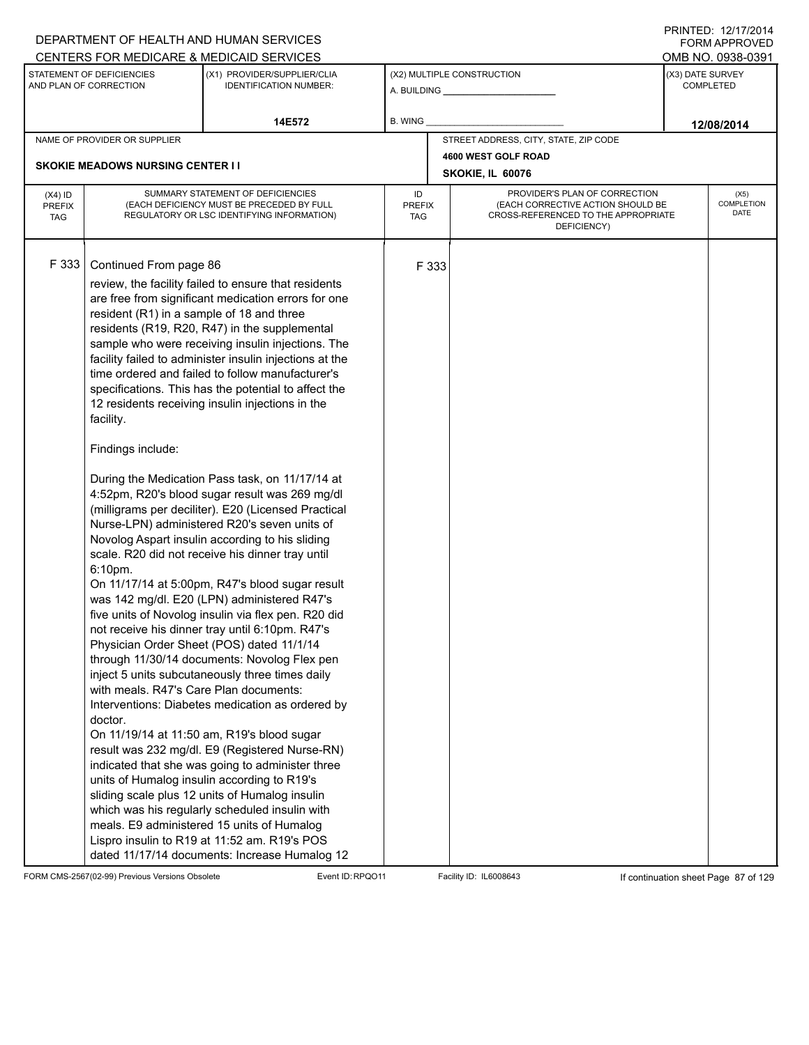|                                          |                                                                                                                                                                       | DEPARTMENT OF HEALTH AND HUMAN SERVICES                                                                                                                                                                                                                                                                                                                                                                                                                                                                                                                                                                                                                                                                                                                                                                                                                                                                                                                                                                                                                                                                                                                                                                                                                                                                                                                                                                                                                                                                                                                                                                                               |                            |       |                                                                                                                          |                                                                                                                 |                   |  |  |
|------------------------------------------|-----------------------------------------------------------------------------------------------------------------------------------------------------------------------|---------------------------------------------------------------------------------------------------------------------------------------------------------------------------------------------------------------------------------------------------------------------------------------------------------------------------------------------------------------------------------------------------------------------------------------------------------------------------------------------------------------------------------------------------------------------------------------------------------------------------------------------------------------------------------------------------------------------------------------------------------------------------------------------------------------------------------------------------------------------------------------------------------------------------------------------------------------------------------------------------------------------------------------------------------------------------------------------------------------------------------------------------------------------------------------------------------------------------------------------------------------------------------------------------------------------------------------------------------------------------------------------------------------------------------------------------------------------------------------------------------------------------------------------------------------------------------------------------------------------------------------|----------------------------|-------|--------------------------------------------------------------------------------------------------------------------------|-----------------------------------------------------------------------------------------------------------------|-------------------|--|--|
|                                          |                                                                                                                                                                       | CENTERS FOR MEDICARE & MEDICAID SERVICES                                                                                                                                                                                                                                                                                                                                                                                                                                                                                                                                                                                                                                                                                                                                                                                                                                                                                                                                                                                                                                                                                                                                                                                                                                                                                                                                                                                                                                                                                                                                                                                              |                            |       |                                                                                                                          |                                                                                                                 |                   |  |  |
|                                          | STATEMENT OF DEFICIENCIES<br>AND PLAN OF CORRECTION                                                                                                                   | (X1) PROVIDER/SUPPLIER/CLIA<br><b>IDENTIFICATION NUMBER:</b>                                                                                                                                                                                                                                                                                                                                                                                                                                                                                                                                                                                                                                                                                                                                                                                                                                                                                                                                                                                                                                                                                                                                                                                                                                                                                                                                                                                                                                                                                                                                                                          |                            |       | (X2) MULTIPLE CONSTRUCTION                                                                                               |                                                                                                                 |                   |  |  |
|                                          |                                                                                                                                                                       | 14E572                                                                                                                                                                                                                                                                                                                                                                                                                                                                                                                                                                                                                                                                                                                                                                                                                                                                                                                                                                                                                                                                                                                                                                                                                                                                                                                                                                                                                                                                                                                                                                                                                                | B. WING                    |       |                                                                                                                          |                                                                                                                 |                   |  |  |
|                                          | NAME OF PROVIDER OR SUPPLIER                                                                                                                                          |                                                                                                                                                                                                                                                                                                                                                                                                                                                                                                                                                                                                                                                                                                                                                                                                                                                                                                                                                                                                                                                                                                                                                                                                                                                                                                                                                                                                                                                                                                                                                                                                                                       |                            |       | STREET ADDRESS, CITY, STATE, ZIP CODE                                                                                    | <b>FORM APPROVED</b><br>OMB NO. 0938-0391<br>(X3) DATE SURVEY<br><b>COMPLETED</b><br>12/08/2014<br>(X5)<br>DATE |                   |  |  |
|                                          |                                                                                                                                                                       |                                                                                                                                                                                                                                                                                                                                                                                                                                                                                                                                                                                                                                                                                                                                                                                                                                                                                                                                                                                                                                                                                                                                                                                                                                                                                                                                                                                                                                                                                                                                                                                                                                       |                            |       | 4600 WEST GOLF ROAD                                                                                                      |                                                                                                                 |                   |  |  |
|                                          | <b>SKOKIE MEADOWS NURSING CENTER I I</b>                                                                                                                              |                                                                                                                                                                                                                                                                                                                                                                                                                                                                                                                                                                                                                                                                                                                                                                                                                                                                                                                                                                                                                                                                                                                                                                                                                                                                                                                                                                                                                                                                                                                                                                                                                                       |                            |       | SKOKIE, IL 60076                                                                                                         |                                                                                                                 |                   |  |  |
| $(X4)$ ID<br><b>PREFIX</b><br><b>TAG</b> |                                                                                                                                                                       | SUMMARY STATEMENT OF DEFICIENCIES<br>(EACH DEFICIENCY MUST BE PRECEDED BY FULL<br>REGULATORY OR LSC IDENTIFYING INFORMATION)                                                                                                                                                                                                                                                                                                                                                                                                                                                                                                                                                                                                                                                                                                                                                                                                                                                                                                                                                                                                                                                                                                                                                                                                                                                                                                                                                                                                                                                                                                          | ID<br><b>PREFIX</b><br>TAG |       | PROVIDER'S PLAN OF CORRECTION<br>(EACH CORRECTIVE ACTION SHOULD BE<br>CROSS-REFERENCED TO THE APPROPRIATE<br>DEFICIENCY) |                                                                                                                 | <b>COMPLETION</b> |  |  |
| F 333                                    | Continued From page 86<br>resident (R1) in a sample of 18 and three<br>facility.<br>Findings include:<br>6:10pm.<br>with meals. R47's Care Plan documents:<br>doctor. | review, the facility failed to ensure that residents<br>are free from significant medication errors for one<br>residents (R19, R20, R47) in the supplemental<br>sample who were receiving insulin injections. The<br>facility failed to administer insulin injections at the<br>time ordered and failed to follow manufacturer's<br>specifications. This has the potential to affect the<br>12 residents receiving insulin injections in the<br>During the Medication Pass task, on 11/17/14 at<br>4:52pm, R20's blood sugar result was 269 mg/dl<br>(milligrams per deciliter). E20 (Licensed Practical<br>Nurse-LPN) administered R20's seven units of<br>Novolog Aspart insulin according to his sliding<br>scale. R20 did not receive his dinner tray until<br>On 11/17/14 at 5:00pm, R47's blood sugar result<br>was 142 mg/dl. E20 (LPN) administered R47's<br>five units of Novolog insulin via flex pen. R20 did<br>not receive his dinner tray until 6:10pm. R47's<br>Physician Order Sheet (POS) dated 11/1/14<br>through 11/30/14 documents: Novolog Flex pen<br>inject 5 units subcutaneously three times daily<br>Interventions: Diabetes medication as ordered by<br>On 11/19/14 at 11:50 am, R19's blood sugar<br>result was 232 mg/dl. E9 (Registered Nurse-RN)<br>indicated that she was going to administer three<br>units of Humalog insulin according to R19's<br>sliding scale plus 12 units of Humalog insulin<br>which was his regularly scheduled insulin with<br>meals. E9 administered 15 units of Humalog<br>Lispro insulin to R19 at 11:52 am. R19's POS<br>dated 11/17/14 documents: Increase Humalog 12 |                            | F 333 |                                                                                                                          |                                                                                                                 |                   |  |  |

FORM CMS-2567(02-99) Previous Versions Obsolete Event ID:RPQO11 Facility ID: IL6008643 If continuation sheet Page 87 of 129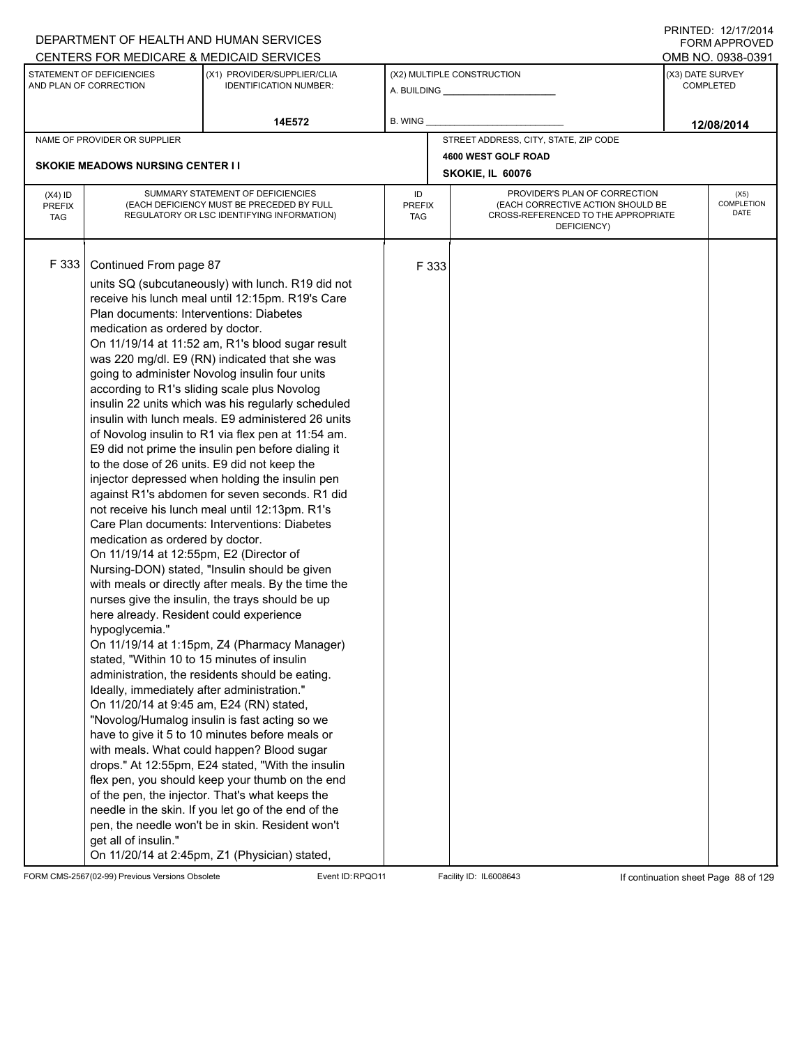|                                          |                                                                                                                                                                                                                                                                                                                                                                                                                                                                     | DEPARTMENT OF HEALTH AND HUMAN SERVICES                                                                                                                                                                                                                                                                                                                                                                                                                                                                                                                                                                                                                                                                                                                                                                                                                                                                                                                                                                                                                                                                                                                                                                                                                                                                                                                                                                                                                                            |                                   |       |                                                                                                                          |                  | FORM APPROVED                     |  |
|------------------------------------------|---------------------------------------------------------------------------------------------------------------------------------------------------------------------------------------------------------------------------------------------------------------------------------------------------------------------------------------------------------------------------------------------------------------------------------------------------------------------|------------------------------------------------------------------------------------------------------------------------------------------------------------------------------------------------------------------------------------------------------------------------------------------------------------------------------------------------------------------------------------------------------------------------------------------------------------------------------------------------------------------------------------------------------------------------------------------------------------------------------------------------------------------------------------------------------------------------------------------------------------------------------------------------------------------------------------------------------------------------------------------------------------------------------------------------------------------------------------------------------------------------------------------------------------------------------------------------------------------------------------------------------------------------------------------------------------------------------------------------------------------------------------------------------------------------------------------------------------------------------------------------------------------------------------------------------------------------------------|-----------------------------------|-------|--------------------------------------------------------------------------------------------------------------------------|------------------|-----------------------------------|--|
|                                          |                                                                                                                                                                                                                                                                                                                                                                                                                                                                     | CENTERS FOR MEDICARE & MEDICAID SERVICES                                                                                                                                                                                                                                                                                                                                                                                                                                                                                                                                                                                                                                                                                                                                                                                                                                                                                                                                                                                                                                                                                                                                                                                                                                                                                                                                                                                                                                           |                                   |       |                                                                                                                          |                  | OMB NO. 0938-0391                 |  |
|                                          | STATEMENT OF DEFICIENCIES<br>AND PLAN OF CORRECTION                                                                                                                                                                                                                                                                                                                                                                                                                 | (X1) PROVIDER/SUPPLIER/CLIA<br><b>IDENTIFICATION NUMBER:</b>                                                                                                                                                                                                                                                                                                                                                                                                                                                                                                                                                                                                                                                                                                                                                                                                                                                                                                                                                                                                                                                                                                                                                                                                                                                                                                                                                                                                                       |                                   |       | (X2) MULTIPLE CONSTRUCTION                                                                                               | (X3) DATE SURVEY | COMPLETED                         |  |
|                                          |                                                                                                                                                                                                                                                                                                                                                                                                                                                                     | 14E572                                                                                                                                                                                                                                                                                                                                                                                                                                                                                                                                                                                                                                                                                                                                                                                                                                                                                                                                                                                                                                                                                                                                                                                                                                                                                                                                                                                                                                                                             | <b>B. WING</b>                    |       |                                                                                                                          |                  | 12/08/2014                        |  |
|                                          | NAME OF PROVIDER OR SUPPLIER                                                                                                                                                                                                                                                                                                                                                                                                                                        |                                                                                                                                                                                                                                                                                                                                                                                                                                                                                                                                                                                                                                                                                                                                                                                                                                                                                                                                                                                                                                                                                                                                                                                                                                                                                                                                                                                                                                                                                    |                                   |       | STREET ADDRESS, CITY, STATE, ZIP CODE                                                                                    |                  |                                   |  |
|                                          |                                                                                                                                                                                                                                                                                                                                                                                                                                                                     |                                                                                                                                                                                                                                                                                                                                                                                                                                                                                                                                                                                                                                                                                                                                                                                                                                                                                                                                                                                                                                                                                                                                                                                                                                                                                                                                                                                                                                                                                    |                                   |       | 4600 WEST GOLF ROAD                                                                                                      |                  |                                   |  |
|                                          | <b>SKOKIE MEADOWS NURSING CENTER I I</b>                                                                                                                                                                                                                                                                                                                                                                                                                            |                                                                                                                                                                                                                                                                                                                                                                                                                                                                                                                                                                                                                                                                                                                                                                                                                                                                                                                                                                                                                                                                                                                                                                                                                                                                                                                                                                                                                                                                                    |                                   |       | SKOKIE, IL 60076                                                                                                         |                  |                                   |  |
| $(X4)$ ID<br><b>PREFIX</b><br><b>TAG</b> |                                                                                                                                                                                                                                                                                                                                                                                                                                                                     | SUMMARY STATEMENT OF DEFICIENCIES<br>(EACH DEFICIENCY MUST BE PRECEDED BY FULL<br>REGULATORY OR LSC IDENTIFYING INFORMATION)                                                                                                                                                                                                                                                                                                                                                                                                                                                                                                                                                                                                                                                                                                                                                                                                                                                                                                                                                                                                                                                                                                                                                                                                                                                                                                                                                       | ID<br><b>PREFIX</b><br><b>TAG</b> |       | PROVIDER'S PLAN OF CORRECTION<br>(EACH CORRECTIVE ACTION SHOULD BE<br>CROSS-REFERENCED TO THE APPROPRIATE<br>DEFICIENCY) |                  | (X5)<br><b>COMPLETION</b><br>DATE |  |
| F 333                                    | Continued From page 87<br>Plan documents: Interventions: Diabetes<br>medication as ordered by doctor.<br>to the dose of 26 units. E9 did not keep the<br>medication as ordered by doctor.<br>On 11/19/14 at 12:55pm, E2 (Director of<br>here already. Resident could experience<br>hypoglycemia."<br>stated, "Within 10 to 15 minutes of insulin<br>Ideally, immediately after administration."<br>On 11/20/14 at 9:45 am, E24 (RN) stated,<br>get all of insulin." | units SQ (subcutaneously) with lunch. R19 did not<br>receive his lunch meal until 12:15pm. R19's Care<br>On 11/19/14 at 11:52 am, R1's blood sugar result<br>was 220 mg/dl. E9 (RN) indicated that she was<br>going to administer Novolog insulin four units<br>according to R1's sliding scale plus Novolog<br>insulin 22 units which was his regularly scheduled<br>insulin with lunch meals. E9 administered 26 units<br>of Novolog insulin to R1 via flex pen at 11:54 am.<br>E9 did not prime the insulin pen before dialing it<br>injector depressed when holding the insulin pen<br>against R1's abdomen for seven seconds. R1 did<br>not receive his lunch meal until 12:13pm. R1's<br>Care Plan documents: Interventions: Diabetes<br>Nursing-DON) stated, "Insulin should be given<br>with meals or directly after meals. By the time the<br>nurses give the insulin, the trays should be up<br>On 11/19/14 at 1:15pm, Z4 (Pharmacy Manager)<br>administration, the residents should be eating.<br>"Novolog/Humalog insulin is fast acting so we<br>have to give it 5 to 10 minutes before meals or<br>with meals. What could happen? Blood sugar<br>drops." At 12:55pm, E24 stated, "With the insulin<br>flex pen, you should keep your thumb on the end<br>of the pen, the injector. That's what keeps the<br>needle in the skin. If you let go of the end of the<br>pen, the needle won't be in skin. Resident won't<br>On 11/20/14 at 2:45pm, Z1 (Physician) stated, |                                   | F 333 |                                                                                                                          |                  |                                   |  |

FORM CMS-2567(02-99) Previous Versions Obsolete Event ID:RPQO11 Facility ID: IL6008643 If continuation sheet Page 88 of 129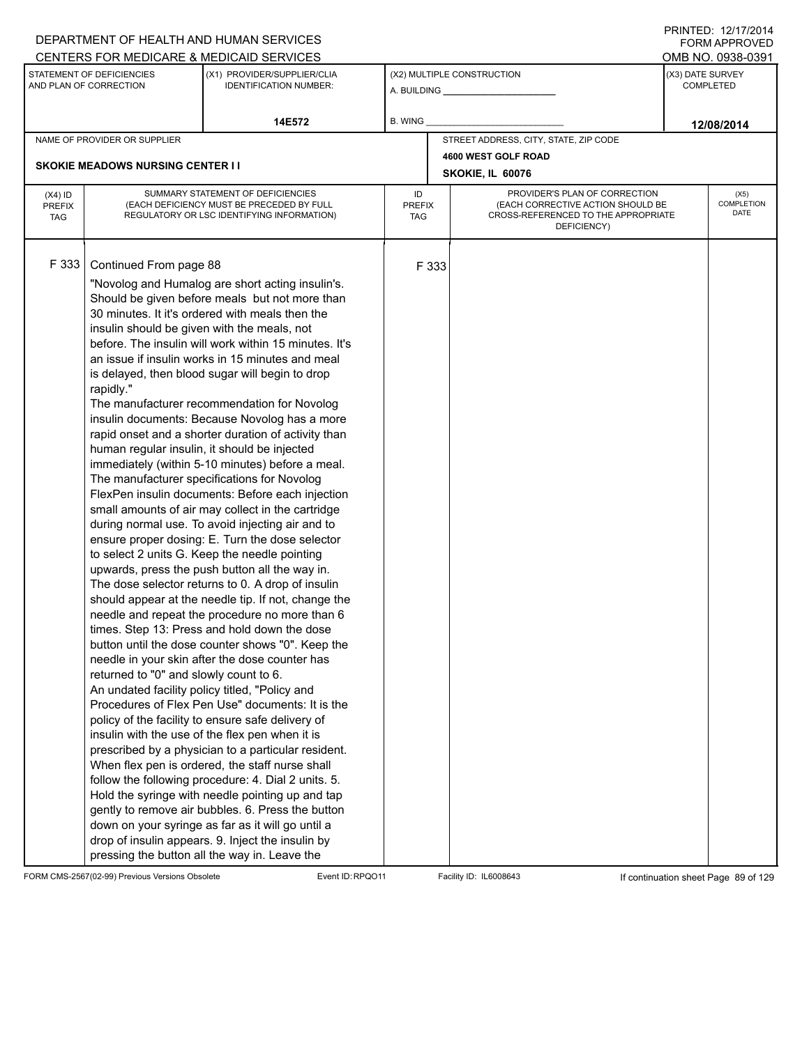|                                          |                                                                                                                                                                                                                                | DEPARTMENT OF HEALTH AND HUMAN SERVICES                                                                                                                                                                                                                                                                                                                                                                                                                                                                                                                                                                                                                                                                                                                                                                                                                                                                                                                                                                                                                                                                                                                                                                                                                                                                                                                                                                                                                                                                                                                                                                                                                                                                                                                                                                                  |                                   |       |                                                                                                                          |                  | FORM APPROVED              |
|------------------------------------------|--------------------------------------------------------------------------------------------------------------------------------------------------------------------------------------------------------------------------------|--------------------------------------------------------------------------------------------------------------------------------------------------------------------------------------------------------------------------------------------------------------------------------------------------------------------------------------------------------------------------------------------------------------------------------------------------------------------------------------------------------------------------------------------------------------------------------------------------------------------------------------------------------------------------------------------------------------------------------------------------------------------------------------------------------------------------------------------------------------------------------------------------------------------------------------------------------------------------------------------------------------------------------------------------------------------------------------------------------------------------------------------------------------------------------------------------------------------------------------------------------------------------------------------------------------------------------------------------------------------------------------------------------------------------------------------------------------------------------------------------------------------------------------------------------------------------------------------------------------------------------------------------------------------------------------------------------------------------------------------------------------------------------------------------------------------------|-----------------------------------|-------|--------------------------------------------------------------------------------------------------------------------------|------------------|----------------------------|
|                                          | STATEMENT OF DEFICIENCIES                                                                                                                                                                                                      | CENTERS FOR MEDICARE & MEDICAID SERVICES<br>(X1) PROVIDER/SUPPLIER/CLIA                                                                                                                                                                                                                                                                                                                                                                                                                                                                                                                                                                                                                                                                                                                                                                                                                                                                                                                                                                                                                                                                                                                                                                                                                                                                                                                                                                                                                                                                                                                                                                                                                                                                                                                                                  |                                   |       | (X2) MULTIPLE CONSTRUCTION                                                                                               | (X3) DATE SURVEY | OMB NO. 0938-0391          |
|                                          | AND PLAN OF CORRECTION                                                                                                                                                                                                         | <b>IDENTIFICATION NUMBER:</b>                                                                                                                                                                                                                                                                                                                                                                                                                                                                                                                                                                                                                                                                                                                                                                                                                                                                                                                                                                                                                                                                                                                                                                                                                                                                                                                                                                                                                                                                                                                                                                                                                                                                                                                                                                                            |                                   |       |                                                                                                                          |                  | <b>COMPLETED</b>           |
|                                          |                                                                                                                                                                                                                                | 14E572                                                                                                                                                                                                                                                                                                                                                                                                                                                                                                                                                                                                                                                                                                                                                                                                                                                                                                                                                                                                                                                                                                                                                                                                                                                                                                                                                                                                                                                                                                                                                                                                                                                                                                                                                                                                                   | B. WING                           |       |                                                                                                                          |                  | 12/08/2014                 |
|                                          | NAME OF PROVIDER OR SUPPLIER                                                                                                                                                                                                   |                                                                                                                                                                                                                                                                                                                                                                                                                                                                                                                                                                                                                                                                                                                                                                                                                                                                                                                                                                                                                                                                                                                                                                                                                                                                                                                                                                                                                                                                                                                                                                                                                                                                                                                                                                                                                          |                                   |       | STREET ADDRESS, CITY, STATE, ZIP CODE                                                                                    |                  |                            |
|                                          |                                                                                                                                                                                                                                |                                                                                                                                                                                                                                                                                                                                                                                                                                                                                                                                                                                                                                                                                                                                                                                                                                                                                                                                                                                                                                                                                                                                                                                                                                                                                                                                                                                                                                                                                                                                                                                                                                                                                                                                                                                                                          |                                   |       | 4600 WEST GOLF ROAD                                                                                                      |                  |                            |
|                                          | <b>SKOKIE MEADOWS NURSING CENTER I I</b>                                                                                                                                                                                       |                                                                                                                                                                                                                                                                                                                                                                                                                                                                                                                                                                                                                                                                                                                                                                                                                                                                                                                                                                                                                                                                                                                                                                                                                                                                                                                                                                                                                                                                                                                                                                                                                                                                                                                                                                                                                          |                                   |       | SKOKIE, IL 60076                                                                                                         |                  |                            |
| $(X4)$ ID<br><b>PREFIX</b><br><b>TAG</b> |                                                                                                                                                                                                                                | SUMMARY STATEMENT OF DEFICIENCIES<br>(EACH DEFICIENCY MUST BE PRECEDED BY FULL<br>REGULATORY OR LSC IDENTIFYING INFORMATION)                                                                                                                                                                                                                                                                                                                                                                                                                                                                                                                                                                                                                                                                                                                                                                                                                                                                                                                                                                                                                                                                                                                                                                                                                                                                                                                                                                                                                                                                                                                                                                                                                                                                                             | ID<br><b>PREFIX</b><br><b>TAG</b> |       | PROVIDER'S PLAN OF CORRECTION<br>(EACH CORRECTIVE ACTION SHOULD BE<br>CROSS-REFERENCED TO THE APPROPRIATE<br>DEFICIENCY) |                  | (X5)<br>COMPLETION<br>DATE |
| F 333                                    | Continued From page 88<br>insulin should be given with the meals, not<br>rapidly."<br>human regular insulin, it should be injected<br>returned to "0" and slowly count to 6.<br>An undated facility policy titled, "Policy and | "Novolog and Humalog are short acting insulin's.<br>Should be given before meals but not more than<br>30 minutes. It it's ordered with meals then the<br>before. The insulin will work within 15 minutes. It's<br>an issue if insulin works in 15 minutes and meal<br>is delayed, then blood sugar will begin to drop<br>The manufacturer recommendation for Novolog<br>insulin documents: Because Novolog has a more<br>rapid onset and a shorter duration of activity than<br>immediately (within 5-10 minutes) before a meal.<br>The manufacturer specifications for Novolog<br>FlexPen insulin documents: Before each injection<br>small amounts of air may collect in the cartridge<br>during normal use. To avoid injecting air and to<br>ensure proper dosing: E. Turn the dose selector<br>to select 2 units G. Keep the needle pointing<br>upwards, press the push button all the way in.<br>The dose selector returns to 0. A drop of insulin<br>should appear at the needle tip. If not, change the<br>needle and repeat the procedure no more than 6<br>times. Step 13: Press and hold down the dose<br>button until the dose counter shows "0". Keep the<br>needle in your skin after the dose counter has<br>Procedures of Flex Pen Use" documents: It is the<br>policy of the facility to ensure safe delivery of<br>insulin with the use of the flex pen when it is<br>prescribed by a physician to a particular resident.<br>When flex pen is ordered, the staff nurse shall<br>follow the following procedure: 4. Dial 2 units. 5.<br>Hold the syringe with needle pointing up and tap<br>gently to remove air bubbles. 6. Press the button<br>down on your syringe as far as it will go until a<br>drop of insulin appears. 9. Inject the insulin by<br>pressing the button all the way in. Leave the |                                   | F 333 |                                                                                                                          |                  |                            |

FORM CMS-2567(02-99) Previous Versions Obsolete Event ID:RPQO11 Facility ID: IL6008643 If continuation sheet Page 89 of 129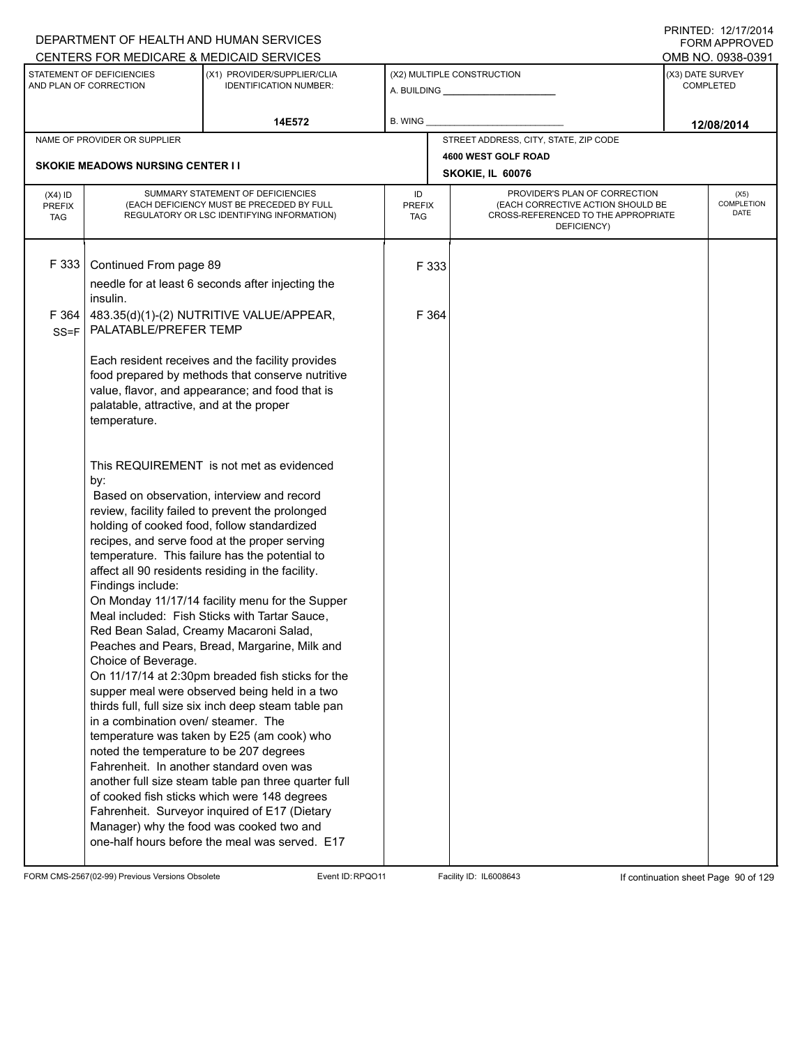|                                          |                                                                                                                                                                                                                         | DEPARTMENT OF HEALTH AND HUMAN SERVICES                                                                                                                                                                                                                                                                                                                                                                                                                                                                                                                                                                                                                                                                                                                                                                                                                                                                                                                                   |                            |       |                                                                                                                          |                  | <b>FORM APPROVED</b>       |  |
|------------------------------------------|-------------------------------------------------------------------------------------------------------------------------------------------------------------------------------------------------------------------------|---------------------------------------------------------------------------------------------------------------------------------------------------------------------------------------------------------------------------------------------------------------------------------------------------------------------------------------------------------------------------------------------------------------------------------------------------------------------------------------------------------------------------------------------------------------------------------------------------------------------------------------------------------------------------------------------------------------------------------------------------------------------------------------------------------------------------------------------------------------------------------------------------------------------------------------------------------------------------|----------------------------|-------|--------------------------------------------------------------------------------------------------------------------------|------------------|----------------------------|--|
|                                          |                                                                                                                                                                                                                         | CENTERS FOR MEDICARE & MEDICAID SERVICES                                                                                                                                                                                                                                                                                                                                                                                                                                                                                                                                                                                                                                                                                                                                                                                                                                                                                                                                  |                            |       |                                                                                                                          |                  | OMB NO. 0938-0391          |  |
|                                          | STATEMENT OF DEFICIENCIES<br>AND PLAN OF CORRECTION                                                                                                                                                                     | (X1) PROVIDER/SUPPLIER/CLIA<br><b>IDENTIFICATION NUMBER:</b>                                                                                                                                                                                                                                                                                                                                                                                                                                                                                                                                                                                                                                                                                                                                                                                                                                                                                                              |                            |       | (X2) MULTIPLE CONSTRUCTION                                                                                               | (X3) DATE SURVEY | <b>COMPLETED</b>           |  |
|                                          |                                                                                                                                                                                                                         | 14E572                                                                                                                                                                                                                                                                                                                                                                                                                                                                                                                                                                                                                                                                                                                                                                                                                                                                                                                                                                    | B. WING                    |       |                                                                                                                          |                  | 12/08/2014                 |  |
|                                          | NAME OF PROVIDER OR SUPPLIER                                                                                                                                                                                            |                                                                                                                                                                                                                                                                                                                                                                                                                                                                                                                                                                                                                                                                                                                                                                                                                                                                                                                                                                           |                            |       | STREET ADDRESS, CITY, STATE, ZIP CODE                                                                                    |                  |                            |  |
|                                          | <b>SKOKIE MEADOWS NURSING CENTER I I</b>                                                                                                                                                                                |                                                                                                                                                                                                                                                                                                                                                                                                                                                                                                                                                                                                                                                                                                                                                                                                                                                                                                                                                                           |                            |       | 4600 WEST GOLF ROAD                                                                                                      |                  |                            |  |
|                                          |                                                                                                                                                                                                                         |                                                                                                                                                                                                                                                                                                                                                                                                                                                                                                                                                                                                                                                                                                                                                                                                                                                                                                                                                                           |                            |       | SKOKIE, IL 60076                                                                                                         |                  |                            |  |
| $(X4)$ ID<br><b>PREFIX</b><br><b>TAG</b> |                                                                                                                                                                                                                         | SUMMARY STATEMENT OF DEFICIENCIES<br>(EACH DEFICIENCY MUST BE PRECEDED BY FULL<br>REGULATORY OR LSC IDENTIFYING INFORMATION)                                                                                                                                                                                                                                                                                                                                                                                                                                                                                                                                                                                                                                                                                                                                                                                                                                              | ID<br><b>PREFIX</b><br>TAG |       | PROVIDER'S PLAN OF CORRECTION<br>(EACH CORRECTIVE ACTION SHOULD BE<br>CROSS-REFERENCED TO THE APPROPRIATE<br>DEFICIENCY) |                  | (X5)<br>COMPLETION<br>DATE |  |
| F 333                                    | Continued From page 89<br>insulin.                                                                                                                                                                                      | needle for at least 6 seconds after injecting the                                                                                                                                                                                                                                                                                                                                                                                                                                                                                                                                                                                                                                                                                                                                                                                                                                                                                                                         |                            | F 333 |                                                                                                                          |                  |                            |  |
| F 364<br>$SS = F$                        | PALATABLE/PREFER TEMP                                                                                                                                                                                                   | 483.35(d)(1)-(2) NUTRITIVE VALUE/APPEAR,                                                                                                                                                                                                                                                                                                                                                                                                                                                                                                                                                                                                                                                                                                                                                                                                                                                                                                                                  |                            | F 364 |                                                                                                                          |                  |                            |  |
|                                          | palatable, attractive, and at the proper<br>temperature.                                                                                                                                                                | Each resident receives and the facility provides<br>food prepared by methods that conserve nutritive<br>value, flavor, and appearance; and food that is                                                                                                                                                                                                                                                                                                                                                                                                                                                                                                                                                                                                                                                                                                                                                                                                                   |                            |       |                                                                                                                          |                  |                            |  |
|                                          | by:<br>Findings include:<br>Red Bean Salad, Creamy Macaroni Salad,<br>Choice of Beverage.<br>in a combination oven/ steamer. The<br>noted the temperature to be 207 degrees<br>Fahrenheit. In another standard oven was | This REQUIREMENT is not met as evidenced<br>Based on observation, interview and record<br>review, facility failed to prevent the prolonged<br>holding of cooked food, follow standardized<br>recipes, and serve food at the proper serving<br>temperature. This failure has the potential to<br>affect all 90 residents residing in the facility.<br>On Monday 11/17/14 facility menu for the Supper<br>Meal included: Fish Sticks with Tartar Sauce,<br>Peaches and Pears, Bread, Margarine, Milk and<br>On 11/17/14 at 2:30pm breaded fish sticks for the<br>supper meal were observed being held in a two<br>thirds full, full size six inch deep steam table pan<br>temperature was taken by E25 (am cook) who<br>another full size steam table pan three quarter full<br>of cooked fish sticks which were 148 degrees<br>Fahrenheit. Surveyor inquired of E17 (Dietary<br>Manager) why the food was cooked two and<br>one-half hours before the meal was served. E17 |                            |       |                                                                                                                          |                  |                            |  |

FORM CMS-2567(02-99) Previous Versions Obsolete Event ID:RPQO11 Facility ID: IL6008643 If continuation sheet Page 90 of 129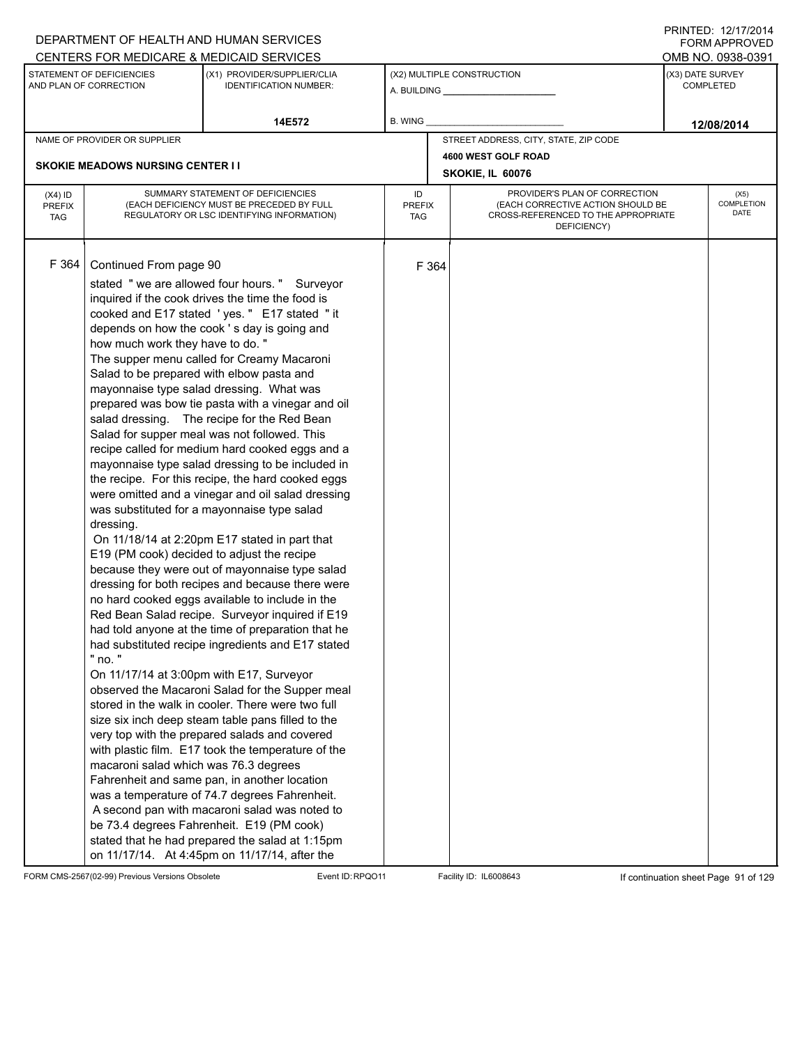## A. BUILDING **\_\_\_\_\_\_\_\_\_\_\_\_\_\_\_\_\_\_\_\_\_\_** (X1) PROVIDER/SUPPLIER/CLIA IDENTIFICATION NUMBER: STATEMENT OF DEFICIENCIES AND PLAN OF CORRECTION (X3) DATE SURVEY COMPLETED FORM APPROVED (X2) MULTIPLE CONSTRUCTION **B. WING** CENTERS FOR MEDICARE & MEDICAID SERVICES **And CENTERS FOR MEDICAL ACCESS** OMB NO. 0938-0391 **14E572 12/08/2014** NAME OF PROVIDER OR SUPPLIER STREET ADDRESS, CITY, STATE, ZIP CODE **4600 WEST GOLF ROAD SKOKIE MEADOWS NURSING CENTER I I SKOKIE, IL 60076** PROVIDER'S PLAN OF CORRECTION (EACH CORRECTIVE ACTION SHOULD BE CROSS-REFERENCED TO THE APPROPRIATE DEFICIENCY) (X5) **COMPLETION** DATE ID PREFIX TAG (X4) ID PREFIX TAG SUMMARY STATEMENT OF DEFICIENCIES (EACH DEFICIENCY MUST BE PRECEDED BY FULL REGULATORY OR LSC IDENTIFYING INFORMATION) F 364 Continued From page 90 F 364 stated " we are allowed four hours. " Surveyor inquired if the cook drives the time the food is cooked and E17 stated ' yes. " E17 stated " it depends on how the cook ' s day is going and how much work they have to do. " The supper menu called for Creamy Macaroni Salad to be prepared with elbow pasta and mayonnaise type salad dressing. What was prepared was bow tie pasta with a vinegar and oil salad dressing. The recipe for the Red Bean Salad for supper meal was not followed. This recipe called for medium hard cooked eggs and a mayonnaise type salad dressing to be included in the recipe. For this recipe, the hard cooked eggs were omitted and a vinegar and oil salad dressing was substituted for a mayonnaise type salad dressing. On 11/18/14 at 2:20pm E17 stated in part that E19 (PM cook) decided to adjust the recipe because they were out of mayonnaise type salad dressing for both recipes and because there were no hard cooked eggs available to include in the Red Bean Salad recipe. Surveyor inquired if E19 had told anyone at the time of preparation that he had substituted recipe ingredients and E17 stated " no. " On 11/17/14 at 3:00pm with E17, Surveyor observed the Macaroni Salad for the Supper meal stored in the walk in cooler. There were two full size six inch deep steam table pans filled to the very top with the prepared salads and covered with plastic film. E17 took the temperature of the macaroni salad which was 76.3 degrees Fahrenheit and same pan, in another location was a temperature of 74.7 degrees Fahrenheit. A second pan with macaroni salad was noted to be 73.4 degrees Fahrenheit. E19 (PM cook) stated that he had prepared the salad at 1:15pm on 11/17/14. At 4:45pm on 11/17/14, after the

FORM CMS-2567(02-99) Previous Versions Obsolete Event ID:RPQO11 Facility ID: IL6008643 If continuation sheet Page 91 of 129

DEPARTMENT OF HEALTH AND HUMAN SERVICES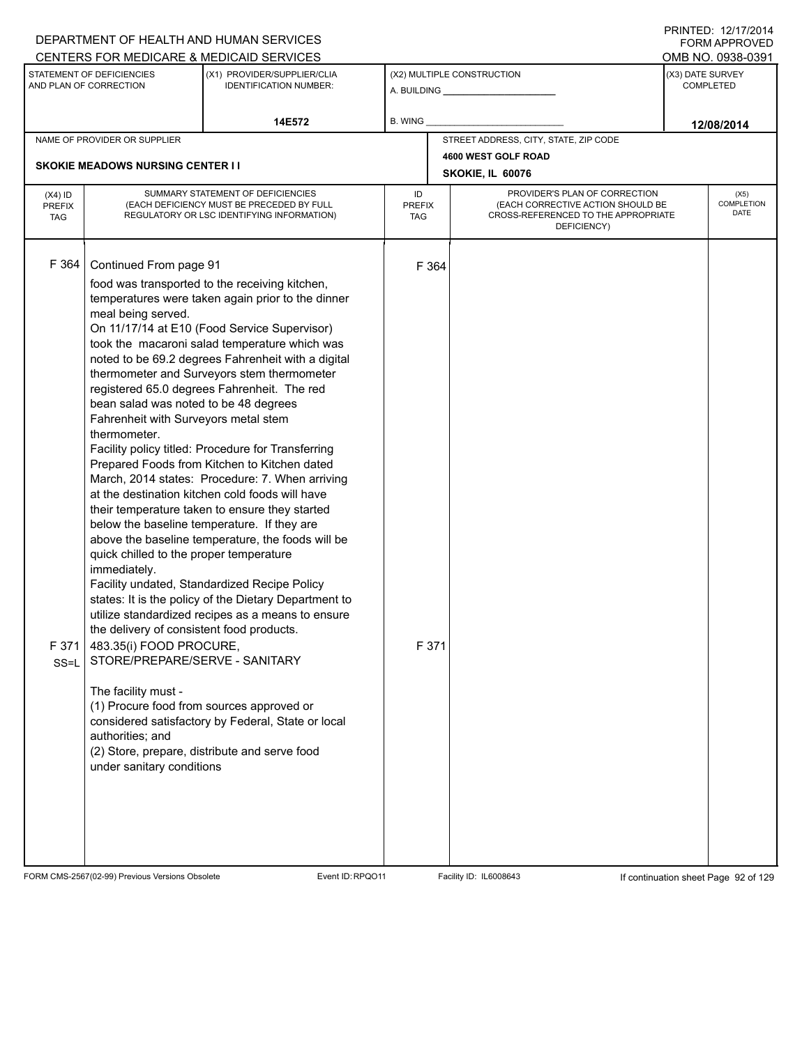|                                          |                                                                                                                                                                                                                                                                                                                                                                                                                                         | DEPARTMENT OF HEALTH AND HUMAN SERVICES                                                                                                                                                                                                                                                                                                                                                                                                                                                                                                                                                                                                                                                                                                                                                                                                                                                                                                                                                        |                                   |                |                                                                                                                          |                  | FORM APPROVED<br>OMB NO. 0938-0391 |  |  |
|------------------------------------------|-----------------------------------------------------------------------------------------------------------------------------------------------------------------------------------------------------------------------------------------------------------------------------------------------------------------------------------------------------------------------------------------------------------------------------------------|------------------------------------------------------------------------------------------------------------------------------------------------------------------------------------------------------------------------------------------------------------------------------------------------------------------------------------------------------------------------------------------------------------------------------------------------------------------------------------------------------------------------------------------------------------------------------------------------------------------------------------------------------------------------------------------------------------------------------------------------------------------------------------------------------------------------------------------------------------------------------------------------------------------------------------------------------------------------------------------------|-----------------------------------|----------------|--------------------------------------------------------------------------------------------------------------------------|------------------|------------------------------------|--|--|
|                                          | STATEMENT OF DEFICIENCIES                                                                                                                                                                                                                                                                                                                                                                                                               | CENTERS FOR MEDICARE & MEDICAID SERVICES<br>(X1) PROVIDER/SUPPLIER/CLIA                                                                                                                                                                                                                                                                                                                                                                                                                                                                                                                                                                                                                                                                                                                                                                                                                                                                                                                        |                                   |                | (X2) MULTIPLE CONSTRUCTION                                                                                               | (X3) DATE SURVEY |                                    |  |  |
|                                          | AND PLAN OF CORRECTION                                                                                                                                                                                                                                                                                                                                                                                                                  | <b>IDENTIFICATION NUMBER:</b>                                                                                                                                                                                                                                                                                                                                                                                                                                                                                                                                                                                                                                                                                                                                                                                                                                                                                                                                                                  |                                   |                |                                                                                                                          |                  | <b>COMPLETED</b>                   |  |  |
|                                          |                                                                                                                                                                                                                                                                                                                                                                                                                                         | 14E572                                                                                                                                                                                                                                                                                                                                                                                                                                                                                                                                                                                                                                                                                                                                                                                                                                                                                                                                                                                         | B. WING                           |                |                                                                                                                          |                  | 12/08/2014                         |  |  |
|                                          | NAME OF PROVIDER OR SUPPLIER                                                                                                                                                                                                                                                                                                                                                                                                            |                                                                                                                                                                                                                                                                                                                                                                                                                                                                                                                                                                                                                                                                                                                                                                                                                                                                                                                                                                                                |                                   |                | STREET ADDRESS, CITY, STATE, ZIP CODE                                                                                    |                  |                                    |  |  |
|                                          | <b>SKOKIE MEADOWS NURSING CENTER I I</b>                                                                                                                                                                                                                                                                                                                                                                                                |                                                                                                                                                                                                                                                                                                                                                                                                                                                                                                                                                                                                                                                                                                                                                                                                                                                                                                                                                                                                |                                   |                | 4600 WEST GOLF ROAD<br>SKOKIE, IL 60076                                                                                  |                  |                                    |  |  |
| $(X4)$ ID<br><b>PREFIX</b><br><b>TAG</b> |                                                                                                                                                                                                                                                                                                                                                                                                                                         | SUMMARY STATEMENT OF DEFICIENCIES<br>(EACH DEFICIENCY MUST BE PRECEDED BY FULL<br>REGULATORY OR LSC IDENTIFYING INFORMATION)                                                                                                                                                                                                                                                                                                                                                                                                                                                                                                                                                                                                                                                                                                                                                                                                                                                                   | ID<br><b>PREFIX</b><br><b>TAG</b> |                | PROVIDER'S PLAN OF CORRECTION<br>(EACH CORRECTIVE ACTION SHOULD BE<br>CROSS-REFERENCED TO THE APPROPRIATE<br>DEFICIENCY) |                  | (X5)<br>COMPLETION<br>DATE         |  |  |
| F 364<br>F 371<br>SS=L                   | Continued From page 91<br>meal being served.<br>bean salad was noted to be 48 degrees<br>Fahrenheit with Surveyors metal stem<br>thermometer.<br>quick chilled to the proper temperature<br>immediately.<br>the delivery of consistent food products.<br>483.35(i) FOOD PROCURE,<br>STORE/PREPARE/SERVE - SANITARY<br>The facility must -<br>(1) Procure food from sources approved or<br>authorities; and<br>under sanitary conditions | food was transported to the receiving kitchen,<br>temperatures were taken again prior to the dinner<br>On 11/17/14 at E10 (Food Service Supervisor)<br>took the macaroni salad temperature which was<br>noted to be 69.2 degrees Fahrenheit with a digital<br>thermometer and Surveyors stem thermometer<br>registered 65.0 degrees Fahrenheit. The red<br>Facility policy titled: Procedure for Transferring<br>Prepared Foods from Kitchen to Kitchen dated<br>March, 2014 states: Procedure: 7. When arriving<br>at the destination kitchen cold foods will have<br>their temperature taken to ensure they started<br>below the baseline temperature. If they are<br>above the baseline temperature, the foods will be<br>Facility undated, Standardized Recipe Policy<br>states: It is the policy of the Dietary Department to<br>utilize standardized recipes as a means to ensure<br>considered satisfactory by Federal, State or local<br>(2) Store, prepare, distribute and serve food |                                   | F 364<br>F 371 |                                                                                                                          |                  |                                    |  |  |

FORM CMS-2567(02-99) Previous Versions Obsolete Event ID:RPQO11 Facility ID: IL6008643 If continuation sheet Page 92 of 129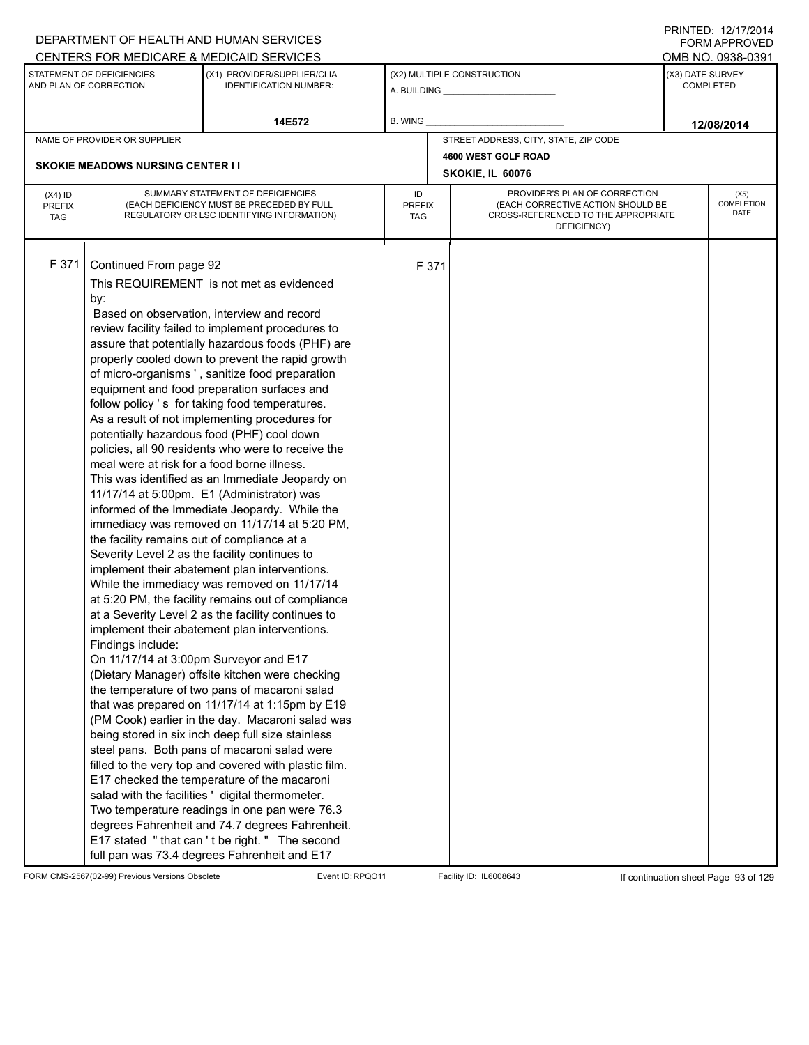|                                          |                                                                                                                                                                                                                                             | DEPARTMENT OF HEALTH AND HUMAN SERVICES                                                                                                                                                                                                                                                                                                                                                                                                                                                                                                                                                                                                                                                                                                                                                                                                                                                                                                                                                                                                                                                                                                                                                                                                                                                                                                                                                                                                                                                                                                                                                                                                                                                                      |                            |       |                                                                                                                          |                  | 11111 LD. 14/11/4917<br><b>FORM APPROVED</b> |  |
|------------------------------------------|---------------------------------------------------------------------------------------------------------------------------------------------------------------------------------------------------------------------------------------------|--------------------------------------------------------------------------------------------------------------------------------------------------------------------------------------------------------------------------------------------------------------------------------------------------------------------------------------------------------------------------------------------------------------------------------------------------------------------------------------------------------------------------------------------------------------------------------------------------------------------------------------------------------------------------------------------------------------------------------------------------------------------------------------------------------------------------------------------------------------------------------------------------------------------------------------------------------------------------------------------------------------------------------------------------------------------------------------------------------------------------------------------------------------------------------------------------------------------------------------------------------------------------------------------------------------------------------------------------------------------------------------------------------------------------------------------------------------------------------------------------------------------------------------------------------------------------------------------------------------------------------------------------------------------------------------------------------------|----------------------------|-------|--------------------------------------------------------------------------------------------------------------------------|------------------|----------------------------------------------|--|
|                                          |                                                                                                                                                                                                                                             | CENTERS FOR MEDICARE & MEDICAID SERVICES                                                                                                                                                                                                                                                                                                                                                                                                                                                                                                                                                                                                                                                                                                                                                                                                                                                                                                                                                                                                                                                                                                                                                                                                                                                                                                                                                                                                                                                                                                                                                                                                                                                                     |                            |       |                                                                                                                          |                  | OMB NO. 0938-0391                            |  |
|                                          | STATEMENT OF DEFICIENCIES<br>AND PLAN OF CORRECTION                                                                                                                                                                                         | (X1) PROVIDER/SUPPLIER/CLIA<br><b>IDENTIFICATION NUMBER:</b>                                                                                                                                                                                                                                                                                                                                                                                                                                                                                                                                                                                                                                                                                                                                                                                                                                                                                                                                                                                                                                                                                                                                                                                                                                                                                                                                                                                                                                                                                                                                                                                                                                                 |                            |       | (X2) MULTIPLE CONSTRUCTION                                                                                               | (X3) DATE SURVEY | <b>COMPLETED</b>                             |  |
|                                          |                                                                                                                                                                                                                                             | 14E572                                                                                                                                                                                                                                                                                                                                                                                                                                                                                                                                                                                                                                                                                                                                                                                                                                                                                                                                                                                                                                                                                                                                                                                                                                                                                                                                                                                                                                                                                                                                                                                                                                                                                                       | B. WING                    |       |                                                                                                                          |                  | 12/08/2014                                   |  |
|                                          | NAME OF PROVIDER OR SUPPLIER                                                                                                                                                                                                                |                                                                                                                                                                                                                                                                                                                                                                                                                                                                                                                                                                                                                                                                                                                                                                                                                                                                                                                                                                                                                                                                                                                                                                                                                                                                                                                                                                                                                                                                                                                                                                                                                                                                                                              |                            |       | STREET ADDRESS, CITY, STATE, ZIP CODE                                                                                    |                  |                                              |  |
|                                          |                                                                                                                                                                                                                                             |                                                                                                                                                                                                                                                                                                                                                                                                                                                                                                                                                                                                                                                                                                                                                                                                                                                                                                                                                                                                                                                                                                                                                                                                                                                                                                                                                                                                                                                                                                                                                                                                                                                                                                              |                            |       | 4600 WEST GOLF ROAD                                                                                                      |                  |                                              |  |
|                                          | <b>SKOKIE MEADOWS NURSING CENTER II</b>                                                                                                                                                                                                     |                                                                                                                                                                                                                                                                                                                                                                                                                                                                                                                                                                                                                                                                                                                                                                                                                                                                                                                                                                                                                                                                                                                                                                                                                                                                                                                                                                                                                                                                                                                                                                                                                                                                                                              |                            |       | SKOKIE, IL 60076                                                                                                         |                  |                                              |  |
| $(X4)$ ID<br><b>PREFIX</b><br><b>TAG</b> |                                                                                                                                                                                                                                             | SUMMARY STATEMENT OF DEFICIENCIES<br>(EACH DEFICIENCY MUST BE PRECEDED BY FULL<br>REGULATORY OR LSC IDENTIFYING INFORMATION)                                                                                                                                                                                                                                                                                                                                                                                                                                                                                                                                                                                                                                                                                                                                                                                                                                                                                                                                                                                                                                                                                                                                                                                                                                                                                                                                                                                                                                                                                                                                                                                 | ID<br><b>PREFIX</b><br>TAG |       | PROVIDER'S PLAN OF CORRECTION<br>(EACH CORRECTIVE ACTION SHOULD BE<br>CROSS-REFERENCED TO THE APPROPRIATE<br>DEFICIENCY) |                  | (X5)<br>COMPLETION<br>DATE                   |  |
| F 371                                    | Continued From page 92<br>by:<br>meal were at risk for a food borne illness.<br>the facility remains out of compliance at a<br>Severity Level 2 as the facility continues to<br>Findings include:<br>On 11/17/14 at 3:00pm Surveyor and E17 | This REQUIREMENT is not met as evidenced<br>Based on observation, interview and record<br>review facility failed to implement procedures to<br>assure that potentially hazardous foods (PHF) are<br>properly cooled down to prevent the rapid growth<br>of micro-organisms', sanitize food preparation<br>equipment and food preparation surfaces and<br>follow policy 's for taking food temperatures.<br>As a result of not implementing procedures for<br>potentially hazardous food (PHF) cool down<br>policies, all 90 residents who were to receive the<br>This was identified as an Immediate Jeopardy on<br>11/17/14 at 5:00pm. E1 (Administrator) was<br>informed of the Immediate Jeopardy. While the<br>immediacy was removed on 11/17/14 at 5:20 PM,<br>implement their abatement plan interventions.<br>While the immediacy was removed on 11/17/14<br>at 5:20 PM, the facility remains out of compliance<br>at a Severity Level 2 as the facility continues to<br>implement their abatement plan interventions.<br>(Dietary Manager) offsite kitchen were checking<br>the temperature of two pans of macaroni salad<br>that was prepared on 11/17/14 at 1:15pm by E19<br>(PM Cook) earlier in the day. Macaroni salad was<br>being stored in six inch deep full size stainless<br>steel pans. Both pans of macaroni salad were<br>filled to the very top and covered with plastic film.<br>E17 checked the temperature of the macaroni<br>salad with the facilities ' digital thermometer.<br>Two temperature readings in one pan were 76.3<br>degrees Fahrenheit and 74.7 degrees Fahrenheit.<br>E17 stated "that can't be right." The second<br>full pan was 73.4 degrees Fahrenheit and E17 |                            | F 371 |                                                                                                                          |                  |                                              |  |

FORM CMS-2567(02-99) Previous Versions Obsolete Event ID:RPQO11 Facility ID: IL6008643 If continuation sheet Page 93 of 129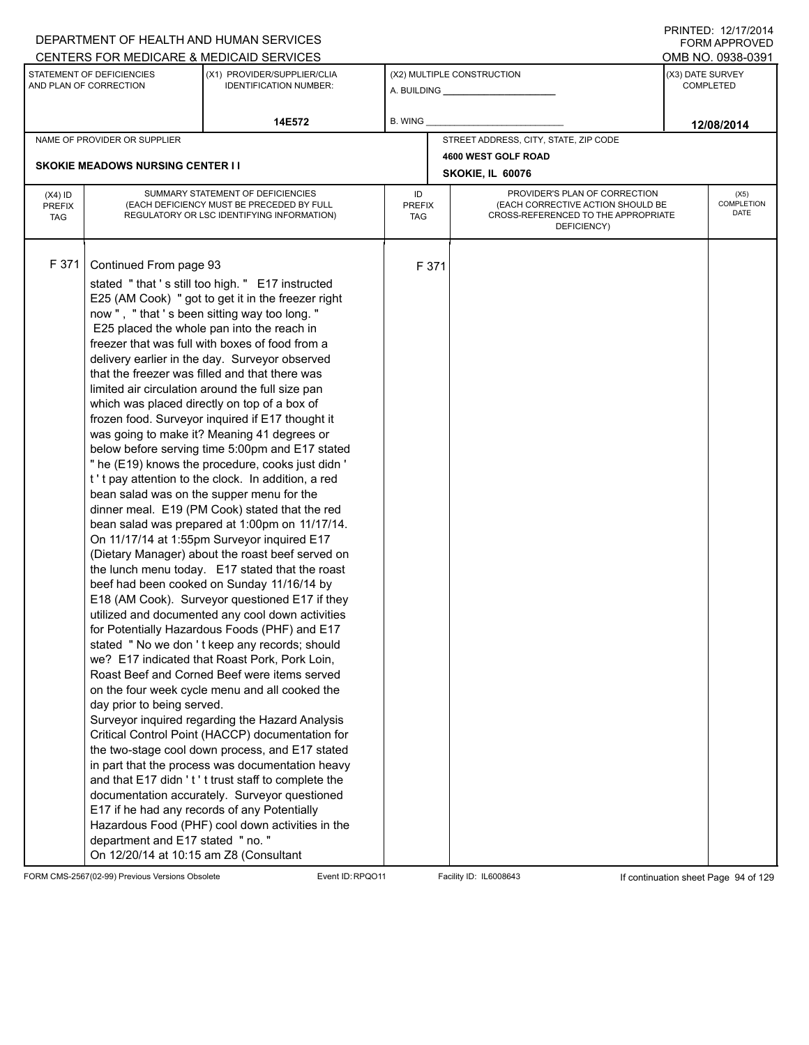|                                          |                                                                                                                                     | DEPARTMENT OF HEALTH AND HUMAN SERVICES                                                                                                                                                                                                                                                                                                                                                                                                                                                                                                                                                                                                                                                                                                                                                                                                                                                                                                                                                                                                                                                                                                                                                                                                                                                                                                                                                                                                                                                                                                                                                                                                                                                                                                                                                                                                                              |                                   |       |                                                                                                                          |  | $1 \times 1 \times 1 = 1$ . $1 \times 1 \times 1 \times 1 = 1$<br>FORM APPROVED |  |  |
|------------------------------------------|-------------------------------------------------------------------------------------------------------------------------------------|----------------------------------------------------------------------------------------------------------------------------------------------------------------------------------------------------------------------------------------------------------------------------------------------------------------------------------------------------------------------------------------------------------------------------------------------------------------------------------------------------------------------------------------------------------------------------------------------------------------------------------------------------------------------------------------------------------------------------------------------------------------------------------------------------------------------------------------------------------------------------------------------------------------------------------------------------------------------------------------------------------------------------------------------------------------------------------------------------------------------------------------------------------------------------------------------------------------------------------------------------------------------------------------------------------------------------------------------------------------------------------------------------------------------------------------------------------------------------------------------------------------------------------------------------------------------------------------------------------------------------------------------------------------------------------------------------------------------------------------------------------------------------------------------------------------------------------------------------------------------|-----------------------------------|-------|--------------------------------------------------------------------------------------------------------------------------|--|---------------------------------------------------------------------------------|--|--|
|                                          |                                                                                                                                     | CENTERS FOR MEDICARE & MEDICAID SERVICES                                                                                                                                                                                                                                                                                                                                                                                                                                                                                                                                                                                                                                                                                                                                                                                                                                                                                                                                                                                                                                                                                                                                                                                                                                                                                                                                                                                                                                                                                                                                                                                                                                                                                                                                                                                                                             |                                   |       |                                                                                                                          |  | OMB NO. 0938-0391                                                               |  |  |
|                                          | STATEMENT OF DEFICIENCIES<br>AND PLAN OF CORRECTION                                                                                 | (X1) PROVIDER/SUPPLIER/CLIA<br><b>IDENTIFICATION NUMBER:</b>                                                                                                                                                                                                                                                                                                                                                                                                                                                                                                                                                                                                                                                                                                                                                                                                                                                                                                                                                                                                                                                                                                                                                                                                                                                                                                                                                                                                                                                                                                                                                                                                                                                                                                                                                                                                         |                                   |       | (X2) MULTIPLE CONSTRUCTION                                                                                               |  | (X3) DATE SURVEY<br><b>COMPLETED</b>                                            |  |  |
|                                          |                                                                                                                                     | 14E572                                                                                                                                                                                                                                                                                                                                                                                                                                                                                                                                                                                                                                                                                                                                                                                                                                                                                                                                                                                                                                                                                                                                                                                                                                                                                                                                                                                                                                                                                                                                                                                                                                                                                                                                                                                                                                                               | B. WING                           |       |                                                                                                                          |  | 12/08/2014                                                                      |  |  |
|                                          | NAME OF PROVIDER OR SUPPLIER                                                                                                        |                                                                                                                                                                                                                                                                                                                                                                                                                                                                                                                                                                                                                                                                                                                                                                                                                                                                                                                                                                                                                                                                                                                                                                                                                                                                                                                                                                                                                                                                                                                                                                                                                                                                                                                                                                                                                                                                      |                                   |       | STREET ADDRESS, CITY, STATE, ZIP CODE                                                                                    |  |                                                                                 |  |  |
|                                          |                                                                                                                                     |                                                                                                                                                                                                                                                                                                                                                                                                                                                                                                                                                                                                                                                                                                                                                                                                                                                                                                                                                                                                                                                                                                                                                                                                                                                                                                                                                                                                                                                                                                                                                                                                                                                                                                                                                                                                                                                                      |                                   |       | 4600 WEST GOLF ROAD                                                                                                      |  |                                                                                 |  |  |
|                                          | <b>SKOKIE MEADOWS NURSING CENTER I I</b>                                                                                            |                                                                                                                                                                                                                                                                                                                                                                                                                                                                                                                                                                                                                                                                                                                                                                                                                                                                                                                                                                                                                                                                                                                                                                                                                                                                                                                                                                                                                                                                                                                                                                                                                                                                                                                                                                                                                                                                      |                                   |       | SKOKIE, IL 60076                                                                                                         |  |                                                                                 |  |  |
| $(X4)$ ID<br><b>PREFIX</b><br><b>TAG</b> |                                                                                                                                     | SUMMARY STATEMENT OF DEFICIENCIES<br>(EACH DEFICIENCY MUST BE PRECEDED BY FULL<br>REGULATORY OR LSC IDENTIFYING INFORMATION)                                                                                                                                                                                                                                                                                                                                                                                                                                                                                                                                                                                                                                                                                                                                                                                                                                                                                                                                                                                                                                                                                                                                                                                                                                                                                                                                                                                                                                                                                                                                                                                                                                                                                                                                         | ID<br><b>PREFIX</b><br><b>TAG</b> |       | PROVIDER'S PLAN OF CORRECTION<br>(EACH CORRECTIVE ACTION SHOULD BE<br>CROSS-REFERENCED TO THE APPROPRIATE<br>DEFICIENCY) |  | (X5)<br>COMPLETION<br>DATE                                                      |  |  |
| F 371                                    | Continued From page 93<br>day prior to being served.<br>department and E17 stated " no. "<br>On 12/20/14 at 10:15 am Z8 (Consultant | stated "that's still too high." E17 instructed<br>E25 (AM Cook) " got to get it in the freezer right<br>now", "that's been sitting way too long."<br>E25 placed the whole pan into the reach in<br>freezer that was full with boxes of food from a<br>delivery earlier in the day. Surveyor observed<br>that the freezer was filled and that there was<br>limited air circulation around the full size pan<br>which was placed directly on top of a box of<br>frozen food. Surveyor inquired if E17 thought it<br>was going to make it? Meaning 41 degrees or<br>below before serving time 5:00pm and E17 stated<br>" he (E19) knows the procedure, cooks just didn '<br>t't pay attention to the clock. In addition, a red<br>bean salad was on the supper menu for the<br>dinner meal. E19 (PM Cook) stated that the red<br>bean salad was prepared at 1:00pm on 11/17/14.<br>On 11/17/14 at 1:55pm Surveyor inquired E17<br>(Dietary Manager) about the roast beef served on<br>the lunch menu today. E17 stated that the roast<br>beef had been cooked on Sunday 11/16/14 by<br>E18 (AM Cook). Surveyor questioned E17 if they<br>utilized and documented any cool down activities<br>for Potentially Hazardous Foods (PHF) and E17<br>stated " No we don't keep any records; should<br>we? E17 indicated that Roast Pork, Pork Loin,<br>Roast Beef and Corned Beef were items served<br>on the four week cycle menu and all cooked the<br>Surveyor inquired regarding the Hazard Analysis<br>Critical Control Point (HACCP) documentation for<br>the two-stage cool down process, and E17 stated<br>in part that the process was documentation heavy<br>and that E17 didn't' t trust staff to complete the<br>documentation accurately. Surveyor questioned<br>E17 if he had any records of any Potentially<br>Hazardous Food (PHF) cool down activities in the |                                   | F 371 |                                                                                                                          |  |                                                                                 |  |  |

FORM CMS-2567(02-99) Previous Versions Obsolete Event ID:RPQO11 Facility ID: IL6008643 If continuation sheet Page 94 of 129

PRINTED: 12/17/2014 FORM APPROVED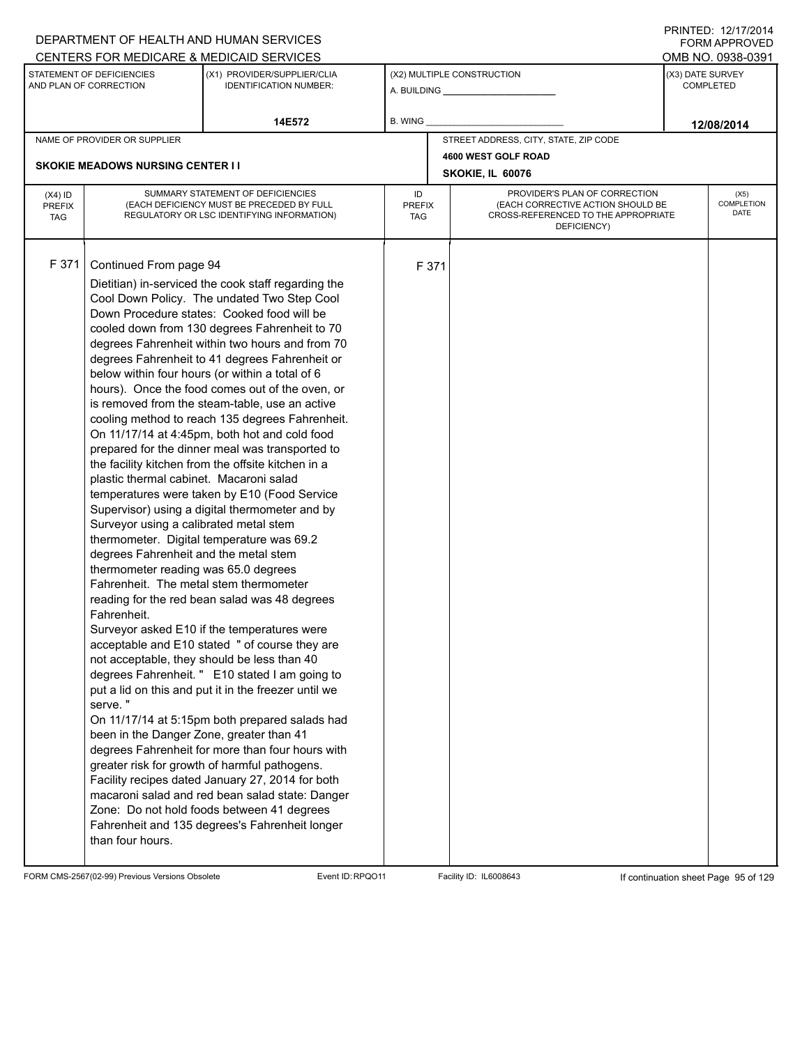|                                          |                                                                                                                                                                                                                                                                                                                                  | DEPARTMENT OF HEALTH AND HUMAN SERVICES                                                                                                                                                                                                                                                                                                                                                                                                                                                                                                                                                                                                                                                                                                                                                                                                                                                                                                                                                                                                                                                                                                                                                                                                                                                                                                                                                                                                                                                             |                                   |       |                                                                                                                          |                  | $1 \times 1 \times 1 = 1$ . $1 \times 1 \times 1 = 1$<br>FORM APPROVED |  |
|------------------------------------------|----------------------------------------------------------------------------------------------------------------------------------------------------------------------------------------------------------------------------------------------------------------------------------------------------------------------------------|-----------------------------------------------------------------------------------------------------------------------------------------------------------------------------------------------------------------------------------------------------------------------------------------------------------------------------------------------------------------------------------------------------------------------------------------------------------------------------------------------------------------------------------------------------------------------------------------------------------------------------------------------------------------------------------------------------------------------------------------------------------------------------------------------------------------------------------------------------------------------------------------------------------------------------------------------------------------------------------------------------------------------------------------------------------------------------------------------------------------------------------------------------------------------------------------------------------------------------------------------------------------------------------------------------------------------------------------------------------------------------------------------------------------------------------------------------------------------------------------------------|-----------------------------------|-------|--------------------------------------------------------------------------------------------------------------------------|------------------|------------------------------------------------------------------------|--|
|                                          |                                                                                                                                                                                                                                                                                                                                  | CENTERS FOR MEDICARE & MEDICAID SERVICES                                                                                                                                                                                                                                                                                                                                                                                                                                                                                                                                                                                                                                                                                                                                                                                                                                                                                                                                                                                                                                                                                                                                                                                                                                                                                                                                                                                                                                                            |                                   |       |                                                                                                                          |                  | OMB NO. 0938-0391                                                      |  |
|                                          | STATEMENT OF DEFICIENCIES<br>AND PLAN OF CORRECTION                                                                                                                                                                                                                                                                              | (X1) PROVIDER/SUPPLIER/CLIA<br><b>IDENTIFICATION NUMBER:</b>                                                                                                                                                                                                                                                                                                                                                                                                                                                                                                                                                                                                                                                                                                                                                                                                                                                                                                                                                                                                                                                                                                                                                                                                                                                                                                                                                                                                                                        |                                   |       | (X2) MULTIPLE CONSTRUCTION                                                                                               | (X3) DATE SURVEY | <b>COMPLETED</b>                                                       |  |
|                                          |                                                                                                                                                                                                                                                                                                                                  | 14E572                                                                                                                                                                                                                                                                                                                                                                                                                                                                                                                                                                                                                                                                                                                                                                                                                                                                                                                                                                                                                                                                                                                                                                                                                                                                                                                                                                                                                                                                                              | B. WING                           |       |                                                                                                                          |                  | 12/08/2014                                                             |  |
|                                          | NAME OF PROVIDER OR SUPPLIER                                                                                                                                                                                                                                                                                                     |                                                                                                                                                                                                                                                                                                                                                                                                                                                                                                                                                                                                                                                                                                                                                                                                                                                                                                                                                                                                                                                                                                                                                                                                                                                                                                                                                                                                                                                                                                     |                                   |       | STREET ADDRESS, CITY, STATE, ZIP CODE                                                                                    |                  |                                                                        |  |
|                                          |                                                                                                                                                                                                                                                                                                                                  |                                                                                                                                                                                                                                                                                                                                                                                                                                                                                                                                                                                                                                                                                                                                                                                                                                                                                                                                                                                                                                                                                                                                                                                                                                                                                                                                                                                                                                                                                                     |                                   |       | 4600 WEST GOLF ROAD                                                                                                      |                  |                                                                        |  |
|                                          | <b>SKOKIE MEADOWS NURSING CENTER I I</b>                                                                                                                                                                                                                                                                                         |                                                                                                                                                                                                                                                                                                                                                                                                                                                                                                                                                                                                                                                                                                                                                                                                                                                                                                                                                                                                                                                                                                                                                                                                                                                                                                                                                                                                                                                                                                     |                                   |       | SKOKIE, IL 60076                                                                                                         |                  |                                                                        |  |
| $(X4)$ ID<br><b>PREFIX</b><br><b>TAG</b> |                                                                                                                                                                                                                                                                                                                                  | SUMMARY STATEMENT OF DEFICIENCIES<br>(EACH DEFICIENCY MUST BE PRECEDED BY FULL<br>REGULATORY OR LSC IDENTIFYING INFORMATION)                                                                                                                                                                                                                                                                                                                                                                                                                                                                                                                                                                                                                                                                                                                                                                                                                                                                                                                                                                                                                                                                                                                                                                                                                                                                                                                                                                        | ID<br><b>PREFIX</b><br><b>TAG</b> |       | PROVIDER'S PLAN OF CORRECTION<br>(EACH CORRECTIVE ACTION SHOULD BE<br>CROSS-REFERENCED TO THE APPROPRIATE<br>DEFICIENCY) |                  | (X5)<br>COMPLETION<br>DATE                                             |  |
| F 371                                    | Continued From page 94<br>plastic thermal cabinet. Macaroni salad<br>Surveyor using a calibrated metal stem<br>degrees Fahrenheit and the metal stem<br>thermometer reading was 65.0 degrees<br>Fahrenheit. The metal stem thermometer<br>Fahrenheit.<br>serve."<br>been in the Danger Zone, greater than 41<br>than four hours. | Dietitian) in-serviced the cook staff regarding the<br>Cool Down Policy. The undated Two Step Cool<br>Down Procedure states: Cooked food will be<br>cooled down from 130 degrees Fahrenheit to 70<br>degrees Fahrenheit within two hours and from 70<br>degrees Fahrenheit to 41 degrees Fahrenheit or<br>below within four hours (or within a total of 6<br>hours). Once the food comes out of the oven, or<br>is removed from the steam-table, use an active<br>cooling method to reach 135 degrees Fahrenheit.<br>On 11/17/14 at 4:45pm, both hot and cold food<br>prepared for the dinner meal was transported to<br>the facility kitchen from the offsite kitchen in a<br>temperatures were taken by E10 (Food Service<br>Supervisor) using a digital thermometer and by<br>thermometer. Digital temperature was 69.2<br>reading for the red bean salad was 48 degrees<br>Surveyor asked E10 if the temperatures were<br>acceptable and E10 stated " of course they are<br>not acceptable, they should be less than 40<br>degrees Fahrenheit. " E10 stated I am going to<br>put a lid on this and put it in the freezer until we<br>On 11/17/14 at 5:15pm both prepared salads had<br>degrees Fahrenheit for more than four hours with<br>greater risk for growth of harmful pathogens.<br>Facility recipes dated January 27, 2014 for both<br>macaroni salad and red bean salad state: Danger<br>Zone: Do not hold foods between 41 degrees<br>Fahrenheit and 135 degrees's Fahrenheit longer |                                   | F 371 |                                                                                                                          |                  |                                                                        |  |

FORM CMS-2567(02-99) Previous Versions Obsolete Event ID:RPQO11 Facility ID: IL6008643 If continuation sheet Page 95 of 129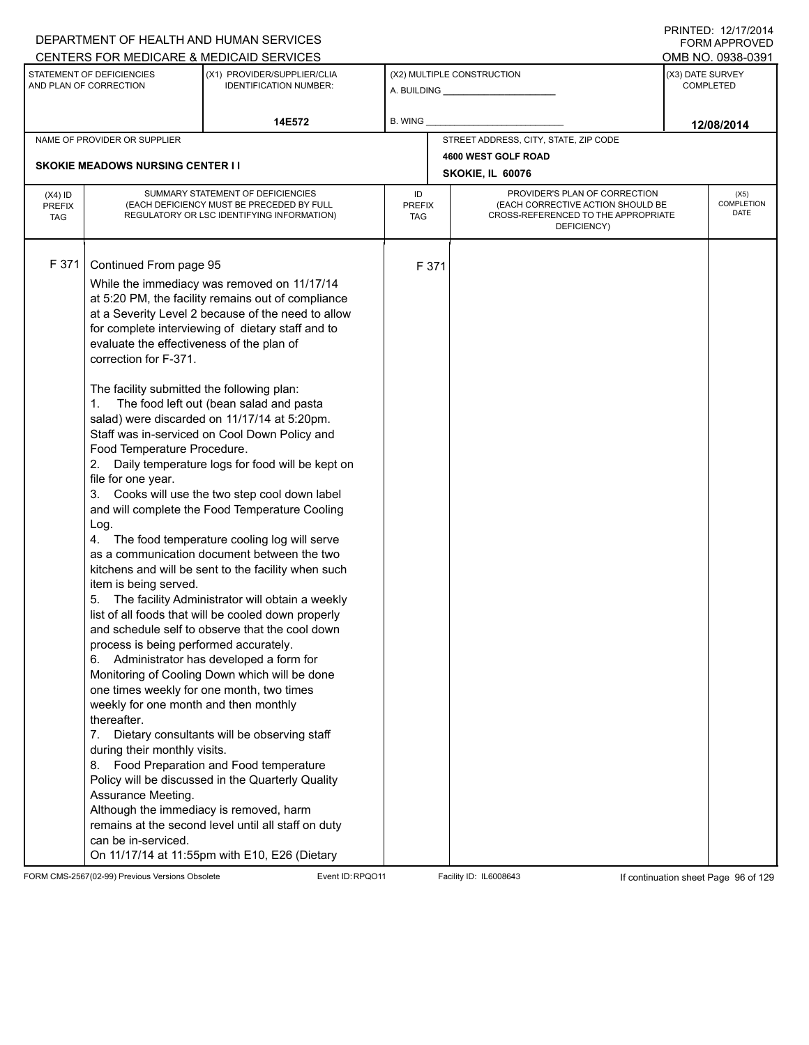|                                          |                                                                                                                                                                                                                                                                                                                                                                                                                                                                                                                                       | DEPARTMENT OF HEALTH AND HUMAN SERVICES                                                                                                                                                                                                                                                                                                                                                                                                                                                                                                                                                                                                                                                                                                                                                                                                                                                                                                                                                                                                                                                                                                                                        |                            |       |                                                                                                                          | <b>FORM APPROVED</b>                 |
|------------------------------------------|---------------------------------------------------------------------------------------------------------------------------------------------------------------------------------------------------------------------------------------------------------------------------------------------------------------------------------------------------------------------------------------------------------------------------------------------------------------------------------------------------------------------------------------|--------------------------------------------------------------------------------------------------------------------------------------------------------------------------------------------------------------------------------------------------------------------------------------------------------------------------------------------------------------------------------------------------------------------------------------------------------------------------------------------------------------------------------------------------------------------------------------------------------------------------------------------------------------------------------------------------------------------------------------------------------------------------------------------------------------------------------------------------------------------------------------------------------------------------------------------------------------------------------------------------------------------------------------------------------------------------------------------------------------------------------------------------------------------------------|----------------------------|-------|--------------------------------------------------------------------------------------------------------------------------|--------------------------------------|
|                                          |                                                                                                                                                                                                                                                                                                                                                                                                                                                                                                                                       | CENTERS FOR MEDICARE & MEDICAID SERVICES                                                                                                                                                                                                                                                                                                                                                                                                                                                                                                                                                                                                                                                                                                                                                                                                                                                                                                                                                                                                                                                                                                                                       |                            |       |                                                                                                                          | OMB NO. 0938-0391                    |
|                                          | STATEMENT OF DEFICIENCIES<br>AND PLAN OF CORRECTION                                                                                                                                                                                                                                                                                                                                                                                                                                                                                   | (X1) PROVIDER/SUPPLIER/CLIA<br><b>IDENTIFICATION NUMBER:</b>                                                                                                                                                                                                                                                                                                                                                                                                                                                                                                                                                                                                                                                                                                                                                                                                                                                                                                                                                                                                                                                                                                                   |                            |       | (X2) MULTIPLE CONSTRUCTION                                                                                               | (X3) DATE SURVEY<br><b>COMPLETED</b> |
|                                          |                                                                                                                                                                                                                                                                                                                                                                                                                                                                                                                                       | 14E572                                                                                                                                                                                                                                                                                                                                                                                                                                                                                                                                                                                                                                                                                                                                                                                                                                                                                                                                                                                                                                                                                                                                                                         | B. WING                    |       |                                                                                                                          | 12/08/2014                           |
|                                          | NAME OF PROVIDER OR SUPPLIER                                                                                                                                                                                                                                                                                                                                                                                                                                                                                                          |                                                                                                                                                                                                                                                                                                                                                                                                                                                                                                                                                                                                                                                                                                                                                                                                                                                                                                                                                                                                                                                                                                                                                                                |                            |       | STREET ADDRESS, CITY, STATE, ZIP CODE                                                                                    |                                      |
|                                          | <b>SKOKIE MEADOWS NURSING CENTER II</b>                                                                                                                                                                                                                                                                                                                                                                                                                                                                                               |                                                                                                                                                                                                                                                                                                                                                                                                                                                                                                                                                                                                                                                                                                                                                                                                                                                                                                                                                                                                                                                                                                                                                                                |                            |       | 4600 WEST GOLF ROAD                                                                                                      |                                      |
|                                          |                                                                                                                                                                                                                                                                                                                                                                                                                                                                                                                                       |                                                                                                                                                                                                                                                                                                                                                                                                                                                                                                                                                                                                                                                                                                                                                                                                                                                                                                                                                                                                                                                                                                                                                                                |                            |       | SKOKIE, IL 60076                                                                                                         |                                      |
| $(X4)$ ID<br><b>PREFIX</b><br><b>TAG</b> |                                                                                                                                                                                                                                                                                                                                                                                                                                                                                                                                       | SUMMARY STATEMENT OF DEFICIENCIES<br>(EACH DEFICIENCY MUST BE PRECEDED BY FULL<br>REGULATORY OR LSC IDENTIFYING INFORMATION)                                                                                                                                                                                                                                                                                                                                                                                                                                                                                                                                                                                                                                                                                                                                                                                                                                                                                                                                                                                                                                                   | ID<br><b>PREFIX</b><br>TAG |       | PROVIDER'S PLAN OF CORRECTION<br>(EACH CORRECTIVE ACTION SHOULD BE<br>CROSS-REFERENCED TO THE APPROPRIATE<br>DEFICIENCY) | (X5)<br>COMPLETION<br>DATE           |
| F 371                                    | Continued From page 95<br>evaluate the effectiveness of the plan of<br>correction for F-371.<br>The facility submitted the following plan:<br>Food Temperature Procedure.<br>2.<br>file for one year.<br>3.<br>Log.<br>item is being served.<br>process is being performed accurately.<br>6.<br>one times weekly for one month, two times<br>weekly for one month and then monthly<br>thereafter.<br>7.<br>during their monthly visits.<br>8.<br>Assurance Meeting.<br>Although the immediacy is removed, harm<br>can be in-serviced. | While the immediacy was removed on 11/17/14<br>at 5:20 PM, the facility remains out of compliance<br>at a Severity Level 2 because of the need to allow<br>for complete interviewing of dietary staff and to<br>The food left out (bean salad and pasta<br>salad) were discarded on 11/17/14 at 5:20pm.<br>Staff was in-serviced on Cool Down Policy and<br>Daily temperature logs for food will be kept on<br>Cooks will use the two step cool down label<br>and will complete the Food Temperature Cooling<br>The food temperature cooling log will serve<br>as a communication document between the two<br>kitchens and will be sent to the facility when such<br>The facility Administrator will obtain a weekly<br>list of all foods that will be cooled down properly<br>and schedule self to observe that the cool down<br>Administrator has developed a form for<br>Monitoring of Cooling Down which will be done<br>Dietary consultants will be observing staff<br>Food Preparation and Food temperature<br>Policy will be discussed in the Quarterly Quality<br>remains at the second level until all staff on duty<br>On 11/17/14 at 11:55pm with E10, E26 (Dietary |                            | F 371 |                                                                                                                          |                                      |

FORM CMS-2567(02-99) Previous Versions Obsolete Event ID:RPQO11 Facility ID: IL6008643 If continuation sheet Page 96 of 129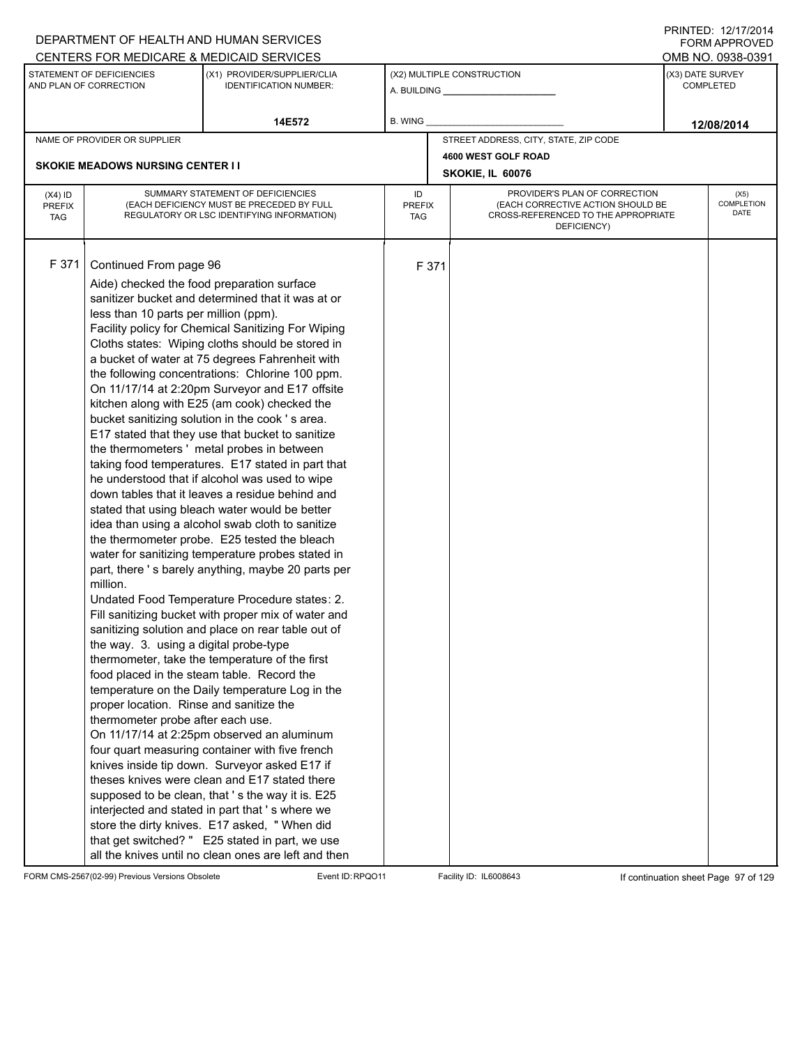|                                          |                                                                                                                                                                                                       | DEPARTMENT OF HEALTH AND HUMAN SERVICES                                                                                                                                                                                                                                                                                                                                                                                                                                                                                                                                                                                                                                                                                                                                                                                                                                                                                                                                                                                                                                                                                                                                                                                                                                                                                                                                                                                                                                                                                                                                                                                                                                                                                                                                                |                            |       |                                                                                                                          |  | FORM APPROVED                        |  |  |
|------------------------------------------|-------------------------------------------------------------------------------------------------------------------------------------------------------------------------------------------------------|----------------------------------------------------------------------------------------------------------------------------------------------------------------------------------------------------------------------------------------------------------------------------------------------------------------------------------------------------------------------------------------------------------------------------------------------------------------------------------------------------------------------------------------------------------------------------------------------------------------------------------------------------------------------------------------------------------------------------------------------------------------------------------------------------------------------------------------------------------------------------------------------------------------------------------------------------------------------------------------------------------------------------------------------------------------------------------------------------------------------------------------------------------------------------------------------------------------------------------------------------------------------------------------------------------------------------------------------------------------------------------------------------------------------------------------------------------------------------------------------------------------------------------------------------------------------------------------------------------------------------------------------------------------------------------------------------------------------------------------------------------------------------------------|----------------------------|-------|--------------------------------------------------------------------------------------------------------------------------|--|--------------------------------------|--|--|
|                                          |                                                                                                                                                                                                       | CENTERS FOR MEDICARE & MEDICAID SERVICES                                                                                                                                                                                                                                                                                                                                                                                                                                                                                                                                                                                                                                                                                                                                                                                                                                                                                                                                                                                                                                                                                                                                                                                                                                                                                                                                                                                                                                                                                                                                                                                                                                                                                                                                               |                            |       |                                                                                                                          |  | OMB NO. 0938-0391                    |  |  |
|                                          | STATEMENT OF DEFICIENCIES<br>AND PLAN OF CORRECTION                                                                                                                                                   | (X1) PROVIDER/SUPPLIER/CLIA<br><b>IDENTIFICATION NUMBER:</b>                                                                                                                                                                                                                                                                                                                                                                                                                                                                                                                                                                                                                                                                                                                                                                                                                                                                                                                                                                                                                                                                                                                                                                                                                                                                                                                                                                                                                                                                                                                                                                                                                                                                                                                           |                            |       | (X2) MULTIPLE CONSTRUCTION                                                                                               |  | (X3) DATE SURVEY<br><b>COMPLETED</b> |  |  |
|                                          |                                                                                                                                                                                                       | 14E572                                                                                                                                                                                                                                                                                                                                                                                                                                                                                                                                                                                                                                                                                                                                                                                                                                                                                                                                                                                                                                                                                                                                                                                                                                                                                                                                                                                                                                                                                                                                                                                                                                                                                                                                                                                 | B. WING                    |       |                                                                                                                          |  | 12/08/2014                           |  |  |
|                                          | NAME OF PROVIDER OR SUPPLIER                                                                                                                                                                          |                                                                                                                                                                                                                                                                                                                                                                                                                                                                                                                                                                                                                                                                                                                                                                                                                                                                                                                                                                                                                                                                                                                                                                                                                                                                                                                                                                                                                                                                                                                                                                                                                                                                                                                                                                                        |                            |       | STREET ADDRESS, CITY, STATE, ZIP CODE                                                                                    |  |                                      |  |  |
|                                          |                                                                                                                                                                                                       |                                                                                                                                                                                                                                                                                                                                                                                                                                                                                                                                                                                                                                                                                                                                                                                                                                                                                                                                                                                                                                                                                                                                                                                                                                                                                                                                                                                                                                                                                                                                                                                                                                                                                                                                                                                        |                            |       | 4600 WEST GOLF ROAD                                                                                                      |  |                                      |  |  |
|                                          | <b>SKOKIE MEADOWS NURSING CENTER I I</b>                                                                                                                                                              |                                                                                                                                                                                                                                                                                                                                                                                                                                                                                                                                                                                                                                                                                                                                                                                                                                                                                                                                                                                                                                                                                                                                                                                                                                                                                                                                                                                                                                                                                                                                                                                                                                                                                                                                                                                        |                            |       | SKOKIE, IL 60076                                                                                                         |  |                                      |  |  |
| $(X4)$ ID<br><b>PREFIX</b><br><b>TAG</b> |                                                                                                                                                                                                       | SUMMARY STATEMENT OF DEFICIENCIES<br>(EACH DEFICIENCY MUST BE PRECEDED BY FULL<br>REGULATORY OR LSC IDENTIFYING INFORMATION)                                                                                                                                                                                                                                                                                                                                                                                                                                                                                                                                                                                                                                                                                                                                                                                                                                                                                                                                                                                                                                                                                                                                                                                                                                                                                                                                                                                                                                                                                                                                                                                                                                                           | ID<br><b>PREFIX</b><br>TAG |       | PROVIDER'S PLAN OF CORRECTION<br>(EACH CORRECTIVE ACTION SHOULD BE<br>CROSS-REFERENCED TO THE APPROPRIATE<br>DEFICIENCY) |  | (X5)<br>COMPLETION<br>DATE           |  |  |
| F 371                                    | Continued From page 96<br>less than 10 parts per million (ppm).<br>million.<br>the way. 3. using a digital probe-type<br>proper location. Rinse and sanitize the<br>thermometer probe after each use. | Aide) checked the food preparation surface<br>sanitizer bucket and determined that it was at or<br>Facility policy for Chemical Sanitizing For Wiping<br>Cloths states: Wiping cloths should be stored in<br>a bucket of water at 75 degrees Fahrenheit with<br>the following concentrations: Chlorine 100 ppm.<br>On 11/17/14 at 2:20pm Surveyor and E17 offsite<br>kitchen along with E25 (am cook) checked the<br>bucket sanitizing solution in the cook 's area.<br>E17 stated that they use that bucket to sanitize<br>the thermometers' metal probes in between<br>taking food temperatures. E17 stated in part that<br>he understood that if alcohol was used to wipe<br>down tables that it leaves a residue behind and<br>stated that using bleach water would be better<br>idea than using a alcohol swab cloth to sanitize<br>the thermometer probe. E25 tested the bleach<br>water for sanitizing temperature probes stated in<br>part, there 's barely anything, maybe 20 parts per<br>Undated Food Temperature Procedure states: 2.<br>Fill sanitizing bucket with proper mix of water and<br>sanitizing solution and place on rear table out of<br>thermometer, take the temperature of the first<br>food placed in the steam table. Record the<br>temperature on the Daily temperature Log in the<br>On 11/17/14 at 2:25pm observed an aluminum<br>four quart measuring container with five french<br>knives inside tip down. Surveyor asked E17 if<br>theses knives were clean and E17 stated there<br>supposed to be clean, that 's the way it is. E25<br>interjected and stated in part that 's where we<br>store the dirty knives. E17 asked, "When did<br>that get switched? " E25 stated in part, we use<br>all the knives until no clean ones are left and then |                            | F 371 |                                                                                                                          |  |                                      |  |  |

FORM CMS-2567(02-99) Previous Versions Obsolete Event ID:RPQO11 Facility ID: IL6008643 If continuation sheet Page 97 of 129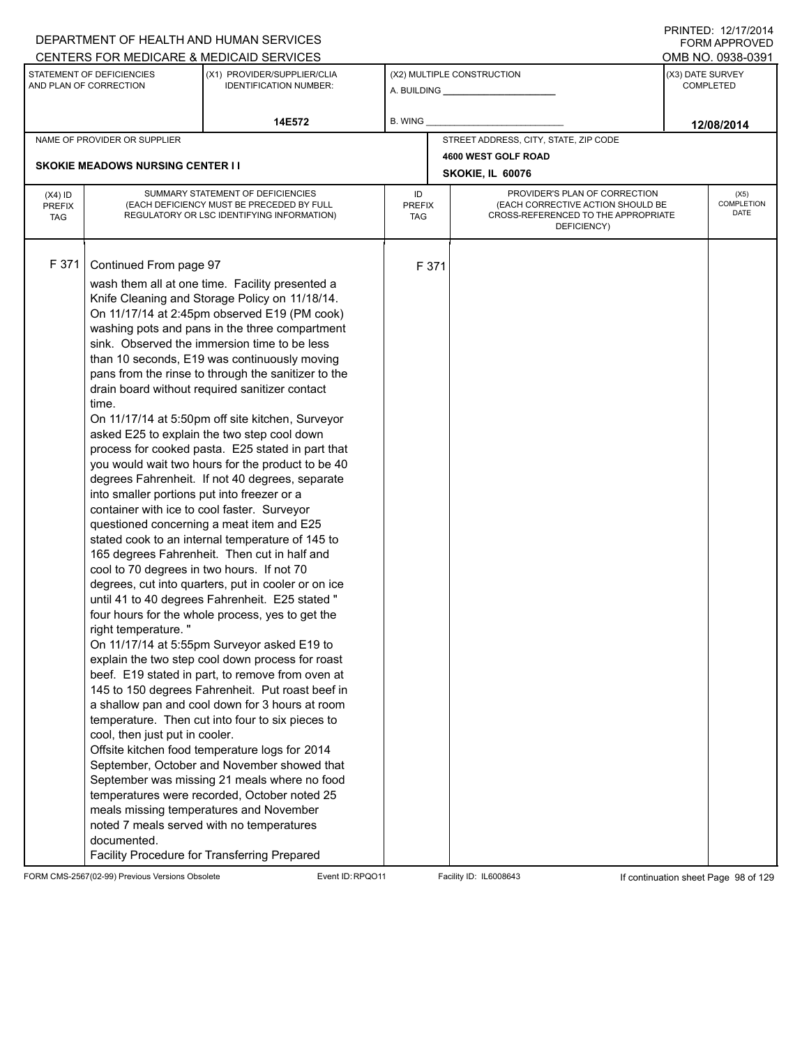|                                          |                                                                                                                                                                                                                                                     | DEPARTMENT OF HEALTH AND HUMAN SERVICES                                                                                                                                                                                                                                                                                                                                                                                                                                                                                                                                                                                                                                                                                                                                                                                                                                                                                                                                                                                                                                                                                                                                                                                                                                                                                                                                                                                                                                                                                                                                                                                                                |                            |       |                                                                                                                          |                  | <b>FORM APPROVED</b>              |
|------------------------------------------|-----------------------------------------------------------------------------------------------------------------------------------------------------------------------------------------------------------------------------------------------------|--------------------------------------------------------------------------------------------------------------------------------------------------------------------------------------------------------------------------------------------------------------------------------------------------------------------------------------------------------------------------------------------------------------------------------------------------------------------------------------------------------------------------------------------------------------------------------------------------------------------------------------------------------------------------------------------------------------------------------------------------------------------------------------------------------------------------------------------------------------------------------------------------------------------------------------------------------------------------------------------------------------------------------------------------------------------------------------------------------------------------------------------------------------------------------------------------------------------------------------------------------------------------------------------------------------------------------------------------------------------------------------------------------------------------------------------------------------------------------------------------------------------------------------------------------------------------------------------------------------------------------------------------------|----------------------------|-------|--------------------------------------------------------------------------------------------------------------------------|------------------|-----------------------------------|
|                                          |                                                                                                                                                                                                                                                     | CENTERS FOR MEDICARE & MEDICAID SERVICES                                                                                                                                                                                                                                                                                                                                                                                                                                                                                                                                                                                                                                                                                                                                                                                                                                                                                                                                                                                                                                                                                                                                                                                                                                                                                                                                                                                                                                                                                                                                                                                                               |                            |       |                                                                                                                          |                  | OMB NO. 0938-0391                 |
|                                          | STATEMENT OF DEFICIENCIES<br>AND PLAN OF CORRECTION                                                                                                                                                                                                 | (X1) PROVIDER/SUPPLIER/CLIA<br><b>IDENTIFICATION NUMBER:</b>                                                                                                                                                                                                                                                                                                                                                                                                                                                                                                                                                                                                                                                                                                                                                                                                                                                                                                                                                                                                                                                                                                                                                                                                                                                                                                                                                                                                                                                                                                                                                                                           |                            |       | (X2) MULTIPLE CONSTRUCTION                                                                                               | (X3) DATE SURVEY | <b>COMPLETED</b>                  |
|                                          |                                                                                                                                                                                                                                                     | 14E572                                                                                                                                                                                                                                                                                                                                                                                                                                                                                                                                                                                                                                                                                                                                                                                                                                                                                                                                                                                                                                                                                                                                                                                                                                                                                                                                                                                                                                                                                                                                                                                                                                                 | <b>B. WING</b>             |       |                                                                                                                          |                  | 12/08/2014                        |
|                                          | NAME OF PROVIDER OR SUPPLIER                                                                                                                                                                                                                        |                                                                                                                                                                                                                                                                                                                                                                                                                                                                                                                                                                                                                                                                                                                                                                                                                                                                                                                                                                                                                                                                                                                                                                                                                                                                                                                                                                                                                                                                                                                                                                                                                                                        |                            |       | STREET ADDRESS, CITY, STATE, ZIP CODE                                                                                    |                  |                                   |
|                                          |                                                                                                                                                                                                                                                     |                                                                                                                                                                                                                                                                                                                                                                                                                                                                                                                                                                                                                                                                                                                                                                                                                                                                                                                                                                                                                                                                                                                                                                                                                                                                                                                                                                                                                                                                                                                                                                                                                                                        |                            |       | 4600 WEST GOLF ROAD                                                                                                      |                  |                                   |
|                                          | <b>SKOKIE MEADOWS NURSING CENTER II</b>                                                                                                                                                                                                             |                                                                                                                                                                                                                                                                                                                                                                                                                                                                                                                                                                                                                                                                                                                                                                                                                                                                                                                                                                                                                                                                                                                                                                                                                                                                                                                                                                                                                                                                                                                                                                                                                                                        |                            |       | SKOKIE, IL 60076                                                                                                         |                  |                                   |
| $(X4)$ ID<br><b>PREFIX</b><br><b>TAG</b> |                                                                                                                                                                                                                                                     | SUMMARY STATEMENT OF DEFICIENCIES<br>(EACH DEFICIENCY MUST BE PRECEDED BY FULL<br>REGULATORY OR LSC IDENTIFYING INFORMATION)                                                                                                                                                                                                                                                                                                                                                                                                                                                                                                                                                                                                                                                                                                                                                                                                                                                                                                                                                                                                                                                                                                                                                                                                                                                                                                                                                                                                                                                                                                                           | ID<br><b>PREFIX</b><br>TAG |       | PROVIDER'S PLAN OF CORRECTION<br>(EACH CORRECTIVE ACTION SHOULD BE<br>CROSS-REFERENCED TO THE APPROPRIATE<br>DEFICIENCY) |                  | (X5)<br><b>COMPLETION</b><br>DATE |
| F 371                                    | Continued From page 97<br>time.<br>into smaller portions put into freezer or a<br>container with ice to cool faster. Surveyor<br>cool to 70 degrees in two hours. If not 70<br>right temperature."<br>cool, then just put in cooler.<br>documented. | wash them all at one time. Facility presented a<br>Knife Cleaning and Storage Policy on 11/18/14.<br>On 11/17/14 at 2:45pm observed E19 (PM cook)<br>washing pots and pans in the three compartment<br>sink. Observed the immersion time to be less<br>than 10 seconds, E19 was continuously moving<br>pans from the rinse to through the sanitizer to the<br>drain board without required sanitizer contact<br>On 11/17/14 at 5:50pm off site kitchen, Surveyor<br>asked E25 to explain the two step cool down<br>process for cooked pasta. E25 stated in part that<br>you would wait two hours for the product to be 40<br>degrees Fahrenheit. If not 40 degrees, separate<br>questioned concerning a meat item and E25<br>stated cook to an internal temperature of 145 to<br>165 degrees Fahrenheit. Then cut in half and<br>degrees, cut into quarters, put in cooler or on ice<br>until 41 to 40 degrees Fahrenheit. E25 stated "<br>four hours for the whole process, yes to get the<br>On 11/17/14 at 5:55pm Surveyor asked E19 to<br>explain the two step cool down process for roast<br>beef. E19 stated in part, to remove from oven at<br>145 to 150 degrees Fahrenheit. Put roast beef in<br>a shallow pan and cool down for 3 hours at room<br>temperature. Then cut into four to six pieces to<br>Offsite kitchen food temperature logs for 2014<br>September, October and November showed that<br>September was missing 21 meals where no food<br>temperatures were recorded, October noted 25<br>meals missing temperatures and November<br>noted 7 meals served with no temperatures<br>Facility Procedure for Transferring Prepared |                            | F 371 |                                                                                                                          |                  |                                   |

FORM CMS-2567(02-99) Previous Versions Obsolete Event ID:RPQO11 Facility ID: IL6008643 If continuation sheet Page 98 of 129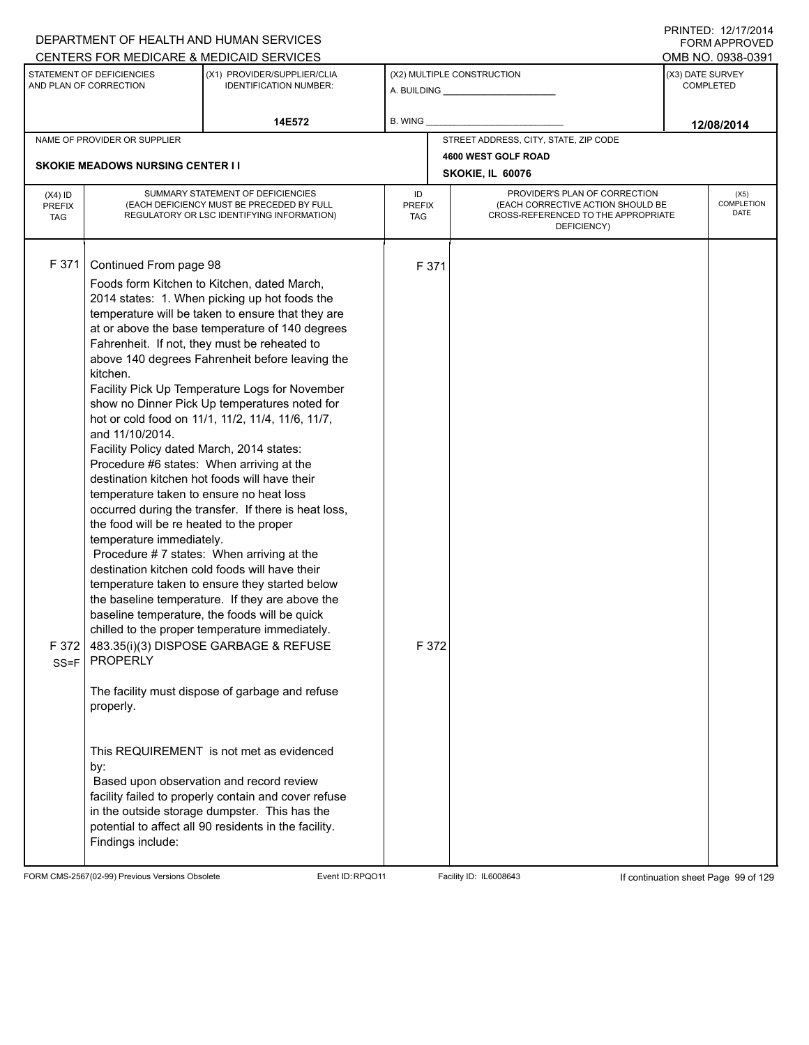| DEPARTMENT OF HEALTH AND HUMAN SERVICES<br>CENTERS FOR MEDICARE & MEDICAID SERVICES |                                                                      |                                                                                                      |                      |       |                                                                    |                  | <b>FORM APPROVED</b><br>OMB NO. 0938-0391 |  |  |
|-------------------------------------------------------------------------------------|----------------------------------------------------------------------|------------------------------------------------------------------------------------------------------|----------------------|-------|--------------------------------------------------------------------|------------------|-------------------------------------------|--|--|
|                                                                                     | STATEMENT OF DEFICIENCIES                                            | (X1) PROVIDER/SUPPLIER/CLIA                                                                          |                      |       | (X2) MULTIPLE CONSTRUCTION                                         | (X3) DATE SURVEY |                                           |  |  |
|                                                                                     | AND PLAN OF CORRECTION                                               | <b>IDENTIFICATION NUMBER:</b>                                                                        |                      |       |                                                                    |                  | <b>COMPLETED</b>                          |  |  |
|                                                                                     |                                                                      |                                                                                                      |                      |       |                                                                    |                  |                                           |  |  |
|                                                                                     |                                                                      | 14E572                                                                                               | B. WING              |       |                                                                    |                  | 12/08/2014                                |  |  |
|                                                                                     | NAME OF PROVIDER OR SUPPLIER                                         |                                                                                                      |                      |       | STREET ADDRESS, CITY, STATE, ZIP CODE                              |                  |                                           |  |  |
|                                                                                     | <b>SKOKIE MEADOWS NURSING CENTER I I</b>                             |                                                                                                      |                      |       | 4600 WEST GOLF ROAD                                                |                  |                                           |  |  |
|                                                                                     |                                                                      |                                                                                                      |                      |       | SKOKIE, IL 60076                                                   |                  |                                           |  |  |
| $(X4)$ ID                                                                           |                                                                      | SUMMARY STATEMENT OF DEFICIENCIES<br>(EACH DEFICIENCY MUST BE PRECEDED BY FULL                       | ID                   |       | PROVIDER'S PLAN OF CORRECTION<br>(EACH CORRECTIVE ACTION SHOULD BE |                  | (X5)<br><b>COMPLETION</b>                 |  |  |
| <b>PREFIX</b><br><b>TAG</b>                                                         |                                                                      | REGULATORY OR LSC IDENTIFYING INFORMATION)                                                           | <b>PREFIX</b><br>TAG |       | CROSS-REFERENCED TO THE APPROPRIATE                                |                  | DATE                                      |  |  |
|                                                                                     |                                                                      |                                                                                                      |                      |       | DEFICIENCY)                                                        |                  |                                           |  |  |
|                                                                                     |                                                                      |                                                                                                      |                      |       |                                                                    |                  |                                           |  |  |
| F 371                                                                               | Continued From page 98                                               |                                                                                                      |                      | F 371 |                                                                    |                  |                                           |  |  |
|                                                                                     |                                                                      | Foods form Kitchen to Kitchen, dated March,                                                          |                      |       |                                                                    |                  |                                           |  |  |
|                                                                                     |                                                                      | 2014 states: 1. When picking up hot foods the                                                        |                      |       |                                                                    |                  |                                           |  |  |
|                                                                                     |                                                                      | temperature will be taken to ensure that they are<br>at or above the base temperature of 140 degrees |                      |       |                                                                    |                  |                                           |  |  |
|                                                                                     |                                                                      | Fahrenheit. If not, they must be reheated to                                                         |                      |       |                                                                    |                  |                                           |  |  |
|                                                                                     |                                                                      | above 140 degrees Fahrenheit before leaving the                                                      |                      |       |                                                                    |                  |                                           |  |  |
|                                                                                     | kitchen.                                                             |                                                                                                      |                      |       |                                                                    |                  |                                           |  |  |
|                                                                                     |                                                                      | Facility Pick Up Temperature Logs for November                                                       |                      |       |                                                                    |                  |                                           |  |  |
|                                                                                     |                                                                      | show no Dinner Pick Up temperatures noted for<br>hot or cold food on 11/1, 11/2, 11/4, 11/6, 11/7,   |                      |       |                                                                    |                  |                                           |  |  |
|                                                                                     | and 11/10/2014.                                                      |                                                                                                      |                      |       |                                                                    |                  |                                           |  |  |
|                                                                                     | Facility Policy dated March, 2014 states:                            |                                                                                                      |                      |       |                                                                    |                  |                                           |  |  |
|                                                                                     | Procedure #6 states: When arriving at the                            |                                                                                                      |                      |       |                                                                    |                  |                                           |  |  |
|                                                                                     |                                                                      | destination kitchen hot foods will have their                                                        |                      |       |                                                                    |                  |                                           |  |  |
|                                                                                     | temperature taken to ensure no heat loss                             |                                                                                                      |                      |       |                                                                    |                  |                                           |  |  |
|                                                                                     |                                                                      | occurred during the transfer. If there is heat loss,                                                 |                      |       |                                                                    |                  |                                           |  |  |
|                                                                                     | the food will be re heated to the proper<br>temperature immediately. |                                                                                                      |                      |       |                                                                    |                  |                                           |  |  |
|                                                                                     |                                                                      | Procedure #7 states: When arriving at the                                                            |                      |       |                                                                    |                  |                                           |  |  |
|                                                                                     |                                                                      | destination kitchen cold foods will have their                                                       |                      |       |                                                                    |                  |                                           |  |  |
|                                                                                     |                                                                      | temperature taken to ensure they started below                                                       |                      |       |                                                                    |                  |                                           |  |  |
|                                                                                     |                                                                      | the baseline temperature. If they are above the                                                      |                      |       |                                                                    |                  |                                           |  |  |
|                                                                                     |                                                                      | baseline temperature, the foods will be quick                                                        |                      |       |                                                                    |                  |                                           |  |  |
|                                                                                     |                                                                      | chilled to the proper temperature immediately.                                                       |                      |       |                                                                    |                  |                                           |  |  |
| F 372                                                                               | <b>PROPERLY</b>                                                      | 483.35(i)(3) DISPOSE GARBAGE & REFUSE                                                                |                      | F 372 |                                                                    |                  |                                           |  |  |
| $SS = F$                                                                            |                                                                      |                                                                                                      |                      |       |                                                                    |                  |                                           |  |  |
|                                                                                     |                                                                      | The facility must dispose of garbage and refuse                                                      |                      |       |                                                                    |                  |                                           |  |  |
|                                                                                     | properly.                                                            |                                                                                                      |                      |       |                                                                    |                  |                                           |  |  |
|                                                                                     |                                                                      |                                                                                                      |                      |       |                                                                    |                  |                                           |  |  |
|                                                                                     |                                                                      |                                                                                                      |                      |       |                                                                    |                  |                                           |  |  |
|                                                                                     | by:                                                                  | This REQUIREMENT is not met as evidenced                                                             |                      |       |                                                                    |                  |                                           |  |  |
|                                                                                     |                                                                      | Based upon observation and record review                                                             |                      |       |                                                                    |                  |                                           |  |  |
|                                                                                     |                                                                      | facility failed to properly contain and cover refuse                                                 |                      |       |                                                                    |                  |                                           |  |  |
|                                                                                     |                                                                      | in the outside storage dumpster. This has the                                                        |                      |       |                                                                    |                  |                                           |  |  |
|                                                                                     |                                                                      | potential to affect all 90 residents in the facility.                                                |                      |       |                                                                    |                  |                                           |  |  |
|                                                                                     | Findings include:                                                    |                                                                                                      |                      |       |                                                                    |                  |                                           |  |  |
|                                                                                     |                                                                      |                                                                                                      |                      |       |                                                                    |                  |                                           |  |  |

FORM CMS-2567(02-99) Previous Versions Obsolete Event ID:RPQO11 Facility ID: IL6008643 If continuation sheet Page 99 of 129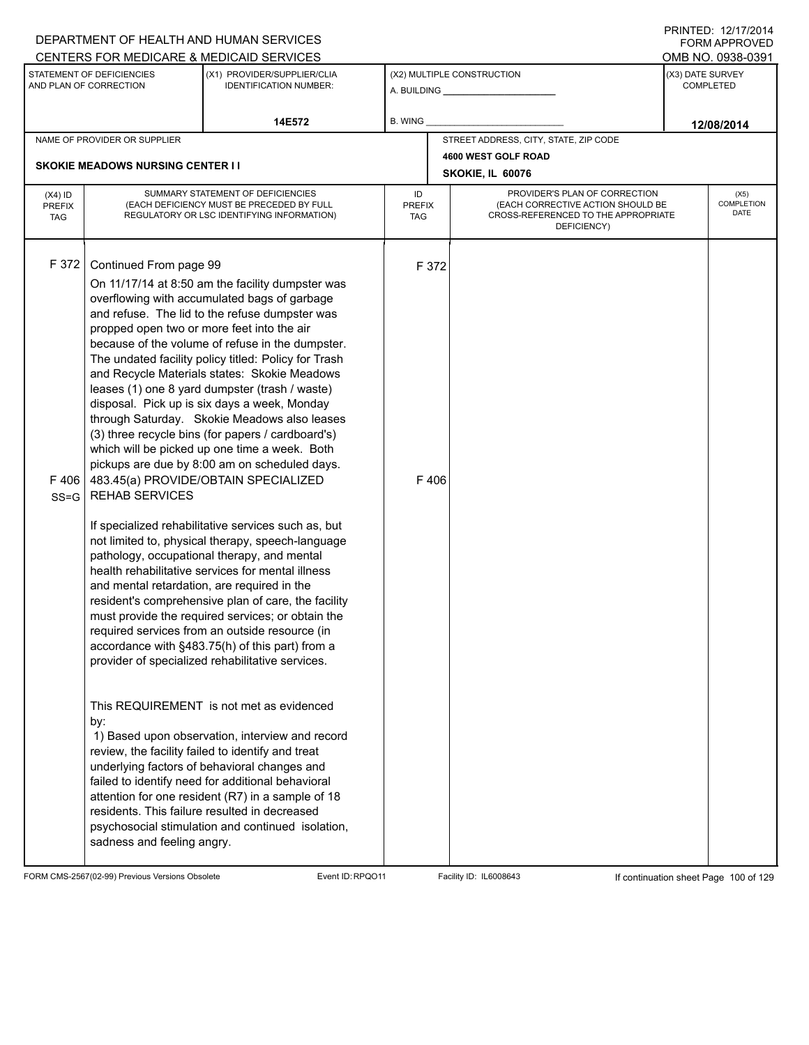|                                          |                                                                                                                                                                                   | DEPARTMENT OF HEALTH AND HUMAN SERVICES<br>CENTERS FOR MEDICARE & MEDICAID SERVICES                                                                                                                                                                                                                                                                                                                                                                                                                                                                                                                                                                                                                                                                                                                                                                                                                                                                                                                                                                                                                                                                                                                                                                                                                                                                                                                                                                                                                                                                                      |                                   |               |                                                                                                                          |                  | FNINILD. IZIIIIZVI <del>4</del><br><b>FORM APPROVED</b><br>OMB NO. 0938-0391 |
|------------------------------------------|-----------------------------------------------------------------------------------------------------------------------------------------------------------------------------------|--------------------------------------------------------------------------------------------------------------------------------------------------------------------------------------------------------------------------------------------------------------------------------------------------------------------------------------------------------------------------------------------------------------------------------------------------------------------------------------------------------------------------------------------------------------------------------------------------------------------------------------------------------------------------------------------------------------------------------------------------------------------------------------------------------------------------------------------------------------------------------------------------------------------------------------------------------------------------------------------------------------------------------------------------------------------------------------------------------------------------------------------------------------------------------------------------------------------------------------------------------------------------------------------------------------------------------------------------------------------------------------------------------------------------------------------------------------------------------------------------------------------------------------------------------------------------|-----------------------------------|---------------|--------------------------------------------------------------------------------------------------------------------------|------------------|------------------------------------------------------------------------------|
|                                          | STATEMENT OF DEFICIENCIES<br>AND PLAN OF CORRECTION                                                                                                                               | (X1) PROVIDER/SUPPLIER/CLIA<br><b>IDENTIFICATION NUMBER:</b>                                                                                                                                                                                                                                                                                                                                                                                                                                                                                                                                                                                                                                                                                                                                                                                                                                                                                                                                                                                                                                                                                                                                                                                                                                                                                                                                                                                                                                                                                                             |                                   |               | (X2) MULTIPLE CONSTRUCTION                                                                                               | (X3) DATE SURVEY | <b>COMPLETED</b>                                                             |
|                                          |                                                                                                                                                                                   | 14E572                                                                                                                                                                                                                                                                                                                                                                                                                                                                                                                                                                                                                                                                                                                                                                                                                                                                                                                                                                                                                                                                                                                                                                                                                                                                                                                                                                                                                                                                                                                                                                   | <b>B. WING</b>                    |               |                                                                                                                          |                  | 12/08/2014                                                                   |
|                                          | NAME OF PROVIDER OR SUPPLIER                                                                                                                                                      |                                                                                                                                                                                                                                                                                                                                                                                                                                                                                                                                                                                                                                                                                                                                                                                                                                                                                                                                                                                                                                                                                                                                                                                                                                                                                                                                                                                                                                                                                                                                                                          |                                   |               | STREET ADDRESS, CITY, STATE, ZIP CODE                                                                                    |                  |                                                                              |
|                                          | <b>SKOKIE MEADOWS NURSING CENTER II</b>                                                                                                                                           |                                                                                                                                                                                                                                                                                                                                                                                                                                                                                                                                                                                                                                                                                                                                                                                                                                                                                                                                                                                                                                                                                                                                                                                                                                                                                                                                                                                                                                                                                                                                                                          |                                   |               | 4600 WEST GOLF ROAD<br>SKOKIE, IL 60076                                                                                  |                  |                                                                              |
| $(X4)$ ID<br><b>PREFIX</b><br><b>TAG</b> |                                                                                                                                                                                   | SUMMARY STATEMENT OF DEFICIENCIES<br>(EACH DEFICIENCY MUST BE PRECEDED BY FULL<br>REGULATORY OR LSC IDENTIFYING INFORMATION)                                                                                                                                                                                                                                                                                                                                                                                                                                                                                                                                                                                                                                                                                                                                                                                                                                                                                                                                                                                                                                                                                                                                                                                                                                                                                                                                                                                                                                             | ID<br><b>PREFIX</b><br><b>TAG</b> |               | PROVIDER'S PLAN OF CORRECTION<br>(EACH CORRECTIVE ACTION SHOULD BE<br>CROSS-REFERENCED TO THE APPROPRIATE<br>DEFICIENCY) |                  | (X5)<br><b>COMPLETION</b><br>DATE                                            |
| F 372<br>F406<br>$SS = G$                | Continued From page 99<br>propped open two or more feet into the air<br><b>REHAB SERVICES</b><br>and mental retardation, are required in the<br>by:<br>sadness and feeling angry. | On 11/17/14 at 8:50 am the facility dumpster was<br>overflowing with accumulated bags of garbage<br>and refuse. The lid to the refuse dumpster was<br>because of the volume of refuse in the dumpster.<br>The undated facility policy titled: Policy for Trash<br>and Recycle Materials states: Skokie Meadows<br>leases (1) one 8 yard dumpster (trash / waste)<br>disposal. Pick up is six days a week, Monday<br>through Saturday. Skokie Meadows also leases<br>(3) three recycle bins (for papers / cardboard's)<br>which will be picked up one time a week. Both<br>pickups are due by 8:00 am on scheduled days.<br>483.45(a) PROVIDE/OBTAIN SPECIALIZED<br>If specialized rehabilitative services such as, but<br>not limited to, physical therapy, speech-language<br>pathology, occupational therapy, and mental<br>health rehabilitative services for mental illness<br>resident's comprehensive plan of care, the facility<br>must provide the required services; or obtain the<br>required services from an outside resource (in<br>accordance with §483.75(h) of this part) from a<br>provider of specialized rehabilitative services.<br>This REQUIREMENT is not met as evidenced<br>1) Based upon observation, interview and record<br>review, the facility failed to identify and treat<br>underlying factors of behavioral changes and<br>failed to identify need for additional behavioral<br>attention for one resident (R7) in a sample of 18<br>residents. This failure resulted in decreased<br>psychosocial stimulation and continued isolation, |                                   | F 372<br>F406 |                                                                                                                          |                  |                                                                              |

FORM CMS-2567(02-99) Previous Versions Obsolete Event ID:RPQO11 Facility ID: IL6008643 If continuation sheet Page 100 of 129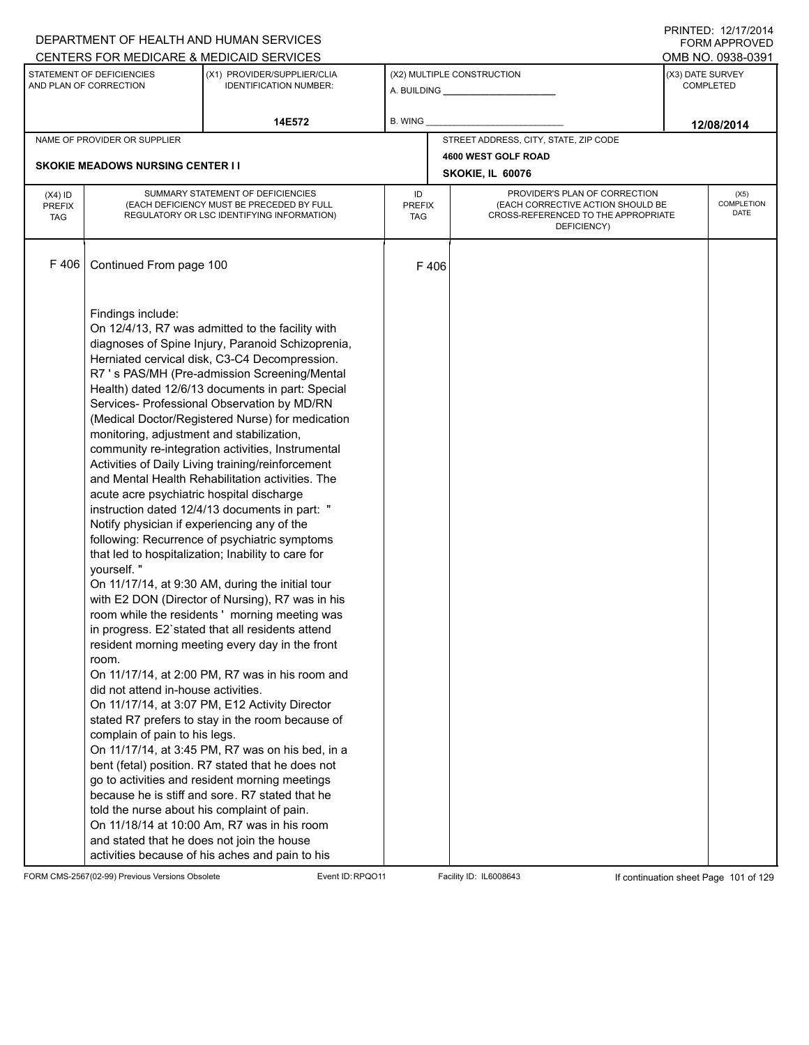|                                          |                                                                                                                                                                                                                                                                                                                                                        | DEPARTMENT OF HEALTH AND HUMAN SERVICES                                                                                                                                                                                                                                                                                                                                                                                                                                                                                                                                                                                                                                                                                                                                                                                                                                                                                                                                                                                                                                                                                                                                                                                                                                                                                                                                                                                       |                     |      |                                                                                                                          |                  | FORM APPROVED              |
|------------------------------------------|--------------------------------------------------------------------------------------------------------------------------------------------------------------------------------------------------------------------------------------------------------------------------------------------------------------------------------------------------------|-------------------------------------------------------------------------------------------------------------------------------------------------------------------------------------------------------------------------------------------------------------------------------------------------------------------------------------------------------------------------------------------------------------------------------------------------------------------------------------------------------------------------------------------------------------------------------------------------------------------------------------------------------------------------------------------------------------------------------------------------------------------------------------------------------------------------------------------------------------------------------------------------------------------------------------------------------------------------------------------------------------------------------------------------------------------------------------------------------------------------------------------------------------------------------------------------------------------------------------------------------------------------------------------------------------------------------------------------------------------------------------------------------------------------------|---------------------|------|--------------------------------------------------------------------------------------------------------------------------|------------------|----------------------------|
|                                          |                                                                                                                                                                                                                                                                                                                                                        | CENTERS FOR MEDICARE & MEDICAID SERVICES                                                                                                                                                                                                                                                                                                                                                                                                                                                                                                                                                                                                                                                                                                                                                                                                                                                                                                                                                                                                                                                                                                                                                                                                                                                                                                                                                                                      |                     |      |                                                                                                                          |                  | OMB NO. 0938-0391          |
|                                          | STATEMENT OF DEFICIENCIES<br>AND PLAN OF CORRECTION                                                                                                                                                                                                                                                                                                    | (X1) PROVIDER/SUPPLIER/CLIA<br><b>IDENTIFICATION NUMBER:</b>                                                                                                                                                                                                                                                                                                                                                                                                                                                                                                                                                                                                                                                                                                                                                                                                                                                                                                                                                                                                                                                                                                                                                                                                                                                                                                                                                                  |                     |      | (X2) MULTIPLE CONSTRUCTION                                                                                               | (X3) DATE SURVEY | <b>COMPLETED</b>           |
|                                          |                                                                                                                                                                                                                                                                                                                                                        | 14E572                                                                                                                                                                                                                                                                                                                                                                                                                                                                                                                                                                                                                                                                                                                                                                                                                                                                                                                                                                                                                                                                                                                                                                                                                                                                                                                                                                                                                        | B. WING             |      |                                                                                                                          |                  | 12/08/2014                 |
|                                          | NAME OF PROVIDER OR SUPPLIER                                                                                                                                                                                                                                                                                                                           |                                                                                                                                                                                                                                                                                                                                                                                                                                                                                                                                                                                                                                                                                                                                                                                                                                                                                                                                                                                                                                                                                                                                                                                                                                                                                                                                                                                                                               |                     |      | STREET ADDRESS, CITY, STATE, ZIP CODE                                                                                    |                  |                            |
|                                          |                                                                                                                                                                                                                                                                                                                                                        |                                                                                                                                                                                                                                                                                                                                                                                                                                                                                                                                                                                                                                                                                                                                                                                                                                                                                                                                                                                                                                                                                                                                                                                                                                                                                                                                                                                                                               |                     |      | 4600 WEST GOLF ROAD                                                                                                      |                  |                            |
|                                          | <b>SKOKIE MEADOWS NURSING CENTER I I</b>                                                                                                                                                                                                                                                                                                               |                                                                                                                                                                                                                                                                                                                                                                                                                                                                                                                                                                                                                                                                                                                                                                                                                                                                                                                                                                                                                                                                                                                                                                                                                                                                                                                                                                                                                               |                     |      | SKOKIE, IL 60076                                                                                                         |                  |                            |
| $(X4)$ ID<br><b>PREFIX</b><br><b>TAG</b> |                                                                                                                                                                                                                                                                                                                                                        | SUMMARY STATEMENT OF DEFICIENCIES<br>(EACH DEFICIENCY MUST BE PRECEDED BY FULL<br>REGULATORY OR LSC IDENTIFYING INFORMATION)                                                                                                                                                                                                                                                                                                                                                                                                                                                                                                                                                                                                                                                                                                                                                                                                                                                                                                                                                                                                                                                                                                                                                                                                                                                                                                  | ID<br>PREFIX<br>TAG |      | PROVIDER'S PLAN OF CORRECTION<br>(EACH CORRECTIVE ACTION SHOULD BE<br>CROSS-REFERENCED TO THE APPROPRIATE<br>DEFICIENCY) |                  | (X5)<br>COMPLETION<br>DATE |
| F 406                                    | Continued From page 100                                                                                                                                                                                                                                                                                                                                |                                                                                                                                                                                                                                                                                                                                                                                                                                                                                                                                                                                                                                                                                                                                                                                                                                                                                                                                                                                                                                                                                                                                                                                                                                                                                                                                                                                                                               |                     | F406 |                                                                                                                          |                  |                            |
|                                          | Findings include:<br>monitoring, adjustment and stabilization,<br>acute acre psychiatric hospital discharge<br>Notify physician if experiencing any of the<br>yourself."<br>room.<br>did not attend in-house activities.<br>complain of pain to his legs.<br>told the nurse about his complaint of pain.<br>and stated that he does not join the house | On 12/4/13, R7 was admitted to the facility with<br>diagnoses of Spine Injury, Paranoid Schizoprenia,<br>Herniated cervical disk, C3-C4 Decompression.<br>R7 's PAS/MH (Pre-admission Screening/Mental<br>Health) dated 12/6/13 documents in part: Special<br>Services- Professional Observation by MD/RN<br>(Medical Doctor/Registered Nurse) for medication<br>community re-integration activities, Instrumental<br>Activities of Daily Living training/reinforcement<br>and Mental Health Rehabilitation activities. The<br>instruction dated 12/4/13 documents in part: "<br>following: Recurrence of psychiatric symptoms<br>that led to hospitalization; Inability to care for<br>On 11/17/14, at 9:30 AM, during the initial tour<br>with E2 DON (Director of Nursing), R7 was in his<br>room while the residents' morning meeting was<br>in progress. E2'stated that all residents attend<br>resident morning meeting every day in the front<br>On 11/17/14, at 2:00 PM, R7 was in his room and<br>On 11/17/14, at 3:07 PM, E12 Activity Director<br>stated R7 prefers to stay in the room because of<br>On 11/17/14, at 3:45 PM, R7 was on his bed, in a<br>bent (fetal) position. R7 stated that he does not<br>go to activities and resident morning meetings<br>because he is stiff and sore. R7 stated that he<br>On 11/18/14 at 10:00 Am, R7 was in his room<br>activities because of his aches and pain to his |                     |      |                                                                                                                          |                  |                            |

FORM CMS-2567(02-99) Previous Versions Obsolete Event ID:RPQO11 Facility ID: IL6008643 If continuation sheet Page 101 of 129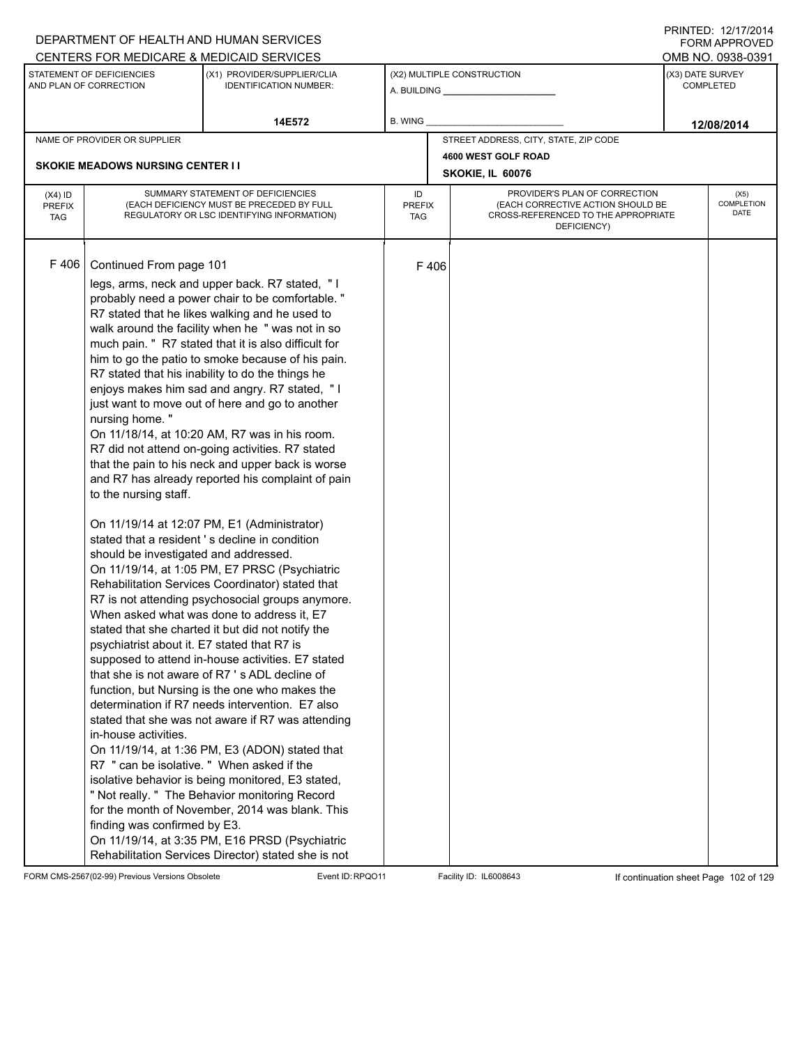|                                          |                                                                                                                                                                                                                                                                  | DEPARTMENT OF HEALTH AND HUMAN SERVICES                                                                                                                                                                                                                                                                                                                                                                                                                                                                                                                                                                                                                                                                                                                                                                                                                                                                                                                                                                                                                                                                                                                                                                                                                                                                                                                                                                                                                                                                                                                                                                                                     |                            |      |                                                                                                                          |                  | <b>FORM APPROVED</b>       |  |
|------------------------------------------|------------------------------------------------------------------------------------------------------------------------------------------------------------------------------------------------------------------------------------------------------------------|---------------------------------------------------------------------------------------------------------------------------------------------------------------------------------------------------------------------------------------------------------------------------------------------------------------------------------------------------------------------------------------------------------------------------------------------------------------------------------------------------------------------------------------------------------------------------------------------------------------------------------------------------------------------------------------------------------------------------------------------------------------------------------------------------------------------------------------------------------------------------------------------------------------------------------------------------------------------------------------------------------------------------------------------------------------------------------------------------------------------------------------------------------------------------------------------------------------------------------------------------------------------------------------------------------------------------------------------------------------------------------------------------------------------------------------------------------------------------------------------------------------------------------------------------------------------------------------------------------------------------------------------|----------------------------|------|--------------------------------------------------------------------------------------------------------------------------|------------------|----------------------------|--|
|                                          |                                                                                                                                                                                                                                                                  | CENTERS FOR MEDICARE & MEDICAID SERVICES                                                                                                                                                                                                                                                                                                                                                                                                                                                                                                                                                                                                                                                                                                                                                                                                                                                                                                                                                                                                                                                                                                                                                                                                                                                                                                                                                                                                                                                                                                                                                                                                    |                            |      |                                                                                                                          |                  | OMB NO. 0938-0391          |  |
|                                          | STATEMENT OF DEFICIENCIES<br>AND PLAN OF CORRECTION                                                                                                                                                                                                              | (X1) PROVIDER/SUPPLIER/CLIA<br><b>IDENTIFICATION NUMBER:</b>                                                                                                                                                                                                                                                                                                                                                                                                                                                                                                                                                                                                                                                                                                                                                                                                                                                                                                                                                                                                                                                                                                                                                                                                                                                                                                                                                                                                                                                                                                                                                                                |                            |      | (X2) MULTIPLE CONSTRUCTION                                                                                               | (X3) DATE SURVEY | <b>COMPLETED</b>           |  |
|                                          |                                                                                                                                                                                                                                                                  | 14E572                                                                                                                                                                                                                                                                                                                                                                                                                                                                                                                                                                                                                                                                                                                                                                                                                                                                                                                                                                                                                                                                                                                                                                                                                                                                                                                                                                                                                                                                                                                                                                                                                                      | B. WING                    |      |                                                                                                                          |                  | 12/08/2014                 |  |
|                                          | NAME OF PROVIDER OR SUPPLIER                                                                                                                                                                                                                                     |                                                                                                                                                                                                                                                                                                                                                                                                                                                                                                                                                                                                                                                                                                                                                                                                                                                                                                                                                                                                                                                                                                                                                                                                                                                                                                                                                                                                                                                                                                                                                                                                                                             |                            |      | STREET ADDRESS, CITY, STATE, ZIP CODE                                                                                    |                  |                            |  |
|                                          |                                                                                                                                                                                                                                                                  |                                                                                                                                                                                                                                                                                                                                                                                                                                                                                                                                                                                                                                                                                                                                                                                                                                                                                                                                                                                                                                                                                                                                                                                                                                                                                                                                                                                                                                                                                                                                                                                                                                             |                            |      | 4600 WEST GOLF ROAD                                                                                                      |                  |                            |  |
|                                          | <b>SKOKIE MEADOWS NURSING CENTER I I</b>                                                                                                                                                                                                                         |                                                                                                                                                                                                                                                                                                                                                                                                                                                                                                                                                                                                                                                                                                                                                                                                                                                                                                                                                                                                                                                                                                                                                                                                                                                                                                                                                                                                                                                                                                                                                                                                                                             |                            |      | SKOKIE, IL 60076                                                                                                         |                  |                            |  |
| $(X4)$ ID<br><b>PREFIX</b><br><b>TAG</b> |                                                                                                                                                                                                                                                                  | SUMMARY STATEMENT OF DEFICIENCIES<br>(EACH DEFICIENCY MUST BE PRECEDED BY FULL<br>REGULATORY OR LSC IDENTIFYING INFORMATION)                                                                                                                                                                                                                                                                                                                                                                                                                                                                                                                                                                                                                                                                                                                                                                                                                                                                                                                                                                                                                                                                                                                                                                                                                                                                                                                                                                                                                                                                                                                | ID<br><b>PREFIX</b><br>TAG |      | PROVIDER'S PLAN OF CORRECTION<br>(EACH CORRECTIVE ACTION SHOULD BE<br>CROSS-REFERENCED TO THE APPROPRIATE<br>DEFICIENCY) |                  | (X5)<br>COMPLETION<br>DATE |  |
| F 406                                    | Continued From page 101<br>nursing home."<br>to the nursing staff.<br>should be investigated and addressed.<br>psychiatrist about it. E7 stated that R7 is<br>in-house activities.<br>R7 " can be isolative. " When asked if the<br>finding was confirmed by E3. | legs, arms, neck and upper back. R7 stated, "I<br>probably need a power chair to be comfortable."<br>R7 stated that he likes walking and he used to<br>walk around the facility when he " was not in so<br>much pain. " R7 stated that it is also difficult for<br>him to go the patio to smoke because of his pain.<br>R7 stated that his inability to do the things he<br>enjoys makes him sad and angry. R7 stated, "I<br>just want to move out of here and go to another<br>On 11/18/14, at 10:20 AM, R7 was in his room.<br>R7 did not attend on-going activities. R7 stated<br>that the pain to his neck and upper back is worse<br>and R7 has already reported his complaint of pain<br>On 11/19/14 at 12:07 PM, E1 (Administrator)<br>stated that a resident's decline in condition<br>On 11/19/14, at 1:05 PM, E7 PRSC (Psychiatric<br>Rehabilitation Services Coordinator) stated that<br>R7 is not attending psychosocial groups anymore.<br>When asked what was done to address it, E7<br>stated that she charted it but did not notify the<br>supposed to attend in-house activities. E7 stated<br>that she is not aware of R7's ADL decline of<br>function, but Nursing is the one who makes the<br>determination if R7 needs intervention. E7 also<br>stated that she was not aware if R7 was attending<br>On 11/19/14, at 1:36 PM, E3 (ADON) stated that<br>isolative behavior is being monitored, E3 stated,<br>" Not really. " The Behavior monitoring Record<br>for the month of November, 2014 was blank. This<br>On 11/19/14, at 3:35 PM, E16 PRSD (Psychiatric<br>Rehabilitation Services Director) stated she is not |                            | F406 |                                                                                                                          |                  |                            |  |

FORM CMS-2567(02-99) Previous Versions Obsolete Event ID:RPQO11 Facility ID: IL6008643 If continuation sheet Page 102 of 129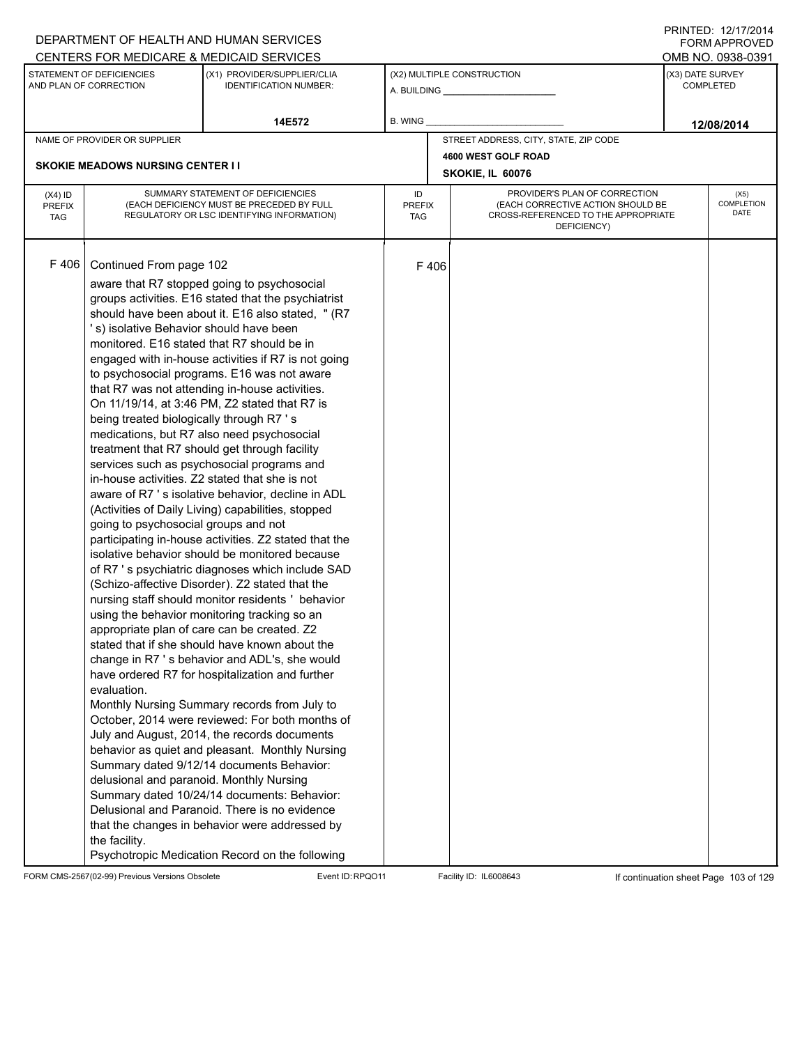|                                          |                                                                                                                                                                                                                                                                                  | DEPARTMENT OF HEALTH AND HUMAN SERVICES                                                                                                                                                                                                                                                                                                                                                                                                                                                                                                                                                                                                                                                                                                                                                                                                                                                                                                                                                                                                                                                                                                                                                                                                                                                                                                                                                                                                                                                                                                                                                                                                                       |                            |      |                                                                                                                          | FORM APPROVED                        |
|------------------------------------------|----------------------------------------------------------------------------------------------------------------------------------------------------------------------------------------------------------------------------------------------------------------------------------|---------------------------------------------------------------------------------------------------------------------------------------------------------------------------------------------------------------------------------------------------------------------------------------------------------------------------------------------------------------------------------------------------------------------------------------------------------------------------------------------------------------------------------------------------------------------------------------------------------------------------------------------------------------------------------------------------------------------------------------------------------------------------------------------------------------------------------------------------------------------------------------------------------------------------------------------------------------------------------------------------------------------------------------------------------------------------------------------------------------------------------------------------------------------------------------------------------------------------------------------------------------------------------------------------------------------------------------------------------------------------------------------------------------------------------------------------------------------------------------------------------------------------------------------------------------------------------------------------------------------------------------------------------------|----------------------------|------|--------------------------------------------------------------------------------------------------------------------------|--------------------------------------|
|                                          |                                                                                                                                                                                                                                                                                  | CENTERS FOR MEDICARE & MEDICAID SERVICES                                                                                                                                                                                                                                                                                                                                                                                                                                                                                                                                                                                                                                                                                                                                                                                                                                                                                                                                                                                                                                                                                                                                                                                                                                                                                                                                                                                                                                                                                                                                                                                                                      |                            |      |                                                                                                                          | OMB NO. 0938-0391                    |
|                                          | STATEMENT OF DEFICIENCIES<br>AND PLAN OF CORRECTION                                                                                                                                                                                                                              | (X1) PROVIDER/SUPPLIER/CLIA<br><b>IDENTIFICATION NUMBER:</b>                                                                                                                                                                                                                                                                                                                                                                                                                                                                                                                                                                                                                                                                                                                                                                                                                                                                                                                                                                                                                                                                                                                                                                                                                                                                                                                                                                                                                                                                                                                                                                                                  |                            |      | (X2) MULTIPLE CONSTRUCTION<br>A. BUILDING <b>A.</b> BUILDING                                                             | (X3) DATE SURVEY<br><b>COMPLETED</b> |
|                                          |                                                                                                                                                                                                                                                                                  | 14E572                                                                                                                                                                                                                                                                                                                                                                                                                                                                                                                                                                                                                                                                                                                                                                                                                                                                                                                                                                                                                                                                                                                                                                                                                                                                                                                                                                                                                                                                                                                                                                                                                                                        | B. WING                    |      |                                                                                                                          | 12/08/2014                           |
|                                          | NAME OF PROVIDER OR SUPPLIER                                                                                                                                                                                                                                                     |                                                                                                                                                                                                                                                                                                                                                                                                                                                                                                                                                                                                                                                                                                                                                                                                                                                                                                                                                                                                                                                                                                                                                                                                                                                                                                                                                                                                                                                                                                                                                                                                                                                               |                            |      | STREET ADDRESS, CITY, STATE, ZIP CODE                                                                                    |                                      |
|                                          |                                                                                                                                                                                                                                                                                  |                                                                                                                                                                                                                                                                                                                                                                                                                                                                                                                                                                                                                                                                                                                                                                                                                                                                                                                                                                                                                                                                                                                                                                                                                                                                                                                                                                                                                                                                                                                                                                                                                                                               |                            |      | 4600 WEST GOLF ROAD                                                                                                      |                                      |
|                                          | <b>SKOKIE MEADOWS NURSING CENTER I I</b>                                                                                                                                                                                                                                         |                                                                                                                                                                                                                                                                                                                                                                                                                                                                                                                                                                                                                                                                                                                                                                                                                                                                                                                                                                                                                                                                                                                                                                                                                                                                                                                                                                                                                                                                                                                                                                                                                                                               |                            |      | SKOKIE, IL 60076                                                                                                         |                                      |
| $(X4)$ ID<br><b>PREFIX</b><br><b>TAG</b> |                                                                                                                                                                                                                                                                                  | SUMMARY STATEMENT OF DEFICIENCIES<br>(EACH DEFICIENCY MUST BE PRECEDED BY FULL<br>REGULATORY OR LSC IDENTIFYING INFORMATION)                                                                                                                                                                                                                                                                                                                                                                                                                                                                                                                                                                                                                                                                                                                                                                                                                                                                                                                                                                                                                                                                                                                                                                                                                                                                                                                                                                                                                                                                                                                                  | ID<br><b>PREFIX</b><br>TAG |      | PROVIDER'S PLAN OF CORRECTION<br>(EACH CORRECTIVE ACTION SHOULD BE<br>CROSS-REFERENCED TO THE APPROPRIATE<br>DEFICIENCY) | (X5)<br>COMPLETION<br>DATE           |
| F 406                                    | Continued From page 102<br>'s) isolative Behavior should have been<br>monitored. E16 stated that R7 should be in<br>being treated biologically through R7 's<br>going to psychosocial groups and not<br>evaluation.<br>delusional and paranoid. Monthly Nursing<br>the facility. | aware that R7 stopped going to psychosocial<br>groups activities. E16 stated that the psychiatrist<br>should have been about it. E16 also stated, " (R7<br>engaged with in-house activities if R7 is not going<br>to psychosocial programs. E16 was not aware<br>that R7 was not attending in-house activities.<br>On 11/19/14, at 3:46 PM, Z2 stated that R7 is<br>medications, but R7 also need psychosocial<br>treatment that R7 should get through facility<br>services such as psychosocial programs and<br>in-house activities. Z2 stated that she is not<br>aware of R7 's isolative behavior, decline in ADL<br>(Activities of Daily Living) capabilities, stopped<br>participating in-house activities. Z2 stated that the<br>isolative behavior should be monitored because<br>of R7 's psychiatric diagnoses which include SAD<br>(Schizo-affective Disorder). Z2 stated that the<br>nursing staff should monitor residents ' behavior<br>using the behavior monitoring tracking so an<br>appropriate plan of care can be created. Z2<br>stated that if she should have known about the<br>change in R7's behavior and ADL's, she would<br>have ordered R7 for hospitalization and further<br>Monthly Nursing Summary records from July to<br>October, 2014 were reviewed: For both months of<br>July and August, 2014, the records documents<br>behavior as quiet and pleasant. Monthly Nursing<br>Summary dated 9/12/14 documents Behavior:<br>Summary dated 10/24/14 documents: Behavior:<br>Delusional and Paranoid. There is no evidence<br>that the changes in behavior were addressed by<br>Psychotropic Medication Record on the following |                            | F406 |                                                                                                                          |                                      |

FORM CMS-2567(02-99) Previous Versions Obsolete Event ID:RPQO11 Facility ID: IL6008643 If continuation sheet Page 103 of 129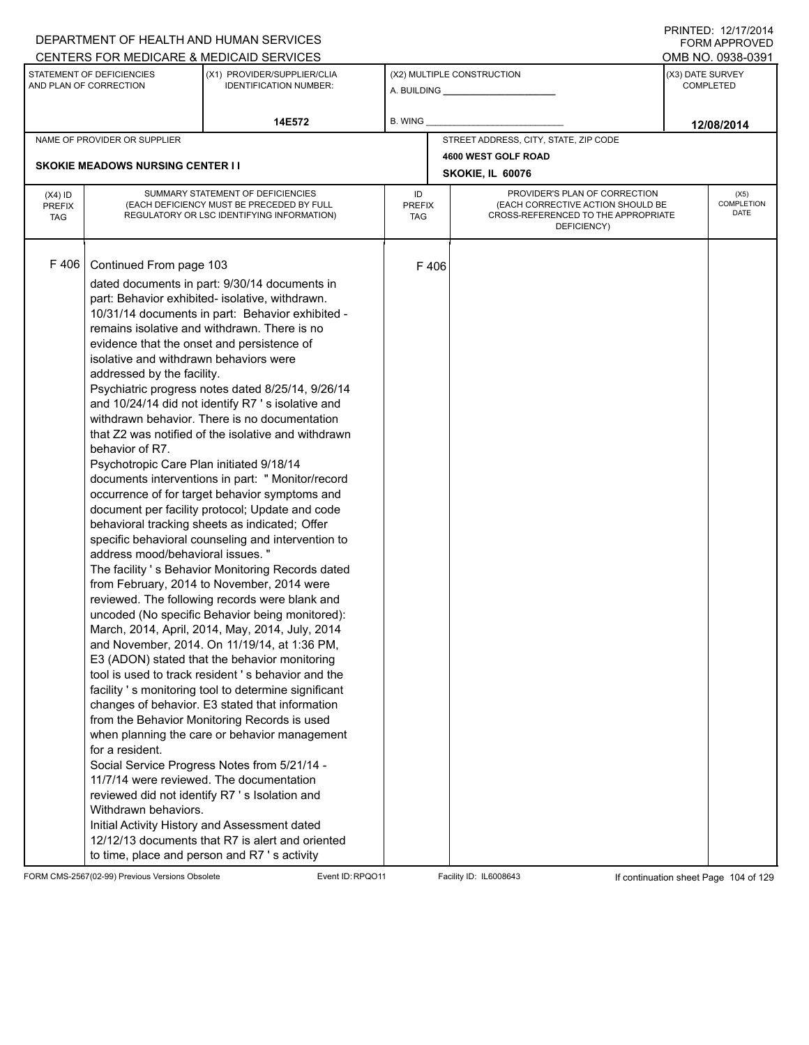|                                          |                                                                                                                                                                                                                                                                                                                                          | DEPARTMENT OF HEALTH AND HUMAN SERVICES<br>CENTERS FOR MEDICARE & MEDICAID SERVICES                                                                                                                                                                                                                                                                                                                                                                                                                                                                                                                                                                                                                                                                                                                                                                                                                                                                                                                                                                                                                                                                                                                                                                                                                                                                                                                                                                                                                                                                                         |                                   |      |                                                                                                                          |                  | FNINILD. IZIIIIZVI <del>4</del><br><b>FORM APPROVED</b><br>OMB NO. 0938-0391 |
|------------------------------------------|------------------------------------------------------------------------------------------------------------------------------------------------------------------------------------------------------------------------------------------------------------------------------------------------------------------------------------------|-----------------------------------------------------------------------------------------------------------------------------------------------------------------------------------------------------------------------------------------------------------------------------------------------------------------------------------------------------------------------------------------------------------------------------------------------------------------------------------------------------------------------------------------------------------------------------------------------------------------------------------------------------------------------------------------------------------------------------------------------------------------------------------------------------------------------------------------------------------------------------------------------------------------------------------------------------------------------------------------------------------------------------------------------------------------------------------------------------------------------------------------------------------------------------------------------------------------------------------------------------------------------------------------------------------------------------------------------------------------------------------------------------------------------------------------------------------------------------------------------------------------------------------------------------------------------------|-----------------------------------|------|--------------------------------------------------------------------------------------------------------------------------|------------------|------------------------------------------------------------------------------|
|                                          | STATEMENT OF DEFICIENCIES<br>AND PLAN OF CORRECTION                                                                                                                                                                                                                                                                                      | (X1) PROVIDER/SUPPLIER/CLIA<br><b>IDENTIFICATION NUMBER:</b>                                                                                                                                                                                                                                                                                                                                                                                                                                                                                                                                                                                                                                                                                                                                                                                                                                                                                                                                                                                                                                                                                                                                                                                                                                                                                                                                                                                                                                                                                                                |                                   |      | (X2) MULTIPLE CONSTRUCTION<br>A. BUILDING <b>A.</b> BUILDING                                                             | (X3) DATE SURVEY | <b>COMPLETED</b>                                                             |
|                                          |                                                                                                                                                                                                                                                                                                                                          | 14E572                                                                                                                                                                                                                                                                                                                                                                                                                                                                                                                                                                                                                                                                                                                                                                                                                                                                                                                                                                                                                                                                                                                                                                                                                                                                                                                                                                                                                                                                                                                                                                      | <b>B. WING</b>                    |      |                                                                                                                          |                  | 12/08/2014                                                                   |
|                                          | NAME OF PROVIDER OR SUPPLIER                                                                                                                                                                                                                                                                                                             |                                                                                                                                                                                                                                                                                                                                                                                                                                                                                                                                                                                                                                                                                                                                                                                                                                                                                                                                                                                                                                                                                                                                                                                                                                                                                                                                                                                                                                                                                                                                                                             |                                   |      | STREET ADDRESS, CITY, STATE, ZIP CODE                                                                                    |                  |                                                                              |
|                                          | <b>SKOKIE MEADOWS NURSING CENTER II</b>                                                                                                                                                                                                                                                                                                  |                                                                                                                                                                                                                                                                                                                                                                                                                                                                                                                                                                                                                                                                                                                                                                                                                                                                                                                                                                                                                                                                                                                                                                                                                                                                                                                                                                                                                                                                                                                                                                             |                                   |      | 4600 WEST GOLF ROAD                                                                                                      |                  |                                                                              |
|                                          |                                                                                                                                                                                                                                                                                                                                          |                                                                                                                                                                                                                                                                                                                                                                                                                                                                                                                                                                                                                                                                                                                                                                                                                                                                                                                                                                                                                                                                                                                                                                                                                                                                                                                                                                                                                                                                                                                                                                             |                                   |      | SKOKIE, IL 60076                                                                                                         |                  |                                                                              |
| $(X4)$ ID<br><b>PREFIX</b><br><b>TAG</b> |                                                                                                                                                                                                                                                                                                                                          | SUMMARY STATEMENT OF DEFICIENCIES<br>(EACH DEFICIENCY MUST BE PRECEDED BY FULL<br>REGULATORY OR LSC IDENTIFYING INFORMATION)                                                                                                                                                                                                                                                                                                                                                                                                                                                                                                                                                                                                                                                                                                                                                                                                                                                                                                                                                                                                                                                                                                                                                                                                                                                                                                                                                                                                                                                | ID<br><b>PREFIX</b><br><b>TAG</b> |      | PROVIDER'S PLAN OF CORRECTION<br>(EACH CORRECTIVE ACTION SHOULD BE<br>CROSS-REFERENCED TO THE APPROPRIATE<br>DEFICIENCY) |                  | (X5)<br><b>COMPLETION</b><br>DATE                                            |
| F406                                     | Continued From page 103<br>evidence that the onset and persistence of<br>isolative and withdrawn behaviors were<br>addressed by the facility.<br>behavior of R7.<br>Psychotropic Care Plan initiated 9/18/14<br>address mood/behavioral issues. "<br>for a resident.<br>11/7/14 were reviewed. The documentation<br>Withdrawn behaviors. | dated documents in part: 9/30/14 documents in<br>part: Behavior exhibited- isolative, withdrawn.<br>10/31/14 documents in part: Behavior exhibited -<br>remains isolative and withdrawn. There is no<br>Psychiatric progress notes dated 8/25/14, 9/26/14<br>and 10/24/14 did not identify R7's isolative and<br>withdrawn behavior. There is no documentation<br>that Z2 was notified of the isolative and withdrawn<br>documents interventions in part: " Monitor/record<br>occurrence of for target behavior symptoms and<br>document per facility protocol; Update and code<br>behavioral tracking sheets as indicated; Offer<br>specific behavioral counseling and intervention to<br>The facility 's Behavior Monitoring Records dated<br>from February, 2014 to November, 2014 were<br>reviewed. The following records were blank and<br>uncoded (No specific Behavior being monitored):<br>March, 2014, April, 2014, May, 2014, July, 2014<br>and November, 2014. On 11/19/14, at 1:36 PM,<br>E3 (ADON) stated that the behavior monitoring<br>tool is used to track resident 's behavior and the<br>facility 's monitoring tool to determine significant<br>changes of behavior. E3 stated that information<br>from the Behavior Monitoring Records is used<br>when planning the care or behavior management<br>Social Service Progress Notes from 5/21/14 -<br>reviewed did not identify R7 's Isolation and<br>Initial Activity History and Assessment dated<br>12/12/13 documents that R7 is alert and oriented<br>to time, place and person and R7 's activity |                                   | F406 |                                                                                                                          |                  |                                                                              |

FORM CMS-2567(02-99) Previous Versions Obsolete Event ID:RPQO11 Facility ID: IL6008643 If continuation sheet Page 104 of 129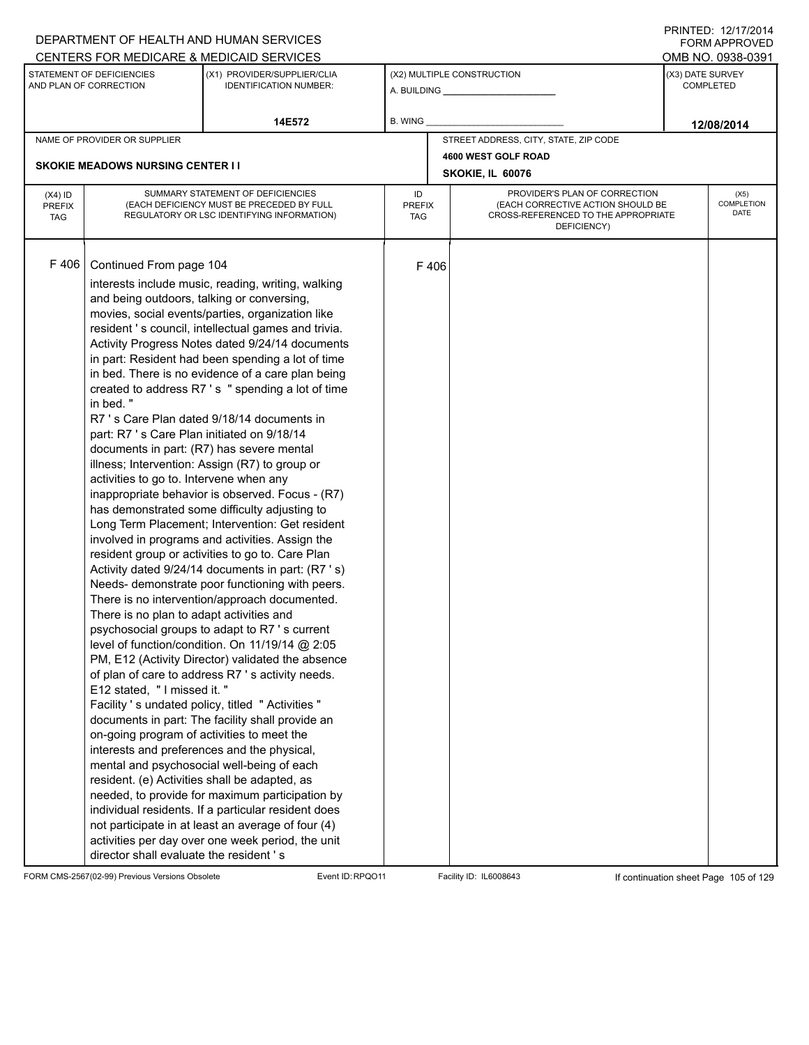|                                          |                                                                                                                                                                                                                                                                                                                                                                                                                                            | DEPARTMENT OF HEALTH AND HUMAN SERVICES                                                                                                                                                                                                                                                                                                                                                                                                                                                                                                                                                                                                                                                                                                                                                                                                                                                                                                                                                                                                                                                                                                                                                                                                                                                                                                                                                                                                                                                                                                        |                            |      |                                                                                                                          |                  | <b>FORM APPROVED</b>       |
|------------------------------------------|--------------------------------------------------------------------------------------------------------------------------------------------------------------------------------------------------------------------------------------------------------------------------------------------------------------------------------------------------------------------------------------------------------------------------------------------|------------------------------------------------------------------------------------------------------------------------------------------------------------------------------------------------------------------------------------------------------------------------------------------------------------------------------------------------------------------------------------------------------------------------------------------------------------------------------------------------------------------------------------------------------------------------------------------------------------------------------------------------------------------------------------------------------------------------------------------------------------------------------------------------------------------------------------------------------------------------------------------------------------------------------------------------------------------------------------------------------------------------------------------------------------------------------------------------------------------------------------------------------------------------------------------------------------------------------------------------------------------------------------------------------------------------------------------------------------------------------------------------------------------------------------------------------------------------------------------------------------------------------------------------|----------------------------|------|--------------------------------------------------------------------------------------------------------------------------|------------------|----------------------------|
|                                          |                                                                                                                                                                                                                                                                                                                                                                                                                                            | CENTERS FOR MEDICARE & MEDICAID SERVICES                                                                                                                                                                                                                                                                                                                                                                                                                                                                                                                                                                                                                                                                                                                                                                                                                                                                                                                                                                                                                                                                                                                                                                                                                                                                                                                                                                                                                                                                                                       |                            |      |                                                                                                                          |                  | OMB NO. 0938-0391          |
|                                          | STATEMENT OF DEFICIENCIES<br>AND PLAN OF CORRECTION                                                                                                                                                                                                                                                                                                                                                                                        | (X1) PROVIDER/SUPPLIER/CLIA<br><b>IDENTIFICATION NUMBER:</b>                                                                                                                                                                                                                                                                                                                                                                                                                                                                                                                                                                                                                                                                                                                                                                                                                                                                                                                                                                                                                                                                                                                                                                                                                                                                                                                                                                                                                                                                                   |                            |      | (X2) MULTIPLE CONSTRUCTION                                                                                               | (X3) DATE SURVEY | <b>COMPLETED</b>           |
|                                          |                                                                                                                                                                                                                                                                                                                                                                                                                                            | 14E572                                                                                                                                                                                                                                                                                                                                                                                                                                                                                                                                                                                                                                                                                                                                                                                                                                                                                                                                                                                                                                                                                                                                                                                                                                                                                                                                                                                                                                                                                                                                         | B. WING                    |      |                                                                                                                          |                  | 12/08/2014                 |
|                                          | NAME OF PROVIDER OR SUPPLIER                                                                                                                                                                                                                                                                                                                                                                                                               |                                                                                                                                                                                                                                                                                                                                                                                                                                                                                                                                                                                                                                                                                                                                                                                                                                                                                                                                                                                                                                                                                                                                                                                                                                                                                                                                                                                                                                                                                                                                                |                            |      | STREET ADDRESS, CITY, STATE, ZIP CODE                                                                                    |                  |                            |
|                                          |                                                                                                                                                                                                                                                                                                                                                                                                                                            |                                                                                                                                                                                                                                                                                                                                                                                                                                                                                                                                                                                                                                                                                                                                                                                                                                                                                                                                                                                                                                                                                                                                                                                                                                                                                                                                                                                                                                                                                                                                                |                            |      | 4600 WEST GOLF ROAD                                                                                                      |                  |                            |
|                                          | <b>SKOKIE MEADOWS NURSING CENTER I I</b>                                                                                                                                                                                                                                                                                                                                                                                                   |                                                                                                                                                                                                                                                                                                                                                                                                                                                                                                                                                                                                                                                                                                                                                                                                                                                                                                                                                                                                                                                                                                                                                                                                                                                                                                                                                                                                                                                                                                                                                |                            |      | SKOKIE, IL 60076                                                                                                         |                  |                            |
| $(X4)$ ID<br><b>PREFIX</b><br><b>TAG</b> |                                                                                                                                                                                                                                                                                                                                                                                                                                            | SUMMARY STATEMENT OF DEFICIENCIES<br>(EACH DEFICIENCY MUST BE PRECEDED BY FULL<br>REGULATORY OR LSC IDENTIFYING INFORMATION)                                                                                                                                                                                                                                                                                                                                                                                                                                                                                                                                                                                                                                                                                                                                                                                                                                                                                                                                                                                                                                                                                                                                                                                                                                                                                                                                                                                                                   | ID<br><b>PREFIX</b><br>TAG |      | PROVIDER'S PLAN OF CORRECTION<br>(EACH CORRECTIVE ACTION SHOULD BE<br>CROSS-REFERENCED TO THE APPROPRIATE<br>DEFICIENCY) |                  | (X5)<br>COMPLETION<br>DATE |
| F 406                                    | Continued From page 104<br>and being outdoors, talking or conversing,<br>in bed."<br>part: R7 's Care Plan initiated on 9/18/14<br>documents in part: (R7) has severe mental<br>activities to go to. Intervene when any<br>There is no plan to adapt activities and<br>E12 stated, "I missed it."<br>on-going program of activities to meet the<br>resident. (e) Activities shall be adapted, as<br>director shall evaluate the resident's | interests include music, reading, writing, walking<br>movies, social events/parties, organization like<br>resident 's council, intellectual games and trivia.<br>Activity Progress Notes dated 9/24/14 documents<br>in part: Resident had been spending a lot of time<br>in bed. There is no evidence of a care plan being<br>created to address R7's " spending a lot of time<br>R7 's Care Plan dated 9/18/14 documents in<br>illness; Intervention: Assign (R7) to group or<br>inappropriate behavior is observed. Focus - (R7)<br>has demonstrated some difficulty adjusting to<br>Long Term Placement; Intervention: Get resident<br>involved in programs and activities. Assign the<br>resident group or activities to go to. Care Plan<br>Activity dated 9/24/14 documents in part: (R7 's)<br>Needs- demonstrate poor functioning with peers.<br>There is no intervention/approach documented.<br>psychosocial groups to adapt to R7 's current<br>level of function/condition. On 11/19/14 @ 2:05<br>PM, E12 (Activity Director) validated the absence<br>of plan of care to address R7 's activity needs.<br>Facility 's undated policy, titled " Activities "<br>documents in part: The facility shall provide an<br>interests and preferences and the physical,<br>mental and psychosocial well-being of each<br>needed, to provide for maximum participation by<br>individual residents. If a particular resident does<br>not participate in at least an average of four (4)<br>activities per day over one week period, the unit |                            | F406 |                                                                                                                          |                  |                            |

FORM CMS-2567(02-99) Previous Versions Obsolete Event ID:RPQO11 Facility ID: IL6008643 If continuation sheet Page 105 of 129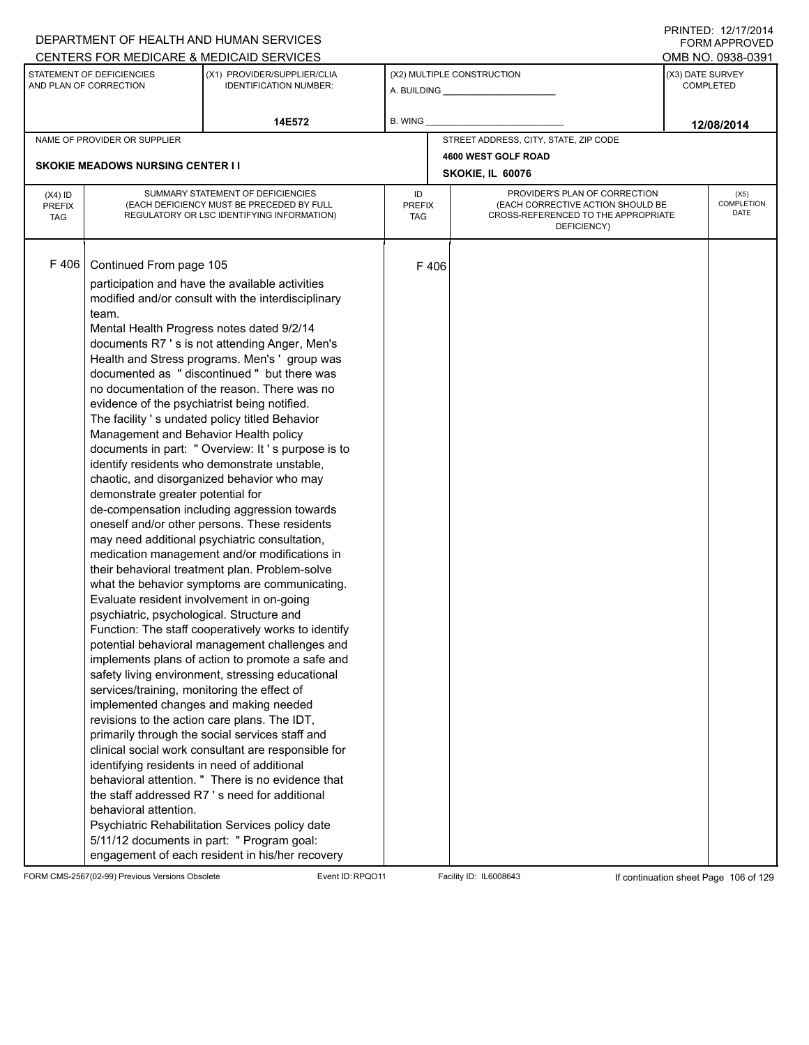|                                          |                                                                                                                                                                                                                                                                                                                                                                                                                                                                                                                       | DEPARTMENT OF HEALTH AND HUMAN SERVICES                                                                                                                                                                                                                                                                                                                                                                                                                                                                                                                                                                                                                                                                                                                                                                                                                                                                                                                                                                                                                                                                                                                                                                                                                                                                                                                                                             |                            |      |                                                                                                                          | 11111 LD. 14/11/4917<br><b>FORM APPROVED</b> |
|------------------------------------------|-----------------------------------------------------------------------------------------------------------------------------------------------------------------------------------------------------------------------------------------------------------------------------------------------------------------------------------------------------------------------------------------------------------------------------------------------------------------------------------------------------------------------|-----------------------------------------------------------------------------------------------------------------------------------------------------------------------------------------------------------------------------------------------------------------------------------------------------------------------------------------------------------------------------------------------------------------------------------------------------------------------------------------------------------------------------------------------------------------------------------------------------------------------------------------------------------------------------------------------------------------------------------------------------------------------------------------------------------------------------------------------------------------------------------------------------------------------------------------------------------------------------------------------------------------------------------------------------------------------------------------------------------------------------------------------------------------------------------------------------------------------------------------------------------------------------------------------------------------------------------------------------------------------------------------------------|----------------------------|------|--------------------------------------------------------------------------------------------------------------------------|----------------------------------------------|
|                                          |                                                                                                                                                                                                                                                                                                                                                                                                                                                                                                                       | CENTERS FOR MEDICARE & MEDICAID SERVICES                                                                                                                                                                                                                                                                                                                                                                                                                                                                                                                                                                                                                                                                                                                                                                                                                                                                                                                                                                                                                                                                                                                                                                                                                                                                                                                                                            |                            |      |                                                                                                                          | OMB NO. 0938-0391                            |
|                                          | STATEMENT OF DEFICIENCIES<br>AND PLAN OF CORRECTION                                                                                                                                                                                                                                                                                                                                                                                                                                                                   | (X1) PROVIDER/SUPPLIER/CLIA<br><b>IDENTIFICATION NUMBER:</b>                                                                                                                                                                                                                                                                                                                                                                                                                                                                                                                                                                                                                                                                                                                                                                                                                                                                                                                                                                                                                                                                                                                                                                                                                                                                                                                                        |                            |      | (X2) MULTIPLE CONSTRUCTION                                                                                               | (X3) DATE SURVEY<br><b>COMPLETED</b>         |
|                                          |                                                                                                                                                                                                                                                                                                                                                                                                                                                                                                                       | 14E572                                                                                                                                                                                                                                                                                                                                                                                                                                                                                                                                                                                                                                                                                                                                                                                                                                                                                                                                                                                                                                                                                                                                                                                                                                                                                                                                                                                              | B. WING                    |      |                                                                                                                          | 12/08/2014                                   |
|                                          | NAME OF PROVIDER OR SUPPLIER                                                                                                                                                                                                                                                                                                                                                                                                                                                                                          |                                                                                                                                                                                                                                                                                                                                                                                                                                                                                                                                                                                                                                                                                                                                                                                                                                                                                                                                                                                                                                                                                                                                                                                                                                                                                                                                                                                                     |                            |      | STREET ADDRESS, CITY, STATE, ZIP CODE                                                                                    |                                              |
|                                          |                                                                                                                                                                                                                                                                                                                                                                                                                                                                                                                       |                                                                                                                                                                                                                                                                                                                                                                                                                                                                                                                                                                                                                                                                                                                                                                                                                                                                                                                                                                                                                                                                                                                                                                                                                                                                                                                                                                                                     |                            |      | 4600 WEST GOLF ROAD                                                                                                      |                                              |
|                                          | <b>SKOKIE MEADOWS NURSING CENTER II</b>                                                                                                                                                                                                                                                                                                                                                                                                                                                                               |                                                                                                                                                                                                                                                                                                                                                                                                                                                                                                                                                                                                                                                                                                                                                                                                                                                                                                                                                                                                                                                                                                                                                                                                                                                                                                                                                                                                     |                            |      | SKOKIE, IL 60076                                                                                                         |                                              |
| $(X4)$ ID<br><b>PREFIX</b><br><b>TAG</b> |                                                                                                                                                                                                                                                                                                                                                                                                                                                                                                                       | SUMMARY STATEMENT OF DEFICIENCIES<br>(EACH DEFICIENCY MUST BE PRECEDED BY FULL<br>REGULATORY OR LSC IDENTIFYING INFORMATION)                                                                                                                                                                                                                                                                                                                                                                                                                                                                                                                                                                                                                                                                                                                                                                                                                                                                                                                                                                                                                                                                                                                                                                                                                                                                        | ID<br><b>PREFIX</b><br>TAG |      | PROVIDER'S PLAN OF CORRECTION<br>(EACH CORRECTIVE ACTION SHOULD BE<br>CROSS-REFERENCED TO THE APPROPRIATE<br>DEFICIENCY) | (X5)<br>COMPLETION<br><b>DATE</b>            |
| F 406                                    | Continued From page 105<br>team.<br>Mental Health Progress notes dated 9/2/14<br>evidence of the psychiatrist being notified.<br>Management and Behavior Health policy<br>demonstrate greater potential for<br>Evaluate resident involvement in on-going<br>psychiatric, psychological. Structure and<br>services/training, monitoring the effect of<br>implemented changes and making needed<br>revisions to the action care plans. The IDT,<br>identifying residents in need of additional<br>behavioral attention. | participation and have the available activities<br>modified and/or consult with the interdisciplinary<br>documents R7 's is not attending Anger, Men's<br>Health and Stress programs. Men's 'group was<br>documented as "discontinued" but there was<br>no documentation of the reason. There was no<br>The facility 's undated policy titled Behavior<br>documents in part: " Overview: It's purpose is to<br>identify residents who demonstrate unstable,<br>chaotic, and disorganized behavior who may<br>de-compensation including aggression towards<br>oneself and/or other persons. These residents<br>may need additional psychiatric consultation,<br>medication management and/or modifications in<br>their behavioral treatment plan. Problem-solve<br>what the behavior symptoms are communicating.<br>Function: The staff cooperatively works to identify<br>potential behavioral management challenges and<br>implements plans of action to promote a safe and<br>safety living environment, stressing educational<br>primarily through the social services staff and<br>clinical social work consultant are responsible for<br>behavioral attention. " There is no evidence that<br>the staff addressed R7's need for additional<br>Psychiatric Rehabilitation Services policy date<br>5/11/12 documents in part: " Program goal:<br>engagement of each resident in his/her recovery |                            | F406 |                                                                                                                          |                                              |

FORM CMS-2567(02-99) Previous Versions Obsolete Event ID:RPQO11 Facility ID: IL6008643 If continuation sheet Page 106 of 129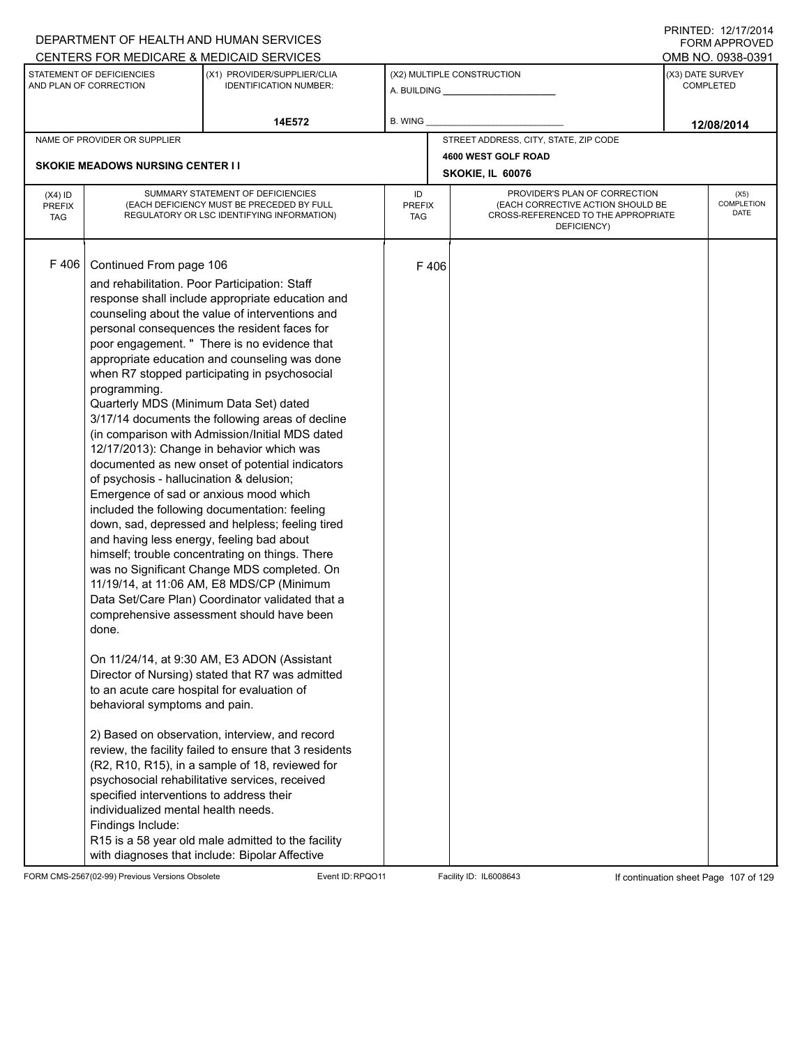|                                          |                                                                                                                                                                                                                                                                                                                                                                                                                                                                        | DEPARTMENT OF HEALTH AND HUMAN SERVICES                                                                                                                                                                                                                                                                                                                                                                                                                                                                                                                                                                                                                                                                                                                                                                                                                                                                                                                                                                                                                                                                                                                                                                                                                                                       |                     |      |                                                                                                                          |                  | FORM APPROVED              |
|------------------------------------------|------------------------------------------------------------------------------------------------------------------------------------------------------------------------------------------------------------------------------------------------------------------------------------------------------------------------------------------------------------------------------------------------------------------------------------------------------------------------|-----------------------------------------------------------------------------------------------------------------------------------------------------------------------------------------------------------------------------------------------------------------------------------------------------------------------------------------------------------------------------------------------------------------------------------------------------------------------------------------------------------------------------------------------------------------------------------------------------------------------------------------------------------------------------------------------------------------------------------------------------------------------------------------------------------------------------------------------------------------------------------------------------------------------------------------------------------------------------------------------------------------------------------------------------------------------------------------------------------------------------------------------------------------------------------------------------------------------------------------------------------------------------------------------|---------------------|------|--------------------------------------------------------------------------------------------------------------------------|------------------|----------------------------|
|                                          |                                                                                                                                                                                                                                                                                                                                                                                                                                                                        | CENTERS FOR MEDICARE & MEDICAID SERVICES                                                                                                                                                                                                                                                                                                                                                                                                                                                                                                                                                                                                                                                                                                                                                                                                                                                                                                                                                                                                                                                                                                                                                                                                                                                      |                     |      |                                                                                                                          |                  | OMB NO. 0938-0391          |
|                                          | STATEMENT OF DEFICIENCIES<br>AND PLAN OF CORRECTION                                                                                                                                                                                                                                                                                                                                                                                                                    | (X1) PROVIDER/SUPPLIER/CLIA<br><b>IDENTIFICATION NUMBER:</b>                                                                                                                                                                                                                                                                                                                                                                                                                                                                                                                                                                                                                                                                                                                                                                                                                                                                                                                                                                                                                                                                                                                                                                                                                                  |                     |      | (X2) MULTIPLE CONSTRUCTION                                                                                               | (X3) DATE SURVEY | <b>COMPLETED</b>           |
|                                          |                                                                                                                                                                                                                                                                                                                                                                                                                                                                        | 14E572                                                                                                                                                                                                                                                                                                                                                                                                                                                                                                                                                                                                                                                                                                                                                                                                                                                                                                                                                                                                                                                                                                                                                                                                                                                                                        | B. WING             |      |                                                                                                                          |                  | 12/08/2014                 |
|                                          | NAME OF PROVIDER OR SUPPLIER                                                                                                                                                                                                                                                                                                                                                                                                                                           |                                                                                                                                                                                                                                                                                                                                                                                                                                                                                                                                                                                                                                                                                                                                                                                                                                                                                                                                                                                                                                                                                                                                                                                                                                                                                               |                     |      | STREET ADDRESS, CITY, STATE, ZIP CODE                                                                                    |                  |                            |
|                                          |                                                                                                                                                                                                                                                                                                                                                                                                                                                                        |                                                                                                                                                                                                                                                                                                                                                                                                                                                                                                                                                                                                                                                                                                                                                                                                                                                                                                                                                                                                                                                                                                                                                                                                                                                                                               |                     |      | 4600 WEST GOLF ROAD                                                                                                      |                  |                            |
|                                          | <b>SKOKIE MEADOWS NURSING CENTER I I</b>                                                                                                                                                                                                                                                                                                                                                                                                                               |                                                                                                                                                                                                                                                                                                                                                                                                                                                                                                                                                                                                                                                                                                                                                                                                                                                                                                                                                                                                                                                                                                                                                                                                                                                                                               |                     |      | SKOKIE, IL 60076                                                                                                         |                  |                            |
| $(X4)$ ID<br><b>PREFIX</b><br><b>TAG</b> |                                                                                                                                                                                                                                                                                                                                                                                                                                                                        | SUMMARY STATEMENT OF DEFICIENCIES<br>(EACH DEFICIENCY MUST BE PRECEDED BY FULL<br>REGULATORY OR LSC IDENTIFYING INFORMATION)                                                                                                                                                                                                                                                                                                                                                                                                                                                                                                                                                                                                                                                                                                                                                                                                                                                                                                                                                                                                                                                                                                                                                                  | ID<br>PREFIX<br>TAG |      | PROVIDER'S PLAN OF CORRECTION<br>(EACH CORRECTIVE ACTION SHOULD BE<br>CROSS-REFERENCED TO THE APPROPRIATE<br>DEFICIENCY) |                  | (X5)<br>COMPLETION<br>DATE |
| F 406                                    | Continued From page 106<br>and rehabilitation. Poor Participation: Staff<br>programming.<br>Quarterly MDS (Minimum Data Set) dated<br>of psychosis - hallucination & delusion;<br>Emergence of sad or anxious mood which<br>and having less energy, feeling bad about<br>done.<br>to an acute care hospital for evaluation of<br>behavioral symptoms and pain.<br>specified interventions to address their<br>individualized mental health needs.<br>Findings Include: | response shall include appropriate education and<br>counseling about the value of interventions and<br>personal consequences the resident faces for<br>poor engagement. " There is no evidence that<br>appropriate education and counseling was done<br>when R7 stopped participating in psychosocial<br>3/17/14 documents the following areas of decline<br>(in comparison with Admission/Initial MDS dated<br>12/17/2013): Change in behavior which was<br>documented as new onset of potential indicators<br>included the following documentation: feeling<br>down, sad, depressed and helpless; feeling tired<br>himself; trouble concentrating on things. There<br>was no Significant Change MDS completed. On<br>11/19/14, at 11:06 AM, E8 MDS/CP (Minimum<br>Data Set/Care Plan) Coordinator validated that a<br>comprehensive assessment should have been<br>On 11/24/14, at 9:30 AM, E3 ADON (Assistant<br>Director of Nursing) stated that R7 was admitted<br>2) Based on observation, interview, and record<br>review, the facility failed to ensure that 3 residents<br>(R2, R10, R15), in a sample of 18, reviewed for<br>psychosocial rehabilitative services, received<br>R15 is a 58 year old male admitted to the facility<br>with diagnoses that include: Bipolar Affective |                     | F406 |                                                                                                                          |                  |                            |

FORM CMS-2567(02-99) Previous Versions Obsolete Event ID:RPQO11 Facility ID: IL6008643 If continuation sheet Page 107 of 129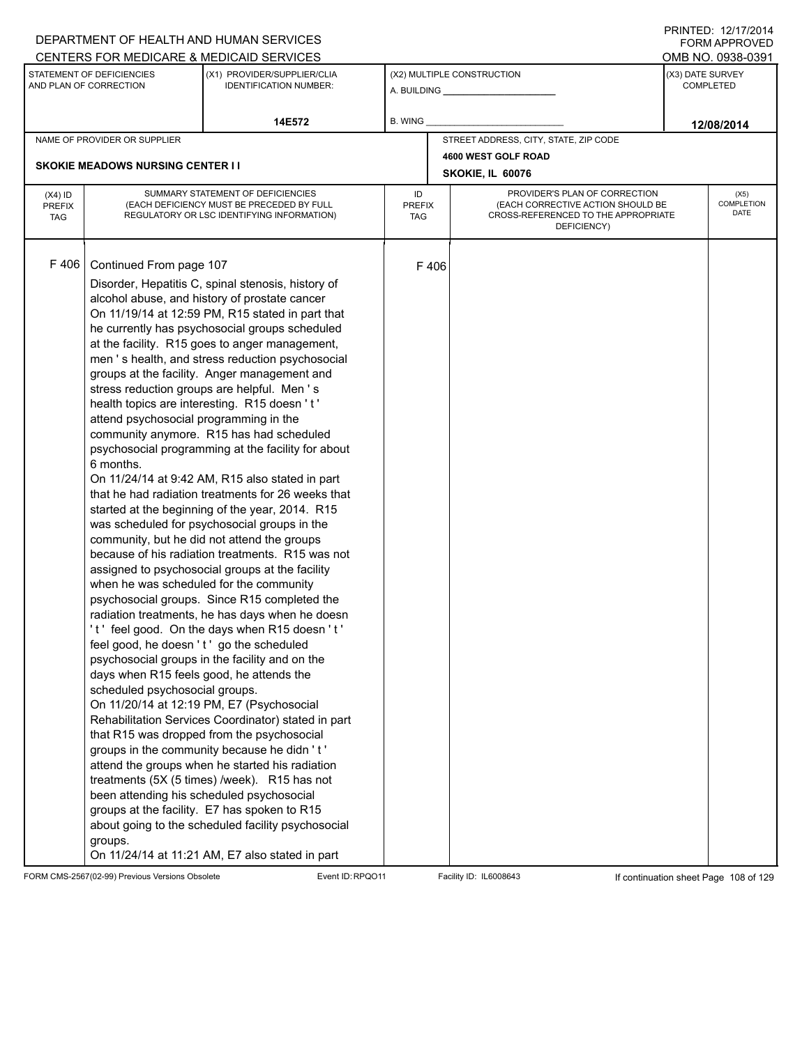|                                          |                                                                                                                                                                                                                                                               | DEPARTMENT OF HEALTH AND HUMAN SERVICES                                                                                                                                                                                                                                                                                                                                                                                                                                                                                                                                                                                                                                                                                                                                                                                                                                                                                                                                                                                                                                                                                                                                                                                                                                                                                                                                                                                                                                                                                                                                                                                                        |                            |      |                                                                                                                          |                  | <b>FORM APPROVED</b>       |
|------------------------------------------|---------------------------------------------------------------------------------------------------------------------------------------------------------------------------------------------------------------------------------------------------------------|------------------------------------------------------------------------------------------------------------------------------------------------------------------------------------------------------------------------------------------------------------------------------------------------------------------------------------------------------------------------------------------------------------------------------------------------------------------------------------------------------------------------------------------------------------------------------------------------------------------------------------------------------------------------------------------------------------------------------------------------------------------------------------------------------------------------------------------------------------------------------------------------------------------------------------------------------------------------------------------------------------------------------------------------------------------------------------------------------------------------------------------------------------------------------------------------------------------------------------------------------------------------------------------------------------------------------------------------------------------------------------------------------------------------------------------------------------------------------------------------------------------------------------------------------------------------------------------------------------------------------------------------|----------------------------|------|--------------------------------------------------------------------------------------------------------------------------|------------------|----------------------------|
|                                          |                                                                                                                                                                                                                                                               | CENTERS FOR MEDICARE & MEDICAID SERVICES                                                                                                                                                                                                                                                                                                                                                                                                                                                                                                                                                                                                                                                                                                                                                                                                                                                                                                                                                                                                                                                                                                                                                                                                                                                                                                                                                                                                                                                                                                                                                                                                       |                            |      |                                                                                                                          |                  | OMB NO. 0938-0391          |
|                                          | STATEMENT OF DEFICIENCIES<br>AND PLAN OF CORRECTION                                                                                                                                                                                                           | (X1) PROVIDER/SUPPLIER/CLIA<br><b>IDENTIFICATION NUMBER:</b>                                                                                                                                                                                                                                                                                                                                                                                                                                                                                                                                                                                                                                                                                                                                                                                                                                                                                                                                                                                                                                                                                                                                                                                                                                                                                                                                                                                                                                                                                                                                                                                   |                            |      | (X2) MULTIPLE CONSTRUCTION                                                                                               | (X3) DATE SURVEY | <b>COMPLETED</b>           |
|                                          |                                                                                                                                                                                                                                                               | 14E572                                                                                                                                                                                                                                                                                                                                                                                                                                                                                                                                                                                                                                                                                                                                                                                                                                                                                                                                                                                                                                                                                                                                                                                                                                                                                                                                                                                                                                                                                                                                                                                                                                         | B. WING                    |      |                                                                                                                          |                  | 12/08/2014                 |
|                                          | NAME OF PROVIDER OR SUPPLIER                                                                                                                                                                                                                                  |                                                                                                                                                                                                                                                                                                                                                                                                                                                                                                                                                                                                                                                                                                                                                                                                                                                                                                                                                                                                                                                                                                                                                                                                                                                                                                                                                                                                                                                                                                                                                                                                                                                |                            |      | STREET ADDRESS, CITY, STATE, ZIP CODE                                                                                    |                  |                            |
|                                          |                                                                                                                                                                                                                                                               |                                                                                                                                                                                                                                                                                                                                                                                                                                                                                                                                                                                                                                                                                                                                                                                                                                                                                                                                                                                                                                                                                                                                                                                                                                                                                                                                                                                                                                                                                                                                                                                                                                                |                            |      | 4600 WEST GOLF ROAD                                                                                                      |                  |                            |
|                                          | <b>SKOKIE MEADOWS NURSING CENTER I I</b>                                                                                                                                                                                                                      |                                                                                                                                                                                                                                                                                                                                                                                                                                                                                                                                                                                                                                                                                                                                                                                                                                                                                                                                                                                                                                                                                                                                                                                                                                                                                                                                                                                                                                                                                                                                                                                                                                                |                            |      | SKOKIE, IL 60076                                                                                                         |                  |                            |
| $(X4)$ ID<br><b>PREFIX</b><br><b>TAG</b> |                                                                                                                                                                                                                                                               | SUMMARY STATEMENT OF DEFICIENCIES<br>(EACH DEFICIENCY MUST BE PRECEDED BY FULL<br>REGULATORY OR LSC IDENTIFYING INFORMATION)                                                                                                                                                                                                                                                                                                                                                                                                                                                                                                                                                                                                                                                                                                                                                                                                                                                                                                                                                                                                                                                                                                                                                                                                                                                                                                                                                                                                                                                                                                                   | ID<br><b>PREFIX</b><br>TAG |      | PROVIDER'S PLAN OF CORRECTION<br>(EACH CORRECTIVE ACTION SHOULD BE<br>CROSS-REFERENCED TO THE APPROPRIATE<br>DEFICIENCY) |                  | (X5)<br>COMPLETION<br>DATE |
| F 406                                    | Continued From page 107<br>attend psychosocial programming in the<br>6 months.<br>when he was scheduled for the community<br>feel good, he doesn't' go the scheduled<br>days when R15 feels good, he attends the<br>scheduled psychosocial groups.<br>groups. | Disorder, Hepatitis C, spinal stenosis, history of<br>alcohol abuse, and history of prostate cancer<br>On 11/19/14 at 12:59 PM, R15 stated in part that<br>he currently has psychosocial groups scheduled<br>at the facility. R15 goes to anger management,<br>men 's health, and stress reduction psychosocial<br>groups at the facility. Anger management and<br>stress reduction groups are helpful. Men's<br>health topics are interesting. R15 doesn't'<br>community anymore. R15 has had scheduled<br>psychosocial programming at the facility for about<br>On 11/24/14 at 9:42 AM, R15 also stated in part<br>that he had radiation treatments for 26 weeks that<br>started at the beginning of the year, 2014. R15<br>was scheduled for psychosocial groups in the<br>community, but he did not attend the groups<br>because of his radiation treatments. R15 was not<br>assigned to psychosocial groups at the facility<br>psychosocial groups. Since R15 completed the<br>radiation treatments, he has days when he doesn<br>'t' feel good. On the days when R15 doesn't'<br>psychosocial groups in the facility and on the<br>On 11/20/14 at 12:19 PM, E7 (Psychosocial<br>Rehabilitation Services Coordinator) stated in part<br>that R15 was dropped from the psychosocial<br>groups in the community because he didn't'<br>attend the groups when he started his radiation<br>treatments (5X (5 times) /week). R15 has not<br>been attending his scheduled psychosocial<br>groups at the facility. E7 has spoken to R15<br>about going to the scheduled facility psychosocial<br>On 11/24/14 at 11:21 AM, E7 also stated in part |                            | F406 |                                                                                                                          |                  |                            |

FORM CMS-2567(02-99) Previous Versions Obsolete Event ID:RPQO11 Facility ID: IL6008643 If continuation sheet Page 108 of 129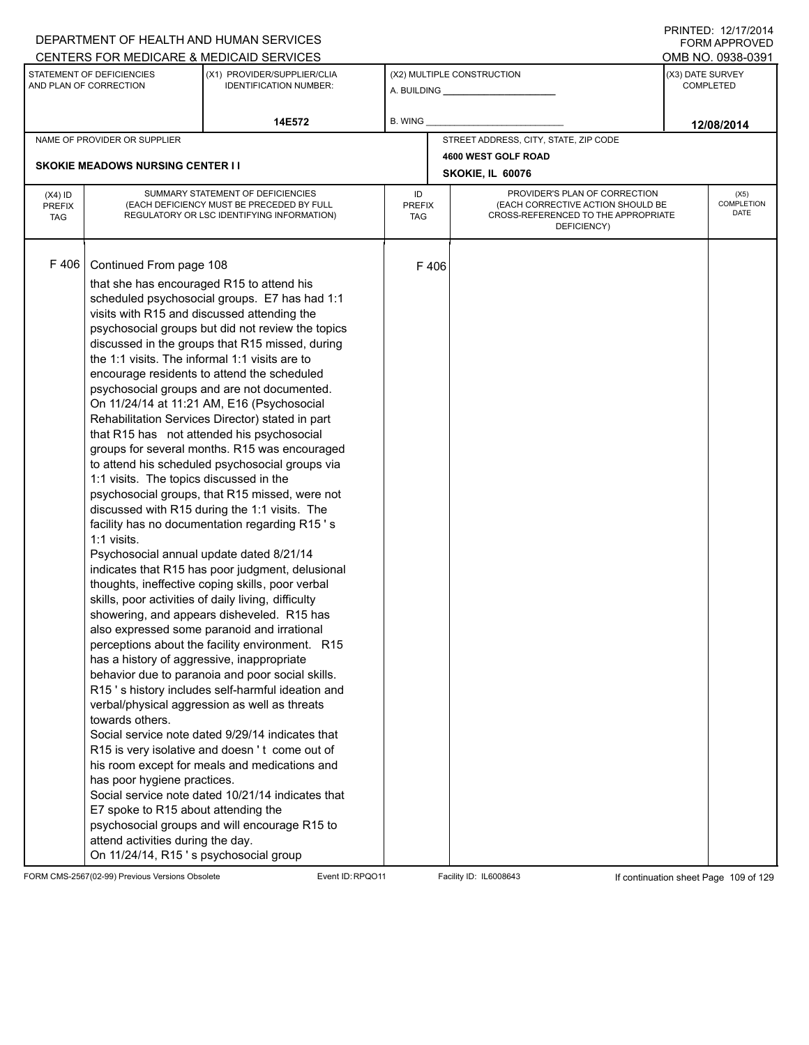|                                          |                                                                                                                                                                                                                                                                                                                                                                                                                                                                                                          | DEPARTMENT OF HEALTH AND HUMAN SERVICES<br>CENTERS FOR MEDICARE & MEDICAID SERVICES                                                                                                                                                                                                                                                                                                                                                                                                                                                                                                                                                                                                                                                                                                                                                                                                                                                                                                                                                                                                                                                                                                                                                                                                                                                                                                     |                                   |      |                                                                                                                          |                  | FNINILD. 14/11/4014<br><b>FORM APPROVED</b><br>OMB NO. 0938-0391 |
|------------------------------------------|----------------------------------------------------------------------------------------------------------------------------------------------------------------------------------------------------------------------------------------------------------------------------------------------------------------------------------------------------------------------------------------------------------------------------------------------------------------------------------------------------------|-----------------------------------------------------------------------------------------------------------------------------------------------------------------------------------------------------------------------------------------------------------------------------------------------------------------------------------------------------------------------------------------------------------------------------------------------------------------------------------------------------------------------------------------------------------------------------------------------------------------------------------------------------------------------------------------------------------------------------------------------------------------------------------------------------------------------------------------------------------------------------------------------------------------------------------------------------------------------------------------------------------------------------------------------------------------------------------------------------------------------------------------------------------------------------------------------------------------------------------------------------------------------------------------------------------------------------------------------------------------------------------------|-----------------------------------|------|--------------------------------------------------------------------------------------------------------------------------|------------------|------------------------------------------------------------------|
|                                          | STATEMENT OF DEFICIENCIES<br>AND PLAN OF CORRECTION                                                                                                                                                                                                                                                                                                                                                                                                                                                      | (X1) PROVIDER/SUPPLIER/CLIA<br><b>IDENTIFICATION NUMBER:</b>                                                                                                                                                                                                                                                                                                                                                                                                                                                                                                                                                                                                                                                                                                                                                                                                                                                                                                                                                                                                                                                                                                                                                                                                                                                                                                                            |                                   |      | (X2) MULTIPLE CONSTRUCTION<br>A. BUILDING A.                                                                             | (X3) DATE SURVEY | <b>COMPLETED</b>                                                 |
|                                          |                                                                                                                                                                                                                                                                                                                                                                                                                                                                                                          | 14E572                                                                                                                                                                                                                                                                                                                                                                                                                                                                                                                                                                                                                                                                                                                                                                                                                                                                                                                                                                                                                                                                                                                                                                                                                                                                                                                                                                                  | <b>B. WING</b>                    |      |                                                                                                                          |                  | 12/08/2014                                                       |
|                                          | NAME OF PROVIDER OR SUPPLIER                                                                                                                                                                                                                                                                                                                                                                                                                                                                             |                                                                                                                                                                                                                                                                                                                                                                                                                                                                                                                                                                                                                                                                                                                                                                                                                                                                                                                                                                                                                                                                                                                                                                                                                                                                                                                                                                                         |                                   |      | STREET ADDRESS, CITY, STATE, ZIP CODE                                                                                    |                  |                                                                  |
|                                          | <b>SKOKIE MEADOWS NURSING CENTER II</b>                                                                                                                                                                                                                                                                                                                                                                                                                                                                  |                                                                                                                                                                                                                                                                                                                                                                                                                                                                                                                                                                                                                                                                                                                                                                                                                                                                                                                                                                                                                                                                                                                                                                                                                                                                                                                                                                                         |                                   |      | 4600 WEST GOLF ROAD<br>SKOKIE, IL 60076                                                                                  |                  |                                                                  |
| $(X4)$ ID<br><b>PREFIX</b><br><b>TAG</b> |                                                                                                                                                                                                                                                                                                                                                                                                                                                                                                          | SUMMARY STATEMENT OF DEFICIENCIES<br>(EACH DEFICIENCY MUST BE PRECEDED BY FULL<br>REGULATORY OR LSC IDENTIFYING INFORMATION)                                                                                                                                                                                                                                                                                                                                                                                                                                                                                                                                                                                                                                                                                                                                                                                                                                                                                                                                                                                                                                                                                                                                                                                                                                                            | ID<br><b>PREFIX</b><br><b>TAG</b> |      | PROVIDER'S PLAN OF CORRECTION<br>(EACH CORRECTIVE ACTION SHOULD BE<br>CROSS-REFERENCED TO THE APPROPRIATE<br>DEFICIENCY) |                  | (X5)<br>COMPLETION<br><b>DATE</b>                                |
| F406                                     | Continued From page 108<br>that she has encouraged R15 to attend his<br>the 1:1 visits. The informal 1:1 visits are to<br>1:1 visits. The topics discussed in the<br>1:1 visits.<br>Psychosocial annual update dated 8/21/14<br>skills, poor activities of daily living, difficulty<br>has a history of aggressive, inappropriate<br>towards others.<br>has poor hygiene practices.<br>E7 spoke to R15 about attending the<br>attend activities during the day.<br>On 11/24/14, R15's psychosocial group | scheduled psychosocial groups. E7 has had 1:1<br>visits with R15 and discussed attending the<br>psychosocial groups but did not review the topics<br>discussed in the groups that R15 missed, during<br>encourage residents to attend the scheduled<br>psychosocial groups and are not documented.<br>On 11/24/14 at 11:21 AM, E16 (Psychosocial<br>Rehabilitation Services Director) stated in part<br>that R15 has not attended his psychosocial<br>groups for several months. R15 was encouraged<br>to attend his scheduled psychosocial groups via<br>psychosocial groups, that R15 missed, were not<br>discussed with R15 during the 1:1 visits. The<br>facility has no documentation regarding R15's<br>indicates that R15 has poor judgment, delusional<br>thoughts, ineffective coping skills, poor verbal<br>showering, and appears disheveled. R15 has<br>also expressed some paranoid and irrational<br>perceptions about the facility environment. R15<br>behavior due to paranoia and poor social skills.<br>R15's history includes self-harmful ideation and<br>verbal/physical aggression as well as threats<br>Social service note dated 9/29/14 indicates that<br>R15 is very isolative and doesn't come out of<br>his room except for meals and medications and<br>Social service note dated 10/21/14 indicates that<br>psychosocial groups and will encourage R15 to |                                   | F406 |                                                                                                                          |                  |                                                                  |

FORM CMS-2567(02-99) Previous Versions Obsolete Event ID:RPQO11 Facility ID: IL6008643 If continuation sheet Page 109 of 129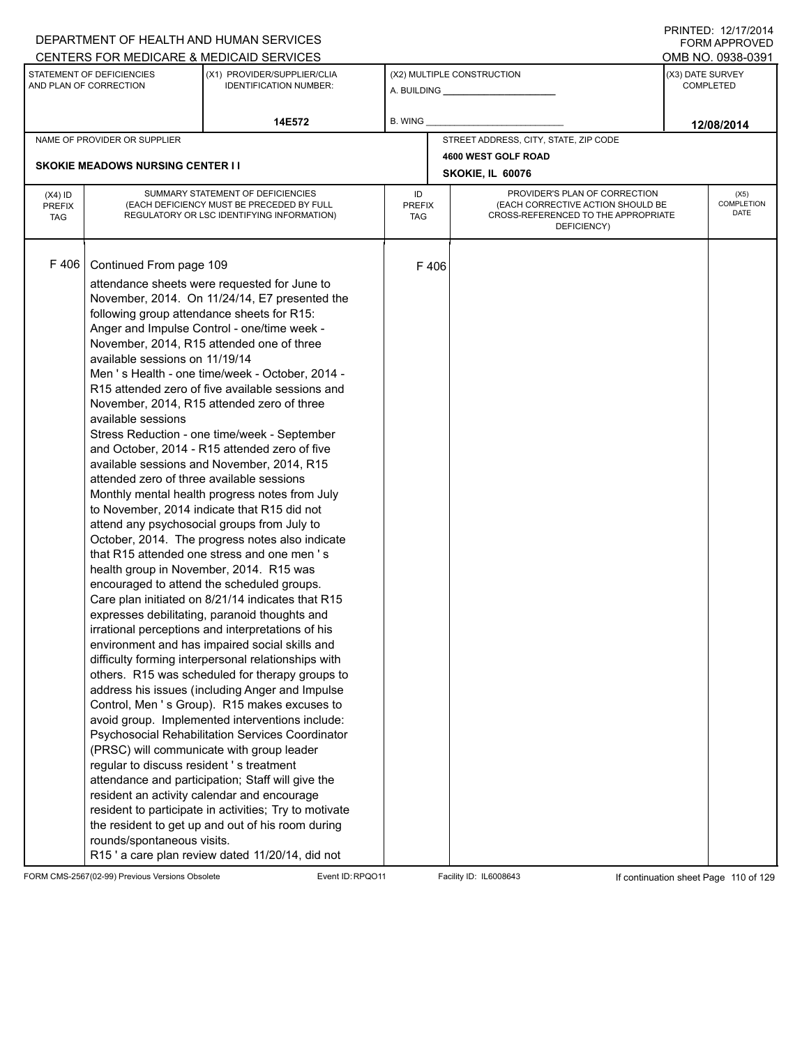|                                          |                                                                                                                                                                                                        | DEPARTMENT OF HEALTH AND HUMAN SERVICES                                                                                                                                                                                                                                                                                                                                                                                                                                                                                                                                                                                                                                                                                                                                                                                                                                                                                                                                                                                                                                                                                                                                                                                                                                                                                                                                                                                                                                                                                                                                                                                                                                                                                                               |                            |      |                                                                                                                          |                  | FORM APPROVED              |
|------------------------------------------|--------------------------------------------------------------------------------------------------------------------------------------------------------------------------------------------------------|-------------------------------------------------------------------------------------------------------------------------------------------------------------------------------------------------------------------------------------------------------------------------------------------------------------------------------------------------------------------------------------------------------------------------------------------------------------------------------------------------------------------------------------------------------------------------------------------------------------------------------------------------------------------------------------------------------------------------------------------------------------------------------------------------------------------------------------------------------------------------------------------------------------------------------------------------------------------------------------------------------------------------------------------------------------------------------------------------------------------------------------------------------------------------------------------------------------------------------------------------------------------------------------------------------------------------------------------------------------------------------------------------------------------------------------------------------------------------------------------------------------------------------------------------------------------------------------------------------------------------------------------------------------------------------------------------------------------------------------------------------|----------------------------|------|--------------------------------------------------------------------------------------------------------------------------|------------------|----------------------------|
|                                          |                                                                                                                                                                                                        | CENTERS FOR MEDICARE & MEDICAID SERVICES                                                                                                                                                                                                                                                                                                                                                                                                                                                                                                                                                                                                                                                                                                                                                                                                                                                                                                                                                                                                                                                                                                                                                                                                                                                                                                                                                                                                                                                                                                                                                                                                                                                                                                              |                            |      |                                                                                                                          |                  | OMB NO. 0938-0391          |
|                                          | STATEMENT OF DEFICIENCIES<br>AND PLAN OF CORRECTION                                                                                                                                                    | (X1) PROVIDER/SUPPLIER/CLIA<br><b>IDENTIFICATION NUMBER:</b>                                                                                                                                                                                                                                                                                                                                                                                                                                                                                                                                                                                                                                                                                                                                                                                                                                                                                                                                                                                                                                                                                                                                                                                                                                                                                                                                                                                                                                                                                                                                                                                                                                                                                          |                            |      | (X2) MULTIPLE CONSTRUCTION<br>A. BUILDING <b>A.</b> BUILDING                                                             | (X3) DATE SURVEY | <b>COMPLETED</b>           |
|                                          |                                                                                                                                                                                                        | 14E572                                                                                                                                                                                                                                                                                                                                                                                                                                                                                                                                                                                                                                                                                                                                                                                                                                                                                                                                                                                                                                                                                                                                                                                                                                                                                                                                                                                                                                                                                                                                                                                                                                                                                                                                                | B. WING                    |      |                                                                                                                          |                  | 12/08/2014                 |
|                                          | NAME OF PROVIDER OR SUPPLIER                                                                                                                                                                           |                                                                                                                                                                                                                                                                                                                                                                                                                                                                                                                                                                                                                                                                                                                                                                                                                                                                                                                                                                                                                                                                                                                                                                                                                                                                                                                                                                                                                                                                                                                                                                                                                                                                                                                                                       |                            |      | STREET ADDRESS, CITY, STATE, ZIP CODE                                                                                    |                  |                            |
|                                          |                                                                                                                                                                                                        |                                                                                                                                                                                                                                                                                                                                                                                                                                                                                                                                                                                                                                                                                                                                                                                                                                                                                                                                                                                                                                                                                                                                                                                                                                                                                                                                                                                                                                                                                                                                                                                                                                                                                                                                                       |                            |      | 4600 WEST GOLF ROAD                                                                                                      |                  |                            |
|                                          | <b>SKOKIE MEADOWS NURSING CENTER I I</b>                                                                                                                                                               |                                                                                                                                                                                                                                                                                                                                                                                                                                                                                                                                                                                                                                                                                                                                                                                                                                                                                                                                                                                                                                                                                                                                                                                                                                                                                                                                                                                                                                                                                                                                                                                                                                                                                                                                                       |                            |      | SKOKIE, IL 60076                                                                                                         |                  |                            |
| $(X4)$ ID<br><b>PREFIX</b><br><b>TAG</b> |                                                                                                                                                                                                        | SUMMARY STATEMENT OF DEFICIENCIES<br>(EACH DEFICIENCY MUST BE PRECEDED BY FULL<br>REGULATORY OR LSC IDENTIFYING INFORMATION)                                                                                                                                                                                                                                                                                                                                                                                                                                                                                                                                                                                                                                                                                                                                                                                                                                                                                                                                                                                                                                                                                                                                                                                                                                                                                                                                                                                                                                                                                                                                                                                                                          | ID<br><b>PREFIX</b><br>TAG |      | PROVIDER'S PLAN OF CORRECTION<br>(EACH CORRECTIVE ACTION SHOULD BE<br>CROSS-REFERENCED TO THE APPROPRIATE<br>DEFICIENCY) |                  | (X5)<br>COMPLETION<br>DATE |
| F 406                                    | Continued From page 109<br>available sessions on 11/19/14<br>available sessions<br>attended zero of three available sessions<br>regular to discuss resident 's treatment<br>rounds/spontaneous visits. | attendance sheets were requested for June to<br>November, 2014. On 11/24/14, E7 presented the<br>following group attendance sheets for R15:<br>Anger and Impulse Control - one/time week -<br>November, 2014, R15 attended one of three<br>Men 's Health - one time/week - October, 2014 -<br>R <sub>15</sub> attended zero of five available sessions and<br>November, 2014, R15 attended zero of three<br>Stress Reduction - one time/week - September<br>and October, 2014 - R15 attended zero of five<br>available sessions and November, 2014, R15<br>Monthly mental health progress notes from July<br>to November, 2014 indicate that R15 did not<br>attend any psychosocial groups from July to<br>October, 2014. The progress notes also indicate<br>that R15 attended one stress and one men's<br>health group in November, 2014. R15 was<br>encouraged to attend the scheduled groups.<br>Care plan initiated on 8/21/14 indicates that R15<br>expresses debilitating, paranoid thoughts and<br>irrational perceptions and interpretations of his<br>environment and has impaired social skills and<br>difficulty forming interpersonal relationships with<br>others. R15 was scheduled for therapy groups to<br>address his issues (including Anger and Impulse<br>Control, Men 's Group). R15 makes excuses to<br>avoid group. Implemented interventions include:<br>Psychosocial Rehabilitation Services Coordinator<br>(PRSC) will communicate with group leader<br>attendance and participation; Staff will give the<br>resident an activity calendar and encourage<br>resident to participate in activities; Try to motivate<br>the resident to get up and out of his room during<br>R15' a care plan review dated 11/20/14, did not |                            | F406 |                                                                                                                          |                  |                            |

FORM CMS-2567(02-99) Previous Versions Obsolete Event ID:RPQO11 Facility ID: IL6008643 If continuation sheet Page 110 of 129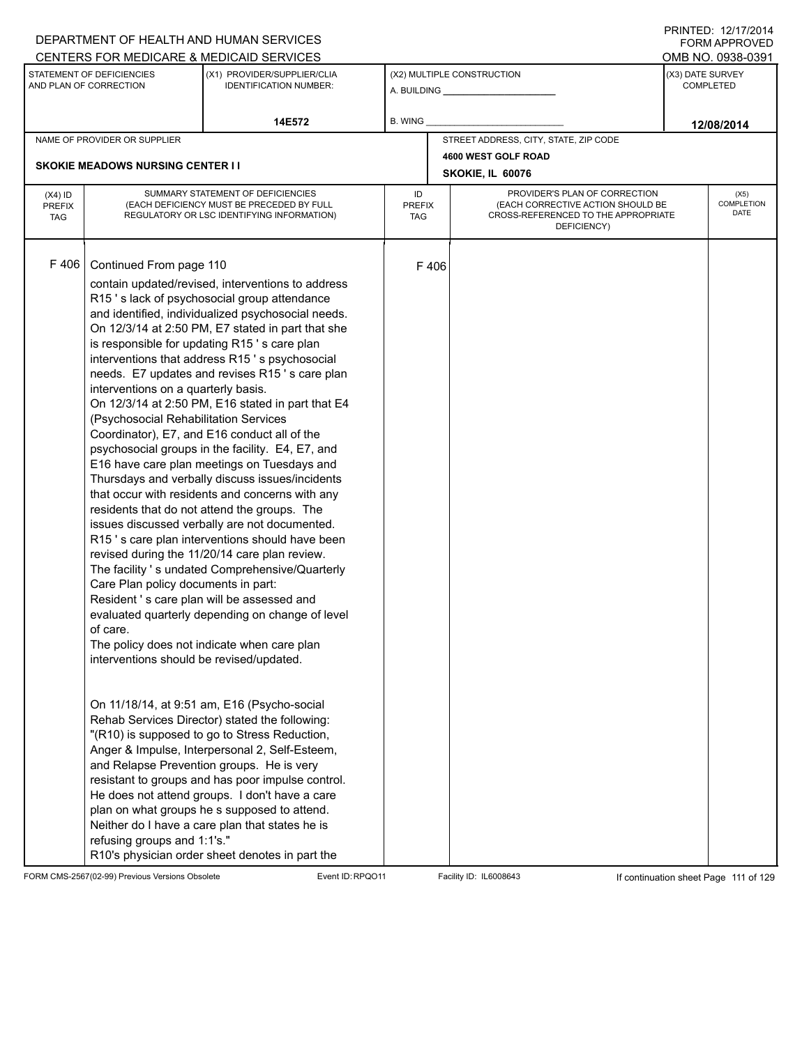|                                          |                                                                                                                                                                                                                                       | DEPARTMENT OF HEALTH AND HUMAN SERVICES                                                                                                                                                                                                                                                                                                                                                                                                                                                                                                                                                                                                                                                                                                                                                                                                                                                                                                                                                                                                                                                                                                                                                                                                                                                                                                                                                                                                                                                                                                                                                         |                            |      |                                                                                                                          |                  | FORM APPROVED              |
|------------------------------------------|---------------------------------------------------------------------------------------------------------------------------------------------------------------------------------------------------------------------------------------|-------------------------------------------------------------------------------------------------------------------------------------------------------------------------------------------------------------------------------------------------------------------------------------------------------------------------------------------------------------------------------------------------------------------------------------------------------------------------------------------------------------------------------------------------------------------------------------------------------------------------------------------------------------------------------------------------------------------------------------------------------------------------------------------------------------------------------------------------------------------------------------------------------------------------------------------------------------------------------------------------------------------------------------------------------------------------------------------------------------------------------------------------------------------------------------------------------------------------------------------------------------------------------------------------------------------------------------------------------------------------------------------------------------------------------------------------------------------------------------------------------------------------------------------------------------------------------------------------|----------------------------|------|--------------------------------------------------------------------------------------------------------------------------|------------------|----------------------------|
|                                          |                                                                                                                                                                                                                                       | CENTERS FOR MEDICARE & MEDICAID SERVICES                                                                                                                                                                                                                                                                                                                                                                                                                                                                                                                                                                                                                                                                                                                                                                                                                                                                                                                                                                                                                                                                                                                                                                                                                                                                                                                                                                                                                                                                                                                                                        |                            |      |                                                                                                                          |                  | OMB NO. 0938-0391          |
|                                          | STATEMENT OF DEFICIENCIES<br>AND PLAN OF CORRECTION                                                                                                                                                                                   | (X1) PROVIDER/SUPPLIER/CLIA<br><b>IDENTIFICATION NUMBER:</b>                                                                                                                                                                                                                                                                                                                                                                                                                                                                                                                                                                                                                                                                                                                                                                                                                                                                                                                                                                                                                                                                                                                                                                                                                                                                                                                                                                                                                                                                                                                                    |                            |      | (X2) MULTIPLE CONSTRUCTION                                                                                               | (X3) DATE SURVEY | <b>COMPLETED</b>           |
|                                          |                                                                                                                                                                                                                                       | 14E572                                                                                                                                                                                                                                                                                                                                                                                                                                                                                                                                                                                                                                                                                                                                                                                                                                                                                                                                                                                                                                                                                                                                                                                                                                                                                                                                                                                                                                                                                                                                                                                          | B. WING                    |      |                                                                                                                          |                  | 12/08/2014                 |
|                                          | NAME OF PROVIDER OR SUPPLIER                                                                                                                                                                                                          |                                                                                                                                                                                                                                                                                                                                                                                                                                                                                                                                                                                                                                                                                                                                                                                                                                                                                                                                                                                                                                                                                                                                                                                                                                                                                                                                                                                                                                                                                                                                                                                                 |                            |      | STREET ADDRESS, CITY, STATE, ZIP CODE                                                                                    |                  |                            |
|                                          |                                                                                                                                                                                                                                       |                                                                                                                                                                                                                                                                                                                                                                                                                                                                                                                                                                                                                                                                                                                                                                                                                                                                                                                                                                                                                                                                                                                                                                                                                                                                                                                                                                                                                                                                                                                                                                                                 |                            |      | 4600 WEST GOLF ROAD                                                                                                      |                  |                            |
|                                          | <b>SKOKIE MEADOWS NURSING CENTER I I</b>                                                                                                                                                                                              |                                                                                                                                                                                                                                                                                                                                                                                                                                                                                                                                                                                                                                                                                                                                                                                                                                                                                                                                                                                                                                                                                                                                                                                                                                                                                                                                                                                                                                                                                                                                                                                                 |                            |      | SKOKIE, IL 60076                                                                                                         |                  |                            |
| $(X4)$ ID<br><b>PREFIX</b><br><b>TAG</b> |                                                                                                                                                                                                                                       | SUMMARY STATEMENT OF DEFICIENCIES<br>(EACH DEFICIENCY MUST BE PRECEDED BY FULL<br>REGULATORY OR LSC IDENTIFYING INFORMATION)                                                                                                                                                                                                                                                                                                                                                                                                                                                                                                                                                                                                                                                                                                                                                                                                                                                                                                                                                                                                                                                                                                                                                                                                                                                                                                                                                                                                                                                                    | ID<br><b>PREFIX</b><br>TAG |      | PROVIDER'S PLAN OF CORRECTION<br>(EACH CORRECTIVE ACTION SHOULD BE<br>CROSS-REFERENCED TO THE APPROPRIATE<br>DEFICIENCY) |                  | (X5)<br>COMPLETION<br>DATE |
| F 406                                    | Continued From page 110<br>interventions on a quarterly basis.<br>(Psychosocial Rehabilitation Services<br>Care Plan policy documents in part:<br>of care.<br>interventions should be revised/updated.<br>refusing groups and 1:1's." | contain updated/revised, interventions to address<br>R15's lack of psychosocial group attendance<br>and identified, individualized psychosocial needs.<br>On 12/3/14 at 2:50 PM, E7 stated in part that she<br>is responsible for updating R15's care plan<br>interventions that address R15's psychosocial<br>needs. E7 updates and revises R15's care plan<br>On 12/3/14 at 2:50 PM, E16 stated in part that E4<br>Coordinator), E7, and E16 conduct all of the<br>psychosocial groups in the facility. E4, E7, and<br>E16 have care plan meetings on Tuesdays and<br>Thursdays and verbally discuss issues/incidents<br>that occur with residents and concerns with any<br>residents that do not attend the groups. The<br>issues discussed verbally are not documented.<br>R15's care plan interventions should have been<br>revised during the 11/20/14 care plan review.<br>The facility 's undated Comprehensive/Quarterly<br>Resident's care plan will be assessed and<br>evaluated quarterly depending on change of level<br>The policy does not indicate when care plan<br>On 11/18/14, at 9:51 am, E16 (Psycho-social<br>Rehab Services Director) stated the following:<br>"(R10) is supposed to go to Stress Reduction,<br>Anger & Impulse, Interpersonal 2, Self-Esteem,<br>and Relapse Prevention groups. He is very<br>resistant to groups and has poor impulse control.<br>He does not attend groups. I don't have a care<br>plan on what groups he s supposed to attend.<br>Neither do I have a care plan that states he is<br>R10's physician order sheet denotes in part the |                            | F406 |                                                                                                                          |                  |                            |

FORM CMS-2567(02-99) Previous Versions Obsolete Event ID:RPQO11 Facility ID: IL6008643 If continuation sheet Page 111 of 129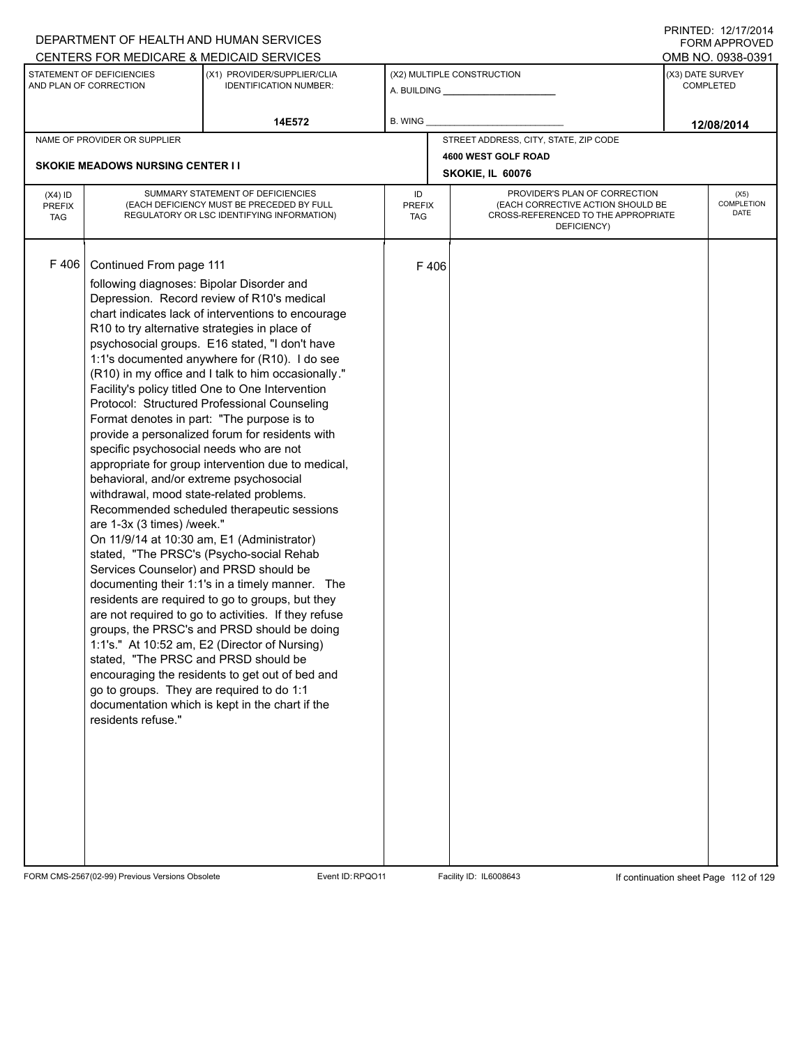|                                          |                                                                                                                                                                                                                                                                                                                                                                                                                                            | DEPARTMENT OF HEALTH AND HUMAN SERVICES                                                                                                                                                                                                                                                                                                                                                                                                                                                                                                                                                                                                                                                                                                                                                                                                                                                                                                                                                                                            |                            |      |                                                                                                                          |  | <b>FORM APPROVED</b>                                      |  |
|------------------------------------------|--------------------------------------------------------------------------------------------------------------------------------------------------------------------------------------------------------------------------------------------------------------------------------------------------------------------------------------------------------------------------------------------------------------------------------------------|------------------------------------------------------------------------------------------------------------------------------------------------------------------------------------------------------------------------------------------------------------------------------------------------------------------------------------------------------------------------------------------------------------------------------------------------------------------------------------------------------------------------------------------------------------------------------------------------------------------------------------------------------------------------------------------------------------------------------------------------------------------------------------------------------------------------------------------------------------------------------------------------------------------------------------------------------------------------------------------------------------------------------------|----------------------------|------|--------------------------------------------------------------------------------------------------------------------------|--|-----------------------------------------------------------|--|
|                                          | STATEMENT OF DEFICIENCIES<br>AND PLAN OF CORRECTION                                                                                                                                                                                                                                                                                                                                                                                        | CENTERS FOR MEDICARE & MEDICAID SERVICES<br>(X1) PROVIDER/SUPPLIER/CLIA<br><b>IDENTIFICATION NUMBER:</b>                                                                                                                                                                                                                                                                                                                                                                                                                                                                                                                                                                                                                                                                                                                                                                                                                                                                                                                           |                            |      | (X2) MULTIPLE CONSTRUCTION<br>A. BUILDING <b>A.</b> BUILDING                                                             |  | OMB NO. 0938-0391<br>(X3) DATE SURVEY<br><b>COMPLETED</b> |  |
|                                          |                                                                                                                                                                                                                                                                                                                                                                                                                                            | 14E572                                                                                                                                                                                                                                                                                                                                                                                                                                                                                                                                                                                                                                                                                                                                                                                                                                                                                                                                                                                                                             | B. WING                    |      |                                                                                                                          |  | 12/08/2014                                                |  |
|                                          | NAME OF PROVIDER OR SUPPLIER                                                                                                                                                                                                                                                                                                                                                                                                               |                                                                                                                                                                                                                                                                                                                                                                                                                                                                                                                                                                                                                                                                                                                                                                                                                                                                                                                                                                                                                                    |                            |      | STREET ADDRESS, CITY, STATE, ZIP CODE                                                                                    |  |                                                           |  |
|                                          | <b>SKOKIE MEADOWS NURSING CENTER II</b>                                                                                                                                                                                                                                                                                                                                                                                                    |                                                                                                                                                                                                                                                                                                                                                                                                                                                                                                                                                                                                                                                                                                                                                                                                                                                                                                                                                                                                                                    |                            |      | 4600 WEST GOLF ROAD<br>SKOKIE, IL 60076                                                                                  |  |                                                           |  |
| $(X4)$ ID<br><b>PREFIX</b><br><b>TAG</b> |                                                                                                                                                                                                                                                                                                                                                                                                                                            | SUMMARY STATEMENT OF DEFICIENCIES<br>(EACH DEFICIENCY MUST BE PRECEDED BY FULL<br>REGULATORY OR LSC IDENTIFYING INFORMATION)                                                                                                                                                                                                                                                                                                                                                                                                                                                                                                                                                                                                                                                                                                                                                                                                                                                                                                       | ID<br><b>PREFIX</b><br>TAG |      | PROVIDER'S PLAN OF CORRECTION<br>(EACH CORRECTIVE ACTION SHOULD BE<br>CROSS-REFERENCED TO THE APPROPRIATE<br>DEFICIENCY) |  | (X5)<br><b>COMPLETION</b><br><b>DATE</b>                  |  |
| F 406                                    | Continued From page 111<br>following diagnoses: Bipolar Disorder and<br>R10 to try alternative strategies in place of<br>specific psychosocial needs who are not<br>behavioral, and/or extreme psychosocial<br>withdrawal, mood state-related problems.<br>are 1-3x (3 times) /week."<br>Services Counselor) and PRSD should be<br>stated. "The PRSC and PRSD should be<br>go to groups. They are required to do 1:1<br>residents refuse." | Depression. Record review of R10's medical<br>chart indicates lack of interventions to encourage<br>psychosocial groups. E16 stated, "I don't have<br>1:1's documented anywhere for (R10). I do see<br>(R10) in my office and I talk to him occasionally."<br>Facility's policy titled One to One Intervention<br>Protocol: Structured Professional Counseling<br>Format denotes in part: "The purpose is to<br>provide a personalized forum for residents with<br>appropriate for group intervention due to medical,<br>Recommended scheduled therapeutic sessions<br>On 11/9/14 at 10:30 am, E1 (Administrator)<br>stated, "The PRSC's (Psycho-social Rehab<br>documenting their 1:1's in a timely manner. The<br>residents are required to go to groups, but they<br>are not required to go to activities. If they refuse<br>groups, the PRSC's and PRSD should be doing<br>1:1's." At 10:52 am, E2 (Director of Nursing)<br>encouraging the residents to get out of bed and<br>documentation which is kept in the chart if the |                            | F406 |                                                                                                                          |  |                                                           |  |

FORM CMS-2567(02-99) Previous Versions Obsolete Event ID:RPQO11 Facility ID: IL6008643 If continuation sheet Page 112 of 129

PRINTED: 12/17/2014 FORM APPROVED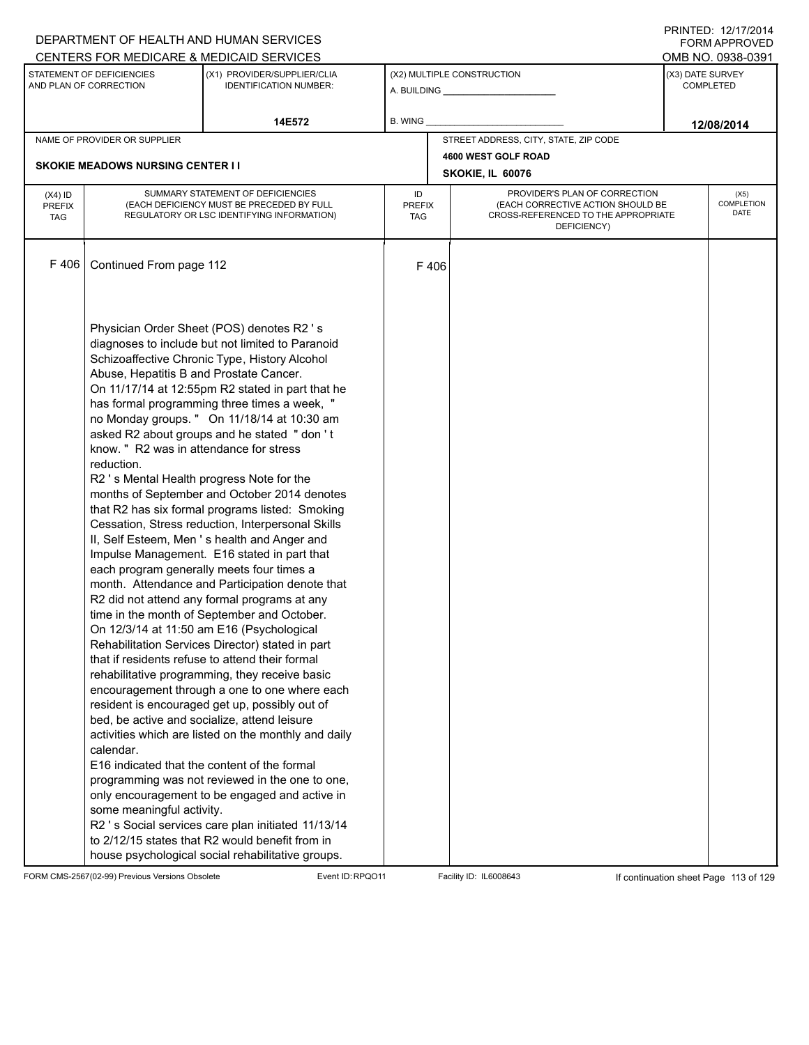|                                          |                                                                                                                                                                                                                                                                                      | DEPARTMENT OF HEALTH AND HUMAN SERVICES<br>CENTERS FOR MEDICARE & MEDICAID SERVICES                                                                                                                                                                                                                                                                                                                                                                                                                                                                                                                                                                                                                                                                                                                                                                                                                                                                                                                                                                                                                                                                                                                                                                                                                                                                                                                                                          |                                   |                            |                                                                                                                          | FNINILD. 14/11/4014<br><b>FORM APPROVED</b><br>OMB NO. 0938-0391 |
|------------------------------------------|--------------------------------------------------------------------------------------------------------------------------------------------------------------------------------------------------------------------------------------------------------------------------------------|----------------------------------------------------------------------------------------------------------------------------------------------------------------------------------------------------------------------------------------------------------------------------------------------------------------------------------------------------------------------------------------------------------------------------------------------------------------------------------------------------------------------------------------------------------------------------------------------------------------------------------------------------------------------------------------------------------------------------------------------------------------------------------------------------------------------------------------------------------------------------------------------------------------------------------------------------------------------------------------------------------------------------------------------------------------------------------------------------------------------------------------------------------------------------------------------------------------------------------------------------------------------------------------------------------------------------------------------------------------------------------------------------------------------------------------------|-----------------------------------|----------------------------|--------------------------------------------------------------------------------------------------------------------------|------------------------------------------------------------------|
|                                          | STATEMENT OF DEFICIENCIES<br>AND PLAN OF CORRECTION                                                                                                                                                                                                                                  | (X1) PROVIDER/SUPPLIER/CLIA<br><b>IDENTIFICATION NUMBER:</b>                                                                                                                                                                                                                                                                                                                                                                                                                                                                                                                                                                                                                                                                                                                                                                                                                                                                                                                                                                                                                                                                                                                                                                                                                                                                                                                                                                                 |                                   | (X2) MULTIPLE CONSTRUCTION |                                                                                                                          | (X3) DATE SURVEY<br><b>COMPLETED</b>                             |
|                                          |                                                                                                                                                                                                                                                                                      | 14E572                                                                                                                                                                                                                                                                                                                                                                                                                                                                                                                                                                                                                                                                                                                                                                                                                                                                                                                                                                                                                                                                                                                                                                                                                                                                                                                                                                                                                                       | <b>B. WING</b>                    |                            |                                                                                                                          | 12/08/2014                                                       |
|                                          | NAME OF PROVIDER OR SUPPLIER                                                                                                                                                                                                                                                         |                                                                                                                                                                                                                                                                                                                                                                                                                                                                                                                                                                                                                                                                                                                                                                                                                                                                                                                                                                                                                                                                                                                                                                                                                                                                                                                                                                                                                                              |                                   |                            | STREET ADDRESS, CITY, STATE, ZIP CODE                                                                                    |                                                                  |
|                                          |                                                                                                                                                                                                                                                                                      |                                                                                                                                                                                                                                                                                                                                                                                                                                                                                                                                                                                                                                                                                                                                                                                                                                                                                                                                                                                                                                                                                                                                                                                                                                                                                                                                                                                                                                              |                                   | 4600 WEST GOLF ROAD        |                                                                                                                          |                                                                  |
|                                          | <b>SKOKIE MEADOWS NURSING CENTER II</b>                                                                                                                                                                                                                                              |                                                                                                                                                                                                                                                                                                                                                                                                                                                                                                                                                                                                                                                                                                                                                                                                                                                                                                                                                                                                                                                                                                                                                                                                                                                                                                                                                                                                                                              |                                   | SKOKIE, IL 60076           |                                                                                                                          |                                                                  |
| $(X4)$ ID<br><b>PREFIX</b><br><b>TAG</b> |                                                                                                                                                                                                                                                                                      | SUMMARY STATEMENT OF DEFICIENCIES<br>(EACH DEFICIENCY MUST BE PRECEDED BY FULL<br>REGULATORY OR LSC IDENTIFYING INFORMATION)                                                                                                                                                                                                                                                                                                                                                                                                                                                                                                                                                                                                                                                                                                                                                                                                                                                                                                                                                                                                                                                                                                                                                                                                                                                                                                                 | ID<br><b>PREFIX</b><br><b>TAG</b> |                            | PROVIDER'S PLAN OF CORRECTION<br>(EACH CORRECTIVE ACTION SHOULD BE<br>CROSS-REFERENCED TO THE APPROPRIATE<br>DEFICIENCY) | (X5)<br>COMPLETION<br><b>DATE</b>                                |
| F406                                     | Continued From page 112                                                                                                                                                                                                                                                              |                                                                                                                                                                                                                                                                                                                                                                                                                                                                                                                                                                                                                                                                                                                                                                                                                                                                                                                                                                                                                                                                                                                                                                                                                                                                                                                                                                                                                                              | F406                              |                            |                                                                                                                          |                                                                  |
|                                          | Abuse, Hepatitis B and Prostate Cancer.<br>know. " R2 was in attendance for stress<br>reduction.<br>R2 's Mental Health progress Note for the<br>each program generally meets four times a<br>bed, be active and socialize, attend leisure<br>calendar.<br>some meaningful activity. | Physician Order Sheet (POS) denotes R2's<br>diagnoses to include but not limited to Paranoid<br>Schizoaffective Chronic Type, History Alcohol<br>On 11/17/14 at 12:55pm R2 stated in part that he<br>has formal programming three times a week, "<br>no Monday groups. " On 11/18/14 at 10:30 am<br>asked R2 about groups and he stated " don't<br>months of September and October 2014 denotes<br>that R2 has six formal programs listed: Smoking<br>Cessation, Stress reduction, Interpersonal Skills<br>II, Self Esteem, Men 's health and Anger and<br>Impulse Management. E16 stated in part that<br>month. Attendance and Participation denote that<br>R2 did not attend any formal programs at any<br>time in the month of September and October.<br>On 12/3/14 at 11:50 am E16 (Psychological<br>Rehabilitation Services Director) stated in part<br>that if residents refuse to attend their formal<br>rehabilitative programming, they receive basic<br>encouragement through a one to one where each<br>resident is encouraged get up, possibly out of<br>activities which are listed on the monthly and daily<br>E16 indicated that the content of the formal<br>programming was not reviewed in the one to one,<br>only encouragement to be engaged and active in<br>R2 's Social services care plan initiated 11/13/14<br>to 2/12/15 states that R2 would benefit from in<br>house psychological social rehabilitative groups. |                                   |                            |                                                                                                                          |                                                                  |

FORM CMS-2567(02-99) Previous Versions Obsolete Event ID:RPQO11 Facility ID: IL6008643 If continuation sheet Page 113 of 129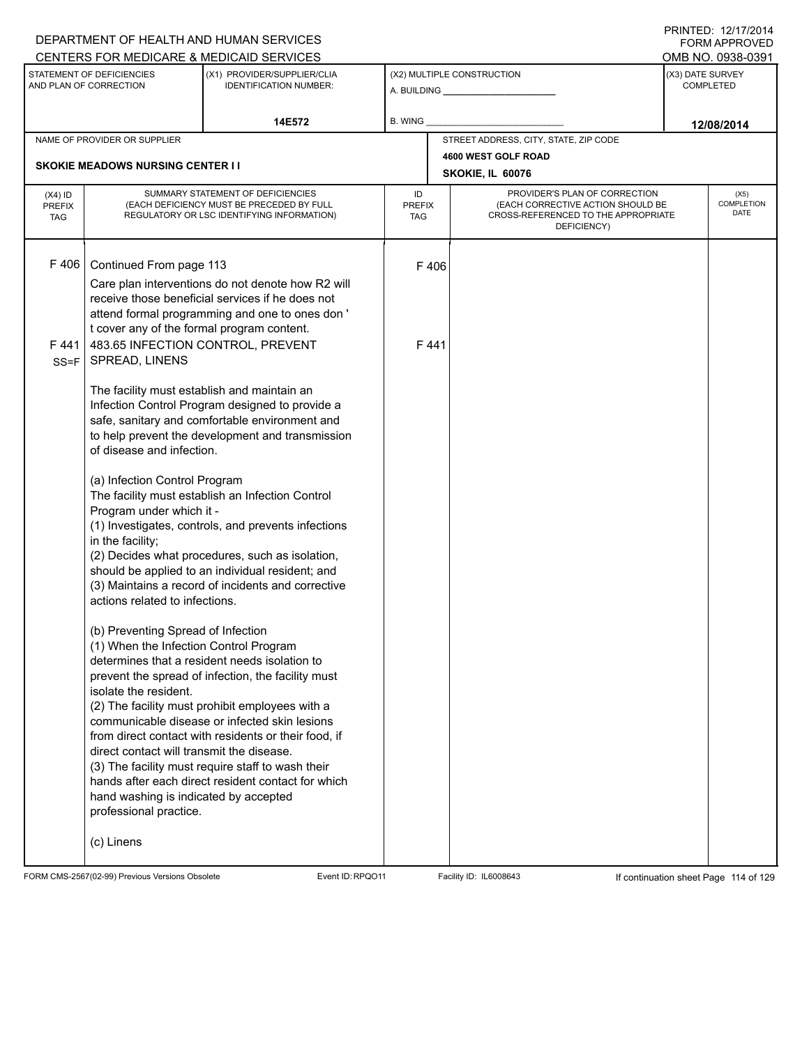|                                          |                                                     | DEPARTMENT OF HEALTH AND HUMAN SERVICES                                                                                      |                            |      |                                                                                                                          |                  | $1 \times 1 \times 1 = 1$ . $1 \times 1 \times 1 = 1$<br><b>FORM APPROVED</b> |
|------------------------------------------|-----------------------------------------------------|------------------------------------------------------------------------------------------------------------------------------|----------------------------|------|--------------------------------------------------------------------------------------------------------------------------|------------------|-------------------------------------------------------------------------------|
|                                          |                                                     | CENTERS FOR MEDICARE & MEDICAID SERVICES                                                                                     |                            |      |                                                                                                                          |                  | OMB NO. 0938-0391                                                             |
|                                          | STATEMENT OF DEFICIENCIES<br>AND PLAN OF CORRECTION | (X1) PROVIDER/SUPPLIER/CLIA<br><b>IDENTIFICATION NUMBER:</b>                                                                 |                            |      | (X2) MULTIPLE CONSTRUCTION                                                                                               | (X3) DATE SURVEY | <b>COMPLETED</b>                                                              |
|                                          |                                                     | 14E572                                                                                                                       | B. WING                    |      |                                                                                                                          |                  | 12/08/2014                                                                    |
|                                          | NAME OF PROVIDER OR SUPPLIER                        |                                                                                                                              |                            |      | STREET ADDRESS, CITY, STATE, ZIP CODE                                                                                    |                  |                                                                               |
|                                          | <b>SKOKIE MEADOWS NURSING CENTER II</b>             |                                                                                                                              |                            |      | 4600 WEST GOLF ROAD                                                                                                      |                  |                                                                               |
|                                          |                                                     |                                                                                                                              |                            |      | SKOKIE, IL 60076                                                                                                         |                  |                                                                               |
| $(X4)$ ID<br><b>PREFIX</b><br><b>TAG</b> |                                                     | SUMMARY STATEMENT OF DEFICIENCIES<br>(EACH DEFICIENCY MUST BE PRECEDED BY FULL<br>REGULATORY OR LSC IDENTIFYING INFORMATION) | ID<br><b>PREFIX</b><br>TAG |      | PROVIDER'S PLAN OF CORRECTION<br>(EACH CORRECTIVE ACTION SHOULD BE<br>CROSS-REFERENCED TO THE APPROPRIATE<br>DEFICIENCY) |                  | (X5)<br>COMPLETION<br><b>DATE</b>                                             |
| F406                                     | Continued From page 113                             |                                                                                                                              |                            | F406 |                                                                                                                          |                  |                                                                               |
|                                          |                                                     | Care plan interventions do not denote how R2 will                                                                            |                            |      |                                                                                                                          |                  |                                                                               |
|                                          |                                                     | receive those beneficial services if he does not                                                                             |                            |      |                                                                                                                          |                  |                                                                               |
|                                          |                                                     | attend formal programming and one to ones don'                                                                               |                            |      |                                                                                                                          |                  |                                                                               |
|                                          | t cover any of the formal program content.          | 483.65 INFECTION CONTROL, PREVENT                                                                                            |                            | F441 |                                                                                                                          |                  |                                                                               |
| F441<br>$SS = F$                         | SPREAD, LINENS                                      |                                                                                                                              |                            |      |                                                                                                                          |                  |                                                                               |
|                                          |                                                     |                                                                                                                              |                            |      |                                                                                                                          |                  |                                                                               |
|                                          | The facility must establish and maintain an         |                                                                                                                              |                            |      |                                                                                                                          |                  |                                                                               |
|                                          |                                                     | Infection Control Program designed to provide a                                                                              |                            |      |                                                                                                                          |                  |                                                                               |
|                                          |                                                     | safe, sanitary and comfortable environment and<br>to help prevent the development and transmission                           |                            |      |                                                                                                                          |                  |                                                                               |
|                                          | of disease and infection.                           |                                                                                                                              |                            |      |                                                                                                                          |                  |                                                                               |
|                                          |                                                     |                                                                                                                              |                            |      |                                                                                                                          |                  |                                                                               |
|                                          | (a) Infection Control Program                       | The facility must establish an Infection Control                                                                             |                            |      |                                                                                                                          |                  |                                                                               |
|                                          | Program under which it -                            |                                                                                                                              |                            |      |                                                                                                                          |                  |                                                                               |
|                                          |                                                     | (1) Investigates, controls, and prevents infections                                                                          |                            |      |                                                                                                                          |                  |                                                                               |
|                                          | in the facility;                                    |                                                                                                                              |                            |      |                                                                                                                          |                  |                                                                               |
|                                          |                                                     | (2) Decides what procedures, such as isolation,<br>should be applied to an individual resident; and                          |                            |      |                                                                                                                          |                  |                                                                               |
|                                          |                                                     | (3) Maintains a record of incidents and corrective                                                                           |                            |      |                                                                                                                          |                  |                                                                               |
|                                          | actions related to infections.                      |                                                                                                                              |                            |      |                                                                                                                          |                  |                                                                               |
|                                          | (b) Preventing Spread of Infection                  |                                                                                                                              |                            |      |                                                                                                                          |                  |                                                                               |
|                                          | (1) When the Infection Control Program              |                                                                                                                              |                            |      |                                                                                                                          |                  |                                                                               |
|                                          |                                                     | determines that a resident needs isolation to                                                                                |                            |      |                                                                                                                          |                  |                                                                               |
|                                          |                                                     | prevent the spread of infection, the facility must                                                                           |                            |      |                                                                                                                          |                  |                                                                               |
|                                          | isolate the resident.                               |                                                                                                                              |                            |      |                                                                                                                          |                  |                                                                               |
|                                          |                                                     | (2) The facility must prohibit employees with a<br>communicable disease or infected skin lesions                             |                            |      |                                                                                                                          |                  |                                                                               |
|                                          |                                                     | from direct contact with residents or their food, if                                                                         |                            |      |                                                                                                                          |                  |                                                                               |
|                                          | direct contact will transmit the disease.           |                                                                                                                              |                            |      |                                                                                                                          |                  |                                                                               |
|                                          |                                                     | (3) The facility must require staff to wash their                                                                            |                            |      |                                                                                                                          |                  |                                                                               |
|                                          | hand washing is indicated by accepted               | hands after each direct resident contact for which                                                                           |                            |      |                                                                                                                          |                  |                                                                               |
|                                          | professional practice.                              |                                                                                                                              |                            |      |                                                                                                                          |                  |                                                                               |
|                                          |                                                     |                                                                                                                              |                            |      |                                                                                                                          |                  |                                                                               |
|                                          | (c) Linens                                          |                                                                                                                              |                            |      |                                                                                                                          |                  |                                                                               |
|                                          |                                                     |                                                                                                                              |                            |      |                                                                                                                          |                  |                                                                               |

FORM CMS-2567(02-99) Previous Versions Obsolete Event ID:RPQO11 Facility ID: IL6008643 If continuation sheet Page 114 of 129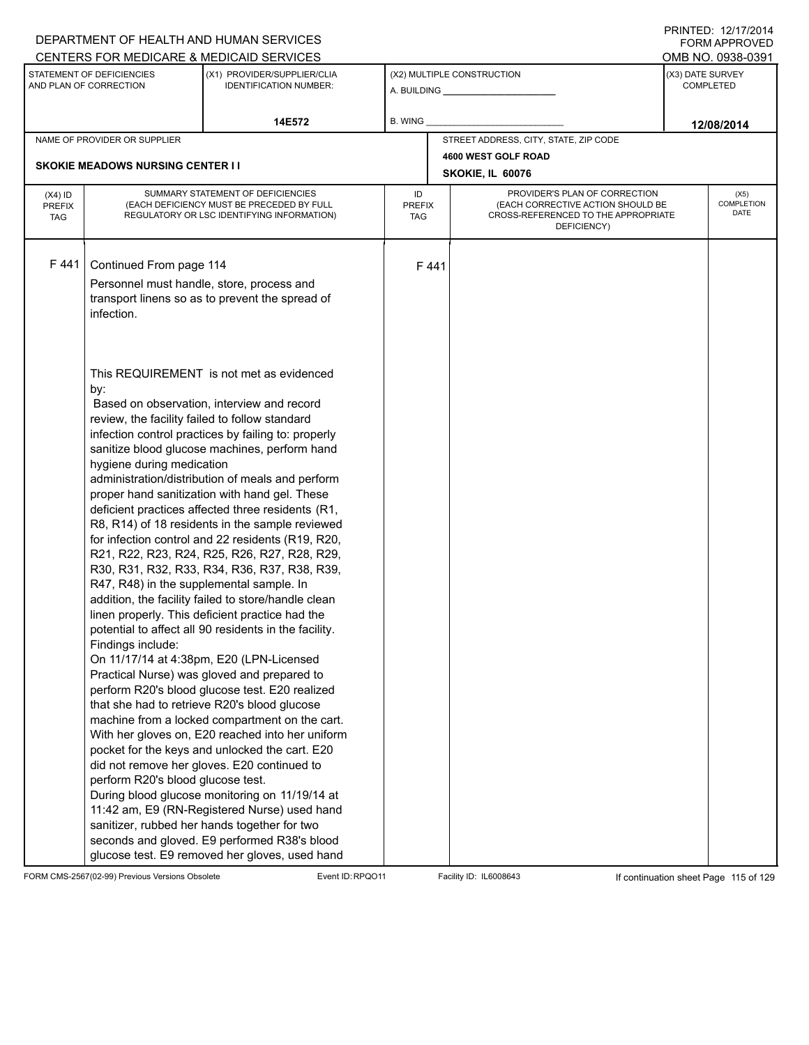|                                          |                                                                                                                                                                                          | DEPARTMENT OF HEALTH AND HUMAN SERVICES                                                                                                                                                                                                                                                                                                                                                                                                                                                                                                                                                                                                                                                                                                                                                                                                                                                                                                                                                                                                                                                                                                                                                                                                                                                                                                                                                     |                                   |                                                              |                                                                                                                          | <b>FORM APPROVED</b>                 |
|------------------------------------------|------------------------------------------------------------------------------------------------------------------------------------------------------------------------------------------|---------------------------------------------------------------------------------------------------------------------------------------------------------------------------------------------------------------------------------------------------------------------------------------------------------------------------------------------------------------------------------------------------------------------------------------------------------------------------------------------------------------------------------------------------------------------------------------------------------------------------------------------------------------------------------------------------------------------------------------------------------------------------------------------------------------------------------------------------------------------------------------------------------------------------------------------------------------------------------------------------------------------------------------------------------------------------------------------------------------------------------------------------------------------------------------------------------------------------------------------------------------------------------------------------------------------------------------------------------------------------------------------|-----------------------------------|--------------------------------------------------------------|--------------------------------------------------------------------------------------------------------------------------|--------------------------------------|
|                                          |                                                                                                                                                                                          | CENTERS FOR MEDICARE & MEDICAID SERVICES                                                                                                                                                                                                                                                                                                                                                                                                                                                                                                                                                                                                                                                                                                                                                                                                                                                                                                                                                                                                                                                                                                                                                                                                                                                                                                                                                    |                                   |                                                              |                                                                                                                          | OMB NO. 0938-0391                    |
|                                          | STATEMENT OF DEFICIENCIES<br>AND PLAN OF CORRECTION                                                                                                                                      | (X1) PROVIDER/SUPPLIER/CLIA<br><b>IDENTIFICATION NUMBER:</b>                                                                                                                                                                                                                                                                                                                                                                                                                                                                                                                                                                                                                                                                                                                                                                                                                                                                                                                                                                                                                                                                                                                                                                                                                                                                                                                                |                                   | (X2) MULTIPLE CONSTRUCTION<br>A. BUILDING <b>A.</b> BUILDING |                                                                                                                          | (X3) DATE SURVEY<br><b>COMPLETED</b> |
|                                          |                                                                                                                                                                                          | 14E572                                                                                                                                                                                                                                                                                                                                                                                                                                                                                                                                                                                                                                                                                                                                                                                                                                                                                                                                                                                                                                                                                                                                                                                                                                                                                                                                                                                      | B. WING                           |                                                              |                                                                                                                          | 12/08/2014                           |
|                                          | NAME OF PROVIDER OR SUPPLIER                                                                                                                                                             |                                                                                                                                                                                                                                                                                                                                                                                                                                                                                                                                                                                                                                                                                                                                                                                                                                                                                                                                                                                                                                                                                                                                                                                                                                                                                                                                                                                             |                                   | STREET ADDRESS, CITY, STATE, ZIP CODE                        |                                                                                                                          |                                      |
|                                          |                                                                                                                                                                                          |                                                                                                                                                                                                                                                                                                                                                                                                                                                                                                                                                                                                                                                                                                                                                                                                                                                                                                                                                                                                                                                                                                                                                                                                                                                                                                                                                                                             |                                   | 4600 WEST GOLF ROAD                                          |                                                                                                                          |                                      |
|                                          | <b>SKOKIE MEADOWS NURSING CENTER II</b>                                                                                                                                                  |                                                                                                                                                                                                                                                                                                                                                                                                                                                                                                                                                                                                                                                                                                                                                                                                                                                                                                                                                                                                                                                                                                                                                                                                                                                                                                                                                                                             |                                   | SKOKIE, IL 60076                                             |                                                                                                                          |                                      |
| $(X4)$ ID<br><b>PREFIX</b><br><b>TAG</b> |                                                                                                                                                                                          | SUMMARY STATEMENT OF DEFICIENCIES<br>(EACH DEFICIENCY MUST BE PRECEDED BY FULL<br>REGULATORY OR LSC IDENTIFYING INFORMATION)                                                                                                                                                                                                                                                                                                                                                                                                                                                                                                                                                                                                                                                                                                                                                                                                                                                                                                                                                                                                                                                                                                                                                                                                                                                                | ID<br><b>PREFIX</b><br><b>TAG</b> |                                                              | PROVIDER'S PLAN OF CORRECTION<br>(EACH CORRECTIVE ACTION SHOULD BE<br>CROSS-REFERENCED TO THE APPROPRIATE<br>DEFICIENCY) | (X5)<br>COMPLETION<br>DATE           |
| F441                                     | Continued From page 114<br>infection.                                                                                                                                                    | Personnel must handle, store, process and<br>transport linens so as to prevent the spread of                                                                                                                                                                                                                                                                                                                                                                                                                                                                                                                                                                                                                                                                                                                                                                                                                                                                                                                                                                                                                                                                                                                                                                                                                                                                                                | F441                              |                                                              |                                                                                                                          |                                      |
|                                          | by:<br>review, the facility failed to follow standard<br>hygiene during medication<br>R47, R48) in the supplemental sample. In<br>Findings include:<br>perform R20's blood glucose test. | This REQUIREMENT is not met as evidenced<br>Based on observation, interview and record<br>infection control practices by failing to: properly<br>sanitize blood glucose machines, perform hand<br>administration/distribution of meals and perform<br>proper hand sanitization with hand gel. These<br>deficient practices affected three residents (R1,<br>R8, R14) of 18 residents in the sample reviewed<br>for infection control and 22 residents (R19, R20,<br>R21, R22, R23, R24, R25, R26, R27, R28, R29,<br>R30, R31, R32, R33, R34, R36, R37, R38, R39,<br>addition, the facility failed to store/handle clean<br>linen properly. This deficient practice had the<br>potential to affect all 90 residents in the facility.<br>On 11/17/14 at 4:38pm, E20 (LPN-Licensed<br>Practical Nurse) was gloved and prepared to<br>perform R20's blood glucose test. E20 realized<br>that she had to retrieve R20's blood glucose<br>machine from a locked compartment on the cart.<br>With her gloves on, E20 reached into her uniform<br>pocket for the keys and unlocked the cart. E20<br>did not remove her gloves. E20 continued to<br>During blood glucose monitoring on 11/19/14 at<br>11:42 am, E9 (RN-Registered Nurse) used hand<br>sanitizer, rubbed her hands together for two<br>seconds and gloved. E9 performed R38's blood<br>glucose test. E9 removed her gloves, used hand |                                   |                                                              |                                                                                                                          |                                      |

FORM CMS-2567(02-99) Previous Versions Obsolete Event ID:RPQO11 Facility ID: IL6008643 If continuation sheet Page 115 of 129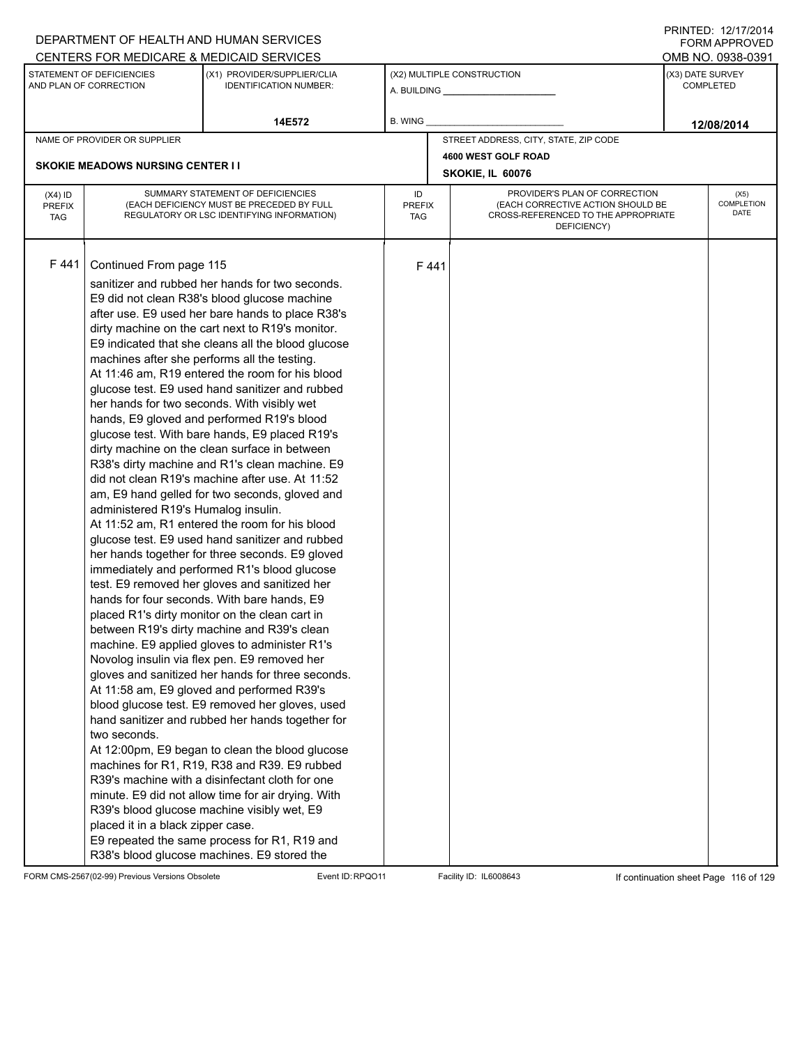|                                          |                                                                                                                                                                     | DEPARTMENT OF HEALTH AND HUMAN SERVICES                                                                                                                                                                                                                                                                                                                                                                                                                                                                                                                                                                                                                                                                                                                                                                                                                                                                                                                                                                                                                                                                                                                                                                                                                                                                                                                                                                                                                                                                                                                                                                                                                                                                                                                                                                  |                                   |      |                                                                                                                          |                  | $1 \times 1 \times 1 = 1$ . $1 \times 1 \times 1 \times 1 = 1$<br>FORM APPROVED |
|------------------------------------------|---------------------------------------------------------------------------------------------------------------------------------------------------------------------|----------------------------------------------------------------------------------------------------------------------------------------------------------------------------------------------------------------------------------------------------------------------------------------------------------------------------------------------------------------------------------------------------------------------------------------------------------------------------------------------------------------------------------------------------------------------------------------------------------------------------------------------------------------------------------------------------------------------------------------------------------------------------------------------------------------------------------------------------------------------------------------------------------------------------------------------------------------------------------------------------------------------------------------------------------------------------------------------------------------------------------------------------------------------------------------------------------------------------------------------------------------------------------------------------------------------------------------------------------------------------------------------------------------------------------------------------------------------------------------------------------------------------------------------------------------------------------------------------------------------------------------------------------------------------------------------------------------------------------------------------------------------------------------------------------|-----------------------------------|------|--------------------------------------------------------------------------------------------------------------------------|------------------|---------------------------------------------------------------------------------|
|                                          |                                                                                                                                                                     | CENTERS FOR MEDICARE & MEDICAID SERVICES                                                                                                                                                                                                                                                                                                                                                                                                                                                                                                                                                                                                                                                                                                                                                                                                                                                                                                                                                                                                                                                                                                                                                                                                                                                                                                                                                                                                                                                                                                                                                                                                                                                                                                                                                                 |                                   |      |                                                                                                                          |                  | OMB NO. 0938-0391                                                               |
|                                          | STATEMENT OF DEFICIENCIES<br>AND PLAN OF CORRECTION                                                                                                                 | (X1) PROVIDER/SUPPLIER/CLIA<br><b>IDENTIFICATION NUMBER:</b>                                                                                                                                                                                                                                                                                                                                                                                                                                                                                                                                                                                                                                                                                                                                                                                                                                                                                                                                                                                                                                                                                                                                                                                                                                                                                                                                                                                                                                                                                                                                                                                                                                                                                                                                             |                                   |      | (X2) MULTIPLE CONSTRUCTION<br>A. BUILDING <b>A.</b> BUILDING                                                             | (X3) DATE SURVEY | <b>COMPLETED</b>                                                                |
|                                          |                                                                                                                                                                     | 14E572                                                                                                                                                                                                                                                                                                                                                                                                                                                                                                                                                                                                                                                                                                                                                                                                                                                                                                                                                                                                                                                                                                                                                                                                                                                                                                                                                                                                                                                                                                                                                                                                                                                                                                                                                                                                   | B. WING                           |      |                                                                                                                          |                  | 12/08/2014                                                                      |
|                                          | NAME OF PROVIDER OR SUPPLIER                                                                                                                                        |                                                                                                                                                                                                                                                                                                                                                                                                                                                                                                                                                                                                                                                                                                                                                                                                                                                                                                                                                                                                                                                                                                                                                                                                                                                                                                                                                                                                                                                                                                                                                                                                                                                                                                                                                                                                          |                                   |      | STREET ADDRESS, CITY, STATE, ZIP CODE                                                                                    |                  |                                                                                 |
|                                          |                                                                                                                                                                     |                                                                                                                                                                                                                                                                                                                                                                                                                                                                                                                                                                                                                                                                                                                                                                                                                                                                                                                                                                                                                                                                                                                                                                                                                                                                                                                                                                                                                                                                                                                                                                                                                                                                                                                                                                                                          |                                   |      | 4600 WEST GOLF ROAD                                                                                                      |                  |                                                                                 |
|                                          | <b>SKOKIE MEADOWS NURSING CENTER I I</b>                                                                                                                            |                                                                                                                                                                                                                                                                                                                                                                                                                                                                                                                                                                                                                                                                                                                                                                                                                                                                                                                                                                                                                                                                                                                                                                                                                                                                                                                                                                                                                                                                                                                                                                                                                                                                                                                                                                                                          |                                   |      | SKOKIE, IL 60076                                                                                                         |                  |                                                                                 |
| $(X4)$ ID<br><b>PREFIX</b><br><b>TAG</b> |                                                                                                                                                                     | SUMMARY STATEMENT OF DEFICIENCIES<br>(EACH DEFICIENCY MUST BE PRECEDED BY FULL<br>REGULATORY OR LSC IDENTIFYING INFORMATION)                                                                                                                                                                                                                                                                                                                                                                                                                                                                                                                                                                                                                                                                                                                                                                                                                                                                                                                                                                                                                                                                                                                                                                                                                                                                                                                                                                                                                                                                                                                                                                                                                                                                             | ID<br><b>PREFIX</b><br><b>TAG</b> |      | PROVIDER'S PLAN OF CORRECTION<br>(EACH CORRECTIVE ACTION SHOULD BE<br>CROSS-REFERENCED TO THE APPROPRIATE<br>DEFICIENCY) |                  | (X5)<br>COMPLETION<br>DATE                                                      |
| F441                                     | Continued From page 115<br>machines after she performs all the testing.<br>administered R19's Humalog insulin.<br>two seconds.<br>placed it in a black zipper case. | sanitizer and rubbed her hands for two seconds.<br>E9 did not clean R38's blood glucose machine<br>after use. E9 used her bare hands to place R38's<br>dirty machine on the cart next to R19's monitor.<br>E9 indicated that she cleans all the blood glucose<br>At 11:46 am, R19 entered the room for his blood<br>glucose test. E9 used hand sanitizer and rubbed<br>her hands for two seconds. With visibly wet<br>hands, E9 gloved and performed R19's blood<br>glucose test. With bare hands, E9 placed R19's<br>dirty machine on the clean surface in between<br>R38's dirty machine and R1's clean machine. E9<br>did not clean R19's machine after use. At 11:52<br>am, E9 hand gelled for two seconds, gloved and<br>At 11:52 am, R1 entered the room for his blood<br>glucose test. E9 used hand sanitizer and rubbed<br>her hands together for three seconds. E9 gloved<br>immediately and performed R1's blood glucose<br>test. E9 removed her gloves and sanitized her<br>hands for four seconds. With bare hands, E9<br>placed R1's dirty monitor on the clean cart in<br>between R19's dirty machine and R39's clean<br>machine. E9 applied gloves to administer R1's<br>Novolog insulin via flex pen. E9 removed her<br>gloves and sanitized her hands for three seconds.<br>At 11:58 am, E9 gloved and performed R39's<br>blood glucose test. E9 removed her gloves, used<br>hand sanitizer and rubbed her hands together for<br>At 12:00pm, E9 began to clean the blood glucose<br>machines for R1, R19, R38 and R39. E9 rubbed<br>R39's machine with a disinfectant cloth for one<br>minute. E9 did not allow time for air drying. With<br>R39's blood glucose machine visibly wet, E9<br>E9 repeated the same process for R1, R19 and<br>R38's blood glucose machines. E9 stored the |                                   | F441 |                                                                                                                          |                  |                                                                                 |

FORM CMS-2567(02-99) Previous Versions Obsolete Event ID:RPQO11 Facility ID: IL6008643 If continuation sheet Page 116 of 129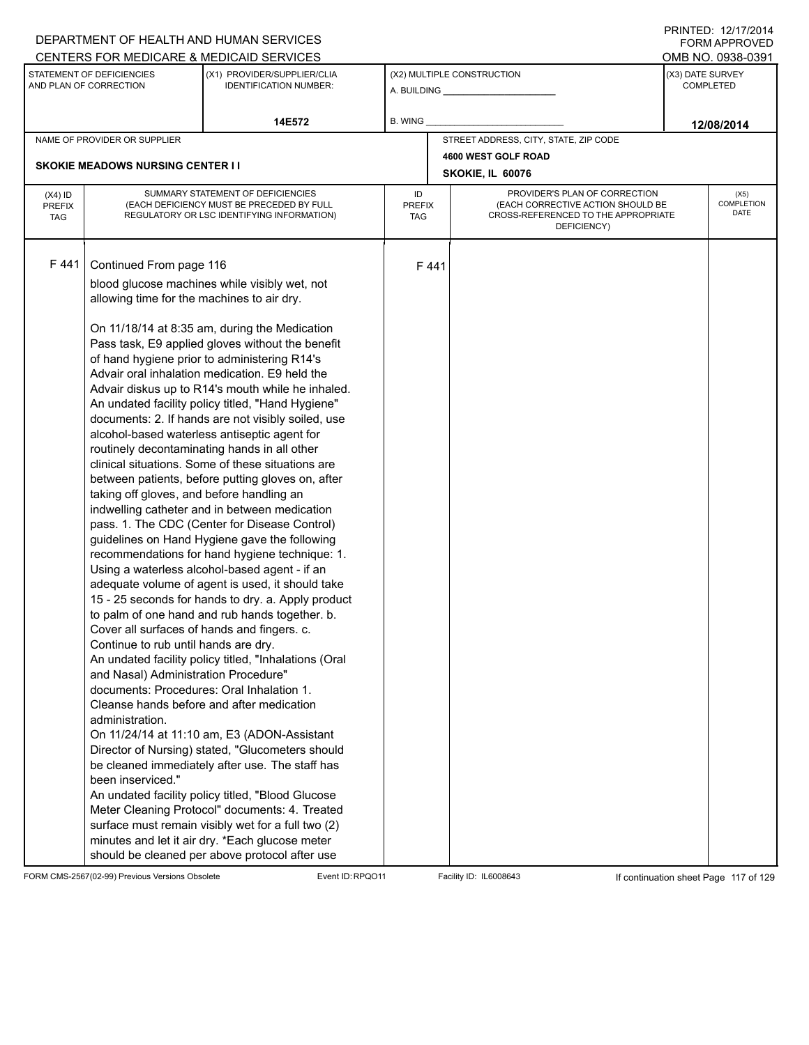|                                          |                                                                                                                                                                                                                                                                                                                                        | DEPARTMENT OF HEALTH AND HUMAN SERVICES                                                                                                                                                                                                                                                                                                                                                                                                                                                                                                                                                                                                                                                                                                                                                                                                                                                                                                                                                                                                                                                                                                                                                                                                                                                                                                                                                                                                                                                                                                                                        |                                   |      |                                                                                                                          | FORM APPROVED                        |
|------------------------------------------|----------------------------------------------------------------------------------------------------------------------------------------------------------------------------------------------------------------------------------------------------------------------------------------------------------------------------------------|--------------------------------------------------------------------------------------------------------------------------------------------------------------------------------------------------------------------------------------------------------------------------------------------------------------------------------------------------------------------------------------------------------------------------------------------------------------------------------------------------------------------------------------------------------------------------------------------------------------------------------------------------------------------------------------------------------------------------------------------------------------------------------------------------------------------------------------------------------------------------------------------------------------------------------------------------------------------------------------------------------------------------------------------------------------------------------------------------------------------------------------------------------------------------------------------------------------------------------------------------------------------------------------------------------------------------------------------------------------------------------------------------------------------------------------------------------------------------------------------------------------------------------------------------------------------------------|-----------------------------------|------|--------------------------------------------------------------------------------------------------------------------------|--------------------------------------|
|                                          |                                                                                                                                                                                                                                                                                                                                        | CENTERS FOR MEDICARE & MEDICAID SERVICES                                                                                                                                                                                                                                                                                                                                                                                                                                                                                                                                                                                                                                                                                                                                                                                                                                                                                                                                                                                                                                                                                                                                                                                                                                                                                                                                                                                                                                                                                                                                       |                                   |      |                                                                                                                          | OMB NO. 0938-0391                    |
|                                          | STATEMENT OF DEFICIENCIES<br>AND PLAN OF CORRECTION                                                                                                                                                                                                                                                                                    | (X1) PROVIDER/SUPPLIER/CLIA<br><b>IDENTIFICATION NUMBER:</b>                                                                                                                                                                                                                                                                                                                                                                                                                                                                                                                                                                                                                                                                                                                                                                                                                                                                                                                                                                                                                                                                                                                                                                                                                                                                                                                                                                                                                                                                                                                   |                                   |      | (X2) MULTIPLE CONSTRUCTION                                                                                               | (X3) DATE SURVEY<br><b>COMPLETED</b> |
|                                          |                                                                                                                                                                                                                                                                                                                                        | 14E572                                                                                                                                                                                                                                                                                                                                                                                                                                                                                                                                                                                                                                                                                                                                                                                                                                                                                                                                                                                                                                                                                                                                                                                                                                                                                                                                                                                                                                                                                                                                                                         | B. WING                           |      |                                                                                                                          | 12/08/2014                           |
|                                          | NAME OF PROVIDER OR SUPPLIER                                                                                                                                                                                                                                                                                                           |                                                                                                                                                                                                                                                                                                                                                                                                                                                                                                                                                                                                                                                                                                                                                                                                                                                                                                                                                                                                                                                                                                                                                                                                                                                                                                                                                                                                                                                                                                                                                                                |                                   |      | STREET ADDRESS, CITY, STATE, ZIP CODE                                                                                    |                                      |
|                                          |                                                                                                                                                                                                                                                                                                                                        |                                                                                                                                                                                                                                                                                                                                                                                                                                                                                                                                                                                                                                                                                                                                                                                                                                                                                                                                                                                                                                                                                                                                                                                                                                                                                                                                                                                                                                                                                                                                                                                |                                   |      | 4600 WEST GOLF ROAD                                                                                                      |                                      |
|                                          | <b>SKOKIE MEADOWS NURSING CENTER I I</b>                                                                                                                                                                                                                                                                                               |                                                                                                                                                                                                                                                                                                                                                                                                                                                                                                                                                                                                                                                                                                                                                                                                                                                                                                                                                                                                                                                                                                                                                                                                                                                                                                                                                                                                                                                                                                                                                                                |                                   |      | SKOKIE, IL 60076                                                                                                         |                                      |
| $(X4)$ ID<br><b>PREFIX</b><br><b>TAG</b> |                                                                                                                                                                                                                                                                                                                                        | SUMMARY STATEMENT OF DEFICIENCIES<br>(EACH DEFICIENCY MUST BE PRECEDED BY FULL<br>REGULATORY OR LSC IDENTIFYING INFORMATION)                                                                                                                                                                                                                                                                                                                                                                                                                                                                                                                                                                                                                                                                                                                                                                                                                                                                                                                                                                                                                                                                                                                                                                                                                                                                                                                                                                                                                                                   | ID<br><b>PREFIX</b><br><b>TAG</b> |      | PROVIDER'S PLAN OF CORRECTION<br>(EACH CORRECTIVE ACTION SHOULD BE<br>CROSS-REFERENCED TO THE APPROPRIATE<br>DEFICIENCY) | (X5)<br>COMPLETION<br>DATE           |
| F 441                                    | Continued From page 116<br>allowing time for the machines to air dry.<br>taking off gloves, and before handling an<br>Cover all surfaces of hands and fingers. c.<br>Continue to rub until hands are dry.<br>and Nasal) Administration Procedure"<br>documents: Procedures: Oral Inhalation 1.<br>administration.<br>been inserviced." | blood glucose machines while visibly wet, not<br>On 11/18/14 at 8:35 am, during the Medication<br>Pass task, E9 applied gloves without the benefit<br>of hand hygiene prior to administering R14's<br>Advair oral inhalation medication. E9 held the<br>Advair diskus up to R14's mouth while he inhaled.<br>An undated facility policy titled, "Hand Hygiene"<br>documents: 2. If hands are not visibly soiled, use<br>alcohol-based waterless antiseptic agent for<br>routinely decontaminating hands in all other<br>clinical situations. Some of these situations are<br>between patients, before putting gloves on, after<br>indwelling catheter and in between medication<br>pass. 1. The CDC (Center for Disease Control)<br>guidelines on Hand Hygiene gave the following<br>recommendations for hand hygiene technique: 1.<br>Using a waterless alcohol-based agent - if an<br>adequate volume of agent is used, it should take<br>15 - 25 seconds for hands to dry. a. Apply product<br>to palm of one hand and rub hands together. b.<br>An undated facility policy titled, "Inhalations (Oral<br>Cleanse hands before and after medication<br>On 11/24/14 at 11:10 am, E3 (ADON-Assistant<br>Director of Nursing) stated, "Glucometers should<br>be cleaned immediately after use. The staff has<br>An undated facility policy titled, "Blood Glucose<br>Meter Cleaning Protocol" documents: 4. Treated<br>surface must remain visibly wet for a full two (2)<br>minutes and let it air dry. *Each glucose meter<br>should be cleaned per above protocol after use |                                   | F441 |                                                                                                                          |                                      |

FORM CMS-2567(02-99) Previous Versions Obsolete Event ID:RPQO11 Facility ID: IL6008643 If continuation sheet Page 117 of 129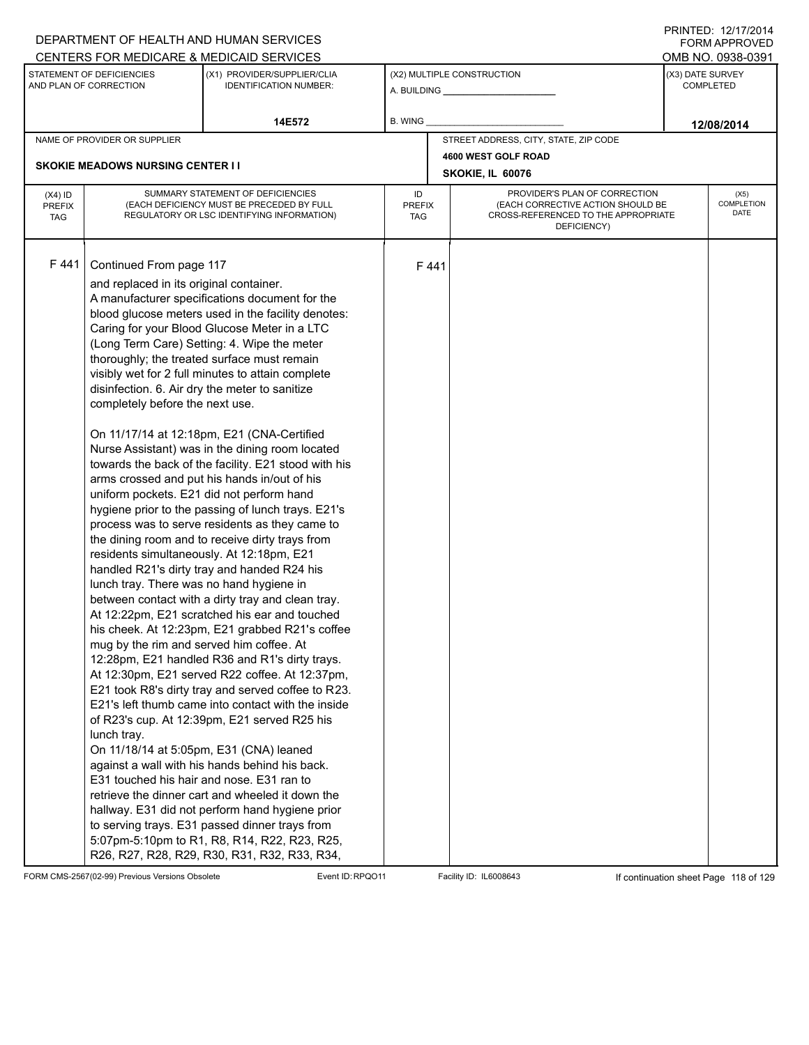|                                          |                                                                                                                                                                                                                                                                                                                                                                                                                                                  | DEPARTMENT OF HEALTH AND HUMAN SERVICES                                                                                                                                                                                                                                                                                                                                                                                                                                                                                                                                                                                                                                                                                                                                                                                                                                                                                                                                                                                                                                                                                                                                                                                                                                                                                                                                                                                                                        |                                   |      |                                                                                                                          | FORM APPROVED                        |
|------------------------------------------|--------------------------------------------------------------------------------------------------------------------------------------------------------------------------------------------------------------------------------------------------------------------------------------------------------------------------------------------------------------------------------------------------------------------------------------------------|----------------------------------------------------------------------------------------------------------------------------------------------------------------------------------------------------------------------------------------------------------------------------------------------------------------------------------------------------------------------------------------------------------------------------------------------------------------------------------------------------------------------------------------------------------------------------------------------------------------------------------------------------------------------------------------------------------------------------------------------------------------------------------------------------------------------------------------------------------------------------------------------------------------------------------------------------------------------------------------------------------------------------------------------------------------------------------------------------------------------------------------------------------------------------------------------------------------------------------------------------------------------------------------------------------------------------------------------------------------------------------------------------------------------------------------------------------------|-----------------------------------|------|--------------------------------------------------------------------------------------------------------------------------|--------------------------------------|
|                                          |                                                                                                                                                                                                                                                                                                                                                                                                                                                  | CENTERS FOR MEDICARE & MEDICAID SERVICES                                                                                                                                                                                                                                                                                                                                                                                                                                                                                                                                                                                                                                                                                                                                                                                                                                                                                                                                                                                                                                                                                                                                                                                                                                                                                                                                                                                                                       |                                   |      |                                                                                                                          | OMB NO. 0938-0391                    |
|                                          | STATEMENT OF DEFICIENCIES<br>AND PLAN OF CORRECTION                                                                                                                                                                                                                                                                                                                                                                                              | (X1) PROVIDER/SUPPLIER/CLIA<br><b>IDENTIFICATION NUMBER:</b>                                                                                                                                                                                                                                                                                                                                                                                                                                                                                                                                                                                                                                                                                                                                                                                                                                                                                                                                                                                                                                                                                                                                                                                                                                                                                                                                                                                                   |                                   |      | (X2) MULTIPLE CONSTRUCTION                                                                                               | (X3) DATE SURVEY<br><b>COMPLETED</b> |
|                                          |                                                                                                                                                                                                                                                                                                                                                                                                                                                  | 14E572                                                                                                                                                                                                                                                                                                                                                                                                                                                                                                                                                                                                                                                                                                                                                                                                                                                                                                                                                                                                                                                                                                                                                                                                                                                                                                                                                                                                                                                         | B. WING                           |      |                                                                                                                          | 12/08/2014                           |
|                                          | NAME OF PROVIDER OR SUPPLIER                                                                                                                                                                                                                                                                                                                                                                                                                     |                                                                                                                                                                                                                                                                                                                                                                                                                                                                                                                                                                                                                                                                                                                                                                                                                                                                                                                                                                                                                                                                                                                                                                                                                                                                                                                                                                                                                                                                |                                   |      | STREET ADDRESS, CITY, STATE, ZIP CODE                                                                                    |                                      |
|                                          |                                                                                                                                                                                                                                                                                                                                                                                                                                                  |                                                                                                                                                                                                                                                                                                                                                                                                                                                                                                                                                                                                                                                                                                                                                                                                                                                                                                                                                                                                                                                                                                                                                                                                                                                                                                                                                                                                                                                                |                                   |      | 4600 WEST GOLF ROAD                                                                                                      |                                      |
|                                          | <b>SKOKIE MEADOWS NURSING CENTER I I</b>                                                                                                                                                                                                                                                                                                                                                                                                         |                                                                                                                                                                                                                                                                                                                                                                                                                                                                                                                                                                                                                                                                                                                                                                                                                                                                                                                                                                                                                                                                                                                                                                                                                                                                                                                                                                                                                                                                |                                   |      | SKOKIE, IL 60076                                                                                                         |                                      |
| $(X4)$ ID<br><b>PREFIX</b><br><b>TAG</b> |                                                                                                                                                                                                                                                                                                                                                                                                                                                  | SUMMARY STATEMENT OF DEFICIENCIES<br>(EACH DEFICIENCY MUST BE PRECEDED BY FULL<br>REGULATORY OR LSC IDENTIFYING INFORMATION)                                                                                                                                                                                                                                                                                                                                                                                                                                                                                                                                                                                                                                                                                                                                                                                                                                                                                                                                                                                                                                                                                                                                                                                                                                                                                                                                   | ID<br><b>PREFIX</b><br><b>TAG</b> |      | PROVIDER'S PLAN OF CORRECTION<br>(EACH CORRECTIVE ACTION SHOULD BE<br>CROSS-REFERENCED TO THE APPROPRIATE<br>DEFICIENCY) | (X5)<br>COMPLETION<br>DATE           |
| F441                                     | Continued From page 117<br>and replaced in its original container.<br>disinfection. 6. Air dry the meter to sanitize<br>completely before the next use.<br>uniform pockets. E21 did not perform hand<br>residents simultaneously. At 12:18pm, E21<br>lunch tray. There was no hand hygiene in<br>mug by the rim and served him coffee. At<br>lunch tray.<br>On 11/18/14 at 5:05pm, E31 (CNA) leaned<br>E31 touched his hair and nose. E31 ran to | A manufacturer specifications document for the<br>blood glucose meters used in the facility denotes:<br>Caring for your Blood Glucose Meter in a LTC<br>(Long Term Care) Setting: 4. Wipe the meter<br>thoroughly; the treated surface must remain<br>visibly wet for 2 full minutes to attain complete<br>On 11/17/14 at 12:18pm, E21 (CNA-Certified<br>Nurse Assistant) was in the dining room located<br>towards the back of the facility. E21 stood with his<br>arms crossed and put his hands in/out of his<br>hygiene prior to the passing of lunch trays. E21's<br>process was to serve residents as they came to<br>the dining room and to receive dirty trays from<br>handled R21's dirty tray and handed R24 his<br>between contact with a dirty tray and clean tray.<br>At 12:22pm, E21 scratched his ear and touched<br>his cheek. At 12:23pm, E21 grabbed R21's coffee<br>12:28pm, E21 handled R36 and R1's dirty trays.<br>At 12:30pm, E21 served R22 coffee. At 12:37pm,<br>E21 took R8's dirty tray and served coffee to R23.<br>E21's left thumb came into contact with the inside<br>of R23's cup. At 12:39pm, E21 served R25 his<br>against a wall with his hands behind his back.<br>retrieve the dinner cart and wheeled it down the<br>hallway. E31 did not perform hand hygiene prior<br>to serving trays. E31 passed dinner trays from<br>5:07pm-5:10pm to R1, R8, R14, R22, R23, R25,<br>R26, R27, R28, R29, R30, R31, R32, R33, R34, |                                   | F441 |                                                                                                                          |                                      |

FORM CMS-2567(02-99) Previous Versions Obsolete Event ID:RPQO11 Facility ID: IL6008643 If continuation sheet Page 118 of 129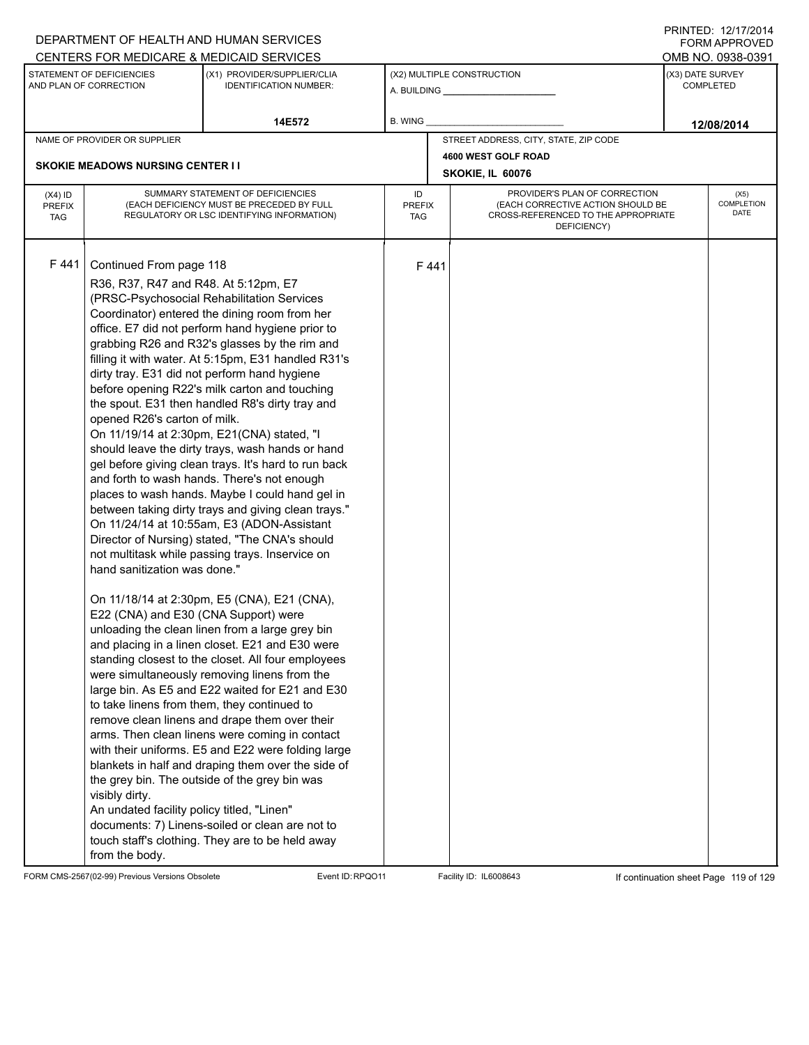|                                          |                                                                                                                                                                                                                                                                                                          | DEPARTMENT OF HEALTH AND HUMAN SERVICES                                                                                                                                                                                                                                                                                                                                                                                                                                                                                                                                                                                                                                                                                                                                                                                                                                                                                                                                                                                                                                                                                                                                                                                                                                                                                                                                                                                                                                                                                                                                |                                   |      |                                                                                                                          |                  | FORM APPROVED              |
|------------------------------------------|----------------------------------------------------------------------------------------------------------------------------------------------------------------------------------------------------------------------------------------------------------------------------------------------------------|------------------------------------------------------------------------------------------------------------------------------------------------------------------------------------------------------------------------------------------------------------------------------------------------------------------------------------------------------------------------------------------------------------------------------------------------------------------------------------------------------------------------------------------------------------------------------------------------------------------------------------------------------------------------------------------------------------------------------------------------------------------------------------------------------------------------------------------------------------------------------------------------------------------------------------------------------------------------------------------------------------------------------------------------------------------------------------------------------------------------------------------------------------------------------------------------------------------------------------------------------------------------------------------------------------------------------------------------------------------------------------------------------------------------------------------------------------------------------------------------------------------------------------------------------------------------|-----------------------------------|------|--------------------------------------------------------------------------------------------------------------------------|------------------|----------------------------|
|                                          | STATEMENT OF DEFICIENCIES                                                                                                                                                                                                                                                                                | CENTERS FOR MEDICARE & MEDICAID SERVICES<br>(X1) PROVIDER/SUPPLIER/CLIA                                                                                                                                                                                                                                                                                                                                                                                                                                                                                                                                                                                                                                                                                                                                                                                                                                                                                                                                                                                                                                                                                                                                                                                                                                                                                                                                                                                                                                                                                                |                                   |      | (X2) MULTIPLE CONSTRUCTION                                                                                               | (X3) DATE SURVEY | OMB NO. 0938-0391          |
|                                          | AND PLAN OF CORRECTION                                                                                                                                                                                                                                                                                   | <b>IDENTIFICATION NUMBER:</b>                                                                                                                                                                                                                                                                                                                                                                                                                                                                                                                                                                                                                                                                                                                                                                                                                                                                                                                                                                                                                                                                                                                                                                                                                                                                                                                                                                                                                                                                                                                                          |                                   |      | A. BUILDING <b>A.</b> BUILDING                                                                                           |                  | <b>COMPLETED</b>           |
|                                          |                                                                                                                                                                                                                                                                                                          | 14E572                                                                                                                                                                                                                                                                                                                                                                                                                                                                                                                                                                                                                                                                                                                                                                                                                                                                                                                                                                                                                                                                                                                                                                                                                                                                                                                                                                                                                                                                                                                                                                 | B. WING                           |      |                                                                                                                          |                  | 12/08/2014                 |
|                                          | NAME OF PROVIDER OR SUPPLIER                                                                                                                                                                                                                                                                             |                                                                                                                                                                                                                                                                                                                                                                                                                                                                                                                                                                                                                                                                                                                                                                                                                                                                                                                                                                                                                                                                                                                                                                                                                                                                                                                                                                                                                                                                                                                                                                        |                                   |      | STREET ADDRESS, CITY, STATE, ZIP CODE                                                                                    |                  |                            |
|                                          |                                                                                                                                                                                                                                                                                                          |                                                                                                                                                                                                                                                                                                                                                                                                                                                                                                                                                                                                                                                                                                                                                                                                                                                                                                                                                                                                                                                                                                                                                                                                                                                                                                                                                                                                                                                                                                                                                                        |                                   |      | 4600 WEST GOLF ROAD                                                                                                      |                  |                            |
|                                          | <b>SKOKIE MEADOWS NURSING CENTER I I</b>                                                                                                                                                                                                                                                                 |                                                                                                                                                                                                                                                                                                                                                                                                                                                                                                                                                                                                                                                                                                                                                                                                                                                                                                                                                                                                                                                                                                                                                                                                                                                                                                                                                                                                                                                                                                                                                                        |                                   |      | SKOKIE, IL 60076                                                                                                         |                  |                            |
| $(X4)$ ID<br><b>PREFIX</b><br><b>TAG</b> |                                                                                                                                                                                                                                                                                                          | SUMMARY STATEMENT OF DEFICIENCIES<br>(EACH DEFICIENCY MUST BE PRECEDED BY FULL<br>REGULATORY OR LSC IDENTIFYING INFORMATION)                                                                                                                                                                                                                                                                                                                                                                                                                                                                                                                                                                                                                                                                                                                                                                                                                                                                                                                                                                                                                                                                                                                                                                                                                                                                                                                                                                                                                                           | ID<br><b>PREFIX</b><br><b>TAG</b> |      | PROVIDER'S PLAN OF CORRECTION<br>(EACH CORRECTIVE ACTION SHOULD BE<br>CROSS-REFERENCED TO THE APPROPRIATE<br>DEFICIENCY) |                  | (X5)<br>COMPLETION<br>DATE |
| F 441                                    | Continued From page 118<br>R36, R37, R47 and R48. At 5:12pm, E7<br>opened R26's carton of milk.<br>hand sanitization was done."<br>E22 (CNA) and E30 (CNA Support) were<br>to take linens from them, they continued to<br>visibly dirty.<br>An undated facility policy titled, "Linen"<br>from the body. | (PRSC-Psychosocial Rehabilitation Services<br>Coordinator) entered the dining room from her<br>office. E7 did not perform hand hygiene prior to<br>grabbing R26 and R32's glasses by the rim and<br>filling it with water. At 5:15pm, E31 handled R31's<br>dirty tray. E31 did not perform hand hygiene<br>before opening R22's milk carton and touching<br>the spout. E31 then handled R8's dirty tray and<br>On 11/19/14 at 2:30pm, E21(CNA) stated, "I<br>should leave the dirty trays, wash hands or hand<br>gel before giving clean trays. It's hard to run back<br>and forth to wash hands. There's not enough<br>places to wash hands. Maybe I could hand gel in<br>between taking dirty trays and giving clean trays."<br>On 11/24/14 at 10:55am, E3 (ADON-Assistant<br>Director of Nursing) stated, "The CNA's should<br>not multitask while passing trays. Inservice on<br>On 11/18/14 at 2:30pm, E5 (CNA), E21 (CNA),<br>unloading the clean linen from a large grey bin<br>and placing in a linen closet. E21 and E30 were<br>standing closest to the closet. All four employees<br>were simultaneously removing linens from the<br>large bin. As E5 and E22 waited for E21 and E30<br>remove clean linens and drape them over their<br>arms. Then clean linens were coming in contact<br>with their uniforms. E5 and E22 were folding large<br>blankets in half and draping them over the side of<br>the grey bin. The outside of the grey bin was<br>documents: 7) Linens-soiled or clean are not to<br>touch staff's clothing. They are to be held away |                                   | F441 |                                                                                                                          |                  |                            |

FORM CMS-2567(02-99) Previous Versions Obsolete Event ID:RPQO11 Facility ID: IL6008643 If continuation sheet Page 119 of 129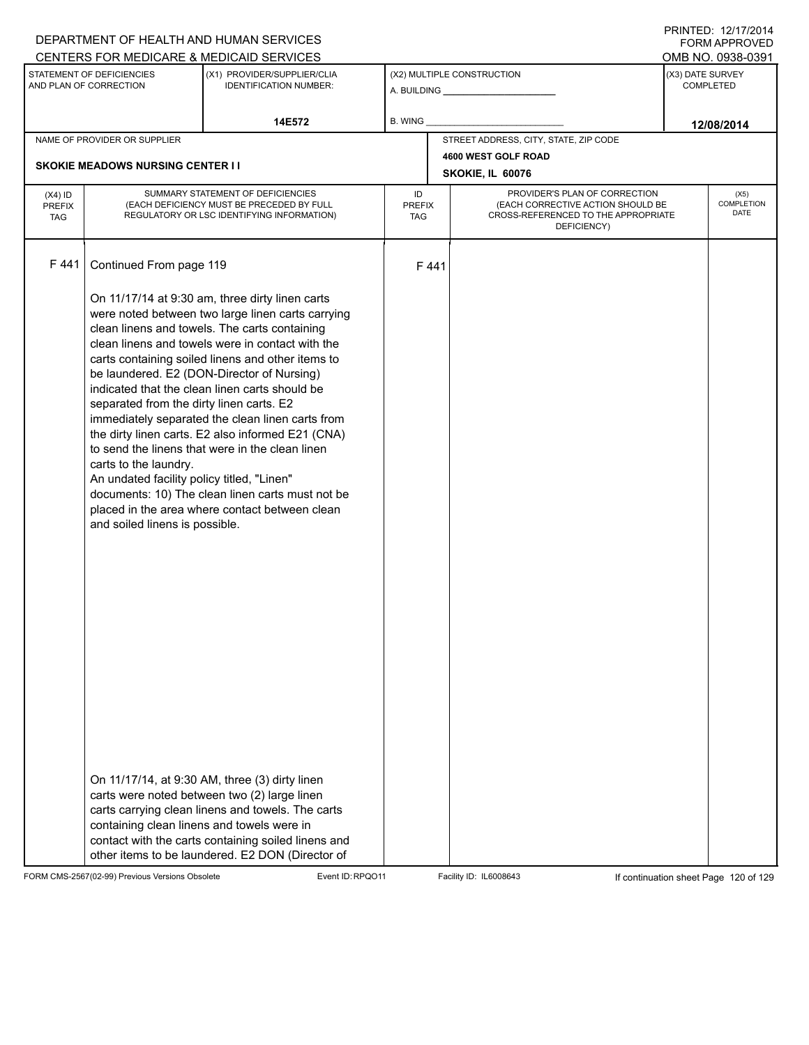|                                   |                                                                                                                                                                                                 | DEPARTMENT OF HEALTH AND HUMAN SERVICES                                                                                                                                                                                                                                                                                                                                                                                                                                                                                                                                                                                                                                                                                                                                                                                                                                                            |                            |      |                                                                                                                          | FORM APPROVED                        |
|-----------------------------------|-------------------------------------------------------------------------------------------------------------------------------------------------------------------------------------------------|----------------------------------------------------------------------------------------------------------------------------------------------------------------------------------------------------------------------------------------------------------------------------------------------------------------------------------------------------------------------------------------------------------------------------------------------------------------------------------------------------------------------------------------------------------------------------------------------------------------------------------------------------------------------------------------------------------------------------------------------------------------------------------------------------------------------------------------------------------------------------------------------------|----------------------------|------|--------------------------------------------------------------------------------------------------------------------------|--------------------------------------|
|                                   |                                                                                                                                                                                                 | CENTERS FOR MEDICARE & MEDICAID SERVICES                                                                                                                                                                                                                                                                                                                                                                                                                                                                                                                                                                                                                                                                                                                                                                                                                                                           |                            |      |                                                                                                                          | OMB NO. 0938-0391                    |
|                                   | STATEMENT OF DEFICIENCIES<br>AND PLAN OF CORRECTION                                                                                                                                             | (X1) PROVIDER/SUPPLIER/CLIA<br><b>IDENTIFICATION NUMBER:</b>                                                                                                                                                                                                                                                                                                                                                                                                                                                                                                                                                                                                                                                                                                                                                                                                                                       |                            |      | (X2) MULTIPLE CONSTRUCTION                                                                                               | (X3) DATE SURVEY<br><b>COMPLETED</b> |
|                                   |                                                                                                                                                                                                 | 14E572                                                                                                                                                                                                                                                                                                                                                                                                                                                                                                                                                                                                                                                                                                                                                                                                                                                                                             | B. WING                    |      |                                                                                                                          | 12/08/2014                           |
|                                   | NAME OF PROVIDER OR SUPPLIER                                                                                                                                                                    |                                                                                                                                                                                                                                                                                                                                                                                                                                                                                                                                                                                                                                                                                                                                                                                                                                                                                                    |                            |      | STREET ADDRESS, CITY, STATE, ZIP CODE                                                                                    |                                      |
|                                   | <b>SKOKIE MEADOWS NURSING CENTER II</b>                                                                                                                                                         |                                                                                                                                                                                                                                                                                                                                                                                                                                                                                                                                                                                                                                                                                                                                                                                                                                                                                                    |                            |      | 4600 WEST GOLF ROAD                                                                                                      |                                      |
|                                   |                                                                                                                                                                                                 |                                                                                                                                                                                                                                                                                                                                                                                                                                                                                                                                                                                                                                                                                                                                                                                                                                                                                                    |                            |      | SKOKIE, IL 60076                                                                                                         |                                      |
| $(X4)$ ID<br>PREFIX<br><b>TAG</b> |                                                                                                                                                                                                 | SUMMARY STATEMENT OF DEFICIENCIES<br>(EACH DEFICIENCY MUST BE PRECEDED BY FULL<br>REGULATORY OR LSC IDENTIFYING INFORMATION)                                                                                                                                                                                                                                                                                                                                                                                                                                                                                                                                                                                                                                                                                                                                                                       | ID<br><b>PREFIX</b><br>TAG |      | PROVIDER'S PLAN OF CORRECTION<br>(EACH CORRECTIVE ACTION SHOULD BE<br>CROSS-REFERENCED TO THE APPROPRIATE<br>DEFICIENCY) | (X5)<br>COMPLETION<br><b>DATE</b>    |
| F441                              | Continued From page 119                                                                                                                                                                         |                                                                                                                                                                                                                                                                                                                                                                                                                                                                                                                                                                                                                                                                                                                                                                                                                                                                                                    |                            | F441 |                                                                                                                          |                                      |
|                                   | separated from the dirty linen carts. E2<br>carts to the laundry.<br>An undated facility policy titled, "Linen"<br>and soiled linens is possible.<br>containing clean linens and towels were in | On 11/17/14 at 9:30 am, three dirty linen carts<br>were noted between two large linen carts carrying<br>clean linens and towels. The carts containing<br>clean linens and towels were in contact with the<br>carts containing soiled linens and other items to<br>be laundered. E2 (DON-Director of Nursing)<br>indicated that the clean linen carts should be<br>immediately separated the clean linen carts from<br>the dirty linen carts. E2 also informed E21 (CNA)<br>to send the linens that were in the clean linen<br>documents: 10) The clean linen carts must not be<br>placed in the area where contact between clean<br>On 11/17/14, at 9:30 AM, three (3) dirty linen<br>carts were noted between two (2) large linen<br>carts carrying clean linens and towels. The carts<br>contact with the carts containing soiled linens and<br>other items to be laundered. E2 DON (Director of |                            |      |                                                                                                                          |                                      |

FORM CMS-2567(02-99) Previous Versions Obsolete Event ID:RPQO11 Facility ID: IL6008643 If continuation sheet Page 120 of 129

PRINTED: 12/17/2014 FORM APPROVED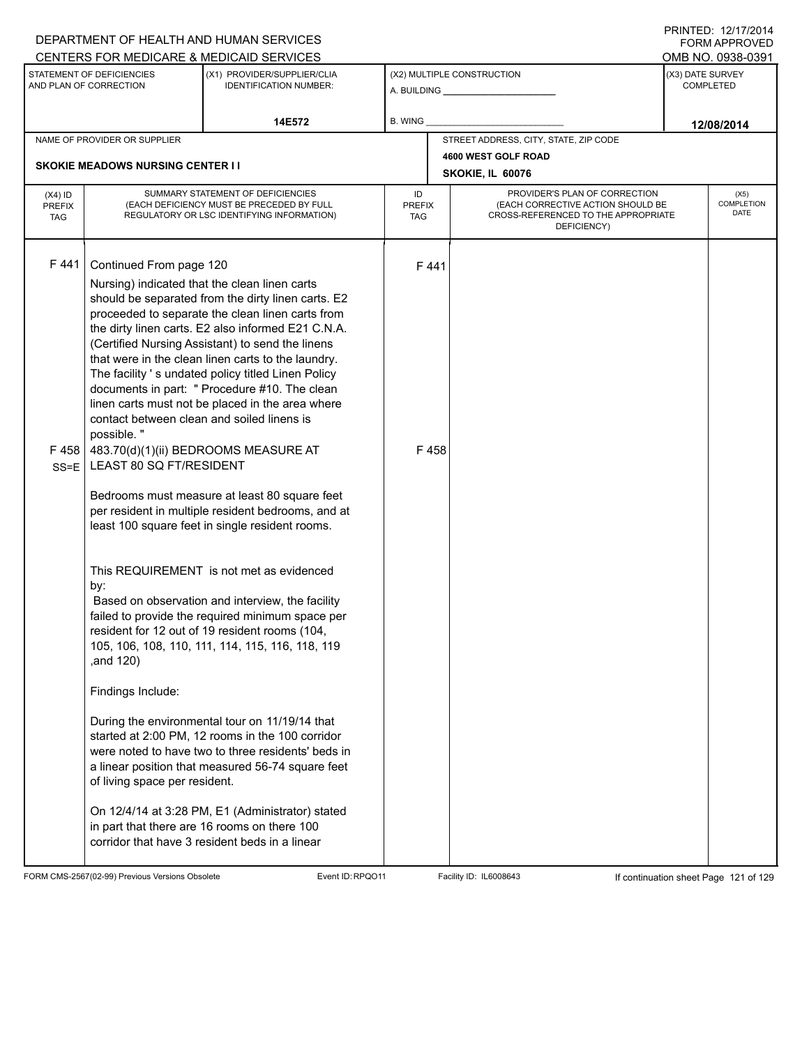|                                                                                                                     |                                                                                                                                                                                          | DEPARTMENT OF HEALTH AND HUMAN SERVICES<br>CENTERS FOR MEDICARE & MEDICAID SERVICES                                                                                                                                                                                                                                                                                                                                                                                                                                                                                                                                                                                                                                                                                                                                                                                                                                                                                                                                                                                                                                                                             |                |                             |                                                                                                                          |                                      | F NINILLU. ILI IIIZU 14<br><b>FORM APPROVED</b><br>OMB NO. 0938-0391 |  |
|---------------------------------------------------------------------------------------------------------------------|------------------------------------------------------------------------------------------------------------------------------------------------------------------------------------------|-----------------------------------------------------------------------------------------------------------------------------------------------------------------------------------------------------------------------------------------------------------------------------------------------------------------------------------------------------------------------------------------------------------------------------------------------------------------------------------------------------------------------------------------------------------------------------------------------------------------------------------------------------------------------------------------------------------------------------------------------------------------------------------------------------------------------------------------------------------------------------------------------------------------------------------------------------------------------------------------------------------------------------------------------------------------------------------------------------------------------------------------------------------------|----------------|-----------------------------|--------------------------------------------------------------------------------------------------------------------------|--------------------------------------|----------------------------------------------------------------------|--|
| STATEMENT OF DEFICIENCIES<br>(X1) PROVIDER/SUPPLIER/CLIA<br>AND PLAN OF CORRECTION<br><b>IDENTIFICATION NUMBER:</b> |                                                                                                                                                                                          |                                                                                                                                                                                                                                                                                                                                                                                                                                                                                                                                                                                                                                                                                                                                                                                                                                                                                                                                                                                                                                                                                                                                                                 |                |                             | (X2) MULTIPLE CONSTRUCTION<br>A. BUILDING <b>A.</b> BUILDING                                                             | (X3) DATE SURVEY<br><b>COMPLETED</b> |                                                                      |  |
|                                                                                                                     |                                                                                                                                                                                          | 14E572                                                                                                                                                                                                                                                                                                                                                                                                                                                                                                                                                                                                                                                                                                                                                                                                                                                                                                                                                                                                                                                                                                                                                          | <b>B. WING</b> |                             |                                                                                                                          |                                      | 12/08/2014                                                           |  |
| NAME OF PROVIDER OR SUPPLIER                                                                                        |                                                                                                                                                                                          |                                                                                                                                                                                                                                                                                                                                                                                                                                                                                                                                                                                                                                                                                                                                                                                                                                                                                                                                                                                                                                                                                                                                                                 |                |                             | STREET ADDRESS, CITY, STATE, ZIP CODE                                                                                    |                                      |                                                                      |  |
| <b>SKOKIE MEADOWS NURSING CENTER I I</b>                                                                            |                                                                                                                                                                                          |                                                                                                                                                                                                                                                                                                                                                                                                                                                                                                                                                                                                                                                                                                                                                                                                                                                                                                                                                                                                                                                                                                                                                                 |                |                             | 4600 WEST GOLF ROAD<br>SKOKIE, IL 60076                                                                                  |                                      |                                                                      |  |
| $(X4)$ ID<br><b>PREFIX</b><br><b>TAG</b>                                                                            | SUMMARY STATEMENT OF DEFICIENCIES<br>(EACH DEFICIENCY MUST BE PRECEDED BY FULL<br>REGULATORY OR LSC IDENTIFYING INFORMATION)                                                             |                                                                                                                                                                                                                                                                                                                                                                                                                                                                                                                                                                                                                                                                                                                                                                                                                                                                                                                                                                                                                                                                                                                                                                 |                | <b>PREFIX</b><br><b>TAG</b> | PROVIDER'S PLAN OF CORRECTION<br>(EACH CORRECTIVE ACTION SHOULD BE<br>CROSS-REFERENCED TO THE APPROPRIATE<br>DEFICIENCY) |                                      | (X5)<br>COMPLETION<br><b>DATE</b>                                    |  |
| F441<br>F 458<br>$SS = E$                                                                                           | Continued From page 120<br>contact between clean and soiled linens is<br>possible."<br>LEAST 80 SQ FT/RESIDENT<br>by:<br>,and 120)<br>Findings Include:<br>of living space per resident. | Nursing) indicated that the clean linen carts<br>should be separated from the dirty linen carts. E2<br>proceeded to separate the clean linen carts from<br>the dirty linen carts. E2 also informed E21 C.N.A.<br>(Certified Nursing Assistant) to send the linens<br>that were in the clean linen carts to the laundry.<br>The facility 's undated policy titled Linen Policy<br>documents in part: " Procedure #10. The clean<br>linen carts must not be placed in the area where<br>483.70(d)(1)(ii) BEDROOMS MEASURE AT<br>Bedrooms must measure at least 80 square feet<br>per resident in multiple resident bedrooms, and at<br>least 100 square feet in single resident rooms.<br>This REQUIREMENT is not met as evidenced<br>Based on observation and interview, the facility<br>failed to provide the required minimum space per<br>resident for 12 out of 19 resident rooms (104,<br>105, 106, 108, 110, 111, 114, 115, 116, 118, 119<br>During the environmental tour on 11/19/14 that<br>started at 2:00 PM, 12 rooms in the 100 corridor<br>were noted to have two to three residents' beds in<br>a linear position that measured 56-74 square feet |                | F441<br>F458                |                                                                                                                          |                                      |                                                                      |  |
|                                                                                                                     |                                                                                                                                                                                          | On 12/4/14 at 3:28 PM, E1 (Administrator) stated<br>in part that there are 16 rooms on there 100<br>corridor that have 3 resident beds in a linear                                                                                                                                                                                                                                                                                                                                                                                                                                                                                                                                                                                                                                                                                                                                                                                                                                                                                                                                                                                                              |                |                             |                                                                                                                          |                                      |                                                                      |  |

FORM CMS-2567(02-99) Previous Versions Obsolete Event ID:RPQO11 Facility ID: IL6008643 If continuation sheet Page 121 of 129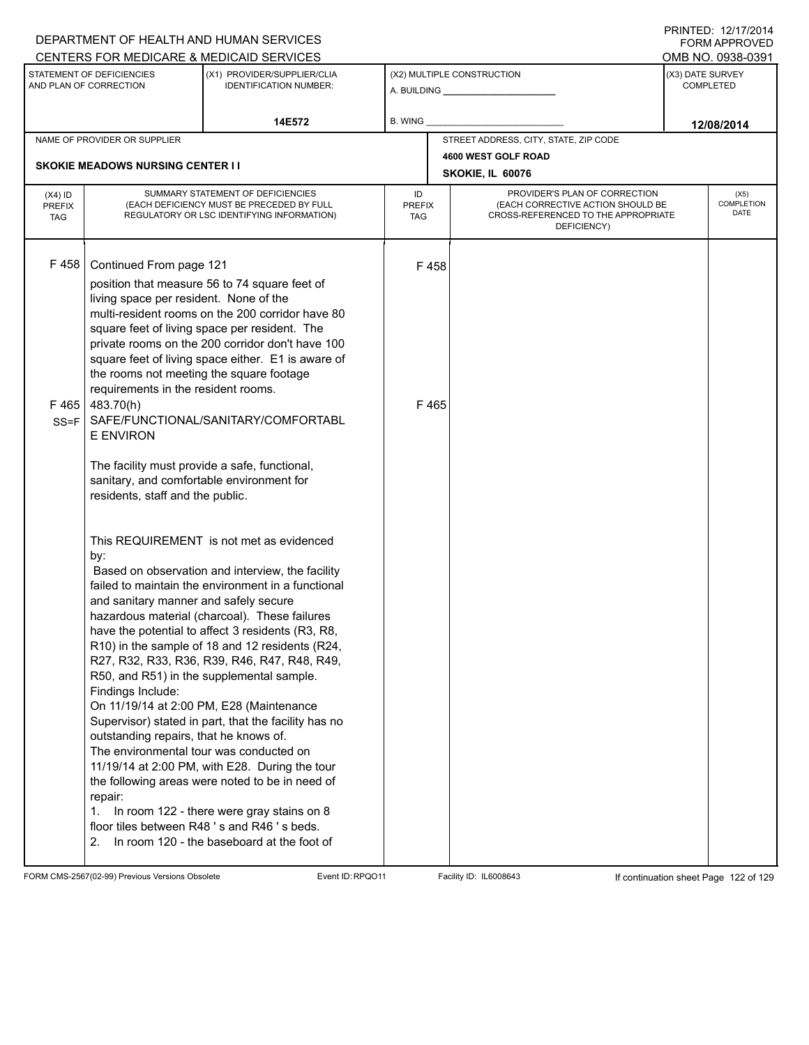|                                                                                                                     |                                                                                                                                                                                                                                                                                                                         | DEPARTMENT OF HEALTH AND HUMAN SERVICES                                                                                                                                                                                                                                                                                                                                                                                                                                                                                                                                                                                                                                                                                                                   |         |                                                                                                                                                               |                                         |  | FORM APPROVED     |  |
|---------------------------------------------------------------------------------------------------------------------|-------------------------------------------------------------------------------------------------------------------------------------------------------------------------------------------------------------------------------------------------------------------------------------------------------------------------|-----------------------------------------------------------------------------------------------------------------------------------------------------------------------------------------------------------------------------------------------------------------------------------------------------------------------------------------------------------------------------------------------------------------------------------------------------------------------------------------------------------------------------------------------------------------------------------------------------------------------------------------------------------------------------------------------------------------------------------------------------------|---------|---------------------------------------------------------------------------------------------------------------------------------------------------------------|-----------------------------------------|--|-------------------|--|
|                                                                                                                     |                                                                                                                                                                                                                                                                                                                         | CENTERS FOR MEDICARE & MEDICAID SERVICES                                                                                                                                                                                                                                                                                                                                                                                                                                                                                                                                                                                                                                                                                                                  |         |                                                                                                                                                               |                                         |  | OMB NO. 0938-0391 |  |
| STATEMENT OF DEFICIENCIES<br>(X1) PROVIDER/SUPPLIER/CLIA<br>AND PLAN OF CORRECTION<br><b>IDENTIFICATION NUMBER:</b> |                                                                                                                                                                                                                                                                                                                         |                                                                                                                                                                                                                                                                                                                                                                                                                                                                                                                                                                                                                                                                                                                                                           |         | (X2) MULTIPLE CONSTRUCTION<br>A. BUILDING <b>A.</b> BUILDING                                                                                                  | (X3) DATE SURVEY<br><b>COMPLETED</b>    |  |                   |  |
|                                                                                                                     |                                                                                                                                                                                                                                                                                                                         | 14E572                                                                                                                                                                                                                                                                                                                                                                                                                                                                                                                                                                                                                                                                                                                                                    | B. WING |                                                                                                                                                               |                                         |  | 12/08/2014        |  |
|                                                                                                                     | NAME OF PROVIDER OR SUPPLIER                                                                                                                                                                                                                                                                                            |                                                                                                                                                                                                                                                                                                                                                                                                                                                                                                                                                                                                                                                                                                                                                           |         |                                                                                                                                                               | STREET ADDRESS, CITY, STATE, ZIP CODE   |  |                   |  |
|                                                                                                                     | <b>SKOKIE MEADOWS NURSING CENTER II</b>                                                                                                                                                                                                                                                                                 |                                                                                                                                                                                                                                                                                                                                                                                                                                                                                                                                                                                                                                                                                                                                                           |         |                                                                                                                                                               | 4600 WEST GOLF ROAD<br>SKOKIE, IL 60076 |  |                   |  |
| $(X4)$ ID<br><b>PREFIX</b><br><b>TAG</b>                                                                            | SUMMARY STATEMENT OF DEFICIENCIES<br>(EACH DEFICIENCY MUST BE PRECEDED BY FULL<br>REGULATORY OR LSC IDENTIFYING INFORMATION)                                                                                                                                                                                            |                                                                                                                                                                                                                                                                                                                                                                                                                                                                                                                                                                                                                                                                                                                                                           |         | PROVIDER'S PLAN OF CORRECTION<br>ID<br>(EACH CORRECTIVE ACTION SHOULD BE<br><b>PREFIX</b><br>CROSS-REFERENCED TO THE APPROPRIATE<br><b>TAG</b><br>DEFICIENCY) |                                         |  |                   |  |
| F458<br>F465<br>$SS = F$                                                                                            | Continued From page 121<br>living space per resident. None of the<br>the rooms not meeting the square footage<br>requirements in the resident rooms.<br>483.70(h)<br><b>E ENVIRON</b><br>The facility must provide a safe, functional,<br>sanitary, and comfortable environment for<br>residents, staff and the public. | position that measure 56 to 74 square feet of<br>multi-resident rooms on the 200 corridor have 80<br>square feet of living space per resident. The<br>private rooms on the 200 corridor don't have 100<br>square feet of living space either. E1 is aware of<br>SAFE/FUNCTIONAL/SANITARY/COMFORTABL                                                                                                                                                                                                                                                                                                                                                                                                                                                       |         | F458<br>F465                                                                                                                                                  |                                         |  |                   |  |
|                                                                                                                     | by:<br>and sanitary manner and safely secure<br>Findings Include:<br>outstanding repairs, that he knows of.<br>The environmental tour was conducted on<br>repair:<br>1.<br>2.                                                                                                                                           | This REQUIREMENT is not met as evidenced<br>Based on observation and interview, the facility<br>failed to maintain the environment in a functional<br>hazardous material (charcoal). These failures<br>have the potential to affect 3 residents (R3, R8,<br>R10) in the sample of 18 and 12 residents (R24,<br>R27, R32, R33, R36, R39, R46, R47, R48, R49,<br>R50, and R51) in the supplemental sample.<br>On 11/19/14 at 2:00 PM, E28 (Maintenance<br>Supervisor) stated in part, that the facility has no<br>11/19/14 at 2:00 PM, with E28. During the tour<br>the following areas were noted to be in need of<br>In room 122 - there were gray stains on 8<br>floor tiles between R48's and R46's beds.<br>In room 120 - the baseboard at the foot of |         |                                                                                                                                                               |                                         |  |                   |  |

FORM CMS-2567(02-99) Previous Versions Obsolete Event ID:RPQO11 Facility ID: IL6008643 If continuation sheet Page 122 of 129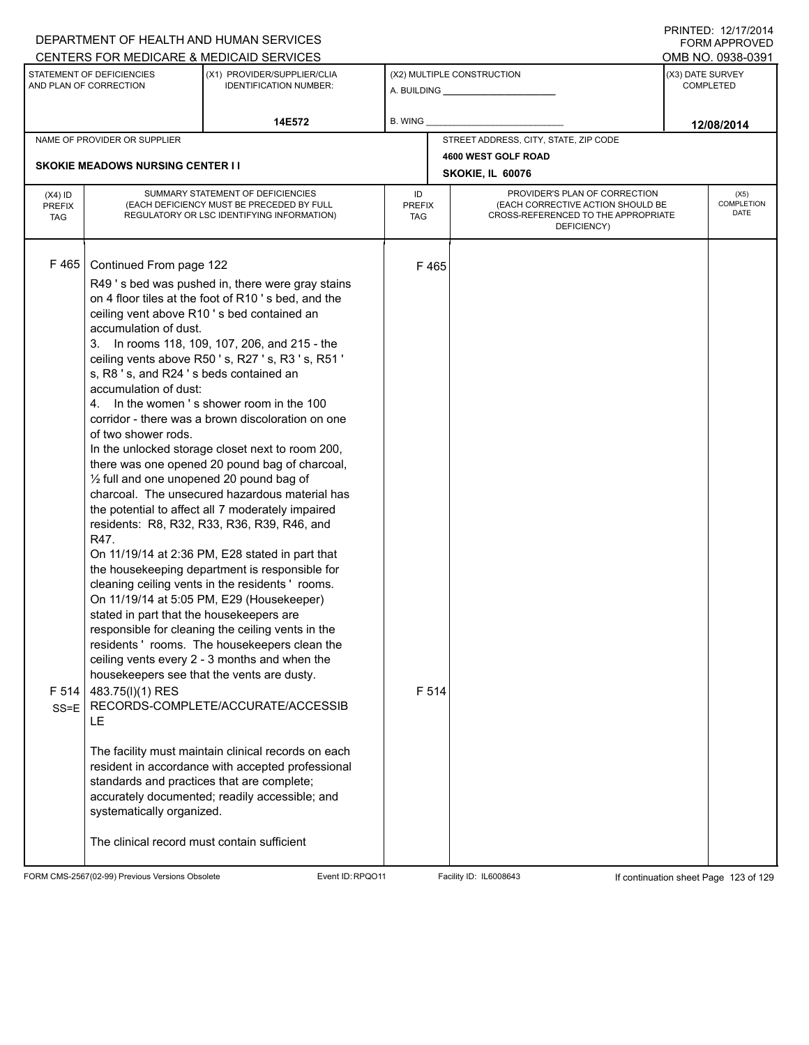|                                                                                                                     |                                             | DEPARTMENT OF HEALTH AND HUMAN SERVICES             |               |                                                              |                                                    |            | FORM APPROVED             |
|---------------------------------------------------------------------------------------------------------------------|---------------------------------------------|-----------------------------------------------------|---------------|--------------------------------------------------------------|----------------------------------------------------|------------|---------------------------|
|                                                                                                                     |                                             | CENTERS FOR MEDICARE & MEDICAID SERVICES            |               |                                                              |                                                    |            | OMB NO. 0938-0391         |
| STATEMENT OF DEFICIENCIES<br>(X1) PROVIDER/SUPPLIER/CLIA<br>AND PLAN OF CORRECTION<br><b>IDENTIFICATION NUMBER:</b> |                                             |                                                     |               | (X2) MULTIPLE CONSTRUCTION<br>A. BUILDING <b>A.</b> BUILDING | (X3) DATE SURVEY<br><b>COMPLETED</b>               |            |                           |
| 14E572                                                                                                              |                                             | <b>B. WING</b>                                      |               |                                                              |                                                    | 12/08/2014 |                           |
|                                                                                                                     | NAME OF PROVIDER OR SUPPLIER                |                                                     |               |                                                              | STREET ADDRESS, CITY, STATE, ZIP CODE              |            |                           |
|                                                                                                                     |                                             |                                                     |               |                                                              | 4600 WEST GOLF ROAD                                |            |                           |
|                                                                                                                     | <b>SKOKIE MEADOWS NURSING CENTER II</b>     |                                                     |               |                                                              | SKOKIE, IL 60076                                   |            |                           |
| $(X4)$ ID                                                                                                           |                                             | SUMMARY STATEMENT OF DEFICIENCIES                   | ID            |                                                              | PROVIDER'S PLAN OF CORRECTION                      |            | (X5)                      |
| PREFIX                                                                                                              |                                             | (EACH DEFICIENCY MUST BE PRECEDED BY FULL           | <b>PREFIX</b> |                                                              | (EACH CORRECTIVE ACTION SHOULD BE                  |            | COMPLETION<br><b>DATE</b> |
| <b>TAG</b>                                                                                                          |                                             | REGULATORY OR LSC IDENTIFYING INFORMATION)          | <b>TAG</b>    |                                                              | CROSS-REFERENCED TO THE APPROPRIATE<br>DEFICIENCY) |            |                           |
|                                                                                                                     |                                             |                                                     |               |                                                              |                                                    |            |                           |
|                                                                                                                     |                                             |                                                     |               |                                                              |                                                    |            |                           |
| F465                                                                                                                | Continued From page 122                     |                                                     |               | F465                                                         |                                                    |            |                           |
|                                                                                                                     |                                             | R49's bed was pushed in, there were gray stains     |               |                                                              |                                                    |            |                           |
|                                                                                                                     |                                             | on 4 floor tiles at the foot of R10's bed, and the  |               |                                                              |                                                    |            |                           |
|                                                                                                                     |                                             | ceiling vent above R10's bed contained an           |               |                                                              |                                                    |            |                           |
|                                                                                                                     | accumulation of dust.                       | 3. In rooms 118, 109, 107, 206, and 215 - the       |               |                                                              |                                                    |            |                           |
|                                                                                                                     |                                             | ceiling vents above R50's, R27's, R3's, R51'        |               |                                                              |                                                    |            |                           |
|                                                                                                                     | s, R8 's, and R24 's beds contained an      |                                                     |               |                                                              |                                                    |            |                           |
|                                                                                                                     | accumulation of dust:                       |                                                     |               |                                                              |                                                    |            |                           |
|                                                                                                                     |                                             | 4. In the women's shower room in the 100            |               |                                                              |                                                    |            |                           |
|                                                                                                                     |                                             | corridor - there was a brown discoloration on one   |               |                                                              |                                                    |            |                           |
|                                                                                                                     | of two shower rods.                         |                                                     |               |                                                              |                                                    |            |                           |
|                                                                                                                     |                                             | In the unlocked storage closet next to room 200,    |               |                                                              |                                                    |            |                           |
|                                                                                                                     |                                             | there was one opened 20 pound bag of charcoal,      |               |                                                              |                                                    |            |                           |
|                                                                                                                     | 1/2 full and one unopened 20 pound bag of   |                                                     |               |                                                              |                                                    |            |                           |
|                                                                                                                     |                                             | charcoal. The unsecured hazardous material has      |               |                                                              |                                                    |            |                           |
|                                                                                                                     |                                             | the potential to affect all 7 moderately impaired   |               |                                                              |                                                    |            |                           |
|                                                                                                                     | R47.                                        | residents: R8, R32, R33, R36, R39, R46, and         |               |                                                              |                                                    |            |                           |
|                                                                                                                     |                                             | On 11/19/14 at 2:36 PM, E28 stated in part that     |               |                                                              |                                                    |            |                           |
|                                                                                                                     |                                             | the housekeeping department is responsible for      |               |                                                              |                                                    |            |                           |
|                                                                                                                     |                                             | cleaning ceiling vents in the residents' rooms.     |               |                                                              |                                                    |            |                           |
|                                                                                                                     |                                             | On 11/19/14 at 5:05 PM, E29 (Housekeeper)           |               |                                                              |                                                    |            |                           |
|                                                                                                                     | stated in part that the housekeepers are    |                                                     |               |                                                              |                                                    |            |                           |
|                                                                                                                     |                                             | responsible for cleaning the ceiling vents in the   |               |                                                              |                                                    |            |                           |
|                                                                                                                     |                                             | residents 'rooms. The housekeepers clean the        |               |                                                              |                                                    |            |                           |
|                                                                                                                     |                                             | ceiling vents every 2 - 3 months and when the       |               |                                                              |                                                    |            |                           |
|                                                                                                                     |                                             | housekeepers see that the vents are dusty.          |               |                                                              |                                                    |            |                           |
| F 514                                                                                                               | 483.75(I)(1) RES                            |                                                     |               | F 514                                                        |                                                    |            |                           |
|                                                                                                                     |                                             | SS=E   RECORDS-COMPLETE/ACCURATE/ACCESSIB           |               |                                                              |                                                    |            |                           |
|                                                                                                                     | LE                                          |                                                     |               |                                                              |                                                    |            |                           |
|                                                                                                                     |                                             | The facility must maintain clinical records on each |               |                                                              |                                                    |            |                           |
|                                                                                                                     |                                             | resident in accordance with accepted professional   |               |                                                              |                                                    |            |                           |
|                                                                                                                     | standards and practices that are complete;  |                                                     |               |                                                              |                                                    |            |                           |
|                                                                                                                     |                                             | accurately documented; readily accessible; and      |               |                                                              |                                                    |            |                           |
|                                                                                                                     | systematically organized.                   |                                                     |               |                                                              |                                                    |            |                           |
|                                                                                                                     |                                             |                                                     |               |                                                              |                                                    |            |                           |
|                                                                                                                     | The clinical record must contain sufficient |                                                     |               |                                                              |                                                    |            |                           |
|                                                                                                                     |                                             |                                                     |               |                                                              |                                                    |            |                           |

FORM CMS-2567(02-99) Previous Versions Obsolete Event ID:RPQO11 Facility ID: IL6008643 If continuation sheet Page 123 of 129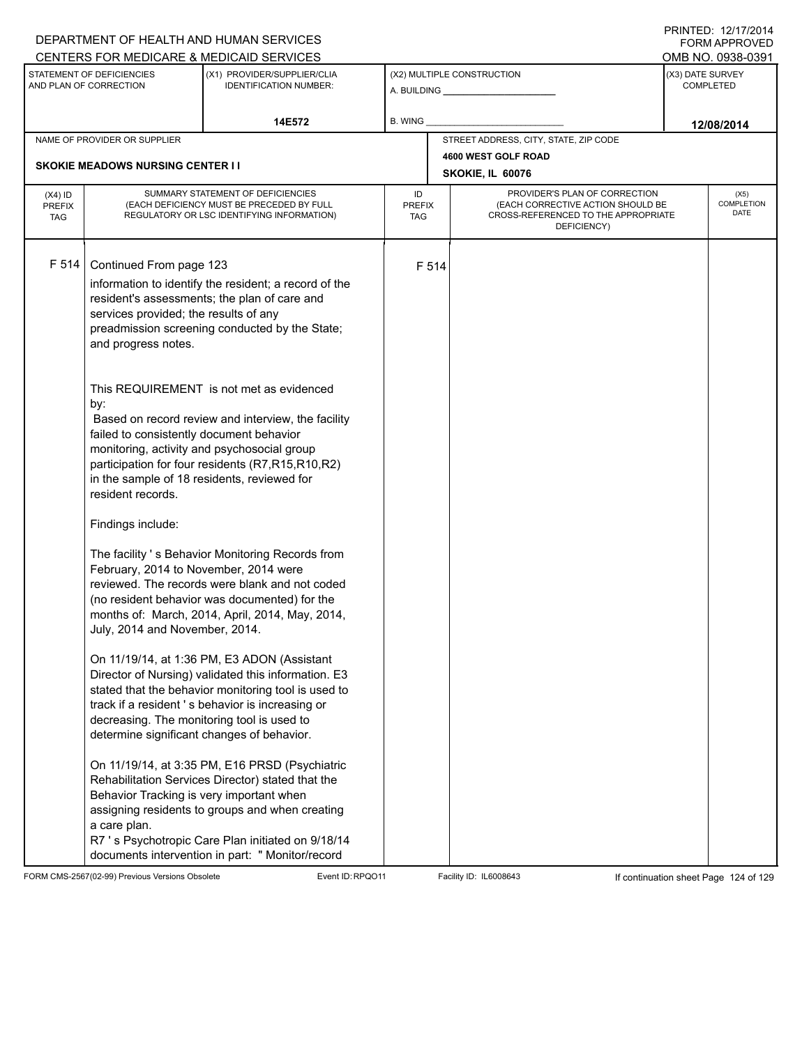|                                                                                      |                                                                                                                                                                                                                                                                                                                                                                                                                                                                        | DEPARTMENT OF HEALTH AND HUMAN SERVICES                                                                                                                                                                                                                                                                                                                                                                                                                                                                                                                                                                                                                                                                                                                                                                                                                                                                                                          |         |       |                                                              |                                      | <b>FORM APPROVED</b>       |  |
|--------------------------------------------------------------------------------------|------------------------------------------------------------------------------------------------------------------------------------------------------------------------------------------------------------------------------------------------------------------------------------------------------------------------------------------------------------------------------------------------------------------------------------------------------------------------|--------------------------------------------------------------------------------------------------------------------------------------------------------------------------------------------------------------------------------------------------------------------------------------------------------------------------------------------------------------------------------------------------------------------------------------------------------------------------------------------------------------------------------------------------------------------------------------------------------------------------------------------------------------------------------------------------------------------------------------------------------------------------------------------------------------------------------------------------------------------------------------------------------------------------------------------------|---------|-------|--------------------------------------------------------------|--------------------------------------|----------------------------|--|
|                                                                                      |                                                                                                                                                                                                                                                                                                                                                                                                                                                                        | CENTERS FOR MEDICARE & MEDICAID SERVICES                                                                                                                                                                                                                                                                                                                                                                                                                                                                                                                                                                                                                                                                                                                                                                                                                                                                                                         |         |       |                                                              |                                      | OMB NO. 0938-0391          |  |
| STATEMENT OF DEFICIENCIES<br>AND PLAN OF CORRECTION<br><b>IDENTIFICATION NUMBER:</b> |                                                                                                                                                                                                                                                                                                                                                                                                                                                                        | (X1) PROVIDER/SUPPLIER/CLIA                                                                                                                                                                                                                                                                                                                                                                                                                                                                                                                                                                                                                                                                                                                                                                                                                                                                                                                      |         |       | (X2) MULTIPLE CONSTRUCTION<br>A. BUILDING <b>A.</b> BUILDING | (X3) DATE SURVEY<br><b>COMPLETED</b> |                            |  |
|                                                                                      |                                                                                                                                                                                                                                                                                                                                                                                                                                                                        | 14E572                                                                                                                                                                                                                                                                                                                                                                                                                                                                                                                                                                                                                                                                                                                                                                                                                                                                                                                                           | B. WING |       |                                                              |                                      | 12/08/2014                 |  |
|                                                                                      | NAME OF PROVIDER OR SUPPLIER                                                                                                                                                                                                                                                                                                                                                                                                                                           |                                                                                                                                                                                                                                                                                                                                                                                                                                                                                                                                                                                                                                                                                                                                                                                                                                                                                                                                                  |         |       | STREET ADDRESS, CITY, STATE, ZIP CODE                        |                                      |                            |  |
|                                                                                      |                                                                                                                                                                                                                                                                                                                                                                                                                                                                        |                                                                                                                                                                                                                                                                                                                                                                                                                                                                                                                                                                                                                                                                                                                                                                                                                                                                                                                                                  |         |       | 4600 WEST GOLF ROAD                                          |                                      |                            |  |
|                                                                                      | <b>SKOKIE MEADOWS NURSING CENTER II</b>                                                                                                                                                                                                                                                                                                                                                                                                                                |                                                                                                                                                                                                                                                                                                                                                                                                                                                                                                                                                                                                                                                                                                                                                                                                                                                                                                                                                  |         |       | SKOKIE, IL 60076                                             |                                      |                            |  |
| $(X4)$ ID<br><b>PREFIX</b><br><b>TAG</b>                                             |                                                                                                                                                                                                                                                                                                                                                                                                                                                                        | SUMMARY STATEMENT OF DEFICIENCIES<br>PROVIDER'S PLAN OF CORRECTION<br>ID<br>(EACH DEFICIENCY MUST BE PRECEDED BY FULL<br>(EACH CORRECTIVE ACTION SHOULD BE<br><b>PREFIX</b><br>REGULATORY OR LSC IDENTIFYING INFORMATION)<br>CROSS-REFERENCED TO THE APPROPRIATE<br>TAG<br>DEFICIENCY)                                                                                                                                                                                                                                                                                                                                                                                                                                                                                                                                                                                                                                                           |         |       |                                                              |                                      | (X5)<br>COMPLETION<br>DATE |  |
| F 514                                                                                | Continued From page 123<br>services provided; the results of any<br>and progress notes.<br>by:<br>failed to consistently document behavior<br>in the sample of 18 residents, reviewed for<br>resident records.<br>Findings include:<br>February, 2014 to November, 2014 were<br>July, 2014 and November, 2014.<br>decreasing. The monitoring tool is used to<br>determine significant changes of behavior.<br>Behavior Tracking is very important when<br>a care plan. | information to identify the resident; a record of the<br>resident's assessments; the plan of care and<br>preadmission screening conducted by the State;<br>This REQUIREMENT is not met as evidenced<br>Based on record review and interview, the facility<br>monitoring, activity and psychosocial group<br>participation for four residents (R7,R15,R10,R2)<br>The facility 's Behavior Monitoring Records from<br>reviewed. The records were blank and not coded<br>(no resident behavior was documented) for the<br>months of: March, 2014, April, 2014, May, 2014,<br>On 11/19/14, at 1:36 PM, E3 ADON (Assistant<br>Director of Nursing) validated this information. E3<br>stated that the behavior monitoring tool is used to<br>track if a resident's behavior is increasing or<br>On 11/19/14, at 3:35 PM, E16 PRSD (Psychiatric<br>Rehabilitation Services Director) stated that the<br>assigning residents to groups and when creating |         | F 514 |                                                              |                                      |                            |  |
|                                                                                      |                                                                                                                                                                                                                                                                                                                                                                                                                                                                        | R7 's Psychotropic Care Plan initiated on 9/18/14<br>documents intervention in part: " Monitor/record                                                                                                                                                                                                                                                                                                                                                                                                                                                                                                                                                                                                                                                                                                                                                                                                                                            |         |       |                                                              |                                      |                            |  |

FORM CMS-2567(02-99) Previous Versions Obsolete Event ID:RPQO11 Facility ID: IL6008643 If continuation sheet Page 124 of 129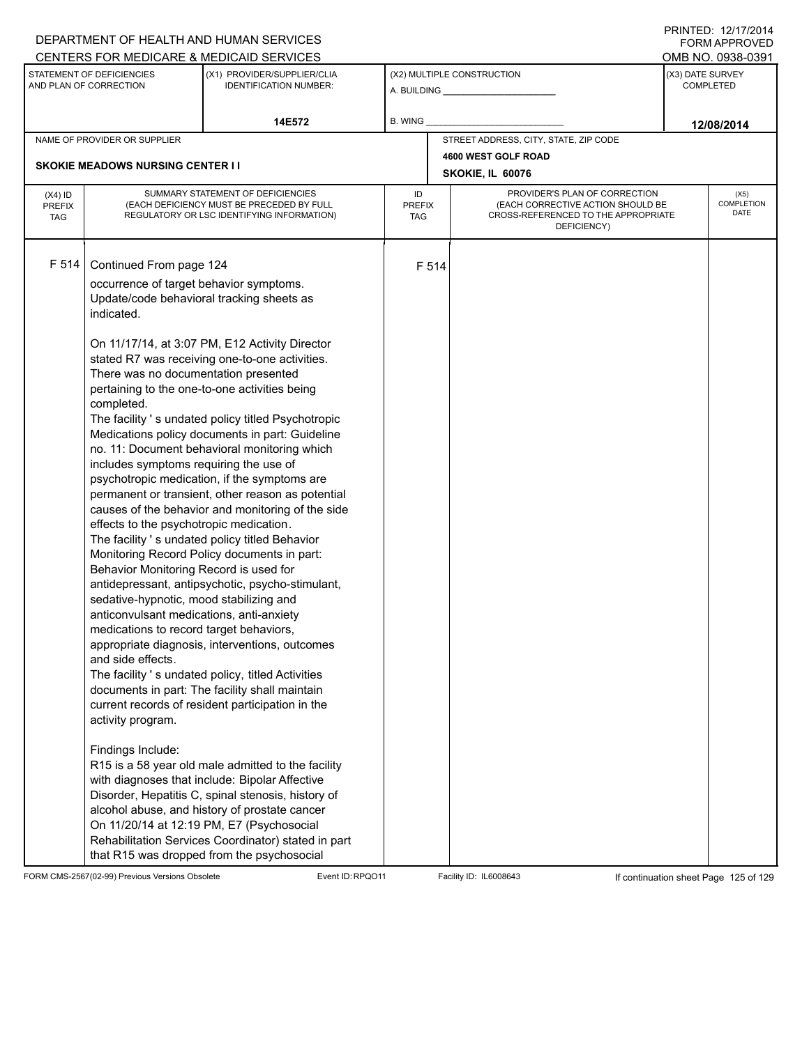|                                          |                                                                                                                                                                                                                                                                                                                                                                                                                                                                                                                     | DEPARTMENT OF HEALTH AND HUMAN SERVICES                                                                                                                                                                                                                                                                                                                                                                                                                                                                                                                                                                                                                                                                                                                                                                                                                                                                                                                                                                                                                                                                                                                   |                                                                    |       |                                                                                                                          |  | FORM APPROVED              |
|------------------------------------------|---------------------------------------------------------------------------------------------------------------------------------------------------------------------------------------------------------------------------------------------------------------------------------------------------------------------------------------------------------------------------------------------------------------------------------------------------------------------------------------------------------------------|-----------------------------------------------------------------------------------------------------------------------------------------------------------------------------------------------------------------------------------------------------------------------------------------------------------------------------------------------------------------------------------------------------------------------------------------------------------------------------------------------------------------------------------------------------------------------------------------------------------------------------------------------------------------------------------------------------------------------------------------------------------------------------------------------------------------------------------------------------------------------------------------------------------------------------------------------------------------------------------------------------------------------------------------------------------------------------------------------------------------------------------------------------------|--------------------------------------------------------------------|-------|--------------------------------------------------------------------------------------------------------------------------|--|----------------------------|
|                                          |                                                                                                                                                                                                                                                                                                                                                                                                                                                                                                                     | CENTERS FOR MEDICARE & MEDICAID SERVICES                                                                                                                                                                                                                                                                                                                                                                                                                                                                                                                                                                                                                                                                                                                                                                                                                                                                                                                                                                                                                                                                                                                  |                                                                    |       |                                                                                                                          |  | OMB NO. 0938-0391          |
|                                          | STATEMENT OF DEFICIENCIES<br>AND PLAN OF CORRECTION                                                                                                                                                                                                                                                                                                                                                                                                                                                                 | (X1) PROVIDER/SUPPLIER/CLIA<br><b>IDENTIFICATION NUMBER:</b>                                                                                                                                                                                                                                                                                                                                                                                                                                                                                                                                                                                                                                                                                                                                                                                                                                                                                                                                                                                                                                                                                              | (X3) DATE SURVEY<br>(X2) MULTIPLE CONSTRUCTION<br><b>COMPLETED</b> |       |                                                                                                                          |  |                            |
|                                          |                                                                                                                                                                                                                                                                                                                                                                                                                                                                                                                     | 14E572                                                                                                                                                                                                                                                                                                                                                                                                                                                                                                                                                                                                                                                                                                                                                                                                                                                                                                                                                                                                                                                                                                                                                    | B. WING                                                            |       |                                                                                                                          |  | 12/08/2014                 |
|                                          | NAME OF PROVIDER OR SUPPLIER                                                                                                                                                                                                                                                                                                                                                                                                                                                                                        |                                                                                                                                                                                                                                                                                                                                                                                                                                                                                                                                                                                                                                                                                                                                                                                                                                                                                                                                                                                                                                                                                                                                                           |                                                                    |       | STREET ADDRESS, CITY, STATE, ZIP CODE                                                                                    |  |                            |
|                                          |                                                                                                                                                                                                                                                                                                                                                                                                                                                                                                                     |                                                                                                                                                                                                                                                                                                                                                                                                                                                                                                                                                                                                                                                                                                                                                                                                                                                                                                                                                                                                                                                                                                                                                           |                                                                    |       | 4600 WEST GOLF ROAD                                                                                                      |  |                            |
|                                          | <b>SKOKIE MEADOWS NURSING CENTER I I</b><br>SKOKIE, IL 60076                                                                                                                                                                                                                                                                                                                                                                                                                                                        |                                                                                                                                                                                                                                                                                                                                                                                                                                                                                                                                                                                                                                                                                                                                                                                                                                                                                                                                                                                                                                                                                                                                                           |                                                                    |       |                                                                                                                          |  |                            |
| $(X4)$ ID<br><b>PREFIX</b><br><b>TAG</b> |                                                                                                                                                                                                                                                                                                                                                                                                                                                                                                                     | SUMMARY STATEMENT OF DEFICIENCIES<br>(EACH DEFICIENCY MUST BE PRECEDED BY FULL<br>REGULATORY OR LSC IDENTIFYING INFORMATION)                                                                                                                                                                                                                                                                                                                                                                                                                                                                                                                                                                                                                                                                                                                                                                                                                                                                                                                                                                                                                              | ID<br>PREFIX<br>TAG                                                |       | PROVIDER'S PLAN OF CORRECTION<br>(EACH CORRECTIVE ACTION SHOULD BE<br>CROSS-REFERENCED TO THE APPROPRIATE<br>DEFICIENCY) |  | (X5)<br>COMPLETION<br>DATE |
| F 514                                    | Continued From page 124<br>occurrence of target behavior symptoms.<br>Update/code behavioral tracking sheets as<br>indicated.<br>There was no documentation presented<br>completed.<br>includes symptoms requiring the use of<br>effects to the psychotropic medication.<br>Behavior Monitoring Record is used for<br>sedative-hypnotic, mood stabilizing and<br>anticonvulsant medications, anti-anxiety<br>medications to record target behaviors,<br>and side effects.<br>activity program.<br>Findings Include: | On 11/17/14, at 3:07 PM, E12 Activity Director<br>stated R7 was receiving one-to-one activities.<br>pertaining to the one-to-one activities being<br>The facility 's undated policy titled Psychotropic<br>Medications policy documents in part: Guideline<br>no. 11: Document behavioral monitoring which<br>psychotropic medication, if the symptoms are<br>permanent or transient, other reason as potential<br>causes of the behavior and monitoring of the side<br>The facility 's undated policy titled Behavior<br>Monitoring Record Policy documents in part:<br>antidepressant, antipsychotic, psycho-stimulant,<br>appropriate diagnosis, interventions, outcomes<br>The facility 's undated policy, titled Activities<br>documents in part: The facility shall maintain<br>current records of resident participation in the<br>R15 is a 58 year old male admitted to the facility<br>with diagnoses that include: Bipolar Affective<br>Disorder, Hepatitis C, spinal stenosis, history of<br>alcohol abuse, and history of prostate cancer<br>On 11/20/14 at 12:19 PM, E7 (Psychosocial<br>Rehabilitation Services Coordinator) stated in part |                                                                    | F 514 |                                                                                                                          |  |                            |

FORM CMS-2567(02-99) Previous Versions Obsolete Event ID:RPQO11 Facility ID: IL6008643 If continuation sheet Page 125 of 129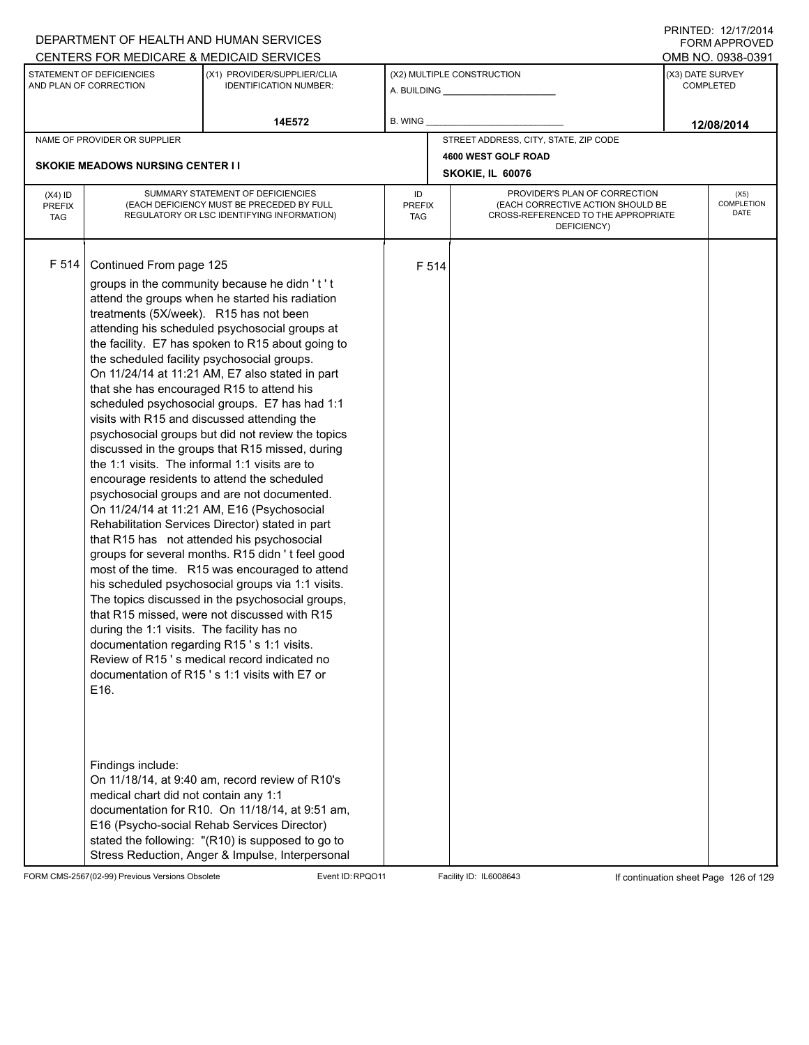|                                                                                      |                                                                                                                                                                                                                                                                                                                                | DEPARTMENT OF HEALTH AND HUMAN SERVICES                                                                                                                                                                                                                                                                                                                                                                                                                                                                                                                                                                                                                                                                                                                                                                                                                                                                                                                                                                                                                                                                                                                                          |         |       |                                       |                                      |                            | <b>FORM APPROVED</b> |
|--------------------------------------------------------------------------------------|--------------------------------------------------------------------------------------------------------------------------------------------------------------------------------------------------------------------------------------------------------------------------------------------------------------------------------|----------------------------------------------------------------------------------------------------------------------------------------------------------------------------------------------------------------------------------------------------------------------------------------------------------------------------------------------------------------------------------------------------------------------------------------------------------------------------------------------------------------------------------------------------------------------------------------------------------------------------------------------------------------------------------------------------------------------------------------------------------------------------------------------------------------------------------------------------------------------------------------------------------------------------------------------------------------------------------------------------------------------------------------------------------------------------------------------------------------------------------------------------------------------------------|---------|-------|---------------------------------------|--------------------------------------|----------------------------|----------------------|
|                                                                                      |                                                                                                                                                                                                                                                                                                                                | CENTERS FOR MEDICARE & MEDICAID SERVICES                                                                                                                                                                                                                                                                                                                                                                                                                                                                                                                                                                                                                                                                                                                                                                                                                                                                                                                                                                                                                                                                                                                                         |         |       |                                       |                                      |                            | OMB NO. 0938-0391    |
| STATEMENT OF DEFICIENCIES<br>AND PLAN OF CORRECTION<br><b>IDENTIFICATION NUMBER:</b> |                                                                                                                                                                                                                                                                                                                                | (X1) PROVIDER/SUPPLIER/CLIA                                                                                                                                                                                                                                                                                                                                                                                                                                                                                                                                                                                                                                                                                                                                                                                                                                                                                                                                                                                                                                                                                                                                                      |         |       | (X2) MULTIPLE CONSTRUCTION            | (X3) DATE SURVEY<br><b>COMPLETED</b> |                            |                      |
|                                                                                      |                                                                                                                                                                                                                                                                                                                                | 14E572                                                                                                                                                                                                                                                                                                                                                                                                                                                                                                                                                                                                                                                                                                                                                                                                                                                                                                                                                                                                                                                                                                                                                                           | B. WING |       |                                       |                                      |                            | 12/08/2014           |
|                                                                                      | NAME OF PROVIDER OR SUPPLIER                                                                                                                                                                                                                                                                                                   |                                                                                                                                                                                                                                                                                                                                                                                                                                                                                                                                                                                                                                                                                                                                                                                                                                                                                                                                                                                                                                                                                                                                                                                  |         |       | STREET ADDRESS, CITY, STATE, ZIP CODE |                                      |                            |                      |
|                                                                                      |                                                                                                                                                                                                                                                                                                                                |                                                                                                                                                                                                                                                                                                                                                                                                                                                                                                                                                                                                                                                                                                                                                                                                                                                                                                                                                                                                                                                                                                                                                                                  |         |       | 4600 WEST GOLF ROAD                   |                                      |                            |                      |
|                                                                                      | <b>SKOKIE MEADOWS NURSING CENTER I I</b>                                                                                                                                                                                                                                                                                       |                                                                                                                                                                                                                                                                                                                                                                                                                                                                                                                                                                                                                                                                                                                                                                                                                                                                                                                                                                                                                                                                                                                                                                                  |         |       | SKOKIE, IL 60076                      |                                      |                            |                      |
| $(X4)$ ID<br><b>PREFIX</b><br><b>TAG</b>                                             | SUMMARY STATEMENT OF DEFICIENCIES<br>PROVIDER'S PLAN OF CORRECTION<br>ID<br>(EACH DEFICIENCY MUST BE PRECEDED BY FULL<br>(EACH CORRECTIVE ACTION SHOULD BE<br><b>PREFIX</b><br>CROSS-REFERENCED TO THE APPROPRIATE<br>REGULATORY OR LSC IDENTIFYING INFORMATION)<br>TAG<br>DEFICIENCY)                                         |                                                                                                                                                                                                                                                                                                                                                                                                                                                                                                                                                                                                                                                                                                                                                                                                                                                                                                                                                                                                                                                                                                                                                                                  |         |       |                                       |                                      | (X5)<br>COMPLETION<br>DATE |                      |
| F 514                                                                                | Continued From page 125<br>treatments (5X/week). R15 has not been<br>the scheduled facility psychosocial groups.<br>that she has encouraged R15 to attend his<br>during the 1:1 visits. The facility has no<br>documentation regarding R15's 1:1 visits.<br>E16.<br>Findings include:<br>medical chart did not contain any 1:1 | groups in the community because he didn't't<br>attend the groups when he started his radiation<br>attending his scheduled psychosocial groups at<br>the facility. E7 has spoken to R15 about going to<br>On 11/24/14 at 11:21 AM, E7 also stated in part<br>scheduled psychosocial groups. E7 has had 1:1<br>visits with R15 and discussed attending the<br>psychosocial groups but did not review the topics<br>discussed in the groups that R15 missed, during<br>the 1:1 visits. The informal 1:1 visits are to<br>encourage residents to attend the scheduled<br>psychosocial groups and are not documented.<br>On 11/24/14 at 11:21 AM, E16 (Psychosocial<br>Rehabilitation Services Director) stated in part<br>that R15 has not attended his psychosocial<br>groups for several months. R15 didn't feel good<br>most of the time. R15 was encouraged to attend<br>his scheduled psychosocial groups via 1:1 visits.<br>The topics discussed in the psychosocial groups,<br>that R15 missed, were not discussed with R15<br>Review of R15's medical record indicated no<br>documentation of R15's 1:1 visits with E7 or<br>On 11/18/14, at 9:40 am, record review of R10's |         | F 514 |                                       |                                      |                            |                      |
|                                                                                      |                                                                                                                                                                                                                                                                                                                                | documentation for R10. On 11/18/14, at 9:51 am,<br>E16 (Psycho-social Rehab Services Director)<br>stated the following: "(R10) is supposed to go to<br>Stress Reduction, Anger & Impulse, Interpersonal                                                                                                                                                                                                                                                                                                                                                                                                                                                                                                                                                                                                                                                                                                                                                                                                                                                                                                                                                                          |         |       |                                       |                                      |                            |                      |

FORM CMS-2567(02-99) Previous Versions Obsolete Event ID:RPQO11 Facility ID: IL6008643 If continuation sheet Page 126 of 129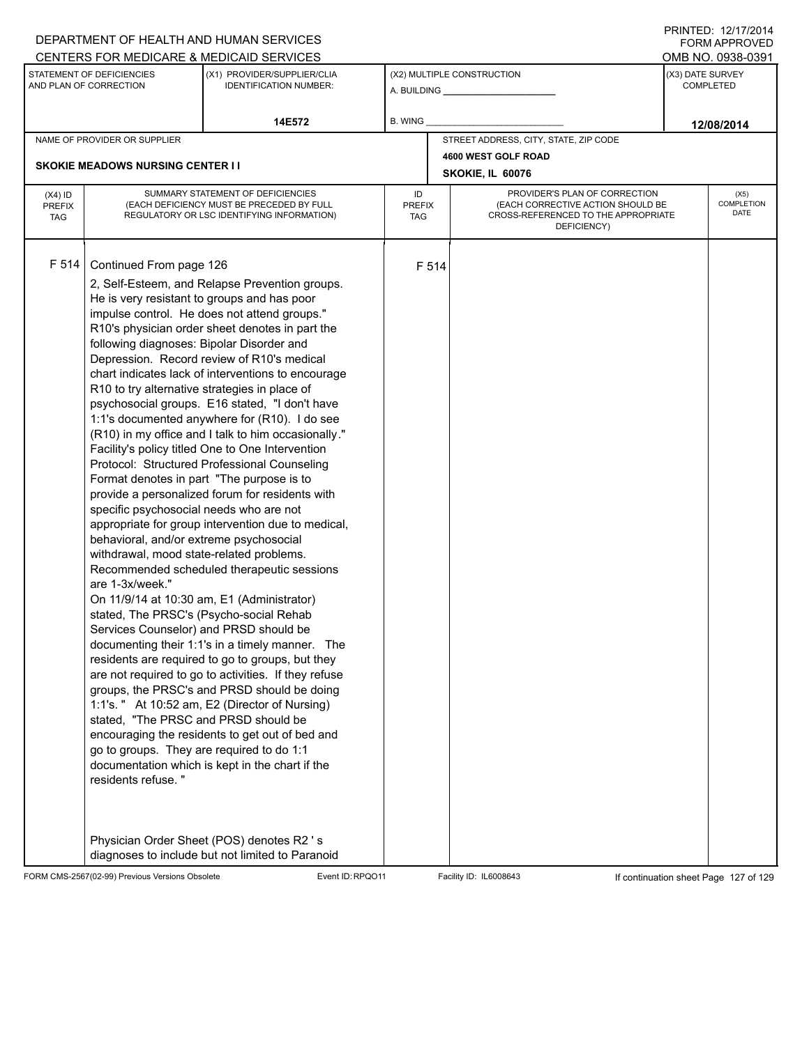|                                                                                                                     |                                                                                                                                                                                                                                                                                                                                                                                                                                                                                                                         | DEPARTMENT OF HEALTH AND HUMAN SERVICES                                                                                                                                                                                                                                                                                                                                                                                                                                                                                                                                                                                                                                                                                                                                                                                                                                                                                                                                                                                                                                                                                                       |                                   |                                                              |                                                                                                                          |  | 11111 LD. 14/11/4917<br><b>FORM APPROVED</b> |
|---------------------------------------------------------------------------------------------------------------------|-------------------------------------------------------------------------------------------------------------------------------------------------------------------------------------------------------------------------------------------------------------------------------------------------------------------------------------------------------------------------------------------------------------------------------------------------------------------------------------------------------------------------|-----------------------------------------------------------------------------------------------------------------------------------------------------------------------------------------------------------------------------------------------------------------------------------------------------------------------------------------------------------------------------------------------------------------------------------------------------------------------------------------------------------------------------------------------------------------------------------------------------------------------------------------------------------------------------------------------------------------------------------------------------------------------------------------------------------------------------------------------------------------------------------------------------------------------------------------------------------------------------------------------------------------------------------------------------------------------------------------------------------------------------------------------|-----------------------------------|--------------------------------------------------------------|--------------------------------------------------------------------------------------------------------------------------|--|----------------------------------------------|
|                                                                                                                     |                                                                                                                                                                                                                                                                                                                                                                                                                                                                                                                         | CENTERS FOR MEDICARE & MEDICAID SERVICES                                                                                                                                                                                                                                                                                                                                                                                                                                                                                                                                                                                                                                                                                                                                                                                                                                                                                                                                                                                                                                                                                                      |                                   |                                                              |                                                                                                                          |  | OMB NO. 0938-0391                            |
| STATEMENT OF DEFICIENCIES<br>(X1) PROVIDER/SUPPLIER/CLIA<br>AND PLAN OF CORRECTION<br><b>IDENTIFICATION NUMBER:</b> |                                                                                                                                                                                                                                                                                                                                                                                                                                                                                                                         |                                                                                                                                                                                                                                                                                                                                                                                                                                                                                                                                                                                                                                                                                                                                                                                                                                                                                                                                                                                                                                                                                                                                               |                                   | (X2) MULTIPLE CONSTRUCTION<br>A. BUILDING <b>A.</b> BUILDING | (X3) DATE SURVEY<br><b>COMPLETED</b>                                                                                     |  |                                              |
|                                                                                                                     |                                                                                                                                                                                                                                                                                                                                                                                                                                                                                                                         | 14E572                                                                                                                                                                                                                                                                                                                                                                                                                                                                                                                                                                                                                                                                                                                                                                                                                                                                                                                                                                                                                                                                                                                                        | B. WING                           |                                                              |                                                                                                                          |  | 12/08/2014                                   |
|                                                                                                                     | NAME OF PROVIDER OR SUPPLIER                                                                                                                                                                                                                                                                                                                                                                                                                                                                                            |                                                                                                                                                                                                                                                                                                                                                                                                                                                                                                                                                                                                                                                                                                                                                                                                                                                                                                                                                                                                                                                                                                                                               |                                   |                                                              | STREET ADDRESS, CITY, STATE, ZIP CODE                                                                                    |  |                                              |
|                                                                                                                     | <b>SKOKIE MEADOWS NURSING CENTER II</b>                                                                                                                                                                                                                                                                                                                                                                                                                                                                                 |                                                                                                                                                                                                                                                                                                                                                                                                                                                                                                                                                                                                                                                                                                                                                                                                                                                                                                                                                                                                                                                                                                                                               |                                   |                                                              | 4600 WEST GOLF ROAD                                                                                                      |  |                                              |
|                                                                                                                     | SKOKIE, IL 60076                                                                                                                                                                                                                                                                                                                                                                                                                                                                                                        |                                                                                                                                                                                                                                                                                                                                                                                                                                                                                                                                                                                                                                                                                                                                                                                                                                                                                                                                                                                                                                                                                                                                               |                                   |                                                              |                                                                                                                          |  |                                              |
| $(X4)$ ID<br><b>PREFIX</b><br><b>TAG</b>                                                                            |                                                                                                                                                                                                                                                                                                                                                                                                                                                                                                                         | SUMMARY STATEMENT OF DEFICIENCIES<br>(EACH DEFICIENCY MUST BE PRECEDED BY FULL<br>REGULATORY OR LSC IDENTIFYING INFORMATION)                                                                                                                                                                                                                                                                                                                                                                                                                                                                                                                                                                                                                                                                                                                                                                                                                                                                                                                                                                                                                  | ID<br><b>PREFIX</b><br><b>TAG</b> |                                                              | PROVIDER'S PLAN OF CORRECTION<br>(EACH CORRECTIVE ACTION SHOULD BE<br>CROSS-REFERENCED TO THE APPROPRIATE<br>DEFICIENCY) |  | (X5)<br>COMPLETION<br>DATE                   |
| F 514                                                                                                               | Continued From page 126<br>following diagnoses: Bipolar Disorder and<br>R10 to try alternative strategies in place of<br>Format denotes in part "The purpose is to<br>specific psychosocial needs who are not<br>behavioral, and/or extreme psychosocial<br>withdrawal, mood state-related problems.<br>are 1-3x/week."<br>stated, The PRSC's (Psycho-social Rehab<br>Services Counselor) and PRSD should be<br>stated, "The PRSC and PRSD should be<br>go to groups. They are required to do 1:1<br>residents refuse." | 2, Self-Esteem, and Relapse Prevention groups.<br>He is very resistant to groups and has poor<br>impulse control. He does not attend groups."<br>R10's physician order sheet denotes in part the<br>Depression. Record review of R10's medical<br>chart indicates lack of interventions to encourage<br>psychosocial groups. E16 stated, "I don't have<br>1:1's documented anywhere for (R10). I do see<br>(R10) in my office and I talk to him occasionally."<br>Facility's policy titled One to One Intervention<br>Protocol: Structured Professional Counseling<br>provide a personalized forum for residents with<br>appropriate for group intervention due to medical,<br>Recommended scheduled therapeutic sessions<br>On 11/9/14 at 10:30 am, E1 (Administrator)<br>documenting their 1:1's in a timely manner. The<br>residents are required to go to groups, but they<br>are not required to go to activities. If they refuse<br>groups, the PRSC's and PRSD should be doing<br>1:1's. " At 10:52 am, E2 (Director of Nursing)<br>encouraging the residents to get out of bed and<br>documentation which is kept in the chart if the |                                   | F 514                                                        |                                                                                                                          |  |                                              |
|                                                                                                                     |                                                                                                                                                                                                                                                                                                                                                                                                                                                                                                                         | Physician Order Sheet (POS) denotes R2 's<br>diagnoses to include but not limited to Paranoid                                                                                                                                                                                                                                                                                                                                                                                                                                                                                                                                                                                                                                                                                                                                                                                                                                                                                                                                                                                                                                                 |                                   |                                                              |                                                                                                                          |  |                                              |

FORM CMS-2567(02-99) Previous Versions Obsolete Event ID:RPQO11 Facility ID: IL6008643 If continuation sheet Page 127 of 129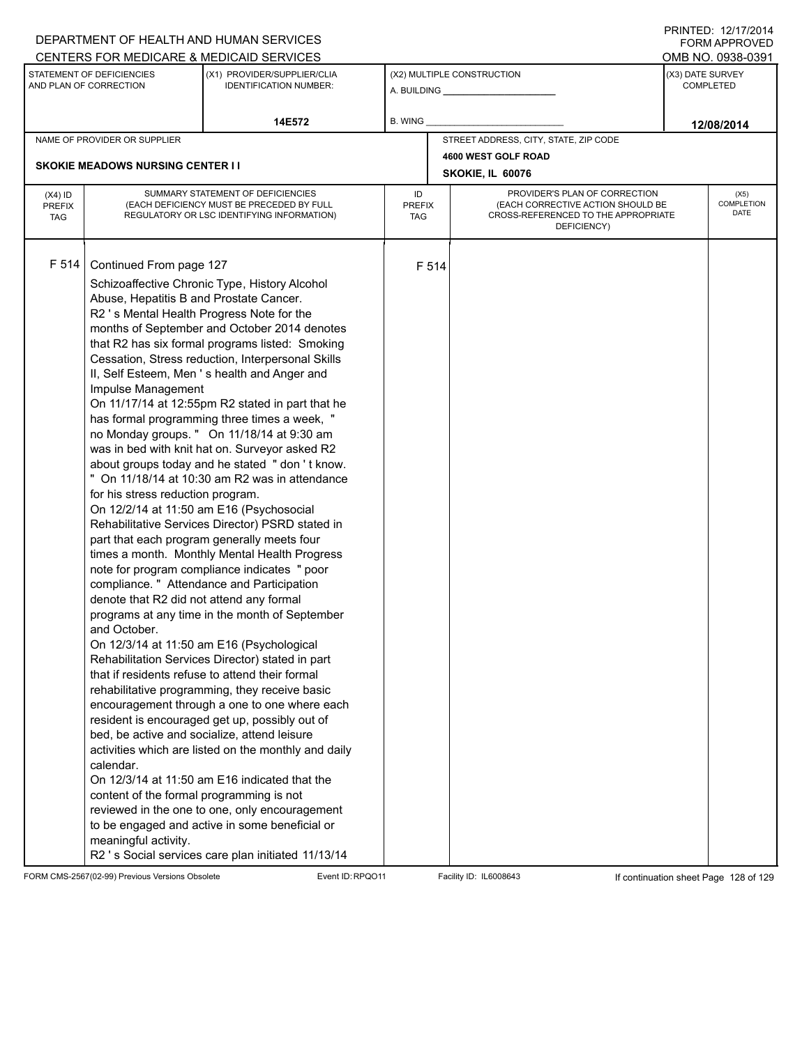|                                                                                                                     |                                                                                                                                                                                                                                                                                                                                                                         | DEPARTMENT OF HEALTH AND HUMAN SERVICES                                                                                                                                                                                                                                                                                                                                                                                                                                                                                                                                                                                                                                                                                                                                                                                                                                                                                                                                                                                                                                                                                                                                                                                                                                                                                                                                                                                                                                                  |                                                                                                                                                               |                                                              |                                       |  | FORM APPROVED              |
|---------------------------------------------------------------------------------------------------------------------|-------------------------------------------------------------------------------------------------------------------------------------------------------------------------------------------------------------------------------------------------------------------------------------------------------------------------------------------------------------------------|------------------------------------------------------------------------------------------------------------------------------------------------------------------------------------------------------------------------------------------------------------------------------------------------------------------------------------------------------------------------------------------------------------------------------------------------------------------------------------------------------------------------------------------------------------------------------------------------------------------------------------------------------------------------------------------------------------------------------------------------------------------------------------------------------------------------------------------------------------------------------------------------------------------------------------------------------------------------------------------------------------------------------------------------------------------------------------------------------------------------------------------------------------------------------------------------------------------------------------------------------------------------------------------------------------------------------------------------------------------------------------------------------------------------------------------------------------------------------------------|---------------------------------------------------------------------------------------------------------------------------------------------------------------|--------------------------------------------------------------|---------------------------------------|--|----------------------------|
|                                                                                                                     |                                                                                                                                                                                                                                                                                                                                                                         | CENTERS FOR MEDICARE & MEDICAID SERVICES                                                                                                                                                                                                                                                                                                                                                                                                                                                                                                                                                                                                                                                                                                                                                                                                                                                                                                                                                                                                                                                                                                                                                                                                                                                                                                                                                                                                                                                 |                                                                                                                                                               |                                                              |                                       |  | OMB NO. 0938-0391          |
| STATEMENT OF DEFICIENCIES<br>(X1) PROVIDER/SUPPLIER/CLIA<br>AND PLAN OF CORRECTION<br><b>IDENTIFICATION NUMBER:</b> |                                                                                                                                                                                                                                                                                                                                                                         |                                                                                                                                                                                                                                                                                                                                                                                                                                                                                                                                                                                                                                                                                                                                                                                                                                                                                                                                                                                                                                                                                                                                                                                                                                                                                                                                                                                                                                                                                          |                                                                                                                                                               | (X2) MULTIPLE CONSTRUCTION<br>A. BUILDING <b>A.</b> BUILDING | (X3) DATE SURVEY<br><b>COMPLETED</b>  |  |                            |
|                                                                                                                     |                                                                                                                                                                                                                                                                                                                                                                         | 14E572                                                                                                                                                                                                                                                                                                                                                                                                                                                                                                                                                                                                                                                                                                                                                                                                                                                                                                                                                                                                                                                                                                                                                                                                                                                                                                                                                                                                                                                                                   | <b>B. WING</b>                                                                                                                                                |                                                              |                                       |  | 12/08/2014                 |
| NAME OF PROVIDER OR SUPPLIER                                                                                        |                                                                                                                                                                                                                                                                                                                                                                         |                                                                                                                                                                                                                                                                                                                                                                                                                                                                                                                                                                                                                                                                                                                                                                                                                                                                                                                                                                                                                                                                                                                                                                                                                                                                                                                                                                                                                                                                                          |                                                                                                                                                               |                                                              | STREET ADDRESS, CITY, STATE, ZIP CODE |  |                            |
|                                                                                                                     |                                                                                                                                                                                                                                                                                                                                                                         |                                                                                                                                                                                                                                                                                                                                                                                                                                                                                                                                                                                                                                                                                                                                                                                                                                                                                                                                                                                                                                                                                                                                                                                                                                                                                                                                                                                                                                                                                          |                                                                                                                                                               |                                                              | 4600 WEST GOLF ROAD                   |  |                            |
|                                                                                                                     | <b>SKOKIE MEADOWS NURSING CENTER II</b><br>SKOKIE, IL 60076                                                                                                                                                                                                                                                                                                             |                                                                                                                                                                                                                                                                                                                                                                                                                                                                                                                                                                                                                                                                                                                                                                                                                                                                                                                                                                                                                                                                                                                                                                                                                                                                                                                                                                                                                                                                                          |                                                                                                                                                               |                                                              |                                       |  |                            |
| $(X4)$ ID<br><b>PREFIX</b><br><b>TAG</b>                                                                            |                                                                                                                                                                                                                                                                                                                                                                         | SUMMARY STATEMENT OF DEFICIENCIES<br>(EACH DEFICIENCY MUST BE PRECEDED BY FULL<br>REGULATORY OR LSC IDENTIFYING INFORMATION)                                                                                                                                                                                                                                                                                                                                                                                                                                                                                                                                                                                                                                                                                                                                                                                                                                                                                                                                                                                                                                                                                                                                                                                                                                                                                                                                                             | PROVIDER'S PLAN OF CORRECTION<br>ID<br>(EACH CORRECTIVE ACTION SHOULD BE<br><b>PREFIX</b><br>CROSS-REFERENCED TO THE APPROPRIATE<br><b>TAG</b><br>DEFICIENCY) |                                                              |                                       |  | (X5)<br>COMPLETION<br>DATE |
| F 514                                                                                                               | Continued From page 127<br>Abuse, Hepatitis B and Prostate Cancer.<br>R2 's Mental Health Progress Note for the<br>Impulse Management<br>for his stress reduction program.<br>denote that R2 did not attend any formal<br>and October.<br>bed, be active and socialize, attend leisure<br>calendar.<br>content of the formal programming is not<br>meaningful activity. | Schizoaffective Chronic Type, History Alcohol<br>months of September and October 2014 denotes<br>that R2 has six formal programs listed: Smoking<br>Cessation, Stress reduction, Interpersonal Skills<br>II, Self Esteem, Men's health and Anger and<br>On 11/17/14 at 12:55pm R2 stated in part that he<br>has formal programming three times a week, "<br>no Monday groups. " On 11/18/14 at 9:30 am<br>was in bed with knit hat on. Surveyor asked R2<br>about groups today and he stated " don't know.<br>" On 11/18/14 at 10:30 am R2 was in attendance<br>On 12/2/14 at 11:50 am E16 (Psychosocial<br>Rehabilitative Services Director) PSRD stated in<br>part that each program generally meets four<br>times a month. Monthly Mental Health Progress<br>note for program compliance indicates " poor<br>compliance. " Attendance and Participation<br>programs at any time in the month of September<br>On 12/3/14 at 11:50 am E16 (Psychological<br>Rehabilitation Services Director) stated in part<br>that if residents refuse to attend their formal<br>rehabilitative programming, they receive basic<br>encouragement through a one to one where each<br>resident is encouraged get up, possibly out of<br>activities which are listed on the monthly and daily<br>On 12/3/14 at 11:50 am E16 indicated that the<br>reviewed in the one to one, only encouragement<br>to be engaged and active in some beneficial or<br>R2 's Social services care plan initiated 11/13/14 |                                                                                                                                                               | F 514                                                        |                                       |  |                            |

FORM CMS-2567(02-99) Previous Versions Obsolete Event ID:RPQO11 Facility ID: IL6008643 If continuation sheet Page 128 of 129